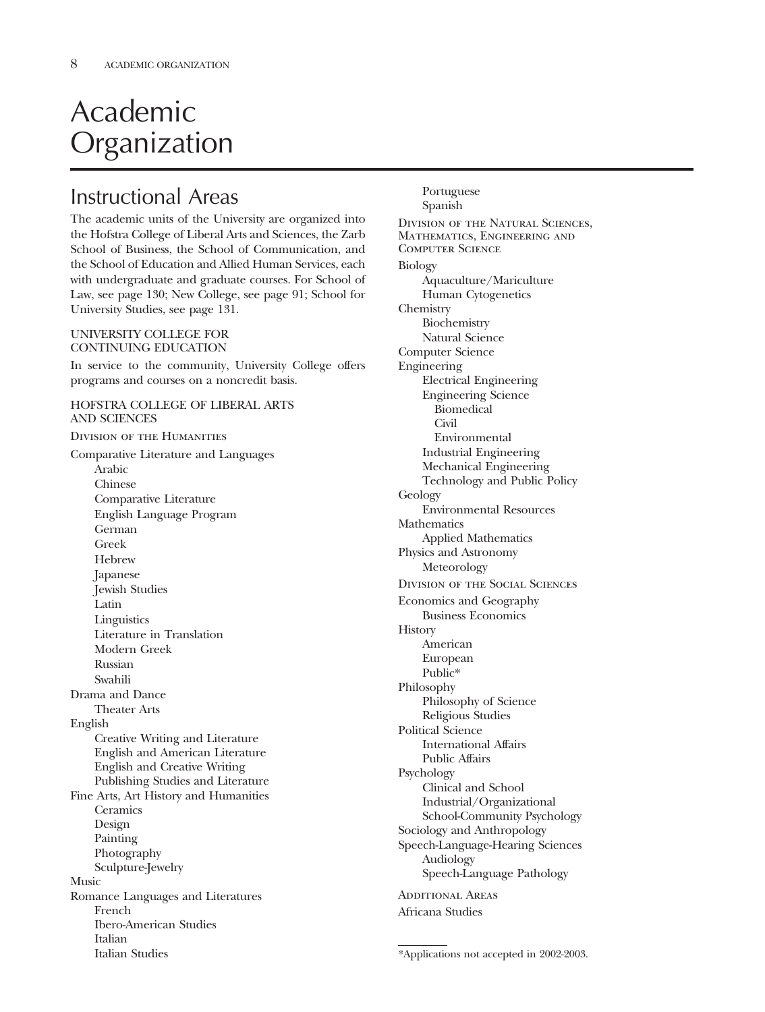# Academic Organization

# Instructional Areas

The academic units of the University are organized into the Hofstra College of Liberal Arts and Sciences, the Zarb School of Business, the School of Communication, and the School of Education and Allied Human Services, each with undergraduate and graduate courses. For School of Law, see page 130; New College, see page 91; School for University Studies, see page 131.

#### UNIVERSITY COLLEGE FOR CONTINUING EDUCATION

In service to the community, University College offers programs and courses on a noncredit basis.

### HOFSTRA COLLEGE OF LIBERAL ARTS AND SCIENCES

Division of the Humanities Comparative Literature and Languages Arabic Chinese Comparative Literature English Language Program German Greek **Hebrew** Japanese Jewish Studies Latin **Linguistics** Literature in Translation Modern Greek Russian Swahili Drama and Dance Theater Arts English Creative Writing and Literature English and American Literature English and Creative Writing Publishing Studies and Literature Fine Arts, Art History and Humanities Ceramics Design Painting Photography Sculpture-Jewelry Music Romance Languages and Literatures French Ibero-American Studies Italian Italian Studies

Portuguese Spanish Division of the Natural Sciences, Mathematics, Engineering and Computer Science Biology Aquaculture/Mariculture Human Cytogenetics Chemistry Biochemistry Natural Science Computer Science Engineering Electrical Engineering Engineering Science Biomedical Civil Environmental Industrial Engineering Mechanical Engineering Technology and Public Policy Geology Environmental Resources **Mathematics** Applied Mathematics Physics and Astronomy Meteorology Division of the Social Sciences Economics and Geography Business Economics **History** American European Public\* Philosophy Philosophy of Science Religious Studies Political Science International Affairs Public Affairs Psychology Clinical and School Industrial/Organizational School-Community Psychology Sociology and Anthropology Speech-Language-Hearing Sciences Audiology Speech-Language Pathology ADDITIONAL AREAS Africana Studies

<sup>\*</sup>Applications not accepted in 2002-2003.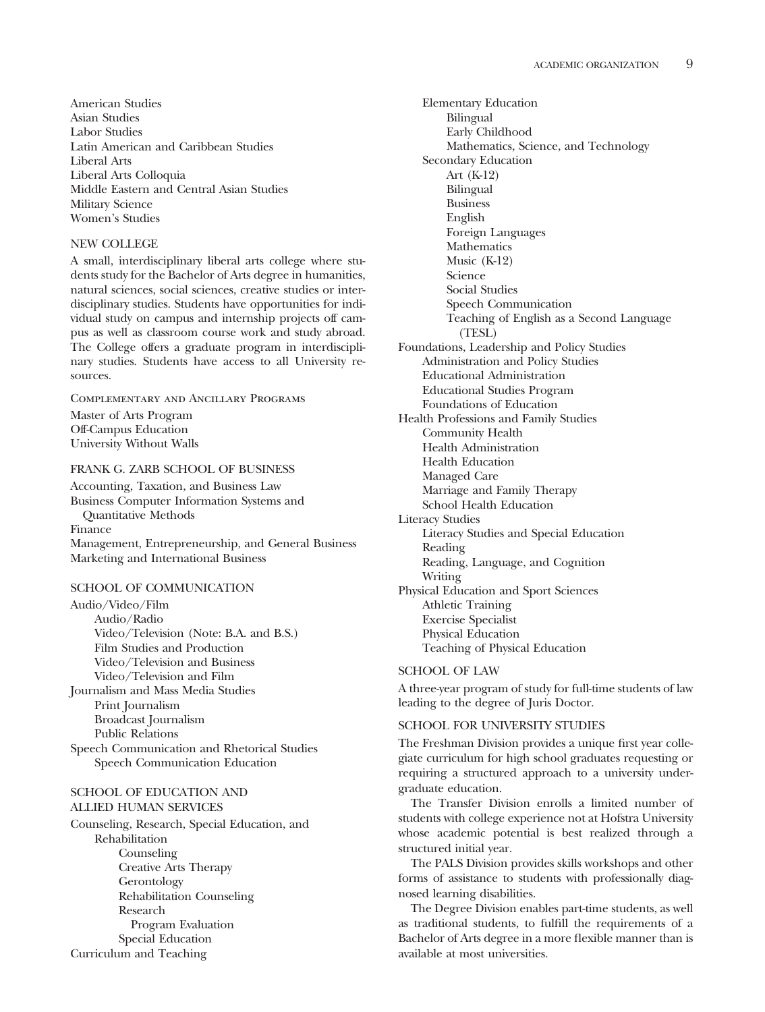American Studies Asian Studies Labor Studies Latin American and Caribbean Studies Liberal Arts Liberal Arts Colloquia Middle Eastern and Central Asian Studies Military Science Women's Studies

#### NEW COLLEGE

A small, interdisciplinary liberal arts college where students study for the Bachelor of Arts degree in humanities, natural sciences, social sciences, creative studies or interdisciplinary studies. Students have opportunities for individual study on campus and internship projects off campus as well as classroom course work and study abroad. The College offers a graduate program in interdisciplinary studies. Students have access to all University resources.

## Complementary and Ancillary Programs Master of Arts Program Off-Campus Education University Without Walls

## FRANK G. ZARB SCHOOL OF BUSINESS

Accounting, Taxation, and Business Law Business Computer Information Systems and Quantitative Methods Finance Management, Entrepreneurship, and General Business Marketing and International Business

#### SCHOOL OF COMMUNICATION

Audio/Video/Film Audio/Radio Video/Television (Note: B.A. and B.S.) Film Studies and Production Video/Television and Business Video/Television and Film Journalism and Mass Media Studies Print Journalism Broadcast Journalism Public Relations Speech Communication and Rhetorical Studies Speech Communication Education

### SCHOOL OF EDUCATION AND ALLIED HUMAN SERVICES

Counseling, Research, Special Education, and Rehabilitation Counseling Creative Arts Therapy Gerontology Rehabilitation Counseling Research Program Evaluation Special Education Curriculum and Teaching

Elementary Education Bilingual Early Childhood Mathematics, Science, and Technology Secondary Education Art (K-12) Bilingual Business English Foreign Languages Mathematics Music (K-12) Science Social Studies Speech Communication Teaching of English as a Second Language (TESL) Foundations, Leadership and Policy Studies Administration and Policy Studies Educational Administration Educational Studies Program Foundations of Education Health Professions and Family Studies Community Health Health Administration Health Education Managed Care Marriage and Family Therapy School Health Education Literacy Studies Literacy Studies and Special Education Reading Reading, Language, and Cognition Writing Physical Education and Sport Sciences Athletic Training Exercise Specialist Physical Education Teaching of Physical Education

#### SCHOOL OF LAW

A three-year program of study for full-time students of law leading to the degree of Juris Doctor.

#### SCHOOL FOR UNIVERSITY STUDIES

The Freshman Division provides a unique first year collegiate curriculum for high school graduates requesting or requiring a structured approach to a university undergraduate education.

The Transfer Division enrolls a limited number of students with college experience not at Hofstra University whose academic potential is best realized through a structured initial year.

The PALS Division provides skills workshops and other forms of assistance to students with professionally diagnosed learning disabilities.

The Degree Division enables part-time students, as well as traditional students, to fulfill the requirements of a Bachelor of Arts degree in a more flexible manner than is available at most universities.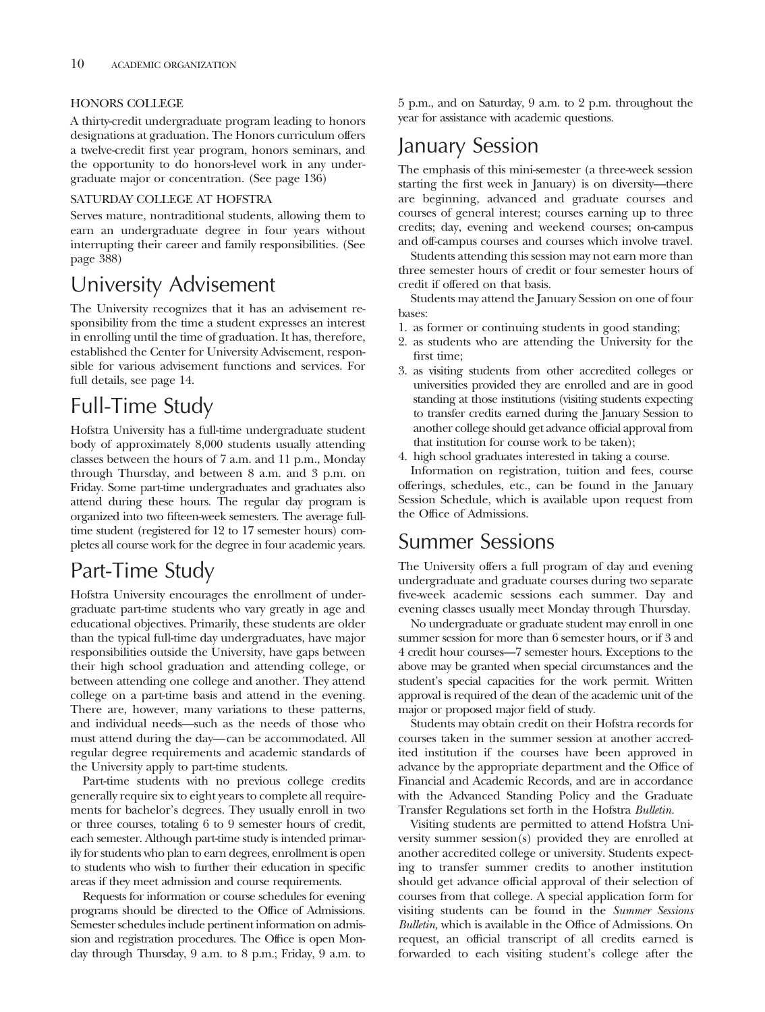## HONORS COLLEGE

A thirty-credit undergraduate program leading to honors designations at graduation. The Honors curriculum offers a twelve-credit first year program, honors seminars, and the opportunity to do honors-level work in any undergraduate major or concentration. (See page 136)

## SATURDAY COLLEGE AT HOFSTRA

Serves mature, nontraditional students, allowing them to earn an undergraduate degree in four years without interrupting their career and family responsibilities. (See page 388)

# University Advisement

The University recognizes that it has an advisement responsibility from the time a student expresses an interest in enrolling until the time of graduation. It has, therefore, established the Center for University Advisement, responsible for various advisement functions and services. For full details, see page 14.

# Full-Time Study

Hofstra University has a full-time undergraduate student body of approximately 8,000 students usually attending classes between the hours of 7 a.m. and 11 p.m., Monday through Thursday, and between 8 a.m. and 3 p.m. on Friday. Some part-time undergraduates and graduates also attend during these hours. The regular day program is organized into two fifteen-week semesters. The average fulltime student (registered for 12 to 17 semester hours) completes all course work for the degree in four academic years.

# Part-Time Study

Hofstra University encourages the enrollment of undergraduate part-time students who vary greatly in age and educational objectives. Primarily, these students are older than the typical full-time day undergraduates, have major responsibilities outside the University, have gaps between their high school graduation and attending college, or between attending one college and another. They attend college on a part-time basis and attend in the evening. There are, however, many variations to these patterns, and individual needs—such as the needs of those who must attend during the day—can be accommodated. All regular degree requirements and academic standards of the University apply to part-time students.

Part-time students with no previous college credits generally require six to eight years to complete all requirements for bachelor's degrees. They usually enroll in two or three courses, totaling 6 to 9 semester hours of credit, each semester. Although part-time study is intended primarily for students who plan to earn degrees, enrollment is open to students who wish to further their education in specific areas if they meet admission and course requirements.

Requests for information or course schedules for evening programs should be directed to the Office of Admissions. Semester schedules include pertinent information on admission and registration procedures. The Office is open Monday through Thursday, 9 a.m. to 8 p.m.; Friday, 9 a.m. to 5 p.m., and on Saturday, 9 a.m. to 2 p.m. throughout the year for assistance with academic questions.

# January Session

The emphasis of this mini-semester (a three-week session starting the first week in January) is on diversity—there are beginning, advanced and graduate courses and courses of general interest; courses earning up to three credits; day, evening and weekend courses; on-campus and off-campus courses and courses which involve travel.

Students attending this session may not earn more than three semester hours of credit or four semester hours of credit if offered on that basis.

Students may attend the January Session on one of four bases:

- 1. as former or continuing students in good standing;
- 2. as students who are attending the University for the first time;
- 3. as visiting students from other accredited colleges or universities provided they are enrolled and are in good standing at those institutions (visiting students expecting to transfer credits earned during the January Session to another college should get advance official approval from that institution for course work to be taken);
- 4. high school graduates interested in taking a course.

Information on registration, tuition and fees, course offerings, schedules, etc., can be found in the January Session Schedule, which is available upon request from the Office of Admissions.

# Summer Sessions

The University offers a full program of day and evening undergraduate and graduate courses during two separate five-week academic sessions each summer. Day and evening classes usually meet Monday through Thursday.

No undergraduate or graduate student may enroll in one summer session for more than 6 semester hours, or if 3 and 4 credit hour courses—7 semester hours. Exceptions to the above may be granted when special circumstances and the student's special capacities for the work permit. Written approval is required of the dean of the academic unit of the major or proposed major field of study.

Students may obtain credit on their Hofstra records for courses taken in the summer session at another accredited institution if the courses have been approved in advance by the appropriate department and the Office of Financial and Academic Records, and are in accordance with the Advanced Standing Policy and the Graduate Transfer Regulations set forth in the Hofstra *Bulletin.*

Visiting students are permitted to attend Hofstra University summer session(s) provided they are enrolled at another accredited college or university. Students expecting to transfer summer credits to another institution should get advance official approval of their selection of courses from that college. A special application form for visiting students can be found in the *Summer Sessions Bulletin,* which is available in the Office of Admissions. On request, an official transcript of all credits earned is forwarded to each visiting student's college after the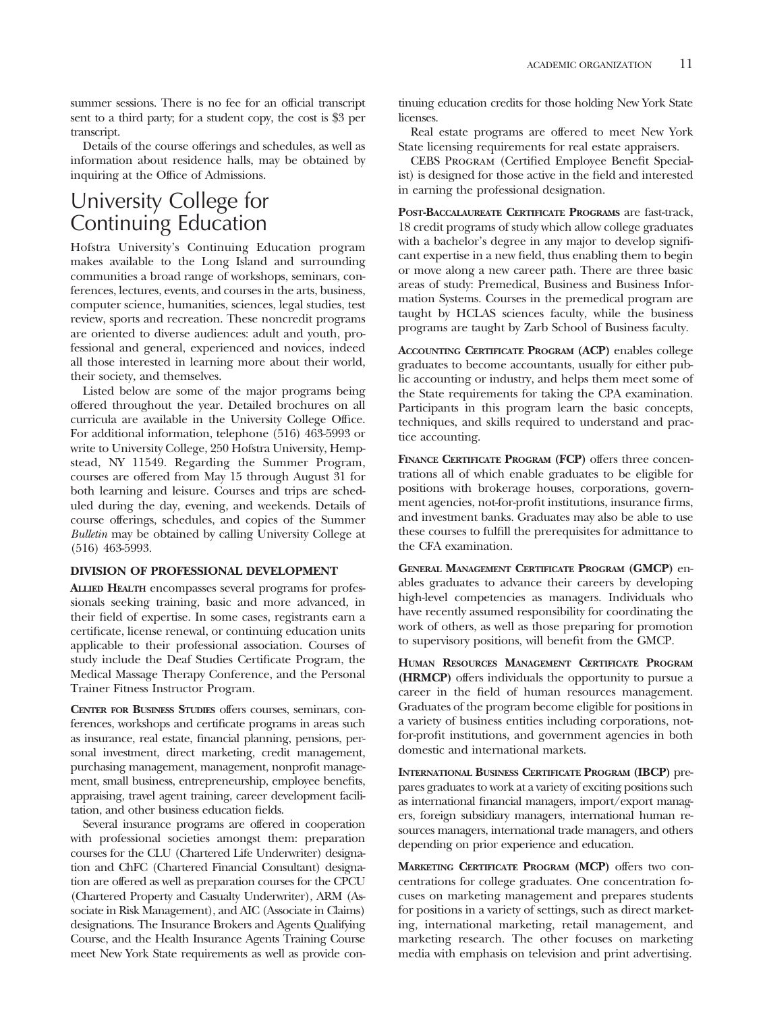summer sessions. There is no fee for an official transcript sent to a third party; for a student copy, the cost is \$3 per transcript.

Details of the course offerings and schedules, as well as information about residence halls, may be obtained by inquiring at the Office of Admissions.

# University College for Continuing Education

Hofstra University's Continuing Education program makes available to the Long Island and surrounding communities a broad range of workshops, seminars, conferences, lectures, events, and courses in the arts, business, computer science, humanities, sciences, legal studies, test review, sports and recreation. These noncredit programs are oriented to diverse audiences: adult and youth, professional and general, experienced and novices, indeed all those interested in learning more about their world, their society, and themselves.

Listed below are some of the major programs being offered throughout the year. Detailed brochures on all curricula are available in the University College Office. For additional information, telephone (516) 463-5993 or write to University College, 250 Hofstra University, Hempstead, NY 11549. Regarding the Summer Program, courses are offered from May 15 through August 31 for both learning and leisure. Courses and trips are scheduled during the day, evening, and weekends. Details of course offerings, schedules, and copies of the Summer *Bulletin* may be obtained by calling University College at (516) 463-5993.

#### **DIVISION OF PROFESSIONAL DEVELOPMENT**

**ALLIED HEALTH** encompasses several programs for professionals seeking training, basic and more advanced, in their field of expertise. In some cases, registrants earn a certificate, license renewal, or continuing education units applicable to their professional association. Courses of study include the Deaf Studies Certificate Program, the Medical Massage Therapy Conference, and the Personal Trainer Fitness Instructor Program.

**CENTER FOR BUSINESS STUDIES** offers courses, seminars, conferences, workshops and certificate programs in areas such as insurance, real estate, financial planning, pensions, personal investment, direct marketing, credit management, purchasing management, management, nonprofit management, small business, entrepreneurship, employee benefits, appraising, travel agent training, career development facilitation, and other business education fields.

Several insurance programs are offered in cooperation with professional societies amongst them: preparation courses for the CLU (Chartered Life Underwriter) designation and ChFC (Chartered Financial Consultant) designation are offered as well as preparation courses for the CPCU (Chartered Property and Casualty Underwriter), ARM (Associate in Risk Management), and AIC (Associate in Claims) designations. The Insurance Brokers and Agents Qualifying Course, and the Health Insurance Agents Training Course meet New York State requirements as well as provide continuing education credits for those holding New York State licenses.

Real estate programs are offered to meet New York State licensing requirements for real estate appraisers.

CEBS Program (Certified Employee Benefit Specialist) is designed for those active in the field and interested in earning the professional designation.

**POST-BACCALAUREATE CERTIFICATE PROGRAMS** are fast-track, 18 credit programs of study which allow college graduates with a bachelor's degree in any major to develop significant expertise in a new field, thus enabling them to begin or move along a new career path. There are three basic areas of study: Premedical, Business and Business Information Systems. Courses in the premedical program are taught by HCLAS sciences faculty, while the business programs are taught by Zarb School of Business faculty.

**ACCOUNTING CERTIFICATE PROGRAM (ACP)** enables college graduates to become accountants, usually for either public accounting or industry, and helps them meet some of the State requirements for taking the CPA examination. Participants in this program learn the basic concepts, techniques, and skills required to understand and practice accounting.

**FINANCE CERTIFICATE PROGRAM (FCP)** offers three concentrations all of which enable graduates to be eligible for positions with brokerage houses, corporations, government agencies, not-for-profit institutions, insurance firms, and investment banks. Graduates may also be able to use these courses to fulfill the prerequisites for admittance to the CFA examination.

**GENERAL MANAGEMENT CERTIFICATE PROGRAM (GMCP)** enables graduates to advance their careers by developing high-level competencies as managers. Individuals who have recently assumed responsibility for coordinating the work of others, as well as those preparing for promotion to supervisory positions, will benefit from the GMCP.

**HUMAN RESOURCES MANAGEMENT CERTIFICATE PROGRAM (HRMCP)** offers individuals the opportunity to pursue a career in the field of human resources management. Graduates of the program become eligible for positions in a variety of business entities including corporations, notfor-profit institutions, and government agencies in both domestic and international markets.

**INTERNATIONAL BUSINESS CERTIFICATE PROGRAM (IBCP)** prepares graduates to work at a variety of exciting positions such as international financial managers, import/export managers, foreign subsidiary managers, international human resources managers, international trade managers, and others depending on prior experience and education.

**MARKETING CERTIFICATE PROGRAM (MCP)** offers two concentrations for college graduates. One concentration focuses on marketing management and prepares students for positions in a variety of settings, such as direct marketing, international marketing, retail management, and marketing research. The other focuses on marketing media with emphasis on television and print advertising.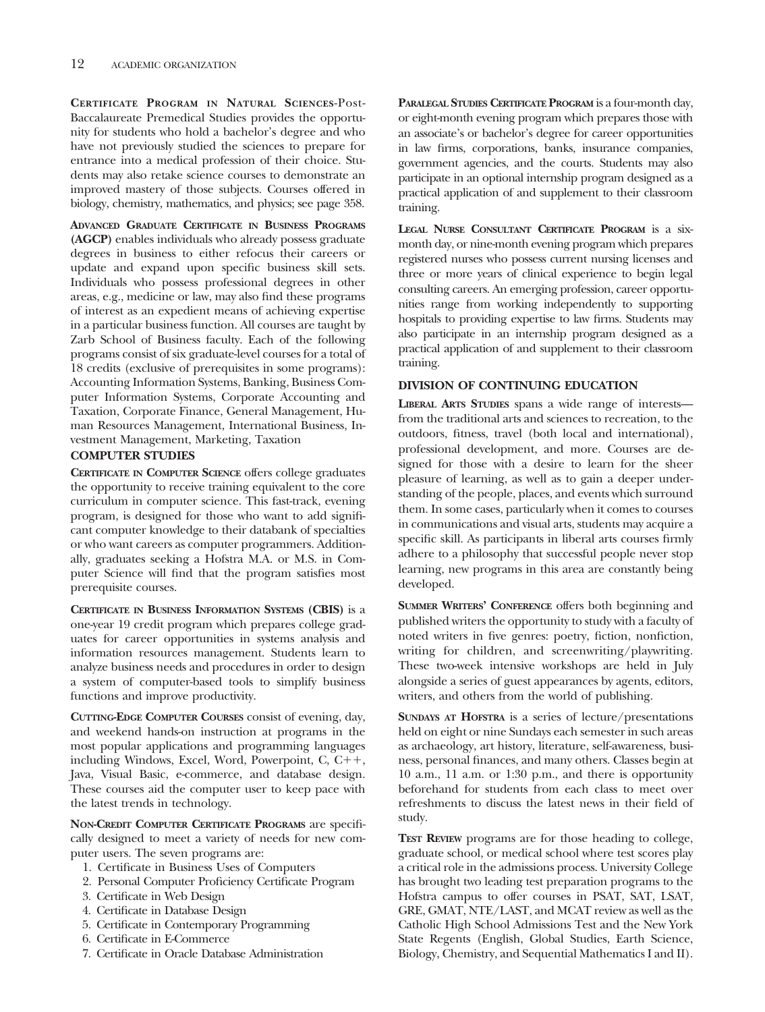**CERTIFICATE PROGRAM IN NATURAL SCIENCES**-Post-Baccalaureate Premedical Studies provides the opportunity for students who hold a bachelor's degree and who have not previously studied the sciences to prepare for entrance into a medical profession of their choice. Students may also retake science courses to demonstrate an improved mastery of those subjects. Courses offered in biology, chemistry, mathematics, and physics; see page 358.

**ADVANCED GRADUATE CERTIFICATE IN BUSINESS PROGRAMS (AGCP)** enables individuals who already possess graduate degrees in business to either refocus their careers or update and expand upon specific business skill sets. Individuals who possess professional degrees in other areas, e.g., medicine or law, may also find these programs of interest as an expedient means of achieving expertise in a particular business function. All courses are taught by Zarb School of Business faculty. Each of the following programs consist of six graduate-level courses for a total of 18 credits (exclusive of prerequisites in some programs): Accounting Information Systems, Banking, Business Computer Information Systems, Corporate Accounting and Taxation, Corporate Finance, General Management, Human Resources Management, International Business, Investment Management, Marketing, Taxation

## **COMPUTER STUDIES**

**CERTIFICATE IN COMPUTER SCIENCE** offers college graduates the opportunity to receive training equivalent to the core curriculum in computer science. This fast-track, evening program, is designed for those who want to add significant computer knowledge to their databank of specialties or who want careers as computer programmers. Additionally, graduates seeking a Hofstra M.A. or M.S. in Computer Science will find that the program satisfies most prerequisite courses.

**CERTIFICATE IN BUSINESS INFORMATION SYSTEMS (CBIS)** is a one-year 19 credit program which prepares college graduates for career opportunities in systems analysis and information resources management. Students learn to analyze business needs and procedures in order to design a system of computer-based tools to simplify business functions and improve productivity.

**CUTTING-EDGE COMPUTER COURSES** consist of evening, day, and weekend hands-on instruction at programs in the most popular applications and programming languages including Windows, Excel, Word, Powerpoint, C,  $C_{+}+$ , Java, Visual Basic, e-commerce, and database design. These courses aid the computer user to keep pace with the latest trends in technology.

**NON-CREDIT COMPUTER CERTIFICATE PROGRAMS** are specifically designed to meet a variety of needs for new computer users. The seven programs are:

- 1. Certificate in Business Uses of Computers
- 2. Personal Computer Proficiency Certificate Program
- 3. Certificate in Web Design
- 4. Certificate in Database Design
- 5. Certificate in Contemporary Programming
- 6. Certificate in E-Commerce
- 7. Certificate in Oracle Database Administration

**PARALEGAL STUDIES CERTIFICATE PROGRAM** is a four-month day, or eight-month evening program which prepares those with an associate's or bachelor's degree for career opportunities in law firms, corporations, banks, insurance companies, government agencies, and the courts. Students may also participate in an optional internship program designed as a practical application of and supplement to their classroom training.

**LEGAL NURSE CONSULTANT CERTIFICATE PROGRAM** is a sixmonth day, or nine-month evening program which prepares registered nurses who possess current nursing licenses and three or more years of clinical experience to begin legal consulting careers. An emerging profession, career opportunities range from working independently to supporting hospitals to providing expertise to law firms. Students may also participate in an internship program designed as a practical application of and supplement to their classroom training.

## **DIVISION OF CONTINUING EDUCATION**

**LIBERAL ARTS STUDIES** spans a wide range of interests from the traditional arts and sciences to recreation, to the outdoors, fitness, travel (both local and international), professional development, and more. Courses are designed for those with a desire to learn for the sheer pleasure of learning, as well as to gain a deeper understanding of the people, places, and events which surround them. In some cases, particularly when it comes to courses in communications and visual arts, students may acquire a specific skill. As participants in liberal arts courses firmly adhere to a philosophy that successful people never stop learning, new programs in this area are constantly being developed.

**SUMMER WRITERS' CONFERENCE** offers both beginning and published writers the opportunity to study with a faculty of noted writers in five genres: poetry, fiction, nonfiction, writing for children, and screenwriting/playwriting. These two-week intensive workshops are held in July alongside a series of guest appearances by agents, editors, writers, and others from the world of publishing.

**SUNDAYS AT HOFSTRA** is a series of lecture/presentations held on eight or nine Sundays each semester in such areas as archaeology, art history, literature, self-awareness, business, personal finances, and many others. Classes begin at 10 a.m., 11 a.m. or 1:30 p.m., and there is opportunity beforehand for students from each class to meet over refreshments to discuss the latest news in their field of study.

**TEST REVIEW** programs are for those heading to college, graduate school, or medical school where test scores play a critical role in the admissions process. University College has brought two leading test preparation programs to the Hofstra campus to offer courses in PSAT, SAT, LSAT, GRE, GMAT, NTE/LAST, and MCAT review as well as the Catholic High School Admissions Test and the New York State Regents (English, Global Studies, Earth Science, Biology, Chemistry, and Sequential Mathematics I and II).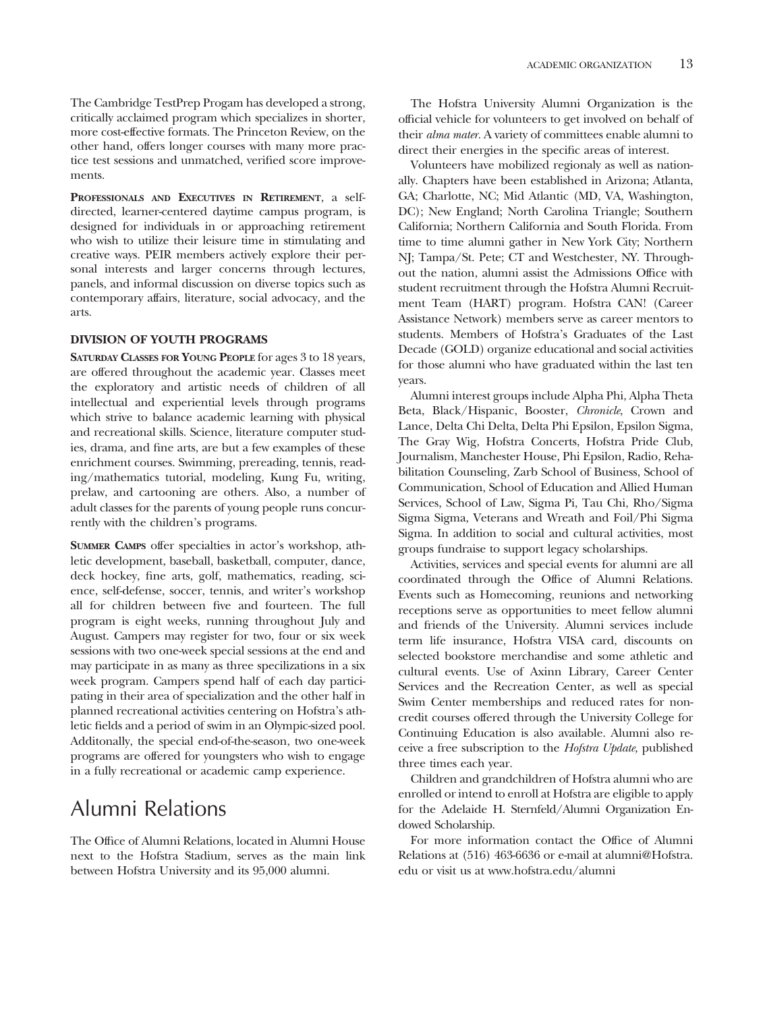The Cambridge TestPrep Progam has developed a strong, critically acclaimed program which specializes in shorter, more cost-effective formats. The Princeton Review, on the other hand, offers longer courses with many more practice test sessions and unmatched, verified score improvements.

**PROFESSIONALS AND EXECUTIVES IN RETIREMENT**, a selfdirected, learner-centered daytime campus program, is designed for individuals in or approaching retirement who wish to utilize their leisure time in stimulating and creative ways. PEIR members actively explore their personal interests and larger concerns through lectures, panels, and informal discussion on diverse topics such as contemporary affairs, literature, social advocacy, and the arts.

## **DIVISION OF YOUTH PROGRAMS**

**SATURDAY CLASSES FOR YOUNG PEOPLE** for ages 3 to 18 years, are offered throughout the academic year. Classes meet the exploratory and artistic needs of children of all intellectual and experiential levels through programs which strive to balance academic learning with physical and recreational skills. Science, literature computer studies, drama, and fine arts, are but a few examples of these enrichment courses. Swimming, prereading, tennis, reading/mathematics tutorial, modeling, Kung Fu, writing, prelaw, and cartooning are others. Also, a number of adult classes for the parents of young people runs concurrently with the children's programs.

**SUMMER CAMPS** offer specialties in actor's workshop, athletic development, baseball, basketball, computer, dance, deck hockey, fine arts, golf, mathematics, reading, science, self-defense, soccer, tennis, and writer's workshop all for children between five and fourteen. The full program is eight weeks, running throughout July and August. Campers may register for two, four or six week sessions with two one-week special sessions at the end and may participate in as many as three specilizations in a six week program. Campers spend half of each day participating in their area of specialization and the other half in planned recreational activities centering on Hofstra's athletic fields and a period of swim in an Olympic-sized pool. Additonally, the special end-of-the-season, two one-week programs are offered for youngsters who wish to engage in a fully recreational or academic camp experience.

## Alumni Relations

The Office of Alumni Relations, located in Alumni House next to the Hofstra Stadium, serves as the main link between Hofstra University and its 95,000 alumni.

The Hofstra University Alumni Organization is the official vehicle for volunteers to get involved on behalf of their *alma mater.* A variety of committees enable alumni to direct their energies in the specific areas of interest.

Volunteers have mobilized regionaly as well as nationally. Chapters have been established in Arizona; Atlanta, GA; Charlotte, NC; Mid Atlantic (MD, VA, Washington, DC); New England; North Carolina Triangle; Southern California; Northern California and South Florida. From time to time alumni gather in New York City; Northern NJ; Tampa/St. Pete; CT and Westchester, NY. Throughout the nation, alumni assist the Admissions Office with student recruitment through the Hofstra Alumni Recruitment Team (HART) program. Hofstra CAN! (Career Assistance Network) members serve as career mentors to students. Members of Hofstra's Graduates of the Last Decade (GOLD) organize educational and social activities for those alumni who have graduated within the last ten years.

Alumni interest groups include Alpha Phi, Alpha Theta Beta, Black/Hispanic, Booster, *Chronicle*, Crown and Lance, Delta Chi Delta, Delta Phi Epsilon, Epsilon Sigma, The Gray Wig, Hofstra Concerts, Hofstra Pride Club, Journalism, Manchester House, Phi Epsilon, Radio, Rehabilitation Counseling, Zarb School of Business, School of Communication, School of Education and Allied Human Services, School of Law, Sigma Pi, Tau Chi, Rho/Sigma Sigma Sigma, Veterans and Wreath and Foil/Phi Sigma Sigma. In addition to social and cultural activities, most groups fundraise to support legacy scholarships.

Activities, services and special events for alumni are all coordinated through the Office of Alumni Relations. Events such as Homecoming, reunions and networking receptions serve as opportunities to meet fellow alumni and friends of the University. Alumni services include term life insurance, Hofstra VISA card, discounts on selected bookstore merchandise and some athletic and cultural events. Use of Axinn Library, Career Center Services and the Recreation Center, as well as special Swim Center memberships and reduced rates for noncredit courses offered through the University College for Continuing Education is also available. Alumni also receive a free subscription to the *Hofstra Update,* published three times each year.

Children and grandchildren of Hofstra alumni who are enrolled or intend to enroll at Hofstra are eligible to apply for the Adelaide H. Sternfeld/Alumni Organization Endowed Scholarship.

For more information contact the Office of Alumni Relations at (516) 463-6636 or e-mail at alumni@Hofstra. edu or visit us at www.hofstra.edu/alumni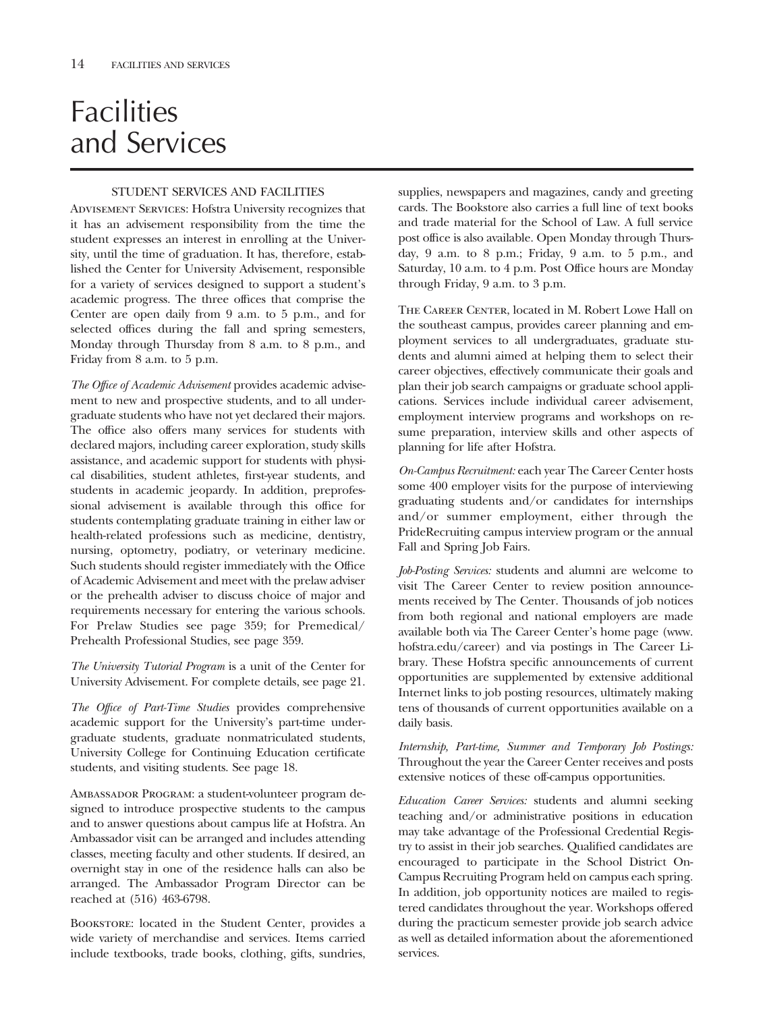# **Facilities** and Services

## STUDENT SERVICES AND FACILITIES

Advisement Services: Hofstra University recognizes that it has an advisement responsibility from the time the student expresses an interest in enrolling at the University, until the time of graduation. It has, therefore, established the Center for University Advisement, responsible for a variety of services designed to support a student's academic progress. The three offices that comprise the Center are open daily from 9 a.m. to 5 p.m., and for selected offices during the fall and spring semesters, Monday through Thursday from 8 a.m. to 8 p.m., and Friday from 8 a.m. to 5 p.m.

*The Office of Academic Advisement* provides academic advisement to new and prospective students, and to all undergraduate students who have not yet declared their majors. The office also offers many services for students with declared majors, including career exploration, study skills assistance, and academic support for students with physical disabilities, student athletes, first-year students, and students in academic jeopardy. In addition, preprofessional advisement is available through this office for students contemplating graduate training in either law or health-related professions such as medicine, dentistry, nursing, optometry, podiatry, or veterinary medicine. Such students should register immediately with the Office of Academic Advisement and meet with the prelaw adviser or the prehealth adviser to discuss choice of major and requirements necessary for entering the various schools. For Prelaw Studies see page 359; for Premedical/ Prehealth Professional Studies, see page 359.

*The University Tutorial Program* is a unit of the Center for University Advisement. For complete details, see page 21.

*The Office of Part-Time Studies* provides comprehensive academic support for the University's part-time undergraduate students, graduate nonmatriculated students, University College for Continuing Education certificate students, and visiting students. See page 18.

Ambassador Program: a student-volunteer program designed to introduce prospective students to the campus and to answer questions about campus life at Hofstra. An Ambassador visit can be arranged and includes attending classes, meeting faculty and other students. If desired, an overnight stay in one of the residence halls can also be arranged. The Ambassador Program Director can be reached at (516) 463-6798.

Bookstore: located in the Student Center, provides a wide variety of merchandise and services. Items carried include textbooks, trade books, clothing, gifts, sundries, supplies, newspapers and magazines, candy and greeting cards. The Bookstore also carries a full line of text books and trade material for the School of Law. A full service post office is also available. Open Monday through Thursday, 9 a.m. to 8 p.m.; Friday, 9 a.m. to 5 p.m., and Saturday, 10 a.m. to 4 p.m. Post Office hours are Monday through Friday, 9 a.m. to 3 p.m.

THE CAREER CENTER, located in M. Robert Lowe Hall on the southeast campus, provides career planning and employment services to all undergraduates, graduate students and alumni aimed at helping them to select their career objectives, effectively communicate their goals and plan their job search campaigns or graduate school applications. Services include individual career advisement, employment interview programs and workshops on resume preparation, interview skills and other aspects of planning for life after Hofstra.

*On-Campus Recruitment:* each year The Career Center hosts some 400 employer visits for the purpose of interviewing graduating students and/or candidates for internships and/or summer employment, either through the PrideRecruiting campus interview program or the annual Fall and Spring Job Fairs.

*Job-Posting Services:* students and alumni are welcome to visit The Career Center to review position announcements received by The Center. Thousands of job notices from both regional and national employers are made available both via The Career Center's home page (www. hofstra.edu/career) and via postings in The Career Library. These Hofstra specific announcements of current opportunities are supplemented by extensive additional Internet links to job posting resources, ultimately making tens of thousands of current opportunities available on a daily basis.

*Internship, Part-time, Summer and Temporary Job Postings:* Throughout the year the Career Center receives and posts extensive notices of these off-campus opportunities.

*Education Career Services:* students and alumni seeking teaching and/or administrative positions in education may take advantage of the Professional Credential Registry to assist in their job searches. Qualified candidates are encouraged to participate in the School District On-Campus Recruiting Program held on campus each spring. In addition, job opportunity notices are mailed to registered candidates throughout the year. Workshops offered during the practicum semester provide job search advice as well as detailed information about the aforementioned services.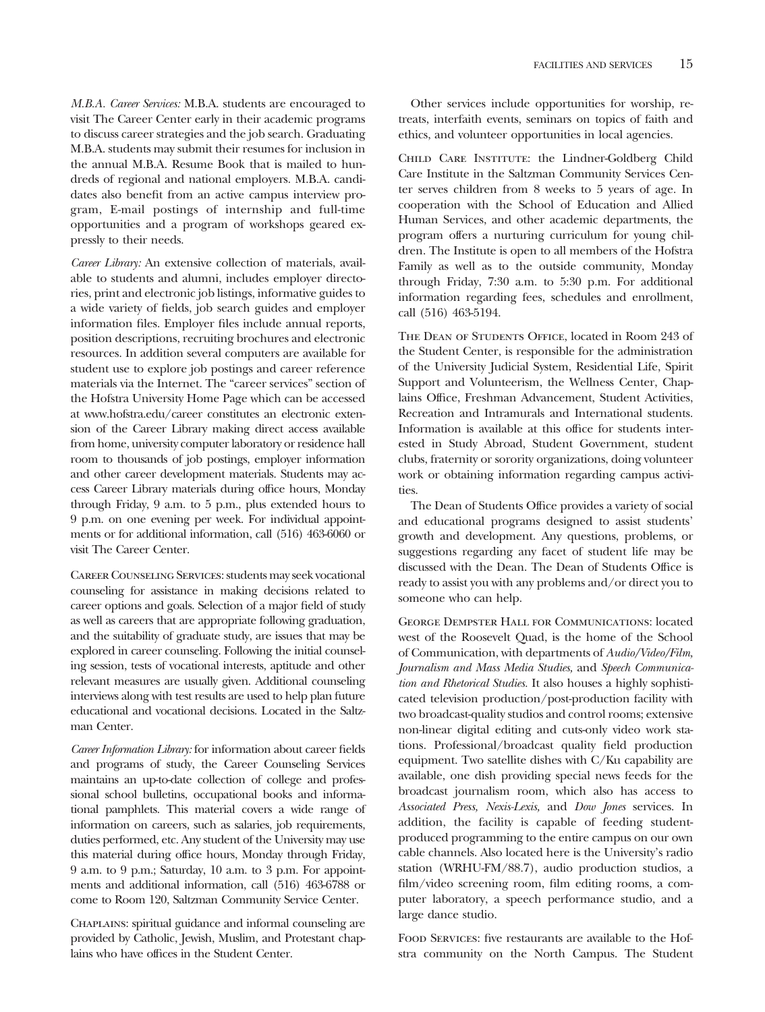*M.B.A. Career Services:* M.B.A. students are encouraged to visit The Career Center early in their academic programs to discuss career strategies and the job search. Graduating M.B.A. students may submit their resumes for inclusion in the annual M.B.A. Resume Book that is mailed to hundreds of regional and national employers. M.B.A. candidates also benefit from an active campus interview program, E-mail postings of internship and full-time opportunities and a program of workshops geared expressly to their needs.

*Career Library:* An extensive collection of materials, available to students and alumni, includes employer directories, print and electronic job listings, informative guides to a wide variety of fields, job search guides and employer information files. Employer files include annual reports, position descriptions, recruiting brochures and electronic resources. In addition several computers are available for student use to explore job postings and career reference materials via the Internet. The "career services" section of the Hofstra University Home Page which can be accessed at www.hofstra.edu/career constitutes an electronic extension of the Career Library making direct access available from home, university computer laboratory or residence hall room to thousands of job postings, employer information and other career development materials. Students may access Career Library materials during office hours, Monday through Friday, 9 a.m. to 5 p.m., plus extended hours to 9 p.m. on one evening per week. For individual appointments or for additional information, call (516) 463-6060 or visit The Career Center.

Career Counseling Services: students may seek vocational counseling for assistance in making decisions related to career options and goals. Selection of a major field of study as well as careers that are appropriate following graduation, and the suitability of graduate study, are issues that may be explored in career counseling. Following the initial counseling session, tests of vocational interests, aptitude and other relevant measures are usually given. Additional counseling interviews along with test results are used to help plan future educational and vocational decisions. Located in the Saltzman Center.

*Career Information Library:* for information about career fields and programs of study, the Career Counseling Services maintains an up-to-date collection of college and professional school bulletins, occupational books and informational pamphlets. This material covers a wide range of information on careers, such as salaries, job requirements, duties performed, etc. Any student of the University may use this material during office hours, Monday through Friday, 9 a.m. to 9 p.m.; Saturday, 10 a.m. to 3 p.m. For appointments and additional information, call (516) 463-6788 or come to Room 120, Saltzman Community Service Center.

Chaplains: spiritual guidance and informal counseling are provided by Catholic, Jewish, Muslim, and Protestant chaplains who have offices in the Student Center.

Other services include opportunities for worship, retreats, interfaith events, seminars on topics of faith and ethics, and volunteer opportunities in local agencies.

Child Care Institute: the Lindner-Goldberg Child Care Institute in the Saltzman Community Services Center serves children from 8 weeks to 5 years of age. In cooperation with the School of Education and Allied Human Services, and other academic departments, the program offers a nurturing curriculum for young children. The Institute is open to all members of the Hofstra Family as well as to the outside community, Monday through Friday, 7:30 a.m. to 5:30 p.m. For additional information regarding fees, schedules and enrollment, call (516) 463-5194.

THE DEAN OF STUDENTS OFFICE, located in Room 243 of the Student Center, is responsible for the administration of the University Judicial System, Residential Life, Spirit Support and Volunteerism, the Wellness Center, Chaplains Office, Freshman Advancement, Student Activities, Recreation and Intramurals and International students. Information is available at this office for students interested in Study Abroad, Student Government, student clubs, fraternity or sorority organizations, doing volunteer work or obtaining information regarding campus activities.

The Dean of Students Office provides a variety of social and educational programs designed to assist students' growth and development. Any questions, problems, or suggestions regarding any facet of student life may be discussed with the Dean. The Dean of Students Office is ready to assist you with any problems and/or direct you to someone who can help.

George Dempster Hall for Communications: located west of the Roosevelt Quad, is the home of the School of Communication, with departments of *Audio/Video/Film, Journalism and Mass Media Studies,* and *Speech Communication and Rhetorical Studies.* It also houses a highly sophisticated television production/post-production facility with two broadcast-quality studios and control rooms; extensive non-linear digital editing and cuts-only video work stations. Professional/broadcast quality field production equipment. Two satellite dishes with C/Ku capability are available, one dish providing special news feeds for the broadcast journalism room, which also has access to *Associated Press, Nexis-Lexis,* and *Dow Jones* services. In addition, the facility is capable of feeding studentproduced programming to the entire campus on our own cable channels. Also located here is the University's radio station (WRHU-FM/88.7), audio production studios, a film/video screening room, film editing rooms, a computer laboratory, a speech performance studio, and a large dance studio.

Food Services: five restaurants are available to the Hofstra community on the North Campus. The Student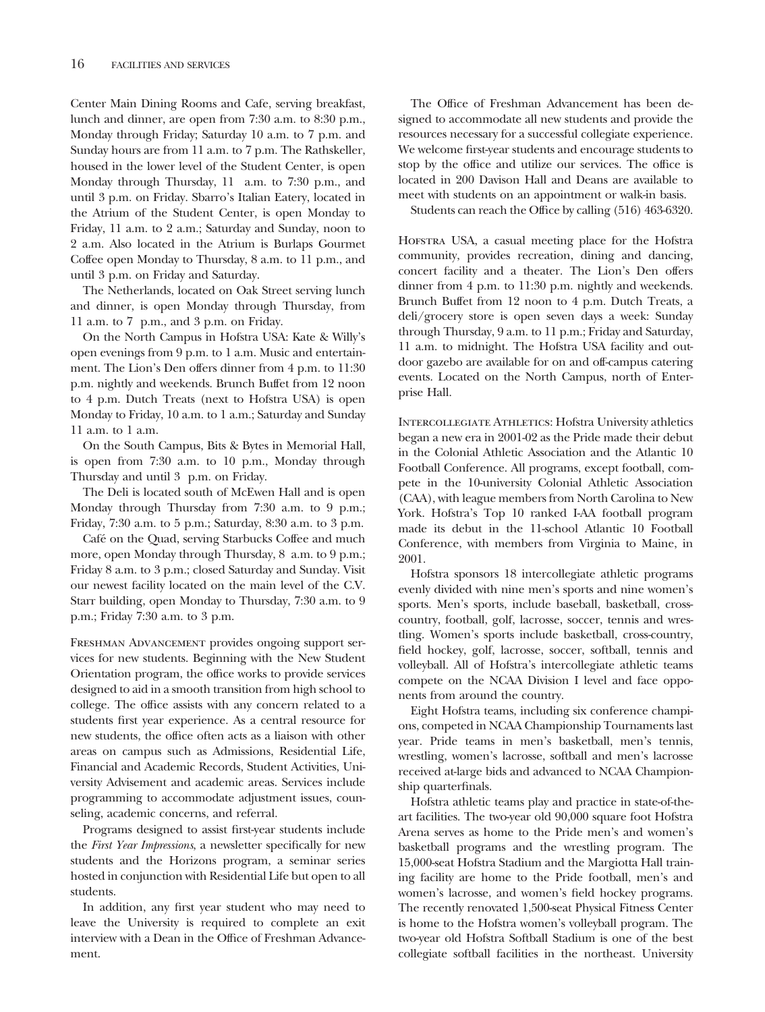Center Main Dining Rooms and Cafe, serving breakfast, lunch and dinner, are open from 7:30 a.m. to 8:30 p.m., Monday through Friday; Saturday 10 a.m. to 7 p.m. and Sunday hours are from 11 a.m. to 7 p.m. The Rathskeller, housed in the lower level of the Student Center, is open Monday through Thursday, 11 a.m. to 7:30 p.m., and until 3 p.m. on Friday. Sbarro's Italian Eatery, located in the Atrium of the Student Center, is open Monday to Friday, 11 a.m. to 2 a.m.; Saturday and Sunday, noon to 2 a.m. Also located in the Atrium is Burlaps Gourmet Coffee open Monday to Thursday, 8 a.m. to 11 p.m., and until 3 p.m. on Friday and Saturday.

The Netherlands, located on Oak Street serving lunch and dinner, is open Monday through Thursday, from 11 a.m. to 7 p.m., and 3 p.m. on Friday.

On the North Campus in Hofstra USA: Kate & Willy's open evenings from 9 p.m. to 1 a.m. Music and entertainment. The Lion's Den offers dinner from 4 p.m. to 11:30 p.m. nightly and weekends. Brunch Buffet from 12 noon to 4 p.m. Dutch Treats (next to Hofstra USA) is open Monday to Friday, 10 a.m. to 1 a.m.; Saturday and Sunday 11 a.m. to 1 a.m.

On the South Campus, Bits & Bytes in Memorial Hall, is open from 7:30 a.m. to 10 p.m., Monday through Thursday and until 3 p.m. on Friday.

The Deli is located south of McEwen Hall and is open Monday through Thursday from 7:30 a.m. to 9 p.m.; Friday, 7:30 a.m. to 5 p.m.; Saturday, 8:30 a.m. to 3 p.m.

Café on the Quad, serving Starbucks Coffee and much more, open Monday through Thursday, 8 a.m. to 9 p.m.; Friday 8 a.m. to 3 p.m.; closed Saturday and Sunday. Visit our newest facility located on the main level of the C.V. Starr building, open Monday to Thursday, 7:30 a.m. to 9 p.m.; Friday 7:30 a.m. to 3 p.m.

Freshman Advancement provides ongoing support services for new students. Beginning with the New Student Orientation program, the office works to provide services designed to aid in a smooth transition from high school to college. The office assists with any concern related to a students first year experience. As a central resource for new students, the office often acts as a liaison with other areas on campus such as Admissions, Residential Life, Financial and Academic Records, Student Activities, University Advisement and academic areas. Services include programming to accommodate adjustment issues, counseling, academic concerns, and referral.

Programs designed to assist first-year students include the *First Year Impressions*, a newsletter specifically for new students and the Horizons program, a seminar series hosted in conjunction with Residential Life but open to all students.

In addition, any first year student who may need to leave the University is required to complete an exit interview with a Dean in the Office of Freshman Advancement.

The Office of Freshman Advancement has been designed to accommodate all new students and provide the resources necessary for a successful collegiate experience. We welcome first-year students and encourage students to stop by the office and utilize our services. The office is located in 200 Davison Hall and Deans are available to meet with students on an appointment or walk-in basis.

Students can reach the Office by calling (516) 463-6320.

Hofstra USA, a casual meeting place for the Hofstra community, provides recreation, dining and dancing, concert facility and a theater. The Lion's Den offers dinner from 4 p.m. to 11:30 p.m. nightly and weekends. Brunch Buffet from 12 noon to 4 p.m. Dutch Treats, a deli/grocery store is open seven days a week: Sunday through Thursday, 9 a.m. to 11 p.m.; Friday and Saturday, 11 a.m. to midnight. The Hofstra USA facility and outdoor gazebo are available for on and off-campus catering events. Located on the North Campus, north of Enterprise Hall.

Intercollegiate Athletics: Hofstra University athletics began a new era in 2001-02 as the Pride made their debut in the Colonial Athletic Association and the Atlantic 10 Football Conference. All programs, except football, compete in the 10-university Colonial Athletic Association (CAA), with league members from North Carolina to New York. Hofstra's Top 10 ranked I-AA football program made its debut in the 11-school Atlantic 10 Football Conference, with members from Virginia to Maine, in 2001.

Hofstra sponsors 18 intercollegiate athletic programs evenly divided with nine men's sports and nine women's sports. Men's sports, include baseball, basketball, crosscountry, football, golf, lacrosse, soccer, tennis and wrestling. Women's sports include basketball, cross-country, field hockey, golf, lacrosse, soccer, softball, tennis and volleyball. All of Hofstra's intercollegiate athletic teams compete on the NCAA Division I level and face opponents from around the country.

Eight Hofstra teams, including six conference champions, competed in NCAA Championship Tournaments last year. Pride teams in men's basketball, men's tennis, wrestling, women's lacrosse, softball and men's lacrosse received at-large bids and advanced to NCAA Championship quarterfinals.

Hofstra athletic teams play and practice in state-of-theart facilities. The two-year old 90,000 square foot Hofstra Arena serves as home to the Pride men's and women's basketball programs and the wrestling program. The 15,000-seat Hofstra Stadium and the Margiotta Hall training facility are home to the Pride football, men's and women's lacrosse, and women's field hockey programs. The recently renovated 1,500-seat Physical Fitness Center is home to the Hofstra women's volleyball program. The two-year old Hofstra Softball Stadium is one of the best collegiate softball facilities in the northeast. University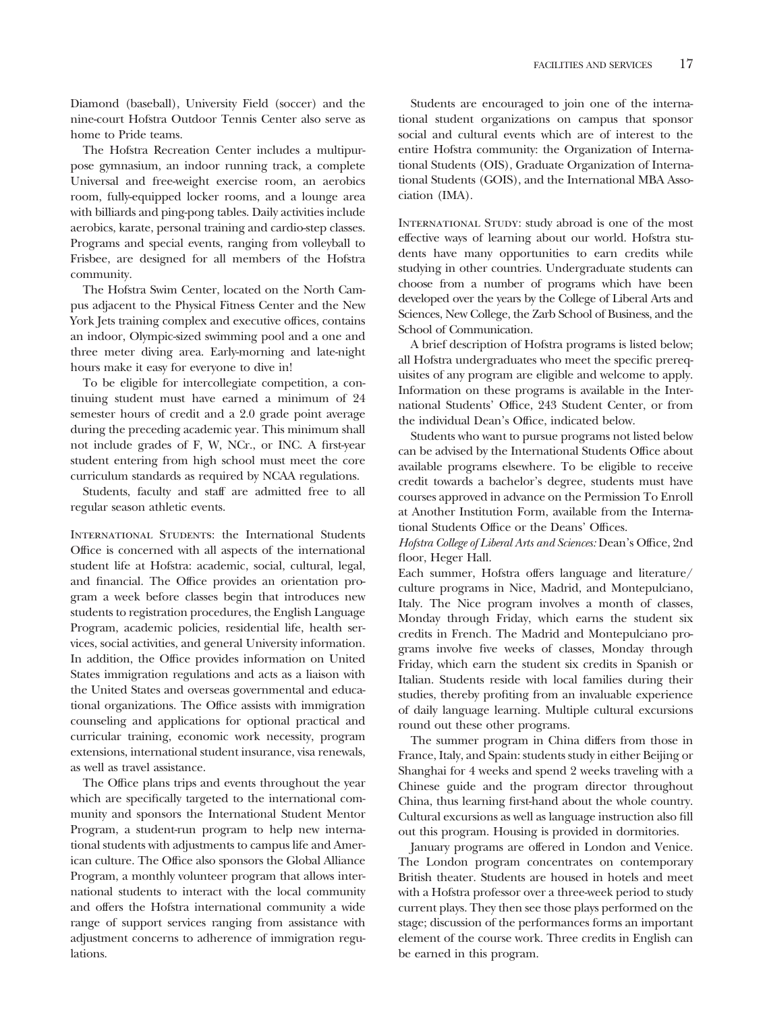Diamond (baseball), University Field (soccer) and the nine-court Hofstra Outdoor Tennis Center also serve as home to Pride teams.

The Hofstra Recreation Center includes a multipurpose gymnasium, an indoor running track, a complete Universal and free-weight exercise room, an aerobics room, fully-equipped locker rooms, and a lounge area with billiards and ping-pong tables. Daily activities include aerobics, karate, personal training and cardio-step classes. Programs and special events, ranging from volleyball to Frisbee, are designed for all members of the Hofstra community.

The Hofstra Swim Center, located on the North Campus adjacent to the Physical Fitness Center and the New York Jets training complex and executive offices, contains an indoor, Olympic-sized swimming pool and a one and three meter diving area. Early-morning and late-night hours make it easy for everyone to dive in!

To be eligible for intercollegiate competition, a continuing student must have earned a minimum of 24 semester hours of credit and a 2.0 grade point average during the preceding academic year. This minimum shall not include grades of F, W, NCr., or INC. A first-year student entering from high school must meet the core curriculum standards as required by NCAA regulations.

Students, faculty and staff are admitted free to all regular season athletic events.

International Students: the International Students Office is concerned with all aspects of the international student life at Hofstra: academic, social, cultural, legal, and financial. The Office provides an orientation program a week before classes begin that introduces new students to registration procedures, the English Language Program, academic policies, residential life, health services, social activities, and general University information. In addition, the Office provides information on United States immigration regulations and acts as a liaison with the United States and overseas governmental and educational organizations. The Office assists with immigration counseling and applications for optional practical and curricular training, economic work necessity, program extensions, international student insurance, visa renewals, as well as travel assistance.

The Office plans trips and events throughout the year which are specifically targeted to the international community and sponsors the International Student Mentor Program, a student-run program to help new international students with adjustments to campus life and American culture. The Office also sponsors the Global Alliance Program, a monthly volunteer program that allows international students to interact with the local community and offers the Hofstra international community a wide range of support services ranging from assistance with adjustment concerns to adherence of immigration regulations.

Students are encouraged to join one of the international student organizations on campus that sponsor social and cultural events which are of interest to the entire Hofstra community: the Organization of International Students (OIS), Graduate Organization of International Students (GOIS), and the International MBA Association (IMA).

INTERNATIONAL STUDY: study abroad is one of the most effective ways of learning about our world. Hofstra students have many opportunities to earn credits while studying in other countries. Undergraduate students can choose from a number of programs which have been developed over the years by the College of Liberal Arts and Sciences, New College, the Zarb School of Business, and the School of Communication.

A brief description of Hofstra programs is listed below; all Hofstra undergraduates who meet the specific prerequisites of any program are eligible and welcome to apply. Information on these programs is available in the International Students' Office, 243 Student Center, or from the individual Dean's Office, indicated below.

Students who want to pursue programs not listed below can be advised by the International Students Office about available programs elsewhere. To be eligible to receive credit towards a bachelor's degree, students must have courses approved in advance on the Permission To Enroll at Another Institution Form, available from the International Students Office or the Deans' Offices.

*Hofstra College of Liberal Arts and Sciences:* Dean's Office, 2nd floor, Heger Hall.

Each summer, Hofstra offers language and literature/ culture programs in Nice, Madrid, and Montepulciano, Italy. The Nice program involves a month of classes, Monday through Friday, which earns the student six credits in French. The Madrid and Montepulciano programs involve five weeks of classes, Monday through Friday, which earn the student six credits in Spanish or Italian. Students reside with local families during their studies, thereby profiting from an invaluable experience of daily language learning. Multiple cultural excursions round out these other programs.

The summer program in China differs from those in France, Italy, and Spain: students study in either Beijing or Shanghai for 4 weeks and spend 2 weeks traveling with a Chinese guide and the program director throughout China, thus learning first-hand about the whole country. Cultural excursions as well as language instruction also fill out this program. Housing is provided in dormitories.

January programs are offered in London and Venice. The London program concentrates on contemporary British theater. Students are housed in hotels and meet with a Hofstra professor over a three-week period to study current plays. They then see those plays performed on the stage; discussion of the performances forms an important element of the course work. Three credits in English can be earned in this program.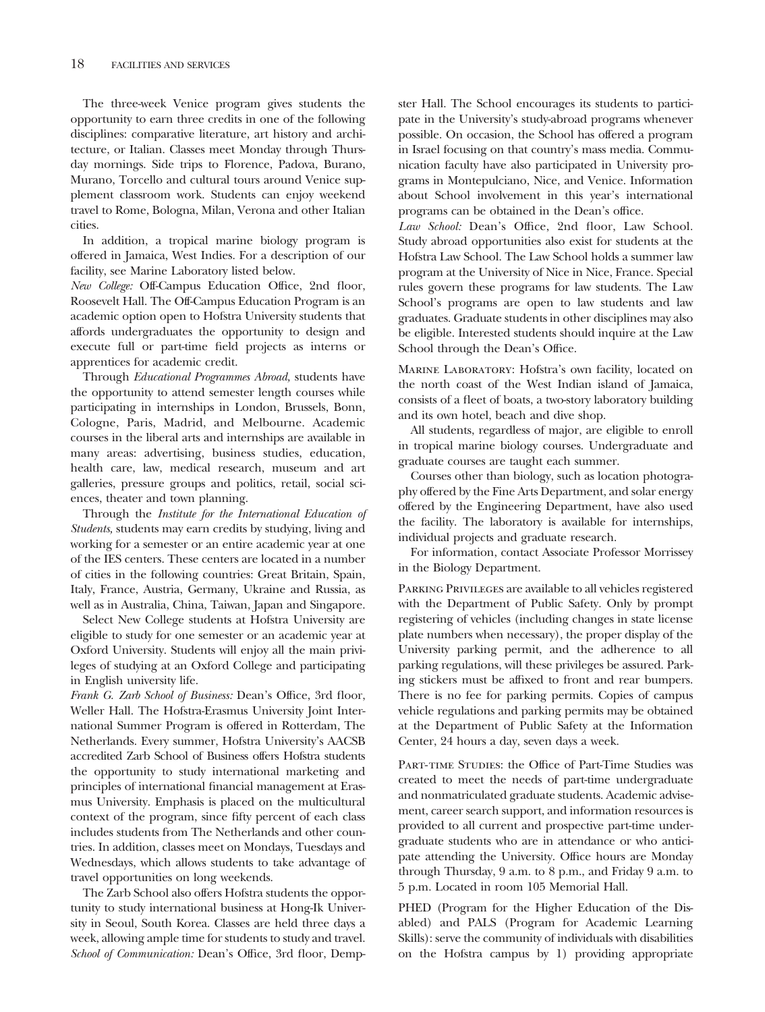The three-week Venice program gives students the opportunity to earn three credits in one of the following disciplines: comparative literature, art history and architecture, or Italian. Classes meet Monday through Thursday mornings. Side trips to Florence, Padova, Burano, Murano, Torcello and cultural tours around Venice supplement classroom work. Students can enjoy weekend travel to Rome, Bologna, Milan, Verona and other Italian cities.

In addition, a tropical marine biology program is offered in Jamaica, West Indies. For a description of our facility, see Marine Laboratory listed below.

*New College:* Off-Campus Education Office, 2nd floor, Roosevelt Hall. The Off-Campus Education Program is an academic option open to Hofstra University students that affords undergraduates the opportunity to design and execute full or part-time field projects as interns or apprentices for academic credit.

Through *Educational Programmes Abroad,* students have the opportunity to attend semester length courses while participating in internships in London, Brussels, Bonn, Cologne, Paris, Madrid, and Melbourne. Academic courses in the liberal arts and internships are available in many areas: advertising, business studies, education, health care, law, medical research, museum and art galleries, pressure groups and politics, retail, social sciences, theater and town planning.

Through the *Institute for the International Education of Students,* students may earn credits by studying, living and working for a semester or an entire academic year at one of the IES centers. These centers are located in a number of cities in the following countries: Great Britain, Spain, Italy, France, Austria, Germany, Ukraine and Russia, as well as in Australia, China, Taiwan, Japan and Singapore.

Select New College students at Hofstra University are eligible to study for one semester or an academic year at Oxford University. Students will enjoy all the main privileges of studying at an Oxford College and participating in English university life.

*Frank G. Zarb School of Business:* Dean's Office, 3rd floor, Weller Hall. The Hofstra-Erasmus University Joint International Summer Program is offered in Rotterdam, The Netherlands. Every summer, Hofstra University's AACSB accredited Zarb School of Business offers Hofstra students the opportunity to study international marketing and principles of international financial management at Erasmus University. Emphasis is placed on the multicultural context of the program, since fifty percent of each class includes students from The Netherlands and other countries. In addition, classes meet on Mondays, Tuesdays and Wednesdays, which allows students to take advantage of travel opportunities on long weekends.

The Zarb School also offers Hofstra students the opportunity to study international business at Hong-Ik University in Seoul, South Korea. Classes are held three days a week, allowing ample time for students to study and travel. *School of Communication:* Dean's Office, 3rd floor, Dempster Hall. The School encourages its students to participate in the University's study-abroad programs whenever possible. On occasion, the School has offered a program in Israel focusing on that country's mass media. Communication faculty have also participated in University programs in Montepulciano, Nice, and Venice. Information about School involvement in this year's international programs can be obtained in the Dean's office.

*Law School:* Dean's Office, 2nd floor, Law School. Study abroad opportunities also exist for students at the Hofstra Law School. The Law School holds a summer law program at the University of Nice in Nice, France. Special rules govern these programs for law students. The Law School's programs are open to law students and law graduates. Graduate students in other disciplines may also be eligible. Interested students should inquire at the Law School through the Dean's Office.

Marine Laboratory: Hofstra's own facility, located on the north coast of the West Indian island of Jamaica, consists of a fleet of boats, a two-story laboratory building and its own hotel, beach and dive shop.

All students, regardless of major, are eligible to enroll in tropical marine biology courses. Undergraduate and graduate courses are taught each summer.

Courses other than biology, such as location photography offered by the Fine Arts Department, and solar energy offered by the Engineering Department, have also used the facility. The laboratory is available for internships, individual projects and graduate research.

For information, contact Associate Professor Morrissey in the Biology Department.

Parking Privileges are available to all vehicles registered with the Department of Public Safety. Only by prompt registering of vehicles (including changes in state license plate numbers when necessary), the proper display of the University parking permit, and the adherence to all parking regulations, will these privileges be assured. Parking stickers must be affixed to front and rear bumpers. There is no fee for parking permits. Copies of campus vehicle regulations and parking permits may be obtained at the Department of Public Safety at the Information Center, 24 hours a day, seven days a week.

Part-time Studies: the Office of Part-Time Studies was created to meet the needs of part-time undergraduate and nonmatriculated graduate students. Academic advisement, career search support, and information resources is provided to all current and prospective part-time undergraduate students who are in attendance or who anticipate attending the University. Office hours are Monday through Thursday, 9 a.m. to 8 p.m., and Friday 9 a.m. to 5 p.m. Located in room 105 Memorial Hall.

PHED (Program for the Higher Education of the Disabled) and PALS (Program for Academic Learning Skills): serve the community of individuals with disabilities on the Hofstra campus by 1) providing appropriate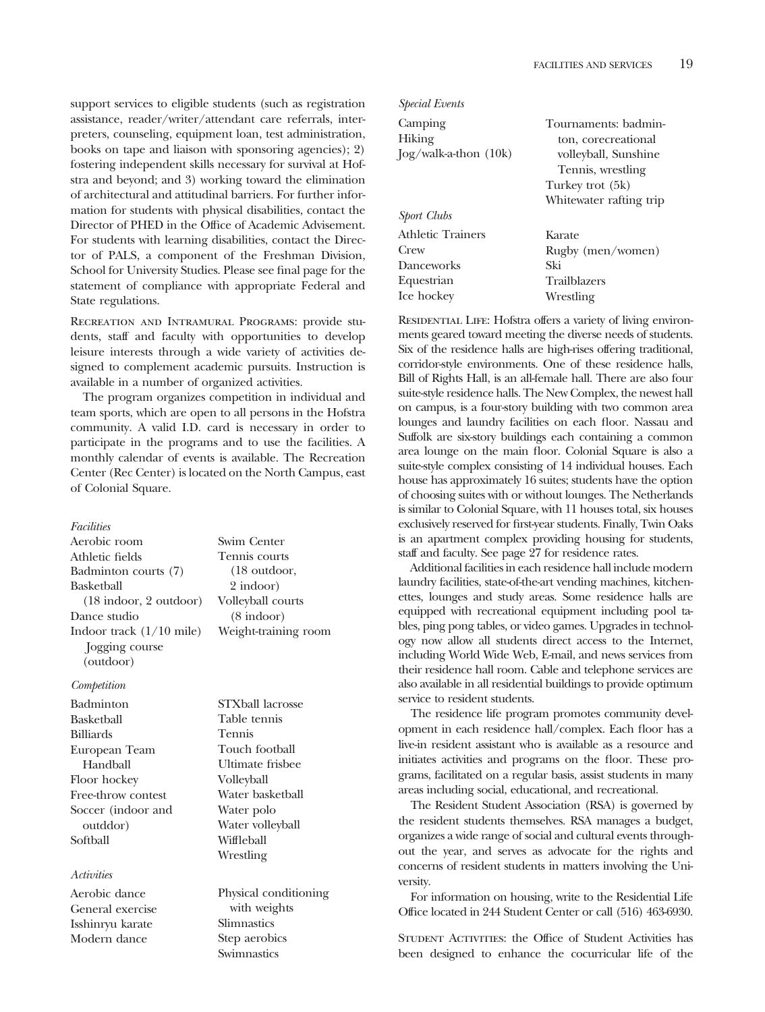support services to eligible students (such as registration assistance, reader/writer/attendant care referrals, interpreters, counseling, equipment loan, test administration, books on tape and liaison with sponsoring agencies); 2) fostering independent skills necessary for survival at Hofstra and beyond; and 3) working toward the elimination of architectural and attitudinal barriers. For further information for students with physical disabilities, contact the Director of PHED in the Office of Academic Advisement. For students with learning disabilities, contact the Director of PALS, a component of the Freshman Division, School for University Studies. Please see final page for the statement of compliance with appropriate Federal and State regulations.

Recreation and Intramural Programs: provide students, staff and faculty with opportunities to develop leisure interests through a wide variety of activities designed to complement academic pursuits. Instruction is available in a number of organized activities.

The program organizes competition in individual and team sports, which are open to all persons in the Hofstra community. A valid I.D. card is necessary in order to participate in the programs and to use the facilities. A monthly calendar of events is available. The Recreation Center (Rec Center) is located on the North Campus, east of Colonial Square.

#### *Facilities*

| Aerobic room                             | Swim Center          |
|------------------------------------------|----------------------|
| Athletic fields                          | Tennis court         |
| Badminton courts (7)                     | $(18 \text{ outdo})$ |
| Basketball                               | 2 indoor)            |
| $(18 \text{ indoor}, 2 \text{ outdoor})$ | Volleyball co        |
| Dance studio                             | $(8 \text{ indoor})$ |
| Indoor track $(1/10 \text{ mile})$       | Weight-traini        |
| Jogging course                           |                      |
| (outdoor)                                |                      |
|                                          |                      |

#### *Competition*

Badminton Basketball Billiards European Team Handball Floor hockey Free-throw contest Soccer (indoor and outddor) Softball

#### *Activities*

Aerobic dance General exercise Isshinryu karate Modern dance

enter courts utdoor, oor) all courts training room

STXball lacrosse Table tennis Tennis Touch football Ultimate frisbee Volleyball Water basketball Water polo Water volleyball Wiffleball Wrestling

Physical conditioning with weights Slimnastics Step aerobics **Swimnastics** 

| <i>Special Events</i>     |                         |
|---------------------------|-------------------------|
| Camping                   | Tournaments: badmin-    |
| Hiking                    | ton, corecreational     |
| $\log$ /walk-a-thon (10k) | volleyball, Sunshine    |
|                           | Tennis, wrestling       |
|                           | Turkey trot (5k)        |
|                           | Whitewater rafting trip |
| Sport Clubs               |                         |
| Athletic Trainers         | Karate                  |
| Crew                      | Rugby (men/women)       |
| <b>Danceworks</b>         | Ski                     |
| Equestrian                | <b>Trailblazers</b>     |
| Ice hockey                | Wrestling               |
|                           |                         |

RESIDENTIAL LIFE: Hofstra offers a variety of living environments geared toward meeting the diverse needs of students. Six of the residence halls are high-rises offering traditional, corridor-style environments. One of these residence halls, Bill of Rights Hall, is an all-female hall. There are also four suite-style residence halls. The New Complex, the newest hall on campus, is a four-story building with two common area lounges and laundry facilities on each floor. Nassau and Suffolk are six-story buildings each containing a common area lounge on the main floor. Colonial Square is also a suite-style complex consisting of 14 individual houses. Each house has approximately 16 suites; students have the option of choosing suites with or without lounges. The Netherlands is similar to Colonial Square, with 11 houses total, six houses exclusively reserved for first-year students. Finally, Twin Oaks is an apartment complex providing housing for students, staff and faculty. See page 27 for residence rates.

Additional facilities in each residence hall include modern laundry facilities, state-of-the-art vending machines, kitchenettes, lounges and study areas. Some residence halls are equipped with recreational equipment including pool tables, ping pong tables, or video games. Upgrades in technology now allow all students direct access to the Internet, including World Wide Web, E-mail, and news services from their residence hall room. Cable and telephone services are also available in all residential buildings to provide optimum service to resident students.

The residence life program promotes community development in each residence hall/complex. Each floor has a live-in resident assistant who is available as a resource and initiates activities and programs on the floor. These programs, facilitated on a regular basis, assist students in many areas including social, educational, and recreational.

The Resident Student Association (RSA) is governed by the resident students themselves. RSA manages a budget, organizes a wide range of social and cultural events throughout the year, and serves as advocate for the rights and concerns of resident students in matters involving the University.

For information on housing, write to the Residential Life Office located in 244 Student Center or call (516) 463-6930.

Student Activities: the Office of Student Activities has been designed to enhance the cocurricular life of the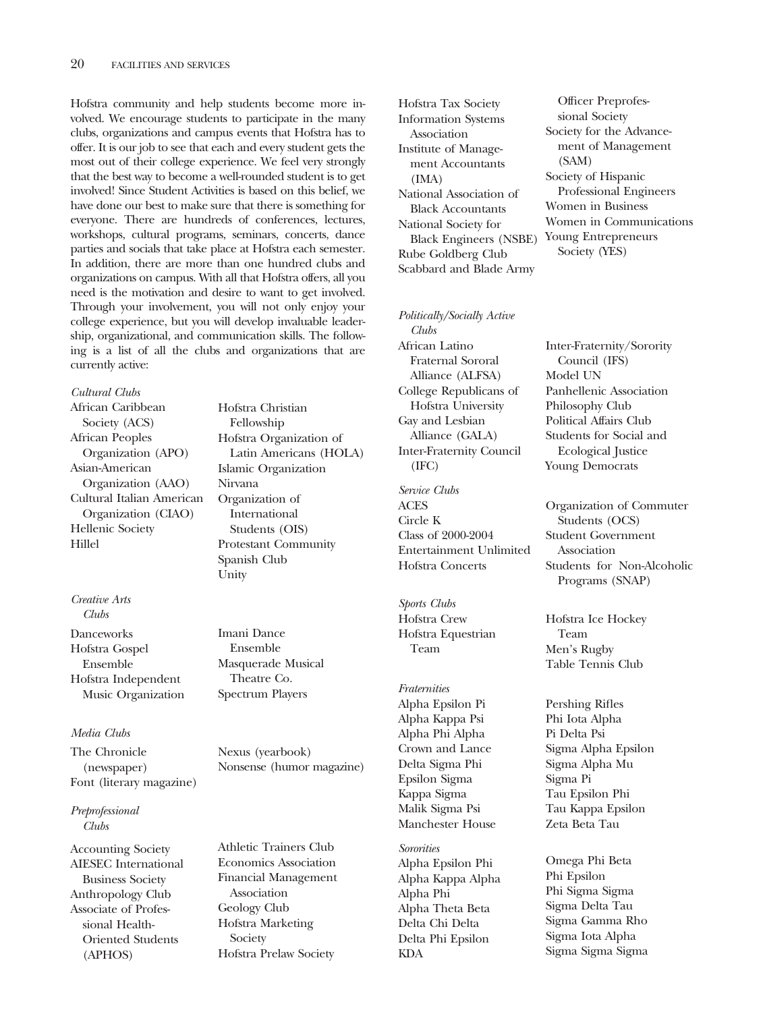Hofstra community and help students become more involved. We encourage students to participate in the many clubs, organizations and campus events that Hofstra has to offer. It is our job to see that each and every student gets the most out of their college experience. We feel very strongly that the best way to become a well-rounded student is to get involved! Since Student Activities is based on this belief, we have done our best to make sure that there is something for everyone. There are hundreds of conferences, lectures, workshops, cultural programs, seminars, concerts, dance parties and socials that take place at Hofstra each semester. In addition, there are more than one hundred clubs and organizations on campus. With all that Hofstra offers, all you need is the motivation and desire to want to get involved. Through your involvement, you will not only enjoy your college experience, but you will develop invaluable leadership, organizational, and communication skills. The following is a list of all the clubs and organizations that are currently active:

### *Cultural Clubs*

African Caribbean Society (ACS) African Peoples Organization (APO) Asian-American Organization (AAO) Cultural Italian American Organization (CIAO) Hellenic Society Hillel

#### *Creative Arts Clubs*

Danceworks Hofstra Gospel Ensemble Hofstra Independent Music Organization

#### *Media Clubs*

The Chronicle (newspaper) Font (literary magazine)

*Preprofessional Clubs*

Accounting Society AIESEC International Business Society Anthropology Club Associate of Professional Health-Oriented Students (APHOS)

Hofstra Christian Fellowship Hofstra Organization of Latin Americans (HOLA) Islamic Organization Nirvana Organization of International Students (OIS) Protestant Community Spanish Club Unity

Imani Dance Ensemble Masquerade Musical Theatre Co. Spectrum Players

Nexus (yearbook) Nonsense (humor magazine)

Athletic Trainers Club Economics Association Financial Management Association Geology Club Hofstra Marketing Society Hofstra Prelaw Society

Hofstra Tax Society Information Systems Association Institute of Management Accountants (IMA) National Association of Black Accountants National Society for Black Engineers (NSBE) Young Entrepreneurs Rube Goldberg Club Scabbard and Blade Army

*Politically/Socially Active Clubs* African Latino Fraternal Sororal Alliance (ALFSA)

College Republicans of Hofstra University Gay and Lesbian Alliance (GALA) Inter-Fraternity Council (IFC)

*Service Clubs* ACES Circle K Class of 2000-2004 Entertainment Unlimited Hofstra Concerts

*Sports Clubs* Hofstra Crew Hofstra Equestrian Team

*Fraternities* Alpha Epsilon Pi Alpha Kappa Psi Alpha Phi Alpha Crown and Lance Delta Sigma Phi Epsilon Sigma Kappa Sigma Malik Sigma Psi Manchester House

*Sororities* Alpha Epsilon Phi Alpha Kappa Alpha Alpha Phi Alpha Theta Beta Delta Chi Delta Delta Phi Epsilon KDA

Officer Preprofessional Society Society for the Advancement of Management (SAM) Society of Hispanic Professional Engineers Women in Business Women in Communications Society (YES)

Inter-Fraternity/Sorority Council (IFS) Model UN Panhellenic Association Philosophy Club Political Affairs Club Students for Social and Ecological Justice Young Democrats

Organization of Commuter Students (OCS) Student Government Association Students for Non-Alcoholic Programs (SNAP)

Hofstra Ice Hockey Team Men's Rugby Table Tennis Club

Pershing Rifles Phi Iota Alpha Pi Delta Psi Sigma Alpha Epsilon Sigma Alpha Mu Sigma Pi Tau Epsilon Phi Tau Kappa Epsilon Zeta Beta Tau

Omega Phi Beta Phi Epsilon Phi Sigma Sigma Sigma Delta Tau Sigma Gamma Rho Sigma Iota Alpha Sigma Sigma Sigma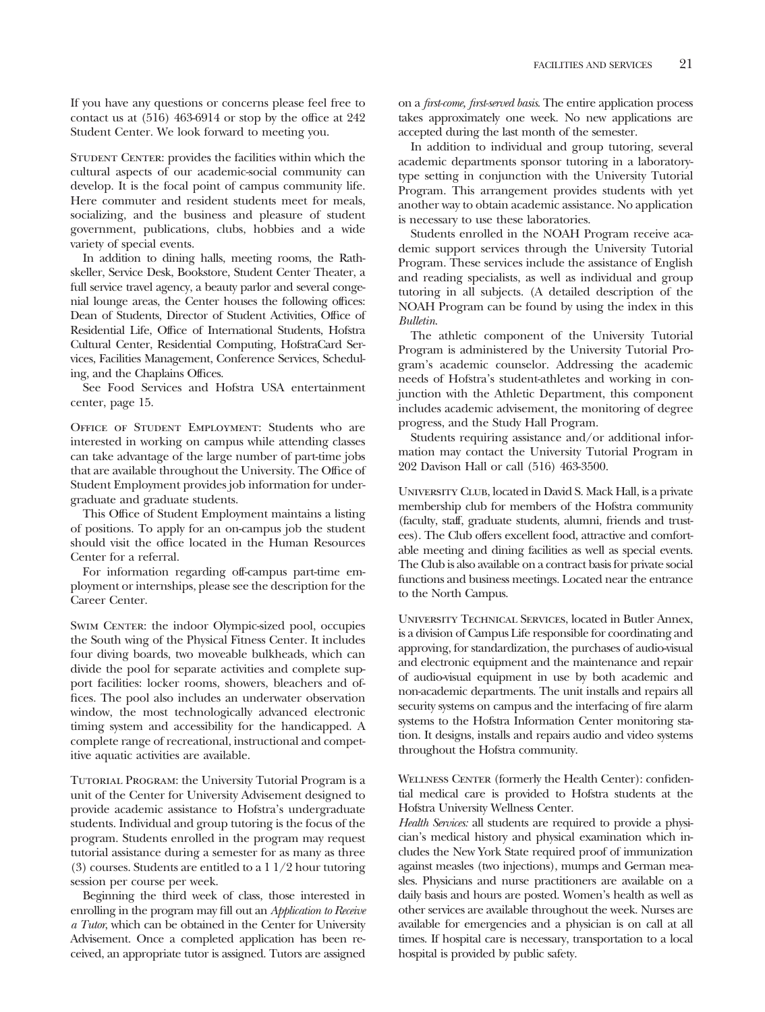If you have any questions or concerns please feel free to contact us at (516) 463-6914 or stop by the office at 242 Student Center. We look forward to meeting you.

STUDENT CENTER: provides the facilities within which the cultural aspects of our academic-social community can develop. It is the focal point of campus community life. Here commuter and resident students meet for meals, socializing, and the business and pleasure of student government, publications, clubs, hobbies and a wide variety of special events.

In addition to dining halls, meeting rooms, the Rathskeller, Service Desk, Bookstore, Student Center Theater, a full service travel agency, a beauty parlor and several congenial lounge areas, the Center houses the following offices: Dean of Students, Director of Student Activities, Office of Residential Life, Office of International Students, Hofstra Cultural Center, Residential Computing, HofstraCard Services, Facilities Management, Conference Services, Scheduling, and the Chaplains Offices.

See Food Services and Hofstra USA entertainment center, page 15.

Office of Student Employment: Students who are interested in working on campus while attending classes can take advantage of the large number of part-time jobs that are available throughout the University. The Office of Student Employment provides job information for undergraduate and graduate students.

This Office of Student Employment maintains a listing of positions. To apply for an on-campus job the student should visit the office located in the Human Resources Center for a referral.

For information regarding off-campus part-time employment or internships, please see the description for the Career Center.

SWIM CENTER: the indoor Olympic-sized pool, occupies the South wing of the Physical Fitness Center. It includes four diving boards, two moveable bulkheads, which can divide the pool for separate activities and complete support facilities: locker rooms, showers, bleachers and offices. The pool also includes an underwater observation window, the most technologically advanced electronic timing system and accessibility for the handicapped. A complete range of recreational, instructional and competitive aquatic activities are available.

Tutorial Program: the University Tutorial Program is a unit of the Center for University Advisement designed to provide academic assistance to Hofstra's undergraduate students. Individual and group tutoring is the focus of the program. Students enrolled in the program may request tutorial assistance during a semester for as many as three (3) courses. Students are entitled to a 1 1/2 hour tutoring session per course per week.

Beginning the third week of class, those interested in enrolling in the program may fill out an *Application to Receive a Tutor*, which can be obtained in the Center for University Advisement. Once a completed application has been received, an appropriate tutor is assigned. Tutors are assigned

on a *first-come, first-served basis*. The entire application process takes approximately one week. No new applications are accepted during the last month of the semester.

In addition to individual and group tutoring, several academic departments sponsor tutoring in a laboratorytype setting in conjunction with the University Tutorial Program. This arrangement provides students with yet another way to obtain academic assistance. No application is necessary to use these laboratories.

Students enrolled in the NOAH Program receive academic support services through the University Tutorial Program. These services include the assistance of English and reading specialists, as well as individual and group tutoring in all subjects. (A detailed description of the NOAH Program can be found by using the index in this *Bulletin*.

The athletic component of the University Tutorial Program is administered by the University Tutorial Program's academic counselor. Addressing the academic needs of Hofstra's student-athletes and working in conjunction with the Athletic Department, this component includes academic advisement, the monitoring of degree progress, and the Study Hall Program.

Students requiring assistance and/or additional information may contact the University Tutorial Program in 202 Davison Hall or call (516) 463-3500.

University Club, located in David S. Mack Hall, is a private membership club for members of the Hofstra community (faculty, staff, graduate students, alumni, friends and trustees). The Club offers excellent food, attractive and comfortable meeting and dining facilities as well as special events. The Club is also available on a contract basis for private social functions and business meetings. Located near the entrance to the North Campus.

University Technical Services, located in Butler Annex, is a division of Campus Life responsible for coordinating and approving, for standardization, the purchases of audio-visual and electronic equipment and the maintenance and repair of audio-visual equipment in use by both academic and non-academic departments. The unit installs and repairs all security systems on campus and the interfacing of fire alarm systems to the Hofstra Information Center monitoring station. It designs, installs and repairs audio and video systems throughout the Hofstra community.

WELLNESS CENTER (formerly the Health Center): confidential medical care is provided to Hofstra students at the Hofstra University Wellness Center.

*Health Services:* all students are required to provide a physician's medical history and physical examination which includes the New York State required proof of immunization against measles (two injections), mumps and German measles. Physicians and nurse practitioners are available on a daily basis and hours are posted. Women's health as well as other services are available throughout the week. Nurses are available for emergencies and a physician is on call at all times. If hospital care is necessary, transportation to a local hospital is provided by public safety.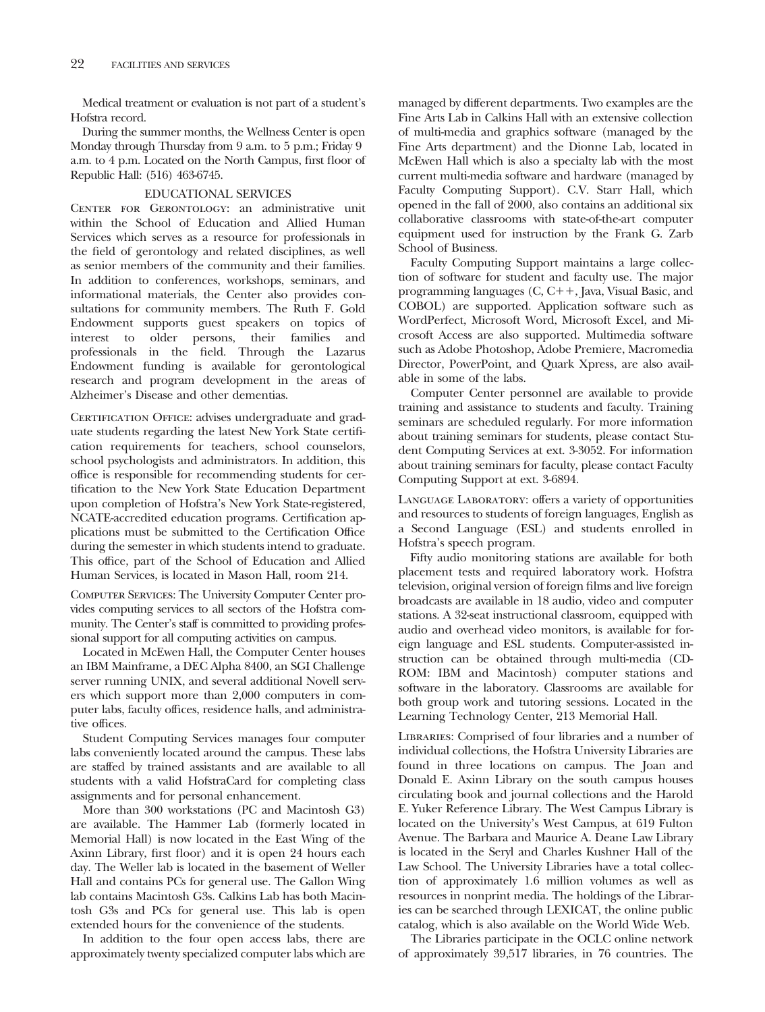Medical treatment or evaluation is not part of a student's Hofstra record.

During the summer months, the Wellness Center is open Monday through Thursday from 9 a.m. to 5 p.m.; Friday 9 a.m. to 4 p.m. Located on the North Campus, first floor of Republic Hall: (516) 463-6745.

### EDUCATIONAL SERVICES

CENTER FOR GERONTOLOGY: an administrative unit within the School of Education and Allied Human Services which serves as a resource for professionals in the field of gerontology and related disciplines, as well as senior members of the community and their families. In addition to conferences, workshops, seminars, and informational materials, the Center also provides consultations for community members. The Ruth F. Gold Endowment supports guest speakers on topics of interest to older persons, their families and professionals in the field. Through the Lazarus Endowment funding is available for gerontological research and program development in the areas of Alzheimer's Disease and other dementias.

CERTIFICATION OFFICE: advises undergraduate and graduate students regarding the latest New York State certification requirements for teachers, school counselors, school psychologists and administrators. In addition, this office is responsible for recommending students for certification to the New York State Education Department upon completion of Hofstra's New York State-registered, NCATE-accredited education programs. Certification applications must be submitted to the Certification Office during the semester in which students intend to graduate. This office, part of the School of Education and Allied Human Services, is located in Mason Hall, room 214.

Computer Services: The University Computer Center provides computing services to all sectors of the Hofstra community. The Center's staff is committed to providing professional support for all computing activities on campus.

Located in McEwen Hall, the Computer Center houses an IBM Mainframe, a DEC Alpha 8400, an SGI Challenge server running UNIX, and several additional Novell servers which support more than 2,000 computers in computer labs, faculty offices, residence halls, and administrative offices.

Student Computing Services manages four computer labs conveniently located around the campus. These labs are staffed by trained assistants and are available to all students with a valid HofstraCard for completing class assignments and for personal enhancement.

More than 300 workstations (PC and Macintosh G3) are available. The Hammer Lab (formerly located in Memorial Hall) is now located in the East Wing of the Axinn Library, first floor) and it is open 24 hours each day. The Weller lab is located in the basement of Weller Hall and contains PCs for general use. The Gallon Wing lab contains Macintosh G3s. Calkins Lab has both Macintosh G3s and PCs for general use. This lab is open extended hours for the convenience of the students.

In addition to the four open access labs, there are approximately twenty specialized computer labs which are managed by different departments. Two examples are the Fine Arts Lab in Calkins Hall with an extensive collection of multi-media and graphics software (managed by the Fine Arts department) and the Dionne Lab, located in McEwen Hall which is also a specialty lab with the most current multi-media software and hardware (managed by Faculty Computing Support). C.V. Starr Hall, which opened in the fall of 2000, also contains an additional six collaborative classrooms with state-of-the-art computer equipment used for instruction by the Frank G. Zarb School of Business.

Faculty Computing Support maintains a large collection of software for student and faculty use. The major programming languages  $(C, C++, Java, Visual Basic, and$ COBOL) are supported. Application software such as WordPerfect, Microsoft Word, Microsoft Excel, and Microsoft Access are also supported. Multimedia software such as Adobe Photoshop, Adobe Premiere, Macromedia Director, PowerPoint, and Quark Xpress, are also available in some of the labs.

Computer Center personnel are available to provide training and assistance to students and faculty. Training seminars are scheduled regularly. For more information about training seminars for students, please contact Student Computing Services at ext. 3-3052. For information about training seminars for faculty, please contact Faculty Computing Support at ext. 3-6894.

LANGUAGE LABORATORY: offers a variety of opportunities and resources to students of foreign languages, English as a Second Language (ESL) and students enrolled in Hofstra's speech program.

Fifty audio monitoring stations are available for both placement tests and required laboratory work. Hofstra television, original version of foreign films and live foreign broadcasts are available in 18 audio, video and computer stations. A 32-seat instructional classroom, equipped with audio and overhead video monitors, is available for foreign language and ESL students. Computer-assisted instruction can be obtained through multi-media (CD-ROM: IBM and Macintosh) computer stations and software in the laboratory. Classrooms are available for both group work and tutoring sessions. Located in the Learning Technology Center, 213 Memorial Hall.

Libraries: Comprised of four libraries and a number of individual collections, the Hofstra University Libraries are found in three locations on campus. The Joan and Donald E. Axinn Library on the south campus houses circulating book and journal collections and the Harold E. Yuker Reference Library. The West Campus Library is located on the University's West Campus, at 619 Fulton Avenue. The Barbara and Maurice A. Deane Law Library is located in the Seryl and Charles Kushner Hall of the Law School. The University Libraries have a total collection of approximately 1.6 million volumes as well as resources in nonprint media. The holdings of the Libraries can be searched through LEXICAT, the online public catalog, which is also available on the World Wide Web.

The Libraries participate in the OCLC online network of approximately 39,517 libraries, in 76 countries. The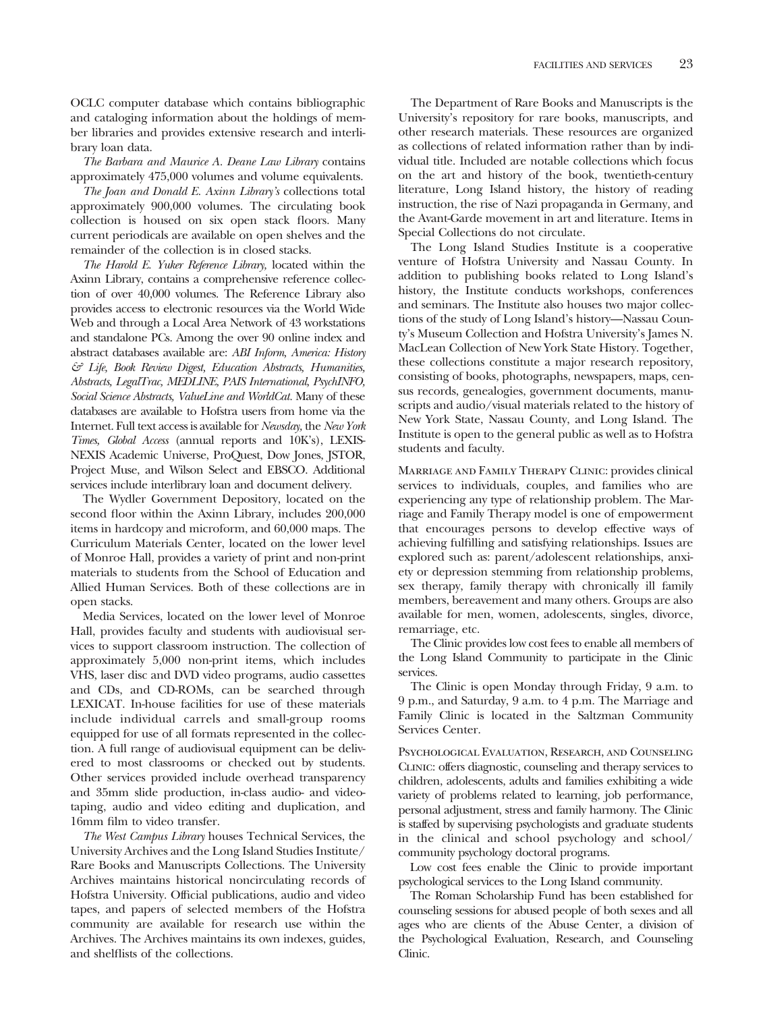OCLC computer database which contains bibliographic and cataloging information about the holdings of member libraries and provides extensive research and interlibrary loan data.

*The Barbara and Maurice A. Deane Law Library* contains approximately 475,000 volumes and volume equivalents.

*The Joan and Donald E. Axinn Library's* collections total approximately 900,000 volumes. The circulating book collection is housed on six open stack floors. Many current periodicals are available on open shelves and the remainder of the collection is in closed stacks.

*The Harold E. Yuker Reference Library,* located within the Axinn Library, contains a comprehensive reference collection of over 40,000 volumes. The Reference Library also provides access to electronic resources via the World Wide Web and through a Local Area Network of 43 workstations and standalone PCs. Among the over 90 online index and abstract databases available are: *ABI Inform, America: History & Life, Book Review Digest, Education Abstracts, Humanities, Abstracts, LegalTrac, MEDLINE, PAIS International, PsychINFO, Social Science Abstracts, ValueLine and WorldCat.* Many of these databases are available to Hofstra users from home via the Internet. Full text access is available for *Newsday,* the *New York Times, Global Access* (annual reports and 10K's), LEXIS-NEXIS Academic Universe, ProQuest, Dow Jones, JSTOR, Project Muse, and Wilson Select and EBSCO. Additional services include interlibrary loan and document delivery.

The Wydler Government Depository, located on the second floor within the Axinn Library, includes 200,000 items in hardcopy and microform, and 60,000 maps. The Curriculum Materials Center, located on the lower level of Monroe Hall, provides a variety of print and non-print materials to students from the School of Education and Allied Human Services. Both of these collections are in open stacks.

Media Services, located on the lower level of Monroe Hall, provides faculty and students with audiovisual services to support classroom instruction. The collection of approximately 5,000 non-print items, which includes VHS, laser disc and DVD video programs, audio cassettes and CDs, and CD-ROMs, can be searched through LEXICAT. In-house facilities for use of these materials include individual carrels and small-group rooms equipped for use of all formats represented in the collection. A full range of audiovisual equipment can be delivered to most classrooms or checked out by students. Other services provided include overhead transparency and 35mm slide production, in-class audio- and videotaping, audio and video editing and duplication, and 16mm film to video transfer.

*The West Campus Library* houses Technical Services, the University Archives and the Long Island Studies Institute/ Rare Books and Manuscripts Collections. The University Archives maintains historical noncirculating records of Hofstra University. Official publications, audio and video tapes, and papers of selected members of the Hofstra community are available for research use within the Archives. The Archives maintains its own indexes, guides, and shelflists of the collections.

The Department of Rare Books and Manuscripts is the University's repository for rare books, manuscripts, and other research materials. These resources are organized as collections of related information rather than by individual title. Included are notable collections which focus on the art and history of the book, twentieth-century literature, Long Island history, the history of reading instruction, the rise of Nazi propaganda in Germany, and the Avant-Garde movement in art and literature. Items in Special Collections do not circulate.

The Long Island Studies Institute is a cooperative venture of Hofstra University and Nassau County. In addition to publishing books related to Long Island's history, the Institute conducts workshops, conferences and seminars. The Institute also houses two major collections of the study of Long Island's history—Nassau County's Museum Collection and Hofstra University's James N. MacLean Collection of New York State History. Together, these collections constitute a major research repository, consisting of books, photographs, newspapers, maps, census records, genealogies, government documents, manuscripts and audio/visual materials related to the history of New York State, Nassau County, and Long Island. The Institute is open to the general public as well as to Hofstra students and faculty.

Marriage and Family Therapy Clinic: provides clinical services to individuals, couples, and families who are experiencing any type of relationship problem. The Marriage and Family Therapy model is one of empowerment that encourages persons to develop effective ways of achieving fulfilling and satisfying relationships. Issues are explored such as: parent/adolescent relationships, anxiety or depression stemming from relationship problems, sex therapy, family therapy with chronically ill family members, bereavement and many others. Groups are also available for men, women, adolescents, singles, divorce, remarriage, etc.

The Clinic provides low cost fees to enable all members of the Long Island Community to participate in the Clinic services.

The Clinic is open Monday through Friday, 9 a.m. to 9 p.m., and Saturday, 9 a.m. to 4 p.m. The Marriage and Family Clinic is located in the Saltzman Community Services Center.

Psychological Evaluation, Research, and Counseling Clinic: offers diagnostic, counseling and therapy services to children, adolescents, adults and families exhibiting a wide variety of problems related to learning, job performance, personal adjustment, stress and family harmony. The Clinic is staffed by supervising psychologists and graduate students in the clinical and school psychology and school/ community psychology doctoral programs.

Low cost fees enable the Clinic to provide important psychological services to the Long Island community.

The Roman Scholarship Fund has been established for counseling sessions for abused people of both sexes and all ages who are clients of the Abuse Center, a division of the Psychological Evaluation, Research, and Counseling Clinic.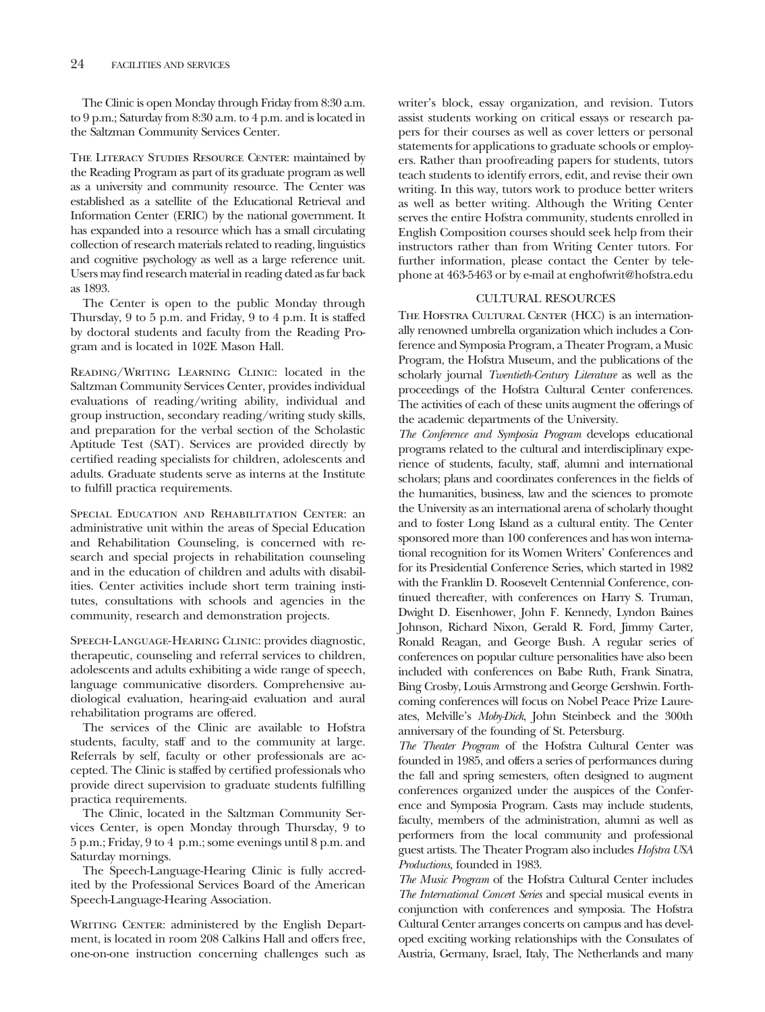The Clinic is open Monday through Friday from 8:30 a.m. to 9 p.m.; Saturday from 8:30 a.m. to 4 p.m. and is located in the Saltzman Community Services Center.

THE LITERACY STUDIES RESOURCE CENTER: maintained by the Reading Program as part of its graduate program as well as a university and community resource. The Center was established as a satellite of the Educational Retrieval and Information Center (ERIC) by the national government. It has expanded into a resource which has a small circulating collection of research materials related to reading, linguistics and cognitive psychology as well as a large reference unit. Users may find research material in reading dated as far back as 1893.

The Center is open to the public Monday through Thursday, 9 to 5 p.m. and Friday, 9 to 4 p.m. It is staffed by doctoral students and faculty from the Reading Program and is located in 102E Mason Hall.

Reading/Writing Learning Clinic: located in the Saltzman Community Services Center, provides individual evaluations of reading/writing ability, individual and group instruction, secondary reading/writing study skills, and preparation for the verbal section of the Scholastic Aptitude Test (SAT). Services are provided directly by certified reading specialists for children, adolescents and adults. Graduate students serve as interns at the Institute to fulfill practica requirements.

SPECIAL EDUCATION AND REHABILITATION CENTER: an administrative unit within the areas of Special Education and Rehabilitation Counseling, is concerned with research and special projects in rehabilitation counseling and in the education of children and adults with disabilities. Center activities include short term training institutes, consultations with schools and agencies in the community, research and demonstration projects.

Speech-Language-Hearing Clinic: provides diagnostic, therapeutic, counseling and referral services to children, adolescents and adults exhibiting a wide range of speech, language communicative disorders. Comprehensive audiological evaluation, hearing-aid evaluation and aural rehabilitation programs are offered.

The services of the Clinic are available to Hofstra students, faculty, staff and to the community at large. Referrals by self, faculty or other professionals are accepted. The Clinic is staffed by certified professionals who provide direct supervision to graduate students fulfilling practica requirements.

The Clinic, located in the Saltzman Community Services Center, is open Monday through Thursday, 9 to 5 p.m.; Friday, 9 to 4 p.m.; some evenings until 8 p.m. and Saturday mornings.

The Speech-Language-Hearing Clinic is fully accredited by the Professional Services Board of the American Speech-Language-Hearing Association.

WRITING CENTER: administered by the English Department, is located in room 208 Calkins Hall and offers free, one-on-one instruction concerning challenges such as

writer's block, essay organization, and revision. Tutors assist students working on critical essays or research papers for their courses as well as cover letters or personal statements for applications to graduate schools or employers. Rather than proofreading papers for students, tutors teach students to identify errors, edit, and revise their own writing. In this way, tutors work to produce better writers as well as better writing. Although the Writing Center serves the entire Hofstra community, students enrolled in English Composition courses should seek help from their instructors rather than from Writing Center tutors. For further information, please contact the Center by telephone at 463-5463 or by e-mail at enghofwrit@hofstra.edu

## CULTURAL RESOURCES

THE HOFSTRA CULTURAL CENTER (HCC) is an internationally renowned umbrella organization which includes a Conference and Symposia Program, a Theater Program, a Music Program, the Hofstra Museum, and the publications of the scholarly journal *Twentieth-Century Literature* as well as the proceedings of the Hofstra Cultural Center conferences. The activities of each of these units augment the offerings of the academic departments of the University.

*The Conference and Symposia Program* develops educational programs related to the cultural and interdisciplinary experience of students, faculty, staff, alumni and international scholars; plans and coordinates conferences in the fields of the humanities, business, law and the sciences to promote the University as an international arena of scholarly thought and to foster Long Island as a cultural entity. The Center sponsored more than 100 conferences and has won international recognition for its Women Writers' Conferences and for its Presidential Conference Series, which started in 1982 with the Franklin D. Roosevelt Centennial Conference, continued thereafter, with conferences on Harry S. Truman, Dwight D. Eisenhower, John F. Kennedy, Lyndon Baines Johnson, Richard Nixon, Gerald R. Ford, Jimmy Carter, Ronald Reagan, and George Bush. A regular series of conferences on popular culture personalities have also been included with conferences on Babe Ruth, Frank Sinatra, Bing Crosby, Louis Armstrong and George Gershwin. Forthcoming conferences will focus on Nobel Peace Prize Laureates, Melville's *Moby-Dick*, John Steinbeck and the 300th anniversary of the founding of St. Petersburg.

*The Theater Program* of the Hofstra Cultural Center was founded in 1985, and offers a series of performances during the fall and spring semesters, often designed to augment conferences organized under the auspices of the Conference and Symposia Program. Casts may include students, faculty, members of the administration, alumni as well as performers from the local community and professional guest artists. The Theater Program also includes *Hofstra USA Productions,* founded in 1983.

*The Music Program* of the Hofstra Cultural Center includes *The International Concert Series* and special musical events in conjunction with conferences and symposia. The Hofstra Cultural Center arranges concerts on campus and has developed exciting working relationships with the Consulates of Austria, Germany, Israel, Italy, The Netherlands and many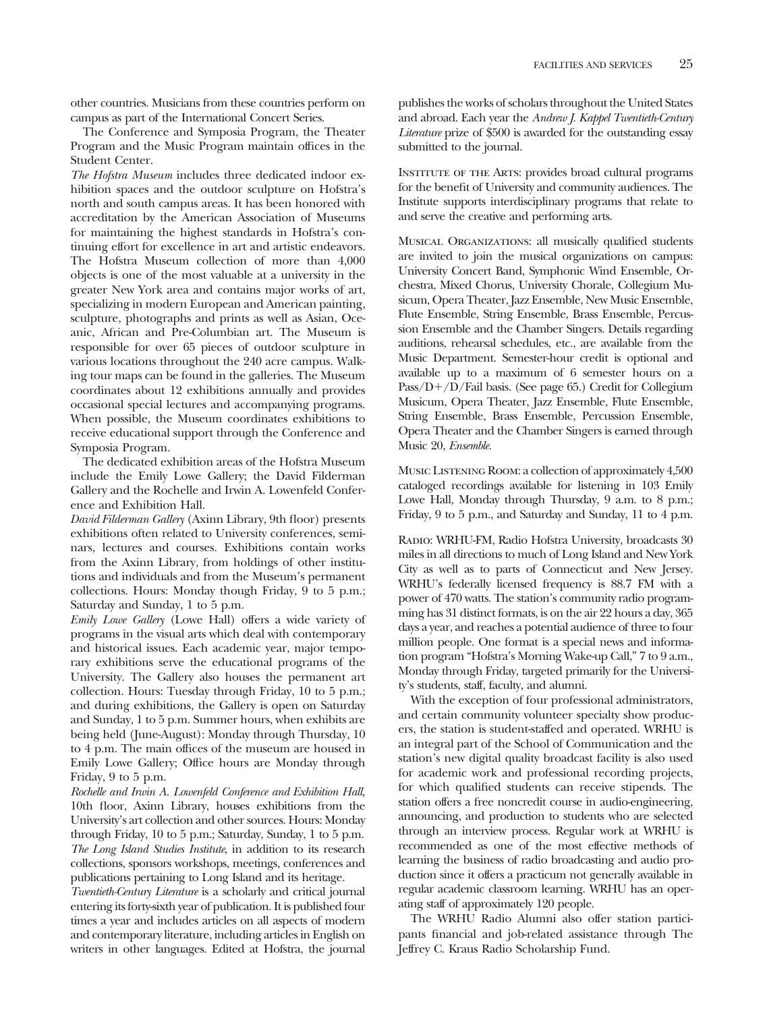other countries. Musicians from these countries perform on campus as part of the International Concert Series.

The Conference and Symposia Program, the Theater Program and the Music Program maintain offices in the Student Center.

*The Hofstra Museum* includes three dedicated indoor exhibition spaces and the outdoor sculpture on Hofstra's north and south campus areas. It has been honored with accreditation by the American Association of Museums for maintaining the highest standards in Hofstra's continuing effort for excellence in art and artistic endeavors. The Hofstra Museum collection of more than 4,000 objects is one of the most valuable at a university in the greater New York area and contains major works of art, specializing in modern European and American painting, sculpture, photographs and prints as well as Asian, Oceanic, African and Pre-Columbian art. The Museum is responsible for over 65 pieces of outdoor sculpture in various locations throughout the 240 acre campus. Walking tour maps can be found in the galleries. The Museum coordinates about 12 exhibitions annually and provides occasional special lectures and accompanying programs. When possible, the Museum coordinates exhibitions to receive educational support through the Conference and Symposia Program.

The dedicated exhibition areas of the Hofstra Museum include the Emily Lowe Gallery; the David Filderman Gallery and the Rochelle and Irwin A. Lowenfeld Conference and Exhibition Hall.

*David Filderman Gallery* (Axinn Library, 9th floor) presents exhibitions often related to University conferences, seminars, lectures and courses. Exhibitions contain works from the Axinn Library, from holdings of other institutions and individuals and from the Museum's permanent collections. Hours: Monday though Friday, 9 to 5 p.m.; Saturday and Sunday, 1 to 5 p.m.

*Emily Lowe Gallery* (Lowe Hall) offers a wide variety of programs in the visual arts which deal with contemporary and historical issues. Each academic year, major temporary exhibitions serve the educational programs of the University. The Gallery also houses the permanent art collection. Hours: Tuesday through Friday, 10 to 5 p.m.; and during exhibitions, the Gallery is open on Saturday and Sunday, 1 to 5 p.m. Summer hours, when exhibits are being held (June-August): Monday through Thursday, 10 to 4 p.m. The main offices of the museum are housed in Emily Lowe Gallery; Office hours are Monday through Friday, 9 to 5 p.m.

*Rochelle and Irwin A. Lowenfeld Conference and Exhibition Hall,* 10th floor, Axinn Library, houses exhibitions from the University's art collection and other sources. Hours: Monday through Friday, 10 to 5 p.m.; Saturday, Sunday, 1 to 5 p.m. *The Long Island Studies Institute*, in addition to its research collections, sponsors workshops, meetings, conferences and publications pertaining to Long Island and its heritage.

*Twentieth-Century Literature* is a scholarly and critical journal entering its forty-sixth year of publication. It is published four times a year and includes articles on all aspects of modern and contemporary literature, including articles in English on writers in other languages. Edited at Hofstra, the journal publishes the works of scholars throughout the United States and abroad. Each year the *Andrew J. Kappel Twentieth-Century Literature* prize of \$500 is awarded for the outstanding essay submitted to the journal.

INSTITUTE OF THE ARTS: provides broad cultural programs for the benefit of University and community audiences. The Institute supports interdisciplinary programs that relate to and serve the creative and performing arts.

Musical Organizations: all musically qualified students are invited to join the musical organizations on campus: University Concert Band, Symphonic Wind Ensemble, Orchestra, Mixed Chorus, University Chorale, Collegium Musicum, Opera Theater, Jazz Ensemble, New Music Ensemble, Flute Ensemble, String Ensemble, Brass Ensemble, Percussion Ensemble and the Chamber Singers. Details regarding auditions, rehearsal schedules, etc., are available from the Music Department. Semester-hour credit is optional and available up to a maximum of 6 semester hours on a Pass/ $D+$ /D/Fail basis. (See page 65.) Credit for Collegium Musicum, Opera Theater, Jazz Ensemble, Flute Ensemble, String Ensemble, Brass Ensemble, Percussion Ensemble, Opera Theater and the Chamber Singers is earned through Music 20, *Ensemble.*

Music ListENING ROOM: a collection of approximately 4,500 cataloged recordings available for listening in 103 Emily Lowe Hall, Monday through Thursday, 9 a.m. to 8 p.m.; Friday, 9 to 5 p.m., and Saturday and Sunday, 11 to 4 p.m.

Radio: WRHU-FM, Radio Hofstra University, broadcasts 30 miles in all directions to much of Long Island and New York City as well as to parts of Connecticut and New Jersey. WRHU's federally licensed frequency is 88.7 FM with a power of 470 watts. The station's community radio programming has 31 distinct formats, is on the air 22 hours a day, 365 days a year, and reaches a potential audience of three to four million people. One format is a special news and information program "Hofstra's Morning Wake-up Call," 7 to 9 a.m., Monday through Friday, targeted primarily for the University's students, staff, faculty, and alumni.

With the exception of four professional administrators, and certain community volunteer specialty show producers, the station is student-staffed and operated. WRHU is an integral part of the School of Communication and the station's new digital quality broadcast facility is also used for academic work and professional recording projects, for which qualified students can receive stipends. The station offers a free noncredit course in audio-engineering, announcing, and production to students who are selected through an interview process. Regular work at WRHU is recommended as one of the most effective methods of learning the business of radio broadcasting and audio production since it offers a practicum not generally available in regular academic classroom learning. WRHU has an operating staff of approximately 120 people.

The WRHU Radio Alumni also offer station participants financial and job-related assistance through The Jeffrey C. Kraus Radio Scholarship Fund.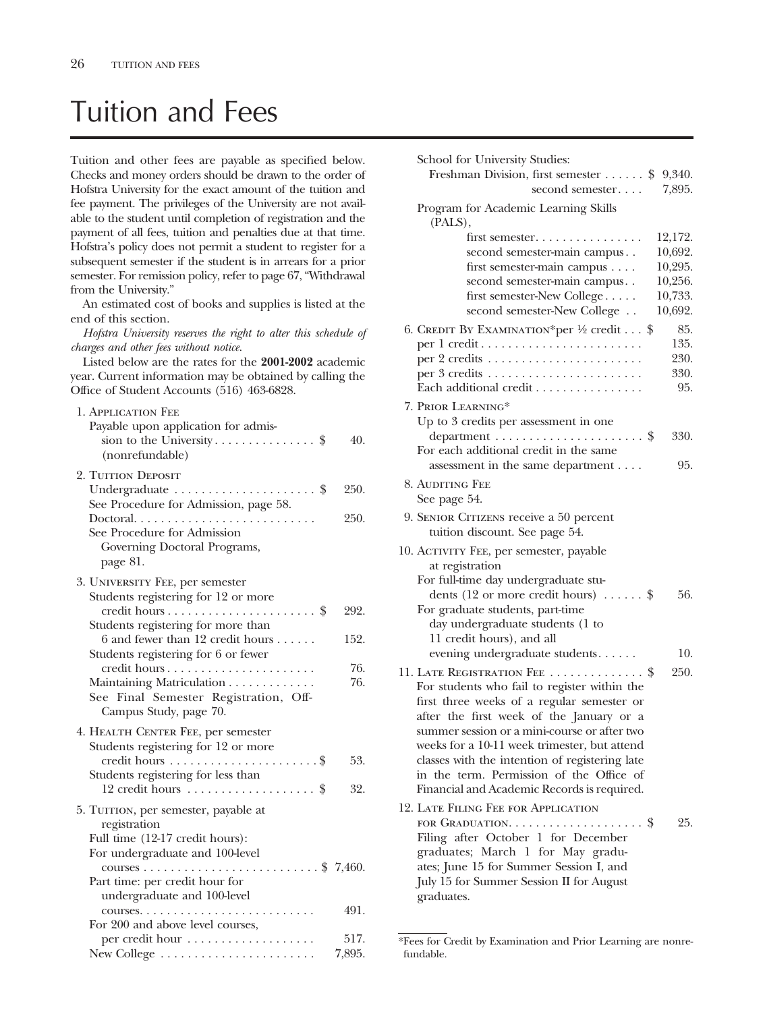# Tuition and Fees

Tuition and other fees are payable as specified below. Checks and money orders should be drawn to the order of Hofstra University for the exact amount of the tuition and fee payment. The privileges of the University are not available to the student until completion of registration and the payment of all fees, tuition and penalties due at that time. Hofstra's policy does not permit a student to register for a subsequent semester if the student is in arrears for a prior semester. For remission policy, refer to page 67, "Withdrawal from the University."

An estimated cost of books and supplies is listed at the end of this section.

*Hofstra University reserves the right to alter this schedule of charges and other fees without notice.*

Listed below are the rates for the **2001-2002** academic year. Current information may be obtained by calling the Office of Student Accounts (516) 463-6828.

| 1. APPLICATION FEE<br>Payable upon application for admis-<br>(nonrefundable)                                                                                                                | 40.          |
|---------------------------------------------------------------------------------------------------------------------------------------------------------------------------------------------|--------------|
| 2. TUITION DEPOSIT<br>Undergraduate $\dots\dots\dots\dots\dots\dots$ \$<br>See Procedure for Admission, page 58.<br>See Procedure for Admission<br>Governing Doctoral Programs,<br>page 81. | 250.<br>250. |
| 3. UNIVERSITY FEE, per semester<br>Students registering for 12 or more                                                                                                                      | 292.         |
| Students registering for more than                                                                                                                                                          |              |
| 6 and fewer than 12 credit hours $\dots$ .<br>Students registering for 6 or fewer                                                                                                           | 152.         |
| Maintaining Matriculation<br>See Final Semester Registration, Off-<br>Campus Study, page 70.                                                                                                | 76.<br>76.   |
| 4. HEALTH CENTER FEE, per semester<br>Students registering for 12 or more                                                                                                                   |              |
| Students registering for less than                                                                                                                                                          | 53.          |
| $12$ credit hours \$                                                                                                                                                                        | 32.          |
| 5. TUITION, per semester, payable at<br>registration<br>Full time (12-17 credit hours):<br>For undergraduate and 100-level                                                                  |              |
| Part time: per credit hour for                                                                                                                                                              |              |
| undergraduate and 100-level                                                                                                                                                                 |              |
| For 200 and above level courses,                                                                                                                                                            | 491.         |
| per credit hour                                                                                                                                                                             | 517.         |
|                                                                                                                                                                                             | 7,895.       |

| School for University Studies:                                            |                    |
|---------------------------------------------------------------------------|--------------------|
| Freshman Division, first semester $\dots$ .<br>second semester            | 9,340.<br>7,895.   |
| Program for Academic Learning Skills<br>(PALS),                           |                    |
| first semester.                                                           | 12,172.            |
| second semester-main campus                                               | 10,692.            |
| first semester-main campus                                                | 10,295.            |
| second semester-main campus                                               | 10,256.            |
| first semester-New College<br>second semester-New College                 | 10,733.<br>10,692. |
| 6. CREDIT BY EXAMINATION*per 1/2 credit \$                                | 85.                |
|                                                                           | 135.               |
|                                                                           | 230.               |
|                                                                           | 330.               |
| Each additional credit                                                    | 95.                |
| 7. Prior Learning*                                                        |                    |
| Up to 3 credits per assessment in one                                     |                    |
| department $\dots\dots\dots\dots\dots\dots\dots$                          | 330.               |
| For each additional credit in the same                                    |                    |
| assessment in the same department                                         | 95.                |
| 8. AUDITING FEE                                                           |                    |
| See page 54.                                                              |                    |
| 9. SENIOR CITIZENS receive a 50 percent<br>tuition discount. See page 54. |                    |
| 10. ACTIVITY FEE, per semester, payable                                   |                    |
| at registration                                                           |                    |
| For full-time day undergraduate stu-                                      |                    |
| dents (12 or more credit hours) $\dots \dots$ \$                          | 56.                |
| For graduate students, part-time                                          |                    |
| day undergraduate students (1 to<br>11 credit hours), and all             |                    |
| evening undergraduate students                                            | 10.                |
| 11. LATE REGISTRATION FEE \$                                              | 250.               |
| For students who fail to register within the                              |                    |
| first three weeks of a regular semester or                                |                    |
| after the first week of the January or a                                  |                    |
| summer session or a mini-course or after two                              |                    |
| weeks for a 10-11 week trimester, but attend                              |                    |
| classes with the intention of registering late                            |                    |
| in the term. Permission of the Office of                                  |                    |
| Financial and Academic Records is required.                               |                    |
| 12. LATE FILING FEE FOR APPLICATION                                       |                    |
| FOR GRADUATION. $\dots \dots \dots \dots \dots \dots$                     | 25.                |
| Filing after October 1 for December                                       |                    |
| graduates; March 1 for May gradu-                                         |                    |
| ates; June 15 for Summer Session I, and                                   |                    |
| July 15 for Summer Session II for August<br>graduates.                    |                    |
|                                                                           |                    |

<sup>\*</sup>Fees for Credit by Examination and Prior Learning are nonrefundable.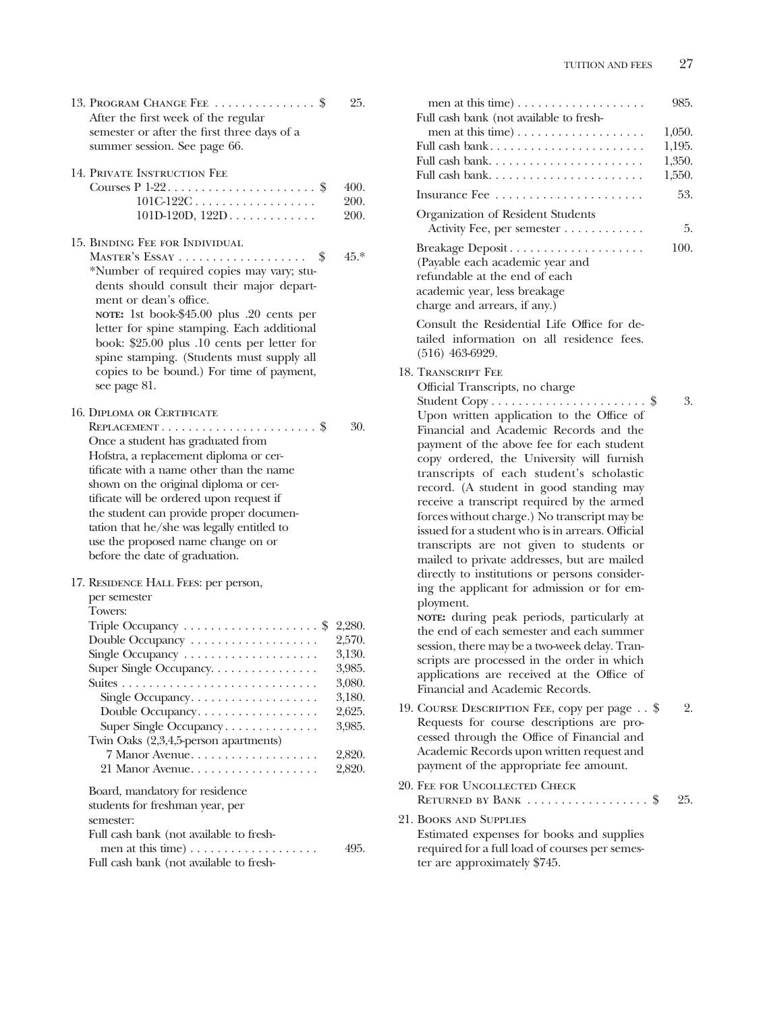men at this time) . . . . . . . . . . . . . . . . . . 985.

| 13. PROGRAM CHANGE FEE \$<br>After the first week of the regular<br>semester or after the first three days of a<br>summer session. See page 66.                                                                                                                                                                                                                                                                               | 25.                                                                                              |
|-------------------------------------------------------------------------------------------------------------------------------------------------------------------------------------------------------------------------------------------------------------------------------------------------------------------------------------------------------------------------------------------------------------------------------|--------------------------------------------------------------------------------------------------|
| 14. PRIVATE INSTRUCTION FEE<br>Courses $P$ 1-22\$<br>$101C-122C$<br>$101D-120D, 122D$                                                                                                                                                                                                                                                                                                                                         | 400.<br>200.<br>200.                                                                             |
| 15. BINDING FEE FOR INDIVIDUAL<br>MASTER'S ESSAY<br>\$<br>*Number of required copies may vary; stu-<br>dents should consult their major depart-<br>ment or dean's office.<br>NOTE: 1st book-\$45.00 plus .20 cents per<br>letter for spine stamping. Each additional<br>book: \$25.00 plus .10 cents per letter for<br>spine stamping. (Students must supply all<br>copies to be bound.) For time of payment,<br>see page 81. | $45.*$                                                                                           |
| <b>16. DIPLOMA OR CERTIFICATE</b><br>Once a student has graduated from<br>Hofstra, a replacement diploma or cer-<br>tificate with a name other than the name<br>shown on the original diploma or cer-<br>tificate will be ordered upon request if<br>the student can provide proper documen-<br>tation that he/she was legally entitled to<br>use the proposed name change on or<br>before the date of graduation.            | 30.                                                                                              |
| 17. RESIDENCE HALL FEES: per person,<br>per semester<br>Towers:<br>Triple Occupancy \$<br>Double Occupancy<br>Single Occupancy<br>Super Single Occupancy.<br>Single Occupancy.<br>Double Occupancy<br>Super Single Occupancy<br>Twin Oaks (2,3,4,5-person apartments)<br>7 Manor Avenue.<br>21 Manor Avenue<br>Board, mandatory for residence                                                                                 | 2,280.<br>2,570.<br>3,130.<br>3,985.<br>3,080.<br>3,180.<br>2,625.<br>3,985.<br>2,820.<br>2,820. |
| students for freshman year, per<br>semester:<br>Full cash bank (not available to fresh-<br>Full cash bank (not available to fresh-                                                                                                                                                                                                                                                                                            | 495.                                                                                             |

| Full cash bank (not available to fresh-                                                                                          | 1,050. |     |
|----------------------------------------------------------------------------------------------------------------------------------|--------|-----|
| Full cash bank                                                                                                                   | 1,195. |     |
| Full cash bank                                                                                                                   | 1,350. |     |
| Full cash bank                                                                                                                   | 1,550. |     |
|                                                                                                                                  |        | 53. |
| Organization of Resident Students<br>Activity Fee, per semester                                                                  |        | 5.  |
| (Payable each academic year and<br>refundable at the end of each<br>academic year, less breakage<br>charge and arrears, if any.) | 100.   |     |
| Consult the Residential Life Office for de-<br>tailed information on all residence fees.<br>$(516)$ 463-6929.                    |        |     |
| 18. Transcript Fee                                                                                                               |        |     |
| Official Transcripts, no charge                                                                                                  |        |     |
| Upon written application to the Office of                                                                                        |        | 3.  |
| Financial and Academic Records and the                                                                                           |        |     |
| payment of the above fee for each student                                                                                        |        |     |
| copy ordered, the University will furnish                                                                                        |        |     |
| transcripts of each student's scholastic<br>record. (A student in good standing may                                              |        |     |
| receive a transcript required by the armed                                                                                       |        |     |
| forces without charge.) No transcript may be                                                                                     |        |     |
| issued for a student who is in arrears. Official                                                                                 |        |     |
| transcripts are not given to students or                                                                                         |        |     |
| mailed to private addresses, but are mailed                                                                                      |        |     |
| directly to institutions or persons consider-<br>ing the applicant for admission or for em-                                      |        |     |
| ployment.                                                                                                                        |        |     |
| NOTE: during peak periods, particularly at                                                                                       |        |     |
| the end of each semester and each summer                                                                                         |        |     |
| session, there may be a two-week delay. Tran-<br>scripts are processed in the order in which                                     |        |     |
| applications are received at the Office of                                                                                       |        |     |
| Financial and Academic Records.                                                                                                  |        |     |
| 19. COURSE DESCRIPTION FEE, copy per page \$                                                                                     |        | 2.  |
| Requests for course descriptions are pro-                                                                                        |        |     |
| cessed through the Office of Financial and                                                                                       |        |     |
| Academic Records upon written request and<br>payment of the appropriate fee amount.                                              |        |     |
| 20. FEE FOR UNCOLLECTED CHECK                                                                                                    |        |     |
| RETURNED BY BANK  \$                                                                                                             |        | 25. |
| 21. BOOKS AND SUPPLIES                                                                                                           |        |     |
| Estimated expenses for books and supplies                                                                                        |        |     |
| required for a full load of courses per semes-                                                                                   |        |     |
| ter are approximately \$745.                                                                                                     |        |     |
|                                                                                                                                  |        |     |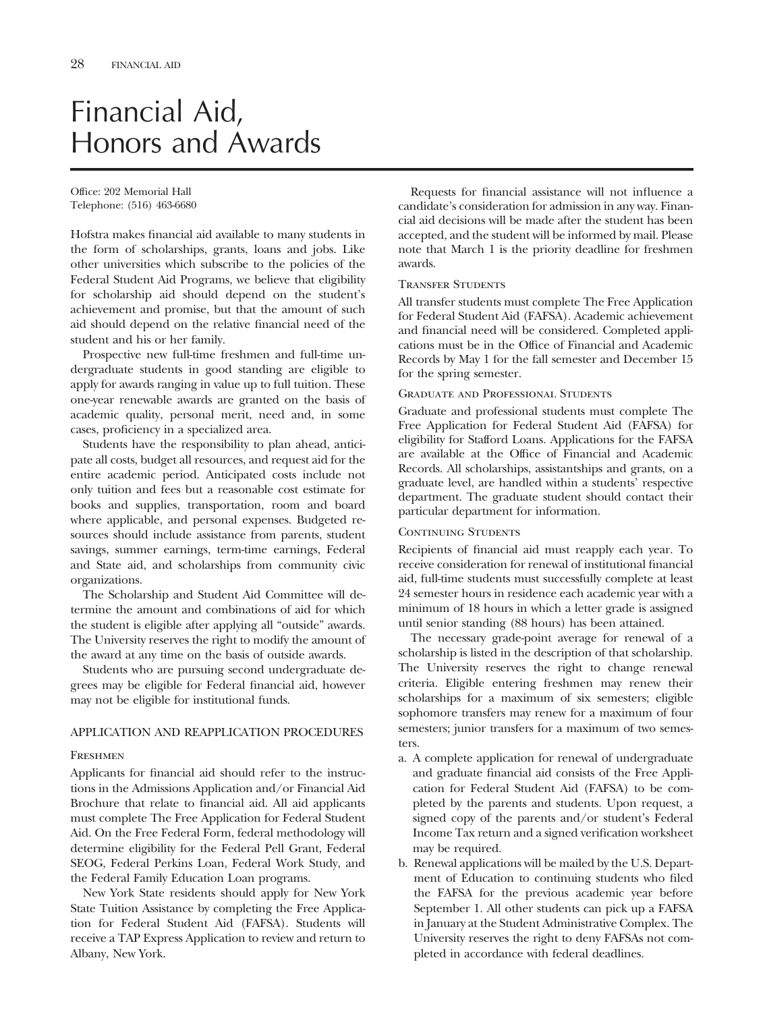# Financial Aid, Honors and Awards

Office: 202 Memorial Hall Telephone: (516) 463-6680

Hofstra makes financial aid available to many students in the form of scholarships, grants, loans and jobs. Like other universities which subscribe to the policies of the Federal Student Aid Programs, we believe that eligibility for scholarship aid should depend on the student's achievement and promise, but that the amount of such aid should depend on the relative financial need of the student and his or her family.

Prospective new full-time freshmen and full-time undergraduate students in good standing are eligible to apply for awards ranging in value up to full tuition. These one-year renewable awards are granted on the basis of academic quality, personal merit, need and, in some cases, proficiency in a specialized area.

Students have the responsibility to plan ahead, anticipate all costs, budget all resources, and request aid for the entire academic period. Anticipated costs include not only tuition and fees but a reasonable cost estimate for books and supplies, transportation, room and board where applicable, and personal expenses. Budgeted resources should include assistance from parents, student savings, summer earnings, term-time earnings, Federal and State aid, and scholarships from community civic organizations.

The Scholarship and Student Aid Committee will determine the amount and combinations of aid for which the student is eligible after applying all "outside" awards. The University reserves the right to modify the amount of the award at any time on the basis of outside awards.

Students who are pursuing second undergraduate degrees may be eligible for Federal financial aid, however may not be eligible for institutional funds.

## APPLICATION AND REAPPLICATION PROCEDURES

#### **FRESHMEN**

Applicants for financial aid should refer to the instructions in the Admissions Application and/or Financial Aid Brochure that relate to financial aid. All aid applicants must complete The Free Application for Federal Student Aid. On the Free Federal Form, federal methodology will determine eligibility for the Federal Pell Grant, Federal SEOG, Federal Perkins Loan, Federal Work Study, and the Federal Family Education Loan programs.

New York State residents should apply for New York State Tuition Assistance by completing the Free Application for Federal Student Aid (FAFSA). Students will receive a TAP Express Application to review and return to Albany, New York.

Requests for financial assistance will not influence a candidate's consideration for admission in any way. Financial aid decisions will be made after the student has been accepted, and the student will be informed by mail. Please note that March 1 is the priority deadline for freshmen awards.

#### Transfer Students

All transfer students must complete The Free Application for Federal Student Aid (FAFSA). Academic achievement and financial need will be considered. Completed applications must be in the Office of Financial and Academic Records by May 1 for the fall semester and December 15 for the spring semester.

#### Graduate and Professional Students

Graduate and professional students must complete The Free Application for Federal Student Aid (FAFSA) for eligibility for Stafford Loans. Applications for the FAFSA are available at the Office of Financial and Academic Records. All scholarships, assistantships and grants, on a graduate level, are handled within a students' respective department. The graduate student should contact their particular department for information.

#### CONTINUING STUDENTS

Recipients of financial aid must reapply each year. To receive consideration for renewal of institutional financial aid, full-time students must successfully complete at least 24 semester hours in residence each academic year with a minimum of 18 hours in which a letter grade is assigned until senior standing (88 hours) has been attained.

The necessary grade-point average for renewal of a scholarship is listed in the description of that scholarship. The University reserves the right to change renewal criteria. Eligible entering freshmen may renew their scholarships for a maximum of six semesters; eligible sophomore transfers may renew for a maximum of four semesters; junior transfers for a maximum of two semesters.

- a. A complete application for renewal of undergraduate and graduate financial aid consists of the Free Application for Federal Student Aid (FAFSA) to be completed by the parents and students. Upon request, a signed copy of the parents and/or student's Federal Income Tax return and a signed verification worksheet may be required.
- b. Renewal applications will be mailed by the U.S. Department of Education to continuing students who filed the FAFSA for the previous academic year before September 1. All other students can pick up a FAFSA in January at the Student Administrative Complex. The University reserves the right to deny FAFSAs not completed in accordance with federal deadlines.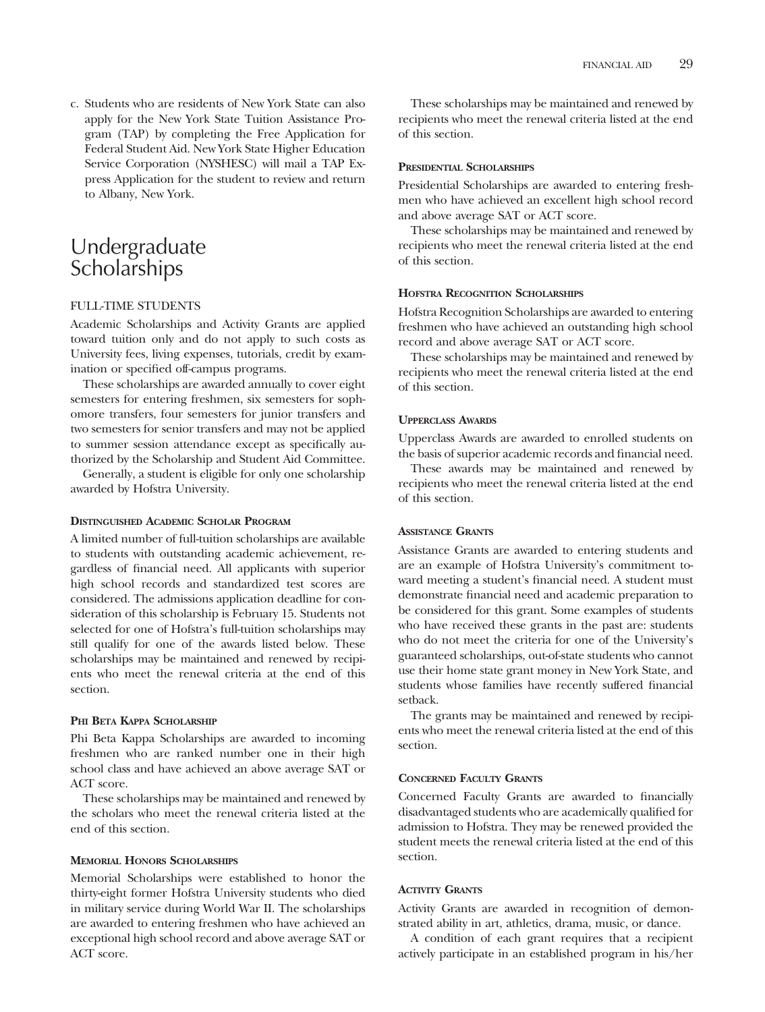c. Students who are residents of New York State can also apply for the New York State Tuition Assistance Program (TAP) by completing the Free Application for Federal Student Aid. New York State Higher Education Service Corporation (NYSHESC) will mail a TAP Express Application for the student to review and return to Albany, New York.

## Undergraduate **Scholarships**

#### FULL-TIME STUDENTS

Academic Scholarships and Activity Grants are applied toward tuition only and do not apply to such costs as University fees, living expenses, tutorials, credit by examination or specified off-campus programs.

These scholarships are awarded annually to cover eight semesters for entering freshmen, six semesters for sophomore transfers, four semesters for junior transfers and two semesters for senior transfers and may not be applied to summer session attendance except as specifically authorized by the Scholarship and Student Aid Committee.

Generally, a student is eligible for only one scholarship awarded by Hofstra University.

#### **DISTINGUISHED ACADEMIC SCHOLAR PROGRAM**

A limited number of full-tuition scholarships are available to students with outstanding academic achievement, regardless of financial need. All applicants with superior high school records and standardized test scores are considered. The admissions application deadline for consideration of this scholarship is February 15. Students not selected for one of Hofstra's full-tuition scholarships may still qualify for one of the awards listed below. These scholarships may be maintained and renewed by recipients who meet the renewal criteria at the end of this section.

### **PHI BETA KAPPA SCHOLARSHIP**

Phi Beta Kappa Scholarships are awarded to incoming freshmen who are ranked number one in their high school class and have achieved an above average SAT or ACT score.

These scholarships may be maintained and renewed by the scholars who meet the renewal criteria listed at the end of this section.

### **MEMORIAL HONORS SCHOLARSHIPS**

Memorial Scholarships were established to honor the thirty-eight former Hofstra University students who died in military service during World War II. The scholarships are awarded to entering freshmen who have achieved an exceptional high school record and above average SAT or ACT score.

These scholarships may be maintained and renewed by recipients who meet the renewal criteria listed at the end of this section.

#### **PRESIDENTIAL SCHOLARSHIPS**

Presidential Scholarships are awarded to entering freshmen who have achieved an excellent high school record and above average SAT or ACT score.

These scholarships may be maintained and renewed by recipients who meet the renewal criteria listed at the end of this section.

### **HOFSTRA RECOGNITION SCHOLARSHIPS**

Hofstra Recognition Scholarships are awarded to entering freshmen who have achieved an outstanding high school record and above average SAT or ACT score.

These scholarships may be maintained and renewed by recipients who meet the renewal criteria listed at the end of this section.

### **UPPERCLASS AWARDS**

Upperclass Awards are awarded to enrolled students on the basis of superior academic records and financial need.

These awards may be maintained and renewed by recipients who meet the renewal criteria listed at the end of this section.

#### **ASSISTANCE GRANTS**

Assistance Grants are awarded to entering students and are an example of Hofstra University's commitment toward meeting a student's financial need. A student must demonstrate financial need and academic preparation to be considered for this grant. Some examples of students who have received these grants in the past are: students who do not meet the criteria for one of the University's guaranteed scholarships, out-of-state students who cannot use their home state grant money in New York State, and students whose families have recently suffered financial setback.

The grants may be maintained and renewed by recipients who meet the renewal criteria listed at the end of this section.

### **CONCERNED FACULTY GRANTS**

Concerned Faculty Grants are awarded to financially disadvantaged students who are academically qualified for admission to Hofstra. They may be renewed provided the student meets the renewal criteria listed at the end of this section.

### **ACTIVITY GRANTS**

Activity Grants are awarded in recognition of demonstrated ability in art, athletics, drama, music, or dance.

A condition of each grant requires that a recipient actively participate in an established program in his/her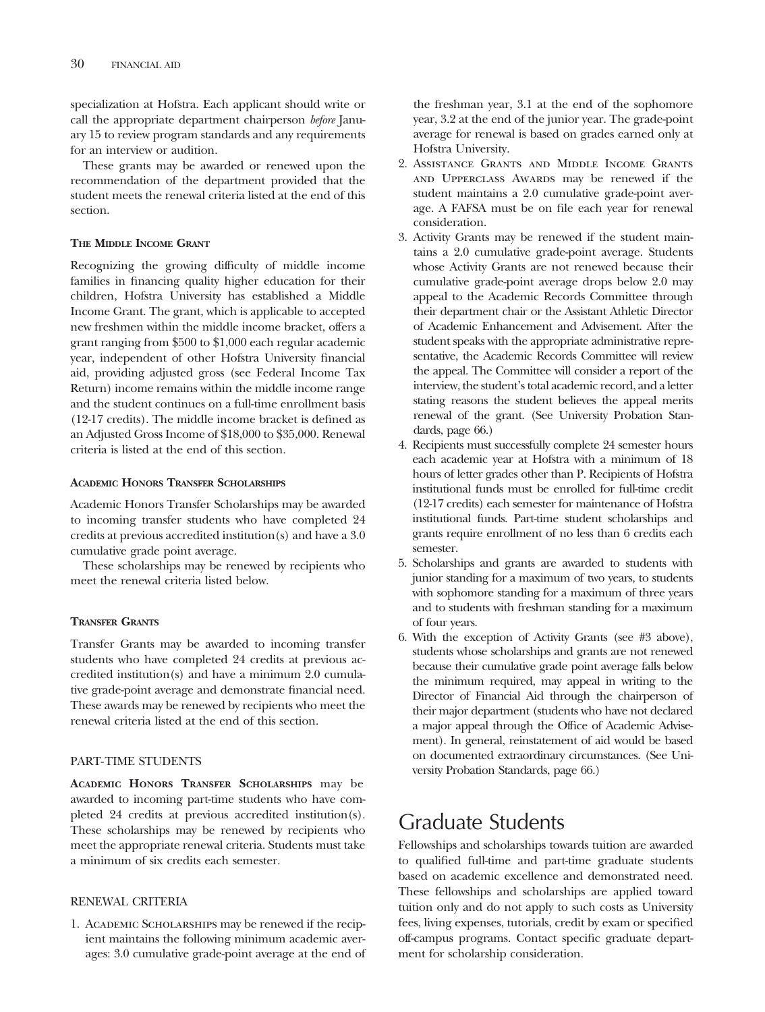specialization at Hofstra. Each applicant should write or call the appropriate department chairperson *before* January 15 to review program standards and any requirements for an interview or audition.

These grants may be awarded or renewed upon the recommendation of the department provided that the student meets the renewal criteria listed at the end of this section.

#### **THE MIDDLE INCOME GRANT**

Recognizing the growing difficulty of middle income families in financing quality higher education for their children, Hofstra University has established a Middle Income Grant. The grant, which is applicable to accepted new freshmen within the middle income bracket, offers a grant ranging from \$500 to \$1,000 each regular academic year, independent of other Hofstra University financial aid, providing adjusted gross (see Federal Income Tax Return) income remains within the middle income range and the student continues on a full-time enrollment basis (12-17 credits). The middle income bracket is defined as an Adjusted Gross Income of \$18,000 to \$35,000. Renewal criteria is listed at the end of this section.

#### **ACADEMIC HONORS TRANSFER SCHOLARSHIPS**

Academic Honors Transfer Scholarships may be awarded to incoming transfer students who have completed 24 credits at previous accredited institution(s) and have a 3.0 cumulative grade point average.

These scholarships may be renewed by recipients who meet the renewal criteria listed below.

## **TRANSFER GRANTS**

Transfer Grants may be awarded to incoming transfer students who have completed 24 credits at previous accredited institution(s) and have a minimum 2.0 cumulative grade-point average and demonstrate financial need. These awards may be renewed by recipients who meet the renewal criteria listed at the end of this section.

#### PART-TIME STUDENTS

**ACADEMIC HONORS TRANSFER SCHOLARSHIPS** may be awarded to incoming part-time students who have completed 24 credits at previous accredited institution(s). These scholarships may be renewed by recipients who meet the appropriate renewal criteria. Students must take a minimum of six credits each semester.

#### RENEWAL CRITERIA

1. Academic Scholarships may be renewed if the recipient maintains the following minimum academic averages: 3.0 cumulative grade-point average at the end of the freshman year, 3.1 at the end of the sophomore year, 3.2 at the end of the junior year. The grade-point average for renewal is based on grades earned only at Hofstra University.

- 2. Assistance Grants and Middle Income Grants and Upperclass Awards may be renewed if the student maintains a 2.0 cumulative grade-point average. A FAFSA must be on file each year for renewal consideration.
- 3. Activity Grants may be renewed if the student maintains a 2.0 cumulative grade-point average. Students whose Activity Grants are not renewed because their cumulative grade-point average drops below 2.0 may appeal to the Academic Records Committee through their department chair or the Assistant Athletic Director of Academic Enhancement and Advisement. After the student speaks with the appropriate administrative representative, the Academic Records Committee will review the appeal. The Committee will consider a report of the interview, the student's total academic record, and a letter stating reasons the student believes the appeal merits renewal of the grant. (See University Probation Standards, page 66.)
- 4. Recipients must successfully complete 24 semester hours each academic year at Hofstra with a minimum of 18 hours of letter grades other than P. Recipients of Hofstra institutional funds must be enrolled for full-time credit (12-17 credits) each semester for maintenance of Hofstra institutional funds. Part-time student scholarships and grants require enrollment of no less than 6 credits each semester.
- 5. Scholarships and grants are awarded to students with junior standing for a maximum of two years, to students with sophomore standing for a maximum of three years and to students with freshman standing for a maximum of four years.
- 6. With the exception of Activity Grants (see #3 above), students whose scholarships and grants are not renewed because their cumulative grade point average falls below the minimum required, may appeal in writing to the Director of Financial Aid through the chairperson of their major department (students who have not declared a major appeal through the Office of Academic Advisement). In general, reinstatement of aid would be based on documented extraordinary circumstances. (See University Probation Standards, page 66.)

# Graduate Students

Fellowships and scholarships towards tuition are awarded to qualified full-time and part-time graduate students based on academic excellence and demonstrated need. These fellowships and scholarships are applied toward tuition only and do not apply to such costs as University fees, living expenses, tutorials, credit by exam or specified off-campus programs. Contact specific graduate department for scholarship consideration.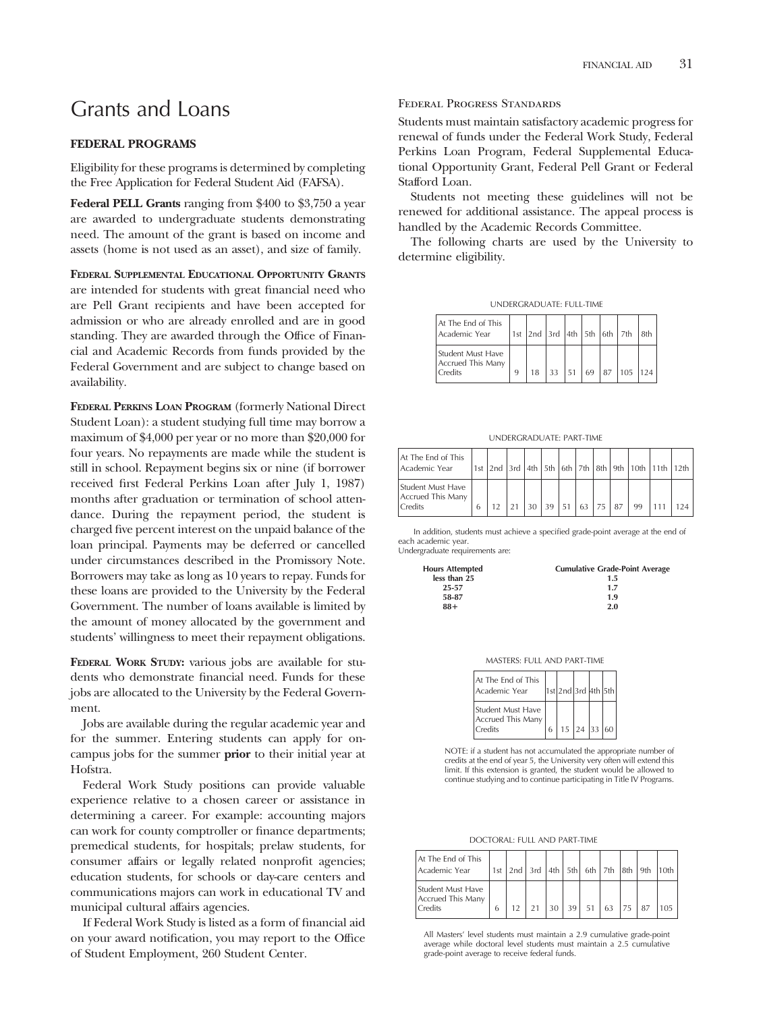# Grants and Loans

#### **FEDERAL PROGRAMS**

Eligibility for these programs is determined by completing the Free Application for Federal Student Aid (FAFSA).

**Federal PELL Grants** ranging from \$400 to \$3,750 a year are awarded to undergraduate students demonstrating need. The amount of the grant is based on income and assets (home is not used as an asset), and size of family.

**FEDERAL SUPPLEMENTAL EDUCATIONAL OPPORTUNITY GRANTS** are intended for students with great financial need who are Pell Grant recipients and have been accepted for admission or who are already enrolled and are in good standing. They are awarded through the Office of Financial and Academic Records from funds provided by the Federal Government and are subject to change based on availability.

**FEDERAL PERKINS LOAN PROGRAM** (formerly National Direct Student Loan): a student studying full time may borrow a maximum of \$4,000 per year or no more than \$20,000 for four years. No repayments are made while the student is still in school. Repayment begins six or nine (if borrower received first Federal Perkins Loan after July 1, 1987) months after graduation or termination of school attendance. During the repayment period, the student is charged five percent interest on the unpaid balance of the loan principal. Payments may be deferred or cancelled under circumstances described in the Promissory Note. Borrowers may take as long as 10 years to repay. Funds for these loans are provided to the University by the Federal Government. The number of loans available is limited by the amount of money allocated by the government and students' willingness to meet their repayment obligations.

**FEDERAL WORK STUDY:** various jobs are available for students who demonstrate financial need. Funds for these jobs are allocated to the University by the Federal Government.

Jobs are available during the regular academic year and for the summer. Entering students can apply for oncampus jobs for the summer **prior** to their initial year at Hofstra.

Federal Work Study positions can provide valuable experience relative to a chosen career or assistance in determining a career. For example: accounting majors can work for county comptroller or finance departments; premedical students, for hospitals; prelaw students, for consumer affairs or legally related nonprofit agencies; education students, for schools or day-care centers and communications majors can work in educational TV and municipal cultural affairs agencies.

If Federal Work Study is listed as a form of financial aid on your award notification, you may report to the Office of Student Employment, 260 Student Center.

#### Federal Progress Standards

Students must maintain satisfactory academic progress for renewal of funds under the Federal Work Study, Federal Perkins Loan Program, Federal Supplemental Educational Opportunity Grant, Federal Pell Grant or Federal Stafford Loan.

Students not meeting these guidelines will not be renewed for additional assistance. The appeal process is handled by the Academic Records Committee.

The following charts are used by the University to determine eligibility.

|  | UNDERGRADUATE: FULL-TIME |  |
|--|--------------------------|--|
|--|--------------------------|--|

| At The End of This<br>Academic Year               |  |  |  | 1st 2nd 3rd 4th 5th 6th 7th 8th                |  |
|---------------------------------------------------|--|--|--|------------------------------------------------|--|
| Student Must Have<br>Accrued This Many<br>Credits |  |  |  | $33 \mid 51 \mid 69 \mid 87 \mid 105 \mid 124$ |  |

UNDERGRADUATE: PART-TIME

| At The End of This<br>Academic Year               |   |  |    |    |    |     |     |    | 1st 2nd 3rd 4th 5th 6th 7th 8th 9th 10th 11th 12th |     |
|---------------------------------------------------|---|--|----|----|----|-----|-----|----|----------------------------------------------------|-----|
| Student Must Have<br>Accrued This Many<br>Credits | h |  | 30 | 39 | 63 | 175 | .87 | 99 |                                                    | 124 |

In addition, students must achieve a specified grade-point average at the end of each academic year.

Undergraduate requirements are:

| <b>Hours Attempted</b> | <b>Cumulative Grade-Point Average</b> |
|------------------------|---------------------------------------|
| less than 25           | 1.5                                   |
| 25-57                  | 1.7                                   |
| 58-87                  | 1.9                                   |
| $88+$                  | 2.0                                   |

| MASTERS: FULL AND PART-TIME |
|-----------------------------|
|-----------------------------|

| At The End of This<br>Academic Year               |   | 1st 2nd 3rd 4th 5th                         |  |  |
|---------------------------------------------------|---|---------------------------------------------|--|--|
| Student Must Have<br>Accrued This Many<br>Credits | 6 | $15 \left  24 \right  33 \left  60 \right $ |  |  |

NOTE: if a student has not accumulated the appropriate number of credits at the end of year 5, the University very often will extend this limit. If this extension is granted, the student would be allowed to continue studying and to continue participating in Title IV Programs.

DOCTORAL: FULL AND PART-TIME

| At The End of This<br>Academic Year               |   |  |  | 1st   2nd   3rd   4th   5th   6th   7th   8th   9th   10th |    |  |
|---------------------------------------------------|---|--|--|------------------------------------------------------------|----|--|
| Student Must Have<br>Accrued This Many<br>Credits | 6 |  |  | 30 39 51 63 75                                             | 87 |  |

All Masters' level students must maintain a 2.9 cumulative grade-point average while doctoral level students must maintain a 2.5 cumulative grade-point average to receive federal funds.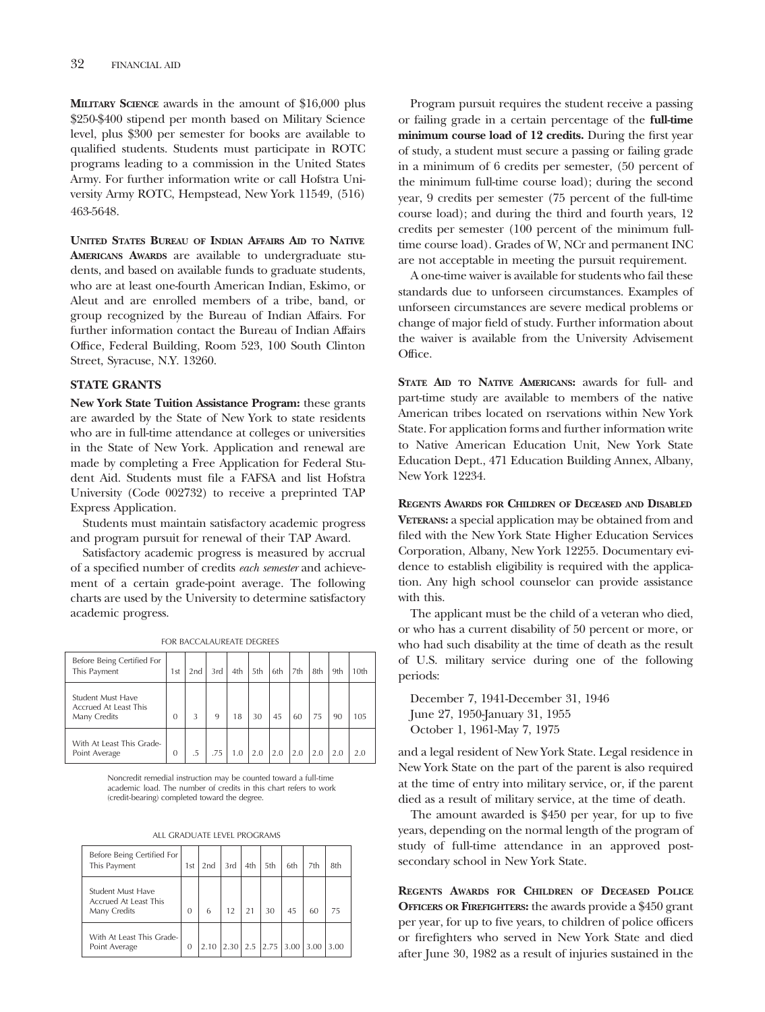**MILITARY SCIENCE** awards in the amount of \$16,000 plus \$250-\$400 stipend per month based on Military Science level, plus \$300 per semester for books are available to qualified students. Students must participate in ROTC programs leading to a commission in the United States Army. For further information write or call Hofstra University Army ROTC, Hempstead, New York 11549, (516) 463-5648.

**UNITED STATES BUREAU OF INDIAN AFFAIRS AID TO NATIVE AMERICANS AWARDS** are available to undergraduate students, and based on available funds to graduate students, who are at least one-fourth American Indian, Eskimo, or Aleut and are enrolled members of a tribe, band, or group recognized by the Bureau of Indian Affairs. For further information contact the Bureau of Indian Affairs Office, Federal Building, Room 523, 100 South Clinton Street, Syracuse, N.Y. 13260.

#### **STATE GRANTS**

**New York State Tuition Assistance Program:** these grants are awarded by the State of New York to state residents who are in full-time attendance at colleges or universities in the State of New York. Application and renewal are made by completing a Free Application for Federal Student Aid. Students must file a FAFSA and list Hofstra University (Code 002732) to receive a preprinted TAP Express Application.

Students must maintain satisfactory academic progress and program pursuit for renewal of their TAP Award.

Satisfactory academic progress is measured by accrual of a specified number of credits *each semester* and achievement of a certain grade-point average. The following charts are used by the University to determine satisfactory academic progress.

FOR BACCALAUREATE DEGREES

| Before Being Certified For                                 |                 |     |     |     |     |     |     |     |     |      |
|------------------------------------------------------------|-----------------|-----|-----|-----|-----|-----|-----|-----|-----|------|
| This Payment                                               | 1 <sub>st</sub> | 2nd | 3rd | 4th | 5th | 6th | 7th | 8th | 9th | 10th |
| Student Must Have<br>Accrued At Least This<br>Many Credits | $\mathbf{0}$    | 3   | 9   | 18  | 30  | 45  | 60  | 75  | 90  | 105  |
| With At Least This Grade-<br>Point Average                 | $\overline{0}$  | .5  | .75 | 1.0 | 2.0 | 2.0 | 2.0 | 2.0 | 2.0 |      |

Noncredit remedial instruction may be counted toward a full-time academic load. The number of credits in this chart refers to work (credit-bearing) completed toward the degree.

| ALL GRADUATE LEVEL PROGRAMS |
|-----------------------------|
|                             |

| Before Being Certified For<br>This Payment                        | 1st      | 2nd  | 3rd  | 4th | 5th  | 6th  | 7th  | 8th  |
|-------------------------------------------------------------------|----------|------|------|-----|------|------|------|------|
| <b>Student Must Have</b><br>Accrued At Least This<br>Many Credits | $\Omega$ | 6    | 12   |     | 30   | 45   | 60   | 75   |
| With At Least This Grade-<br>Point Average                        | 0        | 2.10 | 2.30 | 2.5 | 2.75 | 3.00 | 3.00 | 3.00 |

Program pursuit requires the student receive a passing or failing grade in a certain percentage of the **full-time minimum course load of 12 credits.** During the first year of study, a student must secure a passing or failing grade in a minimum of 6 credits per semester, (50 percent of the minimum full-time course load); during the second year, 9 credits per semester (75 percent of the full-time course load); and during the third and fourth years, 12 credits per semester (100 percent of the minimum fulltime course load). Grades of W, NCr and permanent INC are not acceptable in meeting the pursuit requirement.

A one-time waiver is available for students who fail these standards due to unforseen circumstances. Examples of unforseen circumstances are severe medical problems or change of major field of study. Further information about the waiver is available from the University Advisement Office.

**STATE AID TO NATIVE AMERICANS:** awards for full- and part-time study are available to members of the native American tribes located on rservations within New York State. For application forms and further information write to Native American Education Unit, New York State Education Dept., 471 Education Building Annex, Albany, New York 12234.

**REGENTS AWARDS FOR CHILDREN OF DECEASED AND DISABLED VETERANS:** a special application may be obtained from and filed with the New York State Higher Education Services Corporation, Albany, New York 12255. Documentary evidence to establish eligibility is required with the application. Any high school counselor can provide assistance with this.

The applicant must be the child of a veteran who died, or who has a current disability of 50 percent or more, or who had such disability at the time of death as the result of U.S. military service during one of the following periods:

December 7, 1941-December 31, 1946 June 27, 1950-January 31, 1955 October 1, 1961-May 7, 1975

and a legal resident of New York State. Legal residence in New York State on the part of the parent is also required at the time of entry into military service, or, if the parent died as a result of military service, at the time of death.

The amount awarded is \$450 per year, for up to five years, depending on the normal length of the program of study of full-time attendance in an approved postsecondary school in New York State.

**REGENTS AWARDS FOR CHILDREN OF DECEASED POLICE OFFICERS OR FIREFIGHTERS:** the awards provide a \$450 grant per year, for up to five years, to children of police officers or firefighters who served in New York State and died after June 30, 1982 as a result of injuries sustained in the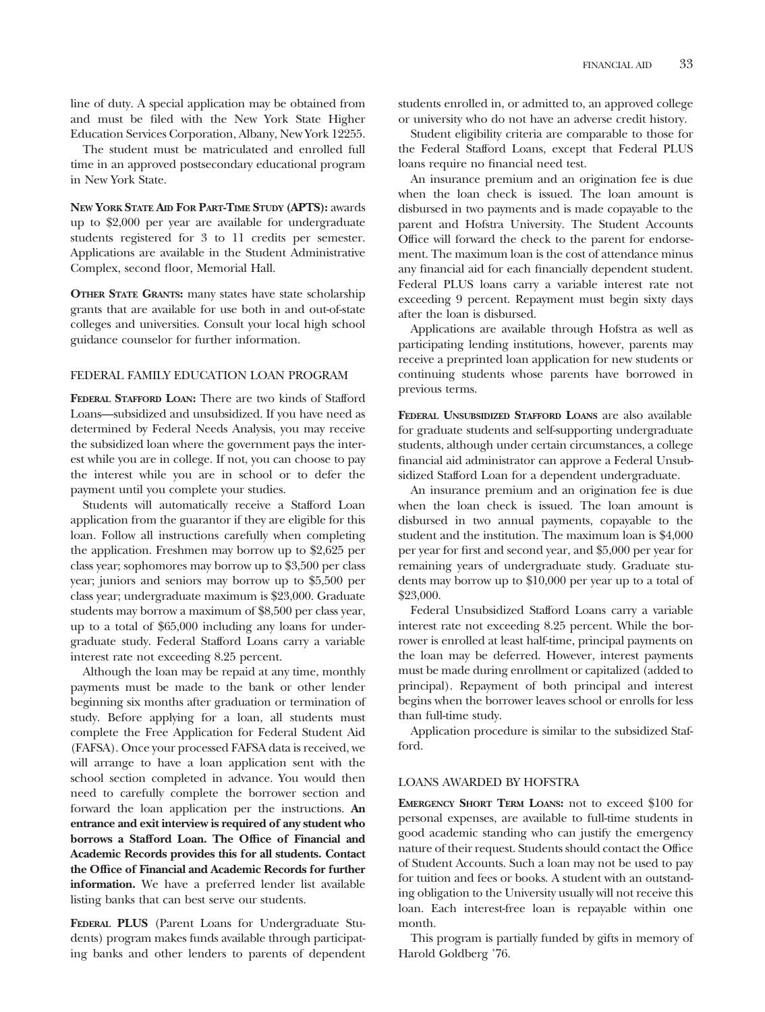line of duty. A special application may be obtained from and must be filed with the New York State Higher Education Services Corporation, Albany, New York 12255.

The student must be matriculated and enrolled full time in an approved postsecondary educational program in New York State.

**NEW YORK STATE AID FOR PART-TIME STUDY (APTS):** awards up to \$2,000 per year are available for undergraduate students registered for 3 to 11 credits per semester. Applications are available in the Student Administrative Complex, second floor, Memorial Hall.

**OTHER STATE GRANTS:** many states have state scholarship grants that are available for use both in and out-of-state colleges and universities. Consult your local high school guidance counselor for further information.

## FEDERAL FAMILY EDUCATION LOAN PROGRAM

**FEDERAL STAFFORD LOAN:** There are two kinds of Stafford Loans—subsidized and unsubsidized. If you have need as determined by Federal Needs Analysis, you may receive the subsidized loan where the government pays the interest while you are in college. If not, you can choose to pay the interest while you are in school or to defer the payment until you complete your studies.

Students will automatically receive a Stafford Loan application from the guarantor if they are eligible for this loan. Follow all instructions carefully when completing the application. Freshmen may borrow up to \$2,625 per class year; sophomores may borrow up to \$3,500 per class year; juniors and seniors may borrow up to \$5,500 per class year; undergraduate maximum is \$23,000. Graduate students may borrow a maximum of \$8,500 per class year, up to a total of \$65,000 including any loans for undergraduate study. Federal Stafford Loans carry a variable interest rate not exceeding 8.25 percent.

Although the loan may be repaid at any time, monthly payments must be made to the bank or other lender beginning six months after graduation or termination of study. Before applying for a loan, all students must complete the Free Application for Federal Student Aid (FAFSA). Once your processed FAFSA data is received, we will arrange to have a loan application sent with the school section completed in advance. You would then need to carefully complete the borrower section and forward the loan application per the instructions. **An entrance and exit interview is required of any student who borrows a Stafford Loan. The Office of Financial and Academic Records provides this for all students. Contact the Office of Financial and Academic Records for further information.** We have a preferred lender list available listing banks that can best serve our students.

**FEDERAL PLUS** (Parent Loans for Undergraduate Students) program makes funds available through participating banks and other lenders to parents of dependent students enrolled in, or admitted to, an approved college or university who do not have an adverse credit history.

Student eligibility criteria are comparable to those for the Federal Stafford Loans, except that Federal PLUS loans require no financial need test.

An insurance premium and an origination fee is due when the loan check is issued. The loan amount is disbursed in two payments and is made copayable to the parent and Hofstra University. The Student Accounts Office will forward the check to the parent for endorsement. The maximum loan is the cost of attendance minus any financial aid for each financially dependent student. Federal PLUS loans carry a variable interest rate not exceeding 9 percent. Repayment must begin sixty days after the loan is disbursed.

Applications are available through Hofstra as well as participating lending institutions, however, parents may receive a preprinted loan application for new students or continuing students whose parents have borrowed in previous terms.

**FEDERAL UNSUBSIDIZED STAFFORD LOANS** are also available for graduate students and self-supporting undergraduate students, although under certain circumstances, a college financial aid administrator can approve a Federal Unsubsidized Stafford Loan for a dependent undergraduate.

An insurance premium and an origination fee is due when the loan check is issued. The loan amount is disbursed in two annual payments, copayable to the student and the institution. The maximum loan is \$4,000 per year for first and second year, and \$5,000 per year for remaining years of undergraduate study. Graduate students may borrow up to \$10,000 per year up to a total of \$23,000.

Federal Unsubsidized Stafford Loans carry a variable interest rate not exceeding 8.25 percent. While the borrower is enrolled at least half-time, principal payments on the loan may be deferred. However, interest payments must be made during enrollment or capitalized (added to principal). Repayment of both principal and interest begins when the borrower leaves school or enrolls for less than full-time study.

Application procedure is similar to the subsidized Stafford.

#### LOANS AWARDED BY HOFSTRA

**EMERGENCY SHORT TERM LOANS:** not to exceed \$100 for personal expenses, are available to full-time students in good academic standing who can justify the emergency nature of their request. Students should contact the Office of Student Accounts. Such a loan may not be used to pay for tuition and fees or books. A student with an outstanding obligation to the University usually will not receive this loan. Each interest-free loan is repayable within one month.

This program is partially funded by gifts in memory of Harold Goldberg '76.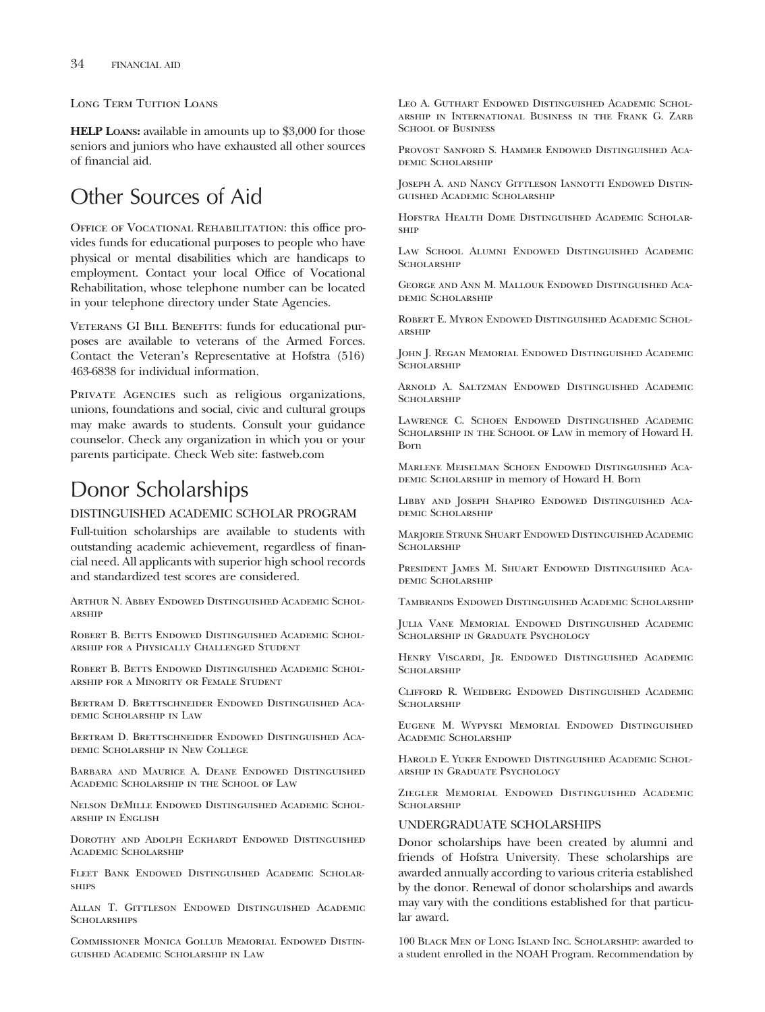Long Term Tuition Loans

**HELP LOANS:** available in amounts up to \$3,000 for those seniors and juniors who have exhausted all other sources of financial aid.

# Other Sources of Aid

OFFICE OF VOCATIONAL REHABILITATION: this office provides funds for educational purposes to people who have physical or mental disabilities which are handicaps to employment. Contact your local Office of Vocational Rehabilitation, whose telephone number can be located in your telephone directory under State Agencies.

VETERANS GI BILL BENEFITS: funds for educational purposes are available to veterans of the Armed Forces. Contact the Veteran's Representative at Hofstra (516) 463-6838 for individual information.

PRIVATE AGENCIES such as religious organizations, unions, foundations and social, civic and cultural groups may make awards to students. Consult your guidance counselor. Check any organization in which you or your parents participate. Check Web site: fastweb.com

# Donor Scholarships

#### DISTINGUISHED ACADEMIC SCHOLAR PROGRAM

Full-tuition scholarships are available to students with outstanding academic achievement, regardless of financial need. All applicants with superior high school records and standardized test scores are considered.

Arthur N. Abbey Endowed Distinguished Academic Scholarship

ROBERT B. BETTS ENDOWED DISTINGUISHED ACADEMIC SCHOLarship for a Physically Challenged Student

ROBERT B. BETTS ENDOWED DISTINGUISHED ACADEMIC SCHOLarship for a Minority or Female Student

Bertram D. Brettschneider Endowed Distinguished Academic Scholarship in Law

Bertram D. Brettschneider Endowed Distinguished Academic Scholarship in New College

Barbara and Maurice A. Deane Endowed Distinguished Academic Scholarship in the School of Law

Nelson DeMille Endowed Distinguished Academic Scholarship in English

Dorothy and Adolph Eckhardt Endowed Distinguished Academic Scholarship

Fleet Bank Endowed Distinguished Academic Scholar-**SHIPS** 

Allan T. Gittleson Endowed Distinguished Academic **SCHOLARSHIPS** 

Commissioner Monica Gollub Memorial Endowed Distinguished Academic Scholarship in Law

Leo A. Guthart Endowed Distinguished Academic Scholarship in International Business in the Frank G. Zarb SCHOOL OF BUSINESS

Provost Sanford S. Hammer Endowed Distinguished Academic Scholarship

Joseph A. and Nancy Gittleson Iannotti Endowed Distinguished Academic Scholarship

Hofstra Health Dome Distinguished Academic Scholarship

Law School Alumni Endowed Distinguished Academic SCHOLARSHIP

George and Ann M. Mallouk Endowed Distinguished Academic Scholarship

Robert E. Myron Endowed Distinguished Academic Scholarship

John J. Regan Memorial Endowed Distinguished Academic SCHOLARSHIP

Arnold A. Saltzman Endowed Distinguished Academic SCHOLARSHIP

Lawrence C. Schoen Endowed Distinguished Academic Scholarship in the School of Law in memory of Howard H. Born

Marlene Meiselman Schoen Endowed Distinguished Aca-DEMIC SCHOLARSHIP in memory of Howard H. Born

Libby and Joseph Shapiro Endowed Distinguished Academic Scholarship

Marjorie Strunk Shuart Endowed Distinguished Academic **SCHOLARSHIP** 

President James M. Shuart Endowed Distinguished Academic Scholarship

Tambrands Endowed Distinguished Academic Scholarship

Julia Vane Memorial Endowed Distinguished Academic Scholarship in Graduate Psychology

Henry Viscardi, Jr. Endowed Distinguished Academic **SCHOLARSHIP** 

Clifford R. Weidberg Endowed Distinguished Academic SCHOLARSHIP

Eugene M. Wypyski Memorial Endowed Distinguished ACADEMIC SCHOLARSHIP

Harold E. Yuker Endowed Distinguished Academic Scholarship in Graduate Psychology

Ziegler Memorial Endowed Distinguished Academic **SCHOLARSHIP** 

## UNDERGRADUATE SCHOLARSHIPS

Donor scholarships have been created by alumni and friends of Hofstra University. These scholarships are awarded annually according to various criteria established by the donor. Renewal of donor scholarships and awards may vary with the conditions established for that particular award.

100 Black Men of Long Island Inc. Scholarship: awarded to a student enrolled in the NOAH Program. Recommendation by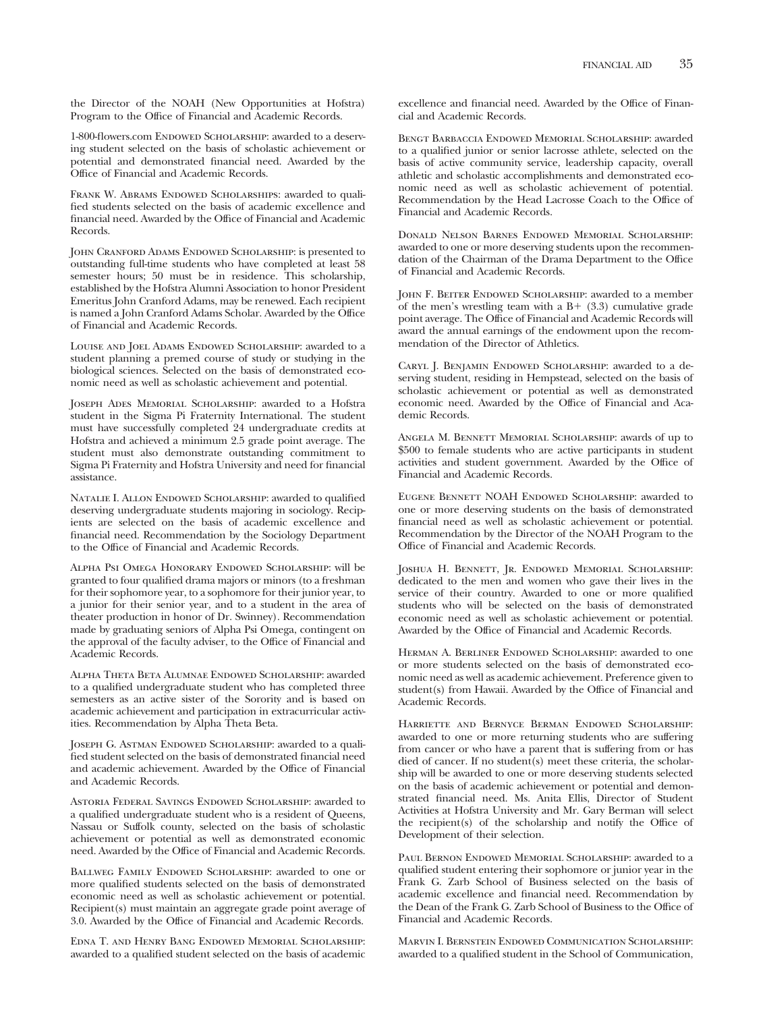the Director of the NOAH (New Opportunities at Hofstra) Program to the Office of Financial and Academic Records.

1-800-flowers.com ENDOWED SCHOLARSHIP: awarded to a deserving student selected on the basis of scholastic achievement or potential and demonstrated financial need. Awarded by the Office of Financial and Academic Records.

FRANK W. ABRAMS ENDOWED SCHOLARSHIPS: awarded to qualified students selected on the basis of academic excellence and financial need. Awarded by the Office of Financial and Academic Records.

John Cranford Adams Endowed Scholarship: is presented to outstanding full-time students who have completed at least 58 semester hours; 50 must be in residence. This scholarship, established by the Hofstra Alumni Association to honor President Emeritus John Cranford Adams, may be renewed. Each recipient is named a John Cranford Adams Scholar. Awarded by the Office of Financial and Academic Records.

Louise and Joel Adams Endowed Scholarship: awarded to a student planning a premed course of study or studying in the biological sciences. Selected on the basis of demonstrated economic need as well as scholastic achievement and potential.

Joseph Ades Memorial Scholarship: awarded to a Hofstra student in the Sigma Pi Fraternity International. The student must have successfully completed 24 undergraduate credits at Hofstra and achieved a minimum 2.5 grade point average. The student must also demonstrate outstanding commitment to Sigma Pi Fraternity and Hofstra University and need for financial assistance.

NATALIE I. ALLON ENDOWED SCHOLARSHIP: awarded to qualified deserving undergraduate students majoring in sociology. Recipients are selected on the basis of academic excellence and financial need. Recommendation by the Sociology Department to the Office of Financial and Academic Records.

Alpha Psi Omega Honorary Endowed Scholarship: will be granted to four qualified drama majors or minors (to a freshman for their sophomore year, to a sophomore for their junior year, to a junior for their senior year, and to a student in the area of theater production in honor of Dr. Swinney). Recommendation made by graduating seniors of Alpha Psi Omega, contingent on the approval of the faculty adviser, to the Office of Financial and Academic Records.

Alpha Theta Beta Alumnae Endowed Scholarship: awarded to a qualified undergraduate student who has completed three semesters as an active sister of the Sorority and is based on academic achievement and participation in extracurricular activities. Recommendation by Alpha Theta Beta.

JOSEPH G. ASTMAN ENDOWED SCHOLARSHIP: awarded to a qualified student selected on the basis of demonstrated financial need and academic achievement. Awarded by the Office of Financial and Academic Records.

Astoria Federal Savings Endowed Scholarship: awarded to a qualified undergraduate student who is a resident of Queens, Nassau or Suffolk county, selected on the basis of scholastic achievement or potential as well as demonstrated economic need. Awarded by the Office of Financial and Academic Records.

BALLWEG FAMILY ENDOWED SCHOLARSHIP: awarded to one or more qualified students selected on the basis of demonstrated economic need as well as scholastic achievement or potential. Recipient(s) must maintain an aggregate grade point average of 3.0. Awarded by the Office of Financial and Academic Records.

Edna T. and Henry Bang Endowed Memorial Scholarship: awarded to a qualified student selected on the basis of academic excellence and financial need. Awarded by the Office of Financial and Academic Records.

Bengt Barbaccia Endowed Memorial Scholarship: awarded to a qualified junior or senior lacrosse athlete, selected on the basis of active community service, leadership capacity, overall athletic and scholastic accomplishments and demonstrated economic need as well as scholastic achievement of potential. Recommendation by the Head Lacrosse Coach to the Office of Financial and Academic Records.

Donald Nelson Barnes Endowed Memorial Scholarship: awarded to one or more deserving students upon the recommendation of the Chairman of the Drama Department to the Office of Financial and Academic Records.

JOHN F. BEITER ENDOWED SCHOLARSHIP: awarded to a member of the men's wrestling team with a  $B + (3.3)$  cumulative grade point average. The Office of Financial and Academic Records will award the annual earnings of the endowment upon the recommendation of the Director of Athletics.

Caryl J. Benjamin Endowed Scholarship: awarded to a deserving student, residing in Hempstead, selected on the basis of scholastic achievement or potential as well as demonstrated economic need. Awarded by the Office of Financial and Academic Records.

Angela M. Bennett Memorial Scholarship: awards of up to \$500 to female students who are active participants in student activities and student government. Awarded by the Office of Financial and Academic Records.

Eugene Bennett NOAH Endowed Scholarship: awarded to one or more deserving students on the basis of demonstrated financial need as well as scholastic achievement or potential. Recommendation by the Director of the NOAH Program to the Office of Financial and Academic Records.

Joshua H. Bennett, Jr. Endowed Memorial Scholarship: dedicated to the men and women who gave their lives in the service of their country. Awarded to one or more qualified students who will be selected on the basis of demonstrated economic need as well as scholastic achievement or potential. Awarded by the Office of Financial and Academic Records.

Herman A. Berliner Endowed Scholarship: awarded to one or more students selected on the basis of demonstrated economic need as well as academic achievement. Preference given to student(s) from Hawaii. Awarded by the Office of Financial and Academic Records.

Harriette and Bernyce Berman Endowed Scholarship: awarded to one or more returning students who are suffering from cancer or who have a parent that is suffering from or has died of cancer. If no student(s) meet these criteria, the scholarship will be awarded to one or more deserving students selected on the basis of academic achievement or potential and demonstrated financial need. Ms. Anita Ellis, Director of Student Activities at Hofstra University and Mr. Gary Berman will select the recipient(s) of the scholarship and notify the Office of Development of their selection.

PAUL BERNON ENDOWED MEMORIAL SCHOLARSHIP: awarded to a qualified student entering their sophomore or junior year in the Frank G. Zarb School of Business selected on the basis of academic excellence and financial need. Recommendation by the Dean of the Frank G. Zarb School of Business to the Office of Financial and Academic Records.

Marvin I. Bernstein Endowed Communication Scholarship: awarded to a qualified student in the School of Communication,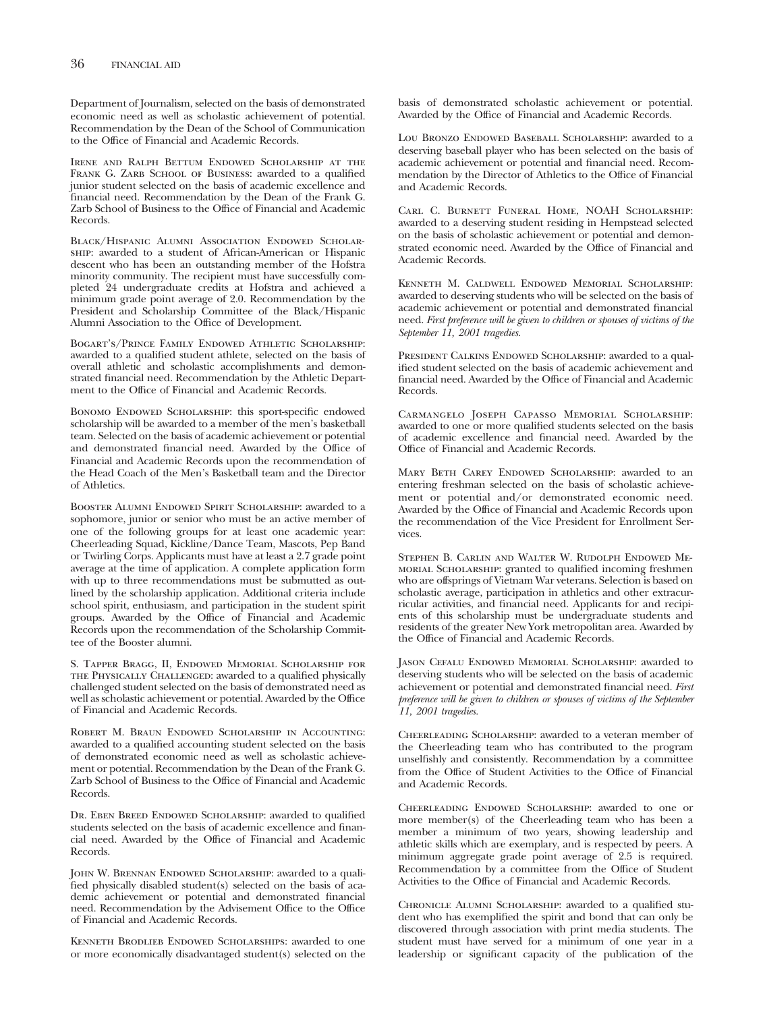Department of Journalism, selected on the basis of demonstrated economic need as well as scholastic achievement of potential. Recommendation by the Dean of the School of Communication to the Office of Financial and Academic Records.

Irene and Ralph Bettum Endowed Scholarship at the FRANK G. ZARB SCHOOL OF BUSINESS: awarded to a qualified junior student selected on the basis of academic excellence and financial need. Recommendation by the Dean of the Frank G. Zarb School of Business to the Office of Financial and Academic Records.

Black/Hispanic Alumni Association Endowed Scholarship: awarded to a student of African-American or Hispanic descent who has been an outstanding member of the Hofstra minority community. The recipient must have successfully completed 24 undergraduate credits at Hofstra and achieved a minimum grade point average of 2.0. Recommendation by the President and Scholarship Committee of the Black/Hispanic Alumni Association to the Office of Development.

Bogart's/Prince Family Endowed Athletic Scholarship: awarded to a qualified student athlete, selected on the basis of overall athletic and scholastic accomplishments and demonstrated financial need. Recommendation by the Athletic Department to the Office of Financial and Academic Records.

BONOMO ENDOWED SCHOLARSHIP: this sport-specific endowed scholarship will be awarded to a member of the men's basketball team. Selected on the basis of academic achievement or potential and demonstrated financial need. Awarded by the Office of Financial and Academic Records upon the recommendation of the Head Coach of the Men's Basketball team and the Director of Athletics.

BOOSTER ALUMNI ENDOWED SPIRIT SCHOLARSHIP: awarded to a sophomore, junior or senior who must be an active member of one of the following groups for at least one academic year: Cheerleading Squad, Kickline/Dance Team, Mascots, Pep Band or Twirling Corps. Applicants must have at least a 2.7 grade point average at the time of application. A complete application form with up to three recommendations must be submutted as outlined by the scholarship application. Additional criteria include school spirit, enthusiasm, and participation in the student spirit groups. Awarded by the Office of Financial and Academic Records upon the recommendation of the Scholarship Committee of the Booster alumni.

S. Tapper Bragg, II, Endowed Memorial Scholarship for the Physically Challenged: awarded to a qualified physically challenged student selected on the basis of demonstrated need as well as scholastic achievement or potential. Awarded by the Office of Financial and Academic Records.

Robert M. Braun Endowed Scholarship in Accounting: awarded to a qualified accounting student selected on the basis of demonstrated economic need as well as scholastic achievement or potential. Recommendation by the Dean of the Frank G. Zarb School of Business to the Office of Financial and Academic Records.

Dr. Eben Breed Endowed Scholarship: awarded to qualified students selected on the basis of academic excellence and financial need. Awarded by the Office of Financial and Academic Records.

JOHN W. BRENNAN ENDOWED SCHOLARSHIP: awarded to a qualified physically disabled student(s) selected on the basis of academic achievement or potential and demonstrated financial need. Recommendation by the Advisement Office to the Office of Financial and Academic Records.

Kenneth Brodlieb Endowed Scholarships: awarded to one or more economically disadvantaged student(s) selected on the basis of demonstrated scholastic achievement or potential. Awarded by the Office of Financial and Academic Records.

Lou Bronzo ENDOWED BASEBALL SCHOLARSHIP: awarded to a deserving baseball player who has been selected on the basis of academic achievement or potential and financial need. Recommendation by the Director of Athletics to the Office of Financial and Academic Records.

Carl C. Burnett Funeral Home, NOAH Scholarship: awarded to a deserving student residing in Hempstead selected on the basis of scholastic achievement or potential and demonstrated economic need. Awarded by the Office of Financial and Academic Records.

Kenneth M. Caldwell Endowed Memorial Scholarship: awarded to deserving students who will be selected on the basis of academic achievement or potential and demonstrated financial need. *First preference will be given to children or spouses of victims of the September 11, 2001 tragedies.*

PRESIDENT CALKINS ENDOWED SCHOLARSHIP: awarded to a qualified student selected on the basis of academic achievement and financial need. Awarded by the Office of Financial and Academic Records.

Carmangelo Joseph Capasso Memorial Scholarship: awarded to one or more qualified students selected on the basis of academic excellence and financial need. Awarded by the Office of Financial and Academic Records.

MARY BETH CAREY ENDOWED SCHOLARSHIP: awarded to an entering freshman selected on the basis of scholastic achievement or potential and/or demonstrated economic need. Awarded by the Office of Financial and Academic Records upon the recommendation of the Vice President for Enrollment Services.

Stephen B. Carlin and Walter W. Rudolph Endowed Memorial Scholarship: granted to qualified incoming freshmen who are offsprings of Vietnam War veterans. Selection is based on scholastic average, participation in athletics and other extracurricular activities, and financial need. Applicants for and recipients of this scholarship must be undergraduate students and residents of the greater New York metropolitan area. Awarded by the Office of Financial and Academic Records.

Jason Cefalu Endowed Memorial Scholarship: awarded to deserving students who will be selected on the basis of academic achievement or potential and demonstrated financial need. *First preference will be given to children or spouses of victims of the September 11, 2001 tragedies.*

Cheerleading Scholarship: awarded to a veteran member of the Cheerleading team who has contributed to the program unselfishly and consistently. Recommendation by a committee from the Office of Student Activities to the Office of Financial and Academic Records.

Cheerleading Endowed Scholarship: awarded to one or more member(s) of the Cheerleading team who has been a member a minimum of two years, showing leadership and athletic skills which are exemplary, and is respected by peers. A minimum aggregate grade point average of 2.5 is required. Recommendation by a committee from the Office of Student Activities to the Office of Financial and Academic Records.

Chronicle Alumni Scholarship: awarded to a qualified student who has exemplified the spirit and bond that can only be discovered through association with print media students. The student must have served for a minimum of one year in a leadership or significant capacity of the publication of the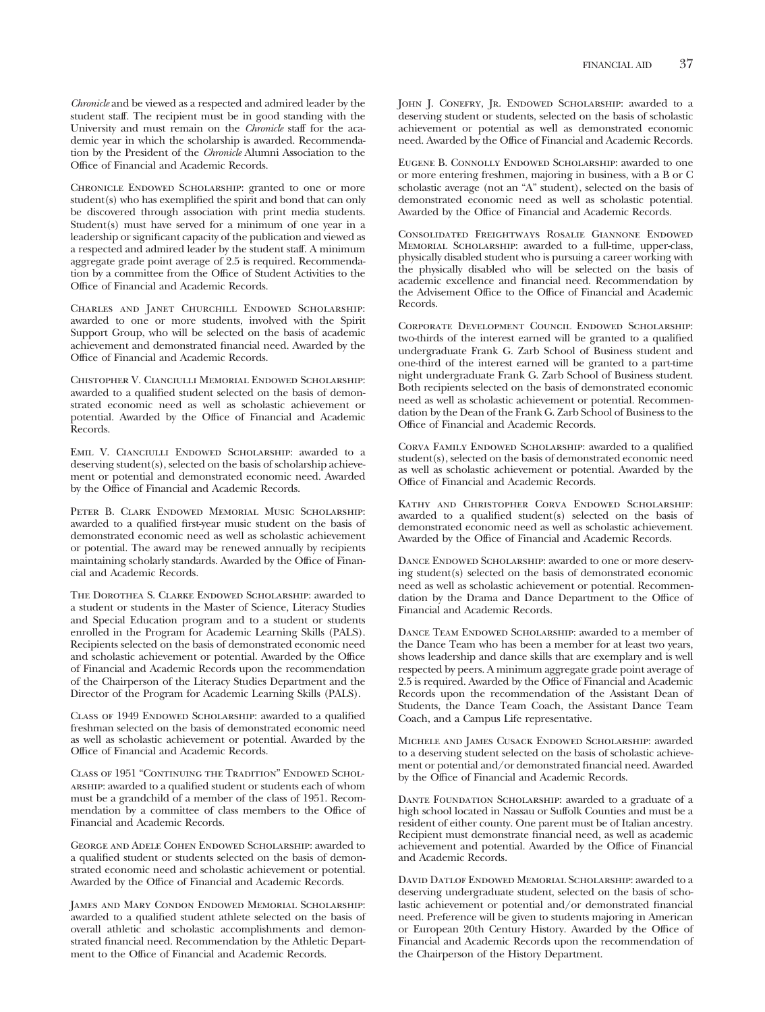CHRONICLE ENDOWED SCHOLARSHIP: granted to one or more student(s) who has exemplified the spirit and bond that can only be discovered through association with print media students. Student(s) must have served for a minimum of one year in a leadership or significant capacity of the publication and viewed as a respected and admired leader by the student staff. A minimum aggregate grade point average of 2.5 is required. Recommendation by a committee from the Office of Student Activities to the Office of Financial and Academic Records.

Charles and Janet Churchill Endowed Scholarship: awarded to one or more students, involved with the Spirit Support Group, who will be selected on the basis of academic achievement and demonstrated financial need. Awarded by the Office of Financial and Academic Records.

Chistopher V. Cianciulli Memorial Endowed Scholarship: awarded to a qualified student selected on the basis of demonstrated economic need as well as scholastic achievement or potential. Awarded by the Office of Financial and Academic Records.

Emil V. Cianciulli Endowed Scholarship: awarded to a deserving student(s), selected on the basis of scholarship achievement or potential and demonstrated economic need. Awarded by the Office of Financial and Academic Records.

Peter B. Clark Endowed Memorial Music Scholarship: awarded to a qualified first-year music student on the basis of demonstrated economic need as well as scholastic achievement or potential. The award may be renewed annually by recipients maintaining scholarly standards. Awarded by the Office of Financial and Academic Records.

The Dorothea S. Clarke Endowed Scholarship: awarded to a student or students in the Master of Science, Literacy Studies and Special Education program and to a student or students enrolled in the Program for Academic Learning Skills (PALS). Recipients selected on the basis of demonstrated economic need and scholastic achievement or potential. Awarded by the Office of Financial and Academic Records upon the recommendation of the Chairperson of the Literacy Studies Department and the Director of the Program for Academic Learning Skills (PALS).

CLASS OF 1949 ENDOWED SCHOLARSHIP: awarded to a qualified freshman selected on the basis of demonstrated economic need as well as scholastic achievement or potential. Awarded by the Office of Financial and Academic Records.

Class of 1951 "Continuing the Tradition" Endowed Scholarship: awarded to a qualified student or students each of whom must be a grandchild of a member of the class of 1951. Recommendation by a committee of class members to the Office of Financial and Academic Records.

George and Adele Cohen Endowed Scholarship: awarded to a qualified student or students selected on the basis of demonstrated economic need and scholastic achievement or potential. Awarded by the Office of Financial and Academic Records.

James and Mary Condon Endowed Memorial Scholarship: awarded to a qualified student athlete selected on the basis of overall athletic and scholastic accomplishments and demonstrated financial need. Recommendation by the Athletic Department to the Office of Financial and Academic Records.

JOHN J. CONEFRY, JR. ENDOWED SCHOLARSHIP: awarded to a deserving student or students, selected on the basis of scholastic achievement or potential as well as demonstrated economic need. Awarded by the Office of Financial and Academic Records.

Eugene B. Connolly Endowed Scholarship: awarded to one or more entering freshmen, majoring in business, with a B or C scholastic average (not an "A" student), selected on the basis of demonstrated economic need as well as scholastic potential. Awarded by the Office of Financial and Academic Records.

Consolidated Freightways Rosalie Giannone Endowed Memorial Scholarship: awarded to a full-time, upper-class, physically disabled student who is pursuing a career working with the physically disabled who will be selected on the basis of academic excellence and financial need. Recommendation by the Advisement Office to the Office of Financial and Academic Records.

Corporate Development Council Endowed Scholarship: two-thirds of the interest earned will be granted to a qualified undergraduate Frank G. Zarb School of Business student and one-third of the interest earned will be granted to a part-time night undergraduate Frank G. Zarb School of Business student. Both recipients selected on the basis of demonstrated economic need as well as scholastic achievement or potential. Recommendation by the Dean of the Frank G. Zarb School of Business to the Office of Financial and Academic Records.

CORVA FAMILY ENDOWED SCHOLARSHIP: awarded to a qualified student(s), selected on the basis of demonstrated economic need as well as scholastic achievement or potential. Awarded by the Office of Financial and Academic Records.

Kathy and Christopher Corva Endowed Scholarship: awarded to a qualified student(s) selected on the basis of demonstrated economic need as well as scholastic achievement. Awarded by the Office of Financial and Academic Records.

DANCE ENDOWED SCHOLARSHIP: awarded to one or more deserving student(s) selected on the basis of demonstrated economic need as well as scholastic achievement or potential. Recommendation by the Drama and Dance Department to the Office of Financial and Academic Records.

DANCE TEAM ENDOWED SCHOLARSHIP: awarded to a member of the Dance Team who has been a member for at least two years, shows leadership and dance skills that are exemplary and is well respected by peers. A minimum aggregate grade point average of 2.5 is required. Awarded by the Office of Financial and Academic Records upon the recommendation of the Assistant Dean of Students, the Dance Team Coach, the Assistant Dance Team Coach, and a Campus Life representative.

Michele and James Cusack Endowed Scholarship: awarded to a deserving student selected on the basis of scholastic achievement or potential and/or demonstrated financial need. Awarded by the Office of Financial and Academic Records.

DANTE FOUNDATION SCHOLARSHIP: awarded to a graduate of a high school located in Nassau or Suffolk Counties and must be a resident of either county. One parent must be of Italian ancestry. Recipient must demonstrate financial need, as well as academic achievement and potential. Awarded by the Office of Financial and Academic Records.

David Datlof Endowed Memorial Scholarship: awarded to a deserving undergraduate student, selected on the basis of scholastic achievement or potential and/or demonstrated financial need. Preference will be given to students majoring in American or European 20th Century History. Awarded by the Office of Financial and Academic Records upon the recommendation of the Chairperson of the History Department.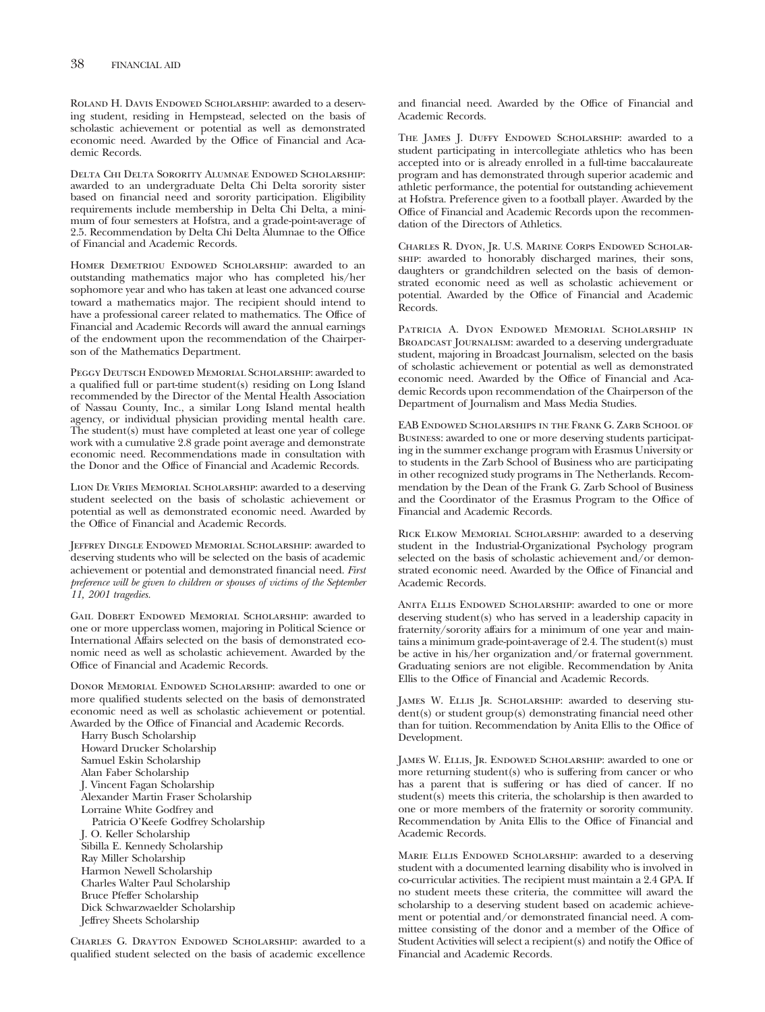ROLAND H. DAVIS ENDOWED SCHOLARSHIP: awarded to a deserving student, residing in Hempstead, selected on the basis of scholastic achievement or potential as well as demonstrated economic need. Awarded by the Office of Financial and Academic Records.

Delta Chi Delta Sorority Alumnae Endowed Scholarship: awarded to an undergraduate Delta Chi Delta sorority sister based on financial need and sorority participation. Eligibility requirements include membership in Delta Chi Delta, a minimum of four semesters at Hofstra, and a grade-point-average of 2.5. Recommendation by Delta Chi Delta Alumnae to the Office of Financial and Academic Records.

HOMER DEMETRIOU ENDOWED SCHOLARSHIP: awarded to an outstanding mathematics major who has completed his/her sophomore year and who has taken at least one advanced course toward a mathematics major. The recipient should intend to have a professional career related to mathematics. The Office of Financial and Academic Records will award the annual earnings of the endowment upon the recommendation of the Chairperson of the Mathematics Department.

Peggy Deutsch Endowed Memorial Scholarship: awarded to a qualified full or part-time student(s) residing on Long Island recommended by the Director of the Mental Health Association of Nassau County, Inc., a similar Long Island mental health agency, or individual physician providing mental health care. The student(s) must have completed at least one year of college work with a cumulative 2.8 grade point average and demonstrate economic need. Recommendations made in consultation with the Donor and the Office of Financial and Academic Records.

Lion De Vries Memorial Scholarship: awarded to a deserving student seelected on the basis of scholastic achievement or potential as well as demonstrated economic need. Awarded by the Office of Financial and Academic Records.

Jeffrey Dingle Endowed Memorial Scholarship: awarded to deserving students who will be selected on the basis of academic achievement or potential and demonstrated financial need. *First preference will be given to children or spouses of victims of the September 11, 2001 tragedies.*

Gail Dobert Endowed Memorial Scholarship: awarded to one or more upperclass women, majoring in Political Science or International Affairs selected on the basis of demonstrated economic need as well as scholastic achievement. Awarded by the Office of Financial and Academic Records.

DONOR MEMORIAL ENDOWED SCHOLARSHIP: awarded to one or more qualified students selected on the basis of demonstrated economic need as well as scholastic achievement or potential. Awarded by the Office of Financial and Academic Records.

Harry Busch Scholarship Howard Drucker Scholarship Samuel Eskin Scholarship Alan Faber Scholarship J. Vincent Fagan Scholarship Alexander Martin Fraser Scholarship Lorraine White Godfrey and Patricia O'Keefe Godfrey Scholarship J. O. Keller Scholarship Sibilla E. Kennedy Scholarship Ray Miller Scholarship Harmon Newell Scholarship Charles Walter Paul Scholarship Bruce Pfeffer Scholarship Dick Schwarzwaelder Scholarship Jeffrey Sheets Scholarship

Charles G. Drayton Endowed Scholarship: awarded to a qualified student selected on the basis of academic excellence and financial need. Awarded by the Office of Financial and Academic Records.

THE JAMES J. DUFFY ENDOWED SCHOLARSHIP: awarded to a student participating in intercollegiate athletics who has been accepted into or is already enrolled in a full-time baccalaureate program and has demonstrated through superior academic and athletic performance, the potential for outstanding achievement at Hofstra. Preference given to a football player. Awarded by the Office of Financial and Academic Records upon the recommendation of the Directors of Athletics.

Charles R. Dyon, Jr. U.S. Marine Corps Endowed Scholarship: awarded to honorably discharged marines, their sons, daughters or grandchildren selected on the basis of demonstrated economic need as well as scholastic achievement or potential. Awarded by the Office of Financial and Academic Records.

Patricia A. Dyon Endowed Memorial Scholarship in Broadcast Journalism: awarded to a deserving undergraduate student, majoring in Broadcast Journalism, selected on the basis of scholastic achievement or potential as well as demonstrated economic need. Awarded by the Office of Financial and Academic Records upon recommendation of the Chairperson of the Department of Journalism and Mass Media Studies.

EAB Endowed Scholarships in the Frank G. Zarb School of Business: awarded to one or more deserving students participating in the summer exchange program with Erasmus University or to students in the Zarb School of Business who are participating in other recognized study programs in The Netherlands. Recommendation by the Dean of the Frank G. Zarb School of Business and the Coordinator of the Erasmus Program to the Office of Financial and Academic Records.

Rick Elkow Memorial Scholarship: awarded to a deserving student in the Industrial-Organizational Psychology program selected on the basis of scholastic achievement and/or demonstrated economic need. Awarded by the Office of Financial and Academic Records.

ANITA ELLIS ENDOWED SCHOLARSHIP: awarded to one or more deserving student(s) who has served in a leadership capacity in fraternity/sorority affairs for a minimum of one year and maintains a minimum grade-point-average of 2.4. The student(s) must be active in his/her organization and/or fraternal government. Graduating seniors are not eligible. Recommendation by Anita Ellis to the Office of Financial and Academic Records.

JAMES W. ELLIS JR. SCHOLARSHIP: awarded to deserving student(s) or student group(s) demonstrating financial need other than for tuition. Recommendation by Anita Ellis to the Office of Development.

JAMES W. ELLIS, JR. ENDOWED SCHOLARSHIP: awarded to one or more returning student(s) who is suffering from cancer or who has a parent that is suffering or has died of cancer. If no student(s) meets this criteria, the scholarship is then awarded to one or more members of the fraternity or sorority community. Recommendation by Anita Ellis to the Office of Financial and Academic Records.

MARIE ELLIS ENDOWED SCHOLARSHIP: awarded to a deserving student with a documented learning disability who is involved in co-curricular activities. The recipient must maintain a 2.4 GPA. If no student meets these criteria, the committee will award the scholarship to a deserving student based on academic achievement or potential and/or demonstrated financial need. A committee consisting of the donor and a member of the Office of Student Activities will select a recipient(s) and notify the Office of Financial and Academic Records.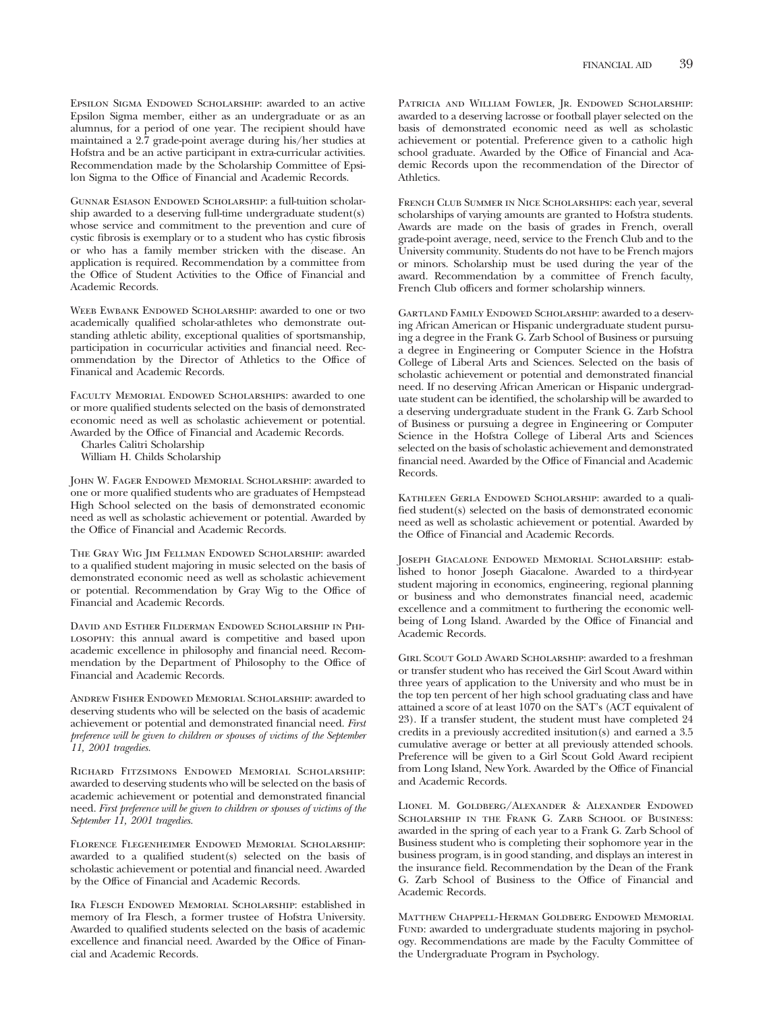Epsilon Sigma Endowed Scholarship: awarded to an active Epsilon Sigma member, either as an undergraduate or as an alumnus, for a period of one year. The recipient should have maintained a 2.7 grade-point average during his/her studies at Hofstra and be an active participant in extra-curricular activities. Recommendation made by the Scholarship Committee of Epsilon Sigma to the Office of Financial and Academic Records.

Gunnar Esiason Endowed Scholarship: a full-tuition scholarship awarded to a deserving full-time undergraduate student(s) whose service and commitment to the prevention and cure of cystic fibrosis is exemplary or to a student who has cystic fibrosis or who has a family member stricken with the disease. An application is required. Recommendation by a committee from the Office of Student Activities to the Office of Financial and Academic Records.

WEEB EWBANK ENDOWED SCHOLARSHIP: awarded to one or two academically qualified scholar-athletes who demonstrate outstanding athletic ability, exceptional qualities of sportsmanship, participation in cocurricular activities and financial need. Recommendation by the Director of Athletics to the Office of Finanical and Academic Records.

Faculty Memorial Endowed Scholarships: awarded to one or more qualified students selected on the basis of demonstrated economic need as well as scholastic achievement or potential. Awarded by the Office of Financial and Academic Records.

Charles Calitri Scholarship

William H. Childs Scholarship

John W. Fager Endowed Memorial Scholarship: awarded to one or more qualified students who are graduates of Hempstead High School selected on the basis of demonstrated economic need as well as scholastic achievement or potential. Awarded by the Office of Financial and Academic Records.

The Gray Wig Jim Fellman Endowed Scholarship: awarded to a qualified student majoring in music selected on the basis of demonstrated economic need as well as scholastic achievement or potential. Recommendation by Gray Wig to the Office of Financial and Academic Records.

David and Esther Filderman Endowed Scholarship in Philosophy: this annual award is competitive and based upon academic excellence in philosophy and financial need. Recommendation by the Department of Philosophy to the Office of Financial and Academic Records.

Andrew Fisher Endowed Memorial Scholarship: awarded to deserving students who will be selected on the basis of academic achievement or potential and demonstrated financial need. *First preference will be given to children or spouses of victims of the September 11, 2001 tragedies.*

Richard Fitzsimons Endowed Memorial Scholarship: awarded to deserving students who will be selected on the basis of academic achievement or potential and demonstrated financial need. *First preference will be given to children or spouses of victims of the September 11, 2001 tragedies.*

Florence Flegenheimer Endowed Memorial Scholarship: awarded to a qualified student(s) selected on the basis of scholastic achievement or potential and financial need. Awarded by the Office of Financial and Academic Records.

Ira Flesch Endowed Memorial Scholarship: established in memory of Ira Flesch, a former trustee of Hofstra University. Awarded to qualified students selected on the basis of academic excellence and financial need. Awarded by the Office of Financial and Academic Records.

PATRICIA AND WILLIAM FOWLER, JR. ENDOWED SCHOLARSHIP: awarded to a deserving lacrosse or football player selected on the basis of demonstrated economic need as well as scholastic achievement or potential. Preference given to a catholic high school graduate. Awarded by the Office of Financial and Academic Records upon the recommendation of the Director of Athletics.

French Club Summer in Nice Scholarships: each year, several scholarships of varying amounts are granted to Hofstra students. Awards are made on the basis of grades in French, overall grade-point average, need, service to the French Club and to the University community. Students do not have to be French majors or minors. Scholarship must be used during the year of the award. Recommendation by a committee of French faculty, French Club officers and former scholarship winners.

Gartland Family Endowed Scholarship: awarded to a deserving African American or Hispanic undergraduate student pursuing a degree in the Frank G. Zarb School of Business or pursuing a degree in Engineering or Computer Science in the Hofstra College of Liberal Arts and Sciences. Selected on the basis of scholastic achievement or potential and demonstrated financial need. If no deserving African American or Hispanic undergraduate student can be identified, the scholarship will be awarded to a deserving undergraduate student in the Frank G. Zarb School of Business or pursuing a degree in Engineering or Computer Science in the Hofstra College of Liberal Arts and Sciences selected on the basis of scholastic achievement and demonstrated financial need. Awarded by the Office of Financial and Academic Records.

KATHLEEN GERLA ENDOWED SCHOLARSHIP: awarded to a qualified student(s) selected on the basis of demonstrated economic need as well as scholastic achievement or potential. Awarded by the Office of Financial and Academic Records.

Joseph Giacalone Endowed Memorial Scholarship: established to honor Joseph Giacalone. Awarded to a third-year student majoring in economics, engineering, regional planning or business and who demonstrates financial need, academic excellence and a commitment to furthering the economic wellbeing of Long Island. Awarded by the Office of Financial and Academic Records.

Girl Scout Gold Award Scholarship: awarded to a freshman or transfer student who has received the Girl Scout Award within three years of application to the University and who must be in the top ten percent of her high school graduating class and have attained a score of at least 1070 on the SAT's (ACT equivalent of 23). If a transfer student, the student must have completed 24 credits in a previously accredited insitution(s) and earned a 3.5 cumulative average or better at all previously attended schools. Preference will be given to a Girl Scout Gold Award recipient from Long Island, New York. Awarded by the Office of Financial and Academic Records.

Lionel M. Goldberg/Alexander & Alexander Endowed SCHOLARSHIP IN THE FRANK G. ZARB SCHOOL OF BUSINESS: awarded in the spring of each year to a Frank G. Zarb School of Business student who is completing their sophomore year in the business program, is in good standing, and displays an interest in the insurance field. Recommendation by the Dean of the Frank G. Zarb School of Business to the Office of Financial and Academic Records.

Matthew Chappell-Herman Goldberg Endowed Memorial FUND: awarded to undergraduate students majoring in psychology. Recommendations are made by the Faculty Committee of the Undergraduate Program in Psychology.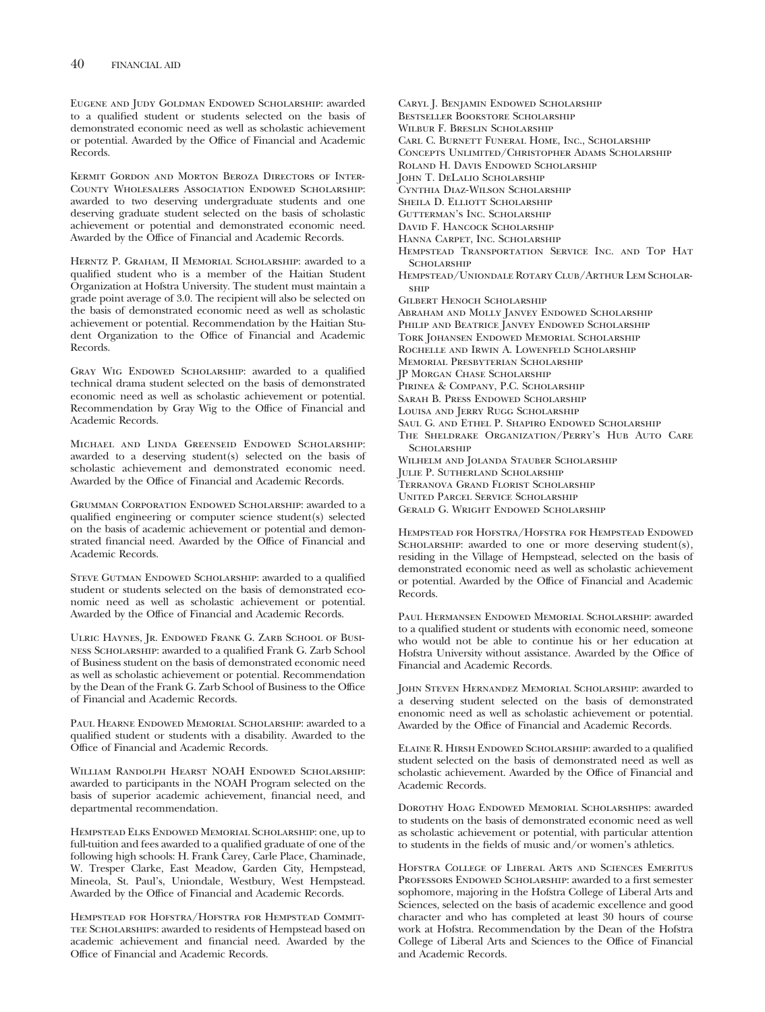Eugene and Judy Goldman Endowed Scholarship: awarded to a qualified student or students selected on the basis of demonstrated economic need as well as scholastic achievement or potential. Awarded by the Office of Financial and Academic Records.

Kermit Gordon and Morton Beroza Directors of Inter-County Wholesalers Association Endowed Scholarship: awarded to two deserving undergraduate students and one deserving graduate student selected on the basis of scholastic achievement or potential and demonstrated economic need. Awarded by the Office of Financial and Academic Records.

Herntz P. Graham, II Memorial Scholarship: awarded to a qualified student who is a member of the Haitian Student Organization at Hofstra University. The student must maintain a grade point average of 3.0. The recipient will also be selected on the basis of demonstrated economic need as well as scholastic achievement or potential. Recommendation by the Haitian Student Organization to the Office of Financial and Academic Records.

GRAY WIG ENDOWED SCHOLARSHIP: awarded to a qualified technical drama student selected on the basis of demonstrated economic need as well as scholastic achievement or potential. Recommendation by Gray Wig to the Office of Financial and Academic Records.

Michael and Linda Greenseid Endowed Scholarship: awarded to a deserving student(s) selected on the basis of scholastic achievement and demonstrated economic need. Awarded by the Office of Financial and Academic Records.

Grumman Corporation Endowed Scholarship: awarded to a qualified engineering or computer science student(s) selected on the basis of academic achievement or potential and demonstrated financial need. Awarded by the Office of Financial and Academic Records.

STEVE GUTMAN ENDOWED SCHOLARSHIP: awarded to a qualified student or students selected on the basis of demonstrated economic need as well as scholastic achievement or potential. Awarded by the Office of Financial and Academic Records.

Ulric Haynes, Jr. Endowed Frank G. Zarb School of Business Scholarship: awarded to a qualified Frank G. Zarb School of Business student on the basis of demonstrated economic need as well as scholastic achievement or potential. Recommendation by the Dean of the Frank G. Zarb School of Business to the Office of Financial and Academic Records.

PAUL HEARNE ENDOWED MEMORIAL SCHOLARSHIP: awarded to a qualified student or students with a disability. Awarded to the Office of Financial and Academic Records.

WILLIAM RANDOLPH HEARST NOAH ENDOWED SCHOLARSHIP: awarded to participants in the NOAH Program selected on the basis of superior academic achievement, financial need, and departmental recommendation.

Hempstead Elks Endowed Memorial Scholarship: one, up to full-tuition and fees awarded to a qualified graduate of one of the following high schools: H. Frank Carey, Carle Place, Chaminade, W. Tresper Clarke, East Meadow, Garden City, Hempstead, Mineola, St. Paul's, Uniondale, Westbury, West Hempstead. Awarded by the Office of Financial and Academic Records.

Hempstead for Hofstra/Hofstra for Hempstead Commit-TEE SCHOLARSHIPS: awarded to residents of Hempstead based on academic achievement and financial need. Awarded by the Office of Financial and Academic Records.

Carl C. Burnett Funeral Home, Inc., Scholarship Concepts Unlimited/Christopher Adams Scholarship Roland H. Davis Endowed Scholarship John T. DeLalio Scholarship Cynthia Diaz-Wilson Scholarship SHEILA D. ELLIOTT SCHOLARSHIP Gutterman's Inc. Scholarship David F. Hancock Scholarship Hanna Carpet, Inc. Scholarship Hempstead Transportation Service Inc. and Top Hat **SCHOLARSHIP** Hempstead/Uniondale Rotary Club/Arthur Lem Scholar-**SHIP** Gilbert Henoch Scholarship Abraham and Molly Janvey Endowed Scholarship PHILIP AND BEATRICE JANVEY ENDOWED SCHOLARSHIP Tork Johansen Endowed Memorial Scholarship Rochelle and Irwin A. Lowenfeld Scholarship Memorial Presbyterian Scholarship JP Morgan Chase Scholarship Pirinea & Company, P.C. Scholarship Sarah B. Press Endowed Scholarship LOUISA AND JERRY RUGG SCHOLARSHIP Saul G. and Ethel P. Shapiro Endowed Scholarship The Sheldrake Organization/Perry's Hub Auto Care **SCHOLARSHIP** Wilhelm and Jolanda Stauber Scholarship Julie P. Sutherland Scholarship Terranova Grand Florist Scholarship United Parcel Service Scholarship

Gerald G. Wright Endowed Scholarship

Caryl J. Benjamin Endowed Scholarship Bestseller Bookstore Scholarship Wilbur F. Breslin Scholarship

Hempstead for Hofstra/Hofstra for Hempstead Endowed SCHOLARSHIP: awarded to one or more deserving student(s), residing in the Village of Hempstead, selected on the basis of demonstrated economic need as well as scholastic achievement or potential. Awarded by the Office of Financial and Academic Records.

Paul Hermansen Endowed Memorial Scholarship: awarded to a qualified student or students with economic need, someone who would not be able to continue his or her education at Hofstra University without assistance. Awarded by the Office of Financial and Academic Records.

John Steven Hernandez Memorial Scholarship: awarded to a deserving student selected on the basis of demonstrated enonomic need as well as scholastic achievement or potential. Awarded by the Office of Financial and Academic Records.

Elaine R. Hirsh Endowed Scholarship: awarded to a qualified student selected on the basis of demonstrated need as well as scholastic achievement. Awarded by the Office of Financial and Academic Records.

DOROTHY HOAG ENDOWED MEMORIAL SCHOLARSHIPS: awarded to students on the basis of demonstrated economic need as well as scholastic achievement or potential, with particular attention to students in the fields of music and/or women's athletics.

Hofstra College of Liberal Arts and Sciences Emeritus PROFESSORS ENDOWED SCHOLARSHIP: awarded to a first semester sophomore, majoring in the Hofstra College of Liberal Arts and Sciences, selected on the basis of academic excellence and good character and who has completed at least 30 hours of course work at Hofstra. Recommendation by the Dean of the Hofstra College of Liberal Arts and Sciences to the Office of Financial and Academic Records.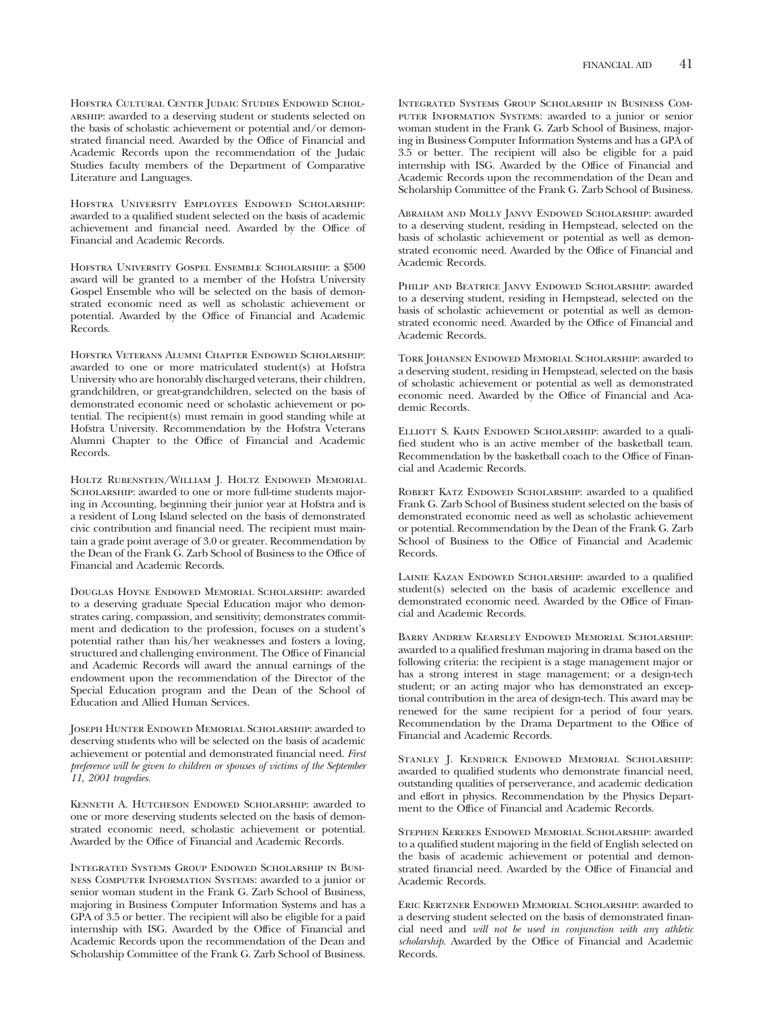Hofstra Cultural Center Judaic Studies Endowed Scholarship: awarded to a deserving student or students selected on the basis of scholastic achievement or potential and/or demonstrated financial need. Awarded by the Office of Financial and Academic Records upon the recommendation of the Judaic Studies faculty members of the Department of Comparative Literature and Languages.

Hofstra University Employees Endowed Scholarship: awarded to a qualified student selected on the basis of academic achievement and financial need. Awarded by the Office of Financial and Academic Records.

Hofstra University Gospel Ensemble Scholarship: a \$500 award will be granted to a member of the Hofstra University Gospel Ensemble who will be selected on the basis of demonstrated economic need as well as scholastic achievement or potential. Awarded by the Office of Financial and Academic Records.

Hofstra Veterans Alumni Chapter Endowed Scholarship: awarded to one or more matriculated student(s) at Hofstra University who are honorably discharged veterans, their children, grandchildren, or great-grandchildren, selected on the basis of demonstrated economic need or scholastic achievement or potential. The recipient(s) must remain in good standing while at Hofstra University. Recommendation by the Hofstra Veterans Alumni Chapter to the Office of Financial and Academic Records.

Holtz Rubenstein/William J. Holtz Endowed Memorial SCHOLARSHIP: awarded to one or more full-time students majoring in Accounting, beginning their junior year at Hofstra and is a resident of Long Island selected on the basis of demonstrated civic contribution and financial need. The recipient must maintain a grade point average of 3.0 or greater. Recommendation by the Dean of the Frank G. Zarb School of Business to the Office of Financial and Academic Records.

Douglas Hoyne Endowed Memorial Scholarship: awarded to a deserving graduate Special Education major who demonstrates caring, compassion, and sensitivity; demonstrates commitment and dedication to the profession, focuses on a student's potential rather than his/her weaknesses and fosters a loving, structured and challenging environment. The Office of Financial and Academic Records will award the annual earnings of the endowment upon the recommendation of the Director of the Special Education program and the Dean of the School of Education and Allied Human Services.

Joseph Hunter Endowed Memorial Scholarship: awarded to deserving students who will be selected on the basis of academic achievement or potential and demonstrated financial need. *First preference will be given to children or spouses of victims of the September 11, 2001 tragedies.*

Kenneth A. Hutcheson Endowed Scholarship: awarded to one or more deserving students selected on the basis of demonstrated economic need, scholastic achievement or potential. Awarded by the Office of Financial and Academic Records.

Integrated Systems Group Endowed Scholarship in Business Computer Information Systems: awarded to a junior or senior woman student in the Frank G. Zarb School of Business, majoring in Business Computer Information Systems and has a GPA of 3.5 or better. The recipient will also be eligible for a paid internship with ISG. Awarded by the Office of Financial and Academic Records upon the recommendation of the Dean and Scholarship Committee of the Frank G. Zarb School of Business.

Integrated Systems Group Scholarship in Business Computer Information Systems: awarded to a junior or senior woman student in the Frank G. Zarb School of Business, majoring in Business Computer Information Systems and has a GPA of 3.5 or better. The recipient will also be eligible for a paid internship with ISG. Awarded by the Office of Financial and Academic Records upon the recommendation of the Dean and Scholarship Committee of the Frank G. Zarb School of Business.

Abraham and Molly Janvy Endowed Scholarship: awarded to a deserving student, residing in Hempstead, selected on the basis of scholastic achievement or potential as well as demonstrated economic need. Awarded by the Office of Financial and Academic Records.

PHILIP AND BEATRICE JANVY ENDOWED SCHOLARSHIP: awarded to a deserving student, residing in Hempstead, selected on the basis of scholastic achievement or potential as well as demonstrated economic need. Awarded by the Office of Financial and Academic Records.

Tork Johansen Endowed Memorial Scholarship: awarded to a deserving student, residing in Hempstead, selected on the basis of scholastic achievement or potential as well as demonstrated economic need. Awarded by the Office of Financial and Academic Records.

ELLIOTT S. KAHN ENDOWED SCHOLARSHIP: awarded to a qualified student who is an active member of the basketball team. Recommendation by the basketball coach to the Office of Financial and Academic Records.

ROBERT KATZ ENDOWED SCHOLARSHIP: awarded to a qualified Frank G. Zarb School of Business student selected on the basis of demonstrated economic need as well as scholastic achievement or potential. Recommendation by the Dean of the Frank G. Zarb School of Business to the Office of Financial and Academic Records.

LAINIE KAZAN ENDOWED SCHOLARSHIP: awarded to a qualified student(s) selected on the basis of academic excellence and demonstrated economic need. Awarded by the Office of Financial and Academic Records.

Barry Andrew Kearsley Endowed Memorial Scholarship: awarded to a qualified freshman majoring in drama based on the following criteria: the recipient is a stage management major or has a strong interest in stage management; or a design-tech student; or an acting major who has demonstrated an exceptional contribution in the area of design-tech. This award may be renewed for the same recipient for a period of four years. Recommendation by the Drama Department to the Office of Financial and Academic Records.

STANLEY J. KENDRICK ENDOWED MEMORIAL SCHOLARSHIP: awarded to qualified students who demonstrate financial need, outstanding qualities of perserverance, and academic dedication and effort in physics. Recommendation by the Physics Department to the Office of Financial and Academic Records.

Stephen Kerekes Endowed Memorial Scholarship: awarded to a qualified student majoring in the field of English selected on the basis of academic achievement or potential and demonstrated financial need. Awarded by the Office of Financial and Academic Records.

Eric Kertzner Endowed Memorial Scholarship: awarded to a deserving student selected on the basis of demonstrated financial need and *will not be used in conjunction with any athletic scholarship*. Awarded by the Office of Financial and Academic Records.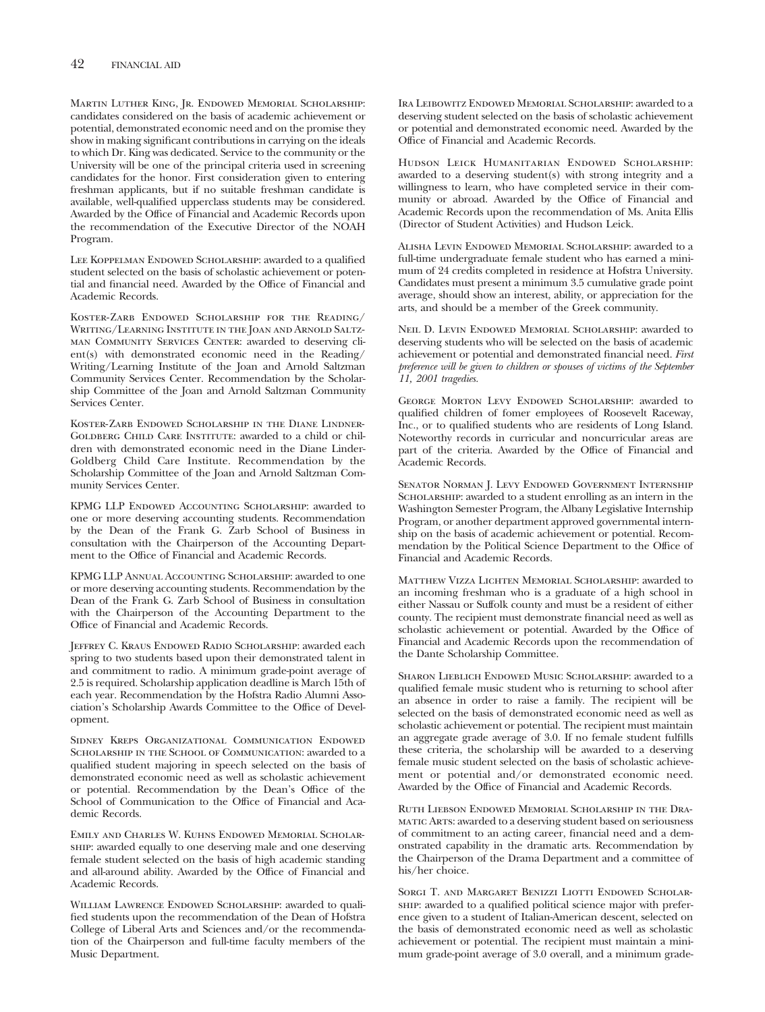Martin Luther King, Jr. Endowed Memorial Scholarship: candidates considered on the basis of academic achievement or potential, demonstrated economic need and on the promise they show in making significant contributions in carrying on the ideals to which Dr. King was dedicated. Service to the community or the University will be one of the principal criteria used in screening candidates for the honor. First consideration given to entering freshman applicants, but if no suitable freshman candidate is available, well-qualified upperclass students may be considered. Awarded by the Office of Financial and Academic Records upon the recommendation of the Executive Director of the NOAH Program.

LEE KOPPELMAN ENDOWED SCHOLARSHIP: awarded to a qualified student selected on the basis of scholastic achievement or potential and financial need. Awarded by the Office of Financial and Academic Records.

Koster-Zarb Endowed Scholarship for the Reading/ Writing/Learning Institute in the Joan and Arnold Saltzman Community Services Center: awarded to deserving client(s) with demonstrated economic need in the Reading/ Writing/Learning Institute of the Joan and Arnold Saltzman Community Services Center. Recommendation by the Scholarship Committee of the Joan and Arnold Saltzman Community Services Center.

Koster-Zarb Endowed Scholarship in the Diane Lindner-GOLDBERG CHILD CARE INSTITUTE: awarded to a child or children with demonstrated economic need in the Diane Linder-Goldberg Child Care Institute. Recommendation by the Scholarship Committee of the Joan and Arnold Saltzman Community Services Center.

KPMG LLP Endowed Accounting Scholarship: awarded to one or more deserving accounting students. Recommendation by the Dean of the Frank G. Zarb School of Business in consultation with the Chairperson of the Accounting Department to the Office of Financial and Academic Records.

KPMG LLP Annual Accounting Scholarship: awarded to one or more deserving accounting students. Recommendation by the Dean of the Frank G. Zarb School of Business in consultation with the Chairperson of the Accounting Department to the Office of Financial and Academic Records.

Jeffrey C. Kraus Endowed Radio Scholarship: awarded each spring to two students based upon their demonstrated talent in and commitment to radio. A minimum grade-point average of 2.5 is required. Scholarship application deadline is March 15th of each year. Recommendation by the Hofstra Radio Alumni Association's Scholarship Awards Committee to the Office of Development.

Sidney Kreps Organizational Communication Endowed SCHOLARSHIP IN THE SCHOOL OF COMMUNICATION: awarded to a qualified student majoring in speech selected on the basis of demonstrated economic need as well as scholastic achievement or potential. Recommendation by the Dean's Office of the School of Communication to the Office of Financial and Academic Records.

Emily and Charles W. Kuhns Endowed Memorial Scholarship: awarded equally to one deserving male and one deserving female student selected on the basis of high academic standing and all-around ability. Awarded by the Office of Financial and Academic Records.

WILLIAM LAWRENCE ENDOWED SCHOLARSHIP: awarded to qualified students upon the recommendation of the Dean of Hofstra College of Liberal Arts and Sciences and/or the recommendation of the Chairperson and full-time faculty members of the Music Department.

Ira Leibowitz Endowed Memorial Scholarship: awarded to a deserving student selected on the basis of scholastic achievement or potential and demonstrated economic need. Awarded by the Office of Financial and Academic Records.

Hudson Leick Humanitarian Endowed Scholarship: awarded to a deserving student(s) with strong integrity and a willingness to learn, who have completed service in their community or abroad. Awarded by the Office of Financial and Academic Records upon the recommendation of Ms. Anita Ellis (Director of Student Activities) and Hudson Leick.

Alisha Levin Endowed Memorial Scholarship: awarded to a full-time undergraduate female student who has earned a minimum of 24 credits completed in residence at Hofstra University. Candidates must present a minimum 3.5 cumulative grade point average, should show an interest, ability, or appreciation for the arts, and should be a member of the Greek community.

Neil D. Levin Endowed Memorial Scholarship: awarded to deserving students who will be selected on the basis of academic achievement or potential and demonstrated financial need. *First preference will be given to children or spouses of victims of the September 11, 2001 tragedies.*

George Morton Levy Endowed Scholarship: awarded to qualified children of fomer employees of Roosevelt Raceway, Inc., or to qualified students who are residents of Long Island. Noteworthy records in curricular and noncurricular areas are part of the criteria. Awarded by the Office of Financial and Academic Records.

SENATOR NORMAN J. LEVY ENDOWED GOVERNMENT INTERNSHIP SCHOLARSHIP: awarded to a student enrolling as an intern in the Washington Semester Program, the Albany Legislative Internship Program, or another department approved governmental internship on the basis of academic achievement or potential. Recommendation by the Political Science Department to the Office of Financial and Academic Records.

Matthew Vizza Lichten Memorial Scholarship: awarded to an incoming freshman who is a graduate of a high school in either Nassau or Suffolk county and must be a resident of either county. The recipient must demonstrate financial need as well as scholastic achievement or potential. Awarded by the Office of Financial and Academic Records upon the recommendation of the Dante Scholarship Committee.

Sharon Lieblich Endowed Music Scholarship: awarded to a qualified female music student who is returning to school after an absence in order to raise a family. The recipient will be selected on the basis of demonstrated economic need as well as scholastic achievement or potential. The recipient must maintain an aggregate grade average of 3.0. If no female student fulfills these criteria, the scholarship will be awarded to a deserving female music student selected on the basis of scholastic achievement or potential and/or demonstrated economic need. Awarded by the Office of Financial and Academic Records.

Ruth Liebson Endowed Memorial Scholarship in the Dramatic Arts: awarded to a deserving student based on seriousness of commitment to an acting career, financial need and a demonstrated capability in the dramatic arts. Recommendation by the Chairperson of the Drama Department and a committee of his/her choice.

SORGI T. AND MARGARET BENIZZI LIOTTI ENDOWED SCHOLARship: awarded to a qualified political science major with preference given to a student of Italian-American descent, selected on the basis of demonstrated economic need as well as scholastic achievement or potential. The recipient must maintain a minimum grade-point average of 3.0 overall, and a minimum grade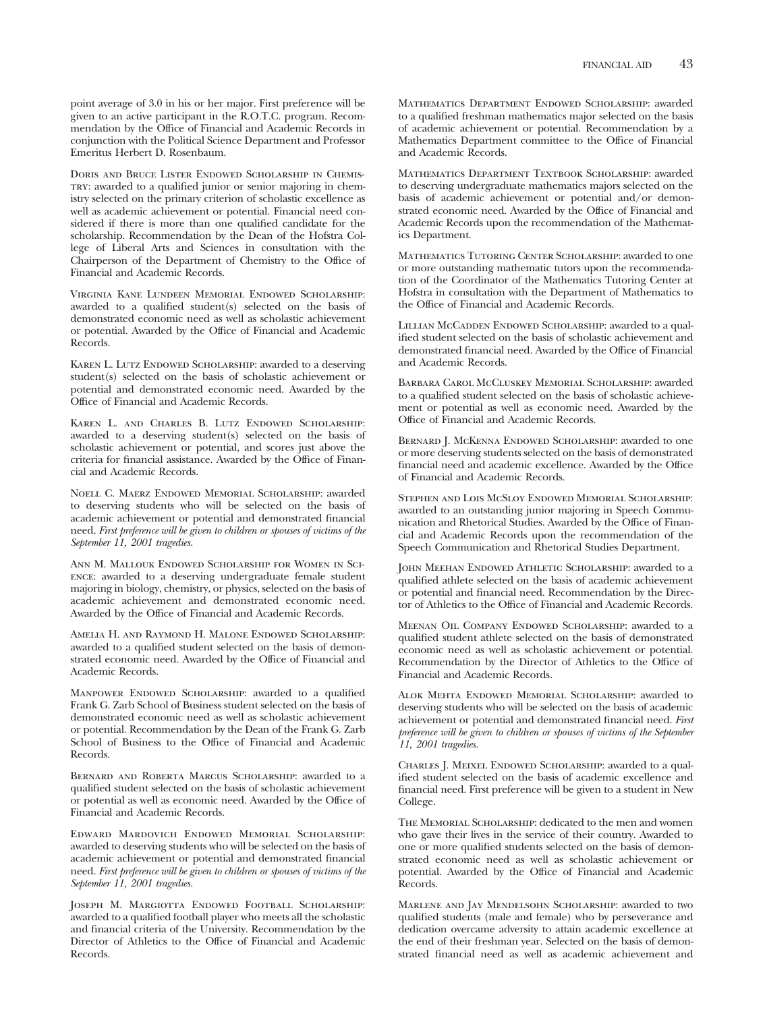point average of 3.0 in his or her major. First preference will be given to an active participant in the R.O.T.C. program. Recommendation by the Office of Financial and Academic Records in conjunction with the Political Science Department and Professor Emeritus Herbert D. Rosenbaum.

Doris and Bruce Lister Endowed Scholarship in Chemistry: awarded to a qualified junior or senior majoring in chemistry selected on the primary criterion of scholastic excellence as well as academic achievement or potential. Financial need considered if there is more than one qualified candidate for the scholarship. Recommendation by the Dean of the Hofstra College of Liberal Arts and Sciences in consultation with the Chairperson of the Department of Chemistry to the Office of Financial and Academic Records.

Virginia Kane Lundeen Memorial Endowed Scholarship: awarded to a qualified student(s) selected on the basis of demonstrated economic need as well as scholastic achievement or potential. Awarded by the Office of Financial and Academic Records.

KAREN L. LUTZ ENDOWED SCHOLARSHIP: awarded to a deserving student(s) selected on the basis of scholastic achievement or potential and demonstrated economic need. Awarded by the Office of Financial and Academic Records.

Karen L. and Charles B. Lutz Endowed Scholarship: awarded to a deserving student(s) selected on the basis of scholastic achievement or potential, and scores just above the criteria for financial assistance. Awarded by the Office of Financial and Academic Records.

Noell C. Maerz Endowed Memorial Scholarship: awarded to deserving students who will be selected on the basis of academic achievement or potential and demonstrated financial need. *First preference will be given to children or spouses of victims of the September 11, 2001 tragedies.*

Ann M. Mallouk Endowed Scholarship for Women in Science: awarded to a deserving undergraduate female student majoring in biology, chemistry, or physics, selected on the basis of academic achievement and demonstrated economic need. Awarded by the Office of Financial and Academic Records.

Amelia H. and Raymond H. Malone Endowed Scholarship: awarded to a qualified student selected on the basis of demonstrated economic need. Awarded by the Office of Financial and Academic Records.

MANPOWER ENDOWED SCHOLARSHIP: awarded to a qualified Frank G. Zarb School of Business student selected on the basis of demonstrated economic need as well as scholastic achievement or potential. Recommendation by the Dean of the Frank G. Zarb School of Business to the Office of Financial and Academic Records.

Bernard and Roberta Marcus Scholarship: awarded to a qualified student selected on the basis of scholastic achievement or potential as well as economic need. Awarded by the Office of Financial and Academic Records.

Edward Mardovich Endowed Memorial Scholarship: awarded to deserving students who will be selected on the basis of academic achievement or potential and demonstrated financial need. *First preference will be given to children or spouses of victims of the September 11, 2001 tragedies.*

Joseph M. Margiotta Endowed Football Scholarship: awarded to a qualified football player who meets all the scholastic and financial criteria of the University. Recommendation by the Director of Athletics to the Office of Financial and Academic Records.

Mathematics Department Endowed Scholarship: awarded to a qualified freshman mathematics major selected on the basis of academic achievement or potential. Recommendation by a Mathematics Department committee to the Office of Financial and Academic Records.

MATHEMATICS DEPARTMENT TEXTBOOK SCHOLARSHIP: awarded to deserving undergraduate mathematics majors selected on the basis of academic achievement or potential and/or demonstrated economic need. Awarded by the Office of Financial and Academic Records upon the recommendation of the Mathematics Department.

Mathematics Tutoring Center Scholarship: awarded to one or more outstanding mathematic tutors upon the recommendation of the Coordinator of the Mathematics Tutoring Center at Hofstra in consultation with the Department of Mathematics to the Office of Financial and Academic Records.

LILLIAN McCADDEN ENDOWED SCHOLARSHIP: awarded to a qualified student selected on the basis of scholastic achievement and demonstrated financial need. Awarded by the Office of Financial and Academic Records.

Barbara Carol McCluskey Memorial Scholarship: awarded to a qualified student selected on the basis of scholastic achievement or potential as well as economic need. Awarded by the Office of Financial and Academic Records.

BERNARD J. MCKENNA ENDOWED SCHOLARSHIP: awarded to one or more deserving students selected on the basis of demonstrated financial need and academic excellence. Awarded by the Office of Financial and Academic Records.

Stephen and Lois McSloy Endowed Memorial Scholarship: awarded to an outstanding junior majoring in Speech Communication and Rhetorical Studies. Awarded by the Office of Financial and Academic Records upon the recommendation of the Speech Communication and Rhetorical Studies Department.

JOHN MEEHAN ENDOWED ATHLETIC SCHOLARSHIP: awarded to a qualified athlete selected on the basis of academic achievement or potential and financial need. Recommendation by the Director of Athletics to the Office of Financial and Academic Records.

Meenan Oil Company Endowed Scholarship: awarded to a qualified student athlete selected on the basis of demonstrated economic need as well as scholastic achievement or potential. Recommendation by the Director of Athletics to the Office of Financial and Academic Records.

Alok Mehta Endowed Memorial Scholarship: awarded to deserving students who will be selected on the basis of academic achievement or potential and demonstrated financial need. *First preference will be given to children or spouses of victims of the September 11, 2001 tragedies.*

Charles J. Meixel Endowed Scholarship: awarded to a qualified student selected on the basis of academic excellence and financial need. First preference will be given to a student in New College.

The Memorial Scholarship: dedicated to the men and women who gave their lives in the service of their country. Awarded to one or more qualified students selected on the basis of demonstrated economic need as well as scholastic achievement or potential. Awarded by the Office of Financial and Academic Records.

Marlene and Jay Mendelsohn Scholarship: awarded to two qualified students (male and female) who by perseverance and dedication overcame adversity to attain academic excellence at the end of their freshman year. Selected on the basis of demonstrated financial need as well as academic achievement and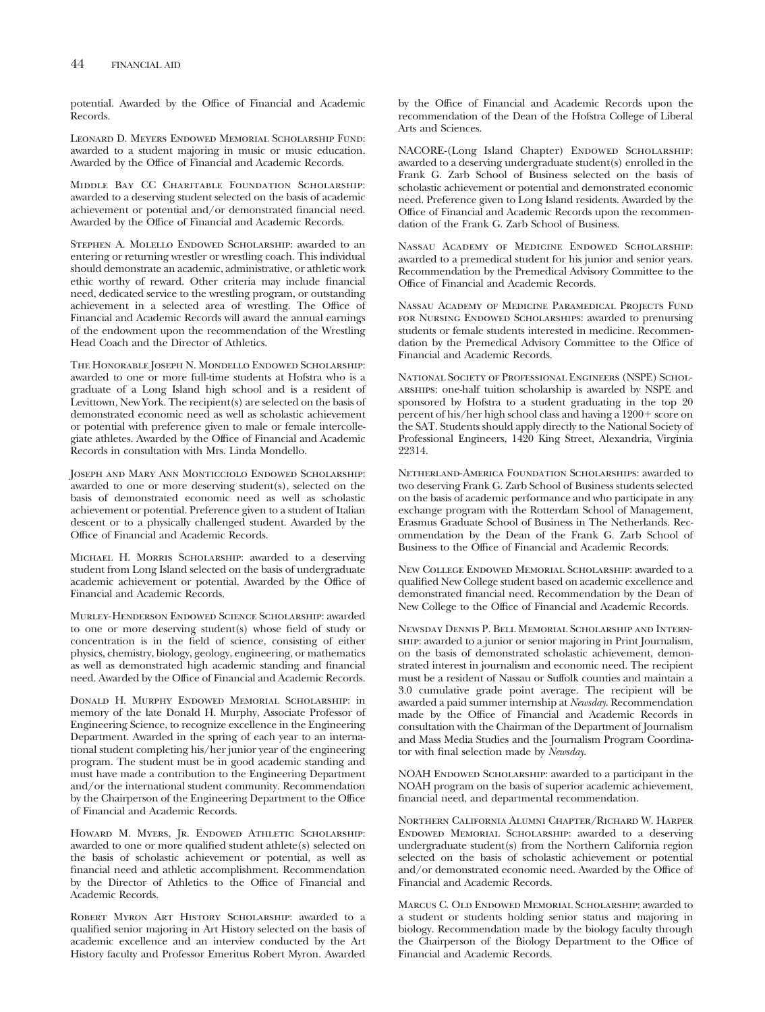potential. Awarded by the Office of Financial and Academic Records.

Leonard D. Meyers Endowed Memorial Scholarship Fund: awarded to a student majoring in music or music education. Awarded by the Office of Financial and Academic Records.

Middle Bay CC Charitable Foundation Scholarship: awarded to a deserving student selected on the basis of academic achievement or potential and/or demonstrated financial need. Awarded by the Office of Financial and Academic Records.

Stephen A. Molello Endowed Scholarship: awarded to an entering or returning wrestler or wrestling coach. This individual should demonstrate an academic, administrative, or athletic work ethic worthy of reward. Other criteria may include financial need, dedicated service to the wrestling program, or outstanding achievement in a selected area of wrestling. The Office of Financial and Academic Records will award the annual earnings of the endowment upon the recommendation of the Wrestling Head Coach and the Director of Athletics.

The Honorable Joseph N. Mondello Endowed Scholarship: awarded to one or more full-time students at Hofstra who is a graduate of a Long Island high school and is a resident of Levittown, New York. The recipient(s) are selected on the basis of demonstrated economic need as well as scholastic achievement or potential with preference given to male or female intercollegiate athletes. Awarded by the Office of Financial and Academic Records in consultation with Mrs. Linda Mondello.

Joseph and Mary Ann Monticciolo Endowed Scholarship: awarded to one or more deserving student(s), selected on the basis of demonstrated economic need as well as scholastic achievement or potential. Preference given to a student of Italian descent or to a physically challenged student. Awarded by the Office of Financial and Academic Records.

Michael H. Morris Scholarship: awarded to a deserving student from Long Island selected on the basis of undergraduate academic achievement or potential. Awarded by the Office of Financial and Academic Records.

Murley-Henderson Endowed Science Scholarship: awarded to one or more deserving student(s) whose field of study or concentration is in the field of science, consisting of either physics, chemistry, biology, geology, engineering, or mathematics as well as demonstrated high academic standing and financial need. Awarded by the Office of Financial and Academic Records.

Donald H. Murphy Endowed Memorial Scholarship: in memory of the late Donald H. Murphy, Associate Professor of Engineering Science, to recognize excellence in the Engineering Department. Awarded in the spring of each year to an international student completing his/her junior year of the engineering program. The student must be in good academic standing and must have made a contribution to the Engineering Department and/or the international student community. Recommendation by the Chairperson of the Engineering Department to the Office of Financial and Academic Records.

HOWARD M. MYERS, JR. ENDOWED ATHLETIC SCHOLARSHIP: awarded to one or more qualified student athlete(s) selected on the basis of scholastic achievement or potential, as well as financial need and athletic accomplishment. Recommendation by the Director of Athletics to the Office of Financial and Academic Records.

Robert Myron Art History Scholarship: awarded to a qualified senior majoring in Art History selected on the basis of academic excellence and an interview conducted by the Art History faculty and Professor Emeritus Robert Myron. Awarded by the Office of Financial and Academic Records upon the recommendation of the Dean of the Hofstra College of Liberal Arts and Sciences.

NACORE-(Long Island Chapter) ENDOWED SCHOLARSHIP: awarded to a deserving undergraduate student(s) enrolled in the Frank G. Zarb School of Business selected on the basis of scholastic achievement or potential and demonstrated economic need. Preference given to Long Island residents. Awarded by the Office of Financial and Academic Records upon the recommendation of the Frank G. Zarb School of Business.

Nassau Academy of Medicine Endowed Scholarship: awarded to a premedical student for his junior and senior years. Recommendation by the Premedical Advisory Committee to the Office of Financial and Academic Records.

Nassau Academy of Medicine Paramedical Projects Fund FOR NURSING ENDOWED SCHOLARSHIPS: awarded to prenursing students or female students interested in medicine. Recommendation by the Premedical Advisory Committee to the Office of Financial and Academic Records.

National Society of Professional Engineers (NSPE) Scholarships: one-half tuition scholarship is awarded by NSPE and sponsored by Hofstra to a student graduating in the top 20 percent of his/her high school class and having a 1200+ score on the SAT. Students should apply directly to the National Society of Professional Engineers, 1420 King Street, Alexandria, Virginia 22314.

Netherland-America Foundation Scholarships: awarded to two deserving Frank G. Zarb School of Business students selected on the basis of academic performance and who participate in any exchange program with the Rotterdam School of Management, Erasmus Graduate School of Business in The Netherlands. Recommendation by the Dean of the Frank G. Zarb School of Business to the Office of Financial and Academic Records.

New College Endowed Memorial Scholarship: awarded to a qualified New College student based on academic excellence and demonstrated financial need. Recommendation by the Dean of New College to the Office of Financial and Academic Records.

Newsday Dennis P. Bell Memorial Scholarship and Internship: awarded to a junior or senior majoring in Print Journalism, on the basis of demonstrated scholastic achievement, demonstrated interest in journalism and economic need. The recipient must be a resident of Nassau or Suffolk counties and maintain a 3.0 cumulative grade point average. The recipient will be awarded a paid summer internship at *Newsday*. Recommendation made by the Office of Financial and Academic Records in consultation with the Chairman of the Department of Journalism and Mass Media Studies and the Journalism Program Coordinator with final selection made by *Newsday*.

NOAH ENDOWED SCHOLARSHIP: awarded to a participant in the NOAH program on the basis of superior academic achievement, financial need, and departmental recommendation.

Northern California Alumni Chapter/Richard W. Harper Endowed Memorial Scholarship: awarded to a deserving undergraduate student(s) from the Northern California region selected on the basis of scholastic achievement or potential and/or demonstrated economic need. Awarded by the Office of Financial and Academic Records.

Marcus C. Old Endowed Memorial Scholarship: awarded to a student or students holding senior status and majoring in biology. Recommendation made by the biology faculty through the Chairperson of the Biology Department to the Office of Financial and Academic Records.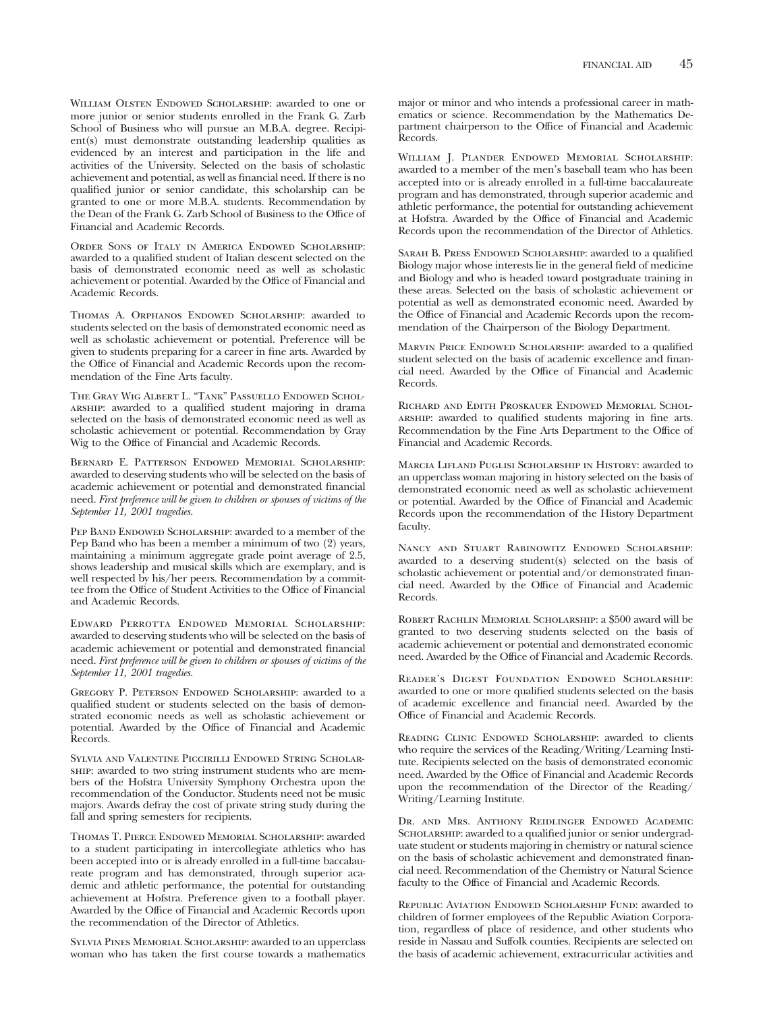William Olsten Endowed Scholarship: awarded to one or more junior or senior students enrolled in the Frank G. Zarb School of Business who will pursue an M.B.A. degree. Recipient(s) must demonstrate outstanding leadership qualities as evidenced by an interest and participation in the life and activities of the University. Selected on the basis of scholastic achievement and potential, as well as financial need. If there is no qualified junior or senior candidate, this scholarship can be granted to one or more M.B.A. students. Recommendation by the Dean of the Frank G. Zarb School of Business to the Office of Financial and Academic Records.

Order Sons of Italy in America Endowed Scholarship: awarded to a qualified student of Italian descent selected on the basis of demonstrated economic need as well as scholastic achievement or potential. Awarded by the Office of Financial and Academic Records.

Thomas A. Orphanos Endowed Scholarship: awarded to students selected on the basis of demonstrated economic need as well as scholastic achievement or potential. Preference will be given to students preparing for a career in fine arts. Awarded by the Office of Financial and Academic Records upon the recommendation of the Fine Arts faculty.

The Gray Wig Albert L. "Tank" Passuello Endowed Scholarship: awarded to a qualified student majoring in drama selected on the basis of demonstrated economic need as well as scholastic achievement or potential. Recommendation by Gray Wig to the Office of Financial and Academic Records.

Bernard E. Patterson Endowed Memorial Scholarship: awarded to deserving students who will be selected on the basis of academic achievement or potential and demonstrated financial need. *First preference will be given to children or spouses of victims of the September 11, 2001 tragedies.*

PEP BAND ENDOWED SCHOLARSHIP: awarded to a member of the Pep Band who has been a member a minimum of two (2) years, maintaining a minimum aggregate grade point average of 2.5, shows leadership and musical skills which are exemplary, and is well respected by his/her peers. Recommendation by a committee from the Office of Student Activities to the Office of Financial and Academic Records.

Edward Perrotta Endowed Memorial Scholarship: awarded to deserving students who will be selected on the basis of academic achievement or potential and demonstrated financial need. *First preference will be given to children or spouses of victims of the September 11, 2001 tragedies.*

Gregory P. Peterson Endowed Scholarship: awarded to a qualified student or students selected on the basis of demonstrated economic needs as well as scholastic achievement or potential. Awarded by the Office of Financial and Academic Records.

Sylvia and Valentine Piccirilli Endowed String Scholarship: awarded to two string instrument students who are members of the Hofstra University Symphony Orchestra upon the recommendation of the Conductor. Students need not be music majors. Awards defray the cost of private string study during the fall and spring semesters for recipients.

Thomas T. Pierce Endowed Memorial Scholarship: awarded to a student participating in intercollegiate athletics who has been accepted into or is already enrolled in a full-time baccalaureate program and has demonstrated, through superior academic and athletic performance, the potential for outstanding achievement at Hofstra. Preference given to a football player. Awarded by the Office of Financial and Academic Records upon the recommendation of the Director of Athletics.

Sylvia Pines Memorial Scholarship: awarded to an upperclass woman who has taken the first course towards a mathematics major or minor and who intends a professional career in mathematics or science. Recommendation by the Mathematics Department chairperson to the Office of Financial and Academic Records.

WILLIAM J. PLANDER ENDOWED MEMORIAL SCHOLARSHIP: awarded to a member of the men's baseball team who has been accepted into or is already enrolled in a full-time baccalaureate program and has demonstrated, through superior academic and athletic performance, the potential for outstanding achievement at Hofstra. Awarded by the Office of Financial and Academic Records upon the recommendation of the Director of Athletics.

SARAH B. PRESS ENDOWED SCHOLARSHIP: awarded to a qualified Biology major whose interests lie in the general field of medicine and Biology and who is headed toward postgraduate training in these areas. Selected on the basis of scholastic achievement or potential as well as demonstrated economic need. Awarded by the Office of Financial and Academic Records upon the recommendation of the Chairperson of the Biology Department.

MARVIN PRICE ENDOWED SCHOLARSHIP: awarded to a qualified student selected on the basis of academic excellence and financial need. Awarded by the Office of Financial and Academic Records.

Richard and Edith Proskauer Endowed Memorial Scholarship: awarded to qualified students majoring in fine arts. Recommendation by the Fine Arts Department to the Office of Financial and Academic Records.

Marcia Lifland Puglisi Scholarship in History: awarded to an upperclass woman majoring in history selected on the basis of demonstrated economic need as well as scholastic achievement or potential. Awarded by the Office of Financial and Academic Records upon the recommendation of the History Department faculty.

Nancy and Stuart Rabinowitz Endowed Scholarship: awarded to a deserving student(s) selected on the basis of scholastic achievement or potential and/or demonstrated financial need. Awarded by the Office of Financial and Academic Records.

Robert Rachlin Memorial Scholarship: a \$500 award will be granted to two deserving students selected on the basis of academic achievement or potential and demonstrated economic need. Awarded by the Office of Financial and Academic Records.

Reader's Digest Foundation Endowed Scholarship: awarded to one or more qualified students selected on the basis of academic excellence and financial need. Awarded by the Office of Financial and Academic Records.

Reading Clinic Endowed Scholarship: awarded to clients who require the services of the Reading/Writing/Learning Institute. Recipients selected on the basis of demonstrated economic need. Awarded by the Office of Financial and Academic Records upon the recommendation of the Director of the Reading/ Writing/Learning Institute.

Dr. and Mrs. Anthony Reidlinger Endowed Academic SCHOLARSHIP: awarded to a qualified junior or senior undergraduate student or students majoring in chemistry or natural science on the basis of scholastic achievement and demonstrated financial need. Recommendation of the Chemistry or Natural Science faculty to the Office of Financial and Academic Records.

Republic Aviation Endowed Scholarship Fund: awarded to children of former employees of the Republic Aviation Corporation, regardless of place of residence, and other students who reside in Nassau and Suffolk counties. Recipients are selected on the basis of academic achievement, extracurricular activities and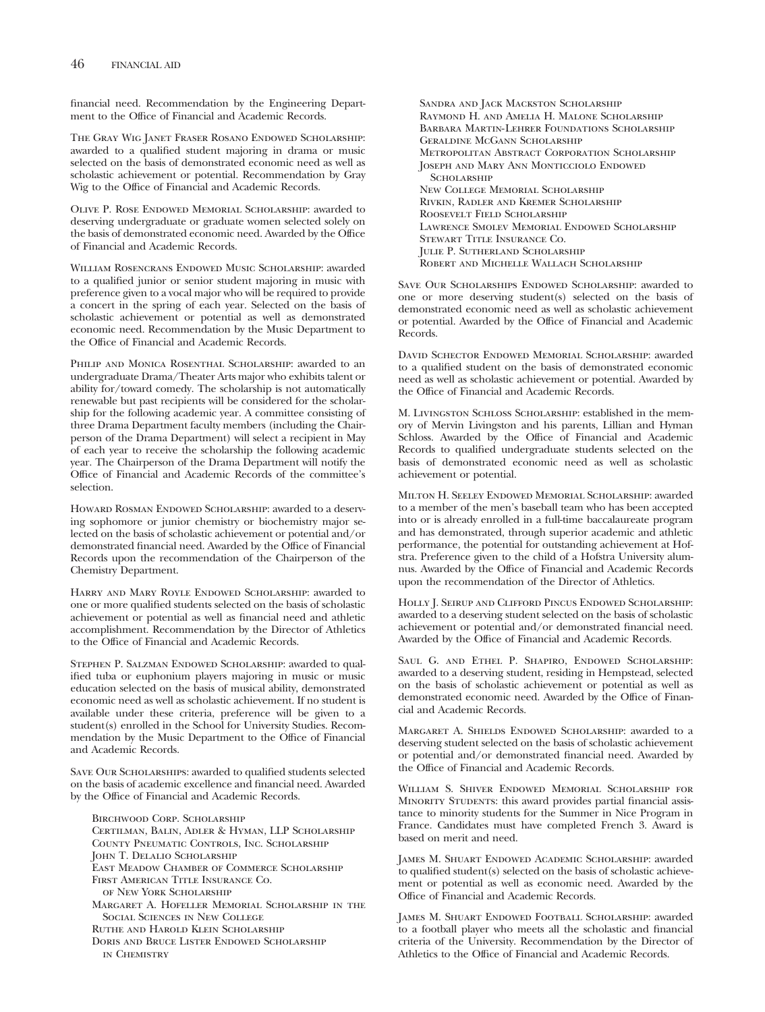financial need. Recommendation by the Engineering Department to the Office of Financial and Academic Records.

The Gray Wig Janet Fraser Rosano Endowed Scholarship: awarded to a qualified student majoring in drama or music selected on the basis of demonstrated economic need as well as scholastic achievement or potential. Recommendation by Gray Wig to the Office of Financial and Academic Records.

Olive P. Rose Endowed Memorial Scholarship: awarded to deserving undergraduate or graduate women selected solely on the basis of demonstrated economic need. Awarded by the Office of Financial and Academic Records.

William Rosencrans Endowed Music Scholarship: awarded to a qualified junior or senior student majoring in music with preference given to a vocal major who will be required to provide a concert in the spring of each year. Selected on the basis of scholastic achievement or potential as well as demonstrated economic need. Recommendation by the Music Department to the Office of Financial and Academic Records.

PHILIP AND MONICA ROSENTHAL SCHOLARSHIP: awarded to an undergraduate Drama/Theater Arts major who exhibits talent or ability for/toward comedy. The scholarship is not automatically renewable but past recipients will be considered for the scholarship for the following academic year. A committee consisting of three Drama Department faculty members (including the Chairperson of the Drama Department) will select a recipient in May of each year to receive the scholarship the following academic year. The Chairperson of the Drama Department will notify the Office of Financial and Academic Records of the committee's selection.

HOWARD ROSMAN ENDOWED SCHOLARSHIP: awarded to a deserving sophomore or junior chemistry or biochemistry major selected on the basis of scholastic achievement or potential and/or demonstrated financial need. Awarded by the Office of Financial Records upon the recommendation of the Chairperson of the Chemistry Department.

Harry and Mary Royle Endowed Scholarship: awarded to one or more qualified students selected on the basis of scholastic achievement or potential as well as financial need and athletic accomplishment. Recommendation by the Director of Athletics to the Office of Financial and Academic Records.

STEPHEN P. SALZMAN ENDOWED SCHOLARSHIP: awarded to qualified tuba or euphonium players majoring in music or music education selected on the basis of musical ability, demonstrated economic need as well as scholastic achievement. If no student is available under these criteria, preference will be given to a student(s) enrolled in the School for University Studies. Recommendation by the Music Department to the Office of Financial and Academic Records.

Save Our Scholarships: awarded to qualified students selected on the basis of academic excellence and financial need. Awarded by the Office of Financial and Academic Records.

Birchwood Corp. Scholarship Certilman, Balin, Adler & Hyman, LLP Scholarship County Pneumatic Controls, Inc. Scholarship John T. Delalio Scholarship East Meadow Chamber of Commerce Scholarship First American Title Insurance Co. of New York Scholarship Margaret A. Hofeller Memorial Scholarship in the Social Sciences in New College Ruthe and Harold Klein Scholarship Doris and Bruce Lister Endowed Scholarship in Chemistry

Sandra and Jack Mackston Scholarship Raymond H. and Amelia H. Malone Scholarship Barbara Martin-Lehrer Foundations Scholarship Geraldine McGann Scholarship Metropolitan Abstract Corporation Scholarship Joseph and Mary Ann Monticciolo Endowed **SCHOLARSHIP** New College Memorial Scholarship Rivkin, Radler and Kremer Scholarship Roosevelt Field Scholarship Lawrence Smolev Memorial Endowed Scholarship Stewart Title Insurance Co. Julie P. Sutherland Scholarship Robert and Michelle Wallach Scholarship

Save Our Scholarships Endowed Scholarship: awarded to one or more deserving student(s) selected on the basis of demonstrated economic need as well as scholastic achievement or potential. Awarded by the Office of Financial and Academic Records.

David Schector Endowed Memorial Scholarship: awarded to a qualified student on the basis of demonstrated economic need as well as scholastic achievement or potential. Awarded by the Office of Financial and Academic Records.

M. Livingston Schloss Scholarship: established in the memory of Mervin Livingston and his parents, Lillian and Hyman Schloss. Awarded by the Office of Financial and Academic Records to qualified undergraduate students selected on the basis of demonstrated economic need as well as scholastic achievement or potential.

Milton H. Seeley Endowed Memorial Scholarship: awarded to a member of the men's baseball team who has been accepted into or is already enrolled in a full-time baccalaureate program and has demonstrated, through superior academic and athletic performance, the potential for outstanding achievement at Hofstra. Preference given to the child of a Hofstra University alumnus. Awarded by the Office of Financial and Academic Records upon the recommendation of the Director of Athletics.

Holly J. Seirup and Clifford Pincus Endowed Scholarship: awarded to a deserving student selected on the basis of scholastic achievement or potential and/or demonstrated financial need. Awarded by the Office of Financial and Academic Records.

Saul G. and Ethel P. Shapiro, Endowed Scholarship: awarded to a deserving student, residing in Hempstead, selected on the basis of scholastic achievement or potential as well as demonstrated economic need. Awarded by the Office of Financial and Academic Records.

Margaret A. Shields Endowed Scholarship: awarded to a deserving student selected on the basis of scholastic achievement or potential and/or demonstrated financial need. Awarded by the Office of Financial and Academic Records.

William S. Shiver Endowed Memorial Scholarship for MINORITY STUDENTS: this award provides partial financial assistance to minority students for the Summer in Nice Program in France. Candidates must have completed French 3. Award is based on merit and need.

James M. Shuart Endowed Academic Scholarship: awarded to qualified student(s) selected on the basis of scholastic achievement or potential as well as economic need. Awarded by the Office of Financial and Academic Records.

James M. Shuart Endowed Football Scholarship: awarded to a football player who meets all the scholastic and financial criteria of the University. Recommendation by the Director of Athletics to the Office of Financial and Academic Records.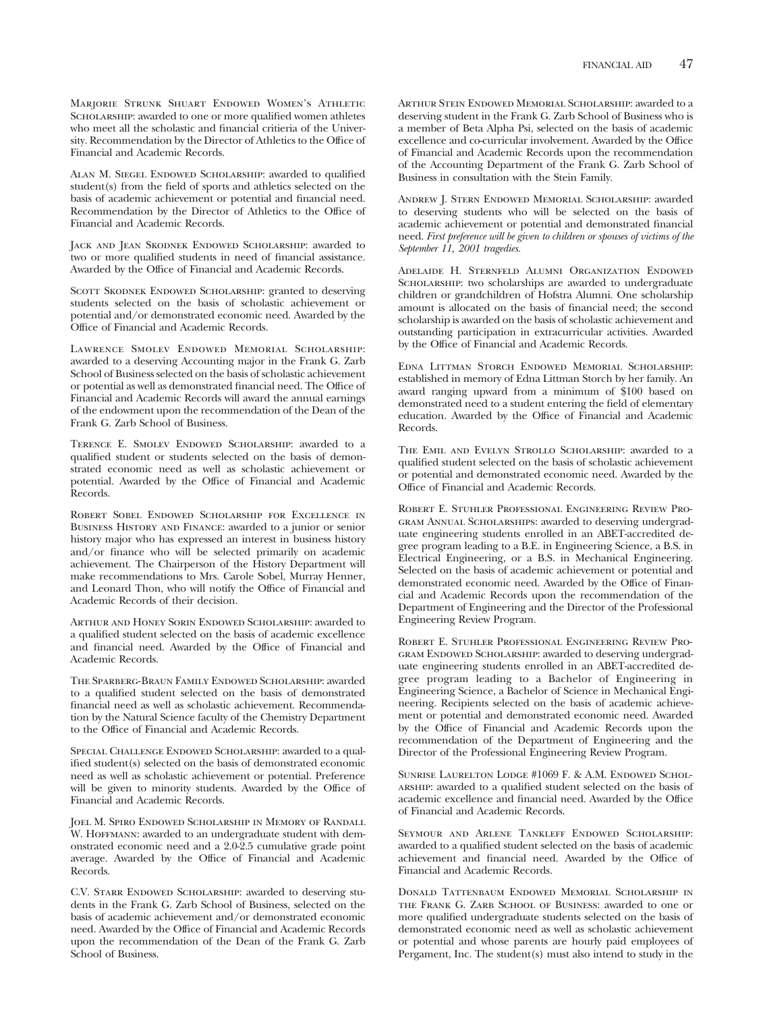Marjorie Strunk Shuart Endowed Women's Athletic SCHOLARSHIP: awarded to one or more qualified women athletes who meet all the scholastic and financial critieria of the University. Recommendation by the Director of Athletics to the Office of Financial and Academic Records.

Alan M. Siegel Endowed Scholarship: awarded to qualified student(s) from the field of sports and athletics selected on the basis of academic achievement or potential and financial need. Recommendation by the Director of Athletics to the Office of Financial and Academic Records.

JACK AND JEAN SKODNEK ENDOWED SCHOLARSHIP: awarded to two or more qualified students in need of financial assistance. Awarded by the Office of Financial and Academic Records.

SCOTT SKODNEK ENDOWED SCHOLARSHIP: granted to deserving students selected on the basis of scholastic achievement or potential and/or demonstrated economic need. Awarded by the Office of Financial and Academic Records.

LAWRENCE SMOLEV ENDOWED MEMORIAL SCHOLARSHIP: awarded to a deserving Accounting major in the Frank G. Zarb School of Business selected on the basis of scholastic achievement or potential as well as demonstrated financial need. The Office of Financial and Academic Records will award the annual earnings of the endowment upon the recommendation of the Dean of the Frank G. Zarb School of Business.

Terence E. Smolev Endowed Scholarship: awarded to a qualified student or students selected on the basis of demonstrated economic need as well as scholastic achievement or potential. Awarded by the Office of Financial and Academic Records.

Robert Sobel Endowed Scholarship for Excellence in Business History and Finance: awarded to a junior or senior history major who has expressed an interest in business history and/or finance who will be selected primarily on academic achievement. The Chairperson of the History Department will make recommendations to Mrs. Carole Sobel, Murray Henner, and Leonard Thon, who will notify the Office of Financial and Academic Records of their decision.

Arthur and Honey Sorin Endowed Scholarship: awarded to a qualified student selected on the basis of academic excellence and financial need. Awarded by the Office of Financial and Academic Records.

The Sparberg-Braun Family Endowed Scholarship: awarded to a qualified student selected on the basis of demonstrated financial need as well as scholastic achievement. Recommendation by the Natural Science faculty of the Chemistry Department to the Office of Financial and Academic Records.

Special Challenge Endowed Scholarship: awarded to a qualified student(s) selected on the basis of demonstrated economic need as well as scholastic achievement or potential. Preference will be given to minority students. Awarded by the Office of Financial and Academic Records.

JOEL M. SPIRO ENDOWED SCHOLARSHIP IN MEMORY OF RANDALL W. HOFFMANN: awarded to an undergraduate student with demonstrated economic need and a 2.0-2.5 cumulative grade point average. Awarded by the Office of Financial and Academic Records.

C.V. Starr Endowed Scholarship: awarded to deserving students in the Frank G. Zarb School of Business, selected on the basis of academic achievement and/or demonstrated economic need. Awarded by the Office of Financial and Academic Records upon the recommendation of the Dean of the Frank G. Zarb School of Business.

Arthur Stein Endowed Memorial Scholarship: awarded to a deserving student in the Frank G. Zarb School of Business who is a member of Beta Alpha Psi, selected on the basis of academic excellence and co-curricular involvement. Awarded by the Office of Financial and Academic Records upon the recommendation of the Accounting Department of the Frank G. Zarb School of Business in consultation with the Stein Family.

Andrew J. Stern Endowed Memorial Scholarship: awarded to deserving students who will be selected on the basis of academic achievement or potential and demonstrated financial need. *First preference will be given to children or spouses of victims of the September 11, 2001 tragedies.*

Adelaide H. Sternfeld Alumni Organization Endowed SCHOLARSHIP: two scholarships are awarded to undergraduate children or grandchildren of Hofstra Alumni. One scholarship amount is allocated on the basis of financial need; the second scholarship is awarded on the basis of scholastic achievement and outstanding participation in extracurricular activities. Awarded by the Office of Financial and Academic Records.

Edna Littman Storch Endowed Memorial Scholarship: established in memory of Edna Littman Storch by her family. An award ranging upward from a minimum of \$100 based on demonstrated need to a student entering the field of elementary education. Awarded by the Office of Financial and Academic Records.

The Emil and Evelyn Strollo Scholarship: awarded to a qualified student selected on the basis of scholastic achievement or potential and demonstrated economic need. Awarded by the Office of Financial and Academic Records.

Robert E. Stuhler Professional Engineering Review Program Annual Scholarships: awarded to deserving undergraduate engineering students enrolled in an ABET-accredited degree program leading to a B.E. in Engineering Science, a B.S. in Electrical Engineering, or a B.S. in Mechanical Engineering. Selected on the basis of academic achievement or potential and demonstrated economic need. Awarded by the Office of Financial and Academic Records upon the recommendation of the Department of Engineering and the Director of the Professional Engineering Review Program.

Robert E. Stuhler Professional Engineering Review Program Endowed Scholarship: awarded to deserving undergraduate engineering students enrolled in an ABET-accredited degree program leading to a Bachelor of Engineering in Engineering Science, a Bachelor of Science in Mechanical Engineering. Recipients selected on the basis of academic achievement or potential and demonstrated economic need. Awarded by the Office of Financial and Academic Records upon the recommendation of the Department of Engineering and the Director of the Professional Engineering Review Program.

Sunrise Laurelton Lodge #1069 F. & A.M. Endowed Scholarship: awarded to a qualified student selected on the basis of academic excellence and financial need. Awarded by the Office of Financial and Academic Records.

Seymour and Arlene Tankleff Endowed Scholarship: awarded to a qualified student selected on the basis of academic achievement and financial need. Awarded by the Office of Financial and Academic Records.

Donald Tattenbaum Endowed Memorial Scholarship in the Frank G. Zarb School of Business: awarded to one or more qualified undergraduate students selected on the basis of demonstrated economic need as well as scholastic achievement or potential and whose parents are hourly paid employees of Pergament, Inc. The student(s) must also intend to study in the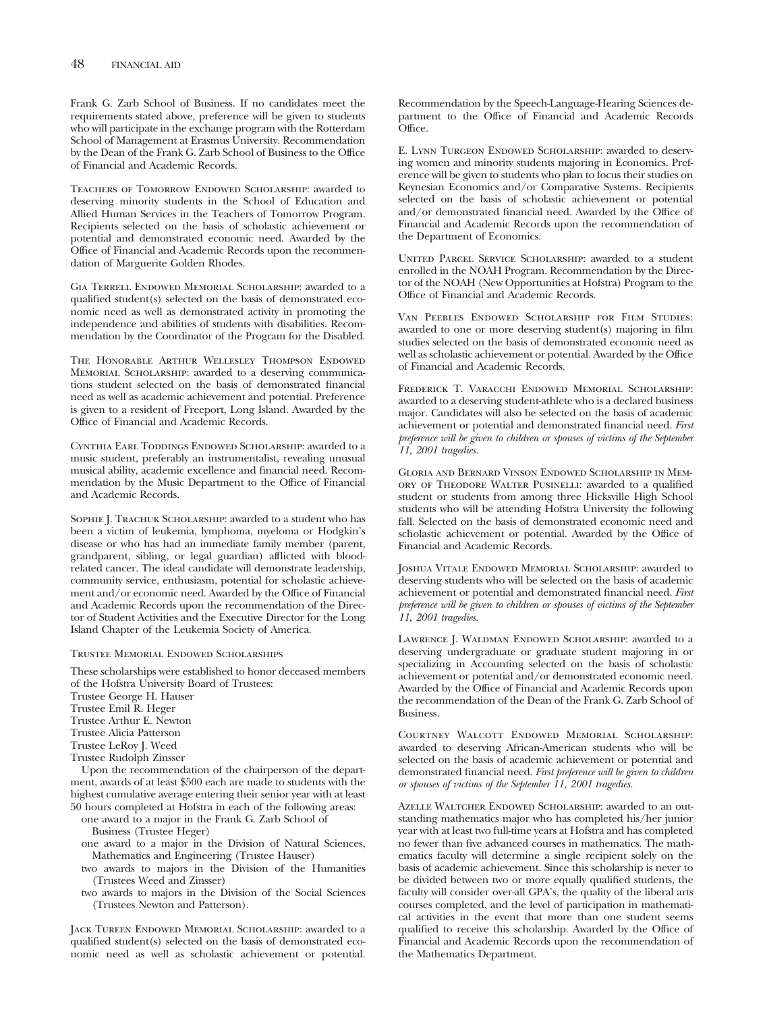Frank G. Zarb School of Business. If no candidates meet the requirements stated above, preference will be given to students who will participate in the exchange program with the Rotterdam School of Management at Erasmus University. Recommendation by the Dean of the Frank G. Zarb School of Business to the Office of Financial and Academic Records.

Teachers of Tomorrow Endowed Scholarship: awarded to deserving minority students in the School of Education and Allied Human Services in the Teachers of Tomorrow Program. Recipients selected on the basis of scholastic achievement or potential and demonstrated economic need. Awarded by the Office of Financial and Academic Records upon the recommendation of Marguerite Golden Rhodes.

Gia Terrell Endowed Memorial Scholarship: awarded to a qualified student(s) selected on the basis of demonstrated economic need as well as demonstrated activity in promoting the independence and abilities of students with disabilities. Recommendation by the Coordinator of the Program for the Disabled.

The Honorable Arthur Wellesley Thompson Endowed Memorial Scholarship: awarded to a deserving communications student selected on the basis of demonstrated financial need as well as academic achievement and potential. Preference is given to a resident of Freeport, Long Island. Awarded by the Office of Financial and Academic Records.

Cynthia Earl Toddings Endowed Scholarship: awarded to a music student, preferably an instrumentalist, revealing unusual musical ability, academic excellence and financial need. Recommendation by the Music Department to the Office of Financial and Academic Records.

Sophie J. Trachuk Scholarship: awarded to a student who has been a victim of leukemia, lymphoma, myeloma or Hodgkin's disease or who has had an immediate family member (parent, grandparent, sibling, or legal guardian) afflicted with bloodrelated cancer. The ideal candidate will demonstrate leadership, community service, enthusiasm, potential for scholastic achievement and/or economic need. Awarded by the Office of Financial and Academic Records upon the recommendation of the Director of Student Activities and the Executive Director for the Long Island Chapter of the Leukemia Society of America.

#### Trustee Memorial Endowed Scholarships

These scholarships were established to honor deceased members of the Hofstra University Board of Trustees:

- Trustee George H. Hauser
- Trustee Emil R. Heger

Trustee Arthur E. Newton

- Trustee Alicia Patterson
- Trustee LeRoy J. Weed
- Trustee Rudolph Zinsser

Upon the recommendation of the chairperson of the department, awards of at least \$500 each are made to students with the highest cumulative average entering their senior year with at least 50 hours completed at Hofstra in each of the following areas:

- one award to a major in the Frank G. Zarb School of
	- Business (Trustee Heger)
- one award to a major in the Division of Natural Sciences, Mathematics and Engineering (Trustee Hauser)
- two awards to majors in the Division of the Humanities (Trustees Weed and Zinsser)
- two awards to majors in the Division of the Social Sciences (Trustees Newton and Patterson).

Jack Tureen Endowed Memorial Scholarship: awarded to a qualified student(s) selected on the basis of demonstrated economic need as well as scholastic achievement or potential.

Recommendation by the Speech-Language-Hearing Sciences department to the Office of Financial and Academic Records Office.

E. LYNN TURGEON ENDOWED SCHOLARSHIP: awarded to deserving women and minority students majoring in Economics. Preference will be given to students who plan to focus their studies on Keynesian Economics and/or Comparative Systems. Recipients selected on the basis of scholastic achievement or potential and/or demonstrated financial need. Awarded by the Office of Financial and Academic Records upon the recommendation of the Department of Economics.

UNITED PARCEL SERVICE SCHOLARSHIP: awarded to a student enrolled in the NOAH Program. Recommendation by the Director of the NOAH (New Opportunities at Hofstra) Program to the Office of Financial and Academic Records.

Van Peebles Endowed Scholarship for Film Studies: awarded to one or more deserving student(s) majoring in film studies selected on the basis of demonstrated economic need as well as scholastic achievement or potential. Awarded by the Office of Financial and Academic Records.

Frederick T. Varacchi Endowed Memorial Scholarship: awarded to a deserving student-athlete who is a declared business major. Candidates will also be selected on the basis of academic achievement or potential and demonstrated financial need. *First preference will be given to children or spouses of victims of the September 11, 2001 tragedies.*

Gloria and Bernard Vinson Endowed Scholarship in Memory of Theodore Walter Pusinelli: awarded to a qualified student or students from among three Hicksville High School students who will be attending Hofstra University the following fall. Selected on the basis of demonstrated economic need and scholastic achievement or potential. Awarded by the Office of Financial and Academic Records.

Joshua Vitale Endowed Memorial Scholarship: awarded to deserving students who will be selected on the basis of academic achievement or potential and demonstrated financial need. *First preference will be given to children or spouses of victims of the September 11, 2001 tragedies.*

LAWRENCE J. WALDMAN ENDOWED SCHOLARSHIP: awarded to a deserving undergraduate or graduate student majoring in or specializing in Accounting selected on the basis of scholastic achievement or potential and/or demonstrated economic need. Awarded by the Office of Financial and Academic Records upon the recommendation of the Dean of the Frank G. Zarb School of Business.

Courtney Walcott Endowed Memorial Scholarship: awarded to deserving African-American students who will be selected on the basis of academic achievement or potential and demonstrated financial need. *First preference will be given to children or spouses of victims of the September 11, 2001 tragedies.*

Azelle Waltcher Endowed Scholarship: awarded to an outstanding mathematics major who has completed his/her junior year with at least two full-time years at Hofstra and has completed no fewer than five advanced courses in mathematics. The mathematics faculty will determine a single recipient solely on the basis of academic achievement. Since this scholarship is never to be divided between two or more equally qualified students, the faculty will consider over-all GPA's, the quality of the liberal arts courses completed, and the level of participation in mathematical activities in the event that more than one student seems qualified to receive this scholarship. Awarded by the Office of Financial and Academic Records upon the recommendation of the Mathematics Department.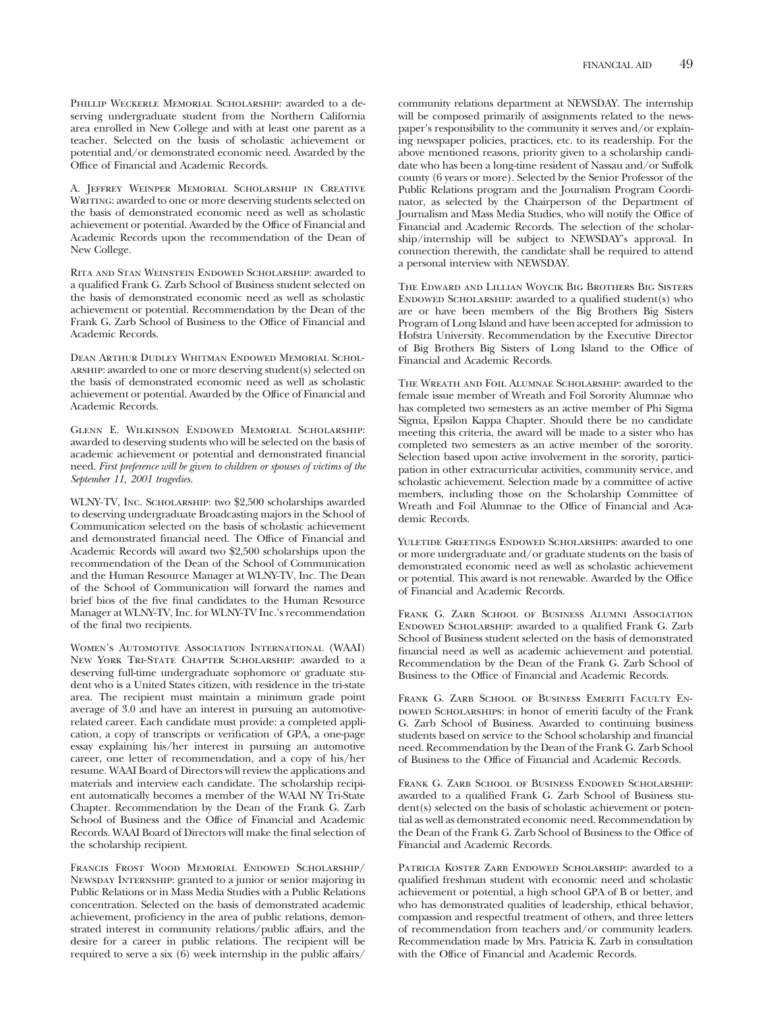A. Jeffrey Weinper Memorial Scholarship in Creative WRITING: awarded to one or more deserving students selected on the basis of demonstrated economic need as well as scholastic achievement or potential. Awarded by the Office of Financial and Academic Records upon the recommendation of the Dean of New College.

Rita and Stan Weinstein Endowed Scholarship: awarded to a qualified Frank G. Zarb School of Business student selected on the basis of demonstrated economic need as well as scholastic achievement or potential. Recommendation by the Dean of the Frank G. Zarb School of Business to the Office of Financial and Academic Records.

Dean Arthur Dudley Whitman Endowed Memorial Scholarship: awarded to one or more deserving student(s) selected on the basis of demonstrated economic need as well as scholastic achievement or potential. Awarded by the Office of Financial and Academic Records.

Glenn E. Wilkinson Endowed Memorial Scholarship: awarded to deserving students who will be selected on the basis of academic achievement or potential and demonstrated financial need. *First preference will be given to children or spouses of victims of the September 11, 2001 tragedies.*

WLNY-TV, Inc. Scholarship: two \$2,500 scholarships awarded to deserving undergraduate Broadcasting majors in the School of Communication selected on the basis of scholastic achievement and demonstrated financial need. The Office of Financial and Academic Records will award two \$2,500 scholarships upon the recommendation of the Dean of the School of Communication and the Human Resource Manager at WLNY-TV, Inc. The Dean of the School of Communication will forward the names and brief bios of the five final candidates to the Human Resource Manager at WLNY-TV, Inc. for WLNY-TV Inc.'s recommendation of the final two recipients.

Women's Automotive Association International (WAAI) New York Tri-State Chapter Scholarship: awarded to a deserving full-time undergraduate sophomore or graduate student who is a United States citizen, with residence in the tri-state area. The recipient must maintain a minimum grade point average of 3.0 and have an interest in pursuing an automotiverelated career. Each candidate must provide: a completed application, a copy of transcripts or verification of GPA, a one-page essay explaining his/her interest in pursuing an automotive career, one letter of recommendation, and a copy of his/her resume. WAAI Board of Directors will review the applications and materials and interview each candidate. The scholarship recipient automatically becomes a member of the WAAI NY Tri-State Chapter. Recommendation by the Dean of the Frank G. Zarb School of Business and the Office of Financial and Academic Records. WAAI Board of Directors will make the final selection of the scholarship recipient.

Francis Frost Wood Memorial Endowed Scholarship/ NEWSDAY INTERNSHIP: granted to a junior or senior majoring in Public Relations or in Mass Media Studies with a Public Relations concentration. Selected on the basis of demonstrated academic achievement, proficiency in the area of public relations, demonstrated interest in community relations/public affairs, and the desire for a career in public relations. The recipient will be required to serve a six (6) week internship in the public affairs/

community relations department at NEWSDAY. The internship will be composed primarily of assignments related to the newspaper's responsibility to the community it serves and/or explaining newspaper policies, practices, etc. to its readership. For the above mentioned reasons, priority given to a scholarship candidate who has been a long-time resident of Nassau and/or Suffolk county (6 years or more). Selected by the Senior Professor of the Public Relations program and the Journalism Program Coordinator, as selected by the Chairperson of the Department of Journalism and Mass Media Studies, who will notify the Office of Financial and Academic Records. The selection of the scholarship/internship will be subject to NEWSDAY's approval. In connection therewith, the candidate shall be required to attend a personal interview with NEWSDAY.

The Edward and Lillian Woycik Big Brothers Big Sisters ENDOWED SCHOLARSHIP: awarded to a qualified student(s) who are or have been members of the Big Brothers Big Sisters Program of Long Island and have been accepted for admission to Hofstra University. Recommendation by the Executive Director of Big Brothers Big Sisters of Long Island to the Office of Financial and Academic Records.

The Wreath and Foil Alumnae Scholarship: awarded to the female issue member of Wreath and Foil Sorority Alumnae who has completed two semesters as an active member of Phi Sigma Sigma, Epsilon Kappa Chapter. Should there be no candidate meeting this criteria, the award will be made to a sister who has completed two semesters as an active member of the sorority. Selection based upon active involvement in the sorority, participation in other extracurricular activities, community service, and scholastic achievement. Selection made by a committee of active members, including those on the Scholarship Committee of Wreath and Foil Alumnae to the Office of Financial and Academic Records.

YULETIDE GREETINGS ENDOWED SCHOLARSHIPS: awarded to one or more undergraduate and/or graduate students on the basis of demonstrated economic need as well as scholastic achievement or potential. This award is not renewable. Awarded by the Office of Financial and Academic Records.

FRANK G. ZARB SCHOOL OF BUSINESS ALUMNI ASSOCIATION ENDOWED SCHOLARSHIP: awarded to a qualified Frank G. Zarb School of Business student selected on the basis of demonstrated financial need as well as academic achievement and potential. Recommendation by the Dean of the Frank G. Zarb School of Business to the Office of Financial and Academic Records.

FRANK G. ZARB SCHOOL OF BUSINESS EMERITI FACULTY EN-DOWED SCHOLARSHIPS: in honor of emeriti faculty of the Frank G. Zarb School of Business. Awarded to continuing business students based on service to the School scholarship and financial need. Recommendation by the Dean of the Frank G. Zarb School of Business to the Office of Financial and Academic Records.

FRANK G. ZARB SCHOOL OF BUSINESS ENDOWED SCHOLARSHIP: awarded to a qualified Frank G. Zarb School of Business student(s) selected on the basis of scholastic achievement or potential as well as demonstrated economic need. Recommendation by the Dean of the Frank G. Zarb School of Business to the Office of Financial and Academic Records.

PATRICIA KOSTER ZARB ENDOWED SCHOLARSHIP: awarded to a qualified freshman student with economic need and scholastic achievement or potential, a high school GPA of B or better, and who has demonstrated qualities of leadership, ethical behavior, compassion and respectful treatment of others, and three letters of recommendation from teachers and/or community leaders. Recommendation made by Mrs. Patricia K. Zarb in consultation with the Office of Financial and Academic Records.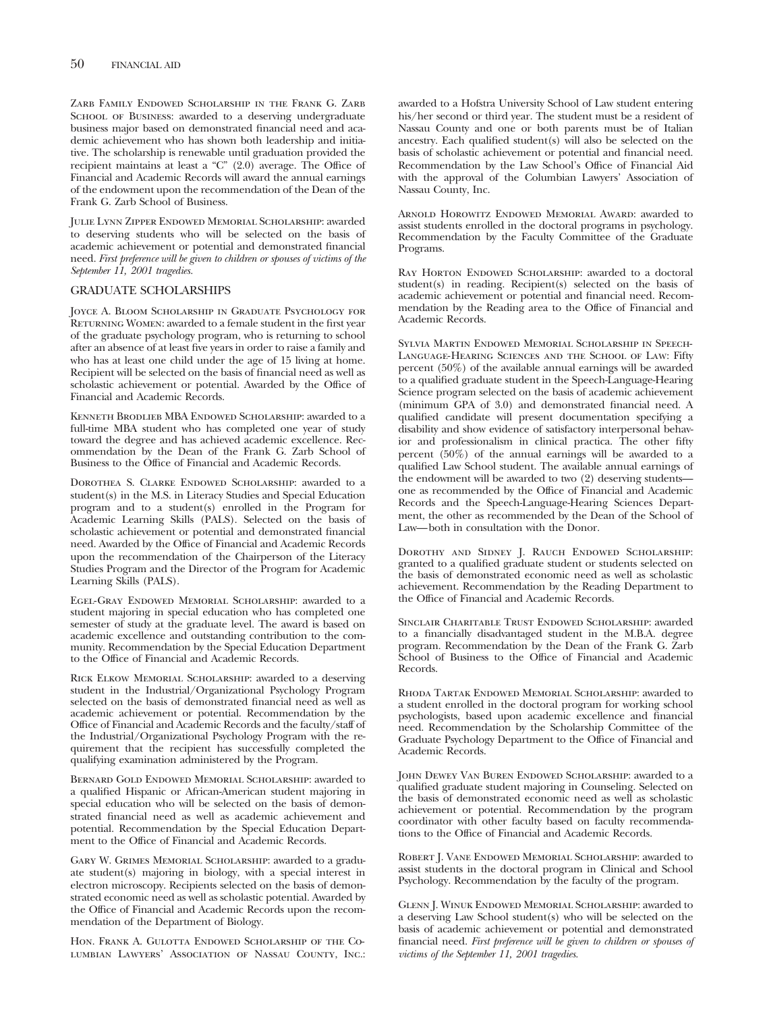Zarb Family Endowed Scholarship in the Frank G. Zarb SCHOOL OF BUSINESS: awarded to a deserving undergraduate business major based on demonstrated financial need and academic achievement who has shown both leadership and initiative. The scholarship is renewable until graduation provided the recipient maintains at least a "C" (2.0) average. The Office of Financial and Academic Records will award the annual earnings of the endowment upon the recommendation of the Dean of the Frank G. Zarb School of Business.

Julie Lynn Zipper Endowed Memorial Scholarship: awarded to deserving students who will be selected on the basis of academic achievement or potential and demonstrated financial need. *First preference will be given to children or spouses of victims of the September 11, 2001 tragedies.*

#### GRADUATE SCHOLARSHIPS

Joyce A. Bloom Scholarship in Graduate Psychology for RETURNING WOMEN: awarded to a female student in the first year of the graduate psychology program, who is returning to school after an absence of at least five years in order to raise a family and who has at least one child under the age of 15 living at home. Recipient will be selected on the basis of financial need as well as scholastic achievement or potential. Awarded by the Office of Financial and Academic Records.

Kenneth Brodlieb MBA Endowed Scholarship: awarded to a full-time MBA student who has completed one year of study toward the degree and has achieved academic excellence. Recommendation by the Dean of the Frank G. Zarb School of Business to the Office of Financial and Academic Records.

DOROTHEA S. CLARKE ENDOWED SCHOLARSHIP: awarded to a student(s) in the M.S. in Literacy Studies and Special Education program and to a student(s) enrolled in the Program for Academic Learning Skills (PALS). Selected on the basis of scholastic achievement or potential and demonstrated financial need. Awarded by the Office of Financial and Academic Records upon the recommendation of the Chairperson of the Literacy Studies Program and the Director of the Program for Academic Learning Skills (PALS).

Egel-Gray Endowed Memorial Scholarship: awarded to a student majoring in special education who has completed one semester of study at the graduate level. The award is based on academic excellence and outstanding contribution to the community. Recommendation by the Special Education Department to the Office of Financial and Academic Records.

Rick Elkow Memorial Scholarship: awarded to a deserving student in the Industrial/Organizational Psychology Program selected on the basis of demonstrated financial need as well as academic achievement or potential. Recommendation by the Office of Financial and Academic Records and the faculty/staff of the Industrial/Organizational Psychology Program with the requirement that the recipient has successfully completed the qualifying examination administered by the Program.

Bernard Gold Endowed Memorial Scholarship: awarded to a qualified Hispanic or African-American student majoring in special education who will be selected on the basis of demonstrated financial need as well as academic achievement and potential. Recommendation by the Special Education Department to the Office of Financial and Academic Records.

Gary W. Grimes Memorial Scholarship: awarded to a graduate student(s) majoring in biology, with a special interest in electron microscopy. Recipients selected on the basis of demonstrated economic need as well as scholastic potential. Awarded by the Office of Financial and Academic Records upon the recommendation of the Department of Biology.

Hon. Frank A. Gulotta Endowed Scholarship of the Columbian Lawyers' Association of Nassau County, Inc.: awarded to a Hofstra University School of Law student entering his/her second or third year. The student must be a resident of Nassau County and one or both parents must be of Italian ancestry. Each qualified student(s) will also be selected on the basis of scholastic achievement or potential and financial need. Recommendation by the Law School's Office of Financial Aid with the approval of the Columbian Lawyers' Association of Nassau County, Inc.

ARNOLD HOROWITZ ENDOWED MEMORIAL AWARD: awarded to assist students enrolled in the doctoral programs in psychology. Recommendation by the Faculty Committee of the Graduate Programs.

RAY HORTON ENDOWED SCHOLARSHIP: awarded to a doctoral student(s) in reading. Recipient(s) selected on the basis of academic achievement or potential and financial need. Recommendation by the Reading area to the Office of Financial and Academic Records.

Sylvia Martin Endowed Memorial Scholarship in Speech-Language-Hearing Sciences and the School of Law: Fifty percent (50%) of the available annual earnings will be awarded to a qualified graduate student in the Speech-Language-Hearing Science program selected on the basis of academic achievement (minimum GPA of 3.0) and demonstrated financial need. A qualified candidate will present documentation specifying a disability and show evidence of satisfactory interpersonal behavior and professionalism in clinical practica. The other fifty percent (50%) of the annual earnings will be awarded to a qualified Law School student. The available annual earnings of the endowment will be awarded to two (2) deserving students one as recommended by the Office of Financial and Academic Records and the Speech-Language-Hearing Sciences Department, the other as recommended by the Dean of the School of Law—both in consultation with the Donor.

Dorothy and Sidney J. Rauch Endowed Scholarship: granted to a qualified graduate student or students selected on the basis of demonstrated economic need as well as scholastic achievement. Recommendation by the Reading Department to the Office of Financial and Academic Records.

Sinclair Charitable Trust Endowed Scholarship: awarded to a financially disadvantaged student in the M.B.A. degree program. Recommendation by the Dean of the Frank G. Zarb School of Business to the Office of Financial and Academic Records.

Rhoda Tartak Endowed Memorial Scholarship: awarded to a student enrolled in the doctoral program for working school psychologists, based upon academic excellence and financial need. Recommendation by the Scholarship Committee of the Graduate Psychology Department to the Office of Financial and Academic Records.

JOHN DEWEY VAN BUREN ENDOWED SCHOLARSHIP: awarded to a qualified graduate student majoring in Counseling. Selected on the basis of demonstrated economic need as well as scholastic achievement or potential. Recommendation by the program coordinator with other faculty based on faculty recommendations to the Office of Financial and Academic Records.

Robert J. Vane Endowed Memorial Scholarship: awarded to assist students in the doctoral program in Clinical and School Psychology. Recommendation by the faculty of the program.

Glenn J. Winuk Endowed Memorial Scholarship: awarded to a deserving Law School student(s) who will be selected on the basis of academic achievement or potential and demonstrated financial need. *First preference will be given to children or spouses of victims of the September 11, 2001 tragedies.*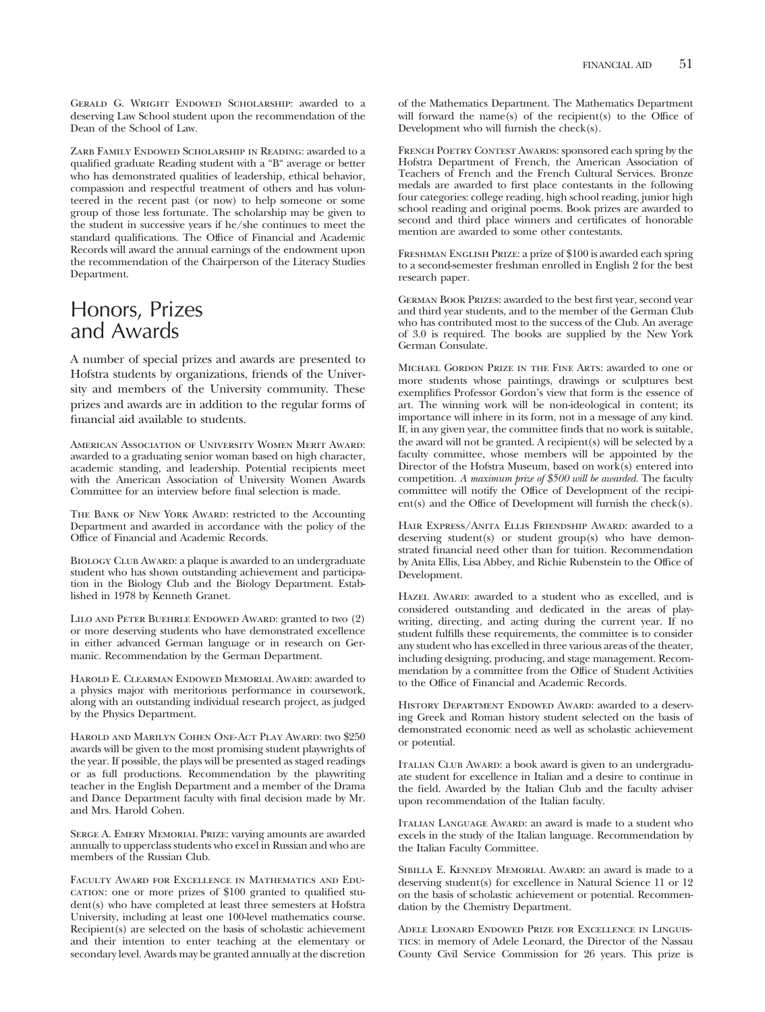Gerald G. Wright Endowed Scholarship: awarded to a deserving Law School student upon the recommendation of the Dean of the School of Law.

Zarb Family Endowed Scholarship in Reading: awarded to a qualified graduate Reading student with a "B" average or better who has demonstrated qualities of leadership, ethical behavior, compassion and respectful treatment of others and has volunteered in the recent past (or now) to help someone or some group of those less fortunate. The scholarship may be given to the student in successive years if he/she continues to meet the standard qualifications. The Office of Financial and Academic Records will award the annual earnings of the endowment upon the recommendation of the Chairperson of the Literacy Studies Department.

# Honors, Prizes and Awards

A number of special prizes and awards are presented to Hofstra students by organizations, friends of the University and members of the University community. These prizes and awards are in addition to the regular forms of financial aid available to students.

American Association of University Women Merit Award: awarded to a graduating senior woman based on high character, academic standing, and leadership. Potential recipients meet with the American Association of University Women Awards Committee for an interview before final selection is made.

THE BANK OF NEW YORK AWARD: restricted to the Accounting Department and awarded in accordance with the policy of the Office of Financial and Academic Records.

BIOLOGY CLUB AWARD: a plaque is awarded to an undergraduate student who has shown outstanding achievement and participation in the Biology Club and the Biology Department. Established in 1978 by Kenneth Granet.

Lilo and Peter Buehrle Endowed Award: granted to two (2) or more deserving students who have demonstrated excellence in either advanced German language or in research on Germanic. Recommendation by the German Department.

Harold E. Clearman Endowed Memorial Award: awarded to a physics major with meritorious performance in coursework, along with an outstanding individual research project, as judged by the Physics Department.

Harold and Marilyn Cohen One-Act Play Award: two \$250 awards will be given to the most promising student playwrights of the year. If possible, the plays will be presented as staged readings or as full productions. Recommendation by the playwriting teacher in the English Department and a member of the Drama and Dance Department faculty with final decision made by Mr. and Mrs. Harold Cohen.

Serge A. Emery Memorial Prize: varying amounts are awarded annually to upperclass students who excel in Russian and who are members of the Russian Club.

Faculty Award for Excellence in Mathematics and Education: one or more prizes of \$100 granted to qualified student(s) who have completed at least three semesters at Hofstra University, including at least one 100-level mathematics course. Recipient(s) are selected on the basis of scholastic achievement and their intention to enter teaching at the elementary or secondary level. Awards may be granted annually at the discretion

of the Mathematics Department. The Mathematics Department will forward the name(s) of the recipient(s) to the Office of Development who will furnish the check(s).

FRENCH POETRY CONTEST AWARDS: sponsored each spring by the Hofstra Department of French, the American Association of Teachers of French and the French Cultural Services. Bronze medals are awarded to first place contestants in the following four categories: college reading, high school reading, junior high school reading and original poems. Book prizes are awarded to second and third place winners and certificates of honorable mention are awarded to some other contestants.

FRESHMAN ENGLISH PRIZE: a prize of \$100 is awarded each spring to a second-semester freshman enrolled in English 2 for the best research paper.

German Book Prizes: awarded to the best first year, second year and third year students, and to the member of the German Club who has contributed most to the success of the Club. An average of 3.0 is required. The books are supplied by the New York German Consulate.

Michael Gordon Prize in the Fine Arts: awarded to one or more students whose paintings, drawings or sculptures best exemplifies Professor Gordon's view that form is the essence of art. The winning work will be non-ideological in content; its importance will inhere in its form, not in a message of any kind. If, in any given year, the committee finds that no work is suitable, the award will not be granted. A recipient(s) will be selected by a faculty committee, whose members will be appointed by the Director of the Hofstra Museum, based on work(s) entered into competition. *A maximum prize of \$500 will be awarded.* The faculty committee will notify the Office of Development of the recipient(s) and the Office of Development will furnish the check(s).

Hair Express/Anita Ellis Friendship Award: awarded to a deserving student(s) or student group(s) who have demonstrated financial need other than for tuition. Recommendation by Anita Ellis, Lisa Abbey, and Richie Rubenstein to the Office of Development.

Hazel Award: awarded to a student who as excelled, and is considered outstanding and dedicated in the areas of playwriting, directing, and acting during the current year. If no student fulfills these requirements, the committee is to consider any student who has excelled in three various areas of the theater, including designing, producing, and stage management. Recommendation by a committee from the Office of Student Activities to the Office of Financial and Academic Records.

HISTORY DEPARTMENT ENDOWED AWARD: awarded to a deserving Greek and Roman history student selected on the basis of demonstrated economic need as well as scholastic achievement or potential.

ITALIAN CLUB AWARD: a book award is given to an undergraduate student for excellence in Italian and a desire to continue in the field. Awarded by the Italian Club and the faculty adviser upon recommendation of the Italian faculty.

Italian Language Award: an award is made to a student who excels in the study of the Italian language. Recommendation by the Italian Faculty Committee.

Sibilla E. Kennedy Memorial Award: an award is made to a deserving student(s) for excellence in Natural Science 11 or 12 on the basis of scholastic achievement or potential. Recommendation by the Chemistry Department.

Adele Leonard Endowed Prize for Excellence in Linguistics: in memory of Adele Leonard, the Director of the Nassau County Civil Service Commission for 26 years. This prize is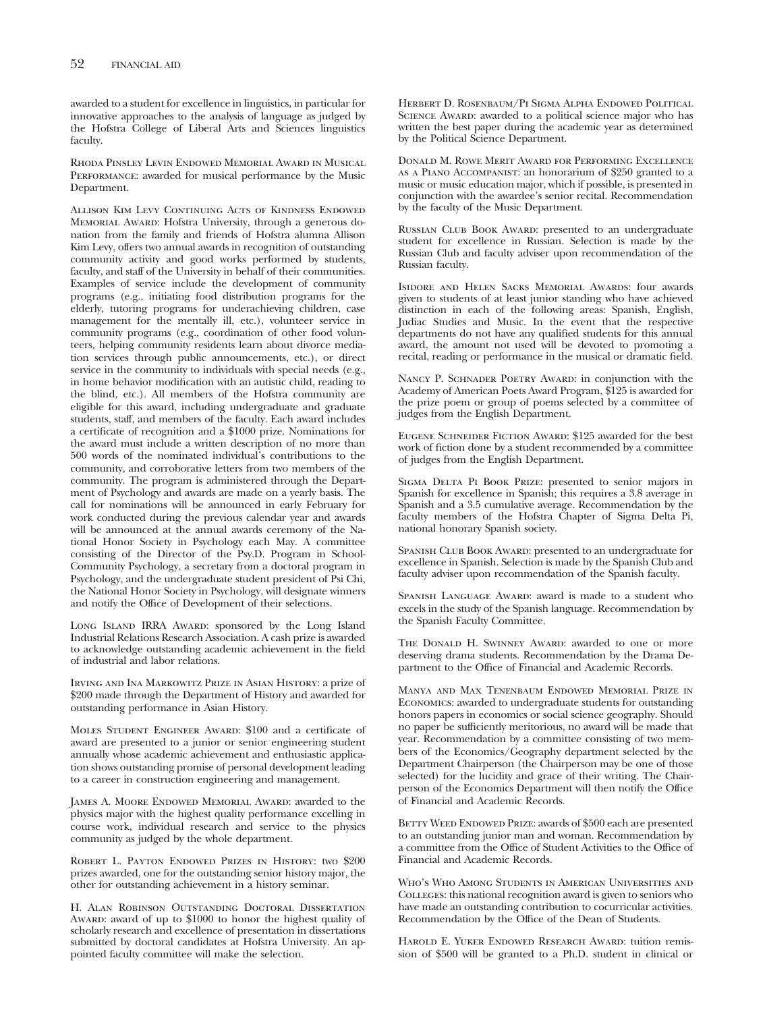awarded to a student for excellence in linguistics, in particular for innovative approaches to the analysis of language as judged by the Hofstra College of Liberal Arts and Sciences linguistics faculty.

Rhoda Pinsley Levin Endowed Memorial Award in Musical PERFORMANCE: awarded for musical performance by the Music Department.

Allison Kim Levy Continuing Acts of Kindness Endowed Memorial Award: Hofstra University, through a generous donation from the family and friends of Hofstra alumna Allison Kim Levy, offers two annual awards in recognition of outstanding community activity and good works performed by students, faculty, and staff of the University in behalf of their communities. Examples of service include the development of community programs (e.g., initiating food distribution programs for the elderly, tutoring programs for underachieving children, case management for the mentally ill, etc.), volunteer service in community programs (e.g., coordination of other food volunteers, helping community residents learn about divorce mediation services through public announcements, etc.), or direct service in the community to individuals with special needs (e.g., in home behavior modification with an autistic child, reading to the blind, etc.). All members of the Hofstra community are eligible for this award, including undergraduate and graduate students, staff, and members of the faculty. Each award includes a certificate of recognition and a \$1000 prize. Nominations for the award must include a written description of no more than 500 words of the nominated individual's contributions to the community, and corroborative letters from two members of the community. The program is administered through the Department of Psychology and awards are made on a yearly basis. The call for nominations will be announced in early February for work conducted during the previous calendar year and awards will be announced at the annual awards ceremony of the National Honor Society in Psychology each May. A committee consisting of the Director of the Psy.D. Program in School-Community Psychology, a secretary from a doctoral program in Psychology, and the undergraduate student president of Psi Chi, the National Honor Society in Psychology, will designate winners and notify the Office of Development of their selections.

LONG ISLAND IRRA AWARD: sponsored by the Long Island Industrial Relations Research Association. A cash prize is awarded to acknowledge outstanding academic achievement in the field of industrial and labor relations.

Irving and Ina Markowitz Prize in Asian History: a prize of \$200 made through the Department of History and awarded for outstanding performance in Asian History.

Moles Student Engineer Award: \$100 and a certificate of award are presented to a junior or senior engineering student annually whose academic achievement and enthusiastic application shows outstanding promise of personal development leading to a career in construction engineering and management.

JAMES A. MOORE ENDOWED MEMORIAL AWARD: awarded to the physics major with the highest quality performance excelling in course work, individual research and service to the physics community as judged by the whole department.

Robert L. Payton Endowed Prizes in History: two \$200 prizes awarded, one for the outstanding senior history major, the other for outstanding achievement in a history seminar.

H. Alan Robinson Outstanding Doctoral Dissertation Award: award of up to \$1000 to honor the highest quality of scholarly research and excellence of presentation in dissertations submitted by doctoral candidates at Hofstra University. An appointed faculty committee will make the selection.

Herbert D. Rosenbaum/Pi Sigma Alpha Endowed Political SCIENCE AWARD: awarded to a political science major who has written the best paper during the academic year as determined by the Political Science Department.

Donald M. Rowe Merit Award for Performing Excellence as a Piano Accompanist: an honorarium of \$250 granted to a music or music education major, which if possible, is presented in conjunction with the awardee's senior recital. Recommendation by the faculty of the Music Department.

RUSSIAN CLUB BOOK AWARD: presented to an undergraduate student for excellence in Russian. Selection is made by the Russian Club and faculty adviser upon recommendation of the Russian faculty.

Isidore and Helen Sacks Memorial Awards: four awards given to students of at least junior standing who have achieved distinction in each of the following areas: Spanish, English, Judiac Studies and Music. In the event that the respective departments do not have any qualified students for this annual award, the amount not used will be devoted to promoting a recital, reading or performance in the musical or dramatic field.

NANCY P. SCHNADER POETRY AWARD: in conjunction with the Academy of American Poets Award Program, \$125 is awarded for the prize poem or group of poems selected by a committee of judges from the English Department.

EUGENE SCHNEIDER FICTION AWARD: \$125 awarded for the best work of fiction done by a student recommended by a committee of judges from the English Department.

SIGMA DELTA PI BOOK PRIZE: presented to senior majors in Spanish for excellence in Spanish; this requires a 3.8 average in Spanish and a 3.5 cumulative average. Recommendation by the faculty members of the Hofstra Chapter of Sigma Delta Pi, national honorary Spanish society.

SPANISH CLUB BOOK AWARD: presented to an undergraduate for excellence in Spanish. Selection is made by the Spanish Club and faculty adviser upon recommendation of the Spanish faculty.

Spanish Language Award: award is made to a student who excels in the study of the Spanish language. Recommendation by the Spanish Faculty Committee.

THE DONALD H. SWINNEY AWARD: awarded to one or more deserving drama students. Recommendation by the Drama Department to the Office of Financial and Academic Records.

Manya and Max Tenenbaum Endowed Memorial Prize in Economics: awarded to undergraduate students for outstanding honors papers in economics or social science geography. Should no paper be sufficiently meritorious, no award will be made that year. Recommendation by a committee consisting of two members of the Economics/Geography department selected by the Department Chairperson (the Chairperson may be one of those selected) for the lucidity and grace of their writing. The Chairperson of the Economics Department will then notify the Office of Financial and Academic Records.

BETTY WEED ENDOWED PRIZE: awards of \$500 each are presented to an outstanding junior man and woman. Recommendation by a committee from the Office of Student Activities to the Office of Financial and Academic Records.

Who's Who Among Students in American Universities and Colleges: this national recognition award is given to seniors who have made an outstanding contribution to cocurricular activities. Recommendation by the Office of the Dean of Students.

HAROLD E. YUKER ENDOWED RESEARCH AWARD: tuition remission of \$500 will be granted to a Ph.D. student in clinical or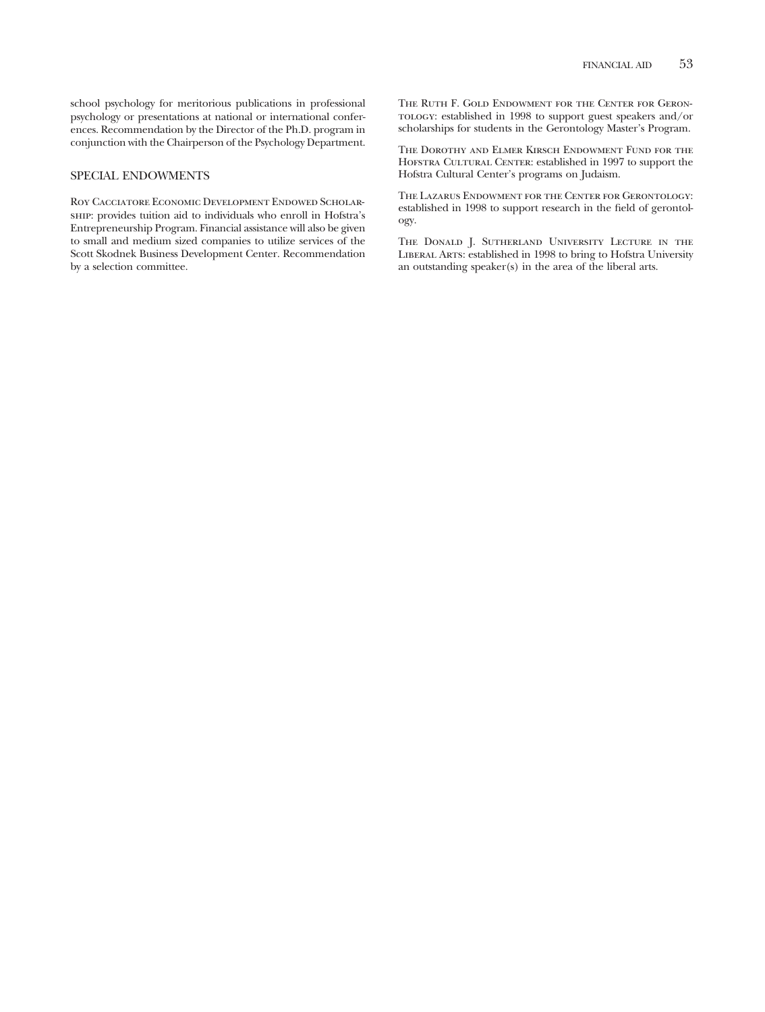school psychology for meritorious publications in professional psychology or presentations at national or international conferences. Recommendation by the Director of the Ph.D. program in conjunction with the Chairperson of the Psychology Department.

## SPECIAL ENDOWMENTS

Roy Cacciatore Economic Development Endowed Scholarship: provides tuition aid to individuals who enroll in Hofstra's Entrepreneurship Program. Financial assistance will also be given to small and medium sized companies to utilize services of the Scott Skodnek Business Development Center. Recommendation by a selection committee.

The Ruth F. Gold Endowment for the Center for Geron- $\tau$ o<br/>tody: established in 1998 to support guest speakers and/or scholarships for students in the Gerontology Master's Program.

The Dorothy and Elmer Kirsch Endowment Fund for the HOFSTRA CULTURAL CENTER: established in 1997 to support the Hofstra Cultural Center's programs on Judaism.

The Lazarus Endowment for the Center for Gerontology: established in 1998 to support research in the field of gerontology.

The Donald J. Sutherland University Lecture in the Liberal Arts: established in 1998 to bring to Hofstra University an outstanding speaker(s) in the area of the liberal arts.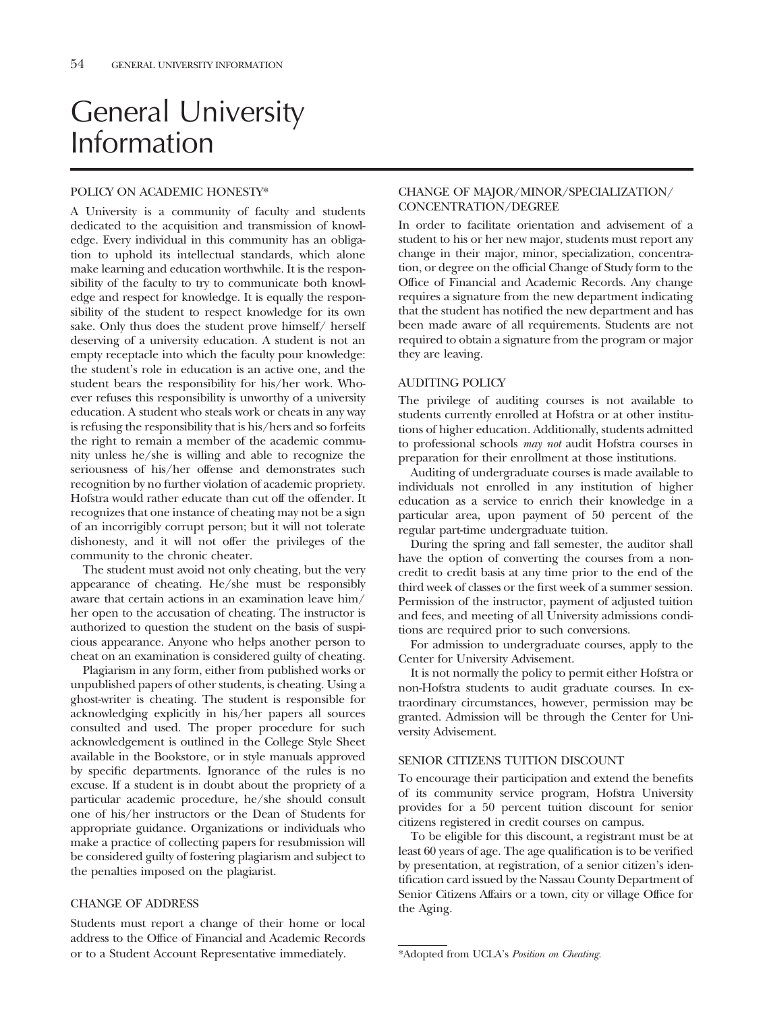# General University Information

# POLICY ON ACADEMIC HONESTY\*

A University is a community of faculty and students dedicated to the acquisition and transmission of knowledge. Every individual in this community has an obligation to uphold its intellectual standards, which alone make learning and education worthwhile. It is the responsibility of the faculty to try to communicate both knowledge and respect for knowledge. It is equally the responsibility of the student to respect knowledge for its own sake. Only thus does the student prove himself/ herself deserving of a university education. A student is not an empty receptacle into which the faculty pour knowledge: the student's role in education is an active one, and the student bears the responsibility for his/her work. Whoever refuses this responsibility is unworthy of a university education. A student who steals work or cheats in any way is refusing the responsibility that is his/hers and so forfeits the right to remain a member of the academic community unless he/she is willing and able to recognize the seriousness of his/her offense and demonstrates such recognition by no further violation of academic propriety. Hofstra would rather educate than cut off the offender. It recognizes that one instance of cheating may not be a sign of an incorrigibly corrupt person; but it will not tolerate dishonesty, and it will not offer the privileges of the community to the chronic cheater.

The student must avoid not only cheating, but the very appearance of cheating. He/she must be responsibly aware that certain actions in an examination leave him/ her open to the accusation of cheating. The instructor is authorized to question the student on the basis of suspicious appearance. Anyone who helps another person to cheat on an examination is considered guilty of cheating.

Plagiarism in any form, either from published works or unpublished papers of other students, is cheating. Using a ghost-writer is cheating. The student is responsible for acknowledging explicitly in his/her papers all sources consulted and used. The proper procedure for such acknowledgement is outlined in the College Style Sheet available in the Bookstore, or in style manuals approved by specific departments. Ignorance of the rules is no excuse. If a student is in doubt about the propriety of a particular academic procedure, he/she should consult one of his/her instructors or the Dean of Students for appropriate guidance. Organizations or individuals who make a practice of collecting papers for resubmission will be considered guilty of fostering plagiarism and subject to the penalties imposed on the plagiarist.

#### CHANGE OF ADDRESS

Students must report a change of their home or local address to the Office of Financial and Academic Records or to a Student Account Representative immediately.

# CHANGE OF MAJOR/MINOR/SPECIALIZATION/ CONCENTRATION/DEGREE

In order to facilitate orientation and advisement of a student to his or her new major, students must report any change in their major, minor, specialization, concentration, or degree on the official Change of Study form to the Office of Financial and Academic Records. Any change requires a signature from the new department indicating that the student has notified the new department and has been made aware of all requirements. Students are not required to obtain a signature from the program or major they are leaving.

### AUDITING POLICY

The privilege of auditing courses is not available to students currently enrolled at Hofstra or at other institutions of higher education. Additionally, students admitted to professional schools *may not* audit Hofstra courses in preparation for their enrollment at those institutions.

Auditing of undergraduate courses is made available to individuals not enrolled in any institution of higher education as a service to enrich their knowledge in a particular area, upon payment of 50 percent of the regular part-time undergraduate tuition.

During the spring and fall semester, the auditor shall have the option of converting the courses from a noncredit to credit basis at any time prior to the end of the third week of classes or the first week of a summer session. Permission of the instructor, payment of adjusted tuition and fees, and meeting of all University admissions conditions are required prior to such conversions.

For admission to undergraduate courses, apply to the Center for University Advisement.

It is not normally the policy to permit either Hofstra or non-Hofstra students to audit graduate courses. In extraordinary circumstances, however, permission may be granted. Admission will be through the Center for University Advisement.

#### SENIOR CITIZENS TUITION DISCOUNT

To encourage their participation and extend the benefits of its community service program, Hofstra University provides for a 50 percent tuition discount for senior citizens registered in credit courses on campus.

To be eligible for this discount, a registrant must be at least 60 years of age. The age qualification is to be verified by presentation, at registration, of a senior citizen's identification card issued by the Nassau County Department of Senior Citizens Affairs or a town, city or village Office for the Aging.

<sup>\*</sup>Adopted from UCLA's *Position on Cheating.*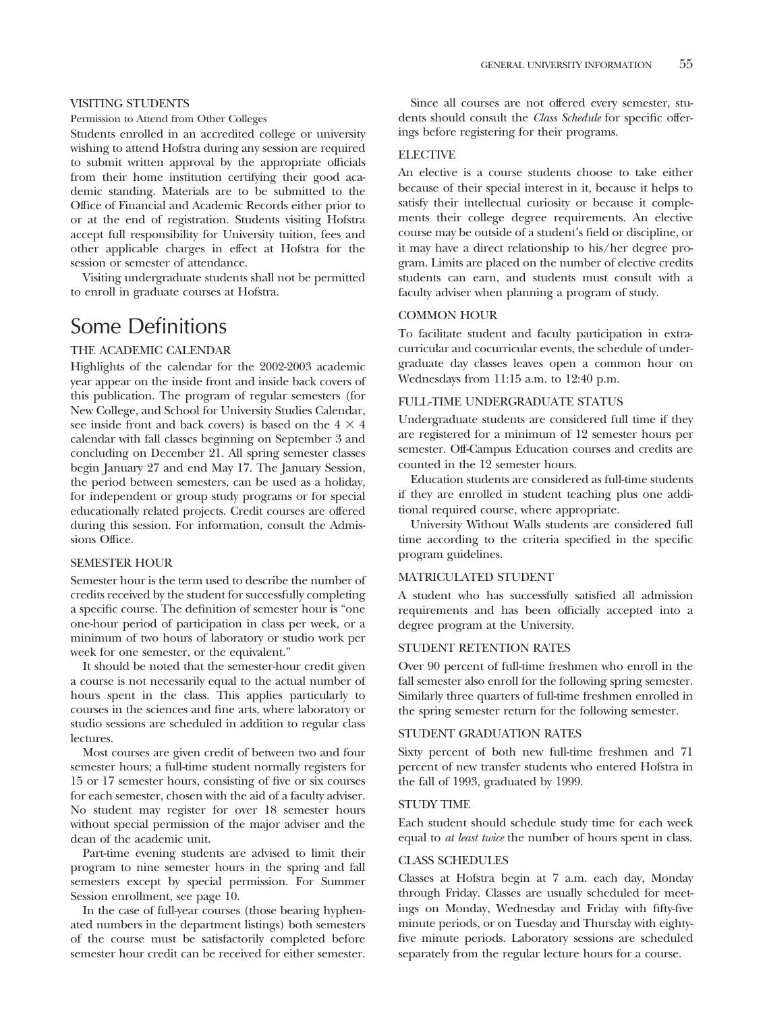#### VISITING STUDENTS

#### Permission to Attend from Other Colleges

Students enrolled in an accredited college or university wishing to attend Hofstra during any session are required to submit written approval by the appropriate officials from their home institution certifying their good academic standing. Materials are to be submitted to the Office of Financial and Academic Records either prior to or at the end of registration. Students visiting Hofstra accept full responsibility for University tuition, fees and other applicable charges in effect at Hofstra for the session or semester of attendance.

Visiting undergraduate students shall not be permitted to enroll in graduate courses at Hofstra.

# Some Definitions

# THE ACADEMIC CALENDAR

Highlights of the calendar for the 2002-2003 academic year appear on the inside front and inside back covers of this publication. The program of regular semesters (for New College, and School for University Studies Calendar, see inside front and back covers) is based on the  $4 \times 4$ calendar with fall classes beginning on September 3 and concluding on December 21. All spring semester classes begin January 27 and end May 17. The January Session, the period between semesters, can be used as a holiday, for independent or group study programs or for special educationally related projects. Credit courses are offered during this session. For information, consult the Admissions Office.

#### SEMESTER HOUR

Semester hour is the term used to describe the number of credits received by the student for successfully completing a specific course. The definition of semester hour is "one one-hour period of participation in class per week, or a minimum of two hours of laboratory or studio work per week for one semester, or the equivalent."

It should be noted that the semester-hour credit given a course is not necessarily equal to the actual number of hours spent in the class. This applies particularly to courses in the sciences and fine arts, where laboratory or studio sessions are scheduled in addition to regular class lectures.

Most courses are given credit of between two and four semester hours; a full-time student normally registers for 15 or 17 semester hours, consisting of five or six courses for each semester, chosen with the aid of a faculty adviser. No student may register for over 18 semester hours without special permission of the major adviser and the dean of the academic unit.

Part-time evening students are advised to limit their program to nine semester hours in the spring and fall semesters except by special permission. For Summer Session enrollment, see page 10.

In the case of full-year courses (those bearing hyphenated numbers in the department listings) both semesters of the course must be satisfactorily completed before semester hour credit can be received for either semester.

Since all courses are not offered every semester, students should consult the *Class Schedule* for specific offerings before registering for their programs.

#### ELECTIVE

An elective is a course students choose to take either because of their special interest in it, because it helps to satisfy their intellectual curiosity or because it complements their college degree requirements. An elective course may be outside of a student's field or discipline, or it may have a direct relationship to his/her degree program. Limits are placed on the number of elective credits students can earn, and students must consult with a faculty adviser when planning a program of study.

# COMMON HOUR

To facilitate student and faculty participation in extracurricular and cocurricular events, the schedule of undergraduate day classes leaves open a common hour on Wednesdays from 11:15 a.m. to 12:40 p.m.

# FULL-TIME UNDERGRADUATE STATUS

Undergraduate students are considered full time if they are registered for a minimum of 12 semester hours per semester. Off-Campus Education courses and credits are counted in the 12 semester hours.

Education students are considered as full-time students if they are enrolled in student teaching plus one additional required course, where appropriate.

University Without Walls students are considered full time according to the criteria specified in the specific program guidelines.

#### MATRICULATED STUDENT

A student who has successfully satisfied all admission requirements and has been officially accepted into a degree program at the University.

#### STUDENT RETENTION RATES

Over 90 percent of full-time freshmen who enroll in the fall semester also enroll for the following spring semester. Similarly three quarters of full-time freshmen enrolled in the spring semester return for the following semester.

#### STUDENT GRADUATION RATES

Sixty percent of both new full-time freshmen and 71 percent of new transfer students who entered Hofstra in the fall of 1993, graduated by 1999.

# STUDY TIME

Each student should schedule study time for each week equal to *at least twice* the number of hours spent in class.

#### CLASS SCHEDULES

Classes at Hofstra begin at 7 a.m. each day, Monday through Friday. Classes are usually scheduled for meetings on Monday, Wednesday and Friday with fifty-five minute periods, or on Tuesday and Thursday with eightyfive minute periods. Laboratory sessions are scheduled separately from the regular lecture hours for a course.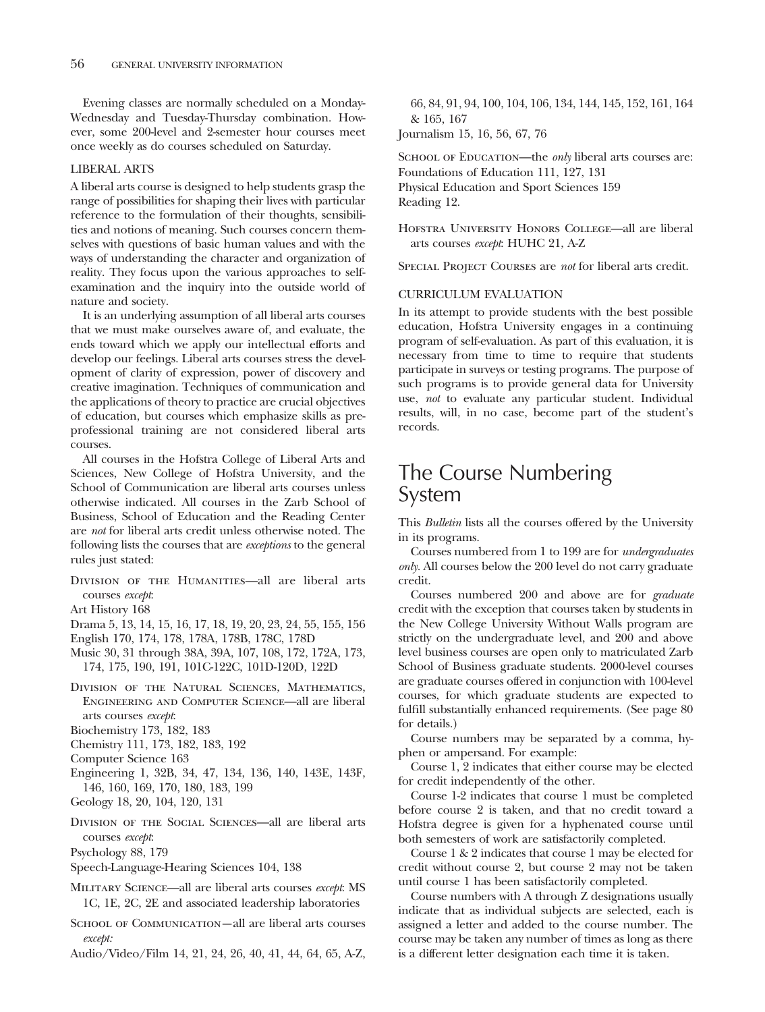Evening classes are normally scheduled on a Monday-Wednesday and Tuesday-Thursday combination. However, some 200-level and 2-semester hour courses meet once weekly as do courses scheduled on Saturday.

#### LIBERAL ARTS

A liberal arts course is designed to help students grasp the range of possibilities for shaping their lives with particular reference to the formulation of their thoughts, sensibilities and notions of meaning. Such courses concern themselves with questions of basic human values and with the ways of understanding the character and organization of reality. They focus upon the various approaches to selfexamination and the inquiry into the outside world of nature and society.

It is an underlying assumption of all liberal arts courses that we must make ourselves aware of, and evaluate, the ends toward which we apply our intellectual efforts and develop our feelings. Liberal arts courses stress the development of clarity of expression, power of discovery and creative imagination. Techniques of communication and the applications of theory to practice are crucial objectives of education, but courses which emphasize skills as preprofessional training are not considered liberal arts courses.

All courses in the Hofstra College of Liberal Arts and Sciences, New College of Hofstra University, and the School of Communication are liberal arts courses unless otherwise indicated. All courses in the Zarb School of Business, School of Education and the Reading Center are *not* for liberal arts credit unless otherwise noted. The following lists the courses that are *exceptions* to the general rules just stated:

- DIVISION OF THE HUMANITIES-all are liberal arts courses *except*:
- Art History 168
- Drama 5, 13, 14, 15, 16, 17, 18, 19, 20, 23, 24, 55, 155, 156
- English 170, 174, 178, 178A, 178B, 178C, 178D
- Music 30, 31 through 38A, 39A, 107, 108, 172, 172A, 173, 174, 175, 190, 191, 101C-122C, 101D-120D, 122D
- Division of the Natural Sciences, Mathematics, Engineering and Computer Science—all are liberal arts courses *except*:
- Biochemistry 173, 182, 183
- Chemistry 111, 173, 182, 183, 192
- Computer Science 163
- Engineering 1, 32B, 34, 47, 134, 136, 140, 143E, 143F, 146, 160, 169, 170, 180, 183, 199
- Geology 18, 20, 104, 120, 131
- Division of the Social Sciences—all are liberal arts courses *except*:
- Psychology 88, 179
- Speech-Language-Hearing Sciences 104, 138
- Military Science—all are liberal arts courses *except*: MS 1C, 1E, 2C, 2E and associated leadership laboratories
- SCHOOL OF COMMUNICATION—all are liberal arts courses *except:*
- Audio/Video/Film 14, 21, 24, 26, 40, 41, 44, 64, 65, A-Z,

66, 84, 91, 94, 100, 104, 106, 134, 144, 145, 152, 161, 164 & 165, 167

Journalism 15, 16, 56, 67, 76

SCHOOL OF EDUCATION—the *only* liberal arts courses are: Foundations of Education 111, 127, 131 Physical Education and Sport Sciences 159 Reading 12.

Hofstra University Honors College—all are liberal arts courses *except*: HUHC 21, A-Z

Special Project Courses are *not* for liberal arts credit.

#### CURRICULUM EVALUATION

In its attempt to provide students with the best possible education, Hofstra University engages in a continuing program of self-evaluation. As part of this evaluation, it is necessary from time to time to require that students participate in surveys or testing programs. The purpose of such programs is to provide general data for University use, *not* to evaluate any particular student. Individual results, will, in no case, become part of the student's records.

# The Course Numbering System

This *Bulletin* lists all the courses offered by the University in its programs.

Courses numbered from 1 to 199 are for *undergraduates only.* All courses below the 200 level do not carry graduate credit.

Courses numbered 200 and above are for *graduate* credit with the exception that courses taken by students in the New College University Without Walls program are strictly on the undergraduate level, and 200 and above level business courses are open only to matriculated Zarb School of Business graduate students. 2000-level courses are graduate courses offered in conjunction with 100-level courses, for which graduate students are expected to fulfill substantially enhanced requirements. (See page 80 for details.)

Course numbers may be separated by a comma, hyphen or ampersand. For example:

Course 1, 2 indicates that either course may be elected for credit independently of the other.

Course 1-2 indicates that course 1 must be completed before course 2 is taken, and that no credit toward a Hofstra degree is given for a hyphenated course until both semesters of work are satisfactorily completed.

Course1&2 indicates that course 1 may be elected for credit without course 2, but course 2 may not be taken until course 1 has been satisfactorily completed.

Course numbers with A through Z designations usually indicate that as individual subjects are selected, each is assigned a letter and added to the course number. The course may be taken any number of times as long as there is a different letter designation each time it is taken.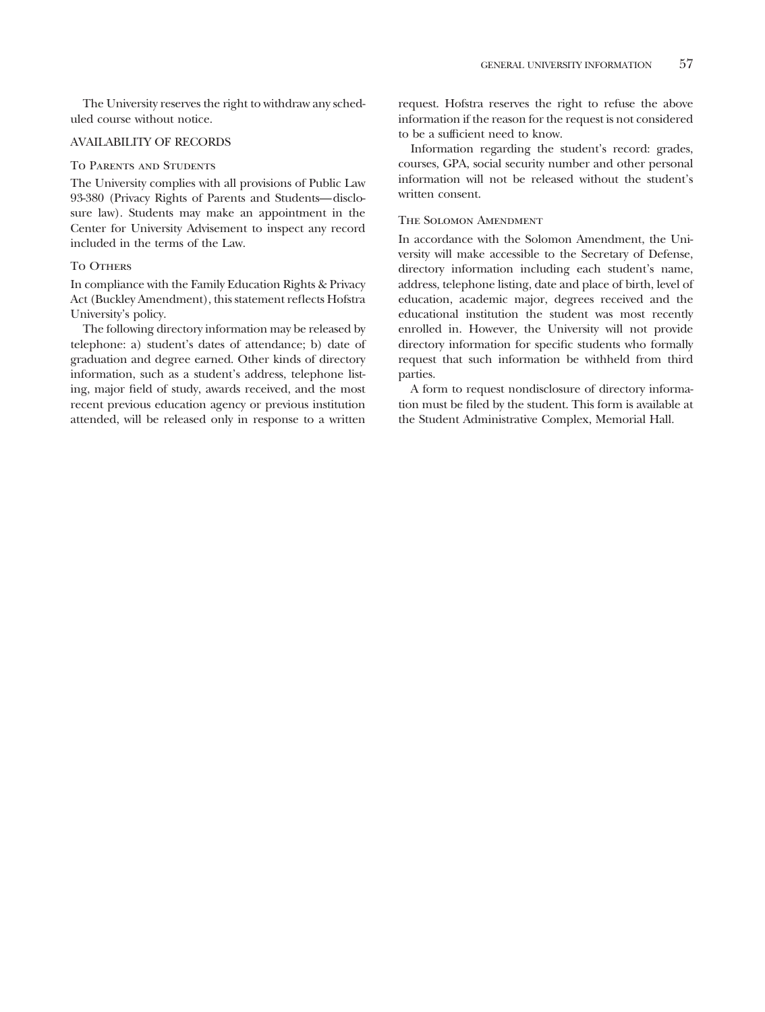The University reserves the right to withdraw any scheduled course without notice.

### AVAILABILITY OF RECORDS

#### To Parents and Students

The University complies with all provisions of Public Law 93-380 (Privacy Rights of Parents and Students—disclosure law). Students may make an appointment in the Center for University Advisement to inspect any record included in the terms of the Law.

#### TO OTHERS

In compliance with the Family Education Rights & Privacy Act (Buckley Amendment), this statement reflects Hofstra University's policy.

The following directory information may be released by telephone: a) student's dates of attendance; b) date of graduation and degree earned. Other kinds of directory information, such as a student's address, telephone listing, major field of study, awards received, and the most recent previous education agency or previous institution attended, will be released only in response to a written request. Hofstra reserves the right to refuse the above information if the reason for the request is not considered to be a sufficient need to know.

Information regarding the student's record: grades, courses, GPA, social security number and other personal information will not be released without the student's written consent.

# The Solomon Amendment

In accordance with the Solomon Amendment, the University will make accessible to the Secretary of Defense, directory information including each student's name, address, telephone listing, date and place of birth, level of education, academic major, degrees received and the educational institution the student was most recently enrolled in. However, the University will not provide directory information for specific students who formally request that such information be withheld from third parties.

A form to request nondisclosure of directory information must be filed by the student. This form is available at the Student Administrative Complex, Memorial Hall.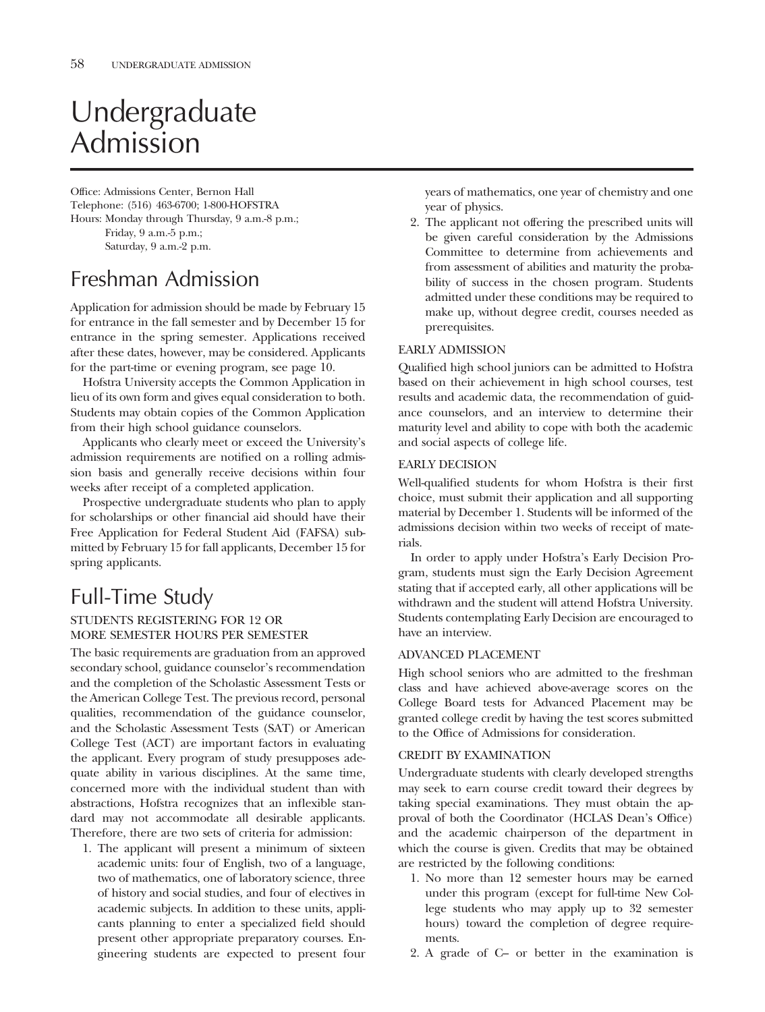# Undergraduate Admission

Office: Admissions Center, Bernon Hall Telephone: (516) 463-6700; 1-800-HOFSTRA Hours: Monday through Thursday, 9 a.m.-8 p.m.; Friday, 9 a.m.-5 p.m.; Saturday, 9 a.m.-2 p.m.

# Freshman Admission

Application for admission should be made by February 15 for entrance in the fall semester and by December 15 for entrance in the spring semester. Applications received after these dates, however, may be considered. Applicants for the part-time or evening program, see page 10.

Hofstra University accepts the Common Application in lieu of its own form and gives equal consideration to both. Students may obtain copies of the Common Application from their high school guidance counselors.

Applicants who clearly meet or exceed the University's admission requirements are notified on a rolling admission basis and generally receive decisions within four weeks after receipt of a completed application.

Prospective undergraduate students who plan to apply for scholarships or other financial aid should have their Free Application for Federal Student Aid (FAFSA) submitted by February 15 for fall applicants, December 15 for spring applicants.

# Full-Time Study

# STUDENTS REGISTERING FOR 12 OR MORE SEMESTER HOURS PER SEMESTER

The basic requirements are graduation from an approved secondary school, guidance counselor's recommendation and the completion of the Scholastic Assessment Tests or the American College Test. The previous record, personal qualities, recommendation of the guidance counselor, and the Scholastic Assessment Tests (SAT) or American College Test (ACT) are important factors in evaluating the applicant. Every program of study presupposes adequate ability in various disciplines. At the same time, concerned more with the individual student than with abstractions, Hofstra recognizes that an inflexible standard may not accommodate all desirable applicants. Therefore, there are two sets of criteria for admission:

1. The applicant will present a minimum of sixteen academic units: four of English, two of a language, two of mathematics, one of laboratory science, three of history and social studies, and four of electives in academic subjects. In addition to these units, applicants planning to enter a specialized field should present other appropriate preparatory courses. Engineering students are expected to present four

years of mathematics, one year of chemistry and one year of physics.

2. The applicant not offering the prescribed units will be given careful consideration by the Admissions Committee to determine from achievements and from assessment of abilities and maturity the probability of success in the chosen program. Students admitted under these conditions may be required to make up, without degree credit, courses needed as prerequisites.

# EARLY ADMISSION

Qualified high school juniors can be admitted to Hofstra based on their achievement in high school courses, test results and academic data, the recommendation of guidance counselors, and an interview to determine their maturity level and ability to cope with both the academic and social aspects of college life.

# EARLY DECISION

Well-qualified students for whom Hofstra is their first choice, must submit their application and all supporting material by December 1. Students will be informed of the admissions decision within two weeks of receipt of materials.

In order to apply under Hofstra's Early Decision Program, students must sign the Early Decision Agreement stating that if accepted early, all other applications will be withdrawn and the student will attend Hofstra University. Students contemplating Early Decision are encouraged to have an interview.

# ADVANCED PLACEMENT

High school seniors who are admitted to the freshman class and have achieved above-average scores on the College Board tests for Advanced Placement may be granted college credit by having the test scores submitted to the Office of Admissions for consideration.

# CREDIT BY EXAMINATION

Undergraduate students with clearly developed strengths may seek to earn course credit toward their degrees by taking special examinations. They must obtain the approval of both the Coordinator (HCLAS Dean's Office) and the academic chairperson of the department in which the course is given. Credits that may be obtained are restricted by the following conditions:

- 1. No more than 12 semester hours may be earned under this program (except for full-time New College students who may apply up to 32 semester hours) toward the completion of degree requirements.
- 2. A grade of C– or better in the examination is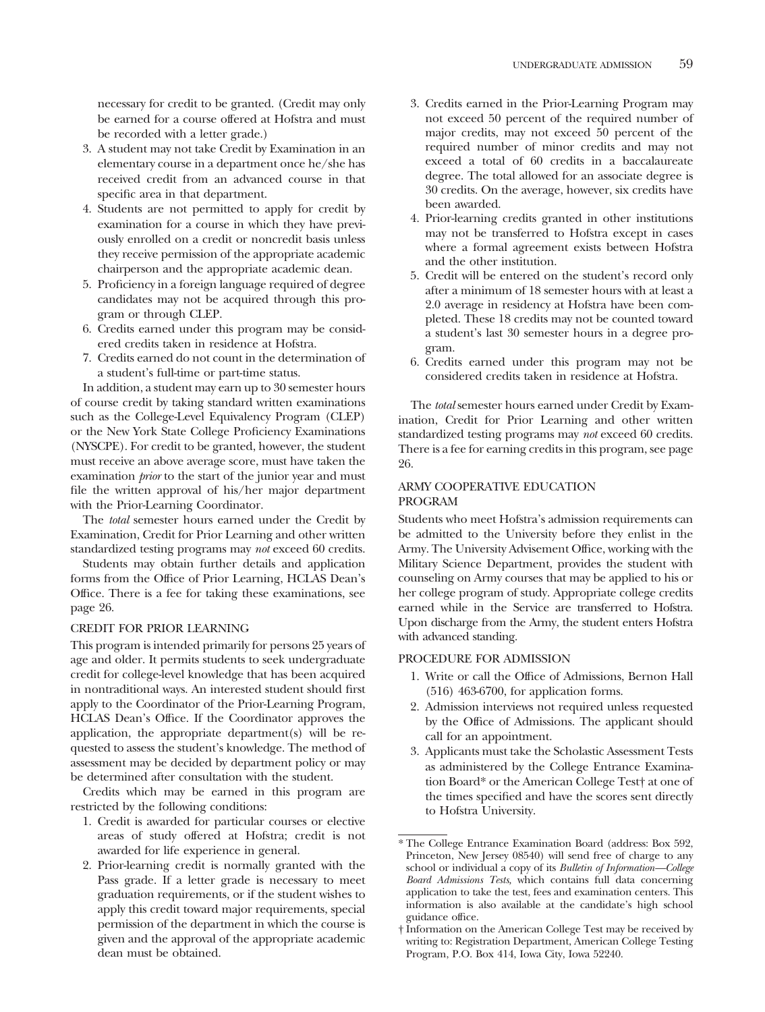necessary for credit to be granted. (Credit may only be earned for a course offered at Hofstra and must be recorded with a letter grade.)

- 3. A student may not take Credit by Examination in an elementary course in a department once he/she has received credit from an advanced course in that specific area in that department.
- 4. Students are not permitted to apply for credit by examination for a course in which they have previously enrolled on a credit or noncredit basis unless they receive permission of the appropriate academic chairperson and the appropriate academic dean.
- 5. Proficiency in a foreign language required of degree candidates may not be acquired through this program or through CLEP.
- 6. Credits earned under this program may be considered credits taken in residence at Hofstra.
- 7. Credits earned do not count in the determination of a student's full-time or part-time status.

In addition, a student may earn up to 30 semester hours of course credit by taking standard written examinations such as the College-Level Equivalency Program (CLEP) or the New York State College Proficiency Examinations (NYSCPE). For credit to be granted, however, the student must receive an above average score, must have taken the examination *prior* to the start of the junior year and must file the written approval of his/her major department with the Prior-Learning Coordinator.

The *total* semester hours earned under the Credit by Examination, Credit for Prior Learning and other written standardized testing programs may *not* exceed 60 credits.

Students may obtain further details and application forms from the Office of Prior Learning, HCLAS Dean's Office. There is a fee for taking these examinations, see page 26.

#### CREDIT FOR PRIOR LEARNING

This program is intended primarily for persons 25 years of age and older. It permits students to seek undergraduate credit for college-level knowledge that has been acquired in nontraditional ways. An interested student should first apply to the Coordinator of the Prior-Learning Program, HCLAS Dean's Office. If the Coordinator approves the application, the appropriate department(s) will be requested to assess the student's knowledge. The method of assessment may be decided by department policy or may be determined after consultation with the student.

Credits which may be earned in this program are restricted by the following conditions:

- 1. Credit is awarded for particular courses or elective areas of study offered at Hofstra; credit is not awarded for life experience in general.
- 2. Prior-learning credit is normally granted with the Pass grade. If a letter grade is necessary to meet graduation requirements, or if the student wishes to apply this credit toward major requirements, special permission of the department in which the course is given and the approval of the appropriate academic dean must be obtained.
- 3. Credits earned in the Prior-Learning Program may not exceed 50 percent of the required number of major credits, may not exceed 50 percent of the required number of minor credits and may not exceed a total of 60 credits in a baccalaureate degree. The total allowed for an associate degree is 30 credits. On the average, however, six credits have been awarded.
- 4. Prior-learning credits granted in other institutions may not be transferred to Hofstra except in cases where a formal agreement exists between Hofstra and the other institution.
- 5. Credit will be entered on the student's record only after a minimum of 18 semester hours with at least a 2.0 average in residency at Hofstra have been completed. These 18 credits may not be counted toward a student's last 30 semester hours in a degree program.
- 6. Credits earned under this program may not be considered credits taken in residence at Hofstra.

The *total* semester hours earned under Credit by Examination, Credit for Prior Learning and other written standardized testing programs may *not* exceed 60 credits. There is a fee for earning credits in this program, see page 26.

### ARMY COOPERATIVE EDUCATION PROGRAM

Students who meet Hofstra's admission requirements can be admitted to the University before they enlist in the Army. The University Advisement Office, working with the Military Science Department, provides the student with counseling on Army courses that may be applied to his or her college program of study. Appropriate college credits earned while in the Service are transferred to Hofstra. Upon discharge from the Army, the student enters Hofstra with advanced standing.

# PROCEDURE FOR ADMISSION

- 1. Write or call the Office of Admissions, Bernon Hall (516) 463-6700, for application forms.
- 2. Admission interviews not required unless requested by the Office of Admissions. The applicant should call for an appointment.
- 3. Applicants must take the Scholastic Assessment Tests as administered by the College Entrance Examination Board\* or the American College Test† at one of the times specified and have the scores sent directly to Hofstra University.

<sup>\*</sup> The College Entrance Examination Board (address: Box 592, Princeton, New Jersey 08540) will send free of charge to any school or individual a copy of its *Bulletin of Information—College Board Admissions Tests,* which contains full data concerning application to take the test, fees and examination centers. This information is also available at the candidate's high school guidance office.

<sup>†</sup> Information on the American College Test may be received by writing to: Registration Department, American College Testing Program, P.O. Box 414, Iowa City, Iowa 52240.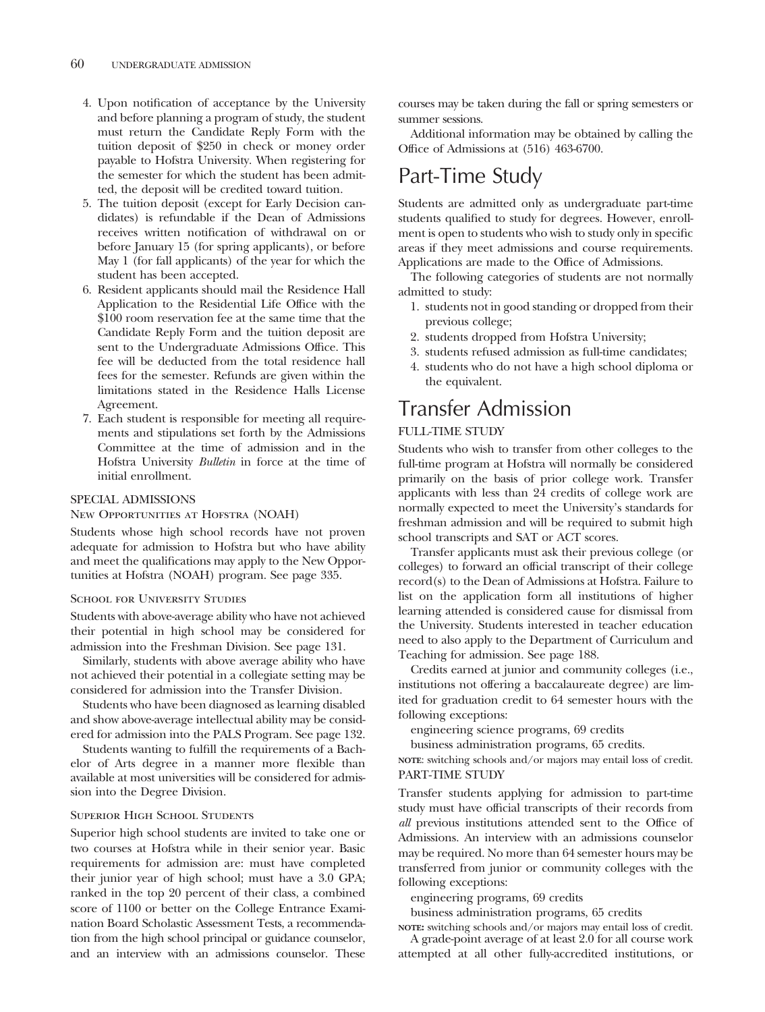- 4. Upon notification of acceptance by the University and before planning a program of study, the student must return the Candidate Reply Form with the tuition deposit of \$250 in check or money order payable to Hofstra University. When registering for the semester for which the student has been admitted, the deposit will be credited toward tuition.
- 5. The tuition deposit (except for Early Decision candidates) is refundable if the Dean of Admissions receives written notification of withdrawal on or before January 15 (for spring applicants), or before May 1 (for fall applicants) of the year for which the student has been accepted.
- 6. Resident applicants should mail the Residence Hall Application to the Residential Life Office with the \$100 room reservation fee at the same time that the Candidate Reply Form and the tuition deposit are sent to the Undergraduate Admissions Office. This fee will be deducted from the total residence hall fees for the semester. Refunds are given within the limitations stated in the Residence Halls License Agreement.
- 7. Each student is responsible for meeting all requirements and stipulations set forth by the Admissions Committee at the time of admission and in the Hofstra University *Bulletin* in force at the time of initial enrollment.

#### SPECIAL ADMISSIONS

#### New Opportunities at Hofstra (NOAH)

Students whose high school records have not proven adequate for admission to Hofstra but who have ability and meet the qualifications may apply to the New Opportunities at Hofstra (NOAH) program. See page 335.

#### SCHOOL FOR UNIVERSITY STUDIES

Students with above-average ability who have not achieved their potential in high school may be considered for admission into the Freshman Division. See page 131.

Similarly, students with above average ability who have not achieved their potential in a collegiate setting may be considered for admission into the Transfer Division.

Students who have been diagnosed as learning disabled and show above-average intellectual ability may be considered for admission into the PALS Program. See page 132.

Students wanting to fulfill the requirements of a Bachelor of Arts degree in a manner more flexible than available at most universities will be considered for admission into the Degree Division.

#### Superior High School Students

Superior high school students are invited to take one or two courses at Hofstra while in their senior year. Basic requirements for admission are: must have completed their junior year of high school; must have a 3.0 GPA; ranked in the top 20 percent of their class, a combined score of 1100 or better on the College Entrance Examination Board Scholastic Assessment Tests, a recommendation from the high school principal or guidance counselor, and an interview with an admissions counselor. These

courses may be taken during the fall or spring semesters or summer sessions.

Additional information may be obtained by calling the Office of Admissions at (516) 463-6700.

# Part-Time Study

Students are admitted only as undergraduate part-time students qualified to study for degrees. However, enrollment is open to students who wish to study only in specific areas if they meet admissions and course requirements. Applications are made to the Office of Admissions.

The following categories of students are not normally admitted to study:

- 1. students not in good standing or dropped from their previous college;
- 2. students dropped from Hofstra University;
- 3. students refused admission as full-time candidates;
- 4. students who do not have a high school diploma or the equivalent.

# Transfer Admission

# FULL-TIME STUDY

Students who wish to transfer from other colleges to the full-time program at Hofstra will normally be considered primarily on the basis of prior college work. Transfer applicants with less than 24 credits of college work are normally expected to meet the University's standards for freshman admission and will be required to submit high school transcripts and SAT or ACT scores.

Transfer applicants must ask their previous college (or colleges) to forward an official transcript of their college record(s) to the Dean of Admissions at Hofstra. Failure to list on the application form all institutions of higher learning attended is considered cause for dismissal from the University. Students interested in teacher education need to also apply to the Department of Curriculum and Teaching for admission. See page 188.

Credits earned at junior and community colleges (i.e., institutions not offering a baccalaureate degree) are limited for graduation credit to 64 semester hours with the following exceptions:

engineering science programs, 69 credits

business administration programs, 65 credits.

**NOTE**: switching schools and/or majors may entail loss of credit. PART-TIME STUDY

Transfer students applying for admission to part-time study must have official transcripts of their records from *all* previous institutions attended sent to the Office of Admissions. An interview with an admissions counselor may be required. No more than 64 semester hours may be transferred from junior or community colleges with the following exceptions:

engineering programs, 69 credits

business administration programs, 65 credits

**NOTE:** switching schools and/or majors may entail loss of credit. A grade-point average of at least 2.0 for all course work

attempted at all other fully-accredited institutions, or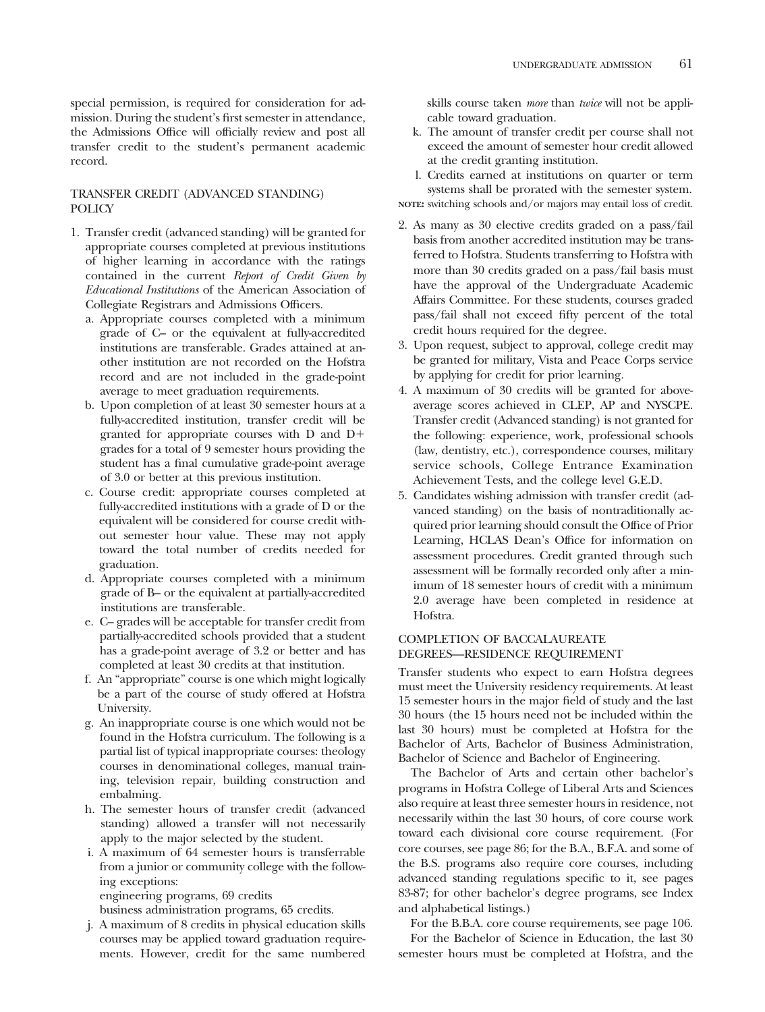special permission, is required for consideration for admission. During the student's first semester in attendance, the Admissions Office will officially review and post all transfer credit to the student's permanent academic record.

# TRANSFER CREDIT (ADVANCED STANDING) POLICY

- 1. Transfer credit (advanced standing) will be granted for appropriate courses completed at previous institutions of higher learning in accordance with the ratings contained in the current *Report of Credit Given by Educational Institutions* of the American Association of Collegiate Registrars and Admissions Officers.
	- a. Appropriate courses completed with a minimum grade of C– or the equivalent at fully-accredited institutions are transferable. Grades attained at another institution are not recorded on the Hofstra record and are not included in the grade-point average to meet graduation requirements.
	- b. Upon completion of at least 30 semester hours at a fully-accredited institution, transfer credit will be granted for appropriate courses with D and D grades for a total of 9 semester hours providing the student has a final cumulative grade-point average of 3.0 or better at this previous institution.
	- c. Course credit: appropriate courses completed at fully-accredited institutions with a grade of D or the equivalent will be considered for course credit without semester hour value. These may not apply toward the total number of credits needed for graduation.
	- d. Appropriate courses completed with a minimum grade of B– or the equivalent at partially-accredited institutions are transferable.
	- e. C– grades will be acceptable for transfer credit from partially-accredited schools provided that a student has a grade-point average of 3.2 or better and has completed at least 30 credits at that institution.
	- f. An "appropriate" course is one which might logically be a part of the course of study offered at Hofstra University.
	- g. An inappropriate course is one which would not be found in the Hofstra curriculum. The following is a partial list of typical inappropriate courses: theology courses in denominational colleges, manual training, television repair, building construction and embalming.
	- h. The semester hours of transfer credit (advanced standing) allowed a transfer will not necessarily apply to the major selected by the student.
	- i. A maximum of 64 semester hours is transferrable from a junior or community college with the following exceptions:

engineering programs, 69 credits

business administration programs, 65 credits.

j. A maximum of 8 credits in physical education skills courses may be applied toward graduation requirements. However, credit for the same numbered skills course taken *more* than *twice* will not be applicable toward graduation.

- k. The amount of transfer credit per course shall not exceed the amount of semester hour credit allowed at the credit granting institution.
- l. Credits earned at institutions on quarter or term systems shall be prorated with the semester system.
- **NOTE:** switching schools and/or majors may entail loss of credit.
- 2. As many as 30 elective credits graded on a pass/fail basis from another accredited institution may be transferred to Hofstra. Students transferring to Hofstra with more than 30 credits graded on a pass/fail basis must have the approval of the Undergraduate Academic Affairs Committee. For these students, courses graded pass/fail shall not exceed fifty percent of the total credit hours required for the degree.
- 3. Upon request, subject to approval, college credit may be granted for military, Vista and Peace Corps service by applying for credit for prior learning.
- 4. A maximum of 30 credits will be granted for aboveaverage scores achieved in CLEP, AP and NYSCPE. Transfer credit (Advanced standing) is not granted for the following: experience, work, professional schools (law, dentistry, etc.), correspondence courses, military service schools, College Entrance Examination Achievement Tests, and the college level G.E.D.
- 5. Candidates wishing admission with transfer credit (advanced standing) on the basis of nontraditionally acquired prior learning should consult the Office of Prior Learning, HCLAS Dean's Office for information on assessment procedures. Credit granted through such assessment will be formally recorded only after a minimum of 18 semester hours of credit with a minimum 2.0 average have been completed in residence at Hofstra.

# COMPLETION OF BACCALAUREATE DEGREES—RESIDENCE REQUIREMENT

Transfer students who expect to earn Hofstra degrees must meet the University residency requirements. At least 15 semester hours in the major field of study and the last 30 hours (the 15 hours need not be included within the last 30 hours) must be completed at Hofstra for the Bachelor of Arts, Bachelor of Business Administration, Bachelor of Science and Bachelor of Engineering.

The Bachelor of Arts and certain other bachelor's programs in Hofstra College of Liberal Arts and Sciences also require at least three semester hours in residence, not necessarily within the last 30 hours, of core course work toward each divisional core course requirement. (For core courses, see page 86; for the B.A., B.F.A. and some of the B.S. programs also require core courses, including advanced standing regulations specific to it, see pages 83-87; for other bachelor's degree programs, see Index and alphabetical listings.)

For the B.B.A. core course requirements, see page 106.

For the Bachelor of Science in Education, the last 30 semester hours must be completed at Hofstra, and the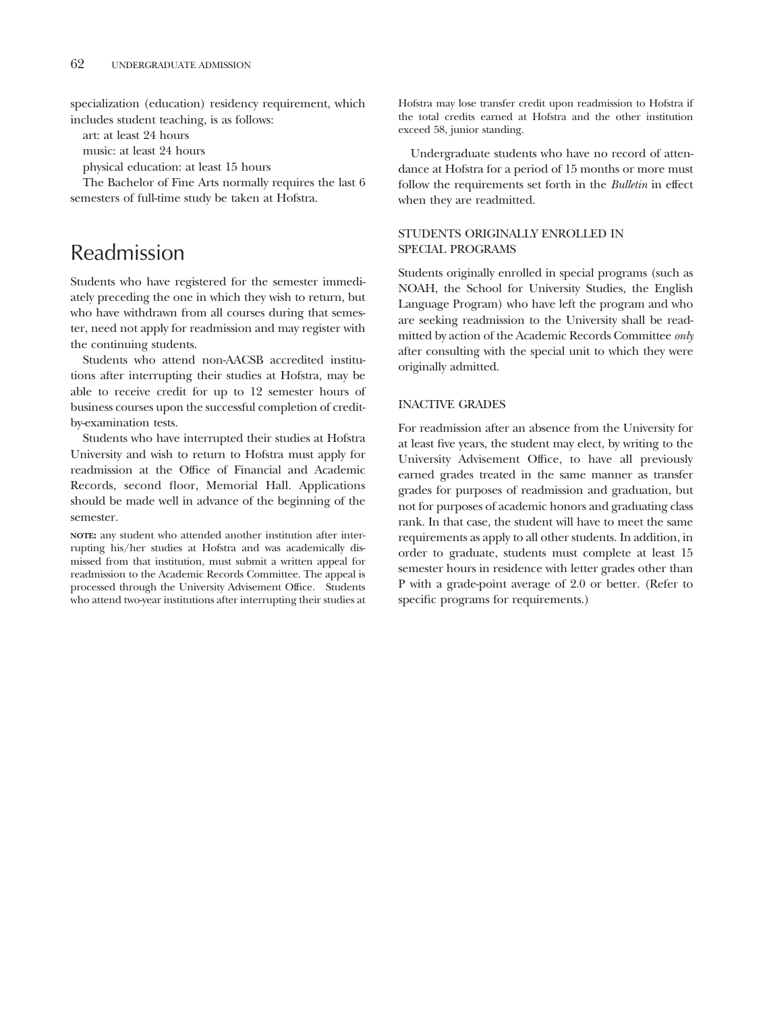specialization (education) residency requirement, which includes student teaching, is as follows:

art: at least 24 hours

music: at least 24 hours

physical education: at least 15 hours

The Bachelor of Fine Arts normally requires the last 6 semesters of full-time study be taken at Hofstra.

# Readmission

Students who have registered for the semester immediately preceding the one in which they wish to return, but who have withdrawn from all courses during that semester, need not apply for readmission and may register with the continuing students.

Students who attend non-AACSB accredited institutions after interrupting their studies at Hofstra, may be able to receive credit for up to 12 semester hours of business courses upon the successful completion of creditby-examination tests.

Students who have interrupted their studies at Hofstra University and wish to return to Hofstra must apply for readmission at the Office of Financial and Academic Records, second floor, Memorial Hall. Applications should be made well in advance of the beginning of the semester.

**NOTE:** any student who attended another institution after interrupting his/her studies at Hofstra and was academically dismissed from that institution, must submit a written appeal for readmission to the Academic Records Committee. The appeal is processed through the University Advisement Office. Students who attend two-year institutions after interrupting their studies at

Hofstra may lose transfer credit upon readmission to Hofstra if the total credits earned at Hofstra and the other institution exceed 58, junior standing.

Undergraduate students who have no record of attendance at Hofstra for a period of 15 months or more must follow the requirements set forth in the *Bulletin* in effect when they are readmitted.

# STUDENTS ORIGINALLY ENROLLED IN SPECIAL PROGRAMS

Students originally enrolled in special programs (such as NOAH, the School for University Studies, the English Language Program) who have left the program and who are seeking readmission to the University shall be readmitted by action of the Academic Records Committee *only* after consulting with the special unit to which they were originally admitted.

# INACTIVE GRADES

For readmission after an absence from the University for at least five years, the student may elect, by writing to the University Advisement Office, to have all previously earned grades treated in the same manner as transfer grades for purposes of readmission and graduation, but not for purposes of academic honors and graduating class rank. In that case, the student will have to meet the same requirements as apply to all other students. In addition, in order to graduate, students must complete at least 15 semester hours in residence with letter grades other than P with a grade-point average of 2.0 or better. (Refer to specific programs for requirements.)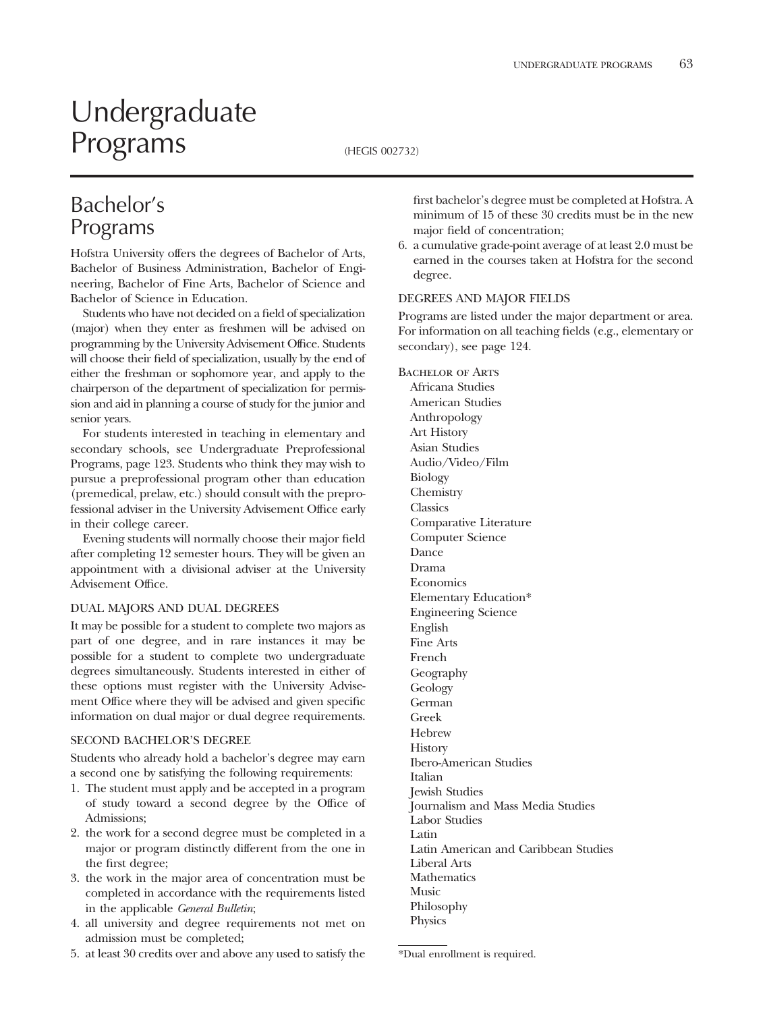# Undergraduate Programs (HEGIS 002732)

# Bachelor's Programs

Hofstra University offers the degrees of Bachelor of Arts, Bachelor of Business Administration, Bachelor of Engineering, Bachelor of Fine Arts, Bachelor of Science and Bachelor of Science in Education.

Students who have not decided on a field of specialization (major) when they enter as freshmen will be advised on programming by the University Advisement Office. Students will choose their field of specialization, usually by the end of either the freshman or sophomore year, and apply to the chairperson of the department of specialization for permission and aid in planning a course of study for the junior and senior years.

For students interested in teaching in elementary and secondary schools, see Undergraduate Preprofessional Programs, page 123. Students who think they may wish to pursue a preprofessional program other than education (premedical, prelaw, etc.) should consult with the preprofessional adviser in the University Advisement Office early in their college career.

Evening students will normally choose their major field after completing 12 semester hours. They will be given an appointment with a divisional adviser at the University Advisement Office.

# DUAL MAJORS AND DUAL DEGREES

It may be possible for a student to complete two majors as part of one degree, and in rare instances it may be possible for a student to complete two undergraduate degrees simultaneously. Students interested in either of these options must register with the University Advisement Office where they will be advised and given specific information on dual major or dual degree requirements.

# SECOND BACHELOR'S DEGREE

Students who already hold a bachelor's degree may earn a second one by satisfying the following requirements:

- 1. The student must apply and be accepted in a program of study toward a second degree by the Office of Admissions;
- 2. the work for a second degree must be completed in a major or program distinctly different from the one in the first degree;
- 3. the work in the major area of concentration must be completed in accordance with the requirements listed in the applicable *General Bulletin*;
- 4. all university and degree requirements not met on admission must be completed;
- 5. at least 30 credits over and above any used to satisfy the

first bachelor's degree must be completed at Hofstra. A minimum of 15 of these 30 credits must be in the new major field of concentration;

6. a cumulative grade-point average of at least 2.0 must be earned in the courses taken at Hofstra for the second degree.

# DEGREES AND MAJOR FIELDS

Programs are listed under the major department or area. For information on all teaching fields (e.g., elementary or secondary), see page 124.

BACHELOR OF ARTS Africana Studies American Studies Anthropology Art History Asian Studies Audio/Video/Film Biology Chemistry **Classics** Comparative Literature Computer Science Dance Drama Economics Elementary Education\* Engineering Science English Fine Arts French Geography **Geology** German Greek Hebrew **History** Ibero-American Studies Italian Jewish Studies Journalism and Mass Media Studies Labor Studies Latin Latin American and Caribbean Studies Liberal Arts Mathematics Music Philosophy Physics

<sup>\*</sup>Dual enrollment is required.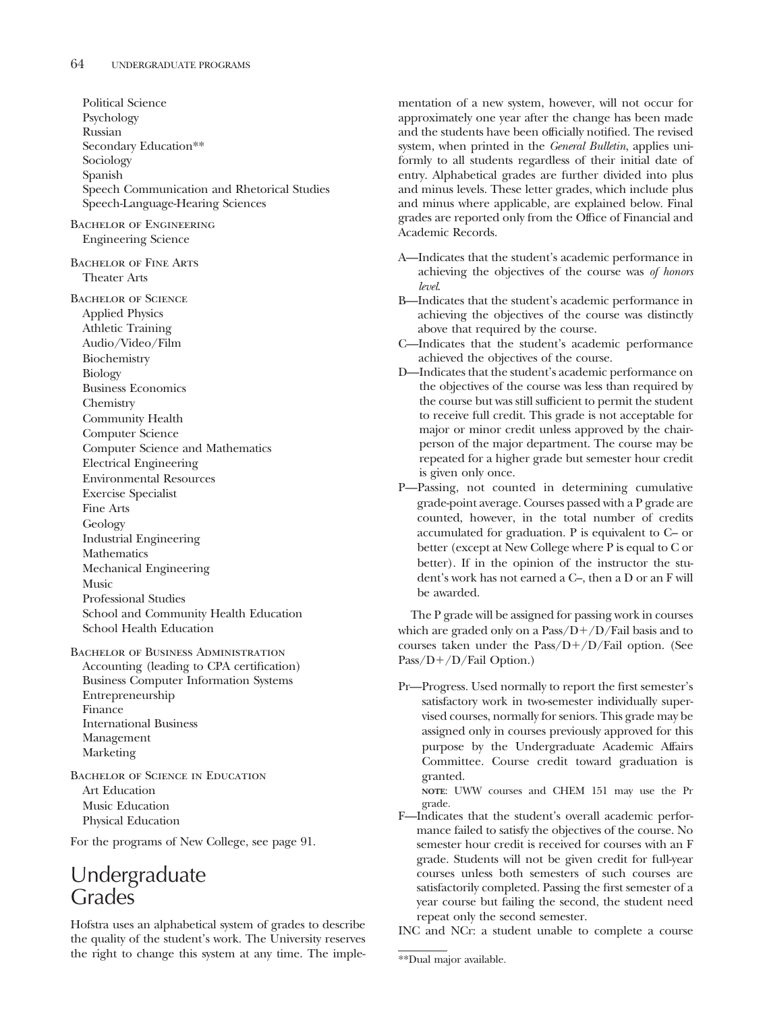Political Science Psychology Russian Secondary Education\*\* Sociology Spanish Speech Communication and Rhetorical Studies Speech-Language-Hearing Sciences Bachelor of Engineering Engineering Science Bachelor of Fine Arts Theater Arts Bachelor of Science Applied Physics Athletic Training Audio/Video/Film Biochemistry Biology Business Economics Chemistry Community Health Computer Science Computer Science and Mathematics Electrical Engineering Environmental Resources Exercise Specialist Fine Arts Geology Industrial Engineering Mathematics Mechanical Engineering Music Professional Studies School and Community Health Education School Health Education BACHELOR OF BUSINESS ADMINISTRATION

Accounting (leading to CPA certification) Business Computer Information Systems Entrepreneurship Finance International Business Management Marketing

Bachelor of Science in Education Art Education Music Education Physical Education

For the programs of New College, see page 91.

# Undergraduate **Grades**

Hofstra uses an alphabetical system of grades to describe the quality of the student's work. The University reserves the right to change this system at any time. The implementation of a new system, however, will not occur for approximately one year after the change has been made and the students have been officially notified. The revised system, when printed in the *General Bulletin*, applies uniformly to all students regardless of their initial date of entry. Alphabetical grades are further divided into plus and minus levels. These letter grades, which include plus and minus where applicable, are explained below. Final grades are reported only from the Office of Financial and Academic Records.

- A—Indicates that the student's academic performance in achieving the objectives of the course was *of honors level*.
- B—Indicates that the student's academic performance in achieving the objectives of the course was distinctly above that required by the course.
- C—Indicates that the student's academic performance achieved the objectives of the course.
- D—Indicates that the student's academic performance on the objectives of the course was less than required by the course but was still sufficient to permit the student to receive full credit. This grade is not acceptable for major or minor credit unless approved by the chairperson of the major department. The course may be repeated for a higher grade but semester hour credit is given only once.
- P—Passing, not counted in determining cumulative grade-point average. Courses passed with a P grade are counted, however, in the total number of credits accumulated for graduation. P is equivalent to C– or better (except at New College where P is equal to C or better). If in the opinion of the instructor the student's work has not earned a C–, then a D or an F will be awarded.

The P grade will be assigned for passing work in courses which are graded only on a  $Pass/D+/D/Fall$  basis and to courses taken under the  $Pass/D+/D/Fall$  option. (See  $Pass/D+/D/Fail Option.)$ 

Pr—Progress. Used normally to report the first semester's satisfactory work in two-semester individually supervised courses, normally for seniors. This grade may be assigned only in courses previously approved for this purpose by the Undergraduate Academic Affairs Committee. Course credit toward graduation is granted.

**NOTE**: UWW courses and CHEM 151 may use the Pr grade.

F—Indicates that the student's overall academic performance failed to satisfy the objectives of the course. No semester hour credit is received for courses with an F grade. Students will not be given credit for full-year courses unless both semesters of such courses are satisfactorily completed. Passing the first semester of a year course but failing the second, the student need repeat only the second semester.

INC and NCr: a student unable to complete a course

<sup>\*\*</sup>Dual major available.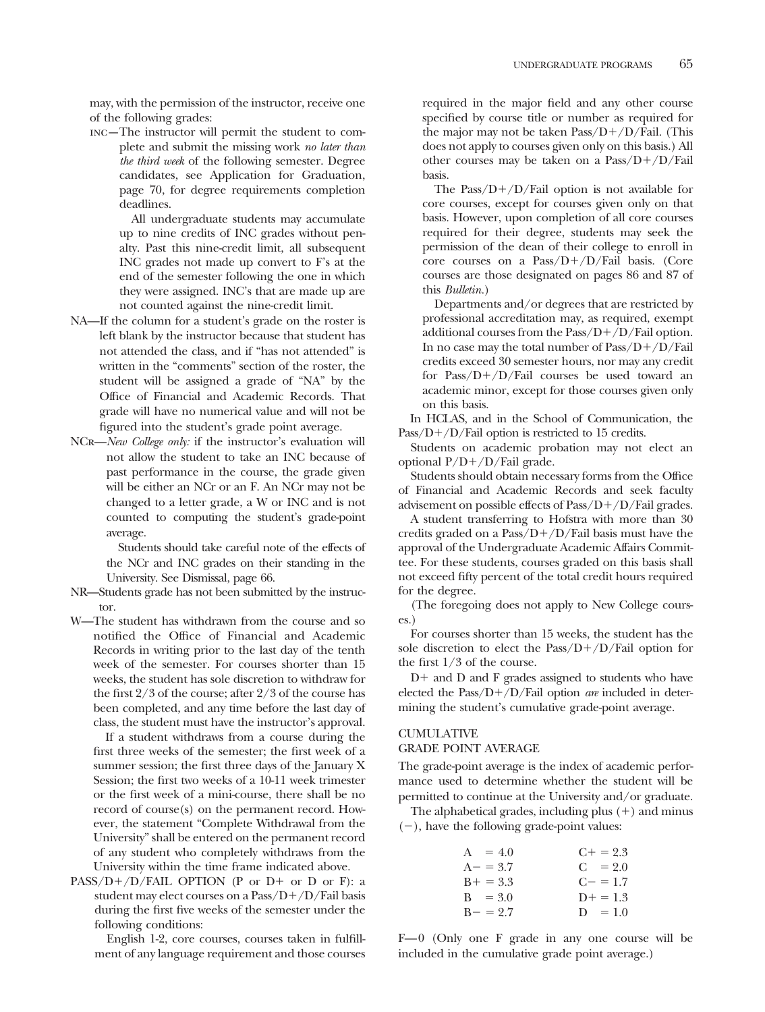may, with the permission of the instructor, receive one of the following grades:

inc—The instructor will permit the student to complete and submit the missing work *no later than the third week* of the following semester. Degree candidates, see Application for Graduation, page 70, for degree requirements completion deadlines.

> All undergraduate students may accumulate up to nine credits of INC grades without penalty. Past this nine-credit limit, all subsequent INC grades not made up convert to F's at the end of the semester following the one in which they were assigned. INC's that are made up are not counted against the nine-credit limit.

- NA—If the column for a student's grade on the roster is left blank by the instructor because that student has not attended the class, and if "has not attended" is written in the "comments" section of the roster, the student will be assigned a grade of "NA" by the Office of Financial and Academic Records. That grade will have no numerical value and will not be figured into the student's grade point average.
- NCr—*New College only:* if the instructor's evaluation will not allow the student to take an INC because of past performance in the course, the grade given will be either an NCr or an F. An NCr may not be changed to a letter grade, a W or INC and is not counted to computing the student's grade-point average.

Students should take careful note of the effects of the NCr and INC grades on their standing in the University. See Dismissal, page 66.

- NR—Students grade has not been submitted by the instructor.
- W—The student has withdrawn from the course and so notified the Office of Financial and Academic Records in writing prior to the last day of the tenth week of the semester. For courses shorter than 15 weeks, the student has sole discretion to withdraw for the first 2/3 of the course; after 2/3 of the course has been completed, and any time before the last day of class, the student must have the instructor's approval.

If a student withdraws from a course during the first three weeks of the semester; the first week of a summer session; the first three days of the January X Session; the first two weeks of a 10-11 week trimester or the first week of a mini-course, there shall be no record of course(s) on the permanent record. However, the statement "Complete Withdrawal from the University" shall be entered on the permanent record of any student who completely withdraws from the University within the time frame indicated above.

 $PASS/D+/D/FAIL$  OPTION (P or D+ or D or F): a student may elect courses on a  $Pass/D+/D/Fall$  basis during the first five weeks of the semester under the following conditions:

English 1-2, core courses, courses taken in fulfillment of any language requirement and those courses

required in the major field and any other course specified by course title or number as required for the major may not be taken  $Pass/D+/D/Fall$ . (This does not apply to courses given only on this basis.) All other courses may be taken on a  $Pass/D+/D/Fall$ basis.

The Pass/ $D+/D/Fail$  option is not available for core courses, except for courses given only on that basis. However, upon completion of all core courses required for their degree, students may seek the permission of the dean of their college to enroll in core courses on a  $Pass/D+/D/Fall$  basis. (Core courses are those designated on pages 86 and 87 of this *Bulletin.*)

Departments and/or degrees that are restricted by professional accreditation may, as required, exempt additional courses from the  $Pass/D+/D/Fail$  option. In no case may the total number of  $Pass/D+/D/Fail$ credits exceed 30 semester hours, nor may any credit for Pass/ $D+ / D$ /Fail courses be used toward an academic minor, except for those courses given only on this basis.

In HCLAS, and in the School of Communication, the Pass/ $D+/D$ /Fail option is restricted to 15 credits.

Students on academic probation may not elect an optional  $P/D+ /D/F$ ail grade.

Students should obtain necessary forms from the Office of Financial and Academic Records and seek faculty advisement on possible effects of  $Pass/D+/D/Fail$  grades.

A student transferring to Hofstra with more than 30 credits graded on a Pass/ $D+/D$ /Fail basis must have the approval of the Undergraduate Academic Affairs Committee. For these students, courses graded on this basis shall not exceed fifty percent of the total credit hours required for the degree.

(The foregoing does not apply to New College courses.)

For courses shorter than 15 weeks, the student has the sole discretion to elect the Pass/ $D+/D/F$ ail option for the first 1/3 of the course.

 $D<sup>+</sup>$  and D and F grades assigned to students who have elected the Pass/D+/D/Fail option *are* included in determining the student's cumulative grade-point average.

# CUMULATIVE

# GRADE POINT AVERAGE

The grade-point average is the index of academic performance used to determine whether the student will be permitted to continue at the University and/or graduate.

The alphabetical grades, including plus  $(+)$  and minus  $(-)$ , have the following grade-point values:

| $A = 4.0$   | $C_{\pm} = 2.3$ |
|-------------|-----------------|
| $A - = 3.7$ | $C = 2.0$       |
| $B+ = 3.3$  | $C = 1.7$       |
| $B = 3.0$   | $D+ = 1.3$      |
| $B - = 2.7$ | $D = 1.0$       |

F—0 (Only one F grade in any one course will be included in the cumulative grade point average.)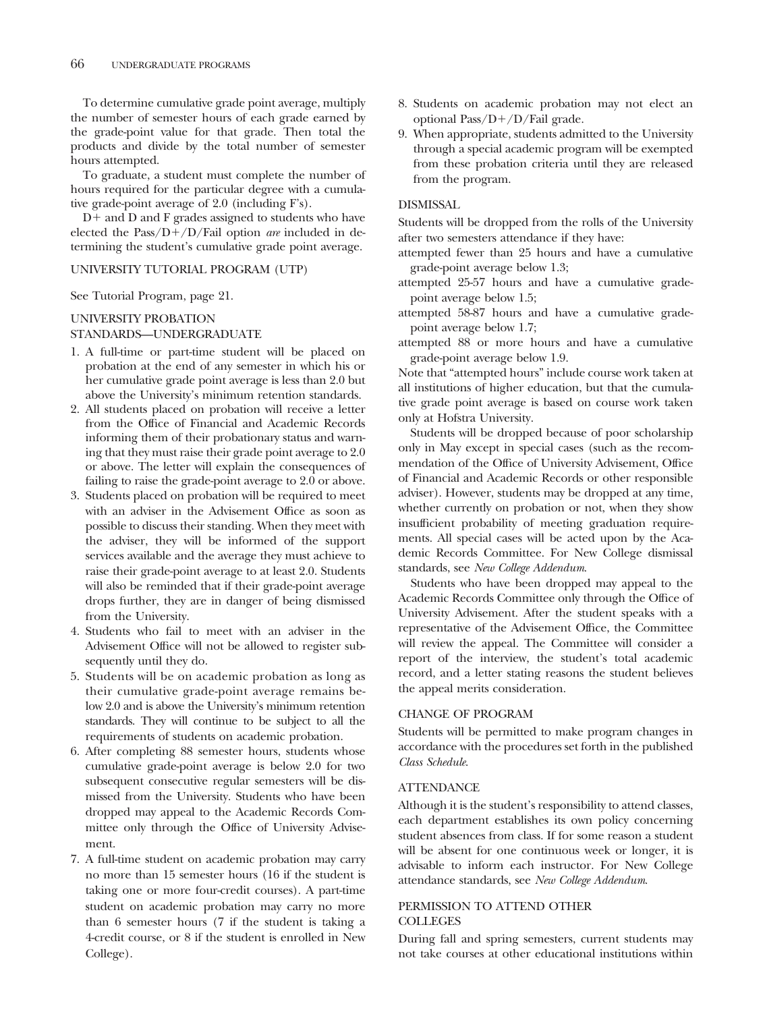To determine cumulative grade point average, multiply the number of semester hours of each grade earned by the grade-point value for that grade. Then total the products and divide by the total number of semester hours attempted.

To graduate, a student must complete the number of hours required for the particular degree with a cumulative grade-point average of 2.0 (including F's).

 $D+$  and  $D$  and  $F$  grades assigned to students who have elected the Pass/D+/D/Fail option *are* included in determining the student's cumulative grade point average.

#### UNIVERSITY TUTORIAL PROGRAM (UTP)

See Tutorial Program, page 21.

### UNIVERSITY PROBATION

### STANDARDS—UNDERGRADUATE

- 1. A full-time or part-time student will be placed on probation at the end of any semester in which his or her cumulative grade point average is less than 2.0 but above the University's minimum retention standards.
- 2. All students placed on probation will receive a letter from the Office of Financial and Academic Records informing them of their probationary status and warning that they must raise their grade point average to 2.0 or above. The letter will explain the consequences of failing to raise the grade-point average to 2.0 or above.
- 3. Students placed on probation will be required to meet with an adviser in the Advisement Office as soon as possible to discuss their standing. When they meet with the adviser, they will be informed of the support services available and the average they must achieve to raise their grade-point average to at least 2.0. Students will also be reminded that if their grade-point average drops further, they are in danger of being dismissed from the University.
- 4. Students who fail to meet with an adviser in the Advisement Office will not be allowed to register subsequently until they do.
- 5. Students will be on academic probation as long as their cumulative grade-point average remains below 2.0 and is above the University's minimum retention standards. They will continue to be subject to all the requirements of students on academic probation.
- 6. After completing 88 semester hours, students whose cumulative grade-point average is below 2.0 for two subsequent consecutive regular semesters will be dismissed from the University. Students who have been dropped may appeal to the Academic Records Committee only through the Office of University Advisement.
- 7. A full-time student on academic probation may carry no more than 15 semester hours (16 if the student is taking one or more four-credit courses). A part-time student on academic probation may carry no more than 6 semester hours (7 if the student is taking a 4-credit course, or 8 if the student is enrolled in New College).
- 8. Students on academic probation may not elect an optional Pass/ $D+/D$ /Fail grade.
- 9. When appropriate, students admitted to the University through a special academic program will be exempted from these probation criteria until they are released from the program.

# DISMISSAL

Students will be dropped from the rolls of the University after two semesters attendance if they have:

- attempted fewer than 25 hours and have a cumulative grade-point average below 1.3;
- attempted 25-57 hours and have a cumulative gradepoint average below 1.5;
- attempted 58-87 hours and have a cumulative gradepoint average below 1.7;
- attempted 88 or more hours and have a cumulative grade-point average below 1.9.

Note that "attempted hours" include course work taken at all institutions of higher education, but that the cumulative grade point average is based on course work taken only at Hofstra University.

Students will be dropped because of poor scholarship only in May except in special cases (such as the recommendation of the Office of University Advisement, Office of Financial and Academic Records or other responsible adviser). However, students may be dropped at any time, whether currently on probation or not, when they show insufficient probability of meeting graduation requirements. All special cases will be acted upon by the Academic Records Committee. For New College dismissal standards, see *New College Addendum*.

Students who have been dropped may appeal to the Academic Records Committee only through the Office of University Advisement. After the student speaks with a representative of the Advisement Office, the Committee will review the appeal. The Committee will consider a report of the interview, the student's total academic record, and a letter stating reasons the student believes the appeal merits consideration.

#### CHANGE OF PROGRAM

Students will be permitted to make program changes in accordance with the procedures set forth in the published *Class Schedule*.

#### **ATTENDANCE**

Although it is the student's responsibility to attend classes, each department establishes its own policy concerning student absences from class. If for some reason a student will be absent for one continuous week or longer, it is advisable to inform each instructor. For New College attendance standards, see *New College Addendum*.

### PERMISSION TO ATTEND OTHER COLLEGES

During fall and spring semesters, current students may not take courses at other educational institutions within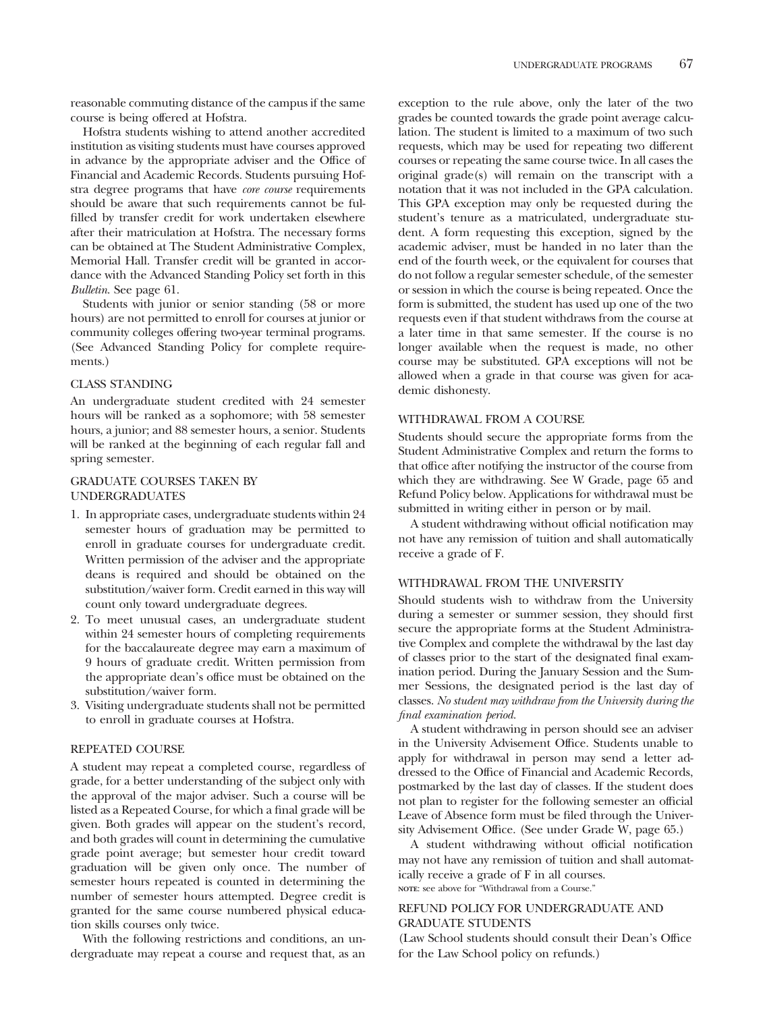reasonable commuting distance of the campus if the same course is being offered at Hofstra.

Hofstra students wishing to attend another accredited institution as visiting students must have courses approved in advance by the appropriate adviser and the Office of Financial and Academic Records. Students pursuing Hofstra degree programs that have *core course* requirements should be aware that such requirements cannot be fulfilled by transfer credit for work undertaken elsewhere after their matriculation at Hofstra. The necessary forms can be obtained at The Student Administrative Complex, Memorial Hall. Transfer credit will be granted in accordance with the Advanced Standing Policy set forth in this *Bulletin*. See page 61.

Students with junior or senior standing (58 or more hours) are not permitted to enroll for courses at junior or community colleges offering two-year terminal programs. (See Advanced Standing Policy for complete requirements.)

#### CLASS STANDING

An undergraduate student credited with 24 semester hours will be ranked as a sophomore; with 58 semester hours, a junior; and 88 semester hours, a senior. Students will be ranked at the beginning of each regular fall and spring semester.

# GRADUATE COURSES TAKEN BY UNDERGRADUATES

- 1. In appropriate cases, undergraduate students within 24 semester hours of graduation may be permitted to enroll in graduate courses for undergraduate credit. Written permission of the adviser and the appropriate deans is required and should be obtained on the substitution/waiver form. Credit earned in this way will count only toward undergraduate degrees.
- 2. To meet unusual cases, an undergraduate student within 24 semester hours of completing requirements for the baccalaureate degree may earn a maximum of 9 hours of graduate credit. Written permission from the appropriate dean's office must be obtained on the substitution/waiver form.
- 3. Visiting undergraduate students shall not be permitted to enroll in graduate courses at Hofstra.

#### REPEATED COURSE

A student may repeat a completed course, regardless of grade, for a better understanding of the subject only with the approval of the major adviser. Such a course will be listed as a Repeated Course, for which a final grade will be given. Both grades will appear on the student's record, and both grades will count in determining the cumulative grade point average; but semester hour credit toward graduation will be given only once. The number of semester hours repeated is counted in determining the number of semester hours attempted. Degree credit is granted for the same course numbered physical education skills courses only twice.

With the following restrictions and conditions, an undergraduate may repeat a course and request that, as an

exception to the rule above, only the later of the two grades be counted towards the grade point average calculation. The student is limited to a maximum of two such requests, which may be used for repeating two different courses or repeating the same course twice. In all cases the original grade(s) will remain on the transcript with a notation that it was not included in the GPA calculation. This GPA exception may only be requested during the student's tenure as a matriculated, undergraduate student. A form requesting this exception, signed by the academic adviser, must be handed in no later than the end of the fourth week, or the equivalent for courses that do not follow a regular semester schedule, of the semester or session in which the course is being repeated. Once the form is submitted, the student has used up one of the two requests even if that student withdraws from the course at a later time in that same semester. If the course is no longer available when the request is made, no other course may be substituted. GPA exceptions will not be allowed when a grade in that course was given for academic dishonesty.

#### WITHDRAWAL FROM A COURSE

Students should secure the appropriate forms from the Student Administrative Complex and return the forms to that office after notifying the instructor of the course from which they are withdrawing. See W Grade, page 65 and Refund Policy below. Applications for withdrawal must be submitted in writing either in person or by mail.

A student withdrawing without official notification may not have any remission of tuition and shall automatically receive a grade of F.

# WITHDRAWAL FROM THE UNIVERSITY

Should students wish to withdraw from the University during a semester or summer session, they should first secure the appropriate forms at the Student Administrative Complex and complete the withdrawal by the last day of classes prior to the start of the designated final examination period. During the January Session and the Summer Sessions, the designated period is the last day of classes. *No student may withdraw from the University during the final examination period.*

A student withdrawing in person should see an adviser in the University Advisement Office. Students unable to apply for withdrawal in person may send a letter addressed to the Office of Financial and Academic Records, postmarked by the last day of classes. If the student does not plan to register for the following semester an official Leave of Absence form must be filed through the University Advisement Office. (See under Grade W, page 65.)

A student withdrawing without official notification may not have any remission of tuition and shall automatically receive a grade of F in all courses. **NOTE**: see above for "Withdrawal from a Course."

# REFUND POLICY FOR UNDERGRADUATE AND GRADUATE STUDENTS

(Law School students should consult their Dean's Office for the Law School policy on refunds.)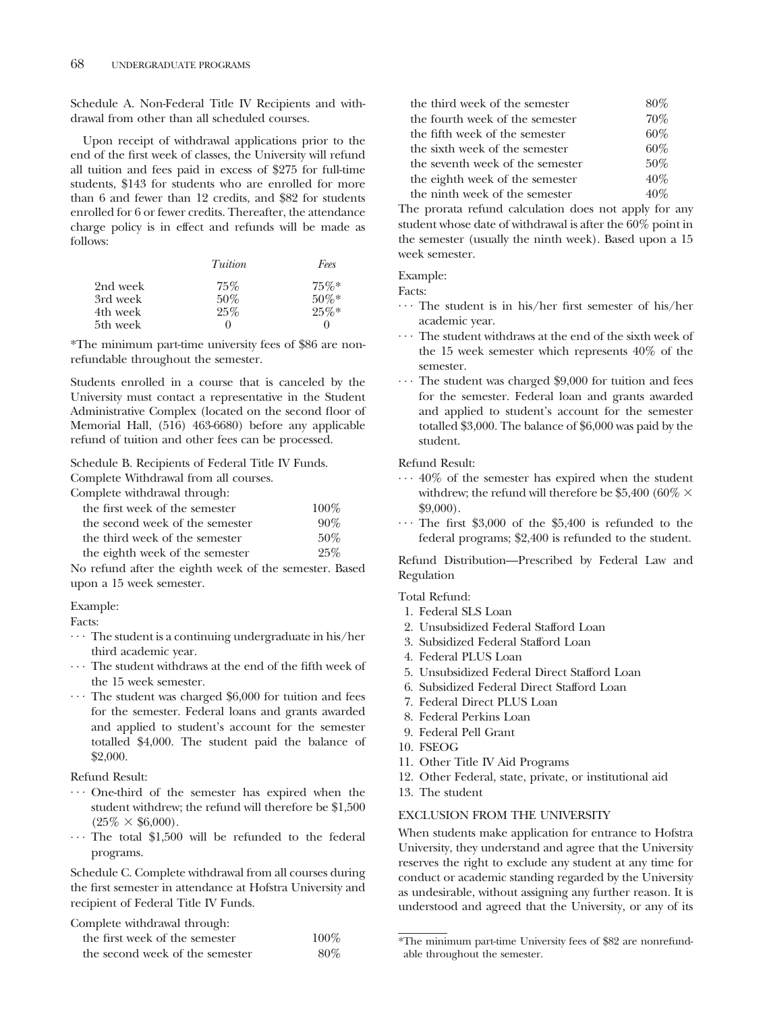Schedule A. Non-Federal Title IV Recipients and withdrawal from other than all scheduled courses.

Upon receipt of withdrawal applications prior to the end of the first week of classes, the University will refund all tuition and fees paid in excess of \$275 for full-time students, \$143 for students who are enrolled for more than 6 and fewer than 12 credits, and \$82 for students enrolled for 6 or fewer credits. Thereafter, the attendance charge policy is in effect and refunds will be made as follows:

|          | Tuition  | Fees     |
|----------|----------|----------|
| 2nd week | 75%      | 75%      |
| 3rd week | 50%      | $50\%*$  |
| 4th week | 25%      | $25\%*$  |
| 5th week | $\theta$ | $\theta$ |

\*The minimum part-time university fees of \$86 are nonrefundable throughout the semester.

Students enrolled in a course that is canceled by the University must contact a representative in the Student Administrative Complex (located on the second floor of Memorial Hall, (516) 463-6680) before any applicable refund of tuition and other fees can be processed.

Schedule B. Recipients of Federal Title IV Funds. Complete Withdrawal from all courses.

Complete withdrawal through:

| $\frac{1}{2}$                   |         |
|---------------------------------|---------|
| the first week of the semester  | $100\%$ |
| the second week of the semester | 90%     |
| the third week of the semester  | 50%     |
| the eighth week of the semester | 25%     |

No refund after the eighth week of the semester. Based upon a 15 week semester.

Example:

Facts:

- ... The student is a continuing undergraduate in his/her third academic year.<br> $\cdots$  The student withdraws at the end of the fifth week of
- the 15 week semester.<br> $\cdots$  The student was charged \$6,000 for tuition and fees
- for the semester. Federal loans and grants awarded and applied to student's account for the semester totalled \$4,000. The student paid the balance of \$2,000.

#### Refund Result:

- ... One-third of the semester has expired when the student withdrew; the refund will therefore be \$1,500  $(25\% \times $6,000)$ .
- $\cdots$  The total \$1,500 will be refunded to the federal programs.

Schedule C. Complete withdrawal from all courses during the first semester in attendance at Hofstra University and recipient of Federal Title IV Funds.

Complete withdrawal through:

| the first week of the semester  | $100\%$ |
|---------------------------------|---------|
| the second week of the semester | $80\%$  |

| the third week of the semester   | 80% |
|----------------------------------|-----|
| the fourth week of the semester  | 70% |
| the fifth week of the semester   | 60% |
| the sixth week of the semester   | 60% |
| the seventh week of the semester | 50% |
| the eighth week of the semester  | 40% |
| the ninth week of the semester   | 40% |

The prorata refund calculation does not apply for any student whose date of withdrawal is after the 60% point in the semester (usually the ninth week). Based upon a 15 week semester.

Example:

Facts:

- $\cdots$  The student is in his/her first semester of his/her academic year.<br> $\cdots$  The student withdraws at the end of the sixth week of
- the 15 week semester which represents 40% of the semester.<br> $\cdots$  The student was charged \$9,000 for tuition and fees
- for the semester. Federal loan and grants awarded and applied to student's account for the semester totalled \$3,000. The balance of \$6,000 was paid by the student.

Refund Result:

- $\cdots$  40% of the semester has expired when the student withdrew; the refund will therefore be  $\$5,\!400\;(60\%\times 10^{-4}$
- $$9,000$ ).<br> $\cdots$  The first \$3,000 of the \$5,400 is refunded to the federal programs; \$2,400 is refunded to the student.

Refund Distribution—Prescribed by Federal Law and Regulation

Total Refund:

- 1. Federal SLS Loan
- 2. Unsubsidized Federal Stafford Loan
- 3. Subsidized Federal Stafford Loan
- 4. Federal PLUS Loan
- 5. Unsubsidized Federal Direct Stafford Loan
- 6. Subsidized Federal Direct Stafford Loan
- 7. Federal Direct PLUS Loan
- 8. Federal Perkins Loan
- 9. Federal Pell Grant
- 10. FSEOG
- 11. Other Title IV Aid Programs
- 12. Other Federal, state, private, or institutional aid
- 13. The student

# EXCLUSION FROM THE UNIVERSITY

When students make application for entrance to Hofstra University, they understand and agree that the University reserves the right to exclude any student at any time for conduct or academic standing regarded by the University as undesirable, without assigning any further reason. It is understood and agreed that the University, or any of its

<sup>\*</sup>The minimum part-time University fees of \$82 are nonrefundable throughout the semester.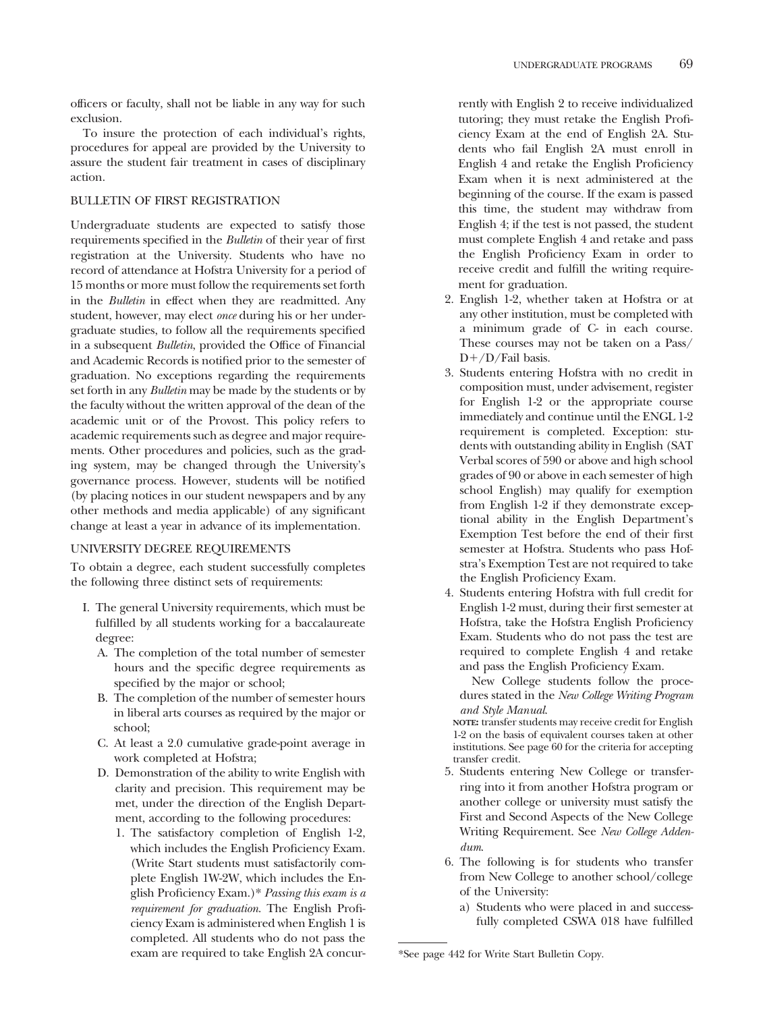officers or faculty, shall not be liable in any way for such exclusion.

To insure the protection of each individual's rights, procedures for appeal are provided by the University to assure the student fair treatment in cases of disciplinary action.

#### BULLETIN OF FIRST REGISTRATION

Undergraduate students are expected to satisfy those requirements specified in the *Bulletin* of their year of first registration at the University. Students who have no record of attendance at Hofstra University for a period of 15 months or more must follow the requirements set forth in the *Bulletin* in effect when they are readmitted. Any student, however, may elect *once* during his or her undergraduate studies, to follow all the requirements specified in a subsequent *Bulletin*, provided the Office of Financial and Academic Records is notified prior to the semester of graduation. No exceptions regarding the requirements set forth in any *Bulletin* may be made by the students or by the faculty without the written approval of the dean of the academic unit or of the Provost. This policy refers to academic requirements such as degree and major requirements. Other procedures and policies, such as the grading system, may be changed through the University's governance process. However, students will be notified (by placing notices in our student newspapers and by any other methods and media applicable) of any significant change at least a year in advance of its implementation.

#### UNIVERSITY DEGREE REQUIREMENTS

To obtain a degree, each student successfully completes the following three distinct sets of requirements:

- I. The general University requirements, which must be fulfilled by all students working for a baccalaureate degree:
	- A. The completion of the total number of semester hours and the specific degree requirements as specified by the major or school;
	- B. The completion of the number of semester hours in liberal arts courses as required by the major or school;
	- C. At least a 2.0 cumulative grade-point average in work completed at Hofstra;
	- D. Demonstration of the ability to write English with clarity and precision. This requirement may be met, under the direction of the English Department, according to the following procedures:
		- 1. The satisfactory completion of English 1-2, which includes the English Proficiency Exam. (Write Start students must satisfactorily complete English 1W-2W, which includes the English Proficiency Exam.)\* *Passing this exam is a requirement for graduation*. The English Proficiency Exam is administered when English 1 is completed. All students who do not pass the exam are required to take English 2A concur-

rently with English 2 to receive individualized tutoring; they must retake the English Proficiency Exam at the end of English 2A. Students who fail English 2A must enroll in English 4 and retake the English Proficiency Exam when it is next administered at the beginning of the course. If the exam is passed this time, the student may withdraw from English 4; if the test is not passed, the student must complete English 4 and retake and pass the English Proficiency Exam in order to receive credit and fulfill the writing requirement for graduation.

- 2. English 1-2, whether taken at Hofstra or at any other institution, must be completed with a minimum grade of C- in each course. These courses may not be taken on a Pass/  $D+$ /D/Fail basis.
- 3. Students entering Hofstra with no credit in composition must, under advisement, register for English 1-2 or the appropriate course immediately and continue until the ENGL 1-2 requirement is completed. Exception: students with outstanding ability in English (SAT Verbal scores of 590 or above and high school grades of 90 or above in each semester of high school English) may qualify for exemption from English 1-2 if they demonstrate exceptional ability in the English Department's Exemption Test before the end of their first semester at Hofstra. Students who pass Hofstra's Exemption Test are not required to take the English Proficiency Exam.
- 4. Students entering Hofstra with full credit for English 1-2 must, during their first semester at Hofstra, take the Hofstra English Proficiency Exam. Students who do not pass the test are required to complete English 4 and retake and pass the English Proficiency Exam.

New College students follow the procedures stated in the *New College Writing Program and Style Manual*.

**NOTE:** transfer students may receive credit for English 1-2 on the basis of equivalent courses taken at other institutions. See page 60 for the criteria for accepting transfer credit.

- 5. Students entering New College or transferring into it from another Hofstra program or another college or university must satisfy the First and Second Aspects of the New College Writing Requirement. See *New College Addendum*.
- 6. The following is for students who transfer from New College to another school/college of the University:
	- a) Students who were placed in and successfully completed CSWA 018 have fulfilled

<sup>\*</sup>See page 442 for Write Start Bulletin Copy.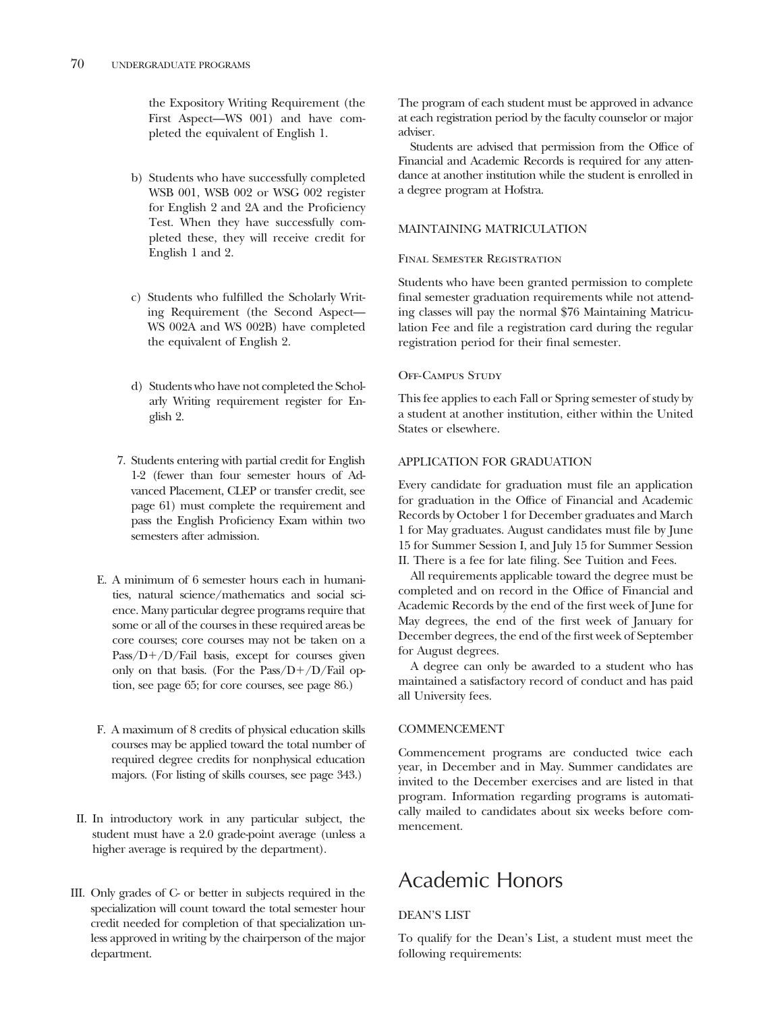the Expository Writing Requirement (the First Aspect—WS 001) and have completed the equivalent of English 1.

- b) Students who have successfully completed WSB 001, WSB 002 or WSG 002 register for English 2 and 2A and the Proficiency Test. When they have successfully completed these, they will receive credit for English 1 and 2.
- c) Students who fulfilled the Scholarly Writing Requirement (the Second Aspect— WS 002A and WS 002B) have completed the equivalent of English 2.
- d) Students who have not completed the Scholarly Writing requirement register for English 2.
- 7. Students entering with partial credit for English 1-2 (fewer than four semester hours of Advanced Placement, CLEP or transfer credit, see page 61) must complete the requirement and pass the English Proficiency Exam within two semesters after admission.
- E. A minimum of 6 semester hours each in humanities, natural science/mathematics and social science. Many particular degree programs require that some or all of the courses in these required areas be core courses; core courses may not be taken on a  $Pass/D+/D/Fail$  basis, except for courses given only on that basis. (For the Pass/ $D+/D$ /Fail option, see page 65; for core courses, see page 86.)
- F. A maximum of 8 credits of physical education skills courses may be applied toward the total number of required degree credits for nonphysical education majors. (For listing of skills courses, see page 343.)
- II. In introductory work in any particular subject, the student must have a 2.0 grade-point average (unless a higher average is required by the department).
- III. Only grades of C- or better in subjects required in the specialization will count toward the total semester hour credit needed for completion of that specialization unless approved in writing by the chairperson of the major department.

The program of each student must be approved in advance at each registration period by the faculty counselor or major adviser.

Students are advised that permission from the Office of Financial and Academic Records is required for any attendance at another institution while the student is enrolled in a degree program at Hofstra.

# MAINTAINING MATRICULATION

# Final Semester Registration

Students who have been granted permission to complete final semester graduation requirements while not attending classes will pay the normal \$76 Maintaining Matriculation Fee and file a registration card during the regular registration period for their final semester.

# Off-Campus Study

This fee applies to each Fall or Spring semester of study by a student at another institution, either within the United States or elsewhere.

# APPLICATION FOR GRADUATION

Every candidate for graduation must file an application for graduation in the Office of Financial and Academic Records by October 1 for December graduates and March 1 for May graduates. August candidates must file by June 15 for Summer Session I, and July 15 for Summer Session II. There is a fee for late filing. See Tuition and Fees.

All requirements applicable toward the degree must be completed and on record in the Office of Financial and Academic Records by the end of the first week of June for May degrees, the end of the first week of January for December degrees, the end of the first week of September for August degrees.

A degree can only be awarded to a student who has maintained a satisfactory record of conduct and has paid all University fees.

# COMMENCEMENT

Commencement programs are conducted twice each year, in December and in May. Summer candidates are invited to the December exercises and are listed in that program. Information regarding programs is automatically mailed to candidates about six weeks before commencement.

# Academic Honors

# DEAN'S LIST

To qualify for the Dean's List, a student must meet the following requirements: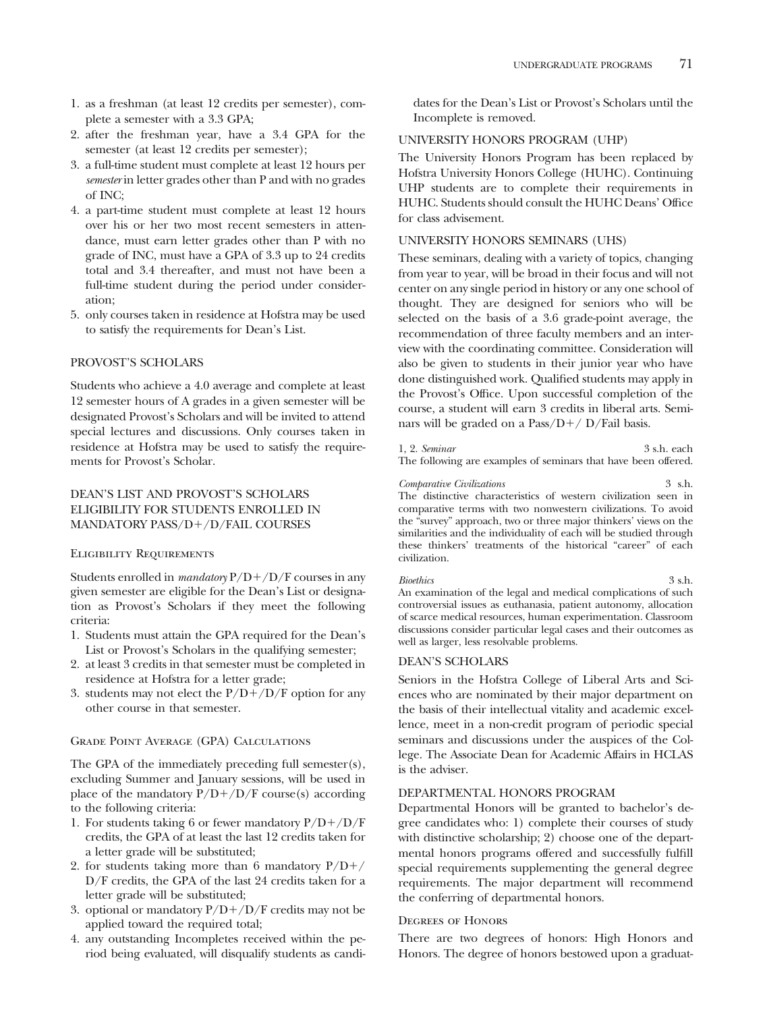- 1. as a freshman (at least 12 credits per semester), complete a semester with a 3.3 GPA;
- 2. after the freshman year, have a 3.4 GPA for the semester (at least 12 credits per semester);
- 3. a full-time student must complete at least 12 hours per *semester* in letter grades other than P and with no grades of INC;
- 4. a part-time student must complete at least 12 hours over his or her two most recent semesters in attendance, must earn letter grades other than P with no grade of INC, must have a GPA of 3.3 up to 24 credits total and 3.4 thereafter, and must not have been a full-time student during the period under consideration;
- 5. only courses taken in residence at Hofstra may be used to satisfy the requirements for Dean's List.

# PROVOST'S SCHOLARS

Students who achieve a 4.0 average and complete at least 12 semester hours of A grades in a given semester will be designated Provost's Scholars and will be invited to attend special lectures and discussions. Only courses taken in residence at Hofstra may be used to satisfy the requirements for Provost's Scholar.

# DEAN'S LIST AND PROVOST'S SCHOLARS ELIGIBILITY FOR STUDENTS ENROLLED IN MANDATORY PASS/D+/D/FAIL COURSES

### Eligibility Requirements

Students enrolled in *mandatory*  $P/D + /D/F$  courses in any given semester are eligible for the Dean's List or designation as Provost's Scholars if they meet the following criteria:

- 1. Students must attain the GPA required for the Dean's List or Provost's Scholars in the qualifying semester;
- 2. at least 3 credits in that semester must be completed in residence at Hofstra for a letter grade;
- 3. students may not elect the  $P/D+/D/F$  option for any other course in that semester.

#### Grade Point Average (GPA) Calculations

The GPA of the immediately preceding full semester(s), excluding Summer and January sessions, will be used in place of the mandatory  $P/D+/D/F$  course(s) according to the following criteria:

- 1. For students taking 6 or fewer mandatory  $P/D+/D/F$ credits, the GPA of at least the last 12 credits taken for a letter grade will be substituted;
- 2. for students taking more than 6 mandatory  $P/D+/-$ D/F credits, the GPA of the last 24 credits taken for a letter grade will be substituted;
- 3. optional or mandatory  $P/D+ / D/F$  credits may not be applied toward the required total;
- 4. any outstanding Incompletes received within the period being evaluated, will disqualify students as candi-

dates for the Dean's List or Provost's Scholars until the Incomplete is removed.

#### UNIVERSITY HONORS PROGRAM (UHP)

The University Honors Program has been replaced by Hofstra University Honors College (HUHC). Continuing UHP students are to complete their requirements in HUHC. Students should consult the HUHC Deans' Office for class advisement.

# UNIVERSITY HONORS SEMINARS (UHS)

These seminars, dealing with a variety of topics, changing from year to year, will be broad in their focus and will not center on any single period in history or any one school of thought. They are designed for seniors who will be selected on the basis of a 3.6 grade-point average, the recommendation of three faculty members and an interview with the coordinating committee. Consideration will also be given to students in their junior year who have done distinguished work. Qualified students may apply in the Provost's Office. Upon successful completion of the course, a student will earn 3 credits in liberal arts. Seminars will be graded on a Pass/ $D+$ / D/Fail basis.

1, 2. *Seminar* 3 s.h. each The following are examples of seminars that have been offered.

*Comparative Civilizations* 3 s.h. The distinctive characteristics of western civilization seen in comparative terms with two nonwestern civilizations. To avoid the "survey" approach, two or three major thinkers' views on the similarities and the individuality of each will be studied through these thinkers' treatments of the historical "career" of each civilization.

#### *Bioethics* 3 s.h. An examination of the legal and medical complications of such controversial issues as euthanasia, patient autonomy, allocation of scarce medical resources, human experimentation. Classroom discussions consider particular legal cases and their outcomes as well as larger, less resolvable problems.

#### DEAN'S SCHOLARS

Seniors in the Hofstra College of Liberal Arts and Sciences who are nominated by their major department on the basis of their intellectual vitality and academic excellence, meet in a non-credit program of periodic special seminars and discussions under the auspices of the College. The Associate Dean for Academic Affairs in HCLAS is the adviser.

# DEPARTMENTAL HONORS PROGRAM

Departmental Honors will be granted to bachelor's degree candidates who: 1) complete their courses of study with distinctive scholarship; 2) choose one of the departmental honors programs offered and successfully fulfill special requirements supplementing the general degree requirements. The major department will recommend the conferring of departmental honors.

#### Degrees of Honors

There are two degrees of honors: High Honors and Honors. The degree of honors bestowed upon a graduat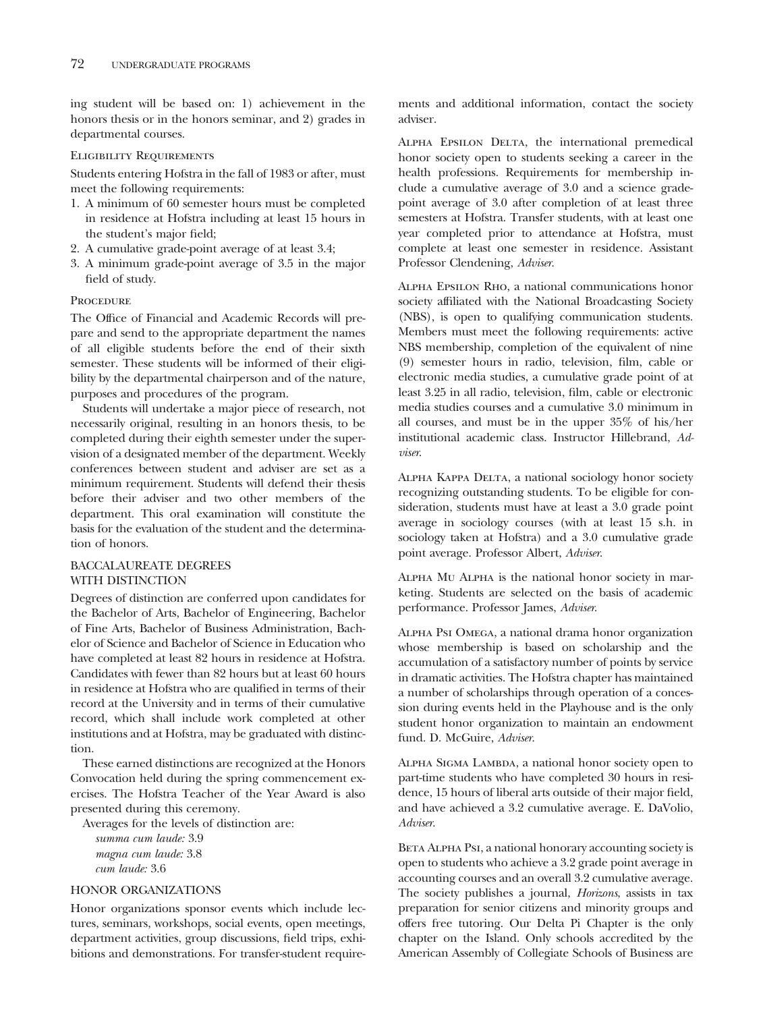ing student will be based on: 1) achievement in the honors thesis or in the honors seminar, and 2) grades in departmental courses.

# Eligibility Requirements

Students entering Hofstra in the fall of 1983 or after, must meet the following requirements:

- 1. A minimum of 60 semester hours must be completed in residence at Hofstra including at least 15 hours in the student's major field;
- 2. A cumulative grade-point average of at least 3.4;
- 3. A minimum grade-point average of 3.5 in the major field of study.

# **PROCEDURE**

The Office of Financial and Academic Records will prepare and send to the appropriate department the names of all eligible students before the end of their sixth semester. These students will be informed of their eligibility by the departmental chairperson and of the nature, purposes and procedures of the program.

Students will undertake a major piece of research, not necessarily original, resulting in an honors thesis, to be completed during their eighth semester under the supervision of a designated member of the department. Weekly conferences between student and adviser are set as a minimum requirement. Students will defend their thesis before their adviser and two other members of the department. This oral examination will constitute the basis for the evaluation of the student and the determination of honors.

# BACCALAUREATE DEGREES WITH DISTINCTION

Degrees of distinction are conferred upon candidates for the Bachelor of Arts, Bachelor of Engineering, Bachelor of Fine Arts, Bachelor of Business Administration, Bachelor of Science and Bachelor of Science in Education who have completed at least 82 hours in residence at Hofstra. Candidates with fewer than 82 hours but at least 60 hours in residence at Hofstra who are qualified in terms of their record at the University and in terms of their cumulative record, which shall include work completed at other institutions and at Hofstra, may be graduated with distinction.

These earned distinctions are recognized at the Honors Convocation held during the spring commencement exercises. The Hofstra Teacher of the Year Award is also presented during this ceremony.

Averages for the levels of distinction are: *summa cum laude:* 3.9 *magna cum laude:* 3.8 *cum laude:* 3.6

### HONOR ORGANIZATIONS

Honor organizations sponsor events which include lectures, seminars, workshops, social events, open meetings, department activities, group discussions, field trips, exhibitions and demonstrations. For transfer-student requirements and additional information, contact the society adviser.

ALPHA EPSILON DELTA, the international premedical honor society open to students seeking a career in the health professions. Requirements for membership include a cumulative average of 3.0 and a science gradepoint average of 3.0 after completion of at least three semesters at Hofstra. Transfer students, with at least one year completed prior to attendance at Hofstra, must complete at least one semester in residence. Assistant Professor Clendening, *Adviser*.

Alpha Epsilon Rho, a national communications honor society affiliated with the National Broadcasting Society (NBS), is open to qualifying communication students. Members must meet the following requirements: active NBS membership, completion of the equivalent of nine (9) semester hours in radio, television, film, cable or electronic media studies, a cumulative grade point of at least 3.25 in all radio, television, film, cable or electronic media studies courses and a cumulative 3.0 minimum in all courses, and must be in the upper 35% of his/her institutional academic class. Instructor Hillebrand, *Adviser*.

Alpha Kappa Delta, a national sociology honor society recognizing outstanding students. To be eligible for consideration, students must have at least a 3.0 grade point average in sociology courses (with at least 15 s.h. in sociology taken at Hofstra) and a 3.0 cumulative grade point average. Professor Albert, *Adviser*.

Alpha Mu Alpha is the national honor society in marketing. Students are selected on the basis of academic performance. Professor James, *Adviser*.

Alpha Psi Omega, a national drama honor organization whose membership is based on scholarship and the accumulation of a satisfactory number of points by service in dramatic activities. The Hofstra chapter has maintained a number of scholarships through operation of a concession during events held in the Playhouse and is the only student honor organization to maintain an endowment fund. D. McGuire, *Adviser*.

Alpha Sigma Lambda, a national honor society open to part-time students who have completed 30 hours in residence, 15 hours of liberal arts outside of their major field, and have achieved a 3.2 cumulative average. E. DaVolio, *Adviser*.

BETA ALPHA PsI, a national honorary accounting society is open to students who achieve a 3.2 grade point average in accounting courses and an overall 3.2 cumulative average. The society publishes a journal, *Horizons*, assists in tax preparation for senior citizens and minority groups and offers free tutoring. Our Delta Pi Chapter is the only chapter on the Island. Only schools accredited by the American Assembly of Collegiate Schools of Business are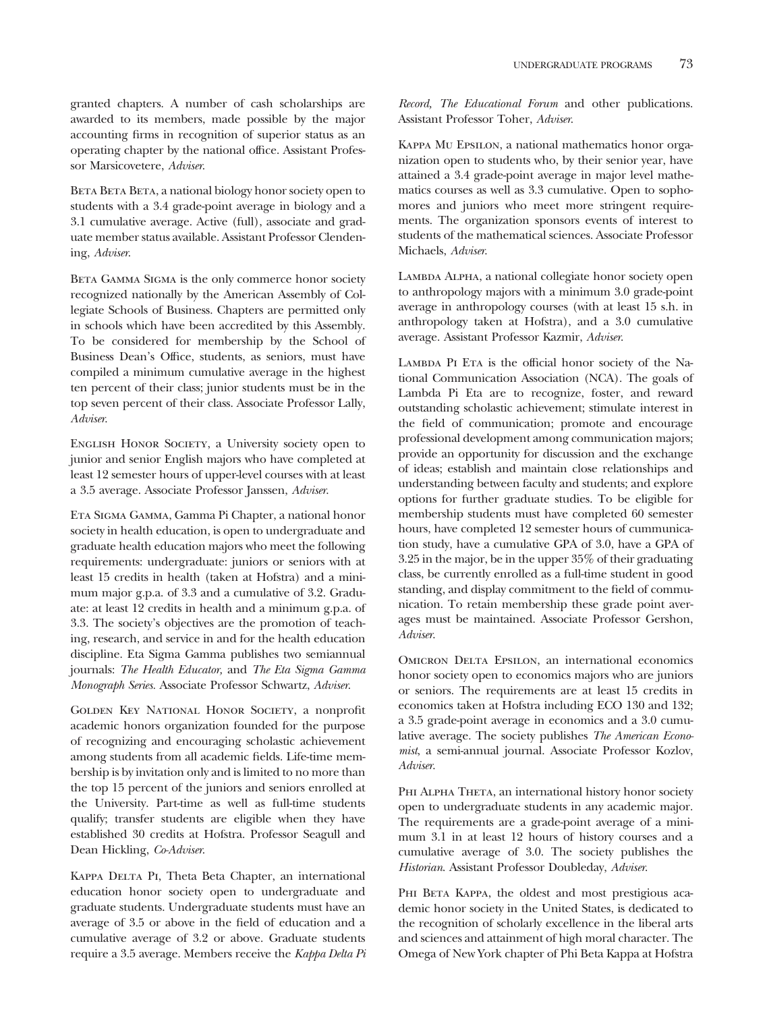granted chapters. A number of cash scholarships are awarded to its members, made possible by the major accounting firms in recognition of superior status as an operating chapter by the national office. Assistant Professor Marsicovetere, *Adviser*.

BETA BETA, a national biology honor society open to students with a 3.4 grade-point average in biology and a 3.1 cumulative average. Active (full), associate and graduate member status available. Assistant Professor Clendening, *Adviser*.

BETA GAMMA SIGMA is the only commerce honor society recognized nationally by the American Assembly of Collegiate Schools of Business. Chapters are permitted only in schools which have been accredited by this Assembly. To be considered for membership by the School of Business Dean's Office, students, as seniors, must have compiled a minimum cumulative average in the highest ten percent of their class; junior students must be in the top seven percent of their class. Associate Professor Lally, *Adviser*.

English Honor Society, a University society open to junior and senior English majors who have completed at least 12 semester hours of upper-level courses with at least a 3.5 average. Associate Professor Janssen, *Adviser*.

Eta Sigma Gamma, Gamma Pi Chapter, a national honor society in health education, is open to undergraduate and graduate health education majors who meet the following requirements: undergraduate: juniors or seniors with at least 15 credits in health (taken at Hofstra) and a minimum major g.p.a. of 3.3 and a cumulative of 3.2. Graduate: at least 12 credits in health and a minimum g.p.a. of 3.3. The society's objectives are the promotion of teaching, research, and service in and for the health education discipline. Eta Sigma Gamma publishes two semiannual journals: *The Health Educator,* and *The Eta Sigma Gamma Monograph Series.* Associate Professor Schwartz, *Adviser*.

Golden Key National Honor Society, a nonprofit academic honors organization founded for the purpose of recognizing and encouraging scholastic achievement among students from all academic fields. Life-time membership is by invitation only and is limited to no more than the top 15 percent of the juniors and seniors enrolled at the University. Part-time as well as full-time students qualify; transfer students are eligible when they have established 30 credits at Hofstra. Professor Seagull and Dean Hickling, *Co-Adviser*.

KAPPA DELTA PI, Theta Beta Chapter, an international education honor society open to undergraduate and graduate students. Undergraduate students must have an average of 3.5 or above in the field of education and a cumulative average of 3.2 or above. Graduate students require a 3.5 average. Members receive the *Kappa Delta Pi* *Record, The Educational Forum* and other publications. Assistant Professor Toher, *Adviser*.

Kappa Mu Epsilon, a national mathematics honor organization open to students who, by their senior year, have attained a 3.4 grade-point average in major level mathematics courses as well as 3.3 cumulative. Open to sophomores and juniors who meet more stringent requirements. The organization sponsors events of interest to students of the mathematical sciences. Associate Professor Michaels, *Adviser*.

LAMBDA ALPHA, a national collegiate honor society open to anthropology majors with a minimum 3.0 grade-point average in anthropology courses (with at least 15 s.h. in anthropology taken at Hofstra), and a 3.0 cumulative average. Assistant Professor Kazmir, *Adviser*.

LAMBDA PI ETA is the official honor society of the National Communication Association (NCA). The goals of Lambda Pi Eta are to recognize, foster, and reward outstanding scholastic achievement; stimulate interest in the field of communication; promote and encourage professional development among communication majors; provide an opportunity for discussion and the exchange of ideas; establish and maintain close relationships and understanding between faculty and students; and explore options for further graduate studies. To be eligible for membership students must have completed 60 semester hours, have completed 12 semester hours of cummunication study, have a cumulative GPA of 3.0, have a GPA of 3.25 in the major, be in the upper 35% of their graduating class, be currently enrolled as a full-time student in good standing, and display commitment to the field of communication. To retain membership these grade point averages must be maintained. Associate Professor Gershon, *Adviser*.

OMICRON DELTA EPSILON, an international economics honor society open to economics majors who are juniors or seniors. The requirements are at least 15 credits in economics taken at Hofstra including ECO 130 and 132; a 3.5 grade-point average in economics and a 3.0 cumulative average. The society publishes *The American Economist*, a semi-annual journal. Associate Professor Kozlov, *Adviser*.

PHI ALPHA THETA, an international history honor society open to undergraduate students in any academic major. The requirements are a grade-point average of a minimum 3.1 in at least 12 hours of history courses and a cumulative average of 3.0. The society publishes the *Historian*. Assistant Professor Doubleday, *Adviser*.

PHI BETA KAPPA, the oldest and most prestigious academic honor society in the United States, is dedicated to the recognition of scholarly excellence in the liberal arts and sciences and attainment of high moral character. The Omega of New York chapter of Phi Beta Kappa at Hofstra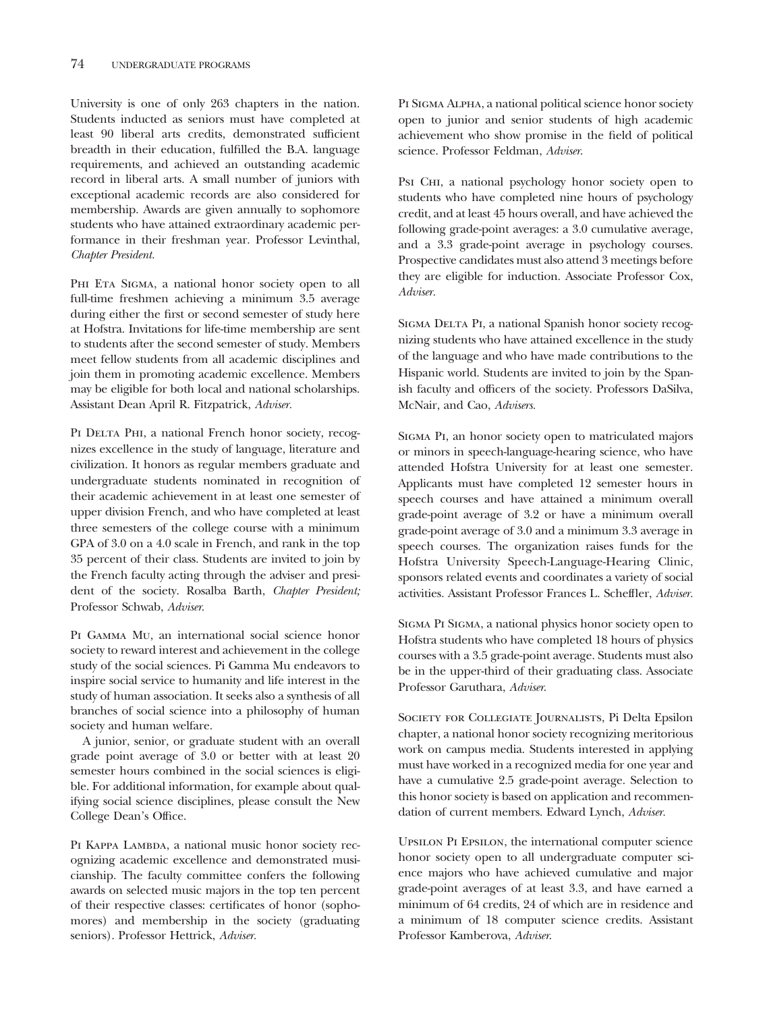University is one of only 263 chapters in the nation. Students inducted as seniors must have completed at least 90 liberal arts credits, demonstrated sufficient breadth in their education, fulfilled the B.A. language requirements, and achieved an outstanding academic record in liberal arts. A small number of juniors with exceptional academic records are also considered for membership. Awards are given annually to sophomore students who have attained extraordinary academic performance in their freshman year. Professor Levinthal, *Chapter President.*

PHI ETA SIGMA, a national honor society open to all full-time freshmen achieving a minimum 3.5 average during either the first or second semester of study here at Hofstra. Invitations for life-time membership are sent to students after the second semester of study. Members meet fellow students from all academic disciplines and join them in promoting academic excellence. Members may be eligible for both local and national scholarships. Assistant Dean April R. Fitzpatrick, *Adviser.*

PI DELTA PHI, a national French honor society, recognizes excellence in the study of language, literature and civilization. It honors as regular members graduate and undergraduate students nominated in recognition of their academic achievement in at least one semester of upper division French, and who have completed at least three semesters of the college course with a minimum GPA of 3.0 on a 4.0 scale in French, and rank in the top 35 percent of their class. Students are invited to join by the French faculty acting through the adviser and president of the society. Rosalba Barth, *Chapter President;* Professor Schwab, *Adviser*.

Pi Gamma Mu, an international social science honor society to reward interest and achievement in the college study of the social sciences. Pi Gamma Mu endeavors to inspire social service to humanity and life interest in the study of human association. It seeks also a synthesis of all branches of social science into a philosophy of human society and human welfare.

A junior, senior, or graduate student with an overall grade point average of 3.0 or better with at least 20 semester hours combined in the social sciences is eligible. For additional information, for example about qualifying social science disciplines, please consult the New College Dean's Office.

PI KAPPA LAMBDA, a national music honor society recognizing academic excellence and demonstrated musicianship. The faculty committee confers the following awards on selected music majors in the top ten percent of their respective classes: certificates of honor (sophomores) and membership in the society (graduating seniors). Professor Hettrick, *Adviser.*

Pi Sigma Alpha, a national political science honor society open to junior and senior students of high academic achievement who show promise in the field of political science. Professor Feldman, *Adviser*.

Psi CHI, a national psychology honor society open to students who have completed nine hours of psychology credit, and at least 45 hours overall, and have achieved the following grade-point averages: a 3.0 cumulative average, and a 3.3 grade-point average in psychology courses. Prospective candidates must also attend 3 meetings before they are eligible for induction. Associate Professor Cox, *Adviser.*

SIGMA DELTA PI, a national Spanish honor society recognizing students who have attained excellence in the study of the language and who have made contributions to the Hispanic world. Students are invited to join by the Spanish faculty and officers of the society. Professors DaSilva, McNair, and Cao, *Advisers.*

Sigma Pi, an honor society open to matriculated majors or minors in speech-language-hearing science, who have attended Hofstra University for at least one semester. Applicants must have completed 12 semester hours in speech courses and have attained a minimum overall grade-point average of 3.2 or have a minimum overall grade-point average of 3.0 and a minimum 3.3 average in speech courses. The organization raises funds for the Hofstra University Speech-Language-Hearing Clinic, sponsors related events and coordinates a variety of social activities. Assistant Professor Frances L. Scheffler, *Adviser.*

Sigma Pi Sigma, a national physics honor society open to Hofstra students who have completed 18 hours of physics courses with a 3.5 grade-point average. Students must also be in the upper-third of their graduating class. Associate Professor Garuthara, *Adviser*.

Society for Collegiate Journalists, Pi Delta Epsilon chapter, a national honor society recognizing meritorious work on campus media. Students interested in applying must have worked in a recognized media for one year and have a cumulative 2.5 grade-point average. Selection to this honor society is based on application and recommendation of current members. Edward Lynch, *Adviser.*

Upsilon Pi Epsilon, the international computer science honor society open to all undergraduate computer science majors who have achieved cumulative and major grade-point averages of at least 3.3, and have earned a minimum of 64 credits, 24 of which are in residence and a minimum of 18 computer science credits. Assistant Professor Kamberova, *Adviser*.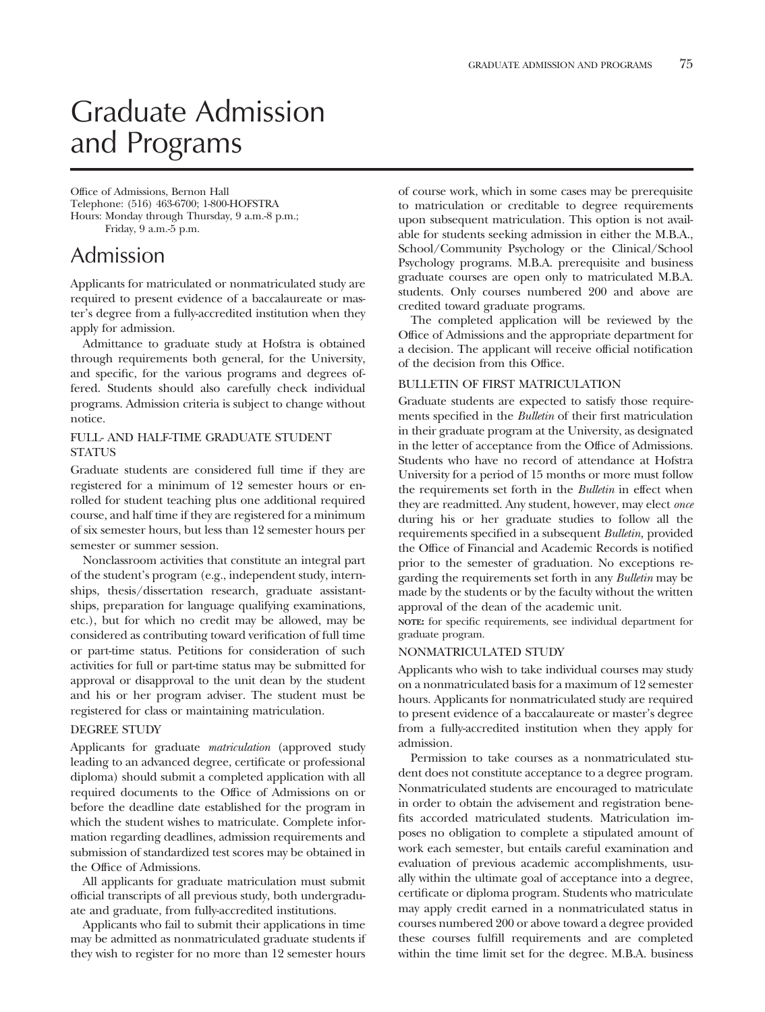# Graduate Admission and Programs

Office of Admissions, Bernon Hall Telephone: (516) 463-6700; 1-800-HOFSTRA Hours: Monday through Thursday, 9 a.m.-8 p.m.; Friday, 9 a.m.-5 p.m.

# Admission

Applicants for matriculated or nonmatriculated study are required to present evidence of a baccalaureate or master's degree from a fully-accredited institution when they apply for admission.

Admittance to graduate study at Hofstra is obtained through requirements both general, for the University, and specific, for the various programs and degrees offered. Students should also carefully check individual programs. Admission criteria is subject to change without notice.

# FULL- AND HALF-TIME GRADUATE STUDENT STATUS

Graduate students are considered full time if they are registered for a minimum of 12 semester hours or enrolled for student teaching plus one additional required course, and half time if they are registered for a minimum of six semester hours, but less than 12 semester hours per semester or summer session.

Nonclassroom activities that constitute an integral part of the student's program (e.g., independent study, internships, thesis/dissertation research, graduate assistantships, preparation for language qualifying examinations, etc.), but for which no credit may be allowed, may be considered as contributing toward verification of full time or part-time status. Petitions for consideration of such activities for full or part-time status may be submitted for approval or disapproval to the unit dean by the student and his or her program adviser. The student must be registered for class or maintaining matriculation.

#### DEGREE STUDY

Applicants for graduate *matriculation* (approved study leading to an advanced degree, certificate or professional diploma) should submit a completed application with all required documents to the Office of Admissions on or before the deadline date established for the program in which the student wishes to matriculate. Complete information regarding deadlines, admission requirements and submission of standardized test scores may be obtained in the Office of Admissions.

All applicants for graduate matriculation must submit official transcripts of all previous study, both undergraduate and graduate, from fully-accredited institutions.

Applicants who fail to submit their applications in time may be admitted as nonmatriculated graduate students if they wish to register for no more than 12 semester hours

of course work, which in some cases may be prerequisite to matriculation or creditable to degree requirements upon subsequent matriculation. This option is not available for students seeking admission in either the M.B.A., School/Community Psychology or the Clinical/School Psychology programs. M.B.A. prerequisite and business graduate courses are open only to matriculated M.B.A. students. Only courses numbered 200 and above are credited toward graduate programs.

The completed application will be reviewed by the Office of Admissions and the appropriate department for a decision. The applicant will receive official notification of the decision from this Office.

# BULLETIN OF FIRST MATRICULATION

Graduate students are expected to satisfy those requirements specified in the *Bulletin* of their first matriculation in their graduate program at the University, as designated in the letter of acceptance from the Office of Admissions. Students who have no record of attendance at Hofstra University for a period of 15 months or more must follow the requirements set forth in the *Bulletin* in effect when they are readmitted. Any student, however, may elect *once* during his or her graduate studies to follow all the requirements specified in a subsequent *Bulletin,* provided the Office of Financial and Academic Records is notified prior to the semester of graduation. No exceptions regarding the requirements set forth in any *Bulletin* may be made by the students or by the faculty without the written approval of the dean of the academic unit.

**NOTE:** for specific requirements, see individual department for graduate program.

#### NONMATRICULATED STUDY

Applicants who wish to take individual courses may study on a nonmatriculated basis for a maximum of 12 semester hours. Applicants for nonmatriculated study are required to present evidence of a baccalaureate or master's degree from a fully-accredited institution when they apply for admission.

Permission to take courses as a nonmatriculated student does not constitute acceptance to a degree program. Nonmatriculated students are encouraged to matriculate in order to obtain the advisement and registration benefits accorded matriculated students. Matriculation imposes no obligation to complete a stipulated amount of work each semester, but entails careful examination and evaluation of previous academic accomplishments, usually within the ultimate goal of acceptance into a degree, certificate or diploma program. Students who matriculate may apply credit earned in a nonmatriculated status in courses numbered 200 or above toward a degree provided these courses fulfill requirements and are completed within the time limit set for the degree. M.B.A. business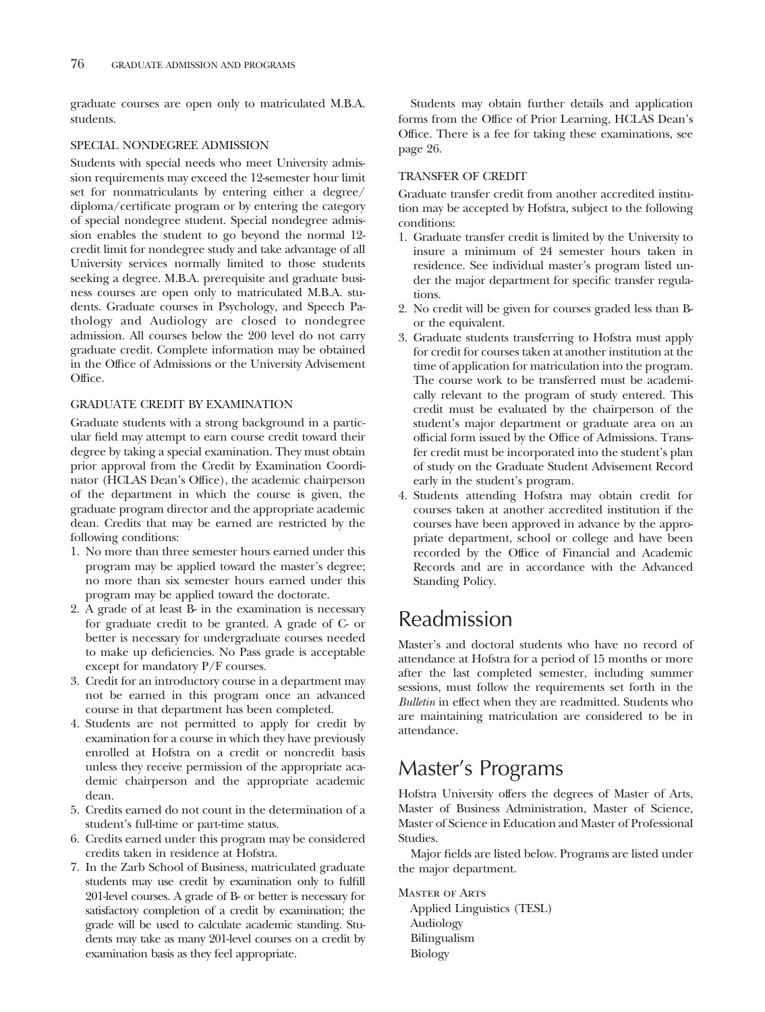graduate courses are open only to matriculated M.B.A. students.

### SPECIAL NONDEGREE ADMISSION

Students with special needs who meet University admission requirements may exceed the 12-semester hour limit set for nonmatriculants by entering either a degree/ diploma/certificate program or by entering the category of special nondegree student. Special nondegree admission enables the student to go beyond the normal 12 credit limit for nondegree study and take advantage of all University services normally limited to those students seeking a degree. M.B.A. prerequisite and graduate business courses are open only to matriculated M.B.A. students. Graduate courses in Psychology, and Speech Pathology and Audiology are closed to nondegree admission. All courses below the 200 level do not carry graduate credit. Complete information may be obtained in the Office of Admissions or the University Advisement Office.

### GRADUATE CREDIT BY EXAMINATION

Graduate students with a strong background in a particular field may attempt to earn course credit toward their degree by taking a special examination. They must obtain prior approval from the Credit by Examination Coordinator (HCLAS Dean's Office), the academic chairperson of the department in which the course is given, the graduate program director and the appropriate academic dean. Credits that may be earned are restricted by the following conditions:

- 1. No more than three semester hours earned under this program may be applied toward the master's degree; no more than six semester hours earned under this program may be applied toward the doctorate.
- 2. A grade of at least B- in the examination is necessary for graduate credit to be granted. A grade of C- or better is necessary for undergraduate courses needed to make up deficiencies. No Pass grade is acceptable except for mandatory P/F courses.
- 3. Credit for an introductory course in a department may not be earned in this program once an advanced course in that department has been completed.
- 4. Students are not permitted to apply for credit by examination for a course in which they have previously enrolled at Hofstra on a credit or noncredit basis unless they receive permission of the appropriate academic chairperson and the appropriate academic dean.
- 5. Credits earned do not count in the determination of a student's full-time or part-time status.
- 6. Credits earned under this program may be considered credits taken in residence at Hofstra.
- 7. In the Zarb School of Business, matriculated graduate students may use credit by examination only to fulfill 201-level courses. A grade of B- or better is necessary for satisfactory completion of a credit by examination; the grade will be used to calculate academic standing. Students may take as many 201-level courses on a credit by examination basis as they feel appropriate.

Students may obtain further details and application forms from the Office of Prior Learning, HCLAS Dean's Office. There is a fee for taking these examinations, see page 26.

# TRANSFER OF CREDIT

Graduate transfer credit from another accredited institution may be accepted by Hofstra, subject to the following conditions:

- 1. Graduate transfer credit is limited by the University to insure a minimum of 24 semester hours taken in residence. See individual master's program listed under the major department for specific transfer regulations.
- 2. No credit will be given for courses graded less than Bor the equivalent.
- 3. Graduate students transferring to Hofstra must apply for credit for courses taken at another institution at the time of application for matriculation into the program. The course work to be transferred must be academically relevant to the program of study entered. This credit must be evaluated by the chairperson of the student's major department or graduate area on an official form issued by the Office of Admissions. Transfer credit must be incorporated into the student's plan of study on the Graduate Student Advisement Record early in the student's program.
- 4. Students attending Hofstra may obtain credit for courses taken at another accredited institution if the courses have been approved in advance by the appropriate department, school or college and have been recorded by the Office of Financial and Academic Records and are in accordance with the Advanced Standing Policy.

# Readmission

Master's and doctoral students who have no record of attendance at Hofstra for a period of 15 months or more after the last completed semester, including summer sessions, must follow the requirements set forth in the *Bulletin* in effect when they are readmitted. Students who are maintaining matriculation are considered to be in attendance.

# Master's Programs

Hofstra University offers the degrees of Master of Arts, Master of Business Administration, Master of Science, Master of Science in Education and Master of Professional Studies.

Major fields are listed below. Programs are listed under the major department.

Master of Arts

Applied Linguistics (TESL) Audiology Bilingualism Biology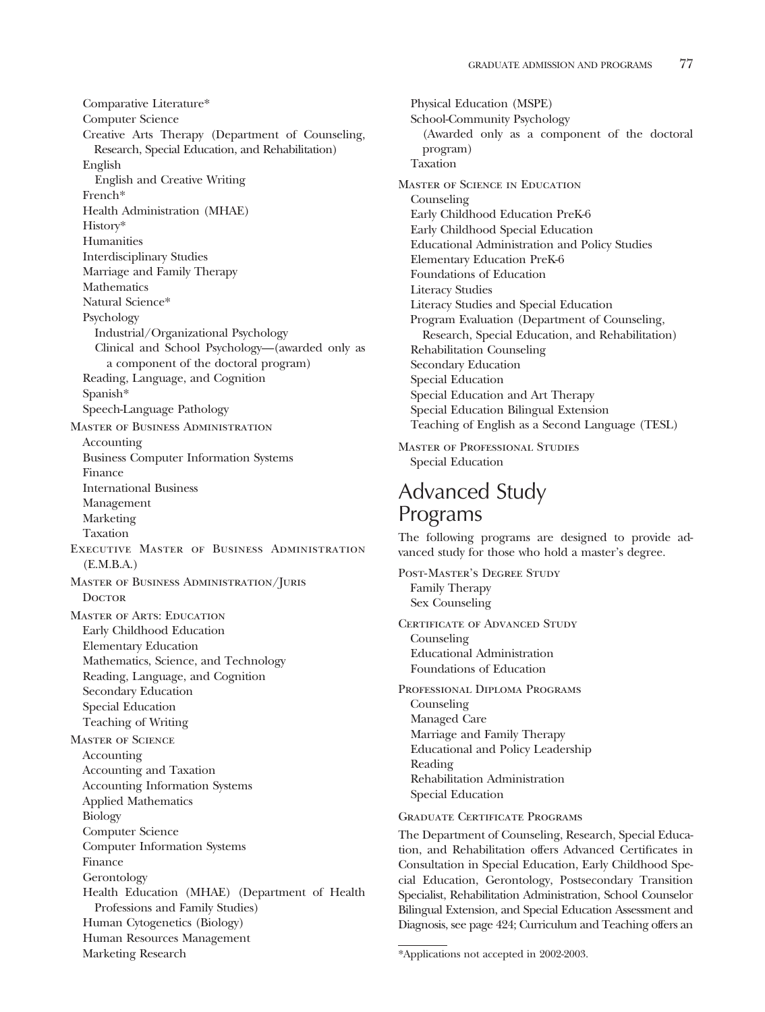Comparative Literature\* Computer Science Creative Arts Therapy (Department of Counseling, Research, Special Education, and Rehabilitation) English English and Creative Writing French\* Health Administration (MHAE) History\* **Humanities** Interdisciplinary Studies Marriage and Family Therapy Mathematics Natural Science\* Psychology Industrial/Organizational Psychology Clinical and School Psychology—(awarded only as a component of the doctoral program) Reading, Language, and Cognition Spanish\* Speech-Language Pathology Master of Business Administration Accounting Business Computer Information Systems Finance International Business Management Marketing Taxation Executive Master of Business Administration (E.M.B.A.) Master of Business Administration/Juris **DOCTOR** Master of Arts: Education Early Childhood Education Elementary Education Mathematics, Science, and Technology Reading, Language, and Cognition Secondary Education Special Education Teaching of Writing Master of Science Accounting Accounting and Taxation Accounting Information Systems Applied Mathematics Biology Computer Science Computer Information Systems Finance Gerontology Health Education (MHAE) (Department of Health Professions and Family Studies) Human Cytogenetics (Biology) Human Resources Management Marketing Research

Physical Education (MSPE) School-Community Psychology (Awarded only as a component of the doctoral program) Taxation Master of Science in Education Counseling Early Childhood Education PreK-6 Early Childhood Special Education Educational Administration and Policy Studies Elementary Education PreK-6 Foundations of Education Literacy Studies Literacy Studies and Special Education Program Evaluation (Department of Counseling, Research, Special Education, and Rehabilitation) Rehabilitation Counseling Secondary Education Special Education Special Education and Art Therapy Special Education Bilingual Extension Teaching of English as a Second Language (TESL) Master of Professional Studies Special Education

# Advanced Study Programs

The following programs are designed to provide advanced study for those who hold a master's degree.

Post-Master's Degree Study Family Therapy Sex Counseling

CERTIFICATE OF ADVANCED STUDY Counseling Educational Administration Foundations of Education

Professional Diploma Programs Counseling Managed Care Marriage and Family Therapy Educational and Policy Leadership Reading Rehabilitation Administration Special Education

## Graduate Certificate Programs

The Department of Counseling, Research, Special Education, and Rehabilitation offers Advanced Certificates in Consultation in Special Education, Early Childhood Special Education, Gerontology, Postsecondary Transition Specialist, Rehabilitation Administration, School Counselor Bilingual Extension, and Special Education Assessment and Diagnosis, see page 424; Curriculum and Teaching offers an

<sup>\*</sup>Applications not accepted in 2002-2003.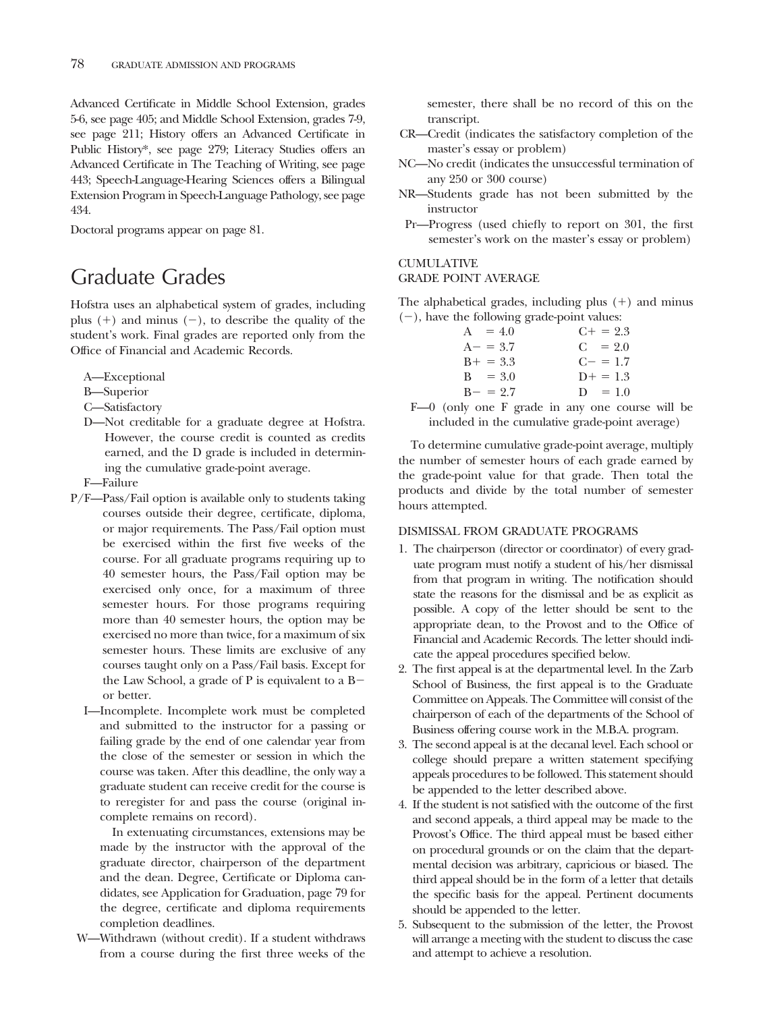Advanced Certificate in Middle School Extension, grades 5-6, see page 405; and Middle School Extension, grades 7-9, see page 211; History offers an Advanced Certificate in Public History\*, see page 279; Literacy Studies offers an Advanced Certificate in The Teaching of Writing, see page 443; Speech-Language-Hearing Sciences offers a Bilingual Extension Program in Speech-Language Pathology, see page 434.

Doctoral programs appear on page 81.

# Graduate Grades

Hofstra uses an alphabetical system of grades, including plus  $(+)$  and minus  $(-)$ , to describe the quality of the student's work. Final grades are reported only from the Office of Financial and Academic Records.

- A—Exceptional
- B—Superior
- C—Satisfactory
- D—Not creditable for a graduate degree at Hofstra. However, the course credit is counted as credits earned, and the D grade is included in determining the cumulative grade-point average.
- F—Failure
- P/F—Pass/Fail option is available only to students taking courses outside their degree, certificate, diploma, or major requirements. The Pass/Fail option must be exercised within the first five weeks of the course. For all graduate programs requiring up to 40 semester hours, the Pass/Fail option may be exercised only once, for a maximum of three semester hours. For those programs requiring more than 40 semester hours, the option may be exercised no more than twice, for a maximum of six semester hours. These limits are exclusive of any courses taught only on a Pass/Fail basis. Except for the Law School, a grade of P is equivalent to a B or better.
	- I—Incomplete. Incomplete work must be completed and submitted to the instructor for a passing or failing grade by the end of one calendar year from the close of the semester or session in which the course was taken. After this deadline, the only way a graduate student can receive credit for the course is to reregister for and pass the course (original incomplete remains on record).

In extenuating circumstances, extensions may be made by the instructor with the approval of the graduate director, chairperson of the department and the dean. Degree, Certificate or Diploma candidates, see Application for Graduation, page 79 for the degree, certificate and diploma requirements completion deadlines.

W—Withdrawn (without credit). If a student withdraws from a course during the first three weeks of the

semester, there shall be no record of this on the transcript.

- CR—Credit (indicates the satisfactory completion of the master's essay or problem)
- NC—No credit (indicates the unsuccessful termination of any 250 or 300 course)
- NR—Students grade has not been submitted by the instructor
- Pr—Progress (used chiefly to report on 301, the first semester's work on the master's essay or problem)

# CUMULATIVE

### GRADE POINT AVERAGE

The alphabetical grades, including plus  $(+)$  and minus  $(-)$ , have the following grade-point values:

| $A = 4.0$   | $C_{\pm} = 2.3$ |
|-------------|-----------------|
| $A - = 3.7$ | $C = 2.0$       |
| $B+ = 3.3$  | $C = 1.7$       |
| $B = 3.0$   | $D+ = 1.3$      |
| $B - = 2.7$ | $D = 1.0$       |

F—0 (only one F grade in any one course will be included in the cumulative grade-point average)

To determine cumulative grade-point average, multiply the number of semester hours of each grade earned by the grade-point value for that grade. Then total the products and divide by the total number of semester hours attempted.

# DISMISSAL FROM GRADUATE PROGRAMS

- 1. The chairperson (director or coordinator) of every graduate program must notify a student of his/her dismissal from that program in writing. The notification should state the reasons for the dismissal and be as explicit as possible. A copy of the letter should be sent to the appropriate dean, to the Provost and to the Office of Financial and Academic Records. The letter should indicate the appeal procedures specified below.
- 2. The first appeal is at the departmental level. In the Zarb School of Business, the first appeal is to the Graduate Committee on Appeals. The Committee will consist of the chairperson of each of the departments of the School of Business offering course work in the M.B.A. program.
- 3. The second appeal is at the decanal level. Each school or college should prepare a written statement specifying appeals procedures to be followed. This statement should be appended to the letter described above.
- 4. If the student is not satisfied with the outcome of the first and second appeals, a third appeal may be made to the Provost's Office. The third appeal must be based either on procedural grounds or on the claim that the departmental decision was arbitrary, capricious or biased. The third appeal should be in the form of a letter that details the specific basis for the appeal. Pertinent documents should be appended to the letter.
- 5. Subsequent to the submission of the letter, the Provost will arrange a meeting with the student to discuss the case and attempt to achieve a resolution.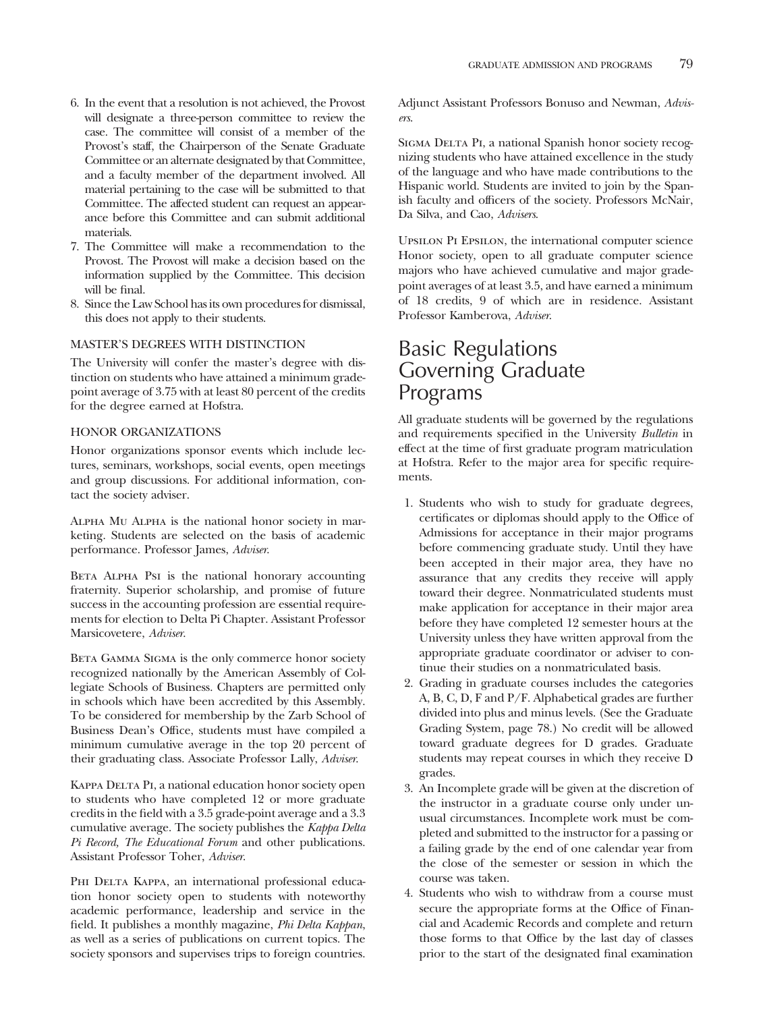- 6. In the event that a resolution is not achieved, the Provost will designate a three-person committee to review the case. The committee will consist of a member of the Provost's staff, the Chairperson of the Senate Graduate Committee or an alternate designated by that Committee, and a faculty member of the department involved. All material pertaining to the case will be submitted to that Committee. The affected student can request an appearance before this Committee and can submit additional materials.
- 7. The Committee will make a recommendation to the Provost. The Provost will make a decision based on the information supplied by the Committee. This decision will be final.
- 8. Since the Law School has its own procedures for dismissal, this does not apply to their students.

# MASTER'S DEGREES WITH DISTINCTION

The University will confer the master's degree with distinction on students who have attained a minimum gradepoint average of 3.75 with at least 80 percent of the credits for the degree earned at Hofstra.

#### HONOR ORGANIZATIONS

Honor organizations sponsor events which include lectures, seminars, workshops, social events, open meetings and group discussions. For additional information, contact the society adviser.

Alpha Mu Alpha is the national honor society in marketing. Students are selected on the basis of academic performance. Professor James, *Adviser*.

BETA ALPHA PsI is the national honorary accounting fraternity. Superior scholarship, and promise of future success in the accounting profession are essential requirements for election to Delta Pi Chapter. Assistant Professor Marsicovetere, *Adviser*.

BETA GAMMA SIGMA is the only commerce honor society recognized nationally by the American Assembly of Collegiate Schools of Business. Chapters are permitted only in schools which have been accredited by this Assembly. To be considered for membership by the Zarb School of Business Dean's Office, students must have compiled a minimum cumulative average in the top 20 percent of their graduating class. Associate Professor Lally, *Adviser*.

KAPPA DELTA PI, a national education honor society open to students who have completed 12 or more graduate credits in the field with a 3.5 grade-point average and a 3.3 cumulative average. The society publishes the *Kappa Delta Pi Record, The Educational Forum* and other publications. Assistant Professor Toher, *Adviser*.

PHI DELTA KAPPA, an international professional education honor society open to students with noteworthy academic performance, leadership and service in the field. It publishes a monthly magazine, *Phi Delta Kappan*, as well as a series of publications on current topics. The society sponsors and supervises trips to foreign countries.

Adjunct Assistant Professors Bonuso and Newman, *Advisers*.

SIGMA DELTA PI, a national Spanish honor society recognizing students who have attained excellence in the study of the language and who have made contributions to the Hispanic world. Students are invited to join by the Spanish faculty and officers of the society. Professors McNair, Da Silva, and Cao, *Advisers*.

Upsilon Pi Epsilon, the international computer science Honor society, open to all graduate computer science majors who have achieved cumulative and major gradepoint averages of at least 3.5, and have earned a minimum of 18 credits, 9 of which are in residence. Assistant Professor Kamberova, *Adviser*.

# Basic Regulations Governing Graduate Programs

All graduate students will be governed by the regulations and requirements specified in the University *Bulletin* in effect at the time of first graduate program matriculation at Hofstra. Refer to the major area for specific requirements.

- 1. Students who wish to study for graduate degrees, certificates or diplomas should apply to the Office of Admissions for acceptance in their major programs before commencing graduate study. Until they have been accepted in their major area, they have no assurance that any credits they receive will apply toward their degree. Nonmatriculated students must make application for acceptance in their major area before they have completed 12 semester hours at the University unless they have written approval from the appropriate graduate coordinator or adviser to continue their studies on a nonmatriculated basis.
- 2. Grading in graduate courses includes the categories A, B, C, D, F and P/F. Alphabetical grades are further divided into plus and minus levels. (See the Graduate Grading System, page 78.) No credit will be allowed toward graduate degrees for D grades. Graduate students may repeat courses in which they receive D grades.
- 3. An Incomplete grade will be given at the discretion of the instructor in a graduate course only under unusual circumstances. Incomplete work must be completed and submitted to the instructor for a passing or a failing grade by the end of one calendar year from the close of the semester or session in which the course was taken.
- 4. Students who wish to withdraw from a course must secure the appropriate forms at the Office of Financial and Academic Records and complete and return those forms to that Office by the last day of classes prior to the start of the designated final examination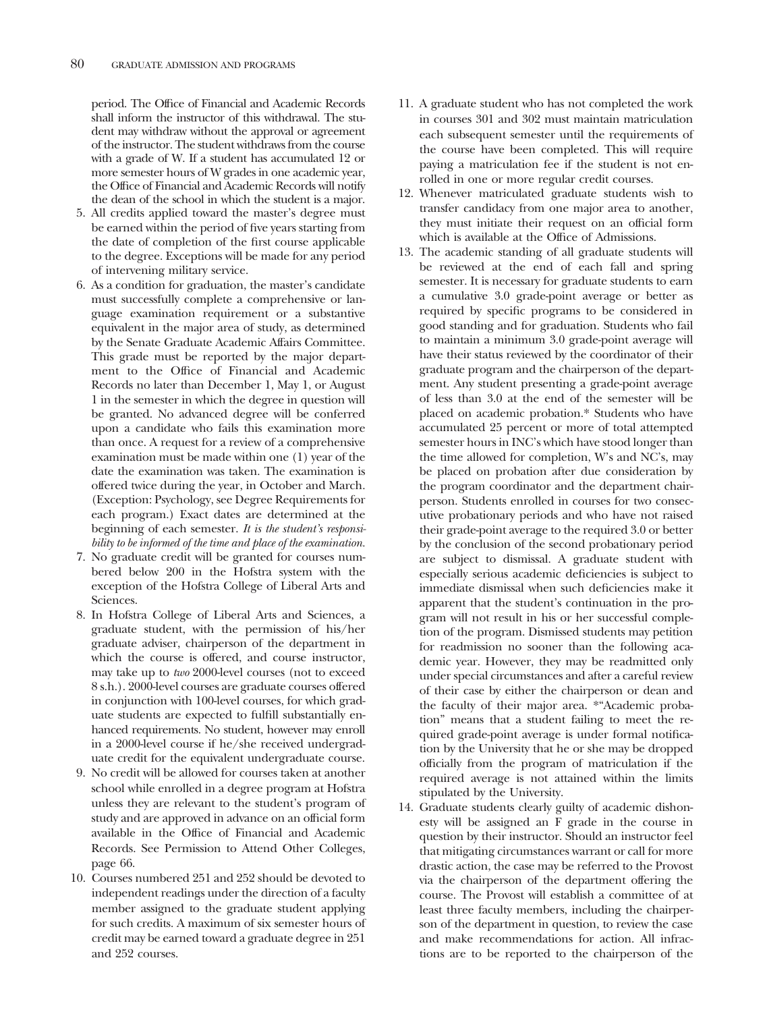period. The Office of Financial and Academic Records shall inform the instructor of this withdrawal. The student may withdraw without the approval or agreement of the instructor. The student withdraws from the course with a grade of W. If a student has accumulated 12 or more semester hours of W grades in one academic year, the Office of Financial and Academic Records will notify the dean of the school in which the student is a major.

- 5. All credits applied toward the master's degree must be earned within the period of five years starting from the date of completion of the first course applicable to the degree. Exceptions will be made for any period of intervening military service.
- 6. As a condition for graduation, the master's candidate must successfully complete a comprehensive or language examination requirement or a substantive equivalent in the major area of study, as determined by the Senate Graduate Academic Affairs Committee. This grade must be reported by the major department to the Office of Financial and Academic Records no later than December 1, May 1, or August 1 in the semester in which the degree in question will be granted. No advanced degree will be conferred upon a candidate who fails this examination more than once. A request for a review of a comprehensive examination must be made within one (1) year of the date the examination was taken. The examination is offered twice during the year, in October and March. (Exception: Psychology, see Degree Requirements for each program.) Exact dates are determined at the beginning of each semester. *It is the student's responsibility to be informed of the time and place of the examination.*
- 7. No graduate credit will be granted for courses numbered below 200 in the Hofstra system with the exception of the Hofstra College of Liberal Arts and Sciences.
- 8. In Hofstra College of Liberal Arts and Sciences, a graduate student, with the permission of his/her graduate adviser, chairperson of the department in which the course is offered, and course instructor, may take up to *two* 2000-level courses (not to exceed 8 s.h.). 2000-level courses are graduate courses offered in conjunction with 100-level courses, for which graduate students are expected to fulfill substantially enhanced requirements. No student, however may enroll in a 2000-level course if he/she received undergraduate credit for the equivalent undergraduate course.
- 9. No credit will be allowed for courses taken at another school while enrolled in a degree program at Hofstra unless they are relevant to the student's program of study and are approved in advance on an official form available in the Office of Financial and Academic Records. See Permission to Attend Other Colleges, page 66.
- 10. Courses numbered 251 and 252 should be devoted to independent readings under the direction of a faculty member assigned to the graduate student applying for such credits. A maximum of six semester hours of credit may be earned toward a graduate degree in 251 and 252 courses.
- 11. A graduate student who has not completed the work in courses 301 and 302 must maintain matriculation each subsequent semester until the requirements of the course have been completed. This will require paying a matriculation fee if the student is not enrolled in one or more regular credit courses.
- 12. Whenever matriculated graduate students wish to transfer candidacy from one major area to another, they must initiate their request on an official form which is available at the Office of Admissions.
- 13. The academic standing of all graduate students will be reviewed at the end of each fall and spring semester. It is necessary for graduate students to earn a cumulative 3.0 grade-point average or better as required by specific programs to be considered in good standing and for graduation. Students who fail to maintain a minimum 3.0 grade-point average will have their status reviewed by the coordinator of their graduate program and the chairperson of the department. Any student presenting a grade-point average of less than 3.0 at the end of the semester will be placed on academic probation.\* Students who have accumulated 25 percent or more of total attempted semester hours in INC's which have stood longer than the time allowed for completion, W's and NC's, may be placed on probation after due consideration by the program coordinator and the department chairperson. Students enrolled in courses for two consecutive probationary periods and who have not raised their grade-point average to the required 3.0 or better by the conclusion of the second probationary period are subject to dismissal. A graduate student with especially serious academic deficiencies is subject to immediate dismissal when such deficiencies make it apparent that the student's continuation in the program will not result in his or her successful completion of the program. Dismissed students may petition for readmission no sooner than the following academic year. However, they may be readmitted only under special circumstances and after a careful review of their case by either the chairperson or dean and the faculty of their major area. \*"Academic probation" means that a student failing to meet the required grade-point average is under formal notification by the University that he or she may be dropped officially from the program of matriculation if the required average is not attained within the limits stipulated by the University.
- 14. Graduate students clearly guilty of academic dishonesty will be assigned an F grade in the course in question by their instructor. Should an instructor feel that mitigating circumstances warrant or call for more drastic action, the case may be referred to the Provost via the chairperson of the department offering the course. The Provost will establish a committee of at least three faculty members, including the chairperson of the department in question, to review the case and make recommendations for action. All infractions are to be reported to the chairperson of the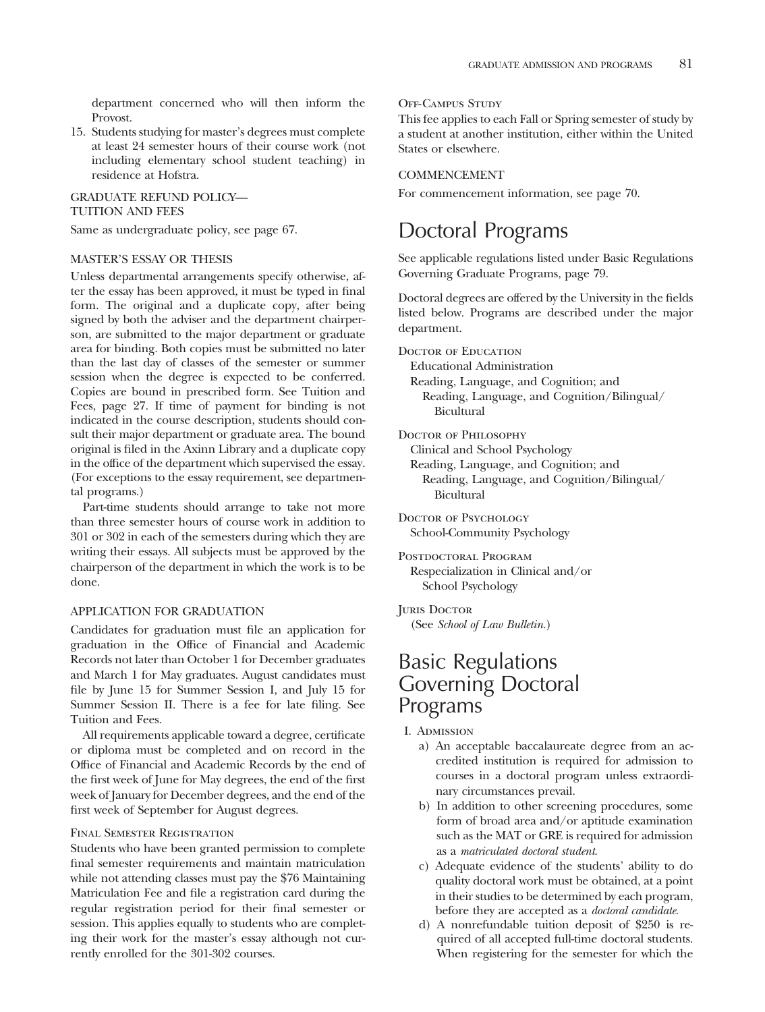department concerned who will then inform the Provost.

15. Students studying for master's degrees must complete at least 24 semester hours of their course work (not including elementary school student teaching) in residence at Hofstra.

#### GRADUATE REFUND POLICY— TUITION AND FEES

Same as undergraduate policy, see page 67.

#### MASTER'S ESSAY OR THESIS

Unless departmental arrangements specify otherwise, after the essay has been approved, it must be typed in final form. The original and a duplicate copy, after being signed by both the adviser and the department chairperson, are submitted to the major department or graduate area for binding. Both copies must be submitted no later than the last day of classes of the semester or summer session when the degree is expected to be conferred. Copies are bound in prescribed form. See Tuition and Fees, page 27. If time of payment for binding is not indicated in the course description, students should consult their major department or graduate area. The bound original is filed in the Axinn Library and a duplicate copy in the office of the department which supervised the essay. (For exceptions to the essay requirement, see departmental programs.)

Part-time students should arrange to take not more than three semester hours of course work in addition to 301 or 302 in each of the semesters during which they are writing their essays. All subjects must be approved by the chairperson of the department in which the work is to be done.

#### APPLICATION FOR GRADUATION

Candidates for graduation must file an application for graduation in the Office of Financial and Academic Records not later than October 1 for December graduates and March 1 for May graduates. August candidates must file by June 15 for Summer Session I, and July 15 for Summer Session II. There is a fee for late filing. See Tuition and Fees.

All requirements applicable toward a degree, certificate or diploma must be completed and on record in the Office of Financial and Academic Records by the end of the first week of June for May degrees, the end of the first week of January for December degrees, and the end of the first week of September for August degrees.

#### Final Semester Registration

Students who have been granted permission to complete final semester requirements and maintain matriculation while not attending classes must pay the \$76 Maintaining Matriculation Fee and file a registration card during the regular registration period for their final semester or session. This applies equally to students who are completing their work for the master's essay although not currently enrolled for the 301-302 courses.

#### OFF-CAMPUS STUDY

This fee applies to each Fall or Spring semester of study by a student at another institution, either within the United States or elsewhere.

#### COMMENCEMENT

For commencement information, see page 70.

## Doctoral Programs

See applicable regulations listed under Basic Regulations Governing Graduate Programs, page 79.

Doctoral degrees are offered by the University in the fields listed below. Programs are described under the major department.

DOCTOR OF EDUCATION

Educational Administration Reading, Language, and Cognition; and Reading, Language, and Cognition/Bilingual/ Bicultural

DOCTOR OF PHILOSOPHY

Clinical and School Psychology Reading, Language, and Cognition; and Reading, Language, and Cognition/Bilingual/ Bicultural

Doctor of Psychology School-Community Psychology

POSTDOCTORAL PROGRAM Respecialization in Clinical and/or School Psychology

#### JURIS DOCTOR

(See *School of Law Bulletin.*)

## Basic Regulations Governing Doctoral Programs

I. Admission

- a) An acceptable baccalaureate degree from an accredited institution is required for admission to courses in a doctoral program unless extraordinary circumstances prevail.
- b) In addition to other screening procedures, some form of broad area and/or aptitude examination such as the MAT or GRE is required for admission as a *matriculated doctoral student*.
- c) Adequate evidence of the students' ability to do quality doctoral work must be obtained, at a point in their studies to be determined by each program, before they are accepted as a *doctoral candidate*.
- d) A nonrefundable tuition deposit of \$250 is required of all accepted full-time doctoral students. When registering for the semester for which the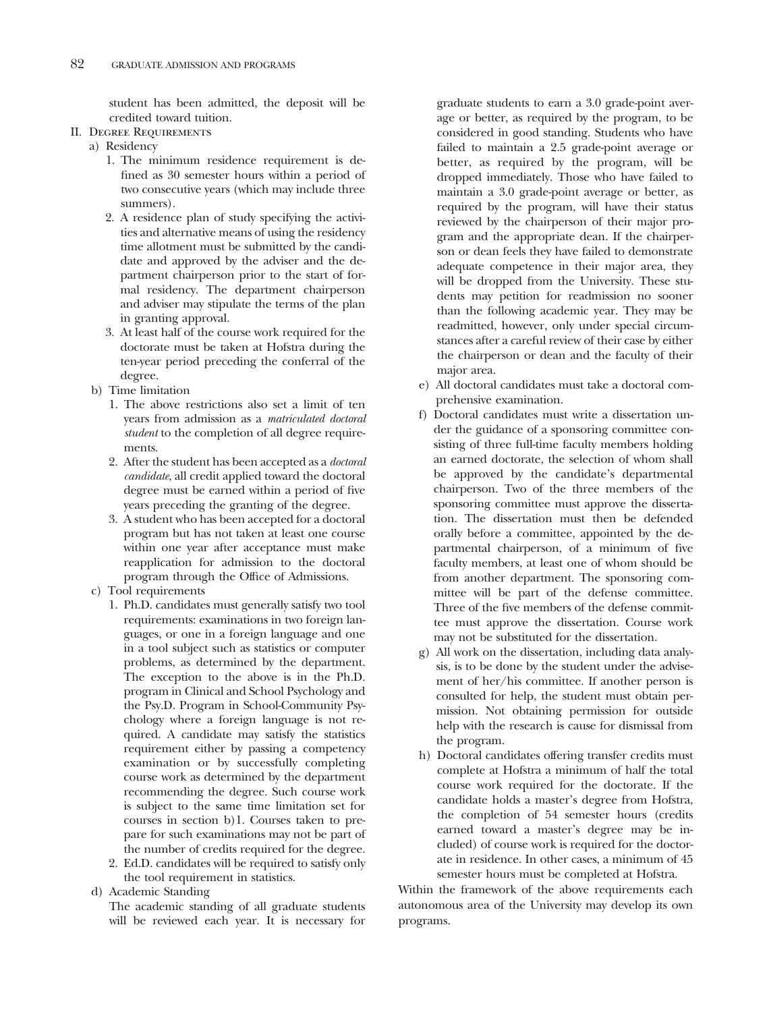student has been admitted, the deposit will be credited toward tuition.

- II. Degree Requirements
	- a) Residency
		- 1. The minimum residence requirement is defined as 30 semester hours within a period of two consecutive years (which may include three summers).
		- 2. A residence plan of study specifying the activities and alternative means of using the residency time allotment must be submitted by the candidate and approved by the adviser and the department chairperson prior to the start of formal residency. The department chairperson and adviser may stipulate the terms of the plan in granting approval.
		- 3. At least half of the course work required for the doctorate must be taken at Hofstra during the ten-year period preceding the conferral of the degree.
	- b) Time limitation
		- 1. The above restrictions also set a limit of ten years from admission as a *matriculated doctoral student* to the completion of all degree requirements.
		- 2. After the student has been accepted as a *doctoral candidate*, all credit applied toward the doctoral degree must be earned within a period of five years preceding the granting of the degree.
		- 3. A student who has been accepted for a doctoral program but has not taken at least one course within one year after acceptance must make reapplication for admission to the doctoral program through the Office of Admissions.
	- c) Tool requirements
		- 1. Ph.D. candidates must generally satisfy two tool requirements: examinations in two foreign languages, or one in a foreign language and one in a tool subject such as statistics or computer problems, as determined by the department. The exception to the above is in the Ph.D. program in Clinical and School Psychology and the Psy.D. Program in School-Community Psychology where a foreign language is not required. A candidate may satisfy the statistics requirement either by passing a competency examination or by successfully completing course work as determined by the department recommending the degree. Such course work is subject to the same time limitation set for courses in section b)1. Courses taken to prepare for such examinations may not be part of the number of credits required for the degree.
		- 2. Ed.D. candidates will be required to satisfy only the tool requirement in statistics.
	- d) Academic Standing

The academic standing of all graduate students will be reviewed each year. It is necessary for

graduate students to earn a 3.0 grade-point average or better, as required by the program, to be considered in good standing. Students who have failed to maintain a 2.5 grade-point average or better, as required by the program, will be dropped immediately. Those who have failed to maintain a 3.0 grade-point average or better, as required by the program, will have their status reviewed by the chairperson of their major program and the appropriate dean. If the chairperson or dean feels they have failed to demonstrate adequate competence in their major area, they will be dropped from the University. These students may petition for readmission no sooner than the following academic year. They may be readmitted, however, only under special circumstances after a careful review of their case by either the chairperson or dean and the faculty of their major area.

- e) All doctoral candidates must take a doctoral comprehensive examination.
- f) Doctoral candidates must write a dissertation under the guidance of a sponsoring committee consisting of three full-time faculty members holding an earned doctorate, the selection of whom shall be approved by the candidate's departmental chairperson. Two of the three members of the sponsoring committee must approve the dissertation. The dissertation must then be defended orally before a committee, appointed by the departmental chairperson, of a minimum of five faculty members, at least one of whom should be from another department. The sponsoring committee will be part of the defense committee. Three of the five members of the defense committee must approve the dissertation. Course work may not be substituted for the dissertation.
- g) All work on the dissertation, including data analysis, is to be done by the student under the advisement of her/his committee. If another person is consulted for help, the student must obtain permission. Not obtaining permission for outside help with the research is cause for dismissal from the program.
- h) Doctoral candidates offering transfer credits must complete at Hofstra a minimum of half the total course work required for the doctorate. If the candidate holds a master's degree from Hofstra, the completion of 54 semester hours (credits earned toward a master's degree may be included) of course work is required for the doctorate in residence. In other cases, a minimum of 45 semester hours must be completed at Hofstra.

Within the framework of the above requirements each autonomous area of the University may develop its own programs.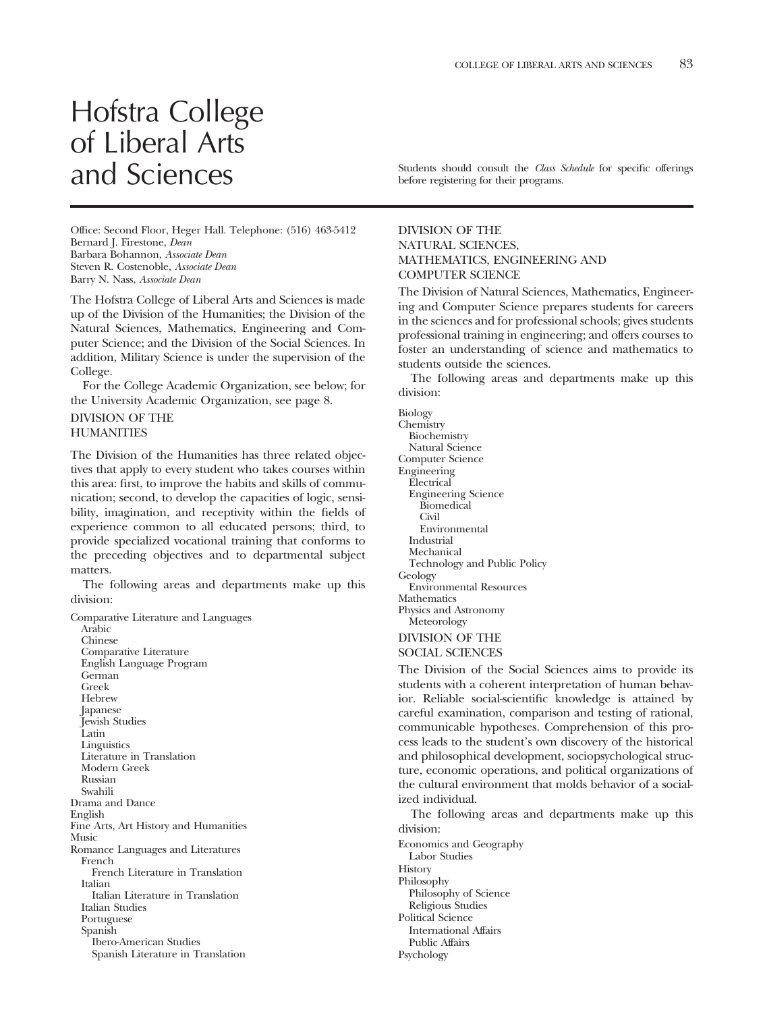## Hofstra College of Liberal Arts

Office: Second Floor, Heger Hall. Telephone: (516) 463-5412 Bernard J. Firestone, *Dean* Barbara Bohannon, *Associate Dean* Steven R. Costenoble, *Associate Dean* Barry N. Nass, *Associate Dean*

The Hofstra College of Liberal Arts and Sciences is made up of the Division of the Humanities; the Division of the Natural Sciences, Mathematics, Engineering and Computer Science; and the Division of the Social Sciences. In addition, Military Science is under the supervision of the College.

For the College Academic Organization, see below; for the University Academic Organization, see page 8.

### DIVISION OF THE

#### **HUMANITIES**

The Division of the Humanities has three related objectives that apply to every student who takes courses within this area: first, to improve the habits and skills of communication; second, to develop the capacities of logic, sensibility, imagination, and receptivity within the fields of experience common to all educated persons; third, to provide specialized vocational training that conforms to the preceding objectives and to departmental subject matters.

The following areas and departments make up this division:

Comparative Literature and Languages Arabic Chinese Comparative Literature English Language Program German Greek Hebrew Japanese Jewish Studies Latin Linguistics Literature in Translation Modern Greek Russian Swahili Drama and Dance English Fine Arts, Art History and Humanities Music Romance Languages and Literatures French French Literature in Translation Italian Italian Literature in Translation Italian Studies Portuguese Spanish Ibero-American Studies Spanish Literature in Translation

and Sciences Students should consult the *Class Schedule* for specific offerings before registering for their programs.

#### DIVISION OF THE NATURAL SCIENCES, MATHEMATICS, ENGINEERING AND COMPUTER SCIENCE

The Division of Natural Sciences, Mathematics, Engineering and Computer Science prepares students for careers in the sciences and for professional schools; gives students professional training in engineering; and offers courses to foster an understanding of science and mathematics to students outside the sciences.

The following areas and departments make up this division:

Biology

Chemistry Biochemistry Natural Science Computer Science Engineering Electrical Engineering Science Biomedical Civil Environmental Industrial Mechanical Technology and Public Policy Geology Environmental Resources **Mathematics** Physics and Astronomy Meteorology

#### DIVISION OF THE SOCIAL SCIENCES

The Division of the Social Sciences aims to provide its students with a coherent interpretation of human behavior. Reliable social-scientific knowledge is attained by careful examination, comparison and testing of rational, communicable hypotheses. Comprehension of this process leads to the student's own discovery of the historical and philosophical development, sociopsychological structure, economic operations, and political organizations of the cultural environment that molds behavior of a socialized individual.

The following areas and departments make up this division:

Economics and Geography Labor Studies **History** Philosophy Philosophy of Science Religious Studies Political Science International Affairs Public Affairs Psychology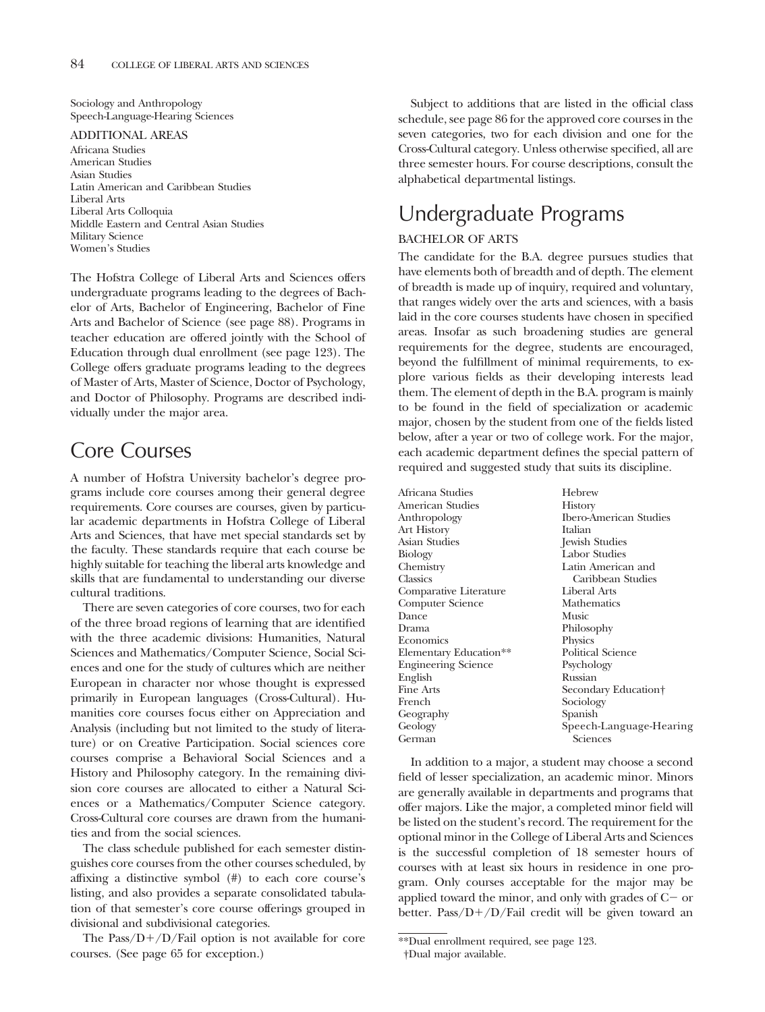Sociology and Anthropology Speech-Language-Hearing Sciences

#### ADDITIONAL AREAS

Africana Studies American Studies Asian Studies Latin American and Caribbean Studies Liberal Arts Liberal Arts Colloquia Middle Eastern and Central Asian Studies Military Science Women's Studies

The Hofstra College of Liberal Arts and Sciences offers undergraduate programs leading to the degrees of Bachelor of Arts, Bachelor of Engineering, Bachelor of Fine Arts and Bachelor of Science (see page 88). Programs in teacher education are offered jointly with the School of Education through dual enrollment (see page 123). The College offers graduate programs leading to the degrees of Master of Arts, Master of Science, Doctor of Psychology, and Doctor of Philosophy. Programs are described individually under the major area.

## Core Courses

A number of Hofstra University bachelor's degree programs include core courses among their general degree requirements. Core courses are courses, given by particular academic departments in Hofstra College of Liberal Arts and Sciences, that have met special standards set by the faculty. These standards require that each course be highly suitable for teaching the liberal arts knowledge and skills that are fundamental to understanding our diverse cultural traditions.

There are seven categories of core courses, two for each of the three broad regions of learning that are identified with the three academic divisions: Humanities, Natural Sciences and Mathematics/Computer Science, Social Sciences and one for the study of cultures which are neither European in character nor whose thought is expressed primarily in European languages (Cross-Cultural). Humanities core courses focus either on Appreciation and Analysis (including but not limited to the study of literature) or on Creative Participation. Social sciences core courses comprise a Behavioral Social Sciences and a History and Philosophy category. In the remaining division core courses are allocated to either a Natural Sciences or a Mathematics/Computer Science category. Cross-Cultural core courses are drawn from the humanities and from the social sciences.

The class schedule published for each semester distinguishes core courses from the other courses scheduled, by affixing a distinctive symbol (#) to each core course's listing, and also provides a separate consolidated tabulation of that semester's core course offerings grouped in divisional and subdivisional categories.

The Pass/ $D+/D/Fail$  option is not available for core courses. (See page 65 for exception.)

Subject to additions that are listed in the official class schedule, see page 86 for the approved core courses in the seven categories, two for each division and one for the Cross-Cultural category. Unless otherwise specified, all are three semester hours. For course descriptions, consult the alphabetical departmental listings.

## Undergraduate Programs

### BACHELOR OF ARTS

The candidate for the B.A. degree pursues studies that have elements both of breadth and of depth. The element of breadth is made up of inquiry, required and voluntary, that ranges widely over the arts and sciences, with a basis laid in the core courses students have chosen in specified areas. Insofar as such broadening studies are general requirements for the degree, students are encouraged, beyond the fulfillment of minimal requirements, to explore various fields as their developing interests lead them. The element of depth in the B.A. program is mainly to be found in the field of specialization or academic major, chosen by the student from one of the fields listed below, after a year or two of college work. For the major, each academic department defines the special pattern of required and suggested study that suits its discipline.

| Africana Studies           | Hebrew                   |
|----------------------------|--------------------------|
| American Studies           | <b>History</b>           |
| Anthropology               | Ibero-American Studies   |
| Art History                | Italian                  |
| Asian Studies              | Jewish Studies           |
| Biology                    | Labor Studies            |
| Chemistry                  | Latin American and       |
| Classics                   | Caribbean Studies        |
| Comparative Literature     | Liberal Arts             |
| Computer Science           | Mathematics              |
| Dance                      | Music                    |
| Drama                      | Philosophy               |
| Economics                  | Physics                  |
| Elementary Education**     | <b>Political Science</b> |
| <b>Engineering Science</b> | Psychology               |
| English                    | Russian                  |
| Fine Arts                  | Secondary Education+     |
| French                     | Sociology                |
| Geography                  | Spanish                  |
| Geology                    | Speech-Language-Hearing  |
| German                     | Sciences                 |
|                            |                          |

In addition to a major, a student may choose a second field of lesser specialization, an academic minor. Minors are generally available in departments and programs that offer majors. Like the major, a completed minor field will be listed on the student's record. The requirement for the optional minor in the College of Liberal Arts and Sciences is the successful completion of 18 semester hours of courses with at least six hours in residence in one program. Only courses acceptable for the major may be applied toward the minor, and only with grades of  $C-$  or better. Pass/ $D+/D$ /Fail credit will be given toward an

<sup>\*\*</sup>Dual enrollment required, see page 123. †Dual major available.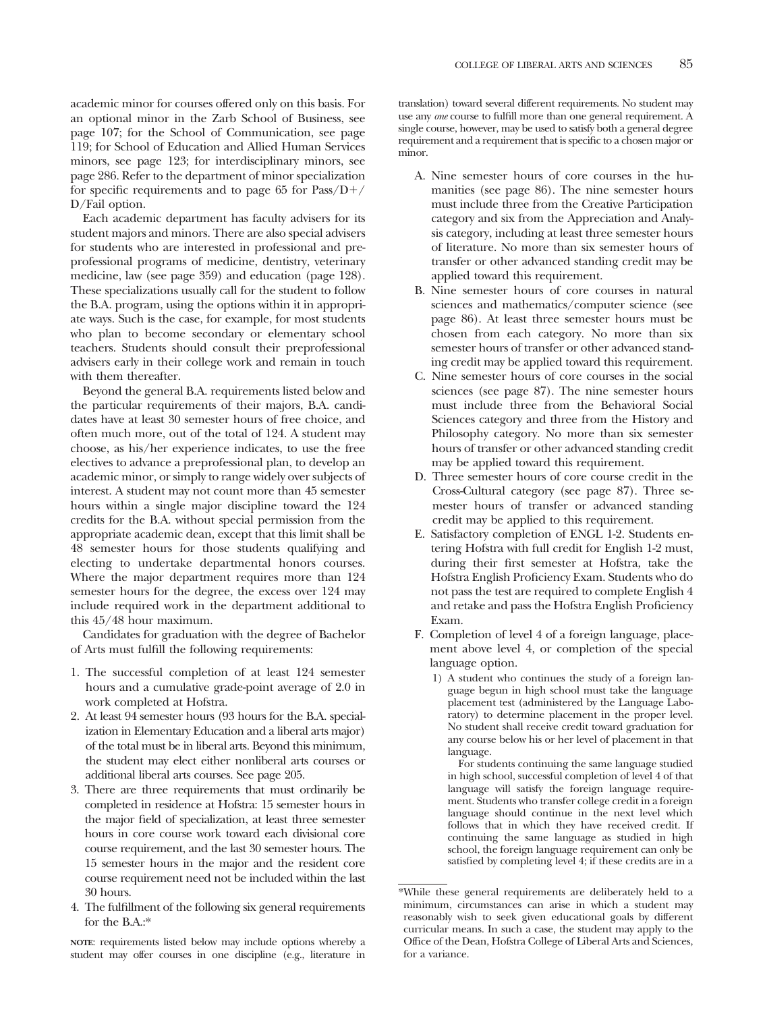academic minor for courses offered only on this basis. For an optional minor in the Zarb School of Business, see page 107; for the School of Communication, see page 119; for School of Education and Allied Human Services minors, see page 123; for interdisciplinary minors, see page 286. Refer to the department of minor specialization for specific requirements and to page 65 for  $Pass/D+/-$ D/Fail option.

Each academic department has faculty advisers for its student majors and minors. There are also special advisers for students who are interested in professional and preprofessional programs of medicine, dentistry, veterinary medicine, law (see page 359) and education (page 128). These specializations usually call for the student to follow the B.A. program, using the options within it in appropriate ways. Such is the case, for example, for most students who plan to become secondary or elementary school teachers. Students should consult their preprofessional advisers early in their college work and remain in touch with them thereafter.

Beyond the general B.A. requirements listed below and the particular requirements of their majors, B.A. candidates have at least 30 semester hours of free choice, and often much more, out of the total of 124. A student may choose, as his/her experience indicates, to use the free electives to advance a preprofessional plan, to develop an academic minor, or simply to range widely over subjects of interest. A student may not count more than 45 semester hours within a single major discipline toward the 124 credits for the B.A. without special permission from the appropriate academic dean, except that this limit shall be 48 semester hours for those students qualifying and electing to undertake departmental honors courses. Where the major department requires more than 124 semester hours for the degree, the excess over 124 may include required work in the department additional to this 45/48 hour maximum.

Candidates for graduation with the degree of Bachelor of Arts must fulfill the following requirements:

- 1. The successful completion of at least 124 semester hours and a cumulative grade-point average of 2.0 in work completed at Hofstra.
- 2. At least 94 semester hours (93 hours for the B.A. specialization in Elementary Education and a liberal arts major) of the total must be in liberal arts. Beyond this minimum, the student may elect either nonliberal arts courses or additional liberal arts courses. See page 205.
- 3. There are three requirements that must ordinarily be completed in residence at Hofstra: 15 semester hours in the major field of specialization, at least three semester hours in core course work toward each divisional core course requirement, and the last 30 semester hours. The 15 semester hours in the major and the resident core course requirement need not be included within the last 30 hours.
- 4. The fulfillment of the following six general requirements for the B.A.:\*

**NOTE**: requirements listed below may include options whereby a student may offer courses in one discipline (e.g., literature in translation) toward several different requirements. No student may use any *one* course to fulfill more than one general requirement. A single course, however, may be used to satisfy both a general degree requirement and a requirement that is specific to a chosen major or minor.

- A. Nine semester hours of core courses in the humanities (see page 86). The nine semester hours must include three from the Creative Participation category and six from the Appreciation and Analysis category, including at least three semester hours of literature. No more than six semester hours of transfer or other advanced standing credit may be applied toward this requirement.
- B. Nine semester hours of core courses in natural sciences and mathematics/computer science (see page 86). At least three semester hours must be chosen from each category. No more than six semester hours of transfer or other advanced standing credit may be applied toward this requirement.
- C. Nine semester hours of core courses in the social sciences (see page 87). The nine semester hours must include three from the Behavioral Social Sciences category and three from the History and Philosophy category. No more than six semester hours of transfer or other advanced standing credit may be applied toward this requirement.
- D. Three semester hours of core course credit in the Cross-Cultural category (see page 87). Three semester hours of transfer or advanced standing credit may be applied to this requirement.
- E. Satisfactory completion of ENGL 1-2. Students entering Hofstra with full credit for English 1-2 must, during their first semester at Hofstra, take the Hofstra English Proficiency Exam. Students who do not pass the test are required to complete English 4 and retake and pass the Hofstra English Proficiency Exam.
- F. Completion of level 4 of a foreign language, placement above level 4, or completion of the special language option.
	- 1) A student who continues the study of a foreign language begun in high school must take the language placement test (administered by the Language Laboratory) to determine placement in the proper level. No student shall receive credit toward graduation for any course below his or her level of placement in that language.

For students continuing the same language studied in high school, successful completion of level 4 of that language will satisfy the foreign language requirement. Students who transfer college credit in a foreign language should continue in the next level which follows that in which they have received credit. If continuing the same language as studied in high school, the foreign language requirement can only be satisfied by completing level 4; if these credits are in a

<sup>\*</sup>While these general requirements are deliberately held to a minimum, circumstances can arise in which a student may reasonably wish to seek given educational goals by different curricular means. In such a case, the student may apply to the Office of the Dean, Hofstra College of Liberal Arts and Sciences, for a variance.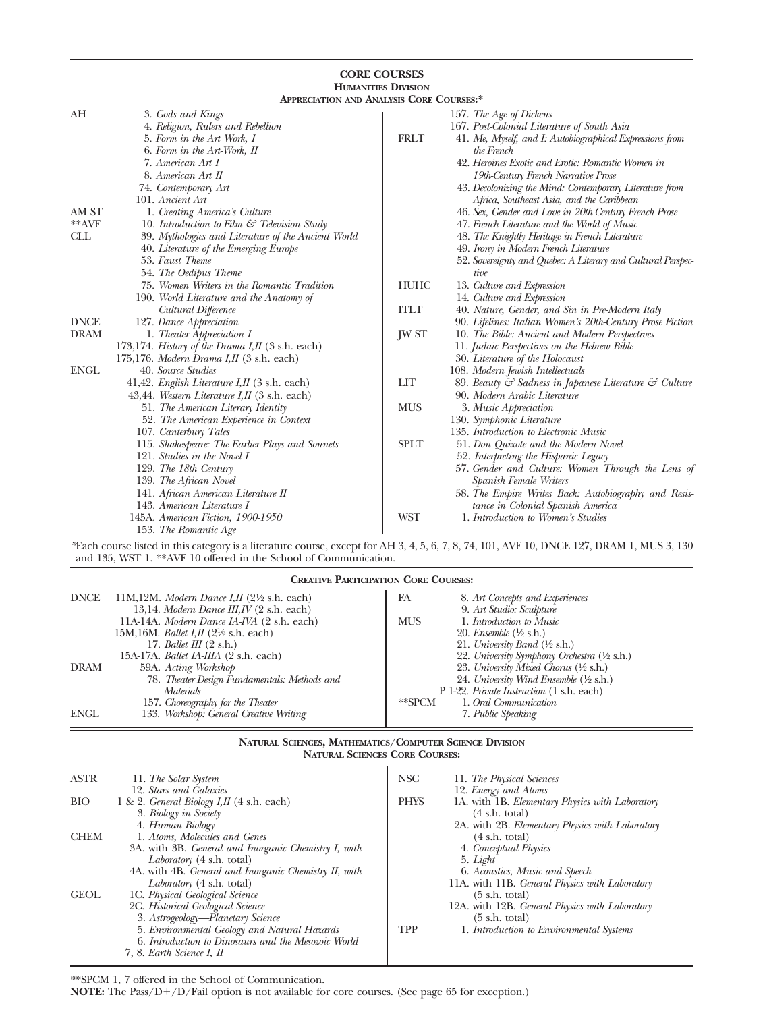|             |                                                               | <b>HUMANITIES DIVISION</b> |                                                              |
|-------------|---------------------------------------------------------------|----------------------------|--------------------------------------------------------------|
|             | <b>APPRECIATION AND ANALYSIS CORE COURSES:*</b>               |                            |                                                              |
| AH          | 3. Gods and Kings                                             |                            | 157. The Age of Dickens                                      |
|             | 4. Religion, Rulers and Rebellion                             |                            | 167. Post-Colonial Literature of South Asia                  |
|             | 5. Form in the Art Work, I                                    | <b>FRLT</b>                | 41. Me, Myself, and I: Autobiographical Expressions from     |
|             | 6. Form in the Art-Work, II                                   |                            | the French                                                   |
|             | 7. American Art I                                             |                            | 42. Heroines Exotic and Erotic: Romantic Women in            |
|             | 8. American Art II                                            |                            | 19th-Century French Narrative Prose                          |
|             | 74. Contemporary Art                                          |                            | 43. Decolonizing the Mind: Contemporary Literature from      |
|             | 101. Ancient Art                                              |                            | Africa, Southeast Asia, and the Caribbean                    |
| AM ST       | 1. Creating America's Culture                                 |                            | 46. Sex, Gender and Love in 20th-Century French Prose        |
| **AVF       | 10. Introduction to Film $\mathcal{C}$ Television Study       |                            | 47. French Literature and the World of Music                 |
| <b>CLL</b>  | 39. Mythologies and Literature of the Ancient World           |                            | 48. The Knightly Heritage in French Literature               |
|             | 40. Literature of the Emerging Europe                         |                            | 49. Irony in Modern French Literature                        |
|             | 53. Faust Theme                                               |                            | 52. Sovereignty and Quebec: A Literary and Cultural Perspec- |
|             | 54. The Oedipus Theme                                         |                            | tive                                                         |
|             | 75. Women Writers in the Romantic Tradition                   | <b>HUHC</b>                | 13. Culture and Expression                                   |
|             | 190. World Literature and the Anatomy of                      |                            | 14. Culture and Expression                                   |
|             | Cultural Difference                                           | <b>ITLT</b>                | 40. Nature, Gender, and Sin in Pre-Modern Italy              |
| <b>DNCE</b> | 127. Dance Appreciation                                       |                            | 90. Lifelines: Italian Women's 20th-Century Prose Fiction    |
| <b>DRAM</b> | 1. Theater Appreciation I                                     | <b>JW ST</b>               | 10. The Bible: Ancient and Modern Perspectives               |
|             | 173,174. History of the Drama I, II $(3 \text{ s.h. each})$   |                            | 11. Judaic Perspectives on the Hebrew Bible                  |
|             | 175,176. Modern Drama I, II $(3 \text{ s.h.}$ each)           |                            | 30. Literature of the Holocaust                              |
| <b>ENGL</b> | 40. Source Studies                                            |                            | 108. Modern Jewish Intellectuals                             |
|             | 41,42. <i>English Literature I,II</i> $(3 \text{ s.h. each})$ | <b>LIT</b>                 | 89. Beauty & Sadness in Japanese Literature & Culture        |
|             | 43,44. Western Literature I,II (3 s.h. each)                  |                            | 90. Modern Arabic Literature                                 |
|             | 51. The American Literary Identity                            | <b>MUS</b>                 | 3. Music Appreciation                                        |
|             | 52. The American Experience in Context                        |                            | 130. Symphonic Literature                                    |
|             | 107. Canterbury Tales                                         |                            | 135. Introduction to Electronic Music                        |
|             | 115. Shakespeare: The Earlier Plays and Sonnets               | <b>SPLT</b>                | 51. Don Quixote and the Modern Novel                         |
|             | 121. Studies in the Novel I                                   |                            | 52. Interpreting the Hispanic Legacy                         |
|             | 129. The 18th Century                                         |                            | 57. Gender and Culture: Women Through the Lens of            |
|             | 139. The African Novel                                        |                            | Spanish Female Writers                                       |
|             | 141. African American Literature II                           |                            | 58. The Empire Writes Back: Autobiography and Resis-         |
|             | 143. American Literature I                                    |                            | tance in Colonial Spanish America                            |
|             | 145A. American Fiction, 1900-1950                             | <b>WST</b>                 | 1. Introduction to Women's Studies                           |
|             | 153. The Romantic Age                                         |                            |                                                              |

**CORE COURSES**

*\**Each course listed in this category is a literature course, except for AH 3, 4, 5, 6, 7, 8, 74, 101, AVF 10, DNCE 127, DRAM 1, MUS 3, 130 and 135, WST 1. \*\*AVF 10 offered in the School of Communication.

| <b>DNCE</b> | 11M,12M. Modern Dance I,II $(2\frac{1}{2})$ s.h. each)<br>13,14. Modern Dance III, IV (2 s.h. each) | FA<br>8. Art Concepts and Experiences<br>9. Art Studio: Sculpture |
|-------------|-----------------------------------------------------------------------------------------------------|-------------------------------------------------------------------|
|             | 11A-14A. Modern Dance IA-IVA (2 s.h. each)                                                          | <b>MUS</b><br>1. Introduction to Music                            |
|             | 15M, 16M. <i>Ballet I, II</i> $(2\frac{1}{2}$ s.h. each)                                            | 20. Ensemble $(\frac{1}{2}$ s.h.)                                 |
|             | 17. Ballet III $(2 \text{ s.h.})$                                                                   | 21. University Band $(\frac{1}{2}$ s.h.)                          |
|             | 15A-17A. <i>Ballet IA-IIIA</i> (2 s.h. each)                                                        | 22. University Symphony Orchestra (1/2 s.h.)                      |
| <b>DRAM</b> | 59A. Acting Workshop                                                                                | 23. University Mixed Chorus $(\frac{1}{2}$ s.h.)                  |
|             | 78. Theater Design Fundamentals: Methods and                                                        | 24. University Wind Ensemble (½ s.h.)                             |
|             | <i>Materials</i>                                                                                    | P 1-22. Private Instruction (1 s.h. each)                         |
|             | 157. Choreography for the Theater                                                                   | 1. Oral Communication<br>$*$ $SPCM$                               |
| <b>ENGL</b> | 133. Workshop: General Creative Writing                                                             | 7. Public Speaking                                                |

#### **NATURAL SCIENCES, MATHEMATICS/COMPUTER SCIENCE DIVISION NATURAL SCIENCES CORE COURSES:**

| <b>ASTR</b> | 11. The Solar System                                  | <b>NSC</b>  | 11. The Physical Sciences                       |
|-------------|-------------------------------------------------------|-------------|-------------------------------------------------|
|             | 12. Stars and Galaxies                                |             | 12. Energy and Atoms                            |
| <b>BIO</b>  | 1 & 2. General Biology I, II $(4 \text{ s.h. each})$  | <b>PHYS</b> | 1A. with 1B. Elementary Physics with Laboratory |
|             | 3. Biology in Society                                 |             | $(4 \text{ s.h. total})$                        |
|             | 4. Human Biology                                      |             | 2A. with 2B. Elementary Physics with Laboratory |
| <b>CHEM</b> | 1. Atoms, Molecules and Genes                         |             | $(4 \text{ s.h. total})$                        |
|             | 3A. with 3B. General and Inorganic Chemistry I, with  |             | 4. Conceptual Physics                           |
|             | Laboratory (4 s.h. total)                             |             | 5. Light                                        |
|             | 4A. with 4B. General and Inorganic Chemistry II, with |             | 6. Acoustics, Music and Speech                  |
|             | Laboratory (4 s.h. total)                             |             | 11A. with 11B. General Physics with Laboratory  |
| <b>GEOL</b> | 1C. Physical Geological Science                       |             | $(5 \text{ s.h. total})$                        |
|             | 2C. Historical Geological Science                     |             | 12A. with 12B. General Physics with Laboratory  |
|             | 3. Astrogeology—Planetary Science                     |             | $(5 \text{ s.h. total})$                        |
|             | 5. Environmental Geology and Natural Hazards          | TPP         | 1. Introduction to Environmental Systems        |
|             | 6. Introduction to Dinosaurs and the Mesozoic World   |             |                                                 |
|             | 7, 8. Earth Science I, II                             |             |                                                 |

\*\*SPCM 1, 7 offered in the School of Communication.

**NOTE:** The Pass/D+/D/Fail option is not available for core courses. (See page 65 for exception.)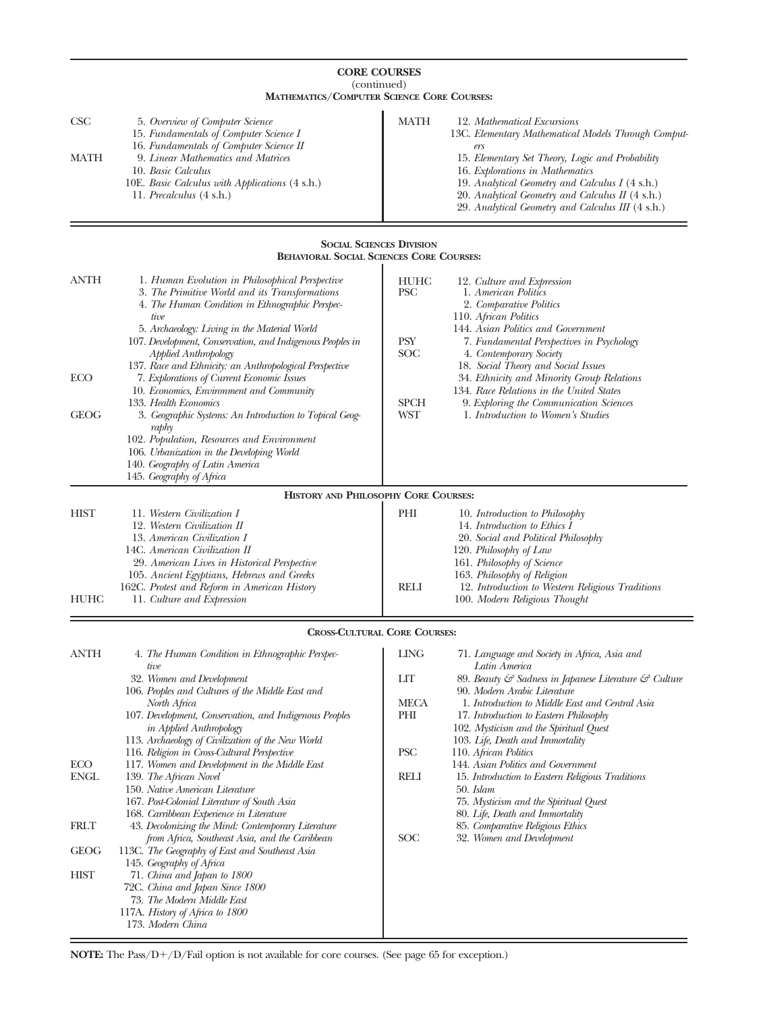| <b>CORE COURSES</b><br>(continued) |                                                                                                                                                                                                                                                                                                                                               |                                         |                                                                                                                                                                                                                                                                                                                                              |
|------------------------------------|-----------------------------------------------------------------------------------------------------------------------------------------------------------------------------------------------------------------------------------------------------------------------------------------------------------------------------------------------|-----------------------------------------|----------------------------------------------------------------------------------------------------------------------------------------------------------------------------------------------------------------------------------------------------------------------------------------------------------------------------------------------|
| $\csc$<br>MATH                     | <b>MATHEMATICS/COMPUTER SCIENCE CORE COURSES:</b><br>5. Overview of Computer Science<br>15. Fundamentals of Computer Science I<br>16. Fundamentals of Computer Science II<br>9. Linear Mathematics and Matrices<br>10. Basic Calculus<br>10E. Basic Calculus with Applications (4 s.h.)<br>11. <i>Precalculus</i> (4 s.h.)                    | MATH                                    | 12. Mathematical Excursions<br>13C. Elementary Mathematical Models Through Comput-<br>ers<br>15. Elementary Set Theory, Logic and Probability<br>16. Explorations in Mathematics<br>19. Analytical Geometry and Calculus I (4 s.h.)<br>20. Analytical Geometry and Calculus II (4 s.h.)<br>29. Analytical Geometry and Calculus III (4 s.h.) |
|                                    | <b>SOCIAL SCIENCES DIVISION</b>                                                                                                                                                                                                                                                                                                               |                                         |                                                                                                                                                                                                                                                                                                                                              |
| ANTH                               | <b>BEHAVIORAL SOCIAL SCIENCES CORE COURSES:</b><br>1. Human Evolution in Philosophical Perspective<br>3. The Primitive World and its Transformations<br>4. The Human Condition in Ethnographic Perspec-<br>tive<br>5. Archaeology: Living in the Material World<br>107. Development, Conservation, and Indigenous Peoples in                  | HUHC<br>PSC<br>PSY                      | 12. Culture and Expression<br>1. American Politics<br>2. Comparative Politics<br>110. African Politics<br>144. Asian Politics and Government<br>7. Fundamental Perspectives in Psychology                                                                                                                                                    |
| ECO<br><b>GEOG</b>                 | <b>Applied Anthropology</b><br>137. Race and Ethnicity: an Anthropological Perspective<br>7. Explorations of Current Economic Issues<br>10. Economics, Environment and Community<br>133. Health Economics<br>3. Geographic Systems: An Introduction to Topical Geog-<br>raphy<br>102. Population, Resources and Environment                   | SOC<br><b>SPCH</b><br>WST               | 4. Contemporary Society<br>18. Social Theory and Social Issues<br>34. Ethnicity and Minority Group Relations<br>134. Race Relations in the United States<br>9. Exploring the Communication Sciences<br>1. Introduction to Women's Studies                                                                                                    |
|                                    | 106. Urbanization in the Developing World<br>140. Geography of Latin America<br>145. Geography of Africa                                                                                                                                                                                                                                      |                                         |                                                                                                                                                                                                                                                                                                                                              |
| HIST<br>HUHC                       | HISTORY AND PHILOSOPHY CORE COURSES:<br>11. Western Civilization I<br>12. Western Civilization II<br>13. American Civilization I<br>14C. American Civilization II<br>29. American Lives in Historical Perspective<br>105. Ancient Egyptians, Hebrews and Greeks<br>162C. Protest and Reform in American History<br>11. Culture and Expression | PHI<br><b>RELI</b>                      | 10. Introduction to Philosophy<br>14. Introduction to Ethics I<br>20. Social and Political Philosophy<br>120. Philosophy of Law<br>161. Philosophy of Science<br>163. Philosophy of Religion<br>12. Introduction to Western Religious Traditions<br>100. Modern Religious Thought                                                            |
|                                    | <b>CROSS-CULTURAL CORE COURSES:</b>                                                                                                                                                                                                                                                                                                           |                                         |                                                                                                                                                                                                                                                                                                                                              |
| ANTH                               | 4. The Human Condition in Ethnographic Perspec-<br>tive<br>32. Women and Development<br>106. Peoples and Cultures of the Middle East and<br>North Africa<br>107. Development, Conservation, and Indigenous Peoples<br><i>in Applied Anthropology</i><br>113. Archaeology of Civilization of the New World                                     | <b>LING</b><br>ПI<br>MECA<br>PHI<br>PSC | 71. Language and Society in Africa, Asia and<br>Latin America<br>89. Beauty & Sadness in Japanese Literature & Culture<br>90. Modern Arabic Literature<br>1. Introduction to Middle East and Central Asia<br>17. Introduction to Eastern Philosophy<br>102. Mysticism and the Spiritual Quest<br>103. Life, Death and Immortality            |
| ECO<br><b>ENGL</b>                 | 116. Religion in Cross-Cultural Perspective<br>117. Women and Development in the Middle East<br>139. The African Novel<br>150. Native American Literature<br>167. Post-Colonial Literature of South Asia<br>168. Carribbean Experience in Literature                                                                                          | RELI                                    | 110. African Politics<br>144. Asian Politics and Government<br>15. Introduction to Eastern Religious Traditions<br>50. Islam<br>75. Mysticism and the Spiritual Quest<br>80. Life, Death and Immortality                                                                                                                                     |
| FRLT<br><b>GEOG</b>                | 43. Decolonizing the Mind: Contemporary Literature<br>from Africa, Southeast Asia, and the Caribbean<br>113C. The Geography of East and Southeast Asia                                                                                                                                                                                        | SOC                                     | 85. Comparative Religious Ethics<br>32. Women and Development                                                                                                                                                                                                                                                                                |
| HIST                               | 145. Geography of Africa<br>71. China and Japan to 1800<br>72C. China and Japan Since 1800<br>73. The Modern Middle East<br>117A. History of Africa to 1800<br>173. Modern China                                                                                                                                                              |                                         |                                                                                                                                                                                                                                                                                                                                              |

 $=$ 

**NOTE:** The Pass/D+/D/Fail option is not available for core courses. (See page 65 for exception.)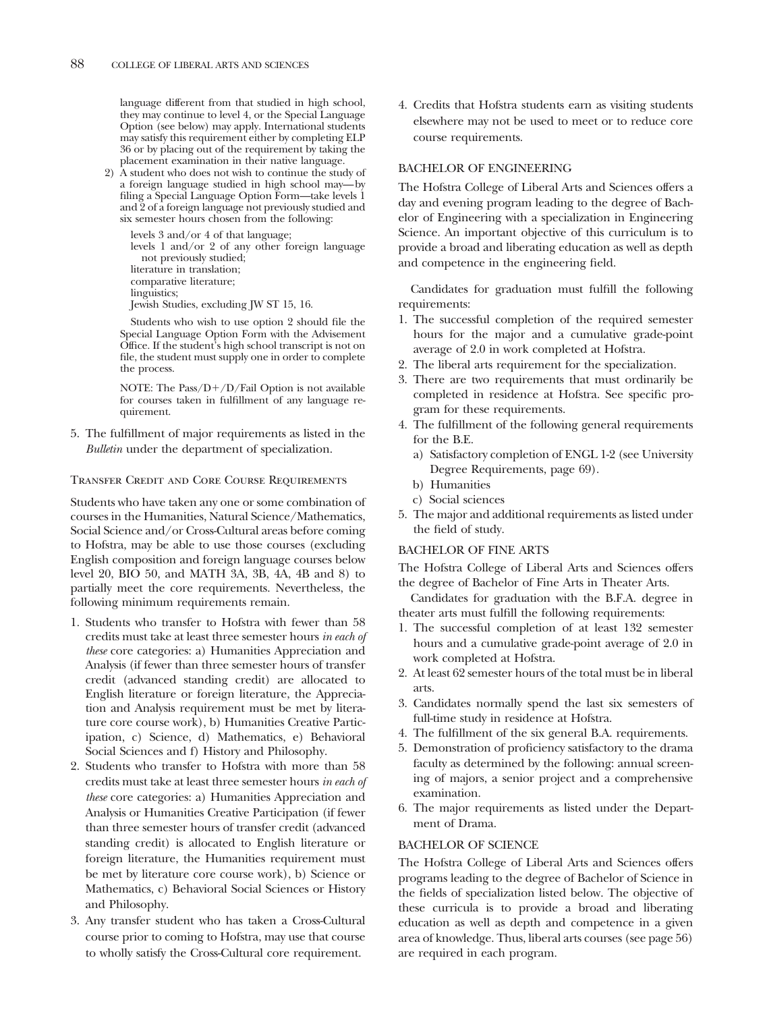language different from that studied in high school, they may continue to level 4, or the Special Language Option (see below) may apply. International students may satisfy this requirement either by completing ELP 36 or by placing out of the requirement by taking the placement examination in their native language.

2) A student who does not wish to continue the study of a foreign language studied in high school may—by filing a Special Language Option Form—take levels 1 and 2 of a foreign language not previously studied and six semester hours chosen from the following:

levels 3 and/or 4 of that language; levels 1 and/or 2 of any other foreign language not previously studied; literature in translation; comparative literature; linguistics; Jewish Studies, excluding JW ST 15, 16.

Students who wish to use option 2 should file the Special Language Option Form with the Advisement Office. If the student's high school transcript is not on file, the student must supply one in order to complete the process.

NOTE: The  $\mathrm{Pass}/\mathrm{D+}/\mathrm{D}/\mathrm{fail}$  Option is not available for courses taken in fulfillment of any language requirement.

5. The fulfillment of major requirements as listed in the *Bulletin* under the department of specialization.

#### Transfer Credit and Core Course Requirements

Students who have taken any one or some combination of courses in the Humanities, Natural Science/Mathematics, Social Science and/or Cross-Cultural areas before coming to Hofstra, may be able to use those courses (excluding English composition and foreign language courses below level 20, BIO 50, and MATH 3A, 3B, 4A, 4B and 8) to partially meet the core requirements. Nevertheless, the following minimum requirements remain.

- 1. Students who transfer to Hofstra with fewer than 58 credits must take at least three semester hours *in each of these* core categories: a) Humanities Appreciation and Analysis (if fewer than three semester hours of transfer credit (advanced standing credit) are allocated to English literature or foreign literature, the Appreciation and Analysis requirement must be met by literature core course work), b) Humanities Creative Participation, c) Science, d) Mathematics, e) Behavioral Social Sciences and f) History and Philosophy.
- 2. Students who transfer to Hofstra with more than 58 credits must take at least three semester hours *in each of these* core categories: a) Humanities Appreciation and Analysis or Humanities Creative Participation (if fewer than three semester hours of transfer credit (advanced standing credit) is allocated to English literature or foreign literature, the Humanities requirement must be met by literature core course work), b) Science or Mathematics, c) Behavioral Social Sciences or History and Philosophy.
- 3. Any transfer student who has taken a Cross-Cultural course prior to coming to Hofstra, may use that course to wholly satisfy the Cross-Cultural core requirement.

4. Credits that Hofstra students earn as visiting students elsewhere may not be used to meet or to reduce core course requirements.

#### BACHELOR OF ENGINEERING

The Hofstra College of Liberal Arts and Sciences offers a day and evening program leading to the degree of Bachelor of Engineering with a specialization in Engineering Science. An important objective of this curriculum is to provide a broad and liberating education as well as depth and competence in the engineering field.

Candidates for graduation must fulfill the following requirements:

- 1. The successful completion of the required semester hours for the major and a cumulative grade-point average of 2.0 in work completed at Hofstra.
- 2. The liberal arts requirement for the specialization.
- 3. There are two requirements that must ordinarily be completed in residence at Hofstra. See specific program for these requirements.
- 4. The fulfillment of the following general requirements for the B.E.
	- a) Satisfactory completion of ENGL 1-2 (see University Degree Requirements, page 69).
	- b) Humanities
	- c) Social sciences
- 5. The major and additional requirements as listed under the field of study.

#### BACHELOR OF FINE ARTS

The Hofstra College of Liberal Arts and Sciences offers the degree of Bachelor of Fine Arts in Theater Arts.

Candidates for graduation with the B.F.A. degree in theater arts must fulfill the following requirements:

- 1. The successful completion of at least 132 semester hours and a cumulative grade-point average of 2.0 in work completed at Hofstra.
- 2. At least 62 semester hours of the total must be in liberal arts.
- 3. Candidates normally spend the last six semesters of full-time study in residence at Hofstra.
- 4. The fulfillment of the six general B.A. requirements.
- 5. Demonstration of proficiency satisfactory to the drama faculty as determined by the following: annual screening of majors, a senior project and a comprehensive examination.
- 6. The major requirements as listed under the Department of Drama.

#### BACHELOR OF SCIENCE

The Hofstra College of Liberal Arts and Sciences offers programs leading to the degree of Bachelor of Science in the fields of specialization listed below. The objective of these curricula is to provide a broad and liberating education as well as depth and competence in a given area of knowledge. Thus, liberal arts courses (see page 56) are required in each program.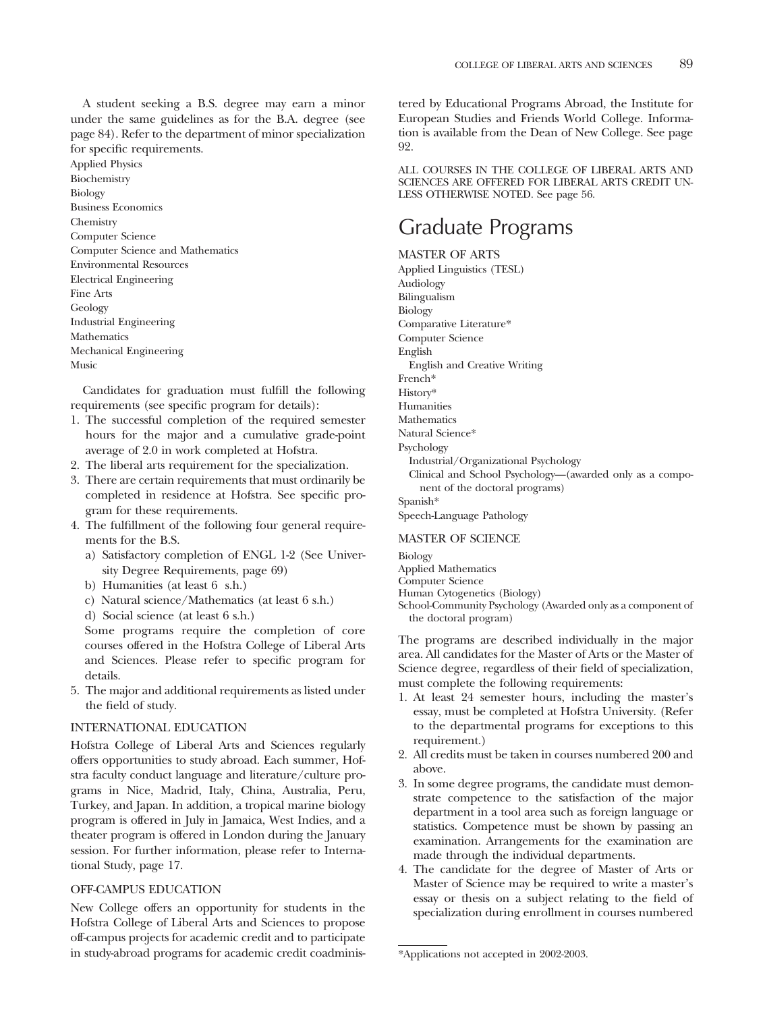A student seeking a B.S. degree may earn a minor under the same guidelines as for the B.A. degree (see page 84). Refer to the department of minor specialization for specific requirements.

Applied Physics Biochemistry Biology Business Economics Chemistry Computer Science Computer Science and Mathematics Environmental Resources Electrical Engineering Fine Arts Geology Industrial Engineering Mathematics Mechanical Engineering Music

Candidates for graduation must fulfill the following requirements (see specific program for details):

- 1. The successful completion of the required semester hours for the major and a cumulative grade-point average of 2.0 in work completed at Hofstra.
- 2. The liberal arts requirement for the specialization.
- 3. There are certain requirements that must ordinarily be completed in residence at Hofstra. See specific program for these requirements.
- 4. The fulfillment of the following four general requirements for the B.S.
	- a) Satisfactory completion of ENGL 1-2 (See University Degree Requirements, page 69)
	- b) Humanities (at least 6 s.h.)
	- c) Natural science/Mathematics (at least 6 s.h.)
	- d) Social science (at least 6 s.h.)

Some programs require the completion of core courses offered in the Hofstra College of Liberal Arts and Sciences. Please refer to specific program for details.

5. The major and additional requirements as listed under the field of study.

#### INTERNATIONAL EDUCATION

Hofstra College of Liberal Arts and Sciences regularly offers opportunities to study abroad. Each summer, Hofstra faculty conduct language and literature/culture programs in Nice, Madrid, Italy, China, Australia, Peru, Turkey, and Japan. In addition, a tropical marine biology program is offered in July in Jamaica, West Indies, and a theater program is offered in London during the January session. For further information, please refer to International Study, page 17.

#### OFF-CAMPUS EDUCATION

New College offers an opportunity for students in the Hofstra College of Liberal Arts and Sciences to propose off-campus projects for academic credit and to participate in study-abroad programs for academic credit coadministered by Educational Programs Abroad, the Institute for European Studies and Friends World College. Information is available from the Dean of New College. See page 92.

ALL COURSES IN THE COLLEGE OF LIBERAL ARTS AND SCIENCES ARE OFFERED FOR LIBERAL ARTS CREDIT UN-LESS OTHERWISE NOTED. See page 56.

## Graduate Programs

MASTER OF ARTS

Applied Linguistics (TESL) Audiology Bilingualism Biology Comparative Literature\* Computer Science English English and Creative Writing French\* History\* Humanities Mathematics Natural Science\* Psychology Industrial/Organizational Psychology Clinical and School Psychology—(awarded only as a component of the doctoral programs) Spanish\* Speech-Language Pathology

#### MASTER OF SCIENCE

Biology Applied Mathematics Computer Science Human Cytogenetics (Biology)

School-Community Psychology (Awarded only as a component of the doctoral program)

The programs are described individually in the major area. All candidates for the Master of Arts or the Master of Science degree, regardless of their field of specialization, must complete the following requirements:

- 1. At least 24 semester hours, including the master's essay, must be completed at Hofstra University. (Refer to the departmental programs for exceptions to this requirement.)
- 2. All credits must be taken in courses numbered 200 and above.
- 3. In some degree programs, the candidate must demonstrate competence to the satisfaction of the major department in a tool area such as foreign language or statistics. Competence must be shown by passing an examination. Arrangements for the examination are made through the individual departments.
- 4. The candidate for the degree of Master of Arts or Master of Science may be required to write a master's essay or thesis on a subject relating to the field of specialization during enrollment in courses numbered

<sup>\*</sup>Applications not accepted in 2002-2003.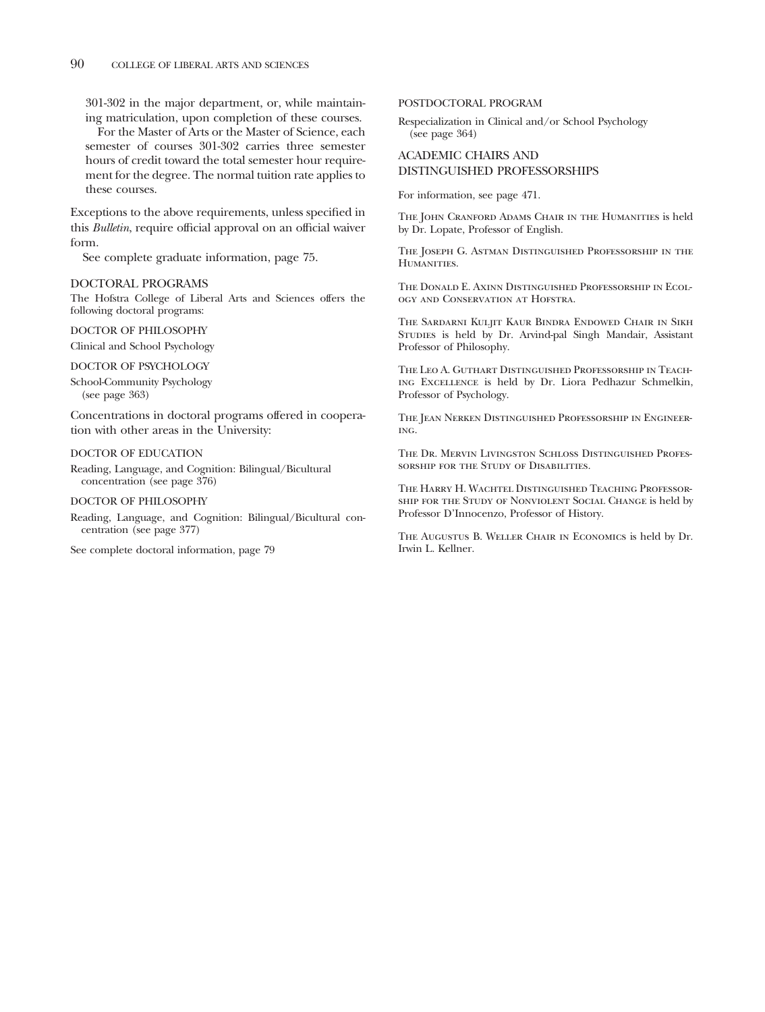301-302 in the major department, or, while maintaining matriculation, upon completion of these courses.

For the Master of Arts or the Master of Science, each semester of courses 301-302 carries three semester hours of credit toward the total semester hour requirement for the degree. The normal tuition rate applies to these courses.

Exceptions to the above requirements, unless specified in this *Bulletin*, require official approval on an official waiver form.

See complete graduate information, page 75.

#### DOCTORAL PROGRAMS

The Hofstra College of Liberal Arts and Sciences offers the following doctoral programs:

#### DOCTOR OF PHILOSOPHY

Clinical and School Psychology

DOCTOR OF PSYCHOLOGY

School-Community Psychology (see page 363)

Concentrations in doctoral programs offered in cooperation with other areas in the University:

#### DOCTOR OF EDUCATION

Reading, Language, and Cognition: Bilingual/Bicultural concentration (see page 376)

#### DOCTOR OF PHILOSOPHY

Reading, Language, and Cognition: Bilingual/Bicultural concentration (see page 377)

See complete doctoral information, page 79

#### POSTDOCTORAL PROGRAM

Respecialization in Clinical and/or School Psychology (see page 364)

#### ACADEMIC CHAIRS AND DISTINGUISHED PROFESSORSHIPS

For information, see page 471.

The John Cranford Adams Chair in the Humanities is held by Dr. Lopate, Professor of English.

The Joseph G. Astman Distinguished Professorship in the HUMANITIES.

The Donald E. Axinn Distinguished Professorship in Ecology and Conservation at Hofstra.

The Sardarni Kuljit Kaur Bindra Endowed Chair in Sikh Studies is held by Dr. Arvind-pal Singh Mandair, Assistant Professor of Philosophy.

The Leo A. Guthart Distinguished Professorship in Teaching Excellence is held by Dr. Liora Pedhazur Schmelkin, Professor of Psychology.

THE JEAN NERKEN DISTINGUISHED PROFESSORSHIP IN ENGINEERing.

The Dr. Mervin Livingston Schloss Distinguished Professorship for the Study of Disabilities.

The Harry H. Wachtel Distinguished Teaching Professorship for the Study of Nonviolent Social Change is held by Professor D'Innocenzo, Professor of History.

The Augustus B. Weller Chair in Economics is held by Dr. Irwin L. Kellner.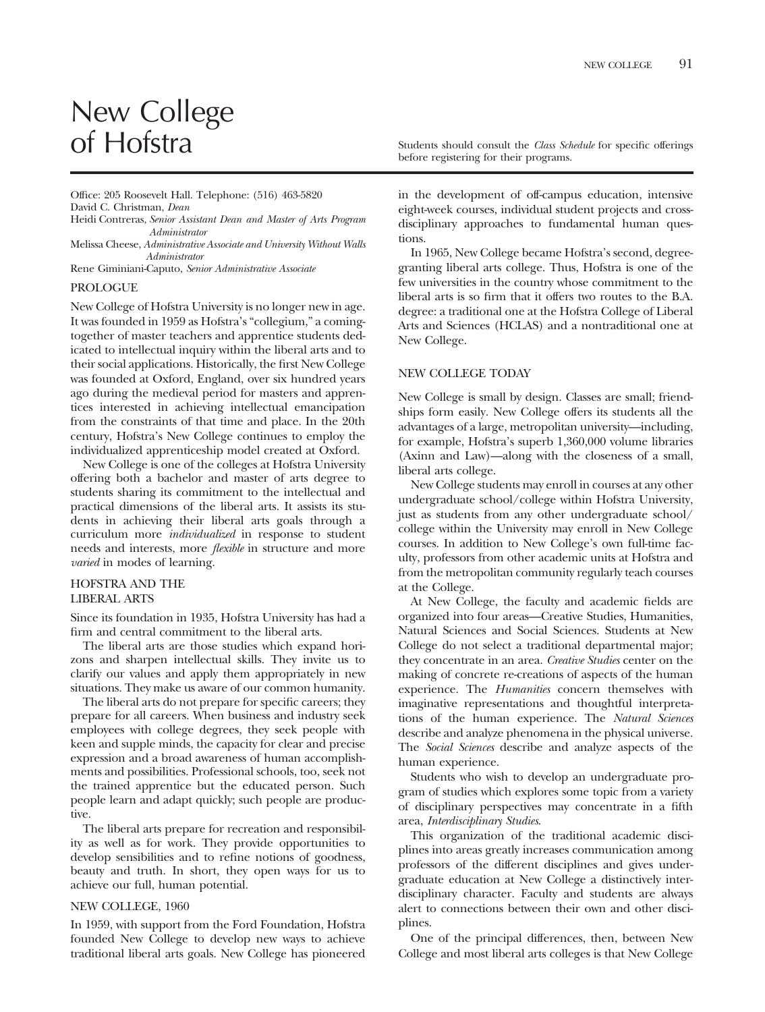# New College<br>of Hofstra

Office: 205 Roosevelt Hall. Telephone: (516) 463-5820 David C. Christman, *Dean*

Heidi Contreras, *Senior Assistant Dean and Master of Arts Program Administrator*

Melissa Cheese, *Administrative Associate and University Without Walls Administrator*

Rene Giminiani-Caputo, *Senior Administrative Associate*

#### PROLOGUE

New College of Hofstra University is no longer new in age. It was founded in 1959 as Hofstra's "collegium," a comingtogether of master teachers and apprentice students dedicated to intellectual inquiry within the liberal arts and to their social applications. Historically, the first New College was founded at Oxford, England, over six hundred years ago during the medieval period for masters and apprentices interested in achieving intellectual emancipation from the constraints of that time and place. In the 20th century, Hofstra's New College continues to employ the individualized apprenticeship model created at Oxford.

New College is one of the colleges at Hofstra University offering both a bachelor and master of arts degree to students sharing its commitment to the intellectual and practical dimensions of the liberal arts. It assists its students in achieving their liberal arts goals through a curriculum more *individualized* in response to student needs and interests, more *flexible* in structure and more *varied* in modes of learning.

#### HOFSTRA AND THE LIBERAL ARTS

Since its foundation in 1935, Hofstra University has had a firm and central commitment to the liberal arts.

The liberal arts are those studies which expand horizons and sharpen intellectual skills. They invite us to clarify our values and apply them appropriately in new situations. They make us aware of our common humanity.

The liberal arts do not prepare for specific careers; they prepare for all careers. When business and industry seek employees with college degrees, they seek people with keen and supple minds, the capacity for clear and precise expression and a broad awareness of human accomplishments and possibilities. Professional schools, too, seek not the trained apprentice but the educated person. Such people learn and adapt quickly; such people are productive.

The liberal arts prepare for recreation and responsibility as well as for work. They provide opportunities to develop sensibilities and to refine notions of goodness, beauty and truth. In short, they open ways for us to achieve our full, human potential.

#### NEW COLLEGE, 1960

In 1959, with support from the Ford Foundation, Hofstra founded New College to develop new ways to achieve traditional liberal arts goals. New College has pioneered Students should consult the *Class Schedule* for specific offerings before registering for their programs.

in the development of off-campus education, intensive eight-week courses, individual student projects and crossdisciplinary approaches to fundamental human questions.

In 1965, New College became Hofstra's second, degreegranting liberal arts college. Thus, Hofstra is one of the few universities in the country whose commitment to the liberal arts is so firm that it offers two routes to the B.A. degree: a traditional one at the Hofstra College of Liberal Arts and Sciences (HCLAS) and a nontraditional one at New College.

#### NEW COLLEGE TODAY

New College is small by design. Classes are small; friendships form easily. New College offers its students all the advantages of a large, metropolitan university—including, for example, Hofstra's superb 1,360,000 volume libraries (Axinn and Law)—along with the closeness of a small, liberal arts college.

New College students may enroll in courses at any other undergraduate school/college within Hofstra University, just as students from any other undergraduate school/ college within the University may enroll in New College courses. In addition to New College's own full-time faculty, professors from other academic units at Hofstra and from the metropolitan community regularly teach courses at the College.

At New College, the faculty and academic fields are organized into four areas—Creative Studies, Humanities, Natural Sciences and Social Sciences. Students at New College do not select a traditional departmental major; they concentrate in an area. *Creative Studies* center on the making of concrete re-creations of aspects of the human experience. The *Humanities* concern themselves with imaginative representations and thoughtful interpretations of the human experience. The *Natural Sciences* describe and analyze phenomena in the physical universe. The *Social Sciences* describe and analyze aspects of the human experience.

Students who wish to develop an undergraduate program of studies which explores some topic from a variety of disciplinary perspectives may concentrate in a fifth area, *Interdisciplinary Studies*.

This organization of the traditional academic disciplines into areas greatly increases communication among professors of the different disciplines and gives undergraduate education at New College a distinctively interdisciplinary character. Faculty and students are always alert to connections between their own and other disciplines.

One of the principal differences, then, between New College and most liberal arts colleges is that New College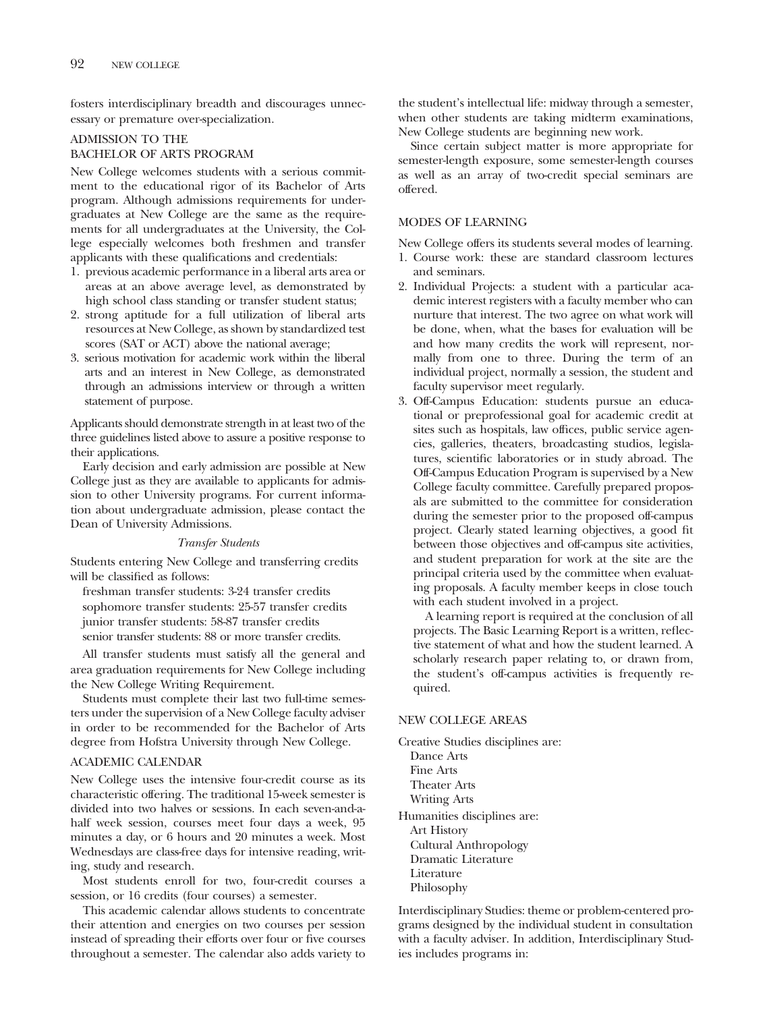fosters interdisciplinary breadth and discourages unnecessary or premature over-specialization.

#### ADMISSION TO THE

#### BACHELOR OF ARTS PROGRAM

New College welcomes students with a serious commitment to the educational rigor of its Bachelor of Arts program. Although admissions requirements for undergraduates at New College are the same as the requirements for all undergraduates at the University, the College especially welcomes both freshmen and transfer applicants with these qualifications and credentials:

- 1. previous academic performance in a liberal arts area or areas at an above average level, as demonstrated by high school class standing or transfer student status;
- 2. strong aptitude for a full utilization of liberal arts resources at New College, as shown by standardized test scores (SAT or ACT) above the national average;
- 3. serious motivation for academic work within the liberal arts and an interest in New College, as demonstrated through an admissions interview or through a written statement of purpose.

Applicants should demonstrate strength in at least two of the three guidelines listed above to assure a positive response to their applications.

Early decision and early admission are possible at New College just as they are available to applicants for admission to other University programs. For current information about undergraduate admission, please contact the Dean of University Admissions.

#### *Transfer Students*

Students entering New College and transferring credits will be classified as follows:

freshman transfer students: 3-24 transfer credits sophomore transfer students: 25-57 transfer credits junior transfer students: 58-87 transfer credits senior transfer students: 88 or more transfer credits.

All transfer students must satisfy all the general and area graduation requirements for New College including the New College Writing Requirement.

Students must complete their last two full-time semesters under the supervision of a New College faculty adviser in order to be recommended for the Bachelor of Arts degree from Hofstra University through New College.

#### ACADEMIC CALENDAR

New College uses the intensive four-credit course as its characteristic offering. The traditional 15-week semester is divided into two halves or sessions. In each seven-and-ahalf week session, courses meet four days a week, 95 minutes a day, or 6 hours and 20 minutes a week. Most Wednesdays are class-free days for intensive reading, writing, study and research.

Most students enroll for two, four-credit courses a session, or 16 credits (four courses) a semester.

This academic calendar allows students to concentrate their attention and energies on two courses per session instead of spreading their efforts over four or five courses throughout a semester. The calendar also adds variety to

the student's intellectual life: midway through a semester, when other students are taking midterm examinations, New College students are beginning new work.

Since certain subject matter is more appropriate for semester-length exposure, some semester-length courses as well as an array of two-credit special seminars are offered.

#### MODES OF LEARNING

New College offers its students several modes of learning.

- 1. Course work: these are standard classroom lectures and seminars.
- 2. Individual Projects: a student with a particular academic interest registers with a faculty member who can nurture that interest. The two agree on what work will be done, when, what the bases for evaluation will be and how many credits the work will represent, normally from one to three. During the term of an individual project, normally a session, the student and faculty supervisor meet regularly.
- 3. Off-Campus Education: students pursue an educational or preprofessional goal for academic credit at sites such as hospitals, law offices, public service agencies, galleries, theaters, broadcasting studios, legislatures, scientific laboratories or in study abroad. The Off-Campus Education Program is supervised by a New College faculty committee. Carefully prepared proposals are submitted to the committee for consideration during the semester prior to the proposed off-campus project. Clearly stated learning objectives, a good fit between those objectives and off-campus site activities, and student preparation for work at the site are the principal criteria used by the committee when evaluating proposals. A faculty member keeps in close touch with each student involved in a project.

A learning report is required at the conclusion of all projects. The Basic Learning Report is a written, reflective statement of what and how the student learned. A scholarly research paper relating to, or drawn from, the student's off-campus activities is frequently required.

#### NEW COLLEGE AREAS

Creative Studies disciplines are: Dance Arts Fine Arts Theater Arts Writing Arts Humanities disciplines are: Art History Cultural Anthropology Dramatic Literature Literature Philosophy

Interdisciplinary Studies: theme or problem-centered programs designed by the individual student in consultation with a faculty adviser. In addition, Interdisciplinary Studies includes programs in: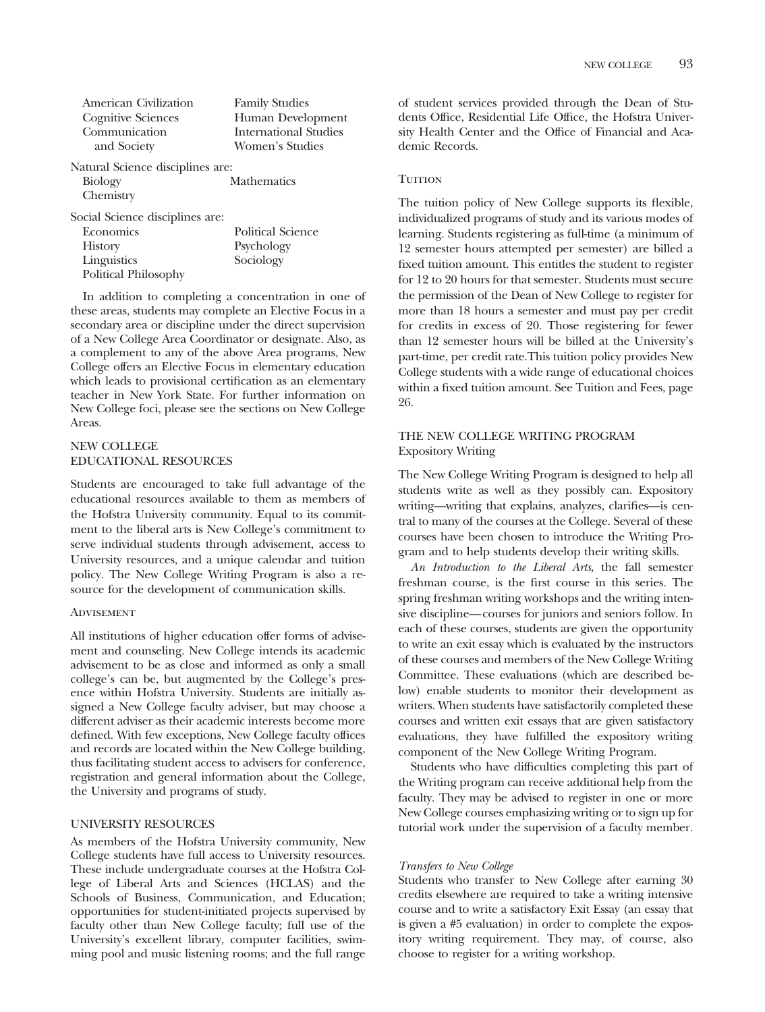| American Civilization                        | <b>Family Studies</b>        |
|----------------------------------------------|------------------------------|
| <b>Cognitive Sciences</b>                    | Human Development            |
| Communication                                | <b>International Studies</b> |
| and Society                                  | Women's Studies              |
| Natural Science disciplines are:             |                              |
| $\mathbf{D}:\mathbf{L}\rightarrow\mathbf{C}$ | $M$ <sup>oth omotice</sup>   |

Biology Chemistry **Mathematics** 

Social Science disciplines are:

| Economics            | <b>Political Science</b> |
|----------------------|--------------------------|
| <b>History</b>       | Psychology               |
| Linguistics          | Sociology                |
| Political Philosophy |                          |

In addition to completing a concentration in one of these areas, students may complete an Elective Focus in a secondary area or discipline under the direct supervision of a New College Area Coordinator or designate. Also, as a complement to any of the above Area programs, New College offers an Elective Focus in elementary education which leads to provisional certification as an elementary teacher in New York State. For further information on New College foci, please see the sections on New College Areas.

#### NEW COLLEGE EDUCATIONAL RESOURCES

Students are encouraged to take full advantage of the educational resources available to them as members of the Hofstra University community. Equal to its commitment to the liberal arts is New College's commitment to serve individual students through advisement, access to University resources, and a unique calendar and tuition policy. The New College Writing Program is also a resource for the development of communication skills.

#### **ADVISEMENT**

All institutions of higher education offer forms of advisement and counseling. New College intends its academic advisement to be as close and informed as only a small college's can be, but augmented by the College's presence within Hofstra University. Students are initially assigned a New College faculty adviser, but may choose a different adviser as their academic interests become more defined. With few exceptions, New College faculty offices and records are located within the New College building, thus facilitating student access to advisers for conference, registration and general information about the College, the University and programs of study.

#### UNIVERSITY RESOURCES

As members of the Hofstra University community, New College students have full access to University resources. These include undergraduate courses at the Hofstra College of Liberal Arts and Sciences (HCLAS) and the Schools of Business, Communication, and Education; opportunities for student-initiated projects supervised by faculty other than New College faculty; full use of the University's excellent library, computer facilities, swimming pool and music listening rooms; and the full range

of student services provided through the Dean of Students Office, Residential Life Office, the Hofstra University Health Center and the Office of Financial and Academic Records.

#### **TUITION**

The tuition policy of New College supports its flexible, individualized programs of study and its various modes of learning. Students registering as full-time (a minimum of 12 semester hours attempted per semester) are billed a fixed tuition amount. This entitles the student to register for 12 to 20 hours for that semester. Students must secure the permission of the Dean of New College to register for more than 18 hours a semester and must pay per credit for credits in excess of 20. Those registering for fewer than 12 semester hours will be billed at the University's part-time, per credit rate.This tuition policy provides New College students with a wide range of educational choices within a fixed tuition amount. See Tuition and Fees, page 26.

#### THE NEW COLLEGE WRITING PROGRAM Expository Writing

The New College Writing Program is designed to help all students write as well as they possibly can. Expository writing—writing that explains, analyzes, clarifies—is central to many of the courses at the College. Several of these courses have been chosen to introduce the Writing Program and to help students develop their writing skills.

*An Introduction to the Liberal Arts*, the fall semester freshman course, is the first course in this series. The spring freshman writing workshops and the writing intensive discipline—courses for juniors and seniors follow. In each of these courses, students are given the opportunity to write an exit essay which is evaluated by the instructors of these courses and members of the New College Writing Committee. These evaluations (which are described below) enable students to monitor their development as writers. When students have satisfactorily completed these courses and written exit essays that are given satisfactory evaluations, they have fulfilled the expository writing component of the New College Writing Program.

Students who have difficulties completing this part of the Writing program can receive additional help from the faculty. They may be advised to register in one or more New College courses emphasizing writing or to sign up for tutorial work under the supervision of a faculty member.

#### *Transfers to New College*

Students who transfer to New College after earning 30 credits elsewhere are required to take a writing intensive course and to write a satisfactory Exit Essay (an essay that is given a #5 evaluation) in order to complete the expository writing requirement. They may, of course, also choose to register for a writing workshop.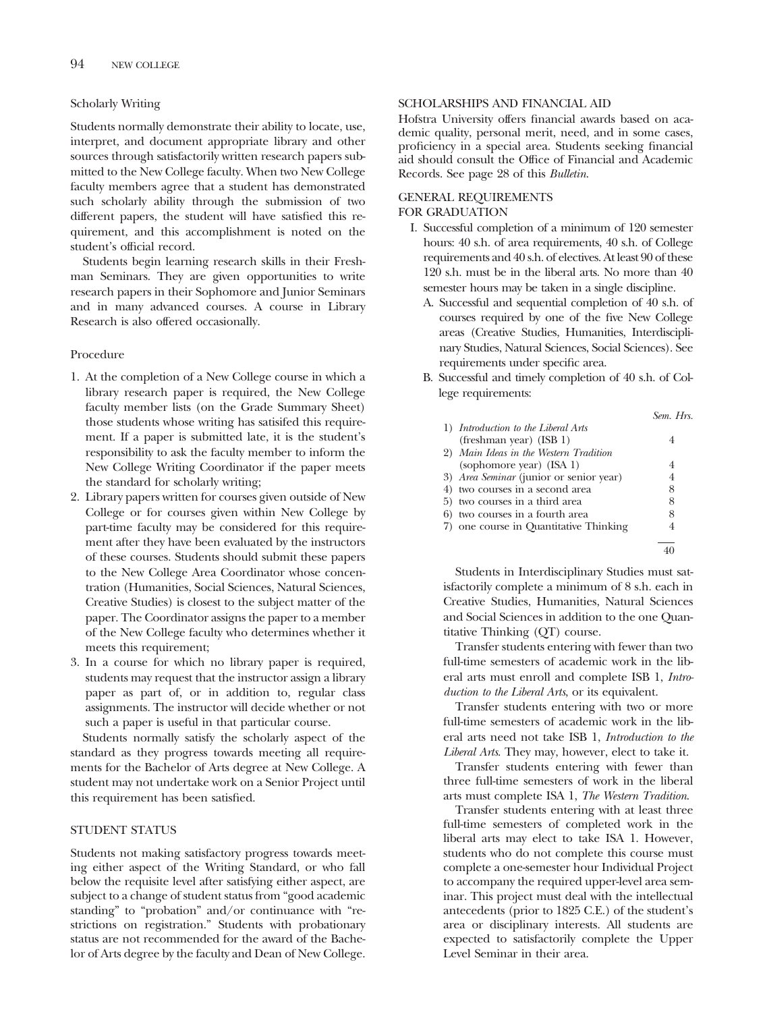#### Scholarly Writing

Students normally demonstrate their ability to locate, use, interpret, and document appropriate library and other sources through satisfactorily written research papers submitted to the New College faculty. When two New College faculty members agree that a student has demonstrated such scholarly ability through the submission of two different papers, the student will have satisfied this requirement, and this accomplishment is noted on the student's official record.

Students begin learning research skills in their Freshman Seminars. They are given opportunities to write research papers in their Sophomore and Junior Seminars and in many advanced courses. A course in Library Research is also offered occasionally.

#### Procedure

- 1. At the completion of a New College course in which a library research paper is required, the New College faculty member lists (on the Grade Summary Sheet) those students whose writing has satisifed this requirement. If a paper is submitted late, it is the student's responsibility to ask the faculty member to inform the New College Writing Coordinator if the paper meets the standard for scholarly writing;
- 2. Library papers written for courses given outside of New College or for courses given within New College by part-time faculty may be considered for this requirement after they have been evaluated by the instructors of these courses. Students should submit these papers to the New College Area Coordinator whose concentration (Humanities, Social Sciences, Natural Sciences, Creative Studies) is closest to the subject matter of the paper. The Coordinator assigns the paper to a member of the New College faculty who determines whether it meets this requirement;
- 3. In a course for which no library paper is required, students may request that the instructor assign a library paper as part of, or in addition to, regular class assignments. The instructor will decide whether or not such a paper is useful in that particular course.

Students normally satisfy the scholarly aspect of the standard as they progress towards meeting all requirements for the Bachelor of Arts degree at New College. A student may not undertake work on a Senior Project until this requirement has been satisfied.

#### STUDENT STATUS

Students not making satisfactory progress towards meeting either aspect of the Writing Standard, or who fall below the requisite level after satisfying either aspect, are subject to a change of student status from "good academic standing" to "probation" and/or continuance with "restrictions on registration." Students with probationary status are not recommended for the award of the Bachelor of Arts degree by the faculty and Dean of New College.

#### SCHOLARSHIPS AND FINANCIAL AID

Hofstra University offers financial awards based on academic quality, personal merit, need, and in some cases, proficiency in a special area. Students seeking financial aid should consult the Office of Financial and Academic Records. See page 28 of this *Bulletin*.

#### GENERAL REQUIREMENTS FOR GRADUATION

- I. Successful completion of a minimum of 120 semester hours: 40 s.h. of area requirements, 40 s.h. of College requirements and 40 s.h. of electives. At least 90 of these 120 s.h. must be in the liberal arts. No more than 40 semester hours may be taken in a single discipline.
	- A. Successful and sequential completion of 40 s.h. of courses required by one of the five New College areas (Creative Studies, Humanities, Interdisciplinary Studies, Natural Sciences, Social Sciences). See requirements under specific area.
	- B. Successful and timely completion of 40 s.h. of College requirements:

|                                         | Sem. Hrs. |
|-----------------------------------------|-----------|
| 1) Introduction to the Liberal Arts     |           |
| (freshman year) (ISB 1)                 |           |
| 2) Main Ideas in the Western Tradition  |           |
| (sophomore year) (ISA 1)                |           |
| 3) Area Seminar (junior or senior year) | 4         |
| 4) two courses in a second area         | 8         |
| 5) two courses in a third area          | 8         |
| 6) two courses in a fourth area         | 8         |
| 7) one course in Quantitative Thinking  |           |
|                                         |           |
|                                         |           |

Students in Interdisciplinary Studies must satisfactorily complete a minimum of 8 s.h. each in Creative Studies, Humanities, Natural Sciences and Social Sciences in addition to the one Quantitative Thinking (QT) course.

Transfer students entering with fewer than two full-time semesters of academic work in the liberal arts must enroll and complete ISB 1, *Introduction to the Liberal Arts*, or its equivalent.

Transfer students entering with two or more full-time semesters of academic work in the liberal arts need not take ISB 1, *Introduction to the Liberal Arts*. They may, however, elect to take it.

Transfer students entering with fewer than three full-time semesters of work in the liberal arts must complete ISA 1, *The Western Tradition*.

Transfer students entering with at least three full-time semesters of completed work in the liberal arts may elect to take ISA 1. However, students who do not complete this course must complete a one-semester hour Individual Project to accompany the required upper-level area seminar. This project must deal with the intellectual antecedents (prior to 1825 C.E.) of the student's area or disciplinary interests. All students are expected to satisfactorily complete the Upper Level Seminar in their area.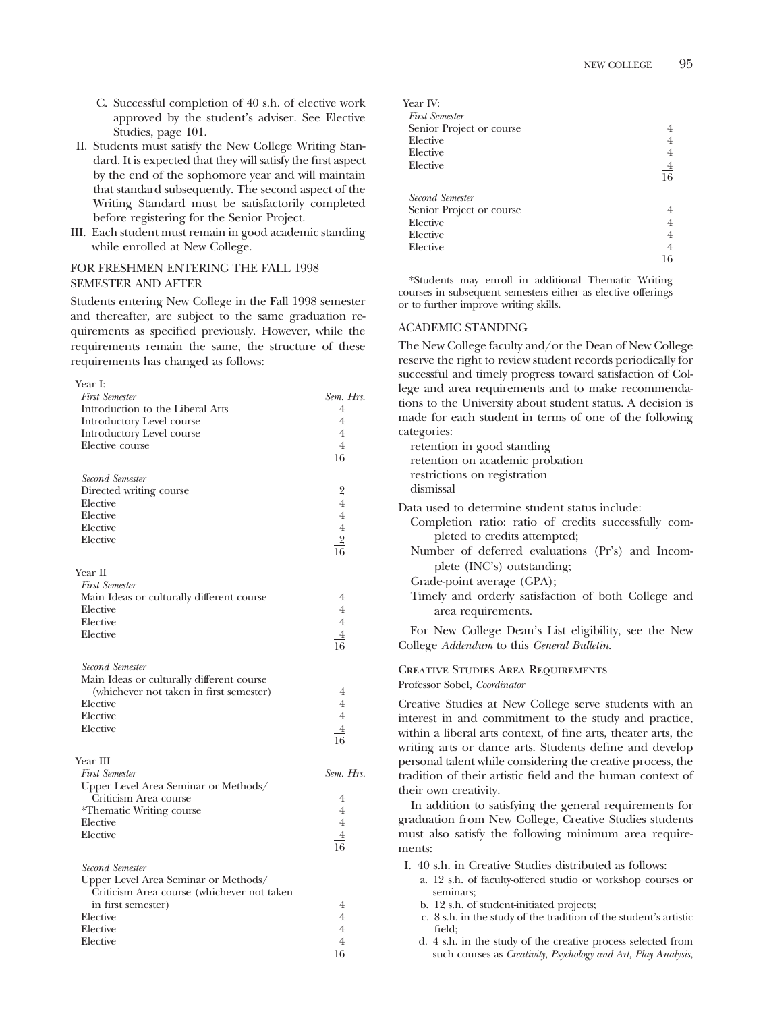- C. Successful completion of 40 s.h. of elective work approved by the student's adviser. See Elective Studies, page 101.
- II. Students must satisfy the New College Writing Standard. It is expected that they will satisfy the first aspect by the end of the sophomore year and will maintain that standard subsequently. The second aspect of the Writing Standard must be satisfactorily completed before registering for the Senior Project.
- III. Each student must remain in good academic standing while enrolled at New College.

#### FOR FRESHMEN ENTERING THE FALL 1998 SEMESTER AND AFTER

Year I:

Students entering New College in the Fall 1998 semester and thereafter, are subject to the same graduation requirements as specified previously. However, while the requirements remain the same, the structure of these requirements has changed as follows:

| <b>First Semester</b>                      | Sem. Hrs.            |
|--------------------------------------------|----------------------|
| Introduction to the Liberal Arts           | 4                    |
| Introductory Level course                  | 4                    |
| Introductory Level course                  | 4                    |
| Elective course                            | $\overline{4}$       |
|                                            | 16                   |
| Second Semester                            |                      |
| Directed writing course                    | $\overline{2}$       |
| Elective                                   | $\overline{4}$       |
| Elective                                   | $\overline{4}$       |
| Elective                                   | $\overline{4}$       |
| Elective                                   | $\overline{2}$       |
|                                            | $\frac{1}{16}$       |
| Year II                                    |                      |
| <b>First Semester</b>                      |                      |
| Main Ideas or culturally different course  | 4                    |
| Elective                                   | $\overline{4}$       |
| Elective                                   | $\overline{4}$       |
| Elective                                   | $\overline{4}$       |
|                                            | 16                   |
| Second Semester                            |                      |
| Main Ideas or culturally different course  |                      |
| (whichever not taken in first semester)    | $\overline{4}$       |
| Elective                                   | $\overline{4}$       |
| Elective                                   | $\overline{4}$       |
| Elective                                   |                      |
|                                            | $\overline{4}$<br>16 |
|                                            |                      |
| Year III<br><b>First Semester</b>          | Sem. Hrs.            |
|                                            |                      |
| Upper Level Area Seminar or Methods/       |                      |
| Criticism Area course                      | 4<br>$\overline{4}$  |
| *Thematic Writing course                   |                      |
| Elective                                   | $\overline{4}$       |
| Elective                                   | $\overline{4}$       |
|                                            | 16                   |
| Second Semester                            |                      |
| Upper Level Area Seminar or Methods/       |                      |
| Criticism Area course (whichever not taken |                      |
| in first semester)                         | 4                    |
| Elective                                   | $\overline{4}$       |
| Elective                                   | $\overline{4}$       |
| Elective                                   | 4                    |
|                                            | 16                   |

| Year IV:                 |                |
|--------------------------|----------------|
| <b>First Semester</b>    |                |
| Senior Project or course | 4              |
| Elective                 | 4              |
| Elective                 | 4              |
| Elective                 | $\frac{4}{16}$ |
|                          |                |
| Second Semester          |                |
| Senior Project or course | 4              |
| Elective                 | 4              |
| Elective                 | 4              |
| Elective                 | $\overline{4}$ |
|                          | 16             |

\*Students may enroll in additional Thematic Writing courses in subsequent semesters either as elective offerings or to further improve writing skills.

#### ACADEMIC STANDING

The New College faculty and/or the Dean of New College reserve the right to review student records periodically for successful and timely progress toward satisfaction of College and area requirements and to make recommendations to the University about student status. A decision is made for each student in terms of one of the following categories:

| $\frac{1}{2}$<br>retention in good standing<br>retention on academic probation<br>restrictions on registration<br>dismissal                                                                                                                                                                                                         |
|-------------------------------------------------------------------------------------------------------------------------------------------------------------------------------------------------------------------------------------------------------------------------------------------------------------------------------------|
| Data used to determine student status include:<br>Completion ratio: ratio of credits successfully com-<br>pleted to credits attempted;<br>Number of deferred evaluations (Pr's) and Incom-<br>plete (INC's) outstanding;<br>Grade-point average (GPA);<br>Timely and orderly satisfaction of both College and<br>area requirements. |
| For New College Dean's List eligibility, see the New<br>College Addendum to this General Bulletin.                                                                                                                                                                                                                                  |
| CREATIVE STUDIES AREA REQUIREMENTS<br>Professor Sobel, Coordinator                                                                                                                                                                                                                                                                  |
| Creative Studies at New College serve students with an<br>interest in and commitment to the study and practice,<br>within a liberal arts context, of fine arts, theater arts, the<br>writing arts or dance arts. Students define and develop                                                                                        |

personal talent while considering the creative process, the tradition of their artistic field and the human context of their own creativity.

In addition to satisfying the general requirements for graduation from New College, Creative Studies students must also satisfy the following minimum area requirements:

I. 40 s.h. in Creative Studies distributed as follows:

- a. 12 s.h. of faculty-offered studio or workshop courses or seminars;
- b. 12 s.h. of student-initiated projects;
- c. 8 s.h. in the study of the tradition of the student's artistic field;
- d. 4 s.h. in the study of the creative process selected from such courses as *Creativity, Psychology and Art, Play Analysis,*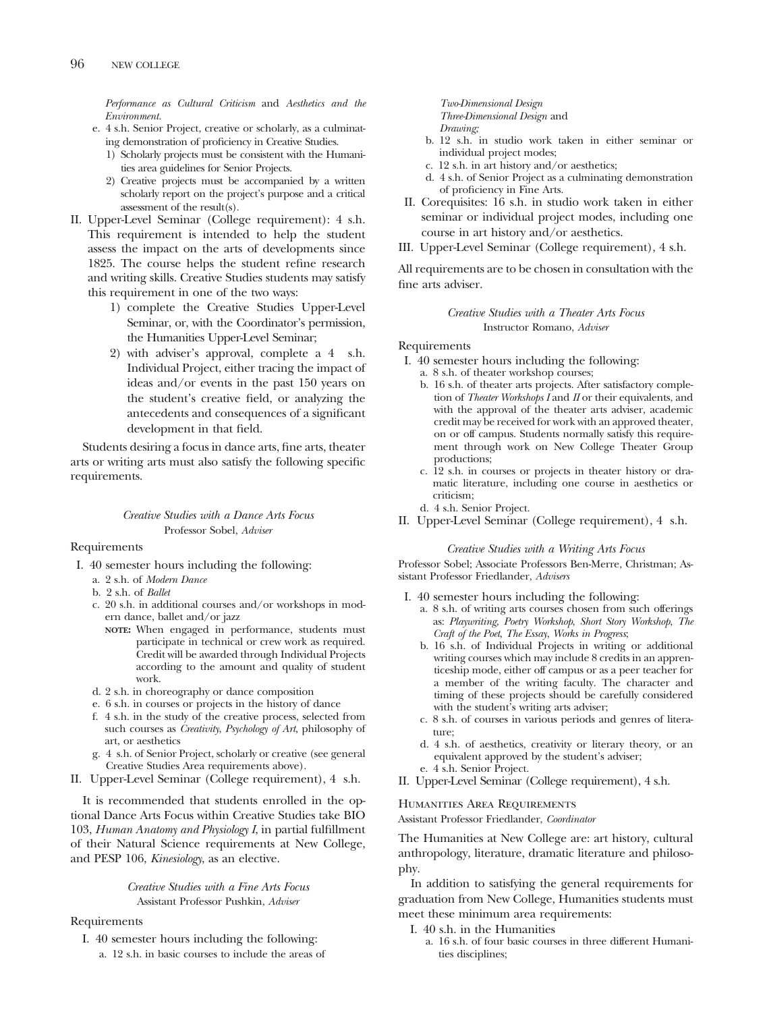*Performance as Cultural Criticism* and *Aesthetics and the Environment.*

- e. 4 s.h. Senior Project, creative or scholarly, as a culminating demonstration of proficiency in Creative Studies.
	- 1) Scholarly projects must be consistent with the Humanities area guidelines for Senior Projects.
	- 2) Creative projects must be accompanied by a written scholarly report on the project's purpose and a critical assessment of the result(s).
- II. Upper-Level Seminar (College requirement): 4 s.h. This requirement is intended to help the student assess the impact on the arts of developments since 1825. The course helps the student refine research and writing skills. Creative Studies students may satisfy this requirement in one of the two ways:
	- 1) complete the Creative Studies Upper-Level Seminar, or, with the Coordinator's permission, the Humanities Upper-Level Seminar;
	- 2) with adviser's approval, complete a 4 s.h. Individual Project, either tracing the impact of ideas and/or events in the past 150 years on the student's creative field, or analyzing the antecedents and consequences of a significant development in that field.

Students desiring a focus in dance arts, fine arts, theater arts or writing arts must also satisfy the following specific requirements.

#### *Creative Studies with a Dance Arts Focus* Professor Sobel, *Adviser*

#### Requirements

- I. 40 semester hours including the following:
	- a. 2 s.h. of *Modern Dance*
	- b. 2 s.h. of *Ballet*
	- c. 20 s.h. in additional courses and/or workshops in modern dance, ballet and/or jazz
		- **NOTE:** When engaged in performance, students must participate in technical or crew work as required. Credit will be awarded through Individual Projects according to the amount and quality of student work.
	- d. 2 s.h. in choreography or dance composition
	- e. 6 s.h. in courses or projects in the history of dance
	- f. 4 s.h. in the study of the creative process, selected from such courses as *Creativity*, *Psychology of Art*, philosophy of art, or aesthetics
	- g. 4 s.h. of Senior Project, scholarly or creative (see general Creative Studies Area requirements above).
- II. Upper-Level Seminar (College requirement), 4 s.h.

It is recommended that students enrolled in the optional Dance Arts Focus within Creative Studies take BIO 103, *Human Anatomy and Physiology I*, in partial fulfillment of their Natural Science requirements at New College, and PESP 106, *Kinesiology*, as an elective.

> *Creative Studies with a Fine Arts Focus* Assistant Professor Pushkin, *Adviser*

#### Requirements

I. 40 semester hours including the following: a. 12 s.h. in basic courses to include the areas of

*Two-Dimensional Design Three-Dimensional Design* and *Drawing;*

- b. 12 s.h. in studio work taken in either seminar or individual project modes;
- c. 12 s.h. in art history and/or aesthetics;
- d. 4 s.h. of Senior Project as a culminating demonstration of proficiency in Fine Arts.
- II. Corequisites: 16 s.h. in studio work taken in either seminar or individual project modes, including one course in art history and/or aesthetics.
- III. Upper-Level Seminar (College requirement), 4 s.h.

All requirements are to be chosen in consultation with the fine arts adviser.

#### *Creative Studies with a Theater Arts Focus* Instructor Romano, *Adviser*

#### Requirements

- I. 40 semester hours including the following:
	- a. 8 s.h. of theater workshop courses;
	- b. 16 s.h. of theater arts projects. After satisfactory completion of *Theater Workshops I* and *II* or their equivalents, and with the approval of the theater arts adviser, academic credit may be received for work with an approved theater, on or off campus. Students normally satisfy this requirement through work on New College Theater Group productions;
	- c. 12 s.h. in courses or projects in theater history or dramatic literature, including one course in aesthetics or criticism;
	- d. 4 s.h. Senior Project.
- II. Upper-Level Seminar (College requirement), 4 s.h.

#### *Creative Studies with a Writing Arts Focus*

Professor Sobel; Associate Professors Ben-Merre, Christman; Assistant Professor Friedlander, *Advisers*

- I. 40 semester hours including the following:
	- a. 8 s.h. of writing arts courses chosen from such offerings as: *Playwriting*, *Poetry Workshop*, *Short Story Workshop*, *The Craft of the Poet*, *The Essay*, *Works in Progress*;
	- b. 16 s.h. of Individual Projects in writing or additional writing courses which may include 8 credits in an apprenticeship mode, either off campus or as a peer teacher for a member of the writing faculty. The character and timing of these projects should be carefully considered with the student's writing arts adviser;
	- c. 8 s.h. of courses in various periods and genres of literature;
	- d. 4 s.h. of aesthetics, creativity or literary theory, or an equivalent approved by the student's adviser;
	- e. 4 s.h. Senior Project.
- II. Upper-Level Seminar (College requirement), 4 s.h.

#### Humanities Area Requirements

Assistant Professor Friedlander, *Coordinator*

The Humanities at New College are: art history, cultural anthropology, literature, dramatic literature and philosophy.

In addition to satisfying the general requirements for graduation from New College, Humanities students must meet these minimum area requirements:

- I. 40 s.h. in the Humanities
	- a. 16 s.h. of four basic courses in three different Humanities disciplines;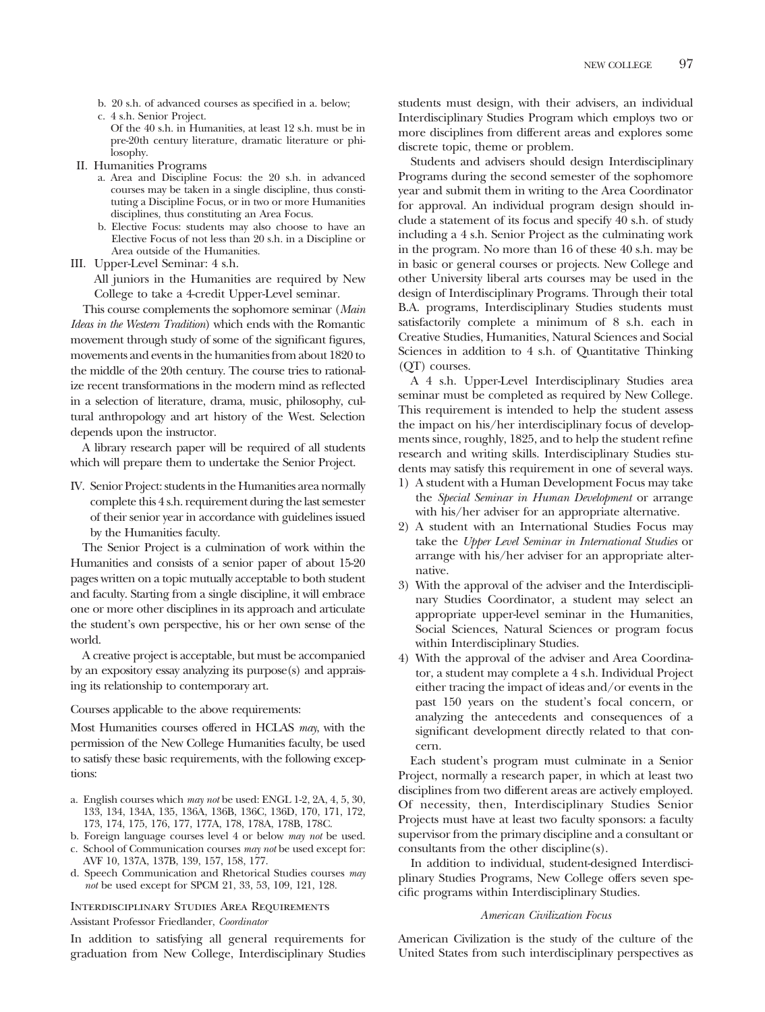- b. 20 s.h. of advanced courses as specified in a. below;
- c. 4 s.h. Senior Project.
	- Of the 40 s.h. in Humanities, at least 12 s.h. must be in pre-20th century literature, dramatic literature or philosophy.
- II. Humanities Programs
	- a. Area and Discipline Focus: the 20 s.h. in advanced courses may be taken in a single discipline, thus constituting a Discipline Focus, or in two or more Humanities disciplines, thus constituting an Area Focus.
	- b. Elective Focus: students may also choose to have an Elective Focus of not less than 20 s.h. in a Discipline or Area outside of the Humanities.
- III. Upper-Level Seminar: 4 s.h.

All juniors in the Humanities are required by New College to take a 4-credit Upper-Level seminar.

This course complements the sophomore seminar (*Main Ideas in the Western Tradition*) which ends with the Romantic movement through study of some of the significant figures, movements and events in the humanities from about 1820 to the middle of the 20th century. The course tries to rationalize recent transformations in the modern mind as reflected in a selection of literature, drama, music, philosophy, cultural anthropology and art history of the West. Selection depends upon the instructor.

A library research paper will be required of all students which will prepare them to undertake the Senior Project.

IV. Senior Project: students in the Humanities area normally complete this 4 s.h. requirement during the last semester of their senior year in accordance with guidelines issued by the Humanities faculty.

The Senior Project is a culmination of work within the Humanities and consists of a senior paper of about 15-20 pages written on a topic mutually acceptable to both student and faculty. Starting from a single discipline, it will embrace one or more other disciplines in its approach and articulate the student's own perspective, his or her own sense of the world.

A creative project is acceptable, but must be accompanied by an expository essay analyzing its purpose(s) and appraising its relationship to contemporary art.

#### Courses applicable to the above requirements:

Most Humanities courses offered in HCLAS *may*, with the permission of the New College Humanities faculty, be used to satisfy these basic requirements, with the following exceptions:

- a. English courses which *may not* be used: ENGL 1-2, 2A, 4, 5, 30, 133, 134, 134A, 135, 136A, 136B, 136C, 136D, 170, 171, 172, 173, 174, 175, 176, 177, 177A, 178, 178A, 178B, 178C.
- b. Foreign language courses level 4 or below *may not* be used. c. School of Communication courses *may not* be used except for: AVF 10, 137A, 137B, 139, 157, 158, 177.
- d. Speech Communication and Rhetorical Studies courses *may not* be used except for SPCM 21, 33, 53, 109, 121, 128.

Interdisciplinary Studies Area Requirements Assistant Professor Friedlander, *Coordinator*

In addition to satisfying all general requirements for graduation from New College, Interdisciplinary Studies

students must design, with their advisers, an individual Interdisciplinary Studies Program which employs two or more disciplines from different areas and explores some discrete topic, theme or problem.

Students and advisers should design Interdisciplinary Programs during the second semester of the sophomore year and submit them in writing to the Area Coordinator for approval. An individual program design should include a statement of its focus and specify 40 s.h. of study including a 4 s.h. Senior Project as the culminating work in the program. No more than 16 of these 40 s.h. may be in basic or general courses or projects. New College and other University liberal arts courses may be used in the design of Interdisciplinary Programs. Through their total B.A. programs, Interdisciplinary Studies students must satisfactorily complete a minimum of 8 s.h. each in Creative Studies, Humanities, Natural Sciences and Social Sciences in addition to 4 s.h. of Quantitative Thinking (QT) courses.

A 4 s.h. Upper-Level Interdisciplinary Studies area seminar must be completed as required by New College. This requirement is intended to help the student assess the impact on his/her interdisciplinary focus of developments since, roughly, 1825, and to help the student refine research and writing skills. Interdisciplinary Studies students may satisfy this requirement in one of several ways.

- 1) A student with a Human Development Focus may take the *Special Seminar in Human Development* or arrange with his/her adviser for an appropriate alternative.
- 2) A student with an International Studies Focus may take the *Upper Level Seminar in International Studies* or arrange with his/her adviser for an appropriate alternative.
- 3) With the approval of the adviser and the Interdisciplinary Studies Coordinator, a student may select an appropriate upper-level seminar in the Humanities, Social Sciences, Natural Sciences or program focus within Interdisciplinary Studies.
- 4) With the approval of the adviser and Area Coordinator, a student may complete a 4 s.h. Individual Project either tracing the impact of ideas and/or events in the past 150 years on the student's focal concern, or analyzing the antecedents and consequences of a significant development directly related to that concern.

Each student's program must culminate in a Senior Project, normally a research paper, in which at least two disciplines from two different areas are actively employed. Of necessity, then, Interdisciplinary Studies Senior Projects must have at least two faculty sponsors: a faculty supervisor from the primary discipline and a consultant or consultants from the other discipline(s).

In addition to individual, student-designed Interdisciplinary Studies Programs, New College offers seven specific programs within Interdisciplinary Studies.

#### *American Civilization Focus*

American Civilization is the study of the culture of the United States from such interdisciplinary perspectives as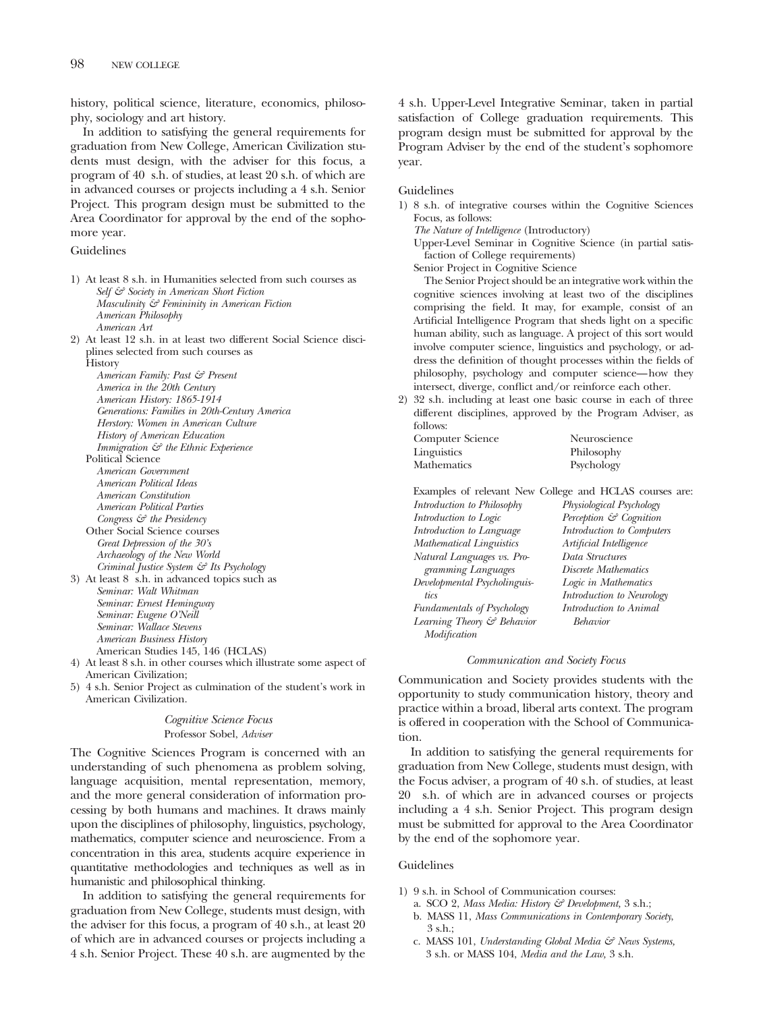history, political science, literature, economics, philosophy, sociology and art history.

In addition to satisfying the general requirements for graduation from New College, American Civilization students must design, with the adviser for this focus, a program of 40 s.h. of studies, at least 20 s.h. of which are in advanced courses or projects including a 4 s.h. Senior Project. This program design must be submitted to the Area Coordinator for approval by the end of the sophomore year.

#### Guidelines

- 1) At least 8 s.h. in Humanities selected from such courses as *Self & Society in American Short Fiction Masculinity & Femininity in American Fiction American Philosophy American Art*
- 2) At least 12 s.h. in at least two different Social Science disciplines selected from such courses as

**History** *American Family: Past & Present America in the 20th Century American History: 1865-1914 Generations: Families in 20th-Century America Herstory: Women in American Culture History of American Education Immigration & the Ethnic Experience* Political Science

- *American Government American Political Ideas American Constitution American Political Parties Congress & the Presidency*
- Other Social Science courses *Great Depression of the 30's Archaeology of the New World Criminal Justice System & Its Psychology*
- 3) At least 8 s.h. in advanced topics such as *Seminar: Walt Whitman Seminar: Ernest Hemingway Seminar: Eugene O'Neill Seminar: Wallace Stevens American Business History* American Studies 145, 146 (HCLAS)
- 4) At least 8 s.h. in other courses which illustrate some aspect of American Civilization;
- 5) 4 s.h. Senior Project as culmination of the student's work in American Civilization.

*Cognitive Science Focus* Professor Sobel, *Adviser*

The Cognitive Sciences Program is concerned with an understanding of such phenomena as problem solving, language acquisition, mental representation, memory, and the more general consideration of information processing by both humans and machines. It draws mainly upon the disciplines of philosophy, linguistics, psychology, mathematics, computer science and neuroscience. From a concentration in this area, students acquire experience in quantitative methodologies and techniques as well as in humanistic and philosophical thinking.

In addition to satisfying the general requirements for graduation from New College, students must design, with the adviser for this focus, a program of 40 s.h., at least 20 of which are in advanced courses or projects including a 4 s.h. Senior Project. These 40 s.h. are augmented by the

4 s.h. Upper-Level Integrative Seminar, taken in partial satisfaction of College graduation requirements. This program design must be submitted for approval by the Program Adviser by the end of the student's sophomore year.

#### Guidelines

1) 8 s.h. of integrative courses within the Cognitive Sciences Focus, as follows:

*The Nature of Intelligence* (Introductory)

Upper-Level Seminar in Cognitive Science (in partial satisfaction of College requirements)

Senior Project in Cognitive Science

The Senior Project should be an integrative work within the cognitive sciences involving at least two of the disciplines comprising the field. It may, for example, consist of an Artificial Intelligence Program that sheds light on a specific human ability, such as language. A project of this sort would involve computer science, linguistics and psychology, or address the definition of thought processes within the fields of philosophy, psychology and computer science—how they intersect, diverge, conflict and/or reinforce each other.

2) 32 s.h. including at least one basic course in each of three different disciplines, approved by the Program Adviser, as follows:

| Computer Science | Neuroscience |
|------------------|--------------|
| Linguistics      | Philosophy   |
| Mathematics      | Psychology   |

|                                 | Examples of relevant New College and HCLAS courses are: |
|---------------------------------|---------------------------------------------------------|
| Introduction to Philosophy      | Physiological Psychology                                |
| Introduction to Logic           | Perception & Cognition                                  |
| Introduction to Language        | Introduction to Computers                               |
| <b>Mathematical Linguistics</b> | Artificial Intelligence                                 |
| Natural Languages vs. Pro-      | Data Structures                                         |
| gramming Languages              | Discrete Mathematics                                    |
| Developmental Psycholinguis-    | Logic in Mathematics                                    |
| tics                            | Introduction to Neurology                               |
| Fundamentals of Psychology      | Introduction to Animal                                  |
| Learning Theory & Behavior      | <b>Behavior</b>                                         |
| Modification                    |                                                         |
|                                 |                                                         |

#### *Communication and Society Focus*

Communication and Society provides students with the opportunity to study communication history, theory and practice within a broad, liberal arts context. The program is offered in cooperation with the School of Communication.

In addition to satisfying the general requirements for graduation from New College, students must design, with the Focus adviser, a program of 40 s.h. of studies, at least 20 s.h. of which are in advanced courses or projects including a 4 s.h. Senior Project. This program design must be submitted for approval to the Area Coordinator by the end of the sophomore year.

#### Guidelines

- 1) 9 s.h. in School of Communication courses:
	- a. SCO 2, *Mass Media: History & Development,* 3 s.h.;
	- b. MASS 11, *Mass Communications in Contemporary Society*,  $3 \,$ s $\,$ h.;
	- c. MASS 101, *Understanding Global Media & News Systems,* 3 s.h. or MASS 104, *Media and the Law,* 3 s.h.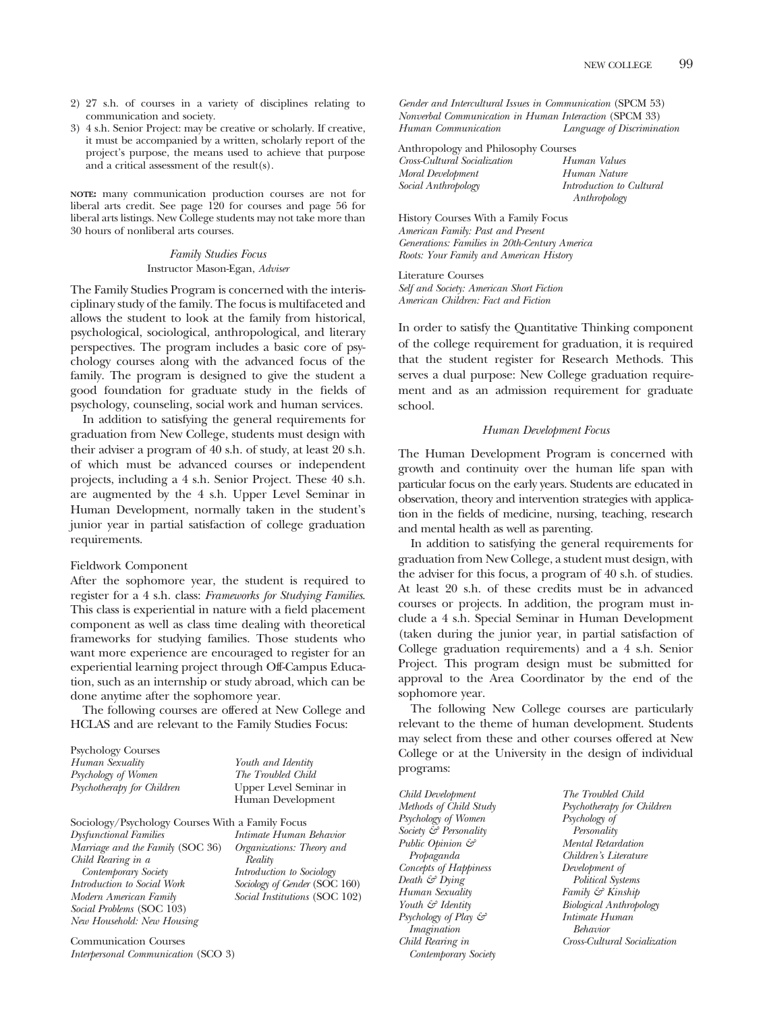- 2) 27 s.h. of courses in a variety of disciplines relating to communication and society.
- 3) 4 s.h. Senior Project: may be creative or scholarly. If creative, it must be accompanied by a written, scholarly report of the project's purpose, the means used to achieve that purpose and a critical assessment of the result(s).

**NOTE:** many communication production courses are not for liberal arts credit. See page 120 for courses and page 56 for liberal arts listings. New College students may not take more than 30 hours of nonliberal arts courses.

> *Family Studies Focus* Instructor Mason-Egan, *Adviser*

The Family Studies Program is concerned with the interisciplinary study of the family. The focus is multifaceted and allows the student to look at the family from historical, psychological, sociological, anthropological, and literary perspectives. The program includes a basic core of psychology courses along with the advanced focus of the family. The program is designed to give the student a good foundation for graduate study in the fields of psychology, counseling, social work and human services.

In addition to satisfying the general requirements for graduation from New College, students must design with their adviser a program of 40 s.h. of study, at least 20 s.h. of which must be advanced courses or independent projects, including a 4 s.h. Senior Project. These 40 s.h. are augmented by the 4 s.h. Upper Level Seminar in Human Development, normally taken in the student's junior year in partial satisfaction of college graduation requirements.

#### Fieldwork Component

After the sophomore year, the student is required to register for a 4 s.h. class: *Frameworks for Studying Families*. This class is experiential in nature with a field placement component as well as class time dealing with theoretical frameworks for studying families. Those students who want more experience are encouraged to register for an experiential learning project through Off-Campus Education, such as an internship or study abroad, which can be done anytime after the sophomore year.

The following courses are offered at New College and HCLAS and are relevant to the Family Studies Focus:

| <b>Psychology Courses</b>                        |                               |
|--------------------------------------------------|-------------------------------|
| Human Sexuality                                  | Youth and Identity            |
| Psychology of Women                              | The Troubled Child            |
| Psychotherapy for Children                       | Upper Level Seminar in        |
|                                                  | Human Development             |
| Sociology/Psychology Courses With a Family Focus |                               |
| <b>Dysfunctional Families</b>                    | Intimate Human Behavior       |
| Marriage and the Family (SOC 36)                 | Organizations: Theory and     |
| Child Rearing in a                               | Reality                       |
| Contemporary Society                             | Introduction to Sociology     |
| Introduction to Social Work                      | Sociology of Gender (SOC 160) |
| Modern American Family                           | Social Institutions (SOC 102) |
| Social Problems (SOC 103)                        |                               |
| New Household: New Housing                       |                               |
|                                                  |                               |

Communication Courses *Interpersonal Communication* (SCO 3) *Gender and Intercultural Issues in Communication* (SPCM 53) *Nonverbal Communication in Human Interaction* (SPCM 33) *Human Communication Language of Discrimination*

| Anthropology and Philosophy Courses |                          |
|-------------------------------------|--------------------------|
| Cross-Cultural Socialization        | Human Values             |
| Moral Development                   | Human Nature             |
| Social Anthropology                 | Introduction to Cultural |
|                                     | Anthropology             |

History Courses With a Family Focus *American Family: Past and Present Generations: Families in 20th-Century America Roots: Your Family and American History*

Literature Courses *Self and Society: American Short Fiction American Children: Fact and Fiction*

In order to satisfy the Quantitative Thinking component of the college requirement for graduation, it is required that the student register for Research Methods. This serves a dual purpose: New College graduation requirement and as an admission requirement for graduate school.

#### *Human Development Focus*

The Human Development Program is concerned with growth and continuity over the human life span with particular focus on the early years. Students are educated in observation, theory and intervention strategies with application in the fields of medicine, nursing, teaching, research and mental health as well as parenting.

In addition to satisfying the general requirements for graduation from New College, a student must design, with the adviser for this focus, a program of 40 s.h. of studies. At least 20 s.h. of these credits must be in advanced courses or projects. In addition, the program must include a 4 s.h. Special Seminar in Human Development (taken during the junior year, in partial satisfaction of College graduation requirements) and a 4 s.h. Senior Project. This program design must be submitted for approval to the Area Coordinator by the end of the sophomore year.

The following New College courses are particularly relevant to the theme of human development. Students may select from these and other courses offered at New College or at the University in the design of individual programs:

*Child Development Methods of Child Study Psychology of Women Society & Personality Public Opinion & Propaganda Concepts of Happiness Death & Dying Human Sexuality Youth & Identity Psychology of Play & Imagination Child Rearing in Contemporary Society*

*The Troubled Child Psychotherapy for Children Psychology of Personality Mental Retardation Children's Literature Development of Political Systems Family & Kinship Biological Anthropology Intimate Human Behavior Cross-Cultural Socialization*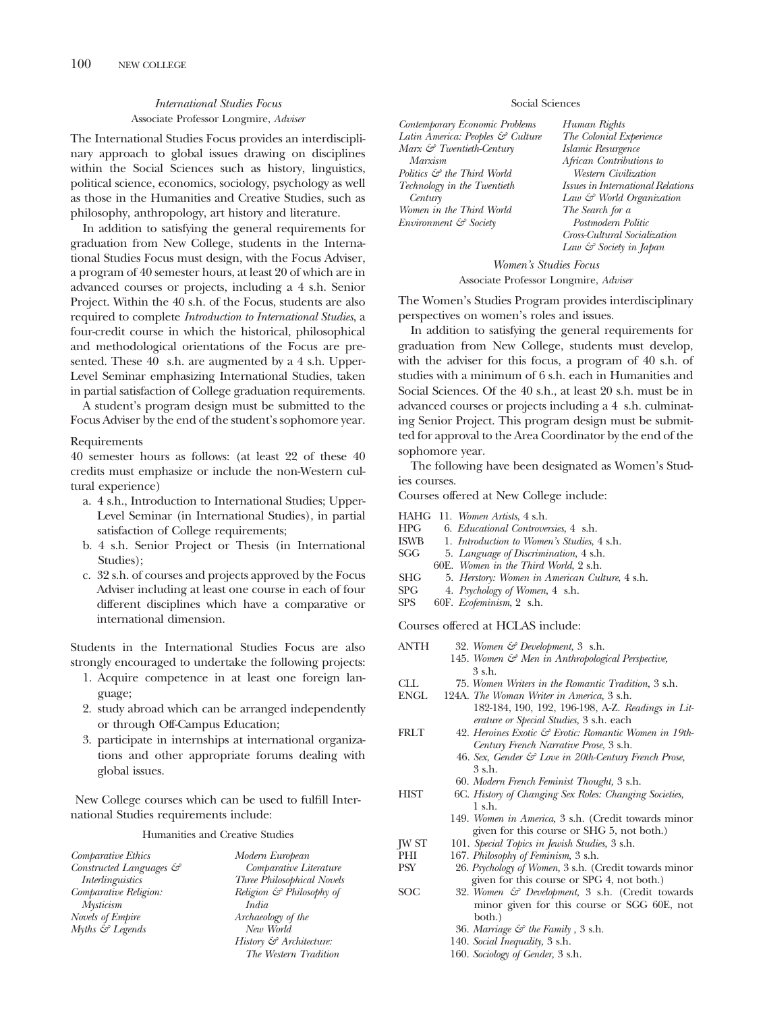#### *International Studies Focus* Associate Professor Longmire, *Adviser*

The International Studies Focus provides an interdisciplinary approach to global issues drawing on disciplines within the Social Sciences such as history, linguistics, political science, economics, sociology, psychology as well as those in the Humanities and Creative Studies, such as philosophy, anthropology, art history and literature.

In addition to satisfying the general requirements for graduation from New College, students in the International Studies Focus must design, with the Focus Adviser, a program of 40 semester hours, at least 20 of which are in advanced courses or projects, including a 4 s.h. Senior Project. Within the 40 s.h. of the Focus, students are also required to complete *Introduction to International Studies*, a four-credit course in which the historical, philosophical and methodological orientations of the Focus are presented. These 40 s.h. are augmented by a 4 s.h. Upper-Level Seminar emphasizing International Studies, taken in partial satisfaction of College graduation requirements.

A student's program design must be submitted to the Focus Adviser by the end of the student's sophomore year.

#### Requirements

40 semester hours as follows: (at least 22 of these 40 credits must emphasize or include the non-Western cultural experience)

- a. 4 s.h., Introduction to International Studies; Upper-Level Seminar (in International Studies), in partial satisfaction of College requirements;
- b. 4 s.h. Senior Project or Thesis (in International Studies);
- c. 32 s.h. of courses and projects approved by the Focus Adviser including at least one course in each of four different disciplines which have a comparative or international dimension.

Students in the International Studies Focus are also strongly encouraged to undertake the following projects:

- 1. Acquire competence in at least one foreign language;
- 2. study abroad which can be arranged independently or through Off-Campus Education;
- 3. participate in internships at international organizations and other appropriate forums dealing with global issues.

New College courses which can be used to fulfill International Studies requirements include:

#### Humanities and Creative Studies

| Comparative Ethics             | Modern European                     |
|--------------------------------|-------------------------------------|
| Constructed Languages &        | Comparative Literature              |
| Interlinguistics               | <b>Three Philosophical Novels</b>   |
| Comparative Religion:          | Religion & Philosophy of            |
| <b>Mysticism</b>               | India                               |
| Novels of Empire               | Archaeology of the                  |
| $Myths \, \mathcal{C}$ Legends | New World                           |
|                                | History $\mathcal{C}$ Architecture: |
|                                | The Western Tradition               |

#### Social Sciences

*Contemporary Economic Problems Latin America: Peoples & Culture Marx & Twentieth-Century Marxism Politics & the Third World Technology in the Twentieth Century Women in the Third World Environment & Society*

*Human Rights The Colonial Experience Islamic Resurgence African Contributions to Western Civilization Issues in International Relations Law & World Organization The Search for a Postmodern Politic Cross-Cultural Socialization Law & Society in Japan*

*Women's Studies Focus* Associate Professor Longmire, *Adviser*

The Women's Studies Program provides interdisciplinary perspectives on women's roles and issues.

In addition to satisfying the general requirements for graduation from New College, students must develop, with the adviser for this focus, a program of 40 s.h. of studies with a minimum of 6 s.h. each in Humanities and Social Sciences. Of the 40 s.h., at least 20 s.h. must be in advanced courses or projects including a 4 s.h. culminating Senior Project. This program design must be submitted for approval to the Area Coordinator by the end of the sophomore year.

The following have been designated as Women's Studies courses.

Courses offered at New College include:

- HAHG 11. *Women Artists*, 4 s.h.
- HPG 6. *Educational Controversies*, 4 s.h.
- ISWB 1. *Introduction to Women's Studies*, 4 s.h.
- SGG 5. *Language of Discrimination*, 4 s.h.
- 60E. *Women in the Third World*, 2 s.h.
- SHG 5. *Herstory: Women in American Culture*, 4 s.h.
- SPG 4. *Psychology of Women*, 4 s.h.
- SPS 60F. *Ecofeminism*, 2 s.h.

Courses offered at HCLAS include:

| ANTH         | 32. Women & Development, 3 s.h.                        |
|--------------|--------------------------------------------------------|
|              | 145. Women & Men in Anthropological Perspective,       |
|              | 3 s.h.                                                 |
| CLL          | 75. Women Writers in the Romantic Tradition, 3 s.h.    |
| <b>ENGL</b>  | 124A. The Woman Writer in America, 3 s.h.              |
|              | 182-184, 190, 192, 196-198, A-Z. Readings in Lit-      |
|              | erature or Special Studies, 3 s.h. each                |
| FRLT         | 42. Heroines Exotic & Erotic: Romantic Women in 19th-  |
|              | Century French Narrative Prose, 3 s.h.                 |
|              | 46. Sex, Gender & Love in 20th-Century French Prose,   |
|              | 3 s.h.                                                 |
|              | 60. Modern French Feminist Thought, 3 s.h.             |
| HIST         | 6C. History of Changing Sex Roles: Changing Societies, |
|              | $1$ s.h.                                               |
|              | 149. Women in America, 3 s.h. (Credit towards minor    |
|              | given for this course or SHG 5, not both.)             |
| <b>JW ST</b> | 101. Special Topics in Jewish Studies, 3 s.h.          |
| PHI          | 167. Philosophy of Feminism, 3 s.h.                    |
| <b>PSY</b>   | 26. Psychology of Women, 3 s.h. (Credit towards minor  |
|              | given for this course or SPG 4, not both.)             |
| SOC          | 32. Women & Development, 3 s.h. (Credit towards        |
|              | minor given for this course or SGG 60E, not            |
|              | both.)                                                 |
|              | 36. Marriage $\mathcal G$ the Family, 3 s.h.           |
|              | 140. Social Inequality, 3 s.h.                         |

160. *Sociology of Gender,* 3 s.h.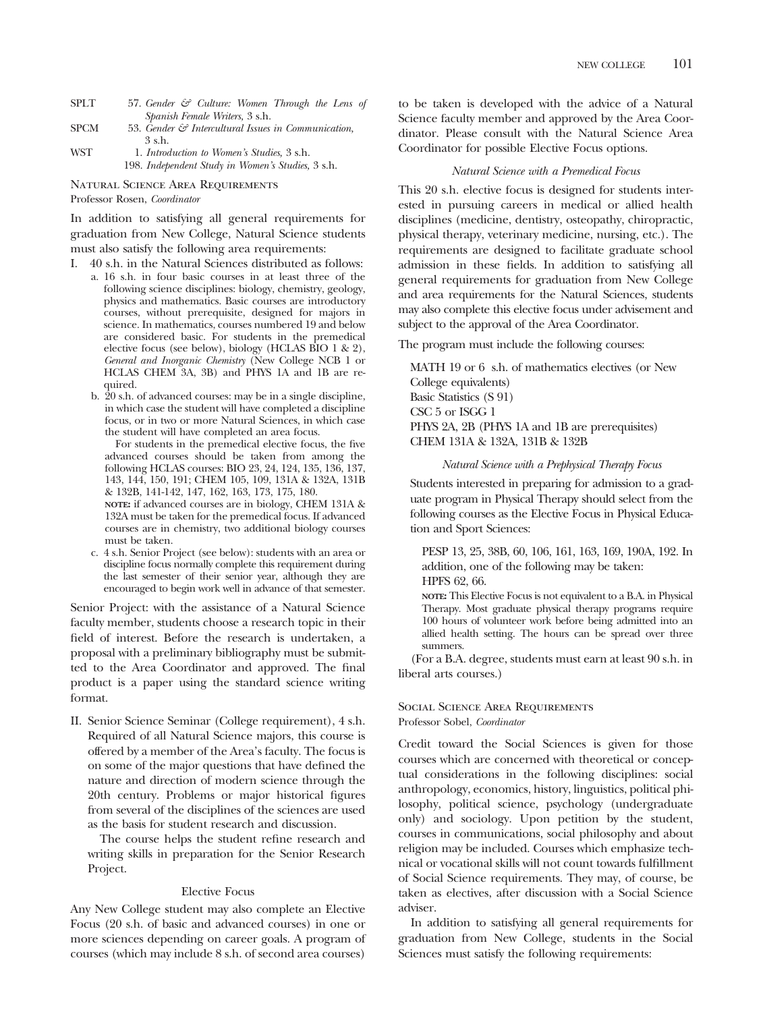- SPLT 57. *Gender & Culture: Women Through the Lens of Spanish Female Writers,* 3 s.h. SPCM 53. *Gender & Intercultural Issues in Communication,*
- 3 s.h. WST 1. *Introduction to Women's Studies,* 3 s.h.
- 198. *Independent Study in Women's Studies,* 3 s.h.

Natural Science Area Requirements

Professor Rosen, *Coordinator*

In addition to satisfying all general requirements for graduation from New College, Natural Science students must also satisfy the following area requirements:

- I. 40 s.h. in the Natural Sciences distributed as follows:
	- a. 16 s.h. in four basic courses in at least three of the following science disciplines: biology, chemistry, geology, physics and mathematics. Basic courses are introductory courses, without prerequisite, designed for majors in science. In mathematics, courses numbered 19 and below are considered basic. For students in the premedical elective focus (see below), biology (HCLAS BIO 1 & 2), *General and Inorganic Chemistry* (New College NCB 1 or HCLAS CHEM 3A, 3B) and PHYS 1A and 1B are required.
	- b. 20 s.h. of advanced courses: may be in a single discipline, in which case the student will have completed a discipline focus, or in two or more Natural Sciences, in which case the student will have completed an area focus.

For students in the premedical elective focus, the five advanced courses should be taken from among the following HCLAS courses: BIO 23, 24, 124, 135, 136, 137, 143, 144, 150, 191; CHEM 105, 109, 131A & 132A, 131B & 132B, 141-142, 147, 162, 163, 173, 175, 180.

**NOTE:** if advanced courses are in biology, CHEM 131A & 132A must be taken for the premedical focus. If advanced courses are in chemistry, two additional biology courses must be taken.

c. 4 s.h. Senior Project (see below): students with an area or discipline focus normally complete this requirement during the last semester of their senior year, although they are encouraged to begin work well in advance of that semester.

Senior Project: with the assistance of a Natural Science faculty member, students choose a research topic in their field of interest. Before the research is undertaken, a proposal with a preliminary bibliography must be submitted to the Area Coordinator and approved. The final product is a paper using the standard science writing format.

II. Senior Science Seminar (College requirement), 4 s.h. Required of all Natural Science majors, this course is offered by a member of the Area's faculty. The focus is on some of the major questions that have defined the nature and direction of modern science through the 20th century. Problems or major historical figures from several of the disciplines of the sciences are used as the basis for student research and discussion.

The course helps the student refine research and writing skills in preparation for the Senior Research Project.

#### Elective Focus

Any New College student may also complete an Elective Focus (20 s.h. of basic and advanced courses) in one or more sciences depending on career goals. A program of courses (which may include 8 s.h. of second area courses)

to be taken is developed with the advice of a Natural Science faculty member and approved by the Area Coordinator. Please consult with the Natural Science Area Coordinator for possible Elective Focus options.

#### *Natural Science with a Premedical Focus*

This 20 s.h. elective focus is designed for students interested in pursuing careers in medical or allied health disciplines (medicine, dentistry, osteopathy, chiropractic, physical therapy, veterinary medicine, nursing, etc.). The requirements are designed to facilitate graduate school admission in these fields. In addition to satisfying all general requirements for graduation from New College and area requirements for the Natural Sciences, students may also complete this elective focus under advisement and subject to the approval of the Area Coordinator.

The program must include the following courses:

MATH 19 or 6 s.h. of mathematics electives (or New College equivalents) Basic Statistics (S 91) CSC 5 or ISGG 1 PHYS 2A, 2B (PHYS 1A and 1B are prerequisites) CHEM 131A & 132A, 131B & 132B

#### *Natural Science with a Prephysical Therapy Focus*

Students interested in preparing for admission to a graduate program in Physical Therapy should select from the following courses as the Elective Focus in Physical Education and Sport Sciences:

PESP 13, 25, 38B, 60, 106, 161, 163, 169, 190A, 192. In addition, one of the following may be taken: HPFS 62, 66.

**NOTE:** This Elective Focus is not equivalent to a B.A. in Physical Therapy. Most graduate physical therapy programs require 100 hours of volunteer work before being admitted into an allied health setting. The hours can be spread over three summers.

(For a B.A. degree, students must earn at least 90 s.h. in liberal arts courses.)

#### Social Science Area Requirements Professor Sobel, *Coordinator*

Credit toward the Social Sciences is given for those courses which are concerned with theoretical or conceptual considerations in the following disciplines: social anthropology, economics, history, linguistics, political philosophy, political science, psychology (undergraduate only) and sociology. Upon petition by the student, courses in communications, social philosophy and about religion may be included. Courses which emphasize technical or vocational skills will not count towards fulfillment of Social Science requirements. They may, of course, be taken as electives, after discussion with a Social Science adviser.

In addition to satisfying all general requirements for graduation from New College, students in the Social Sciences must satisfy the following requirements: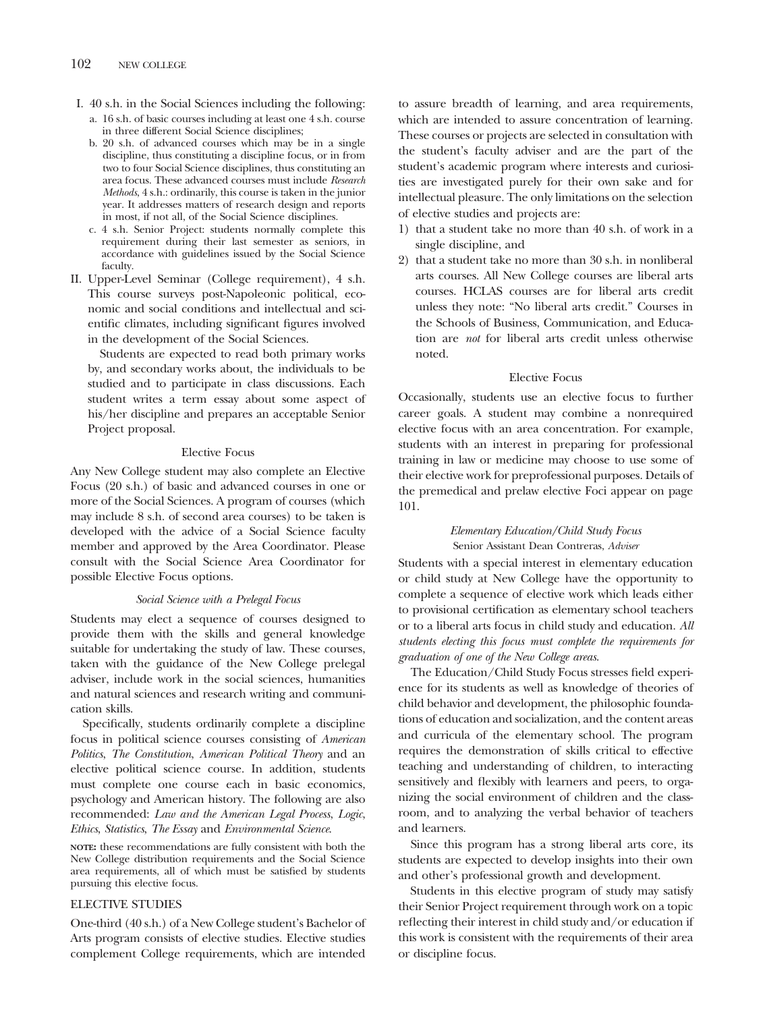- I. 40 s.h. in the Social Sciences including the following: a. 16 s.h. of basic courses including at least one 4 s.h. course in three different Social Science disciplines;
	- b. 20 s.h. of advanced courses which may be in a single discipline, thus constituting a discipline focus, or in from two to four Social Science disciplines, thus constituting an area focus. These advanced courses must include *Research Methods*, 4 s.h.: ordinarily, this course is taken in the junior year. It addresses matters of research design and reports in most, if not all, of the Social Science disciplines.
	- c. 4 s.h. Senior Project: students normally complete this requirement during their last semester as seniors, in accordance with guidelines issued by the Social Science faculty.
- II. Upper-Level Seminar (College requirement), 4 s.h. This course surveys post-Napoleonic political, economic and social conditions and intellectual and scientific climates, including significant figures involved in the development of the Social Sciences.

Students are expected to read both primary works by, and secondary works about, the individuals to be studied and to participate in class discussions. Each student writes a term essay about some aspect of his/her discipline and prepares an acceptable Senior Project proposal.

#### Elective Focus

Any New College student may also complete an Elective Focus (20 s.h.) of basic and advanced courses in one or more of the Social Sciences. A program of courses (which may include 8 s.h. of second area courses) to be taken is developed with the advice of a Social Science faculty member and approved by the Area Coordinator. Please consult with the Social Science Area Coordinator for possible Elective Focus options.

#### *Social Science with a Prelegal Focus*

Students may elect a sequence of courses designed to provide them with the skills and general knowledge suitable for undertaking the study of law. These courses, taken with the guidance of the New College prelegal adviser, include work in the social sciences, humanities and natural sciences and research writing and communication skills.

Specifically, students ordinarily complete a discipline focus in political science courses consisting of *American Politics*, *The Constitution*, *American Political Theory* and an elective political science course. In addition, students must complete one course each in basic economics, psychology and American history. The following are also recommended: *Law and the American Legal Process*, *Logic*, *Ethics*, *Statistics*, *The Essay* and *Environmental Science*.

**NOTE:** these recommendations are fully consistent with both the New College distribution requirements and the Social Science area requirements, all of which must be satisfied by students pursuing this elective focus.

#### ELECTIVE STUDIES

One-third (40 s.h.) of a New College student's Bachelor of Arts program consists of elective studies. Elective studies complement College requirements, which are intended

to assure breadth of learning, and area requirements, which are intended to assure concentration of learning. These courses or projects are selected in consultation with the student's faculty adviser and are the part of the student's academic program where interests and curiosities are investigated purely for their own sake and for intellectual pleasure. The only limitations on the selection of elective studies and projects are:

- 1) that a student take no more than 40 s.h. of work in a single discipline, and
- 2) that a student take no more than 30 s.h. in nonliberal arts courses. All New College courses are liberal arts courses. HCLAS courses are for liberal arts credit unless they note: "No liberal arts credit." Courses in the Schools of Business, Communication, and Education are *not* for liberal arts credit unless otherwise noted.

#### Elective Focus

Occasionally, students use an elective focus to further career goals. A student may combine a nonrequired elective focus with an area concentration. For example, students with an interest in preparing for professional training in law or medicine may choose to use some of their elective work for preprofessional purposes. Details of the premedical and prelaw elective Foci appear on page 101.

#### *Elementary Education/Child Study Focus* Senior Assistant Dean Contreras, *Adviser*

Students with a special interest in elementary education or child study at New College have the opportunity to complete a sequence of elective work which leads either to provisional certification as elementary school teachers or to a liberal arts focus in child study and education. *All students electing this focus must complete the requirements for graduation of one of the New College areas*.

The Education/Child Study Focus stresses field experience for its students as well as knowledge of theories of child behavior and development, the philosophic foundations of education and socialization, and the content areas and curricula of the elementary school. The program requires the demonstration of skills critical to effective teaching and understanding of children, to interacting sensitively and flexibly with learners and peers, to organizing the social environment of children and the classroom, and to analyzing the verbal behavior of teachers and learners.

Since this program has a strong liberal arts core, its students are expected to develop insights into their own and other's professional growth and development.

Students in this elective program of study may satisfy their Senior Project requirement through work on a topic reflecting their interest in child study and/or education if this work is consistent with the requirements of their area or discipline focus.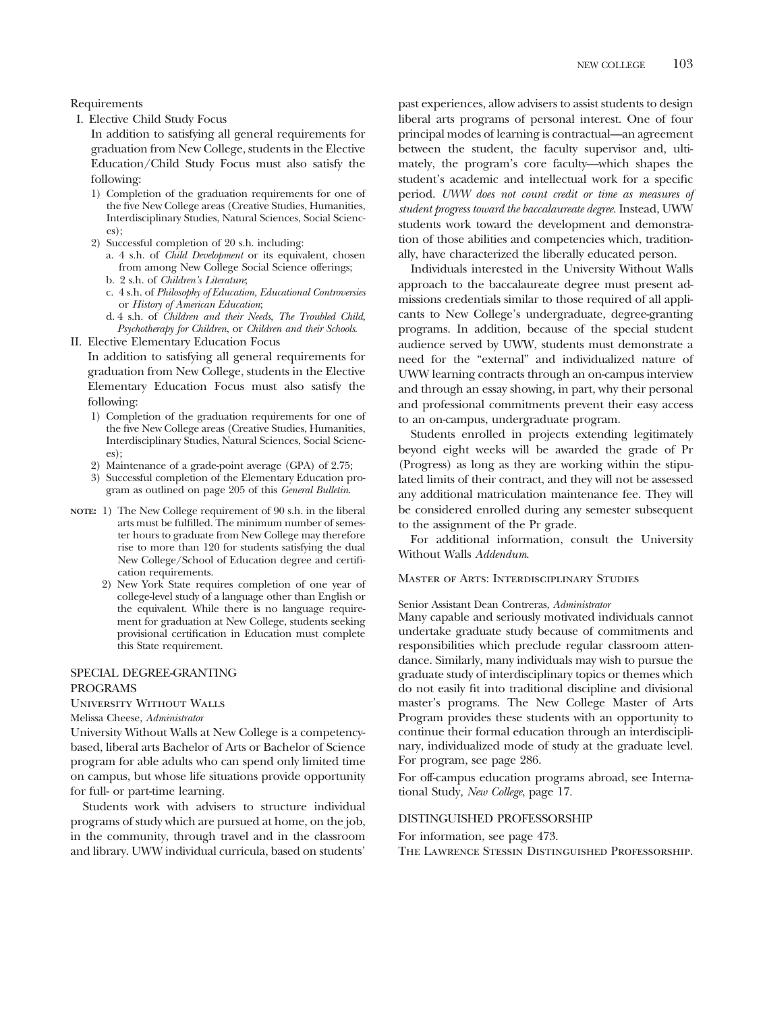I. Elective Child Study Focus

In addition to satisfying all general requirements for graduation from New College, students in the Elective Education/Child Study Focus must also satisfy the following:

- 1) Completion of the graduation requirements for one of the five New College areas (Creative Studies, Humanities, Interdisciplinary Studies, Natural Sciences, Social Sciences);
- 2) Successful completion of 20 s.h. including:
	- a. 4 s.h. of *Child Development* or its equivalent, chosen from among New College Social Science offerings;
	- b. 2 s.h. of *Children's Literature*;
	- c. 4 s.h. of *Philosophy of Education, Educational Controversies* or *History of American Education*;
	- d. 4 s.h. of *Children and their Needs*, *The Troubled Child*, *Psychotherapy for Children*, or *Children and their Schools*.

II. Elective Elementary Education Focus

In addition to satisfying all general requirements for graduation from New College, students in the Elective Elementary Education Focus must also satisfy the following:

- 1) Completion of the graduation requirements for one of the five New College areas (Creative Studies, Humanities, Interdisciplinary Studies, Natural Sciences, Social Sciences);
- 2) Maintenance of a grade-point average (GPA) of 2.75;
- 3) Successful completion of the Elementary Education program as outlined on page 205 of this *General Bulletin*.
- **NOTE:** 1) The New College requirement of 90 s.h. in the liberal arts must be fulfilled. The minimum number of semester hours to graduate from New College may therefore rise to more than 120 for students satisfying the dual New College/School of Education degree and certification requirements.
	- 2) New York State requires completion of one year of college-level study of a language other than English or the equivalent. While there is no language requirement for graduation at New College, students seeking provisional certification in Education must complete this State requirement.

#### SPECIAL DEGREE-GRANTING PROGRAMS

University Without Walls

Melissa Cheese, *Administrator*

University Without Walls at New College is a competencybased, liberal arts Bachelor of Arts or Bachelor of Science program for able adults who can spend only limited time on campus, but whose life situations provide opportunity for full- or part-time learning.

Students work with advisers to structure individual programs of study which are pursued at home, on the job, in the community, through travel and in the classroom and library. UWW individual curricula, based on students'

past experiences, allow advisers to assist students to design liberal arts programs of personal interest. One of four principal modes of learning is contractual—an agreement between the student, the faculty supervisor and, ultimately, the program's core faculty—which shapes the student's academic and intellectual work for a specific period. *UWW does not count credit or time as measures of student progress toward the baccalaureate degree.* Instead, UWW students work toward the development and demonstration of those abilities and competencies which, traditionally, have characterized the liberally educated person.

Individuals interested in the University Without Walls approach to the baccalaureate degree must present admissions credentials similar to those required of all applicants to New College's undergraduate, degree-granting programs. In addition, because of the special student audience served by UWW, students must demonstrate a need for the "external" and individualized nature of UWW learning contracts through an on-campus interview and through an essay showing, in part, why their personal and professional commitments prevent their easy access to an on-campus, undergraduate program.

Students enrolled in projects extending legitimately beyond eight weeks will be awarded the grade of Pr (Progress) as long as they are working within the stipulated limits of their contract, and they will not be assessed any additional matriculation maintenance fee. They will be considered enrolled during any semester subsequent to the assignment of the Pr grade.

For additional information, consult the University Without Walls *Addendum*.

#### Master of Arts: Interdisciplinary Studies

#### Senior Assistant Dean Contreras, *Administrator*

Many capable and seriously motivated individuals cannot undertake graduate study because of commitments and responsibilities which preclude regular classroom attendance. Similarly, many individuals may wish to pursue the graduate study of interdisciplinary topics or themes which do not easily fit into traditional discipline and divisional master's programs. The New College Master of Arts Program provides these students with an opportunity to continue their formal education through an interdisciplinary, individualized mode of study at the graduate level. For program, see page 286.

For off-campus education programs abroad, see International Study, *New College*, page 17.

#### DISTINGUISHED PROFESSORSHIP

For information, see page 473.

The Lawrence Stessin Distinguished Professorship.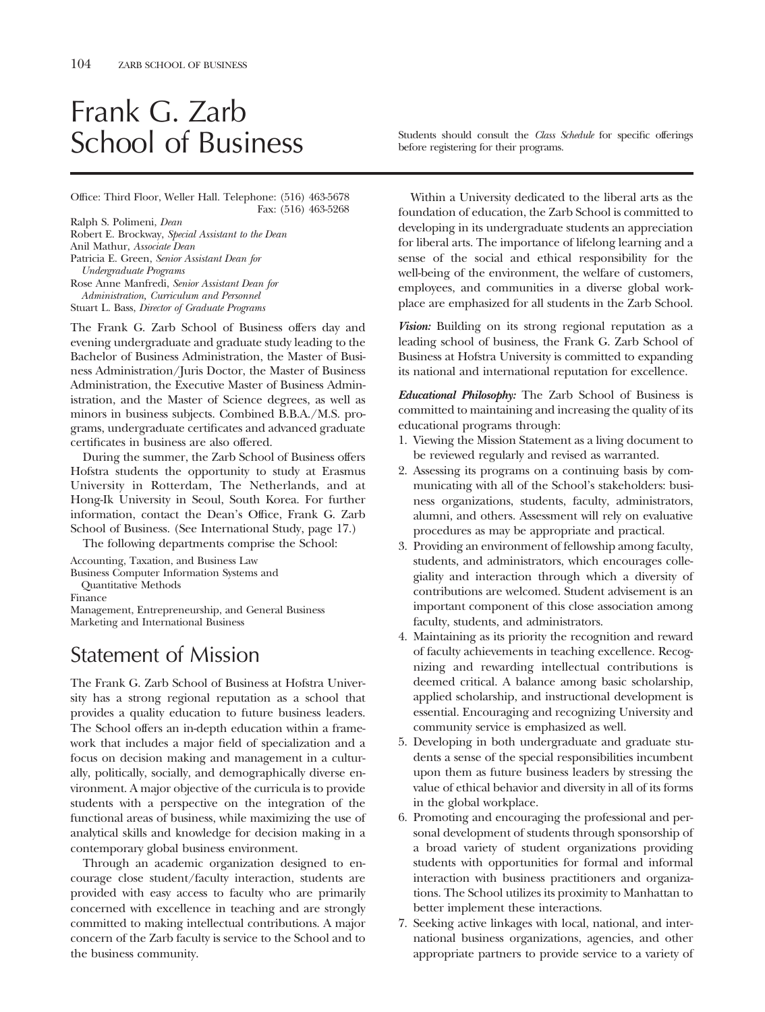# Frank G. Zarb

Office: Third Floor, Weller Hall. Telephone: (516) 463-5678 Fax: (516) 463-5268

Ralph S. Polimeni, *Dean* Robert E. Brockway, *Special Assistant to the Dean* Anil Mathur, *Associate Dean* Patricia E. Green, *Senior Assistant Dean for Undergraduate Programs* Rose Anne Manfredi, *Senior Assistant Dean for Administration, Curriculum and Personnel* Stuart L. Bass, *Director of Graduate Programs*

The Frank G. Zarb School of Business offers day and evening undergraduate and graduate study leading to the Bachelor of Business Administration, the Master of Business Administration/Juris Doctor, the Master of Business Administration, the Executive Master of Business Administration, and the Master of Science degrees, as well as minors in business subjects. Combined B.B.A./M.S. programs, undergraduate certificates and advanced graduate certificates in business are also offered.

During the summer, the Zarb School of Business offers Hofstra students the opportunity to study at Erasmus University in Rotterdam, The Netherlands, and at Hong-Ik University in Seoul, South Korea. For further information, contact the Dean's Office, Frank G. Zarb School of Business. (See International Study, page 17.)

The following departments comprise the School:

Accounting, Taxation, and Business Law

Business Computer Information Systems and

Quantitative Methods

Finance

Management, Entrepreneurship, and General Business Marketing and International Business

## Statement of Mission

The Frank G. Zarb School of Business at Hofstra University has a strong regional reputation as a school that provides a quality education to future business leaders. The School offers an in-depth education within a framework that includes a major field of specialization and a focus on decision making and management in a culturally, politically, socially, and demographically diverse environment. A major objective of the curricula is to provide students with a perspective on the integration of the functional areas of business, while maximizing the use of analytical skills and knowledge for decision making in a contemporary global business environment.

Through an academic organization designed to encourage close student/faculty interaction, students are provided with easy access to faculty who are primarily concerned with excellence in teaching and are strongly committed to making intellectual contributions. A major concern of the Zarb faculty is service to the School and to the business community.

School of Business Students should consult the *Class Schedule* for specific offerings before registering for their programs.

> Within a University dedicated to the liberal arts as the foundation of education, the Zarb School is committed to developing in its undergraduate students an appreciation for liberal arts. The importance of lifelong learning and a sense of the social and ethical responsibility for the well-being of the environment, the welfare of customers, employees, and communities in a diverse global workplace are emphasized for all students in the Zarb School.

> *Vision:* Building on its strong regional reputation as a leading school of business, the Frank G. Zarb School of Business at Hofstra University is committed to expanding its national and international reputation for excellence.

> *Educational Philosophy:* The Zarb School of Business is committed to maintaining and increasing the quality of its educational programs through:

- 1. Viewing the Mission Statement as a living document to be reviewed regularly and revised as warranted.
- 2. Assessing its programs on a continuing basis by communicating with all of the School's stakeholders: business organizations, students, faculty, administrators, alumni, and others. Assessment will rely on evaluative procedures as may be appropriate and practical.
- 3. Providing an environment of fellowship among faculty, students, and administrators, which encourages collegiality and interaction through which a diversity of contributions are welcomed. Student advisement is an important component of this close association among faculty, students, and administrators.
- 4. Maintaining as its priority the recognition and reward of faculty achievements in teaching excellence. Recognizing and rewarding intellectual contributions is deemed critical. A balance among basic scholarship, applied scholarship, and instructional development is essential. Encouraging and recognizing University and community service is emphasized as well.
- 5. Developing in both undergraduate and graduate students a sense of the special responsibilities incumbent upon them as future business leaders by stressing the value of ethical behavior and diversity in all of its forms in the global workplace.
- 6. Promoting and encouraging the professional and personal development of students through sponsorship of a broad variety of student organizations providing students with opportunities for formal and informal interaction with business practitioners and organizations. The School utilizes its proximity to Manhattan to better implement these interactions.
- 7. Seeking active linkages with local, national, and international business organizations, agencies, and other appropriate partners to provide service to a variety of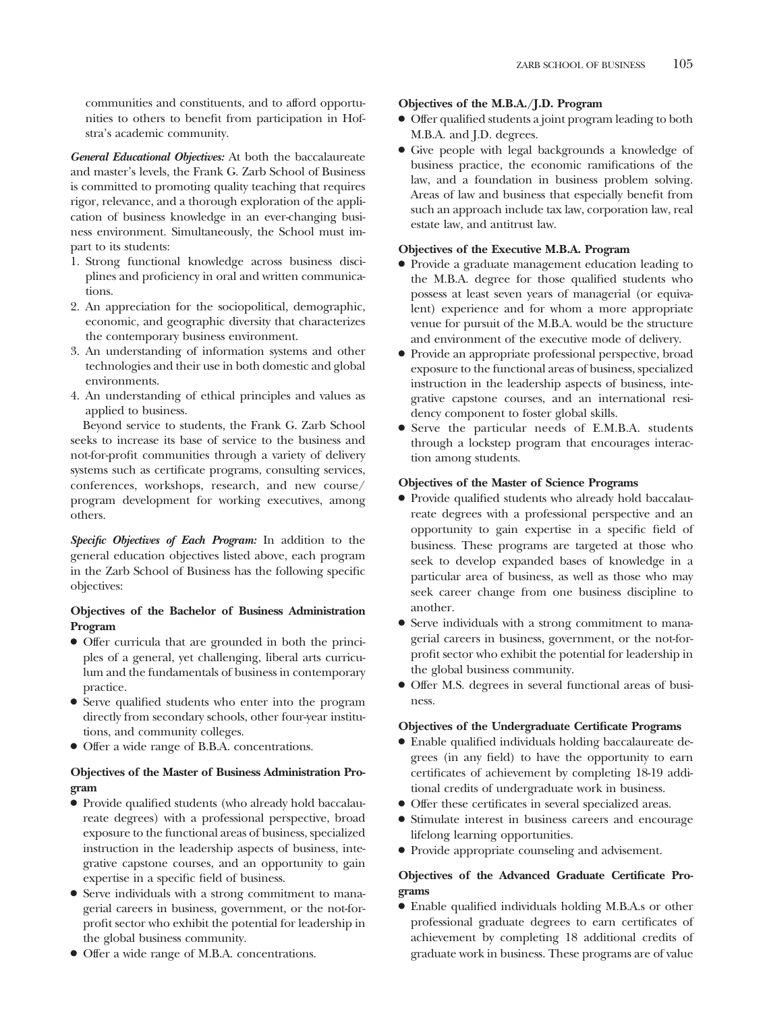communities and constituents, and to afford opportunities to others to benefit from participation in Hofstra's academic community.

*General Educational Objectives:* At both the baccalaureate and master's levels, the Frank G. Zarb School of Business is committed to promoting quality teaching that requires rigor, relevance, and a thorough exploration of the application of business knowledge in an ever-changing business environment. Simultaneously, the School must impart to its students:

- 1. Strong functional knowledge across business disciplines and proficiency in oral and written communications.
- 2. An appreciation for the sociopolitical, demographic, economic, and geographic diversity that characterizes the contemporary business environment.
- 3. An understanding of information systems and other technologies and their use in both domestic and global environments.
- 4. An understanding of ethical principles and values as applied to business.

Beyond service to students, the Frank G. Zarb School seeks to increase its base of service to the business and not-for-profit communities through a variety of delivery systems such as certificate programs, consulting services, conferences, workshops, research, and new course/ program development for working executives, among others.

*Specific Objectives of Each Program:* In addition to the general education objectives listed above, each program in the Zarb School of Business has the following specific objectives:

#### **Objectives of the Bachelor of Business Administration Program**

- Offer curricula that are grounded in both the principles of a general, yet challenging, liberal arts curriculum and the fundamentals of business in contemporary practice.
- Serve qualified students who enter into the program directly from secondary schools, other four-year institutions, and community colleges.
- Offer a wide range of B.B.A. concentrations.

#### **Objectives of the Master of Business Administration Program**

- Provide qualified students (who already hold baccalaureate degrees) with a professional perspective, broad exposure to the functional areas of business, specialized instruction in the leadership aspects of business, integrative capstone courses, and an opportunity to gain expertise in a specific field of business.
- Serve individuals with a strong commitment to managerial careers in business, government, or the not-forprofit sector who exhibit the potential for leadership in the global business community.
- Offer a wide range of M.B.A. concentrations.

#### **Objectives of the M.B.A./J.D. Program**

- Offer qualified students a joint program leading to both M.B.A. and J.D. degrees.
- Give people with legal backgrounds a knowledge of business practice, the economic ramifications of the law, and a foundation in business problem solving. Areas of law and business that especially benefit from such an approach include tax law, corporation law, real estate law, and antitrust law.

#### **Objectives of the Executive M.B.A. Program**

- Provide a graduate management education leading to the M.B.A. degree for those qualified students who possess at least seven years of managerial (or equivalent) experience and for whom a more appropriate venue for pursuit of the M.B.A. would be the structure and environment of the executive mode of delivery.
- Provide an appropriate professional perspective, broad exposure to the functional areas of business, specialized instruction in the leadership aspects of business, integrative capstone courses, and an international residency component to foster global skills.
- Serve the particular needs of E.M.B.A. students through a lockstep program that encourages interaction among students.

#### **Objectives of the Master of Science Programs**

- Provide qualified students who already hold baccalaureate degrees with a professional perspective and an opportunity to gain expertise in a specific field of business. These programs are targeted at those who seek to develop expanded bases of knowledge in a particular area of business, as well as those who may seek career change from one business discipline to another.
- Serve individuals with a strong commitment to managerial careers in business, government, or the not-forprofit sector who exhibit the potential for leadership in the global business community.
- Offer M.S. degrees in several functional areas of business.

#### **Objectives of the Undergraduate Certificate Programs**

- Enable qualified individuals holding baccalaureate degrees (in any field) to have the opportunity to earn certificates of achievement by completing 18-19 additional credits of undergraduate work in business.
- Offer these certificates in several specialized areas.
- Stimulate interest in business careers and encourage lifelong learning opportunities.
- Provide appropriate counseling and advisement.

#### **Objectives of the Advanced Graduate Certificate Programs**

● Enable qualified individuals holding M.B.A.s or other professional graduate degrees to earn certificates of achievement by completing 18 additional credits of graduate work in business. These programs are of value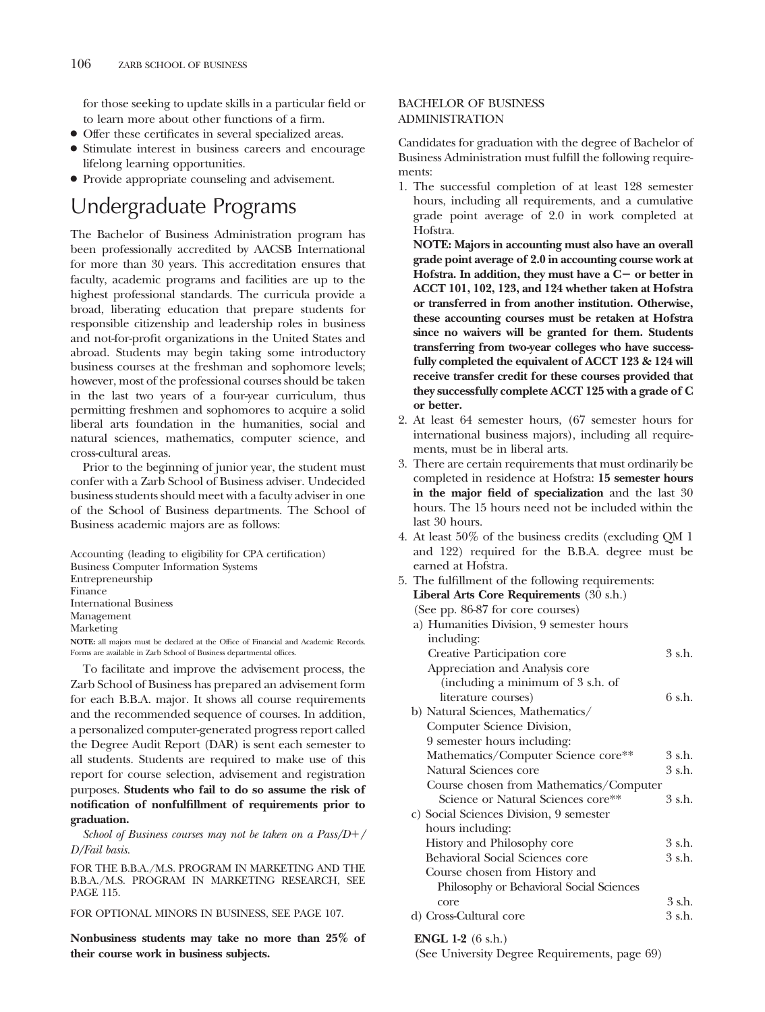for those seeking to update skills in a particular field or to learn more about other functions of a firm.

- Offer these certificates in several specialized areas.
- Stimulate interest in business careers and encourage lifelong learning opportunities.
- Provide appropriate counseling and advisement.

## Undergraduate Programs

The Bachelor of Business Administration program has been professionally accredited by AACSB International for more than 30 years. This accreditation ensures that faculty, academic programs and facilities are up to the highest professional standards. The curricula provide a broad, liberating education that prepare students for responsible citizenship and leadership roles in business and not-for-profit organizations in the United States and abroad. Students may begin taking some introductory business courses at the freshman and sophomore levels; however, most of the professional courses should be taken in the last two years of a four-year curriculum, thus permitting freshmen and sophomores to acquire a solid liberal arts foundation in the humanities, social and natural sciences, mathematics, computer science, and cross-cultural areas.

Prior to the beginning of junior year, the student must confer with a Zarb School of Business adviser. Undecided business students should meet with a faculty adviser in one of the School of Business departments. The School of Business academic majors are as follows:

Accounting (leading to eligibility for CPA certification) Business Computer Information Systems Entrepreneurship Finance International Business Management Marketing **NOTE:** all majors must be declared at the Office of Financial and Academic Records. Forms are available in Zarb School of Business departmental offices.

To facilitate and improve the advisement process, the Zarb School of Business has prepared an advisement form for each B.B.A. major. It shows all course requirements and the recommended sequence of courses. In addition, a personalized computer-generated progress report called the Degree Audit Report (DAR) is sent each semester to all students. Students are required to make use of this report for course selection, advisement and registration purposes. **Students who fail to do so assume the risk of notification of nonfulfillment of requirements prior to graduation.**

*School of Business courses may not be taken on a Pass/D/ D/Fail basis.*

FOR THE B.B.A./M.S. PROGRAM IN MARKETING AND THE B.B.A./M.S. PROGRAM IN MARKETING RESEARCH, SEE PAGE 115.

FOR OPTIONAL MINORS IN BUSINESS, SEE PAGE 107.

**Nonbusiness students may take no more than 25% of their course work in business subjects.**

#### BACHELOR OF BUSINESS ADMINISTRATION

Candidates for graduation with the degree of Bachelor of Business Administration must fulfill the following requirements:

1. The successful completion of at least 128 semester hours, including all requirements, and a cumulative grade point average of 2.0 in work completed at Hofstra.

**NOTE: Majors in accounting must also have an overall grade point average of 2.0 in accounting course work at** Hofstra. In addition, they must have a C- or better in **ACCT 101, 102, 123, and 124 whether taken at Hofstra or transferred in from another institution. Otherwise, these accounting courses must be retaken at Hofstra since no waivers will be granted for them. Students transferring from two-year colleges who have successfully completed the equivalent of ACCT 123 & 124 will receive transfer credit for these courses provided that they successfully complete ACCT 125 with a grade of C or better.**

- 2. At least 64 semester hours, (67 semester hours for international business majors), including all requirements, must be in liberal arts.
- 3. There are certain requirements that must ordinarily be completed in residence at Hofstra: **15 semester hours in the major field of specialization** and the last 30 hours. The 15 hours need not be included within the last 30 hours.
- 4. At least 50% of the business credits (excluding QM 1 and 122) required for the B.B.A. degree must be earned at Hofstra.
- 5. The fulfillment of the following requirements: **Liberal Arts Core Requirements** (30 s.h.) (See pp. 86-87 for core courses) a) Humanities Division, 9 semester hours including: Creative Participation core 3 s.h. Appreciation and Analysis core (including a minimum of 3 s.h. of literature courses) 6 s.h. b) Natural Sciences, Mathematics/ Computer Science Division, 9 semester hours including: Mathematics/Computer Science core\*\* 3 s.h. Natural Sciences core 3 s.h. Course chosen from Mathematics/Computer Science or Natural Sciences core\*\* 3 s.h. c) Social Sciences Division, 9 semester hours including: History and Philosophy core 3 s.h. Behavioral Social Sciences core 3 s.h. Course chosen from History and Philosophy or Behavioral Social Sciences core 3 s.h. d) Cross-Cultural core 3 s.h.

#### **ENGL 1-2** (6 s.h.)

(See University Degree Requirements, page 69)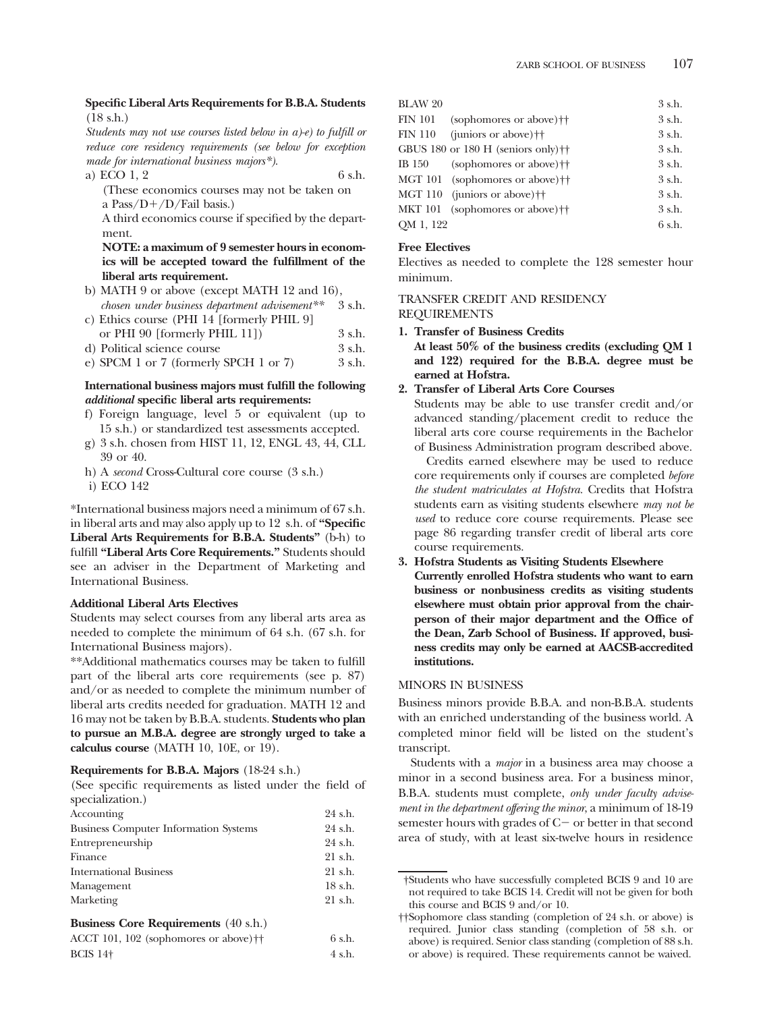#### **Specific Liberal Arts Requirements for B.B.A. Students** (18 s.h.)

*Students may not use courses listed below in a)-e) to fulfill or reduce core residency requirements (see below for exception made for international business majors\*).*

a) ECO  $1, 2$  6 s.h.

(These economics courses may not be taken on a Pass/ $D+/D$ /Fail basis.)

A third economics course if specified by the department.

**NOTE: a maximum of 9 semester hours in economics will be accepted toward the fulfillment of the liberal arts requirement.**

- b) MATH 9 or above (except MATH 12 and 16), *chosen under business department advisement\*\** 3 s.h.
- c) Ethics course (PHI 14 [formerly PHIL 9]
- or PHI 90 [formerly PHIL 11])  $\qquad \qquad$  3 s.h.
- d) Political science course 3 s.h. e) SPCM 1 or 7 (formerly SPCH 1 or 7)  $3 \text{ s.h.}$

#### **International business majors must fulfill the following** *additional* **specific liberal arts requirements:**

- f) Foreign language, level 5 or equivalent (up to 15 s.h.) or standardized test assessments accepted.
- g) 3 s.h. chosen from HIST 11, 12, ENGL 43, 44, CLL 39 or 40.
- h) A *second* Cross-Cultural core course (3 s.h.)
- i) ECO 142

\*International business majors need a minimum of 67 s.h. in liberal arts and may also apply up to 12 s.h. of **"Specific Liberal Arts Requirements for B.B.A. Students"** (b-h) to fulfill **"Liberal Arts Core Requirements."** Students should see an adviser in the Department of Marketing and International Business.

#### **Additional Liberal Arts Electives**

Students may select courses from any liberal arts area as needed to complete the minimum of 64 s.h. (67 s.h. for International Business majors).

\*\*Additional mathematics courses may be taken to fulfill part of the liberal arts core requirements (see p. 87) and/or as needed to complete the minimum number of liberal arts credits needed for graduation. MATH 12 and 16 may not be taken by B.B.A. students. **Students who plan to pursue an M.B.A. degree are strongly urged to take a calculus course** (MATH 10, 10E, or 19).

#### **Requirements for B.B.A. Majors** (18-24 s.h.)

(See specific requirements as listed under the field of specialization.)

| Accounting                                   | 24 s.h.   |
|----------------------------------------------|-----------|
| <b>Business Computer Information Systems</b> | 24 s.h.   |
| Entrepreneurship                             | 24 s.h.   |
| Finance                                      | 21 s.h.   |
| <b>International Business</b>                | 21 s.h.   |
| Management                                   | $18$ s.h. |
| Marketing                                    | $21$ s.h. |
|                                              |           |

#### **Business Core Requirements** (40 s.h.)

| ACCT 101, 102 (sophomores or above) <sup>††</sup> | 6 s.h. |
|---------------------------------------------------|--------|
| <b>BCIS 14+</b>                                   | 4 s.h. |

| <b>BLAW 20</b> |                                                   | $3 \,$ s.h.     |
|----------------|---------------------------------------------------|-----------------|
| <b>FIN 101</b> | (sophomores or above) <sup>††</sup>               | $3 \,$ s.h.     |
| <b>FIN 110</b> | (juniors or above) $\dagger\dagger$               | $3$ s.h.        |
|                | GBUS 180 or 180 H (seniors only) $\dagger\dagger$ | $3$ s.h.        |
| IB 150         | (sophomores or above) <sup>††</sup>               | $3$ s.h.        |
|                | MGT 101 (sophomores or above) <sup>++</sup>       | $3$ s.h.        |
| <b>MGT 110</b> | (juniors or above) $\dagger\dagger$               | $3$ s.h.        |
| <b>MKT 101</b> | (sophomores or above) <sup>††</sup>               | $3$ s.h.        |
| QM 1, 122      |                                                   | $6 \text{ sh.}$ |

#### **Free Electives**

Electives as needed to complete the 128 semester hour minimum.

TRANSFER CREDIT AND RESIDENCY

### REQUIREMENTS

**1. Transfer of Business Credits**

**At least 50% of the business credits (excluding QM 1 and 122) required for the B.B.A. degree must be earned at Hofstra.**

#### **2. Transfer of Liberal Arts Core Courses**

Students may be able to use transfer credit and/or advanced standing/placement credit to reduce the liberal arts core course requirements in the Bachelor of Business Administration program described above.

Credits earned elsewhere may be used to reduce core requirements only if courses are completed *before the student matriculates at Hofstra.* Credits that Hofstra students earn as visiting students elsewhere *may not be used* to reduce core course requirements. Please see page 86 regarding transfer credit of liberal arts core course requirements.

#### **3. Hofstra Students as Visiting Students Elsewhere Currently enrolled Hofstra students who want to earn business or nonbusiness credits as visiting students elsewhere must obtain prior approval from the chairperson of their major department and the Office of the Dean, Zarb School of Business. If approved, business credits may only be earned at AACSB-accredited institutions.**

#### MINORS IN BUSINESS

Business minors provide B.B.A. and non-B.B.A. students with an enriched understanding of the business world. A completed minor field will be listed on the student's transcript.

Students with a *major* in a business area may choose a minor in a second business area. For a business minor, B.B.A. students must complete, *only under faculty advisement in the department offering the minor*, a minimum of 18-19 semester hours with grades of  $C$  - or better in that second area of study, with at least six-twelve hours in residence

<sup>†</sup>Students who have successfully completed BCIS 9 and 10 are not required to take BCIS 14. Credit will not be given for both this course and BCIS 9 and/or 10.

<sup>††</sup>Sophomore class standing (completion of 24 s.h. or above) is required. Junior class standing (completion of 58 s.h. or above) is required. Senior class standing (completion of 88 s.h. or above) is required. These requirements cannot be waived.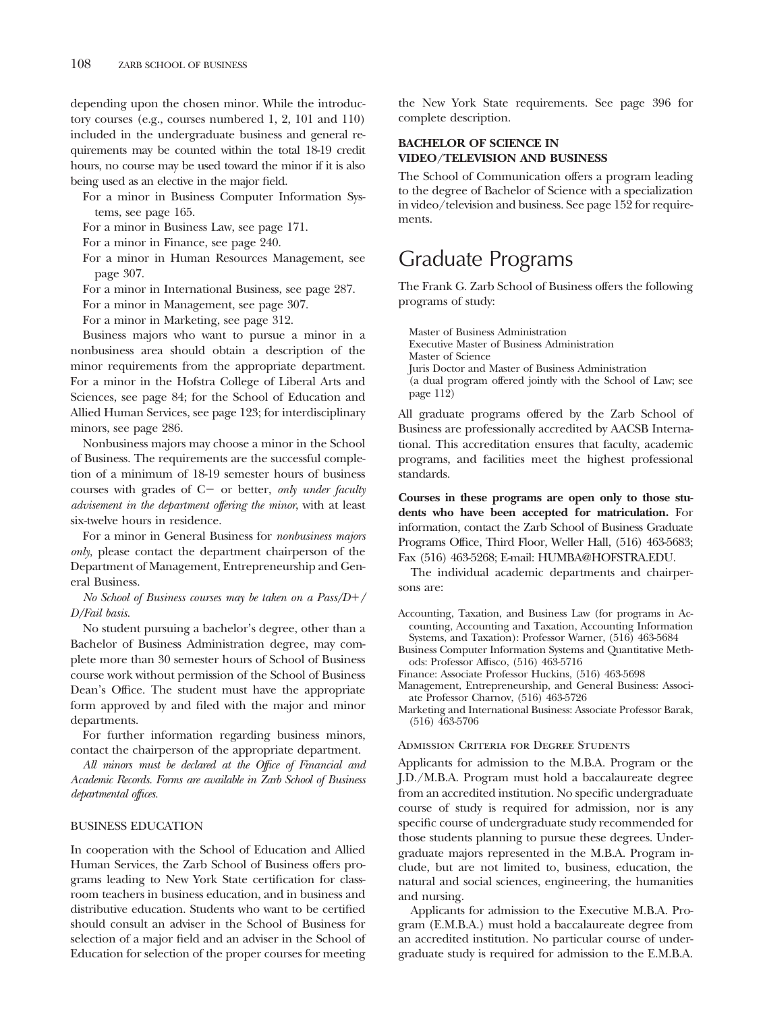depending upon the chosen minor. While the introductory courses (e.g., courses numbered 1, 2, 101 and 110) included in the undergraduate business and general requirements may be counted within the total 18-19 credit hours, no course may be used toward the minor if it is also being used as an elective in the major field.

For a minor in Business Computer Information Systems, see page 165.

For a minor in Business Law, see page 171.

For a minor in Finance, see page 240.

For a minor in Human Resources Management, see page 307.

For a minor in International Business, see page 287.

For a minor in Management, see page 307.

For a minor in Marketing, see page 312.

Business majors who want to pursue a minor in a nonbusiness area should obtain a description of the minor requirements from the appropriate department. For a minor in the Hofstra College of Liberal Arts and Sciences, see page 84; for the School of Education and Allied Human Services, see page 123; for interdisciplinary minors, see page 286.

Nonbusiness majors may choose a minor in the School of Business. The requirements are the successful completion of a minimum of 18-19 semester hours of business courses with grades of C- or better, *only under faculty advisement in the department offering the minor*, with at least six-twelve hours in residence.

For a minor in General Business for *nonbusiness majors only,* please contact the department chairperson of the Department of Management, Entrepreneurship and General Business.

*No School of Business courses may be taken on a Pass/D/ D/Fail basis.*

No student pursuing a bachelor's degree, other than a Bachelor of Business Administration degree, may complete more than 30 semester hours of School of Business course work without permission of the School of Business Dean's Office. The student must have the appropriate form approved by and filed with the major and minor departments.

For further information regarding business minors, contact the chairperson of the appropriate department.

*All minors must be declared at the Office of Financial and Academic Records. Forms are available in Zarb School of Business departmental offices.*

#### BUSINESS EDUCATION

In cooperation with the School of Education and Allied Human Services, the Zarb School of Business offers programs leading to New York State certification for classroom teachers in business education, and in business and distributive education. Students who want to be certified should consult an adviser in the School of Business for selection of a major field and an adviser in the School of Education for selection of the proper courses for meeting the New York State requirements. See page 396 for complete description.

#### **BACHELOR OF SCIENCE IN VIDEO/TELEVISION AND BUSINESS**

The School of Communication offers a program leading to the degree of Bachelor of Science with a specialization in video/television and business. See page 152 for requirements.

## Graduate Programs

The Frank G. Zarb School of Business offers the following programs of study:

Master of Business Administration Executive Master of Business Administration Master of Science Juris Doctor and Master of Business Administration (a dual program offered jointly with the School of Law; see page 112)

All graduate programs offered by the Zarb School of Business are professionally accredited by AACSB International. This accreditation ensures that faculty, academic programs, and facilities meet the highest professional standards.

**Courses in these programs are open only to those students who have been accepted for matriculation.** For information, contact the Zarb School of Business Graduate Programs Office, Third Floor, Weller Hall, (516) 463-5683; Fax (516) 463-5268; E-mail: HUMBA@HOFSTRA.EDU.

The individual academic departments and chairpersons are:

Accounting, Taxation, and Business Law (for programs in Accounting, Accounting and Taxation, Accounting Information Systems, and Taxation): Professor Warner, (516) 463-5684

Business Computer Information Systems and Quantitative Methods: Professor Affisco, (516) 463-5716

Finance: Associate Professor Huckins, (516) 463-5698

- Management, Entrepreneurship, and General Business: Associate Professor Charnov, (516) 463-5726
- Marketing and International Business: Associate Professor Barak, (516) 463-5706

#### Admission Criteria for Degree Students

Applicants for admission to the M.B.A. Program or the J.D./M.B.A. Program must hold a baccalaureate degree from an accredited institution. No specific undergraduate course of study is required for admission, nor is any specific course of undergraduate study recommended for those students planning to pursue these degrees. Undergraduate majors represented in the M.B.A. Program include, but are not limited to, business, education, the natural and social sciences, engineering, the humanities and nursing.

Applicants for admission to the Executive M.B.A. Program (E.M.B.A.) must hold a baccalaureate degree from an accredited institution. No particular course of undergraduate study is required for admission to the E.M.B.A.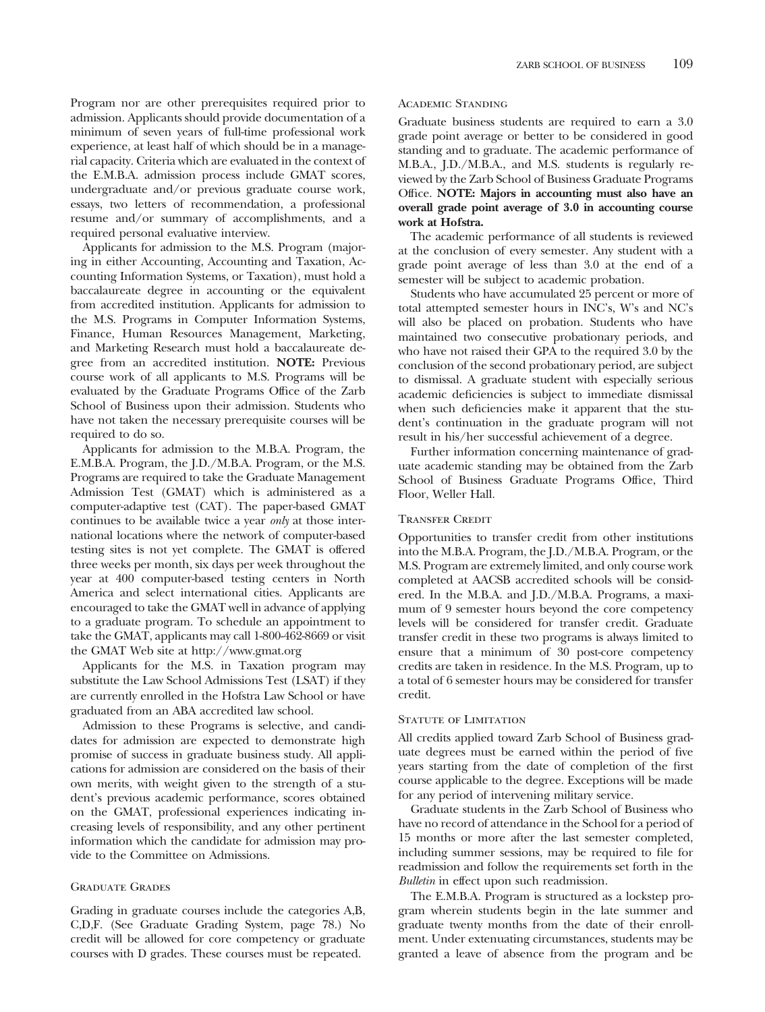Program nor are other prerequisites required prior to admission. Applicants should provide documentation of a minimum of seven years of full-time professional work experience, at least half of which should be in a managerial capacity. Criteria which are evaluated in the context of the E.M.B.A. admission process include GMAT scores, undergraduate and/or previous graduate course work, essays, two letters of recommendation, a professional resume and/or summary of accomplishments, and a required personal evaluative interview.

Applicants for admission to the M.S. Program (majoring in either Accounting, Accounting and Taxation, Accounting Information Systems, or Taxation), must hold a baccalaureate degree in accounting or the equivalent from accredited institution. Applicants for admission to the M.S. Programs in Computer Information Systems, Finance, Human Resources Management, Marketing, and Marketing Research must hold a baccalaureate degree from an accredited institution. **NOTE:** Previous course work of all applicants to M.S. Programs will be evaluated by the Graduate Programs Office of the Zarb School of Business upon their admission. Students who have not taken the necessary prerequisite courses will be required to do so.

Applicants for admission to the M.B.A. Program, the E.M.B.A. Program, the J.D./M.B.A. Program, or the M.S. Programs are required to take the Graduate Management Admission Test (GMAT) which is administered as a computer-adaptive test (CAT). The paper-based GMAT continues to be available twice a year *only* at those international locations where the network of computer-based testing sites is not yet complete. The GMAT is offered three weeks per month, six days per week throughout the year at 400 computer-based testing centers in North America and select international cities. Applicants are encouraged to take the GMAT well in advance of applying to a graduate program. To schedule an appointment to take the GMAT, applicants may call 1-800-462-8669 or visit the GMAT Web site at http://www.gmat.org

Applicants for the M.S. in Taxation program may substitute the Law School Admissions Test (LSAT) if they are currently enrolled in the Hofstra Law School or have graduated from an ABA accredited law school.

Admission to these Programs is selective, and candidates for admission are expected to demonstrate high promise of success in graduate business study. All applications for admission are considered on the basis of their own merits, with weight given to the strength of a student's previous academic performance, scores obtained on the GMAT, professional experiences indicating increasing levels of responsibility, and any other pertinent information which the candidate for admission may provide to the Committee on Admissions.

#### Graduate Grades

Grading in graduate courses include the categories A,B, C,D,F. (See Graduate Grading System, page 78.) No credit will be allowed for core competency or graduate courses with D grades. These courses must be repeated.

#### Academic Standing

Graduate business students are required to earn a 3.0 grade point average or better to be considered in good standing and to graduate. The academic performance of M.B.A., J.D./M.B.A., and M.S. students is regularly reviewed by the Zarb School of Business Graduate Programs Office. **NOTE: Majors in accounting must also have an overall grade point average of 3.0 in accounting course work at Hofstra.**

The academic performance of all students is reviewed at the conclusion of every semester. Any student with a grade point average of less than 3.0 at the end of a semester will be subject to academic probation.

Students who have accumulated 25 percent or more of total attempted semester hours in INC's, W's and NC's will also be placed on probation. Students who have maintained two consecutive probationary periods, and who have not raised their GPA to the required 3.0 by the conclusion of the second probationary period, are subject to dismissal. A graduate student with especially serious academic deficiencies is subject to immediate dismissal when such deficiencies make it apparent that the student's continuation in the graduate program will not result in his/her successful achievement of a degree.

Further information concerning maintenance of graduate academic standing may be obtained from the Zarb School of Business Graduate Programs Office, Third Floor, Weller Hall.

#### Transfer Credit

Opportunities to transfer credit from other institutions into the M.B.A. Program, the J.D./M.B.A. Program, or the M.S. Program are extremely limited, and only course work completed at AACSB accredited schools will be considered. In the M.B.A. and J.D./M.B.A. Programs, a maximum of 9 semester hours beyond the core competency levels will be considered for transfer credit. Graduate transfer credit in these two programs is always limited to ensure that a minimum of 30 post-core competency credits are taken in residence. In the M.S. Program, up to a total of 6 semester hours may be considered for transfer credit.

#### STATUTE OF LIMITATION

All credits applied toward Zarb School of Business graduate degrees must be earned within the period of five years starting from the date of completion of the first course applicable to the degree. Exceptions will be made for any period of intervening military service.

Graduate students in the Zarb School of Business who have no record of attendance in the School for a period of 15 months or more after the last semester completed, including summer sessions, may be required to file for readmission and follow the requirements set forth in the *Bulletin* in effect upon such readmission.

The E.M.B.A. Program is structured as a lockstep program wherein students begin in the late summer and graduate twenty months from the date of their enrollment. Under extenuating circumstances, students may be granted a leave of absence from the program and be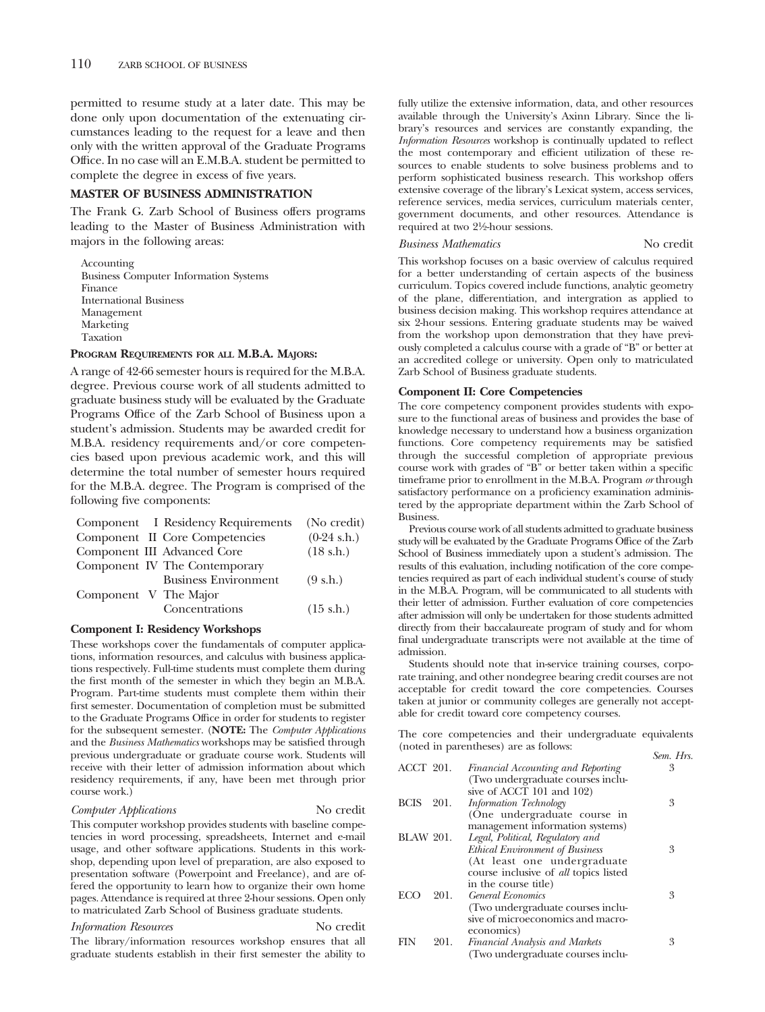permitted to resume study at a later date. This may be done only upon documentation of the extenuating circumstances leading to the request for a leave and then only with the written approval of the Graduate Programs Office. In no case will an E.M.B.A. student be permitted to complete the degree in excess of five years.

#### **MASTER OF BUSINESS ADMINISTRATION**

The Frank G. Zarb School of Business offers programs leading to the Master of Business Administration with majors in the following areas:

Accounting Business Computer Information Systems Finance International Business Management Marketing Taxation

#### **PROGRAM REQUIREMENTS FOR ALL M.B.A. MAJORS:**

A range of 42-66 semester hours is required for the M.B.A. degree. Previous course work of all students admitted to graduate business study will be evaluated by the Graduate Programs Office of the Zarb School of Business upon a student's admission. Students may be awarded credit for M.B.A. residency requirements and/or core competencies based upon previous academic work, and this will determine the total number of semester hours required for the M.B.A. degree. The Program is comprised of the following five components:

|                       | Component I Residency Requirements | (No credit)           |
|-----------------------|------------------------------------|-----------------------|
|                       | Component II Core Competencies     | $(0-24 \text{ s.h.})$ |
|                       | Component III Advanced Core        | $(18 \text{ s.h.})$   |
|                       | Component IV The Contemporary      |                       |
|                       | <b>Business Environment</b>        | $(9 \text{ s.h.})$    |
| Component V The Major |                                    |                       |
|                       | Concentrations                     | $(15 \text{ s.h.})$   |

#### **Component I: Residency Workshops**

These workshops cover the fundamentals of computer applications, information resources, and calculus with business applications respectively. Full-time students must complete them during the first month of the semester in which they begin an M.B.A. Program. Part-time students must complete them within their first semester. Documentation of completion must be submitted to the Graduate Programs Office in order for students to register for the subsequent semester. (**NOTE:** The *Computer Applications* and the *Business Mathematics* workshops may be satisfied through previous undergraduate or graduate course work. Students will receive with their letter of admission information about which residency requirements, if any, have been met through prior course work.)

#### *Computer Applications* No credit

This computer workshop provides students with baseline competencies in word processing, spreadsheets, Internet and e-mail usage, and other software applications. Students in this workshop, depending upon level of preparation, are also exposed to presentation software (Powerpoint and Freelance), and are offered the opportunity to learn how to organize their own home pages. Attendance is required at three 2-hour sessions. Open only to matriculated Zarb School of Business graduate students.

#### *Information Resources* No credit

The library/information resources workshop ensures that all graduate students establish in their first semester the ability to fully utilize the extensive information, data, and other resources available through the University's Axinn Library. Since the library's resources and services are constantly expanding, the *Information Resources* workshop is continually updated to reflect the most contemporary and efficient utilization of these resources to enable students to solve business problems and to perform sophisticated business research. This workshop offers extensive coverage of the library's Lexicat system, access services, reference services, media services, curriculum materials center, government documents, and other resources. Attendance is required at two 21⁄2-hour sessions.

#### *Business Mathematics* No credit

This workshop focuses on a basic overview of calculus required for a better understanding of certain aspects of the business curriculum. Topics covered include functions, analytic geometry of the plane, differentiation, and intergration as applied to business decision making. This workshop requires attendance at six 2-hour sessions. Entering graduate students may be waived from the workshop upon demonstration that they have previously completed a calculus course with a grade of "B" or better at an accredited college or university. Open only to matriculated Zarb School of Business graduate students.

#### **Component II: Core Competencies**

The core competency component provides students with exposure to the functional areas of business and provides the base of knowledge necessary to understand how a business organization functions. Core competency requirements may be satisfied through the successful completion of appropriate previous course work with grades of "B" or better taken within a specific timeframe prior to enrollment in the M.B.A. Program *or* through satisfactory performance on a proficiency examination administered by the appropriate department within the Zarb School of Business.

Previous course work of all students admitted to graduate business study will be evaluated by the Graduate Programs Office of the Zarb School of Business immediately upon a student's admission. The results of this evaluation, including notification of the core competencies required as part of each individual student's course of study in the M.B.A. Program, will be communicated to all students with their letter of admission. Further evaluation of core competencies after admission will only be undertaken for those students admitted directly from their baccalaureate program of study and for whom final undergraduate transcripts were not available at the time of admission.

Students should note that in-service training courses, corporate training, and other nondegree bearing credit courses are not acceptable for credit toward the core competencies. Courses taken at junior or community colleges are generally not acceptable for credit toward core competency courses.

The core competencies and their undergraduate equivalents (noted in parentheses) are as follows: *Sem. Hrs.*

| $ACCT$ 201.      |      | Financial Accounting and Reporting<br>(Two undergraduate courses inclu-                                                          | 3 |
|------------------|------|----------------------------------------------------------------------------------------------------------------------------------|---|
| <b>BCIS</b>      | 201. | sive of ACCT 101 and 102)<br><b>Information Technology</b><br>(One undergraduate course in                                       | 3 |
| <b>BLAW 201.</b> |      | management information systems)<br>Legal, Political, Regulatory and<br><b>Ethical Environment of Business</b>                    | 3 |
| <b>ECO</b>       | 201. | (At least one undergraduate)<br>course inclusive of <i>all</i> topics listed<br>in the course title)<br><b>General Economics</b> | 3 |
|                  |      | (Two undergraduate courses inclu-<br>sive of microeconomics and macro-<br>economics)                                             |   |
| FIN              | 201. | <b>Financial Analysis and Markets</b><br>(Two undergraduate courses inclu-                                                       | 3 |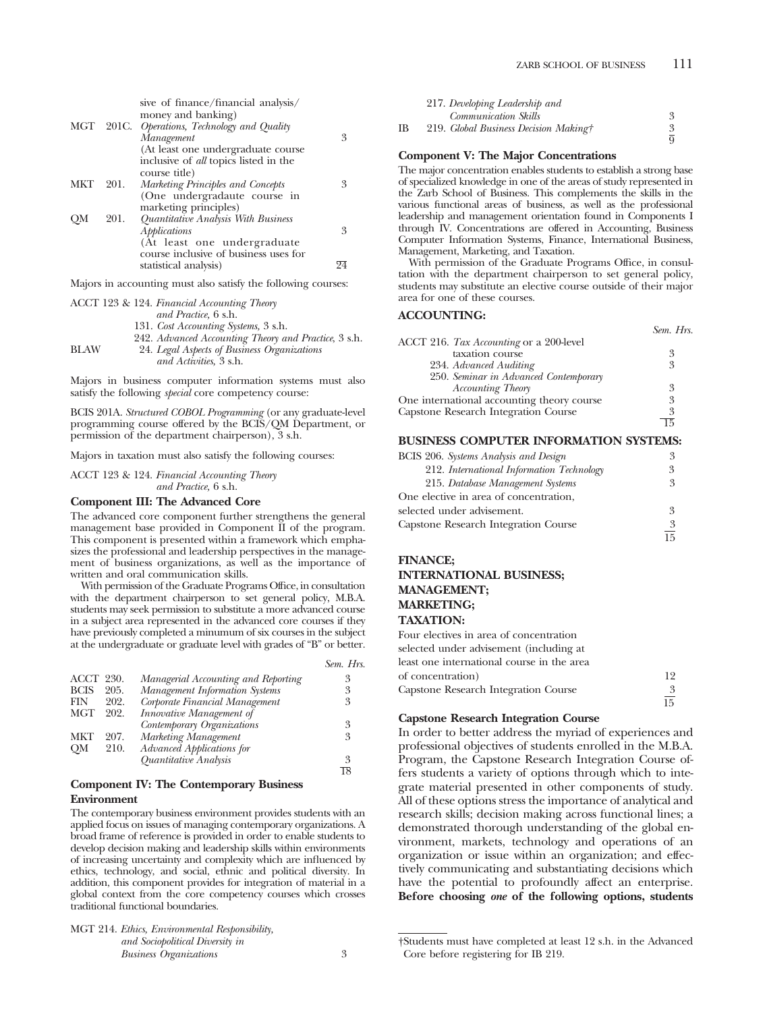|      | sive of finance/financial analysis/          |                                                                                                                                                                                                                                                                                      |
|------|----------------------------------------------|--------------------------------------------------------------------------------------------------------------------------------------------------------------------------------------------------------------------------------------------------------------------------------------|
|      |                                              |                                                                                                                                                                                                                                                                                      |
|      | Management                                   | 3                                                                                                                                                                                                                                                                                    |
|      | (At least one undergraduate course)          |                                                                                                                                                                                                                                                                                      |
|      | inclusive of <i>all</i> topics listed in the |                                                                                                                                                                                                                                                                                      |
|      | course title)                                |                                                                                                                                                                                                                                                                                      |
| 201. | Marketing Principles and Concepts            | 3                                                                                                                                                                                                                                                                                    |
|      |                                              |                                                                                                                                                                                                                                                                                      |
|      |                                              |                                                                                                                                                                                                                                                                                      |
| 201. |                                              |                                                                                                                                                                                                                                                                                      |
|      |                                              | 3                                                                                                                                                                                                                                                                                    |
|      |                                              |                                                                                                                                                                                                                                                                                      |
|      |                                              |                                                                                                                                                                                                                                                                                      |
|      |                                              | 94                                                                                                                                                                                                                                                                                   |
|      |                                              | money and banking)<br>MGT 201C. Operations, Technology and Quality<br>(One undergradaute course in<br>marketing principles)<br>Quantitative Analysis With Business<br>Applications<br>(At least one undergraduate)<br>course inclusive of business uses for<br>statistical analysis) |

Majors in accounting must also satisfy the following courses:

|             | ACCT 123 & 124. Financial Accounting Theory          |
|-------------|------------------------------------------------------|
|             | and Practice, 6 s.h.                                 |
|             | 131. Cost Accounting Systems, 3 s.h.                 |
|             | 242. Advanced Accounting Theory and Practice, 3 s.h. |
| <b>BLAW</b> | 24. Legal Aspects of Business Organizations          |
|             | and Activities, 3 s.h.                               |

Majors in business computer information systems must also satisfy the following *special* core competency course:

BCIS 201A. *Structured COBOL Programming* (or any graduate-level programming course offered by the BCIS/QM Department, or permission of the department chairperson), 3 s.h.

Majors in taxation must also satisfy the following courses:

ACCT 123 & 124. *Financial Accounting Theory and Practice,* 6 s.h.

#### **Component III: The Advanced Core**

The advanced core component further strengthens the general management base provided in Component II of the program. This component is presented within a framework which emphasizes the professional and leadership perspectives in the management of business organizations, as well as the importance of written and oral communication skills.

With permission of the Graduate Programs Office, in consultation with the department chairperson to set general policy, M.B.A. students may seek permission to substitute a more advanced course in a subject area represented in the advanced core courses if they have previously completed a minumum of six courses in the subject at the undergraduate or graduate level with grades of "B" or better.

|             |      |                                     | Sem. Hrs. |
|-------------|------|-------------------------------------|-----------|
| ACCT        | 230. | Managerial Accounting and Reporting | 3         |
| <b>BCIS</b> | 205. | Management Information Systems      | 3         |
| FIN         | 202. | Corporate Financial Management      | 3         |
| <b>MGT</b>  | 202. | Innovative Management of            |           |
|             |      | Contemporary Organizations          | 3         |
| <b>MKT</b>  | 207. | Marketing Management                | 3         |
| <b>OM</b>   | 210. | Advanced Applications for           |           |
|             |      | Quantitative Analysis               | 3         |
|             |      |                                     |           |

#### **Component IV: The Contemporary Business Environment**

The contemporary business environment provides students with an applied focus on issues of managing contemporary organizations. A broad frame of reference is provided in order to enable students to develop decision making and leadership skills within environments of increasing uncertainty and complexity which are influenced by ethics, technology, and social, ethnic and political diversity. In addition, this component provides for integration of material in a global context from the core competency courses which crosses traditional functional boundaries.

| MGT 214. Ethics, Environmental Responsibility, |  |
|------------------------------------------------|--|
| and Sociopolitical Diversity in                |  |
| <b>Business Organizations</b>                  |  |

|    | 217. Developing Leadership and        |  |
|----|---------------------------------------|--|
|    | <b>Communication Skills</b>           |  |
| ΙB | 219. Global Business Decision Making† |  |
|    |                                       |  |

#### **Component V: The Major Concentrations**

The major concentration enables students to establish a strong base of specialized knowledge in one of the areas of study represented in the Zarb School of Business. This complements the skills in the various functional areas of business, as well as the professional leadership and management orientation found in Components I through IV. Concentrations are offered in Accounting, Business Computer Information Systems, Finance, International Business, Management, Marketing, and Taxation.

With permission of the Graduate Programs Office, in consultation with the department chairperson to set general policy, students may substitute an elective course outside of their major area for one of these courses.

#### **ACCOUNTING:**

|                                            | Sem. Hrs. |
|--------------------------------------------|-----------|
| ACCT 216. Tax Accounting or a 200-level    |           |
| taxation course                            | 3         |
| 234. Advanced Auditing                     | 3         |
| 250. Seminar in Advanced Contemporary      |           |
| <b>Accounting Theory</b>                   | 3         |
| One international accounting theory course | 3         |
| Capstone Research Integration Course       | 3         |
|                                            |           |

#### **BUSINESS COMPUTER INFORMATION SYSTEMS:**

| <b>BCIS</b> 206. Systems Analysis and Design | 3  |
|----------------------------------------------|----|
| 212. International Information Technology    | 3  |
| 215. Database Management Systems             | 3  |
| One elective in area of concentration,       |    |
| selected under advisement.                   | 3  |
| <b>Capstone Research Integration Course</b>  | 3  |
|                                              | 15 |

#### **FINANCE;**

#### **INTERNATIONAL BUSINESS; MANAGEMENT; MARKETING; TAXATION:**

Four electives in area of concentration selected under advisement (including at least one international course in the area of concentration) 12 Capstone Research Integration Course 3 15

#### **Capstone Research Integration Course**

In order to better address the myriad of experiences and professional objectives of students enrolled in the M.B.A. Program, the Capstone Research Integration Course offers students a variety of options through which to integrate material presented in other components of study. All of these options stress the importance of analytical and research skills; decision making across functional lines; a demonstrated thorough understanding of the global environment, markets, technology and operations of an organization or issue within an organization; and effectively communicating and substantiating decisions which have the potential to profoundly affect an enterprise. **Before choosing** *one* **of the following options, students**

<sup>†</sup>Students must have completed at least 12 s.h. in the Advanced Core before registering for IB 219.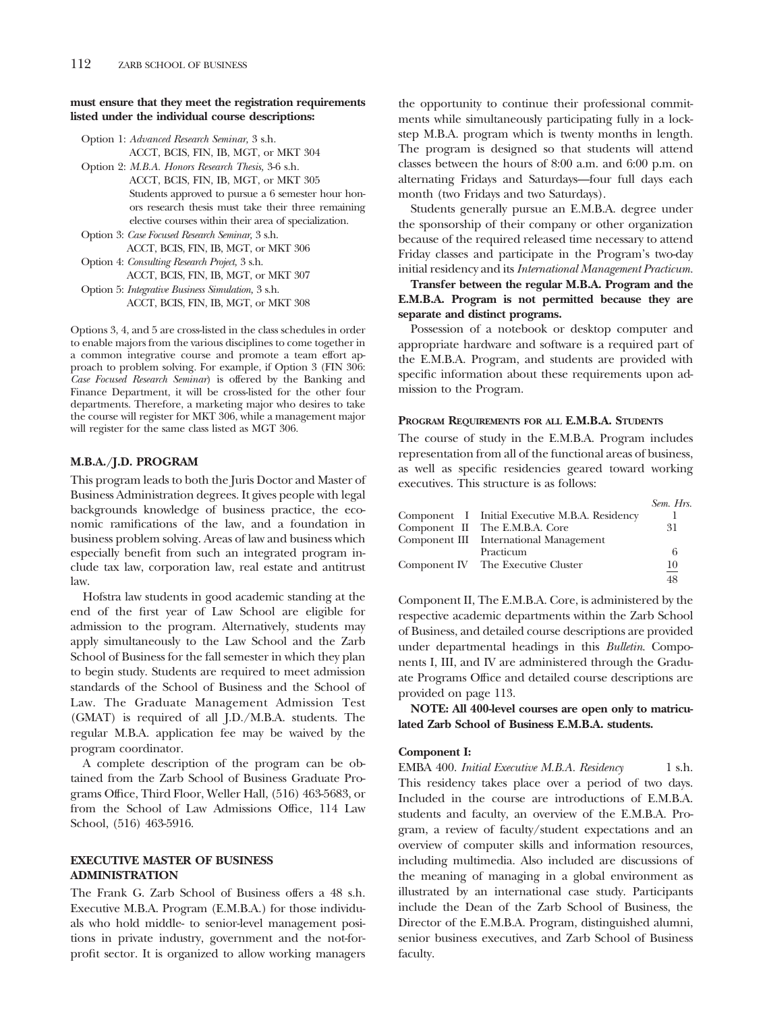#### **must ensure that they meet the registration requirements listed under the individual course descriptions:**

Option 1: *Advanced Research Seminar,* 3 s.h.

ACCT, BCIS, FIN, IB, MGT, or MKT 304

Option 2: *M.B.A. Honors Research Thesis,* 3-6 s.h. ACCT, BCIS, FIN, IB, MGT, or MKT 305 Students approved to pursue a 6 semester hour honors research thesis must take their three remaining elective courses within their area of specialization.

Option 3: *Case Focused Research Seminar,* 3 s.h. ACCT, BCIS, FIN, IB, MGT, or MKT 306 Option 4: *Consulting Research Project,* 3 s.h. ACCT, BCIS, FIN, IB, MGT, or MKT 307 Option 5: *Integrative Business Simulation,* 3 s.h. ACCT, BCIS, FIN, IB, MGT, or MKT 308

Options 3, 4, and 5 are cross-listed in the class schedules in order to enable majors from the various disciplines to come together in a common integrative course and promote a team effort approach to problem solving. For example, if Option 3 (FIN 306: *Case Focused Research Seminar*) is offered by the Banking and Finance Department, it will be cross-listed for the other four departments. Therefore, a marketing major who desires to take the course will register for MKT 306, while a management major will register for the same class listed as MGT 306.

#### **M.B.A./J.D. PROGRAM**

This program leads to both the Juris Doctor and Master of Business Administration degrees. It gives people with legal backgrounds knowledge of business practice, the economic ramifications of the law, and a foundation in business problem solving. Areas of law and business which especially benefit from such an integrated program include tax law, corporation law, real estate and antitrust law.

Hofstra law students in good academic standing at the end of the first year of Law School are eligible for admission to the program. Alternatively, students may apply simultaneously to the Law School and the Zarb School of Business for the fall semester in which they plan to begin study. Students are required to meet admission standards of the School of Business and the School of Law. The Graduate Management Admission Test (GMAT) is required of all J.D./M.B.A. students. The regular M.B.A. application fee may be waived by the program coordinator.

A complete description of the program can be obtained from the Zarb School of Business Graduate Programs Office, Third Floor, Weller Hall, (516) 463-5683, or from the School of Law Admissions Office, 114 Law School, (516) 463-5916.

#### **EXECUTIVE MASTER OF BUSINESS ADMINISTRATION**

The Frank G. Zarb School of Business offers a 48 s.h. Executive M.B.A. Program (E.M.B.A.) for those individuals who hold middle- to senior-level management positions in private industry, government and the not-forprofit sector. It is organized to allow working managers

the opportunity to continue their professional commitments while simultaneously participating fully in a lockstep M.B.A. program which is twenty months in length. The program is designed so that students will attend classes between the hours of 8:00 a.m. and 6:00 p.m. on alternating Fridays and Saturdays—four full days each month (two Fridays and two Saturdays).

Students generally pursue an E.M.B.A. degree under the sponsorship of their company or other organization because of the required released time necessary to attend Friday classes and participate in the Program's two-day initial residency and its *International Management Practicum.*

**Transfer between the regular M.B.A. Program and the E.M.B.A. Program is not permitted because they are separate and distinct programs.**

Possession of a notebook or desktop computer and appropriate hardware and software is a required part of the E.M.B.A. Program, and students are provided with specific information about these requirements upon admission to the Program.

#### **PROGRAM REQUIREMENTS FOR ALL E.M.B.A. STUDENTS**

The course of study in the E.M.B.A. Program includes representation from all of the functional areas of business, as well as specific residencies geared toward working executives. This structure is as follows:

|                                                | Sem. Hrs. |
|------------------------------------------------|-----------|
| Component I Initial Executive M.B.A. Residency |           |
| Component II The E.M.B.A. Core                 | 31        |
| Component III International Management         |           |
| Practicum                                      | 6         |
| Component IV The Executive Cluster             | 10        |
|                                                | 48        |

Component II, The E.M.B.A. Core, is administered by the respective academic departments within the Zarb School of Business, and detailed course descriptions are provided under departmental headings in this *Bulletin*. Components I, III, and IV are administered through the Graduate Programs Office and detailed course descriptions are provided on page 113.

**NOTE: All 400-level courses are open only to matriculated Zarb School of Business E.M.B.A. students.**

#### **Component I:**

EMBA 400. *Initial Executive M.B.A. Residency* 1 s.h. This residency takes place over a period of two days. Included in the course are introductions of E.M.B.A. students and faculty, an overview of the E.M.B.A. Program, a review of faculty/student expectations and an overview of computer skills and information resources, including multimedia. Also included are discussions of the meaning of managing in a global environment as illustrated by an international case study. Participants include the Dean of the Zarb School of Business, the Director of the E.M.B.A. Program, distinguished alumni, senior business executives, and Zarb School of Business faculty.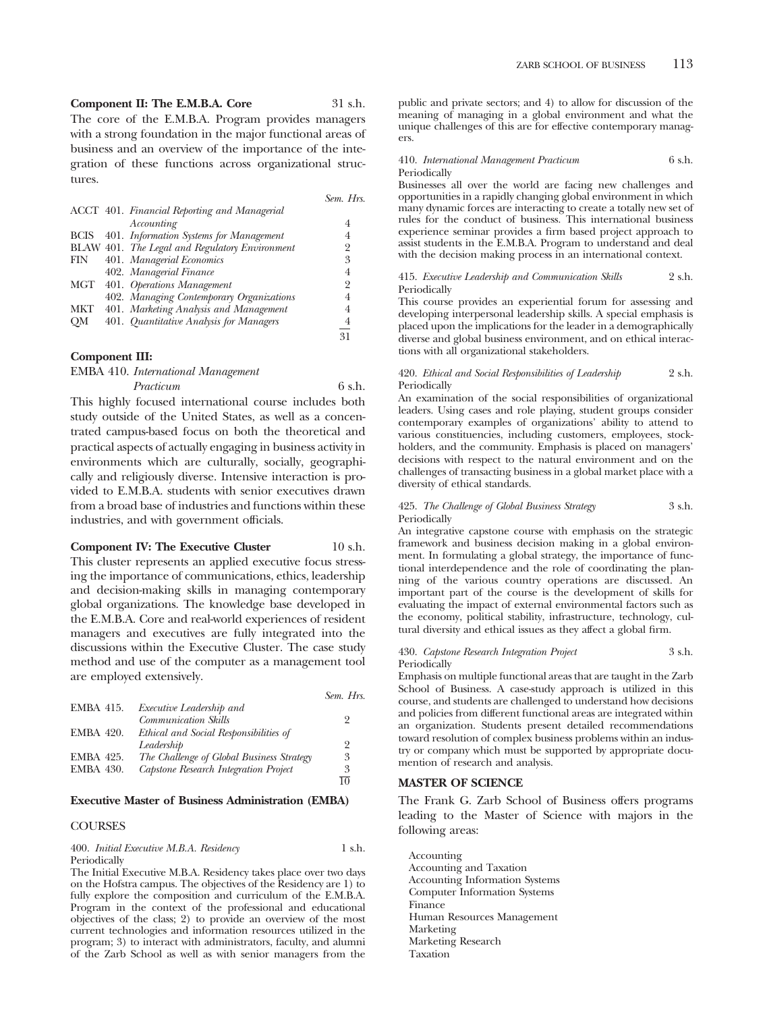## **Component II: The E.M.B.A. Core** 31 s.h.

The core of the E.M.B.A. Program provides managers with a strong foundation in the major functional areas of business and an overview of the importance of the integration of these functions across organizational structures.

|             |                                                | Sem. Hrs.      |
|-------------|------------------------------------------------|----------------|
|             | ACCT 401. Financial Reporting and Managerial   |                |
|             | Accounting                                     | 4              |
| <b>BCIS</b> | 401. Information Systems for Management        |                |
|             | BLAW 401. The Legal and Regulatory Environment | 2              |
| FIN         | 401. Managerial Economics                      | 3              |
|             | 402. Managerial Finance                        | 4              |
| MGT         | 401. Operations Management                     | $\overline{2}$ |
|             | 402. Managing Contemporary Organizations       | 4              |
| <b>MKT</b>  | 401. Marketing Analysis and Management         | 4              |
| OМ          | 401. Quantitative Analysis for Managers        | $\overline{4}$ |
|             |                                                | 31             |

#### **Component III:**

| <b>EMBA</b> 410. <i>International Management</i> |        |
|--------------------------------------------------|--------|
| Practicum                                        | 6 s.h. |

This highly focused international course includes both study outside of the United States, as well as a concentrated campus-based focus on both the theoretical and practical aspects of actually engaging in business activity in environments which are culturally, socially, geographically and religiously diverse. Intensive interaction is provided to E.M.B.A. students with senior executives drawn from a broad base of industries and functions within these industries, and with government officials.

#### **Component IV: The Executive Cluster** 10 s.h.

This cluster represents an applied executive focus stressing the importance of communications, ethics, leadership and decision-making skills in managing contemporary global organizations. The knowledge base developed in the E.M.B.A. Core and real-world experiences of resident managers and executives are fully integrated into the discussions within the Executive Cluster. The case study method and use of the computer as a management tool are employed extensively.

|                  |                                           | Sem. Hrs.      |
|------------------|-------------------------------------------|----------------|
| <b>EMBA 415.</b> | Executive Leadership and                  |                |
|                  | Communication Skills                      | 2              |
| <b>EMBA 420.</b> | Ethical and Social Responsibilities of    |                |
|                  | Leadership                                | $\overline{2}$ |
| <b>EMBA 425.</b> | The Challenge of Global Business Strategy | 3              |
| <b>EMBA 430.</b> | Capstone Research Integration Project     | 3              |
|                  |                                           | 10             |

#### **Executive Master of Business Administration (EMBA)**

#### **COURSES**

400. *Initial Executive M.B.A. Residency* 1 s.h. Periodically

The Initial Executive M.B.A. Residency takes place over two days on the Hofstra campus. The objectives of the Residency are 1) to fully explore the composition and curriculum of the E.M.B.A. Program in the context of the professional and educational objectives of the class; 2) to provide an overview of the most current technologies and information resources utilized in the program; 3) to interact with administrators, faculty, and alumni of the Zarb School as well as with senior managers from the

public and private sectors; and 4) to allow for discussion of the meaning of managing in a global environment and what the unique challenges of this are for effective contemporary managers.

| 410. International Management Practicum | 6 s.h. |
|-----------------------------------------|--------|
| Periodically                            |        |

Businesses all over the world are facing new challenges and opportunities in a rapidly changing global environment in which many dynamic forces are interacting to create a totally new set of rules for the conduct of business. This international business experience seminar provides a firm based project approach to assist students in the E.M.B.A. Program to understand and deal with the decision making process in an international context.

#### 415. *Executive Leadership and Communication Skills* 2 s.h. Periodically

This course provides an experiential forum for assessing and developing interpersonal leadership skills. A special emphasis is placed upon the implications for the leader in a demographically diverse and global business environment, and on ethical interactions with all organizational stakeholders.

#### 420. *Ethical and Social Responsibilities of Leadership* 2 s.h. Periodically

An examination of the social responsibilities of organizational leaders. Using cases and role playing, student groups consider contemporary examples of organizations' ability to attend to various constituencies, including customers, employees, stockholders, and the community. Emphasis is placed on managers' decisions with respect to the natural environment and on the challenges of transacting business in a global market place with a diversity of ethical standards.

425. *The Challenge of Global Business Strategy* 3 s.h. Periodically

An integrative capstone course with emphasis on the strategic framework and business decision making in a global environment. In formulating a global strategy, the importance of functional interdependence and the role of coordinating the planning of the various country operations are discussed. An important part of the course is the development of skills for evaluating the impact of external environmental factors such as the economy, political stability, infrastructure, technology, cultural diversity and ethical issues as they affect a global firm.

#### 430. *Capstone Research Integration Project* 3 s.h. Periodically

Emphasis on multiple functional areas that are taught in the Zarb School of Business. A case-study approach is utilized in this course, and students are challenged to understand how decisions and policies from different functional areas are integrated within an organization. Students present detailed recommendations toward resolution of complex business problems within an industry or company which must be supported by appropriate documention of research and analysis.

#### **MASTER OF SCIENCE**

The Frank G. Zarb School of Business offers programs leading to the Master of Science with majors in the following areas:

Accounting Accounting and Taxation Accounting Information Systems Computer Information Systems Finance Human Resources Management Marketing Marketing Research Taxation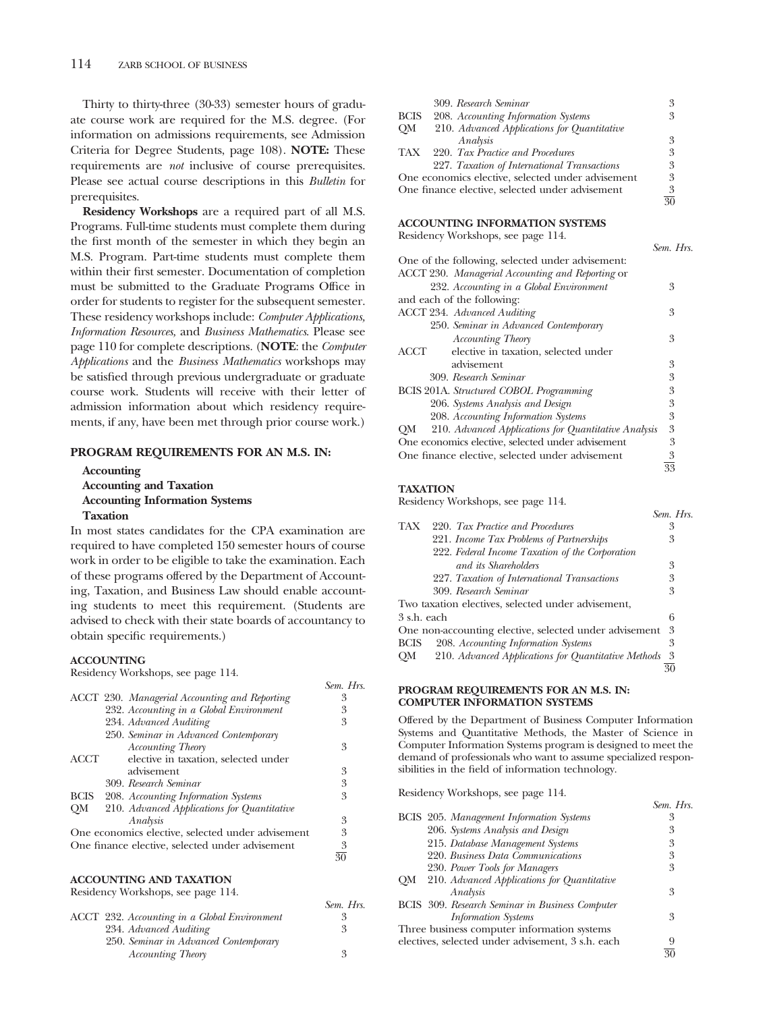Thirty to thirty-three (30-33) semester hours of graduate course work are required for the M.S. degree. (For information on admissions requirements, see Admission Criteria for Degree Students, page 108). **NOTE:** These requirements are *not* inclusive of course prerequisites. Please see actual course descriptions in this *Bulletin* for prerequisites.

**Residency Workshops** are a required part of all M.S. Programs. Full-time students must complete them during the first month of the semester in which they begin an M.S. Program. Part-time students must complete them within their first semester. Documentation of completion must be submitted to the Graduate Programs Office in order for students to register for the subsequent semester. These residency workshops include: *Computer Applications, Information Resources,* and *Business Mathematics*. Please see page 110 for complete descriptions. (**NOTE**: the *Computer Applications* and the *Business Mathematics* workshops may be satisfied through previous undergraduate or graduate course work. Students will receive with their letter of admission information about which residency requirements, if any, have been met through prior course work.)

#### **PROGRAM REQUIREMENTS FOR AN M.S. IN:**

**Accounting Accounting and Taxation Accounting Information Systems Taxation**

In most states candidates for the CPA examination are required to have completed 150 semester hours of course work in order to be eligible to take the examination. Each of these programs offered by the Department of Accounting, Taxation, and Business Law should enable accounting students to meet this requirement. (Students are advised to check with their state boards of accountancy to obtain specific requirements.)

#### **ACCOUNTING**

Residency Workshops, see page 114.

|             | ACCT 230. Managerial Accounting and Reporting     | 3              |
|-------------|---------------------------------------------------|----------------|
|             | 232. Accounting in a Global Environment           | 3              |
|             | 234. Advanced Auditing                            | 3              |
|             | 250. Seminar in Advanced Contemporary             |                |
|             | <b>Accounting Theory</b>                          | 3              |
| <b>ACCT</b> | elective in taxation, selected under              |                |
|             | advisement                                        | 3              |
|             | 309. Research Seminar                             | 3              |
|             | BCIS 208. Accounting Information Systems          | 3              |
|             | QM 210. Advanced Applications for Quantitative    |                |
|             | Analysis                                          | 3              |
|             | One economics elective, selected under advisement | 3              |
|             | One finance elective, selected under advisement   | $\frac{3}{30}$ |
|             |                                                   |                |
|             |                                                   |                |
|             | <b>ACCOUNTING AND TAXATION</b>                    |                |
|             | Residency Workshops, see page 114                 |                |

Residency Workshops, see page 114.

| ACCT 232. Accounting in a Global Environment | 3 |
|----------------------------------------------|---|
| 234. Advanced Auditing                       | 3 |
| 250. Seminar in Advanced Contemporary        |   |
| <b>Accounting Theory</b>                     | 3 |
|                                              |   |

|             | 309. Research Seminar                             | 3               |
|-------------|---------------------------------------------------|-----------------|
|             | BCIS 208. Accounting Information Systems          | 3               |
|             | QM 210. Advanced Applications for Quantitative    |                 |
|             | Analysis                                          | 3               |
|             | TAX 220. Tax Practice and Procedures              | 3               |
|             | 227. Taxation of International Transactions       | 3               |
|             | One economics elective, selected under advisement | 3               |
|             | One finance elective, selected under advisement   | 3               |
|             |                                                   | $\overline{30}$ |
|             | <b>ACCOUNTING INFORMATION SYSTEMS</b>             |                 |
|             | Residency Workshops, see page 114.                |                 |
|             |                                                   | Sem. Hrs.       |
|             | One of the following, selected under advisement:  |                 |
|             | ACCT 230. Managerial Accounting and Reporting or  |                 |
|             | 232. Accounting in a Global Environment           | 3               |
|             | and each of the following:                        |                 |
|             | <b>ACCT 234.</b> Advanced Auditing                | 3               |
|             | 250. Seminar in Advanced Contemporary             |                 |
|             | <b>Accounting Theory</b>                          | 3               |
| $\rm{ACCT}$ | elective in taxation, selected under              |                 |
|             | advisement                                        | 3               |
|             | 200 <i>P</i> eceasch <i>Saminas</i>               | $\mathbf{Q}$    |

| 309. Research Seminar                                   | 3 |
|---------------------------------------------------------|---|
| BCIS 201A. Structured COBOL Programming                 | 3 |
| 206. Systems Analysis and Design                        | 3 |
| 208. Accounting Information Systems                     | 3 |
| QM 210. Advanced Applications for Quantitative Analysis | 3 |
| One economics elective, selected under advisement       | 3 |
| One finance elective, selected under advisement         | 3 |

33

#### **TAXATION**

*Sem. Hrs.*

*Sem. Hrs.*

Residency Workshops, see page 114.

|             |                                                        | Sem. Hrs. |
|-------------|--------------------------------------------------------|-----------|
| TAX         | 220. Tax Practice and Procedures                       | 3         |
|             | 221. Income Tax Problems of Partnerships               | 3         |
|             | 222. Federal Income Taxation of the Corporation        |           |
|             | and its Shareholders                                   | 3         |
|             | 227. Taxation of International Transactions            | 3         |
|             | 309 Research Seminar                                   | 3         |
|             | Two taxation electives, selected under advisement,     |           |
| 3 s.h. each |                                                        | 6         |
|             | One non-accounting elective, selected under advisement | 3         |
| <b>BCIS</b> | 208. Accounting Information Systems                    | 3         |
| OM          | 210. Advanced Applications for Quantitative Methods    | 3         |
|             |                                                        | 30        |
|             |                                                        |           |

#### **PROGRAM REQUIREMENTS FOR AN M.S. IN: COMPUTER INFORMATION SYSTEMS**

Offered by the Department of Business Computer Information Systems and Quantitative Methods, the Master of Science in Computer Information Systems program is designed to meet the demand of professionals who want to assume specialized responsibilities in the field of information technology.

Residency Workshops, see page 114.

|                                   | Sem. Hrs.                                                                                                                                                                                                                                                   |
|-----------------------------------|-------------------------------------------------------------------------------------------------------------------------------------------------------------------------------------------------------------------------------------------------------------|
|                                   | 3                                                                                                                                                                                                                                                           |
| 206. Systems Analysis and Design  | 3                                                                                                                                                                                                                                                           |
| 215. Database Management Systems  | 3                                                                                                                                                                                                                                                           |
| 220. Business Data Communications | 3                                                                                                                                                                                                                                                           |
| 230. Power Tools for Managers     | 3                                                                                                                                                                                                                                                           |
|                                   |                                                                                                                                                                                                                                                             |
| Analysis                          | 3                                                                                                                                                                                                                                                           |
|                                   |                                                                                                                                                                                                                                                             |
| <b>Information</b> Systems        | 3                                                                                                                                                                                                                                                           |
|                                   |                                                                                                                                                                                                                                                             |
|                                   | 9                                                                                                                                                                                                                                                           |
|                                   | 30                                                                                                                                                                                                                                                          |
|                                   | BCIS 205. Management Information Systems<br>210. Advanced Applications for Quantitative<br>OM<br><b>BCIS</b> 309. Research Seminar in Business Computer<br>Three business computer information systems<br>electives, selected under advisement, 3 s.h. each |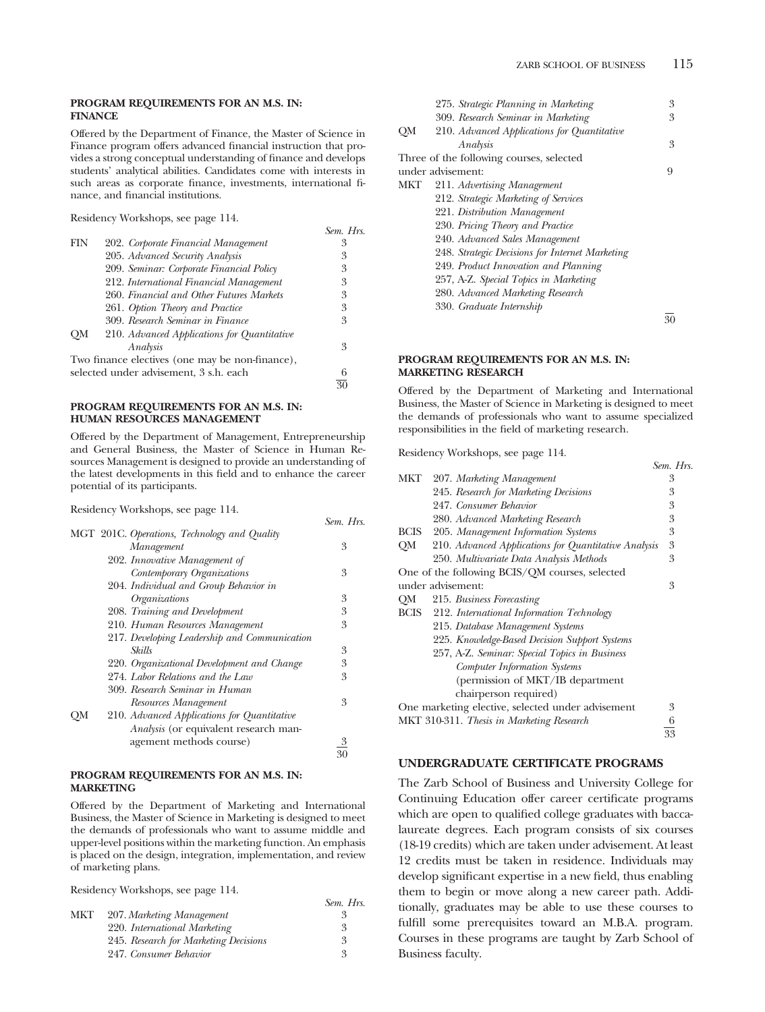Offered by the Department of Finance, the Master of Science in Finance program offers advanced financial instruction that provides a strong conceptual understanding of finance and develops students' analytical abilities. Candidates come with interests in such areas as corporate finance, investments, international finance, and financial institutions.

*Sem. Hrs.*

*Sem. Hrs.*

Residency Workshops, see page 114.

| FIN                                    | 202. Corporate Financial Management             | 3             |
|----------------------------------------|-------------------------------------------------|---------------|
|                                        | 205. Advanced Security Analysis                 | 3             |
|                                        | 209. Seminar: Corporate Financial Policy        | 3             |
|                                        | 212. International Financial Management         | 3             |
|                                        | 260. Financial and Other Futures Markets        | 3             |
|                                        | 261. Option Theory and Practice                 | 3             |
|                                        | 309. Research Seminar in Finance                | 3             |
| OМ                                     | 210. Advanced Applications for Quantitative     |               |
|                                        | Analysis                                        | 3             |
|                                        | Two finance electives (one may be non-finance), |               |
| selected under advisement, 3 s.h. each |                                                 | 6             |
|                                        |                                                 | $\mathcal{C}$ |

#### **PROGRAM REQUIREMENTS FOR AN M.S. IN: HUMAN RESOURCES MANAGEMENT**

Offered by the Department of Management, Entrepreneurship and General Business, the Master of Science in Human Resources Management is designed to provide an understanding of the latest developments in this field and to enhance the career potential of its participants.

Residency Workshops, see page 114.

|    | MGT 201C. Operations, Technology and Quality |                         |
|----|----------------------------------------------|-------------------------|
|    | Management                                   | 3                       |
|    | 202. Innovative Management of                |                         |
|    | Contemporary Organizations                   | 3                       |
|    | 204. Individual and Group Behavior in        |                         |
|    | Organizations                                | 3                       |
|    | 208. Training and Development                | 3                       |
|    | 210. Human Resources Management              | 3                       |
|    | 217. Developing Leadership and Communication |                         |
|    | Skills                                       | 3                       |
|    | 220. Organizational Development and Change   | 3                       |
|    | 274. Labor Relations and the Law             | 3                       |
|    | 309. Research Seminar in Human               |                         |
|    | Resources Management                         | 3                       |
| OМ | 210. Advanced Applications for Quantitative  |                         |
|    | Analysis (or equivalent research man-        |                         |
|    | agement methods course)                      | $\overline{\mathbf{3}}$ |
|    |                                              |                         |

#### **PROGRAM REQUIREMENTS FOR AN M.S. IN: MARKETING**

Offered by the Department of Marketing and International Business, the Master of Science in Marketing is designed to meet the demands of professionals who want to assume middle and upper-level positions within the marketing function. An emphasis is placed on the design, integration, implementation, and review of marketing plans.

Residency Workshops, see page 114.

| Sem. Hrs. |
|-----------|
| q         |
| 3         |
| 3         |
| 3         |
|           |

30

| 275. Strategic Planning in Marketing            | 3 |
|-------------------------------------------------|---|
| 309. Research Seminar in Marketing              | 3 |
| 210. Advanced Applications for Quantitative     |   |
| Analysis                                        | 3 |
| Three of the following courses, selected        |   |
| under advisement:                               | 9 |
| 211. Advertising Management                     |   |
| 212. Strategic Marketing of Services            |   |
| 221. Distribution Management                    |   |
| 230. Pricing Theory and Practice                |   |
| 240. Advanced Sales Management                  |   |
| 248. Strategic Decisions for Internet Marketing |   |
| 249. Product Innovation and Planning            |   |
| 257, A-Z. Special Topics in Marketing           |   |
| 280. Advanced Marketing Research                |   |
| 330. Graduate Internship                        |   |
|                                                 |   |

#### **PROGRAM REQUIREMENTS FOR AN M.S. IN: MARKETING RESEARCH**

Offered by the Department of Marketing and International Business, the Master of Science in Marketing is designed to meet the demands of professionals who want to assume specialized responsibilities in the field of marketing research.

Residency Workshops, see page 114.

|     | $\cdots$ assumed pay avec people                     |           |
|-----|------------------------------------------------------|-----------|
|     |                                                      | Sem. Hrs. |
| МКТ | 207. Marketing Management                            | 3         |
|     | 245. Research for Marketing Decisions                | 3         |
|     | 247. Consumer Behavior                               | 3         |
|     | 280. Advanced Marketing Research                     | 3         |
|     | BCIS 205. Management Information Systems             | 3         |
| QM  | 210. Advanced Applications for Quantitative Analysis | 3         |
|     | 250. Multivariate Data Analysis Methods              | 3         |
|     | One of the following BCIS/QM courses, selected       |           |
|     | under advisement:                                    | 3         |
| OМ  | 215. Business Forecasting                            |           |
|     | BCIS 212. International Information Technology       |           |
|     | 215. Database Management Systems                     |           |
|     | 225. Knowledge-Based Decision Support Systems        |           |
|     | 257, A-Z. Seminar: Special Topics in Business        |           |
|     | Computer Information Systems                         |           |
|     | (permission of MKT/IB department                     |           |
|     | chairperson required)                                |           |
|     | One marketing elective, selected under advisement    | 3         |
|     | MKT 310-311. Thesis in Marketing Research            | 6         |
|     |                                                      | 33        |
|     |                                                      |           |

#### **UNDERGRADUATE CERTIFICATE PROGRAMS**

The Zarb School of Business and University College for Continuing Education offer career certificate programs which are open to qualified college graduates with baccalaureate degrees. Each program consists of six courses (18-19 credits) which are taken under advisement. At least 12 credits must be taken in residence. Individuals may develop significant expertise in a new field, thus enabling them to begin or move along a new career path. Additionally, graduates may be able to use these courses to fulfill some prerequisites toward an M.B.A. program. Courses in these programs are taught by Zarb School of Business faculty.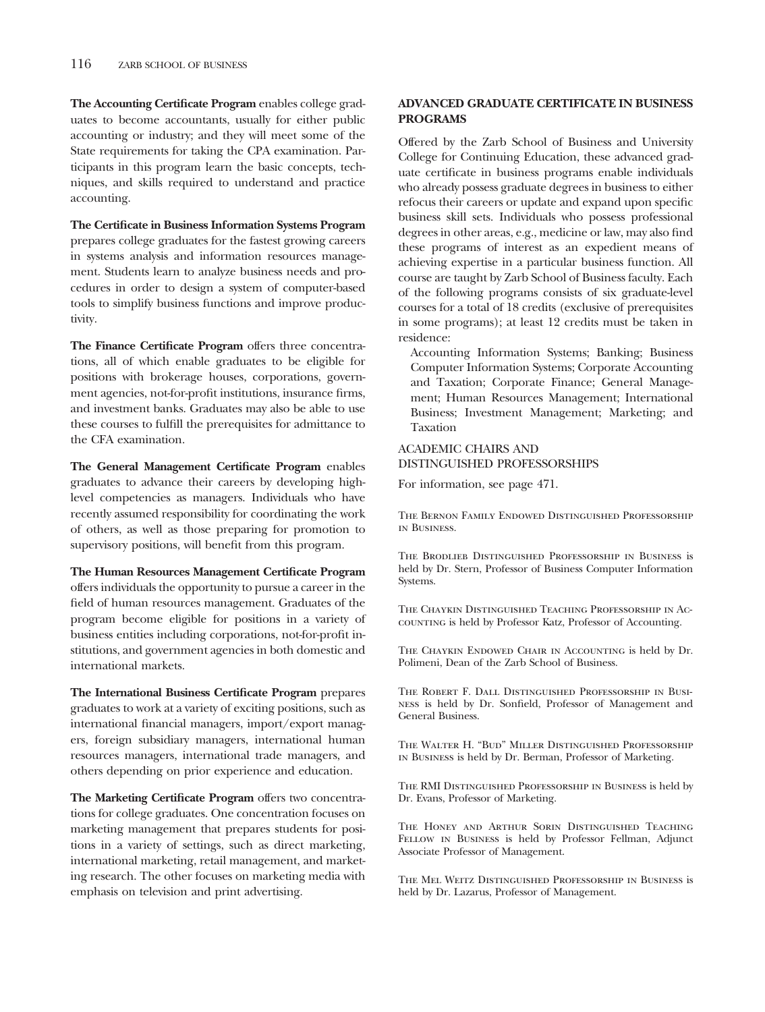**The Accounting Certificate Program** enables college graduates to become accountants, usually for either public accounting or industry; and they will meet some of the State requirements for taking the CPA examination. Participants in this program learn the basic concepts, techniques, and skills required to understand and practice accounting.

**The Certificate in Business Information Systems Program** prepares college graduates for the fastest growing careers in systems analysis and information resources management. Students learn to analyze business needs and procedures in order to design a system of computer-based tools to simplify business functions and improve productivity.

**The Finance Certificate Program** offers three concentrations, all of which enable graduates to be eligible for positions with brokerage houses, corporations, government agencies, not-for-profit institutions, insurance firms, and investment banks. Graduates may also be able to use these courses to fulfill the prerequisites for admittance to the CFA examination.

**The General Management Certificate Program** enables graduates to advance their careers by developing highlevel competencies as managers. Individuals who have recently assumed responsibility for coordinating the work of others, as well as those preparing for promotion to supervisory positions, will benefit from this program.

**The Human Resources Management Certificate Program** offers individuals the opportunity to pursue a career in the field of human resources management. Graduates of the program become eligible for positions in a variety of business entities including corporations, not-for-profit institutions, and government agencies in both domestic and international markets.

**The International Business Certificate Program** prepares graduates to work at a variety of exciting positions, such as international financial managers, import/export managers, foreign subsidiary managers, international human resources managers, international trade managers, and others depending on prior experience and education.

**The Marketing Certificate Program** offers two concentrations for college graduates. One concentration focuses on marketing management that prepares students for positions in a variety of settings, such as direct marketing, international marketing, retail management, and marketing research. The other focuses on marketing media with emphasis on television and print advertising.

### **ADVANCED GRADUATE CERTIFICATE IN BUSINESS PROGRAMS**

Offered by the Zarb School of Business and University College for Continuing Education, these advanced graduate certificate in business programs enable individuals who already possess graduate degrees in business to either refocus their careers or update and expand upon specific business skill sets. Individuals who possess professional degrees in other areas, e.g., medicine or law, may also find these programs of interest as an expedient means of achieving expertise in a particular business function. All course are taught by Zarb School of Business faculty. Each of the following programs consists of six graduate-level courses for a total of 18 credits (exclusive of prerequisites in some programs); at least 12 credits must be taken in residence:

Accounting Information Systems; Banking; Business Computer Information Systems; Corporate Accounting and Taxation; Corporate Finance; General Management; Human Resources Management; International Business; Investment Management; Marketing; and Taxation

### ACADEMIC CHAIRS AND DISTINGUISHED PROFESSORSHIPS

For information, see page 471.

The Bernon Family Endowed Distinguished Professorship in Business.

The Brodlieb Distinguished Professorship in Business is held by Dr. Stern, Professor of Business Computer Information Systems.

The Chaykin Distinguished Teaching Professorship in Accounting is held by Professor Katz, Professor of Accounting.

The Chaykin Endowed Chair in Accounting is held by Dr. Polimeni, Dean of the Zarb School of Business.

The Robert F. Dall Distinguished Professorship in Business is held by Dr. Sonfield, Professor of Management and General Business.

The Walter H. "Bud" Miller Distinguished Professorship in Business is held by Dr. Berman, Professor of Marketing.

The RMI Distinguished Professorship in Business is held by Dr. Evans, Professor of Marketing.

The Honey and Arthur Sorin Distinguished Teaching Fellow in Business is held by Professor Fellman, Adjunct Associate Professor of Management.

The Mel Weitz Distinguished Professorship in Business is held by Dr. Lazarus, Professor of Management.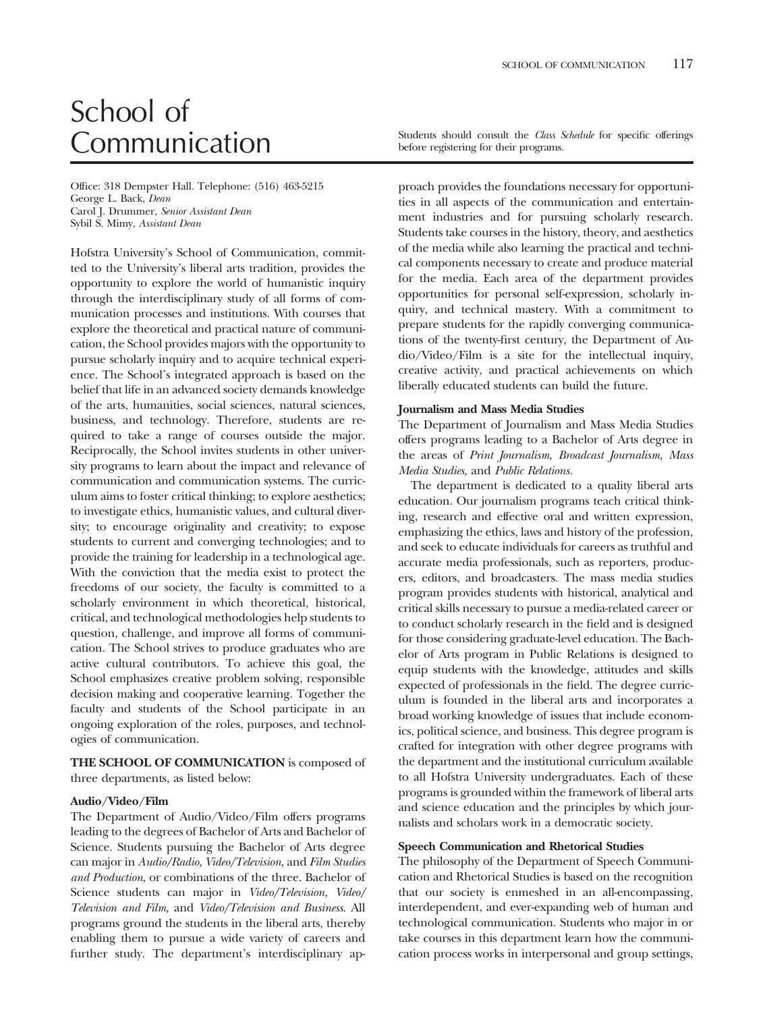# School of

Office: 318 Dempster Hall. Telephone: (516) 463-5215 George L. Back, *Dean* Carol J. Drummer, *Senior Assistant Dean* Sybil S. Mimy, *Assistant Dean*

Hofstra University's School of Communication, committed to the University's liberal arts tradition, provides the opportunity to explore the world of humanistic inquiry through the interdisciplinary study of all forms of communication processes and institutions. With courses that explore the theoretical and practical nature of communication, the School provides majors with the opportunity to pursue scholarly inquiry and to acquire technical experience. The School's integrated approach is based on the belief that life in an advanced society demands knowledge of the arts, humanities, social sciences, natural sciences, business, and technology. Therefore, students are required to take a range of courses outside the major. Reciprocally, the School invites students in other university programs to learn about the impact and relevance of communication and communication systems. The curriculum aims to foster critical thinking; to explore aesthetics; to investigate ethics, humanistic values, and cultural diversity; to encourage originality and creativity; to expose students to current and converging technologies; and to provide the training for leadership in a technological age. With the conviction that the media exist to protect the freedoms of our society, the faculty is committed to a scholarly environment in which theoretical, historical, critical, and technological methodologies help students to question, challenge, and improve all forms of communication. The School strives to produce graduates who are active cultural contributors. To achieve this goal, the School emphasizes creative problem solving, responsible decision making and cooperative learning. Together the faculty and students of the School participate in an ongoing exploration of the roles, purposes, and technologies of communication.

**THE SCHOOL OF COMMUNICATION** is composed of three departments, as listed below:

#### **Audio/Video/Film**

The Department of Audio/Video/Film offers programs leading to the degrees of Bachelor of Arts and Bachelor of Science. Students pursuing the Bachelor of Arts degree can major in *Audio/Radio, Video/Television,* and *Film Studies and Production*, or combinations of the three. Bachelor of Science students can major in *Video/Television, Video/ Television and Film,* and *Video/Television and Business*. All programs ground the students in the liberal arts, thereby enabling them to pursue a wide variety of careers and further study. The department's interdisciplinary ap-

Communication Students should consult the *Class Schedule* for specific offerings before registering for their programs.

> proach provides the foundations necessary for opportunities in all aspects of the communication and entertainment industries and for pursuing scholarly research. Students take courses in the history, theory, and aesthetics of the media while also learning the practical and technical components necessary to create and produce material for the media. Each area of the department provides opportunities for personal self-expression, scholarly inquiry, and technical mastery. With a commitment to prepare students for the rapidly converging communications of the twenty-first century, the Department of Audio/Video/Film is a site for the intellectual inquiry, creative activity, and practical achievements on which liberally educated students can build the future.

### **Journalism and Mass Media Studies**

The Department of Journalism and Mass Media Studies offers programs leading to a Bachelor of Arts degree in the areas of *Print Journalism, Broadcast Journalism, Mass Media Studies,* and *Public Relations.*

The department is dedicated to a quality liberal arts education. Our journalism programs teach critical thinking, research and effective oral and written expression, emphasizing the ethics, laws and history of the profession, and seek to educate individuals for careers as truthful and accurate media professionals, such as reporters, producers, editors, and broadcasters. The mass media studies program provides students with historical, analytical and critical skills necessary to pursue a media-related career or to conduct scholarly research in the field and is designed for those considering graduate-level education. The Bachelor of Arts program in Public Relations is designed to equip students with the knowledge, attitudes and skills expected of professionals in the field. The degree curriculum is founded in the liberal arts and incorporates a broad working knowledge of issues that include economics, political science, and business. This degree program is crafted for integration with other degree programs with the department and the institutional curriculum available to all Hofstra University undergraduates. Each of these programs is grounded within the framework of liberal arts and science education and the principles by which journalists and scholars work in a democratic society.

### **Speech Communication and Rhetorical Studies**

The philosophy of the Department of Speech Communication and Rhetorical Studies is based on the recognition that our society is enmeshed in an all-encompassing, interdependent, and ever-expanding web of human and technological communication. Students who major in or take courses in this department learn how the communication process works in interpersonal and group settings,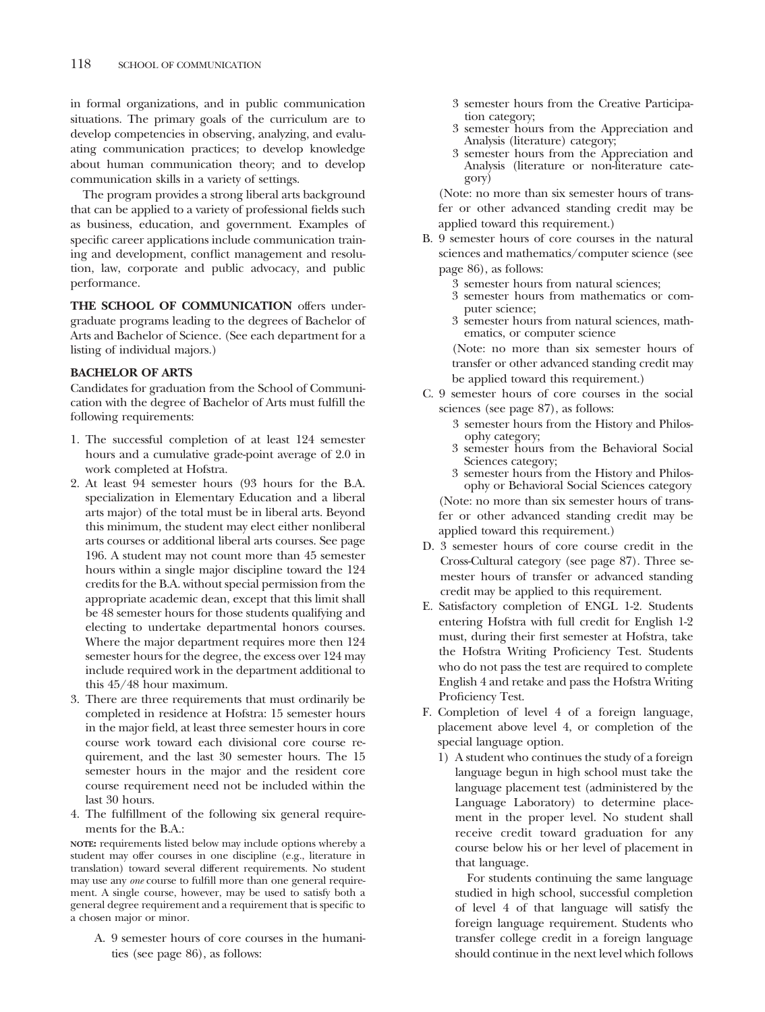in formal organizations, and in public communication situations. The primary goals of the curriculum are to develop competencies in observing, analyzing, and evaluating communication practices; to develop knowledge about human communication theory; and to develop communication skills in a variety of settings.

The program provides a strong liberal arts background that can be applied to a variety of professional fields such as business, education, and government. Examples of specific career applications include communication training and development, conflict management and resolution, law, corporate and public advocacy, and public performance.

**THE SCHOOL OF COMMUNICATION** offers undergraduate programs leading to the degrees of Bachelor of Arts and Bachelor of Science. (See each department for a listing of individual majors.)

### **BACHELOR OF ARTS**

Candidates for graduation from the School of Communication with the degree of Bachelor of Arts must fulfill the following requirements:

- 1. The successful completion of at least 124 semester hours and a cumulative grade-point average of 2.0 in work completed at Hofstra.
- 2. At least 94 semester hours (93 hours for the B.A. specialization in Elementary Education and a liberal arts major) of the total must be in liberal arts. Beyond this minimum, the student may elect either nonliberal arts courses or additional liberal arts courses. See page 196. A student may not count more than 45 semester hours within a single major discipline toward the 124 credits for the B.A. without special permission from the appropriate academic dean, except that this limit shall be 48 semester hours for those students qualifying and electing to undertake departmental honors courses. Where the major department requires more then 124 semester hours for the degree, the excess over 124 may include required work in the department additional to this 45/48 hour maximum.
- 3. There are three requirements that must ordinarily be completed in residence at Hofstra: 15 semester hours in the major field, at least three semester hours in core course work toward each divisional core course requirement, and the last 30 semester hours. The 15 semester hours in the major and the resident core course requirement need not be included within the last 30 hours.
- 4. The fulfillment of the following six general requirements for the B.A.:

**NOTE:** requirements listed below may include options whereby a student may offer courses in one discipline (e.g., literature in translation) toward several different requirements. No student may use any *one* course to fulfill more than one general requirement. A single course, however, may be used to satisfy both a general degree requirement and a requirement that is specific to a chosen major or minor.

A. 9 semester hours of core courses in the humanities (see page 86), as follows:

- 3 semester hours from the Creative Participation category;
- 3 semester hours from the Appreciation and Analysis (literature) category;
- 3 semester hours from the Appreciation and Analysis (literature or non-literature category)

(Note: no more than six semester hours of transfer or other advanced standing credit may be applied toward this requirement.)

- B. 9 semester hours of core courses in the natural sciences and mathematics/computer science (see page 86), as follows:
	- 3 semester hours from natural sciences;
	- 3 semester hours from mathematics or computer science;
	- 3 semester hours from natural sciences, mathematics, or computer science

(Note: no more than six semester hours of transfer or other advanced standing credit may be applied toward this requirement.)

- C. 9 semester hours of core courses in the social sciences (see page 87), as follows:
	- 3 semester hours from the History and Philosophy category;
	- 3 semester hours from the Behavioral Social Sciences category;
	- 3 semester hours from the History and Philosophy or Behavioral Social Sciences category

(Note: no more than six semester hours of transfer or other advanced standing credit may be applied toward this requirement.)

- D. 3 semester hours of core course credit in the Cross-Cultural category (see page 87). Three semester hours of transfer or advanced standing credit may be applied to this requirement.
- E. Satisfactory completion of ENGL 1-2. Students entering Hofstra with full credit for English 1-2 must, during their first semester at Hofstra, take the Hofstra Writing Proficiency Test. Students who do not pass the test are required to complete English 4 and retake and pass the Hofstra Writing Proficiency Test.
- F. Completion of level 4 of a foreign language, placement above level 4, or completion of the special language option.
	- 1) A student who continues the study of a foreign language begun in high school must take the language placement test (administered by the Language Laboratory) to determine placement in the proper level. No student shall receive credit toward graduation for any course below his or her level of placement in that language.

For students continuing the same language studied in high school, successful completion of level 4 of that language will satisfy the foreign language requirement. Students who transfer college credit in a foreign language should continue in the next level which follows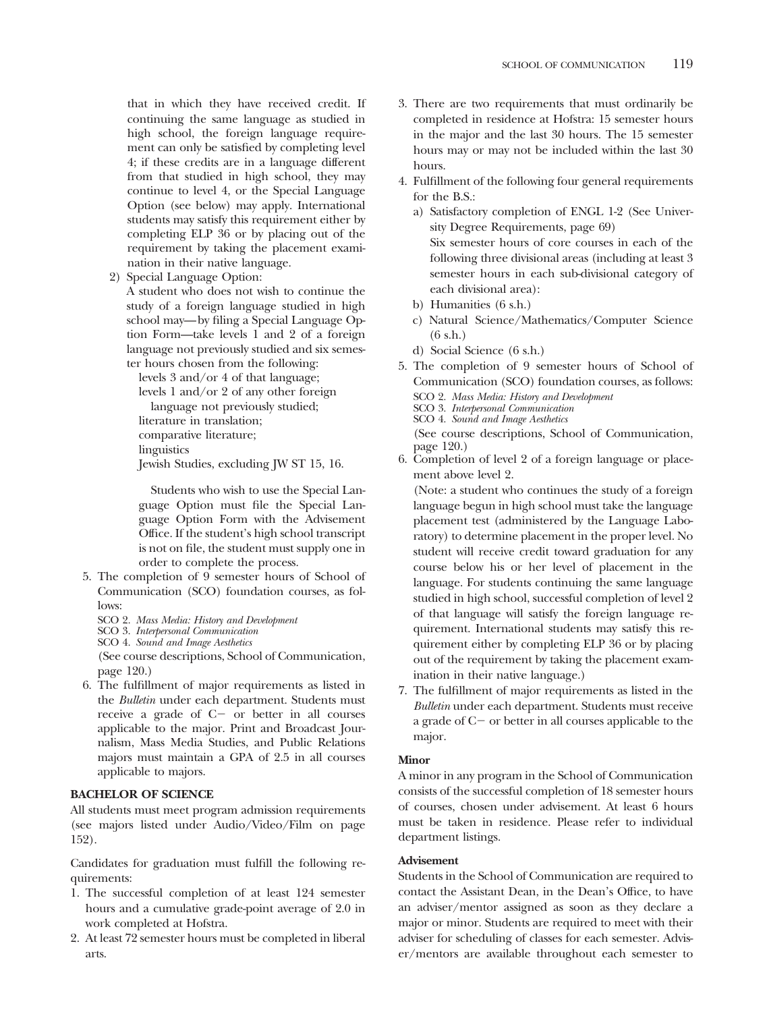that in which they have received credit. If continuing the same language as studied in high school, the foreign language requirement can only be satisfied by completing level 4; if these credits are in a language different from that studied in high school, they may continue to level 4, or the Special Language Option (see below) may apply. International students may satisfy this requirement either by completing ELP 36 or by placing out of the requirement by taking the placement examination in their native language.

2) Special Language Option:

A student who does not wish to continue the study of a foreign language studied in high school may—by filing a Special Language Option Form—take levels 1 and 2 of a foreign language not previously studied and six semester hours chosen from the following:

levels 3 and/or 4 of that language;

levels 1 and/or 2 of any other foreign

language not previously studied; literature in translation;

comparative literature;

linguistics

Jewish Studies, excluding JW ST 15, 16.

Students who wish to use the Special Language Option must file the Special Language Option Form with the Advisement Office. If the student's high school transcript is not on file, the student must supply one in order to complete the process.

- 5. The completion of 9 semester hours of School of Communication (SCO) foundation courses, as follows:
	- SCO 2. *Mass Media: History and Development*
	- SCO 3. *Interpersonal Communication*
	- SCO 4. *Sound and Image Aesthetics*

(See course descriptions, School of Communication, page 120.)

6. The fulfillment of major requirements as listed in the *Bulletin* under each department. Students must receive a grade of  $C$  - or better in all courses applicable to the major. Print and Broadcast Journalism, Mass Media Studies, and Public Relations majors must maintain a GPA of 2.5 in all courses applicable to majors.

### **BACHELOR OF SCIENCE**

All students must meet program admission requirements (see majors listed under Audio/Video/Film on page 152).

Candidates for graduation must fulfill the following requirements:

- 1. The successful completion of at least 124 semester hours and a cumulative grade-point average of 2.0 in work completed at Hofstra.
- 2. At least 72 semester hours must be completed in liberal arts.
- 3. There are two requirements that must ordinarily be completed in residence at Hofstra: 15 semester hours in the major and the last 30 hours. The 15 semester hours may or may not be included within the last 30 hours.
- 4. Fulfillment of the following four general requirements for the B.S.:
	- a) Satisfactory completion of ENGL 1-2 (See University Degree Requirements, page 69) Six semester hours of core courses in each of the following three divisional areas (including at least 3 semester hours in each sub-divisional category of each divisional area):
	- b) Humanities (6 s.h.)
	- c) Natural Science/Mathematics/Computer Science (6 s.h.)
	- d) Social Science (6 s.h.)
- 5. The completion of 9 semester hours of School of Communication (SCO) foundation courses, as follows:
	- SCO 2. *Mass Media: History and Development*
	- SCO 3. *Interpersonal Communication*
	- SCO 4. *Sound and Image Aesthetics*

(See course descriptions, School of Communication, page 120.)

6. Completion of level 2 of a foreign language or placement above level 2.

(Note: a student who continues the study of a foreign language begun in high school must take the language placement test (administered by the Language Laboratory) to determine placement in the proper level. No student will receive credit toward graduation for any course below his or her level of placement in the language. For students continuing the same language studied in high school, successful completion of level 2 of that language will satisfy the foreign language requirement. International students may satisfy this requirement either by completing ELP 36 or by placing out of the requirement by taking the placement examination in their native language.)

7. The fulfillment of major requirements as listed in the *Bulletin* under each department. Students must receive a grade of  $C<sub>-</sub>$  or better in all courses applicable to the major.

### **Minor**

A minor in any program in the School of Communication consists of the successful completion of 18 semester hours of courses, chosen under advisement. At least 6 hours must be taken in residence. Please refer to individual department listings.

### **Advisement**

Students in the School of Communication are required to contact the Assistant Dean, in the Dean's Office, to have an adviser/mentor assigned as soon as they declare a major or minor. Students are required to meet with their adviser for scheduling of classes for each semester. Adviser/mentors are available throughout each semester to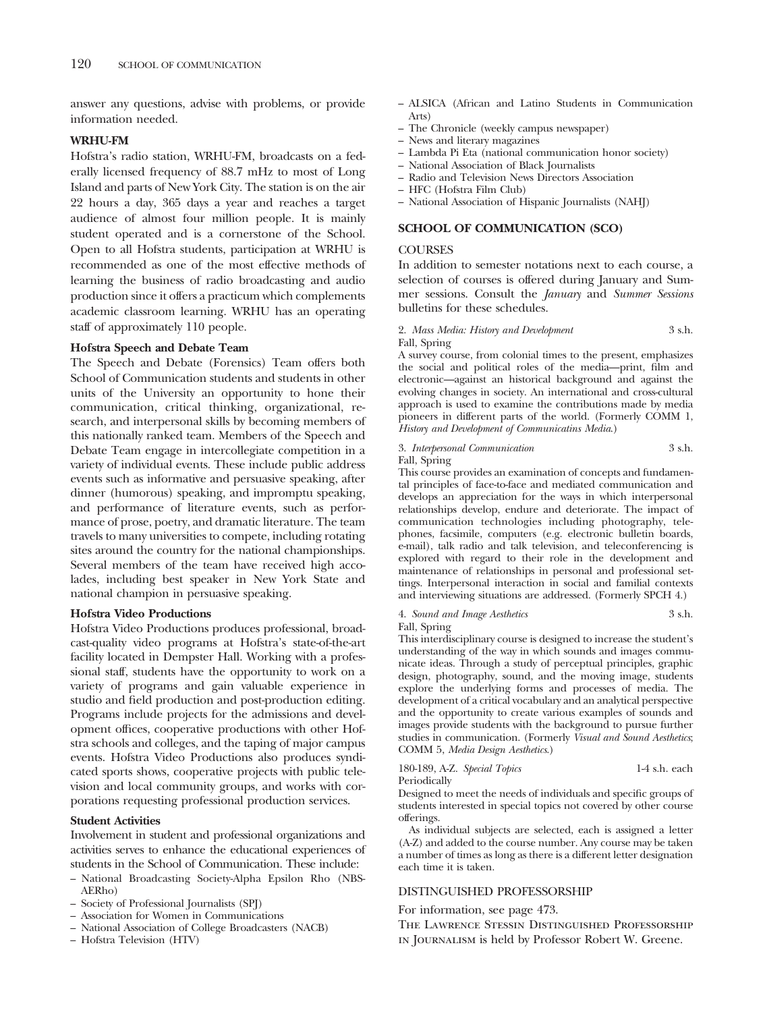answer any questions, advise with problems, or provide information needed.

### **WRHU-FM**

Hofstra's radio station, WRHU-FM, broadcasts on a federally licensed frequency of 88.7 mHz to most of Long Island and parts of New York City. The station is on the air 22 hours a day, 365 days a year and reaches a target audience of almost four million people. It is mainly student operated and is a cornerstone of the School. Open to all Hofstra students, participation at WRHU is recommended as one of the most effective methods of learning the business of radio broadcasting and audio production since it offers a practicum which complements academic classroom learning. WRHU has an operating staff of approximately 110 people.

### **Hofstra Speech and Debate Team**

The Speech and Debate (Forensics) Team offers both School of Communication students and students in other units of the University an opportunity to hone their communication, critical thinking, organizational, research, and interpersonal skills by becoming members of this nationally ranked team. Members of the Speech and Debate Team engage in intercollegiate competition in a variety of individual events. These include public address events such as informative and persuasive speaking, after dinner (humorous) speaking, and impromptu speaking, and performance of literature events, such as performance of prose, poetry, and dramatic literature. The team travels to many universities to compete, including rotating sites around the country for the national championships. Several members of the team have received high accolades, including best speaker in New York State and national champion in persuasive speaking.

### **Hofstra Video Productions**

Hofstra Video Productions produces professional, broadcast-quality video programs at Hofstra's state-of-the-art facility located in Dempster Hall. Working with a professional staff, students have the opportunity to work on a variety of programs and gain valuable experience in studio and field production and post-production editing. Programs include projects for the admissions and development offices, cooperative productions with other Hofstra schools and colleges, and the taping of major campus events. Hofstra Video Productions also produces syndicated sports shows, cooperative projects with public television and local community groups, and works with corporations requesting professional production services.

### **Student Activities**

Involvement in student and professional organizations and activities serves to enhance the educational experiences of students in the School of Communication. These include:

- National Broadcasting Society-Alpha Epsilon Rho (NBS-AERho)
- Society of Professional Journalists (SPJ)
- Association for Women in Communications
- National Association of College Broadcasters (NACB)
- Hofstra Television (HTV)
- ALSICA (African and Latino Students in Communication Arts)
- The Chronicle (weekly campus newspaper)
- News and literary magazines
- Lambda Pi Eta (national communication honor society)
- National Association of Black Journalists
- Radio and Television News Directors Association
- HFC (Hofstra Film Club)
- National Association of Hispanic Journalists (NAHJ)

### **SCHOOL OF COMMUNICATION (SCO)**

### **COURSES**

In addition to semester notations next to each course, a selection of courses is offered during January and Summer sessions. Consult the *January* and *Summer Sessions* bulletins for these schedules.

2. *Mass Media: History and Development* 3 s.h. Fall, Spring

A survey course, from colonial times to the present, emphasizes the social and political roles of the media—print, film and electronic—against an historical background and against the evolving changes in society. An international and cross-cultural approach is used to examine the contributions made by media pioneers in different parts of the world. (Formerly COMM 1, *History and Development of Communicatins Media*.)

### 3. *Interpersonal Communication* 3 s.h. Fall, Spring

This course provides an examination of concepts and fundamental principles of face-to-face and mediated communication and develops an appreciation for the ways in which interpersonal relationships develop, endure and deteriorate. The impact of communication technologies including photography, telephones, facsimile, computers (e.g. electronic bulletin boards, e-mail), talk radio and talk television, and teleconferencing is explored with regard to their role in the development and maintenance of relationships in personal and professional settings. Interpersonal interaction in social and familial contexts and interviewing situations are addressed. (Formerly SPCH 4.)

#### 4. *Sound and Image Aesthetics* 3 s.h. Fall, Spring

This interdisciplinary course is designed to increase the student's understanding of the way in which sounds and images communicate ideas. Through a study of perceptual principles, graphic design, photography, sound, and the moving image, students explore the underlying forms and processes of media. The development of a critical vocabulary and an analytical perspective and the opportunity to create various examples of sounds and images provide students with the background to pursue further studies in communication. (Formerly *Visual and Sound Aesthetics*; COMM 5, *Media Design Aesthetics*.)

|              | 180-189, A-Z. Special Topics | 1-4 s.h. each |  |
|--------------|------------------------------|---------------|--|
| Periodically |                              |               |  |

Designed to meet the needs of individuals and specific groups of students interested in special topics not covered by other course offerings.

As individual subjects are selected, each is assigned a letter (A-Z) and added to the course number. Any course may be taken a number of times as long as there is a different letter designation each time it is taken.

### DISTINGUISHED PROFESSORSHIP

For information, see page 473.

The Lawrence Stessin Distinguished Professorship in Journalism is held by Professor Robert W. Greene.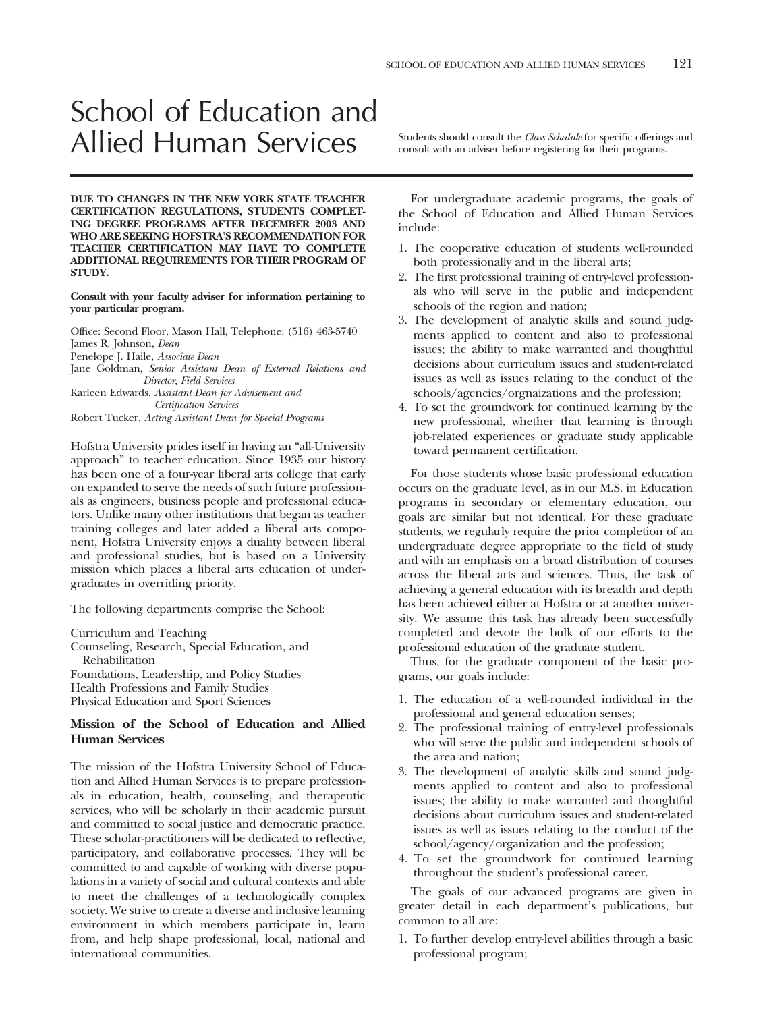## School of Education and Allied Human Services Students should consult the *Class Schedule* for specific offerings and

**DUE TO CHANGES IN THE NEW YORK STATE TEACHER CERTIFICATION REGULATIONS, STUDENTS COMPLET-ING DEGREE PROGRAMS AFTER DECEMBER 2003 AND WHO ARE SEEKING HOFSTRA'S RECOMMENDATION FOR TEACHER CERTIFICATION MAY HAVE TO COMPLETE ADDITIONAL REQUIREMENTS FOR THEIR PROGRAM OF STUDY.**

### **Consult with your faculty adviser for information pertaining to your particular program.**

Office: Second Floor, Mason Hall, Telephone: (516) 463-5740 James R. Johnson, *Dean* Penelope J. Haile, *Associate Dean*

Jane Goldman, *Senior Assistant Dean of External Relations and Director, Field Services*

Karleen Edwards, *Assistant Dean for Advisement and Certification Services*

Robert Tucker, *Acting Assistant Dean for Special Programs*

Hofstra University prides itself in having an "all-University approach" to teacher education. Since 1935 our history has been one of a four-year liberal arts college that early on expanded to serve the needs of such future professionals as engineers, business people and professional educators. Unlike many other institutions that began as teacher training colleges and later added a liberal arts component, Hofstra University enjoys a duality between liberal and professional studies, but is based on a University mission which places a liberal arts education of undergraduates in overriding priority.

The following departments comprise the School:

Curriculum and Teaching Counseling, Research, Special Education, and Rehabilitation Foundations, Leadership, and Policy Studies Health Professions and Family Studies Physical Education and Sport Sciences

### **Mission of the School of Education and Allied Human Services**

The mission of the Hofstra University School of Education and Allied Human Services is to prepare professionals in education, health, counseling, and therapeutic services, who will be scholarly in their academic pursuit and committed to social justice and democratic practice. These scholar-practitioners will be dedicated to reflective, participatory, and collaborative processes. They will be committed to and capable of working with diverse populations in a variety of social and cultural contexts and able to meet the challenges of a technologically complex society. We strive to create a diverse and inclusive learning environment in which members participate in, learn from, and help shape professional, local, national and international communities.

consult with an adviser before registering for their programs.

For undergraduate academic programs, the goals of the School of Education and Allied Human Services include:

- 1. The cooperative education of students well-rounded both professionally and in the liberal arts;
- 2. The first professional training of entry-level professionals who will serve in the public and independent schools of the region and nation;
- 3. The development of analytic skills and sound judgments applied to content and also to professional issues; the ability to make warranted and thoughtful decisions about curriculum issues and student-related issues as well as issues relating to the conduct of the schools/agencies/orgnaizations and the profession;
- 4. To set the groundwork for continued learning by the new professional, whether that learning is through job-related experiences or graduate study applicable toward permanent certification.

For those students whose basic professional education occurs on the graduate level, as in our M.S. in Education programs in secondary or elementary education, our goals are similar but not identical. For these graduate students, we regularly require the prior completion of an undergraduate degree appropriate to the field of study and with an emphasis on a broad distribution of courses across the liberal arts and sciences. Thus, the task of achieving a general education with its breadth and depth has been achieved either at Hofstra or at another university. We assume this task has already been successfully completed and devote the bulk of our efforts to the professional education of the graduate student.

Thus, for the graduate component of the basic programs, our goals include:

- 1. The education of a well-rounded individual in the professional and general education senses;
- 2. The professional training of entry-level professionals who will serve the public and independent schools of the area and nation;
- 3. The development of analytic skills and sound judgments applied to content and also to professional issues; the ability to make warranted and thoughtful decisions about curriculum issues and student-related issues as well as issues relating to the conduct of the school/agency/organization and the profession;
- 4. To set the groundwork for continued learning throughout the student's professional career.

The goals of our advanced programs are given in greater detail in each department's publications, but common to all are:

1. To further develop entry-level abilities through a basic professional program;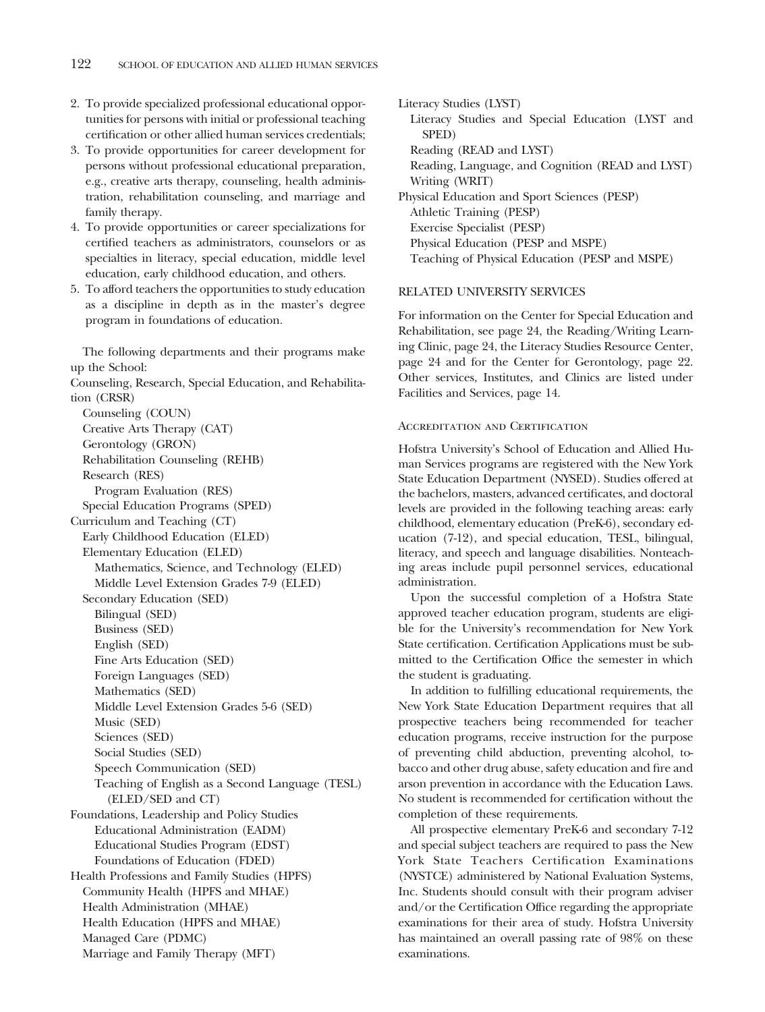- 2. To provide specialized professional educational opportunities for persons with initial or professional teaching certification or other allied human services credentials;
- 3. To provide opportunities for career development for persons without professional educational preparation, e.g., creative arts therapy, counseling, health administration, rehabilitation counseling, and marriage and family therapy.
- 4. To provide opportunities or career specializations for certified teachers as administrators, counselors or as specialties in literacy, special education, middle level education, early childhood education, and others.
- 5. To afford teachers the opportunities to study education as a discipline in depth as in the master's degree program in foundations of education.

The following departments and their programs make up the School:

Counseling, Research, Special Education, and Rehabilitation (CRSR) Counseling (COUN) Creative Arts Therapy (CAT)

Gerontology (GRON) Rehabilitation Counseling (REHB) Research (RES) Program Evaluation (RES) Special Education Programs (SPED) Curriculum and Teaching (CT) Early Childhood Education (ELED) Elementary Education (ELED) Mathematics, Science, and Technology (ELED) Middle Level Extension Grades 7-9 (ELED) Secondary Education (SED) Bilingual (SED) Business (SED) English (SED) Fine Arts Education (SED) Foreign Languages (SED) Mathematics (SED) Middle Level Extension Grades 5-6 (SED) Music (SED) Sciences (SED) Social Studies (SED) Speech Communication (SED) Teaching of English as a Second Language (TESL) (ELED/SED and CT) Foundations, Leadership and Policy Studies Educational Administration (EADM) Educational Studies Program (EDST) Foundations of Education (FDED) Health Professions and Family Studies (HPFS) Community Health (HPFS and MHAE) Health Administration (MHAE) Health Education (HPFS and MHAE) Managed Care (PDMC) Marriage and Family Therapy (MFT)

Literacy Studies (LYST) Literacy Studies and Special Education (LYST and SPED) Reading (READ and LYST) Reading, Language, and Cognition (READ and LYST) Writing (WRIT) Physical Education and Sport Sciences (PESP) Athletic Training (PESP) Exercise Specialist (PESP) Physical Education (PESP and MSPE) Teaching of Physical Education (PESP and MSPE)

### RELATED UNIVERSITY SERVICES

For information on the Center for Special Education and Rehabilitation, see page 24, the Reading/Writing Learning Clinic, page 24, the Literacy Studies Resource Center, page 24 and for the Center for Gerontology, page 22. Other services, Institutes, and Clinics are listed under Facilities and Services, page 14.

### Accreditation and Certification

Hofstra University's School of Education and Allied Human Services programs are registered with the New York State Education Department (NYSED). Studies offered at the bachelors, masters, advanced certificates, and doctoral levels are provided in the following teaching areas: early childhood, elementary education (PreK-6), secondary education (7-12), and special education, TESL, bilingual, literacy, and speech and language disabilities. Nonteaching areas include pupil personnel services, educational administration.

Upon the successful completion of a Hofstra State approved teacher education program, students are eligible for the University's recommendation for New York State certification. Certification Applications must be submitted to the Certification Office the semester in which the student is graduating.

In addition to fulfilling educational requirements, the New York State Education Department requires that all prospective teachers being recommended for teacher education programs, receive instruction for the purpose of preventing child abduction, preventing alcohol, tobacco and other drug abuse, safety education and fire and arson prevention in accordance with the Education Laws. No student is recommended for certification without the completion of these requirements.

All prospective elementary PreK-6 and secondary 7-12 and special subject teachers are required to pass the New York State Teachers Certification Examinations (NYSTCE) administered by National Evaluation Systems, Inc. Students should consult with their program adviser and/or the Certification Office regarding the appropriate examinations for their area of study. Hofstra University has maintained an overall passing rate of 98% on these examinations.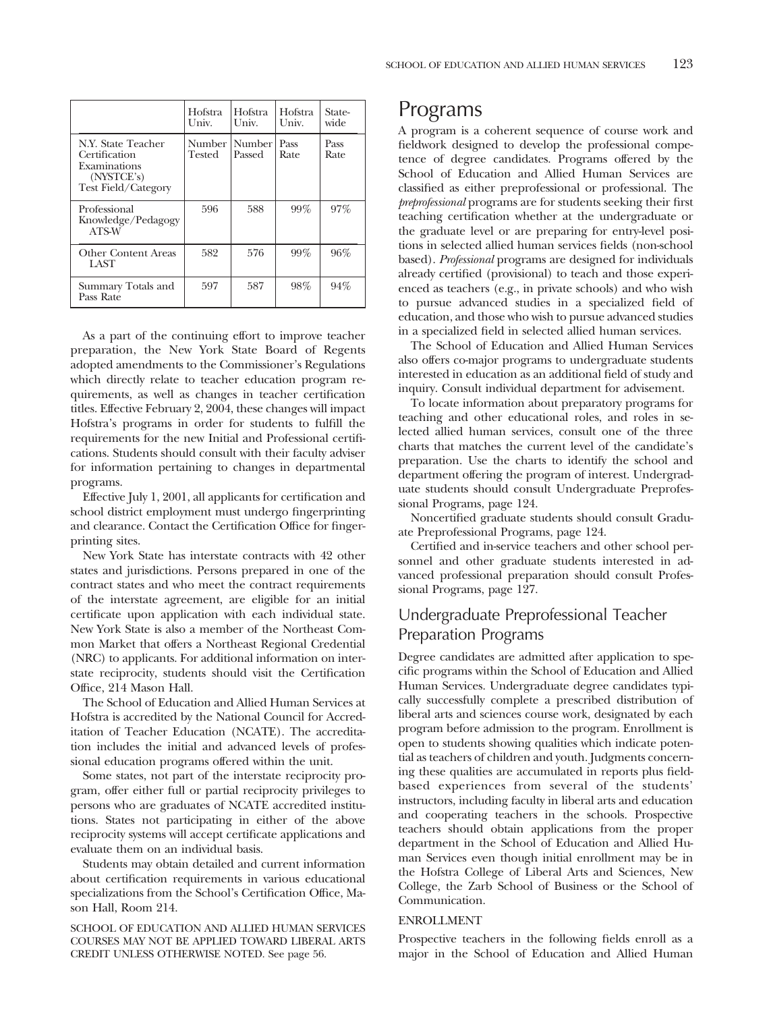| 123 |
|-----|
|     |

|                                                                                                          | Hofstra<br>Univ. | Hofstra<br>Univ. | Hofstra<br>Univ. | State-<br>wide |
|----------------------------------------------------------------------------------------------------------|------------------|------------------|------------------|----------------|
| N.Y. State Teacher<br>Certification<br>Examinations<br>$(N\text{VSTCE's})$<br><b>Test Field/Category</b> | Number<br>Tested | Number<br>Passed | Pass<br>Rate     | Pass<br>Rate   |
| Professional<br>Knowledge/Pedagogy<br>ATS-W                                                              | 596              | 588              | 99%              | 97%            |
| Other Content Areas<br>LAST                                                                              | 582              | 576              | 99%              | 96%            |
| Summary Totals and<br>Pass Rate                                                                          | 597              | 587              | 98%              | 94%            |

As a part of the continuing effort to improve teacher preparation, the New York State Board of Regents adopted amendments to the Commissioner's Regulations which directly relate to teacher education program requirements, as well as changes in teacher certification titles. Effective February 2, 2004, these changes will impact Hofstra's programs in order for students to fulfill the requirements for the new Initial and Professional certifications. Students should consult with their faculty adviser for information pertaining to changes in departmental programs.

Effective July 1, 2001, all applicants for certification and school district employment must undergo fingerprinting and clearance. Contact the Certification Office for fingerprinting sites.

New York State has interstate contracts with 42 other states and jurisdictions. Persons prepared in one of the contract states and who meet the contract requirements of the interstate agreement, are eligible for an initial certificate upon application with each individual state. New York State is also a member of the Northeast Common Market that offers a Northeast Regional Credential (NRC) to applicants. For additional information on interstate reciprocity, students should visit the Certification Office, 214 Mason Hall.

The School of Education and Allied Human Services at Hofstra is accredited by the National Council for Accreditation of Teacher Education (NCATE). The accreditation includes the initial and advanced levels of professional education programs offered within the unit.

Some states, not part of the interstate reciprocity program, offer either full or partial reciprocity privileges to persons who are graduates of NCATE accredited institutions. States not participating in either of the above reciprocity systems will accept certificate applications and evaluate them on an individual basis.

Students may obtain detailed and current information about certification requirements in various educational specializations from the School's Certification Office, Mason Hall, Room 214.

SCHOOL OF EDUCATION AND ALLIED HUMAN SERVICES COURSES MAY NOT BE APPLIED TOWARD LIBERAL ARTS CREDIT UNLESS OTHERWISE NOTED. See page 56.

### Programs

A program is a coherent sequence of course work and fieldwork designed to develop the professional competence of degree candidates. Programs offered by the School of Education and Allied Human Services are classified as either preprofessional or professional. The *preprofessional* programs are for students seeking their first teaching certification whether at the undergraduate or the graduate level or are preparing for entry-level positions in selected allied human services fields (non-school based). *Professional* programs are designed for individuals already certified (provisional) to teach and those experienced as teachers (e.g., in private schools) and who wish to pursue advanced studies in a specialized field of education, and those who wish to pursue advanced studies in a specialized field in selected allied human services.

The School of Education and Allied Human Services also offers co-major programs to undergraduate students interested in education as an additional field of study and inquiry. Consult individual department for advisement.

To locate information about preparatory programs for teaching and other educational roles, and roles in selected allied human services, consult one of the three charts that matches the current level of the candidate's preparation. Use the charts to identify the school and department offering the program of interest. Undergraduate students should consult Undergraduate Preprofessional Programs, page 124.

Noncertified graduate students should consult Graduate Preprofessional Programs, page 124.

Certified and in-service teachers and other school personnel and other graduate students interested in advanced professional preparation should consult Professional Programs, page 127.

### Undergraduate Preprofessional Teacher Preparation Programs

Degree candidates are admitted after application to specific programs within the School of Education and Allied Human Services. Undergraduate degree candidates typically successfully complete a prescribed distribution of liberal arts and sciences course work, designated by each program before admission to the program. Enrollment is open to students showing qualities which indicate potential as teachers of children and youth. Judgments concerning these qualities are accumulated in reports plus fieldbased experiences from several of the students' instructors, including faculty in liberal arts and education and cooperating teachers in the schools. Prospective teachers should obtain applications from the proper department in the School of Education and Allied Human Services even though initial enrollment may be in the Hofstra College of Liberal Arts and Sciences, New College, the Zarb School of Business or the School of Communication.

### ENROLLMENT

Prospective teachers in the following fields enroll as a major in the School of Education and Allied Human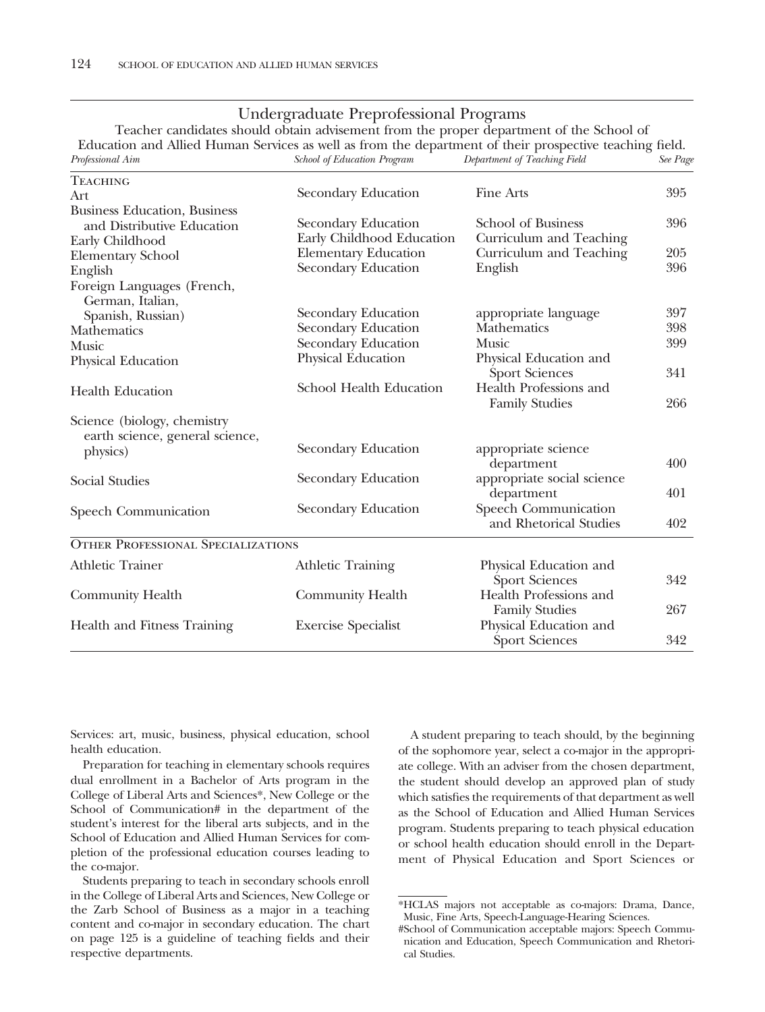### Undergraduate Preprofessional Programs

Teacher candidates should obtain advisement from the proper department of the School of Education and Allied Human Services as well as from the department of their prospective teaching field.<br>Professional Aim See Page School of Education Program Department of Teaching Field See Page *Pebartment of Teaching Field* 

| <b>TEACHING</b>                                                |                             |                                                 |     |
|----------------------------------------------------------------|-----------------------------|-------------------------------------------------|-----|
| Art                                                            | Secondary Education         | Fine Arts                                       | 395 |
| <b>Business Education</b> , Business                           |                             |                                                 |     |
| and Distributive Education                                     | Secondary Education         | School of Business                              | 396 |
| Early Childhood                                                | Early Childhood Education   | Curriculum and Teaching                         |     |
| <b>Elementary School</b>                                       | <b>Elementary Education</b> | Curriculum and Teaching                         | 205 |
| English                                                        | Secondary Education         | English                                         | 396 |
| Foreign Languages (French,<br>German, Italian,                 |                             |                                                 |     |
| Spanish, Russian)                                              | Secondary Education         | appropriate language                            | 397 |
| Mathematics                                                    | Secondary Education         | Mathematics                                     | 398 |
| Music                                                          | Secondary Education         | <b>Music</b>                                    | 399 |
| Physical Education                                             | Physical Education          | Physical Education and<br><b>Sport Sciences</b> | 341 |
| <b>Health Education</b>                                        | School Health Education     | Health Professions and<br><b>Family Studies</b> | 266 |
| Science (biology, chemistry<br>earth science, general science, |                             |                                                 |     |
| physics)                                                       | Secondary Education         | appropriate science<br>department               | 400 |
| <b>Social Studies</b>                                          | Secondary Education         | appropriate social science<br>department        | 401 |
| Speech Communication                                           | Secondary Education         | Speech Communication<br>and Rhetorical Studies  | 402 |
| <b>OTHER PROFESSIONAL SPECIALIZATIONS</b>                      |                             |                                                 |     |
| <b>Athletic Trainer</b>                                        | <b>Athletic Training</b>    | Physical Education and<br><b>Sport Sciences</b> | 342 |
| Community Health                                               | <b>Community Health</b>     | Health Professions and<br><b>Family Studies</b> | 267 |
| Health and Fitness Training                                    | <b>Exercise Specialist</b>  | Physical Education and<br><b>Sport Sciences</b> | 342 |

Services: art, music, business, physical education, school health education.

Preparation for teaching in elementary schools requires dual enrollment in a Bachelor of Arts program in the College of Liberal Arts and Sciences\*, New College or the School of Communication# in the department of the student's interest for the liberal arts subjects, and in the School of Education and Allied Human Services for completion of the professional education courses leading to the co-major.

Students preparing to teach in secondary schools enroll in the College of Liberal Arts and Sciences, New College or the Zarb School of Business as a major in a teaching content and co-major in secondary education. The chart on page 125 is a guideline of teaching fields and their respective departments.

A student preparing to teach should, by the beginning of the sophomore year, select a co-major in the appropriate college. With an adviser from the chosen department, the student should develop an approved plan of study which satisfies the requirements of that department as well as the School of Education and Allied Human Services program. Students preparing to teach physical education or school health education should enroll in the Department of Physical Education and Sport Sciences or

<sup>\*</sup>HCLAS majors not acceptable as co-majors: Drama, Dance, Music, Fine Arts, Speech-Language-Hearing Sciences.

<sup>#</sup>School of Communication acceptable majors: Speech Communication and Education, Speech Communication and Rhetorical Studies.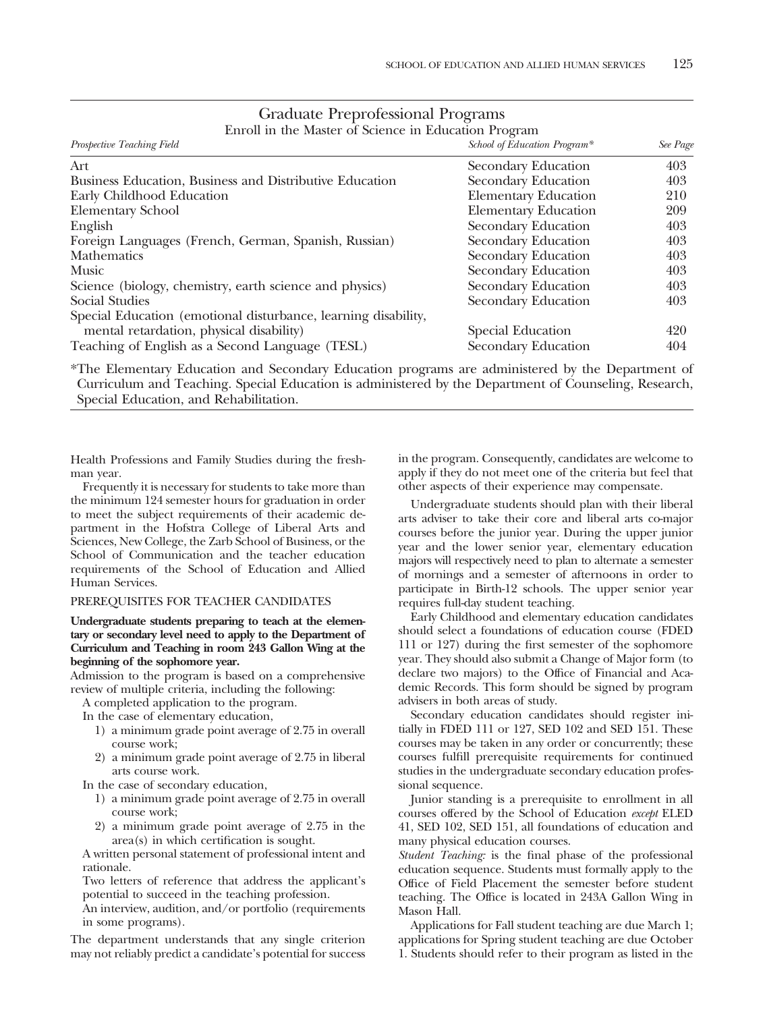| Prospective Teaching Field                                     | School of Education Program* | See Page |
|----------------------------------------------------------------|------------------------------|----------|
| Art                                                            | Secondary Education          | 403      |
| Business Education, Business and Distributive Education        | Secondary Education          | 403      |
| Early Childhood Education                                      | <b>Elementary Education</b>  | 210      |
| <b>Elementary School</b>                                       | <b>Elementary Education</b>  | 209      |
| English                                                        | Secondary Education          | 403      |
| Foreign Languages (French, German, Spanish, Russian)           | Secondary Education          | 403      |
| <b>Mathematics</b>                                             | Secondary Education          | 403      |
| <b>Music</b>                                                   | Secondary Education          | 403      |
| Science (biology, chemistry, earth science and physics)        | Secondary Education          | 403      |
| Social Studies                                                 | Secondary Education          | 403      |
| Special Education (emotional disturbance, learning disability, |                              |          |
| mental retardation, physical disability)                       | Special Education            | 420      |
| Teaching of English as a Second Language (TESL)                | Secondary Education          | 404      |

### Graduate Preprofessional Programs

Enroll in the Master of Science in Education Program

\*The Elementary Education and Secondary Education programs are administered by the Department of Curriculum and Teaching. Special Education is administered by the Department of Counseling, Research, Special Education, and Rehabilitation.

Health Professions and Family Studies during the freshman year.

Frequently it is necessary for students to take more than the minimum 124 semester hours for graduation in order to meet the subject requirements of their academic department in the Hofstra College of Liberal Arts and Sciences, New College, the Zarb School of Business, or the School of Communication and the teacher education requirements of the School of Education and Allied Human Services.

### PREREQUISITES FOR TEACHER CANDIDATES

### **Undergraduate students preparing to teach at the elementary or secondary level need to apply to the Department of Curriculum and Teaching in room 243 Gallon Wing at the beginning of the sophomore year.**

Admission to the program is based on a comprehensive review of multiple criteria, including the following:

A completed application to the program.

In the case of elementary education,

- 1) a minimum grade point average of 2.75 in overall course work;
- 2) a minimum grade point average of 2.75 in liberal arts course work.

In the case of secondary education,

- 1) a minimum grade point average of 2.75 in overall course work;
- 2) a minimum grade point average of 2.75 in the area(s) in which certification is sought.

A written personal statement of professional intent and rationale.

Two letters of reference that address the applicant's potential to succeed in the teaching profession.

An interview, audition, and/or portfolio (requirements in some programs).

The department understands that any single criterion may not reliably predict a candidate's potential for success in the program. Consequently, candidates are welcome to apply if they do not meet one of the criteria but feel that other aspects of their experience may compensate.

Undergraduate students should plan with their liberal arts adviser to take their core and liberal arts co-major courses before the junior year. During the upper junior year and the lower senior year, elementary education majors will respectively need to plan to alternate a semester of mornings and a semester of afternoons in order to participate in Birth-12 schools. The upper senior year requires full-day student teaching.

Early Childhood and elementary education candidates should select a foundations of education course (FDED 111 or 127) during the first semester of the sophomore year. They should also submit a Change of Major form (to declare two majors) to the Office of Financial and Academic Records. This form should be signed by program advisers in both areas of study.

Secondary education candidates should register initially in FDED 111 or 127, SED 102 and SED 151. These courses may be taken in any order or concurrently; these courses fulfill prerequisite requirements for continued studies in the undergraduate secondary education professional sequence.

Junior standing is a prerequisite to enrollment in all courses offered by the School of Education *except* ELED 41, SED 102, SED 151, all foundations of education and many physical education courses.

*Student Teaching:* is the final phase of the professional education sequence. Students must formally apply to the Office of Field Placement the semester before student teaching. The Office is located in 243A Gallon Wing in Mason Hall.

Applications for Fall student teaching are due March 1; applications for Spring student teaching are due October 1. Students should refer to their program as listed in the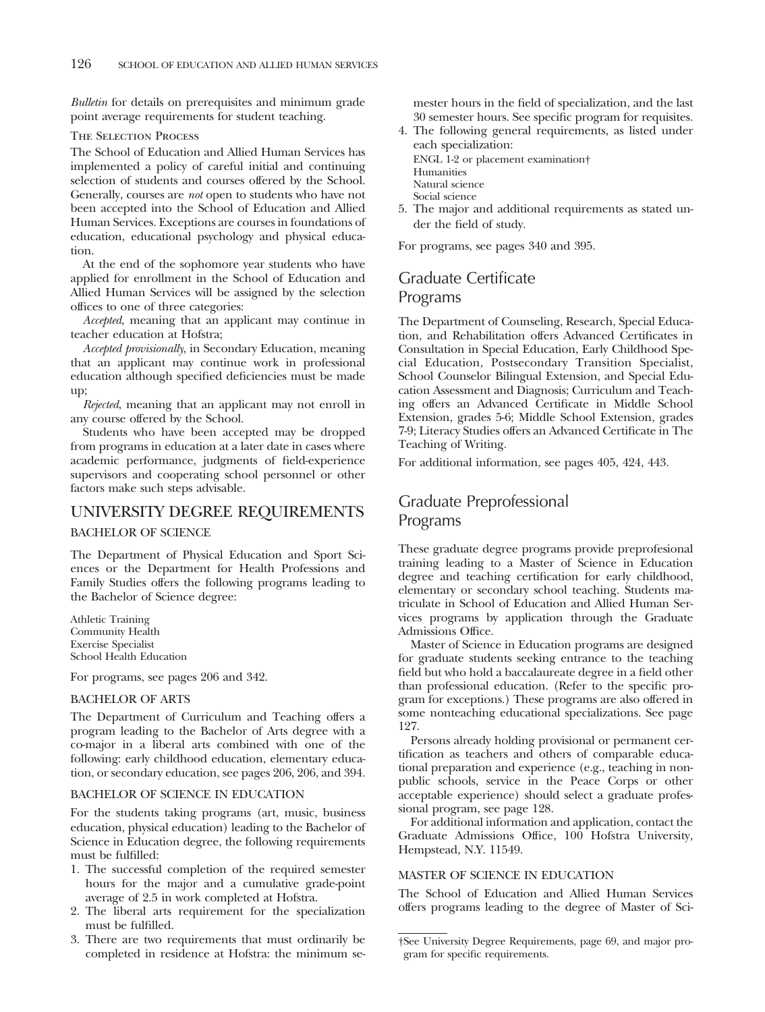*Bulletin* for details on prerequisites and minimum grade point average requirements for student teaching.

### The Selection Process

The School of Education and Allied Human Services has implemented a policy of careful initial and continuing selection of students and courses offered by the School. Generally, courses are *not* open to students who have not been accepted into the School of Education and Allied Human Services. Exceptions are courses in foundations of education, educational psychology and physical education.

At the end of the sophomore year students who have applied for enrollment in the School of Education and Allied Human Services will be assigned by the selection offices to one of three categories:

*Accepted*, meaning that an applicant may continue in teacher education at Hofstra;

*Accepted provisionally*, in Secondary Education, meaning that an applicant may continue work in professional education although specified deficiencies must be made up;

*Rejected*, meaning that an applicant may not enroll in any course offered by the School.

Students who have been accepted may be dropped from programs in education at a later date in cases where academic performance, judgments of field-experience supervisors and cooperating school personnel or other factors make such steps advisable.

### UNIVERSITY DEGREE REQUIREMENTS BACHELOR OF SCIENCE

The Department of Physical Education and Sport Sciences or the Department for Health Professions and Family Studies offers the following programs leading to the Bachelor of Science degree:

Athletic Training Community Health Exercise Specialist School Health Education

For programs, see pages 206 and 342.

### BACHELOR OF ARTS

The Department of Curriculum and Teaching offers a program leading to the Bachelor of Arts degree with a co-major in a liberal arts combined with one of the following: early childhood education, elementary education, or secondary education, see pages 206, 206, and 394.

### BACHELOR OF SCIENCE IN EDUCATION

For the students taking programs (art, music, business education, physical education) leading to the Bachelor of Science in Education degree, the following requirements must be fulfilled:

- 1. The successful completion of the required semester hours for the major and a cumulative grade-point average of 2.5 in work completed at Hofstra.
- 2. The liberal arts requirement for the specialization must be fulfilled.
- 3. There are two requirements that must ordinarily be completed in residence at Hofstra: the minimum se-

mester hours in the field of specialization, and the last 30 semester hours. See specific program for requisites.

- 4. The following general requirements, as listed under each specialization: ENGL 1-2 or placement examination† Humanities Natural science
	- Social science
- 5. The major and additional requirements as stated under the field of study.

For programs, see pages 340 and 395.

### Graduate Certificate Programs

The Department of Counseling, Research, Special Education, and Rehabilitation offers Advanced Certificates in Consultation in Special Education, Early Childhood Special Education, Postsecondary Transition Specialist, School Counselor Bilingual Extension, and Special Education Assessment and Diagnosis; Curriculum and Teaching offers an Advanced Certificate in Middle School Extension, grades 5-6; Middle School Extension, grades 7-9; Literacy Studies offers an Advanced Certificate in The Teaching of Writing.

For additional information, see pages 405, 424, 443.

### Graduate Preprofessional Programs

These graduate degree programs provide preprofesional training leading to a Master of Science in Education degree and teaching certification for early childhood, elementary or secondary school teaching. Students matriculate in School of Education and Allied Human Services programs by application through the Graduate Admissions Office.

Master of Science in Education programs are designed for graduate students seeking entrance to the teaching field but who hold a baccalaureate degree in a field other than professional education. (Refer to the specific program for exceptions.) These programs are also offered in some nonteaching educational specializations. See page 127.

Persons already holding provisional or permanent certification as teachers and others of comparable educational preparation and experience (e.g., teaching in nonpublic schools, service in the Peace Corps or other acceptable experience) should select a graduate professional program, see page 128.

For additional information and application, contact the Graduate Admissions Office, 100 Hofstra University, Hempstead, N.Y. 11549.

### MASTER OF SCIENCE IN EDUCATION

The School of Education and Allied Human Services offers programs leading to the degree of Master of Sci-

<sup>†</sup>See University Degree Requirements, page 69, and major program for specific requirements.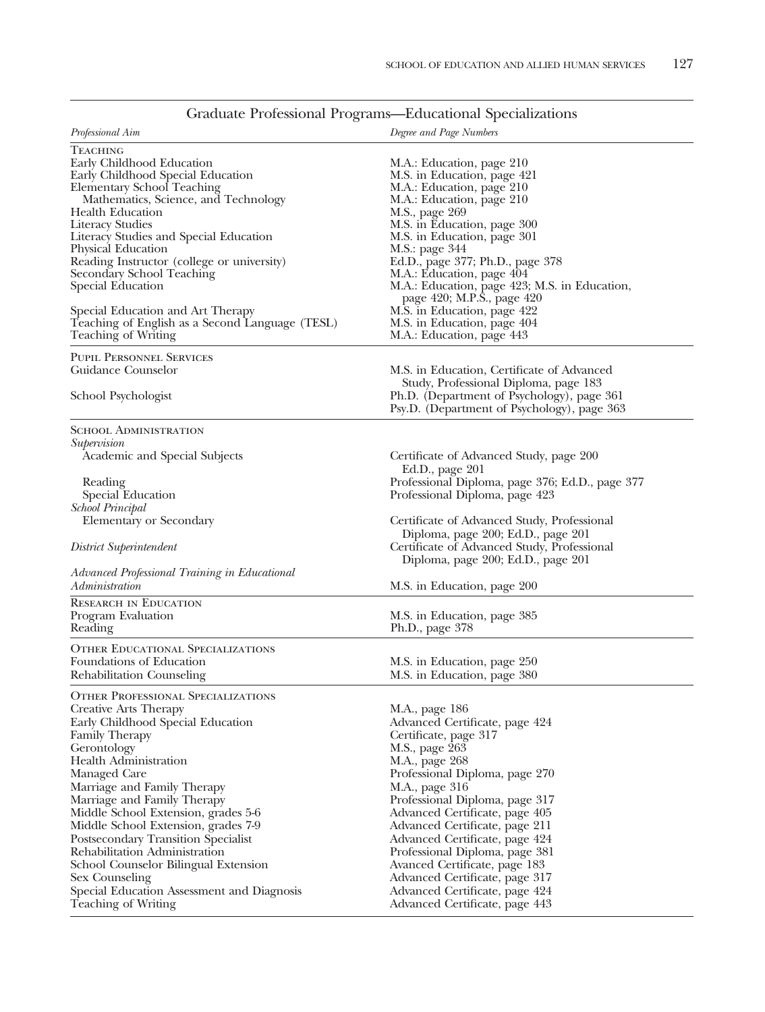| <i>Professional Aim</i>                                                                                                                                                                                                                                                                                                                                                                                                                                                                                                                            | Degree and Page Numbers                                                                                                                                                                                                                                                                                                                                                                                                                                                            |
|----------------------------------------------------------------------------------------------------------------------------------------------------------------------------------------------------------------------------------------------------------------------------------------------------------------------------------------------------------------------------------------------------------------------------------------------------------------------------------------------------------------------------------------------------|------------------------------------------------------------------------------------------------------------------------------------------------------------------------------------------------------------------------------------------------------------------------------------------------------------------------------------------------------------------------------------------------------------------------------------------------------------------------------------|
| TEACHING<br>Early Childhood Education<br>Early Childhood Special Education<br>Elementary School Teaching<br>Mathematics, Science, and Technology<br><b>Health Education</b><br><b>Literacy Studies</b><br>Literacy Studies and Special Education<br>Physical Education<br>Reading Instructor (college or university)<br>Secondary School Teaching<br>Special Education<br>Special Education and Art Therapy<br>Teaching of English as a Second Language (TESL)                                                                                     | M.A.: Education, page 210<br>M.S. in Education, page 421<br>M.A.: Education, page 210<br>M.A.: Education, page 210<br>M.S., page 269<br>M.S. in Education, page 300<br>M.S. in Education, page 301<br>M.S.: page 344<br>Ed.D., page 377; Ph.D., page 378<br>M.A.: Education, page 404<br>M.A.: Education, page 423; M.S. in Education,<br>page 420; M.P.S., page 420<br>M.S. in Education, page 422<br>M.S. in Education, page 404                                                 |
| Teaching of Writing                                                                                                                                                                                                                                                                                                                                                                                                                                                                                                                                | M.A.: Education, page 443                                                                                                                                                                                                                                                                                                                                                                                                                                                          |
| <b>PUPIL PERSONNEL SERVICES</b><br>Guidance Counselor<br>School Psychologist                                                                                                                                                                                                                                                                                                                                                                                                                                                                       | M.S. in Education, Certificate of Advanced<br>Study, Professional Diploma, page 183<br>Ph.D. (Department of Psychology), page 361<br>Psy.D. (Department of Psychology), page 363                                                                                                                                                                                                                                                                                                   |
| <b>SCHOOL ADMINISTRATION</b>                                                                                                                                                                                                                                                                                                                                                                                                                                                                                                                       |                                                                                                                                                                                                                                                                                                                                                                                                                                                                                    |
| Supervision<br>Academic and Special Subjects<br>Reading<br>Special Education                                                                                                                                                                                                                                                                                                                                                                                                                                                                       | Certificate of Advanced Study, page 200<br>Ed.D., page 201<br>Professional Diploma, page 376; Ed.D., page 377<br>Professional Diploma, page 423                                                                                                                                                                                                                                                                                                                                    |
| <b>School Principal</b><br>Elementary or Secondary<br>District Superintendent                                                                                                                                                                                                                                                                                                                                                                                                                                                                      | Certificate of Advanced Study, Professional<br>Diploma, page 200; Ed.D., page 201<br>Certificate of Advanced Study, Professional<br>Diploma, page 200; Ed.D., page 201                                                                                                                                                                                                                                                                                                             |
| Advanced Professional Training in Educational<br>Administration                                                                                                                                                                                                                                                                                                                                                                                                                                                                                    | M.S. in Education, page 200                                                                                                                                                                                                                                                                                                                                                                                                                                                        |
| <b>RESEARCH IN EDUCATION</b><br>Program Evaluation<br>Reading                                                                                                                                                                                                                                                                                                                                                                                                                                                                                      | M.S. in Education, page 385<br>Ph.D., page 378                                                                                                                                                                                                                                                                                                                                                                                                                                     |
| <b>OTHER EDUCATIONAL SPECIALIZATIONS</b><br>Foundations of Education<br>Rehabilitation Counseling                                                                                                                                                                                                                                                                                                                                                                                                                                                  | M.S. in Education, page 250<br>M.S. in Education, page 380                                                                                                                                                                                                                                                                                                                                                                                                                         |
| <b>OTHER PROFESSIONAL SPECIALIZATIONS</b><br>Creative Arts Therapy<br>Early Childhood Special Education<br><b>Family Therapy</b><br>Gerontology<br><b>Health Administration</b><br>Managed Care<br>Marriage and Family Therapy<br>Marriage and Family Therapy<br>Middle School Extension, grades 5-6<br>Middle School Extension, grades 7-9<br>Postsecondary Transition Specialist<br>Rehabilitation Administration<br>School Counselor Bilingual Extension<br>Sex Counseling<br>Special Education Assessment and Diagnosis<br>Teaching of Writing | M.A., page 186<br>Advanced Certificate, page 424<br>Certificate, page 317<br>M.S., page 263<br>M.A., page 268<br>Professional Diploma, page 270<br>M.A., page 316<br>Professional Diploma, page 317<br>Advanced Certificate, page 405<br>Advanced Certificate, page 211<br>Advanced Certificate, page 424<br>Professional Diploma, page 381<br>Avanced Certificate, page 183<br>Advanced Certificate, page 317<br>Advanced Certificate, page 424<br>Advanced Certificate, page 443 |

### Graduate Professional Programs—Educational Specializations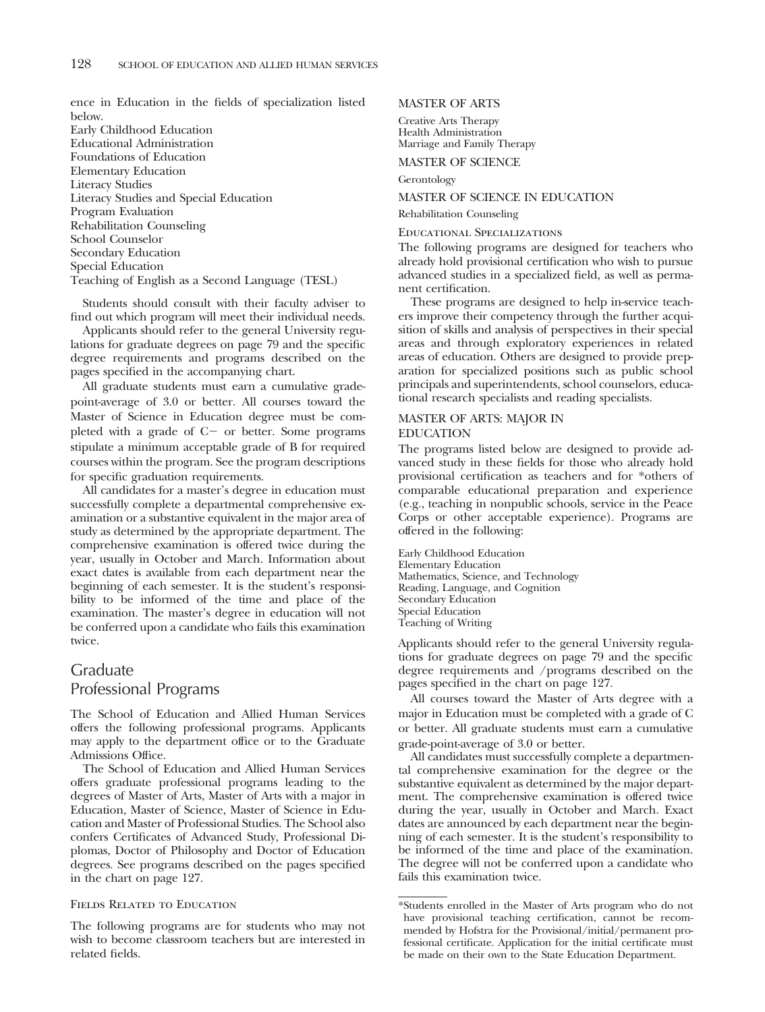ence in Education in the fields of specialization listed below.

Early Childhood Education Educational Administration Foundations of Education Elementary Education Literacy Studies Literacy Studies and Special Education Program Evaluation Rehabilitation Counseling School Counselor Secondary Education Special Education Teaching of English as a Second Language (TESL)

Students should consult with their faculty adviser to find out which program will meet their individual needs.

Applicants should refer to the general University regulations for graduate degrees on page 79 and the specific degree requirements and programs described on the pages specified in the accompanying chart.

All graduate students must earn a cumulative gradepoint-average of 3.0 or better. All courses toward the Master of Science in Education degree must be completed with a grade of  $C-$  or better. Some programs stipulate a minimum acceptable grade of B for required courses within the program. See the program descriptions for specific graduation requirements.

All candidates for a master's degree in education must successfully complete a departmental comprehensive examination or a substantive equivalent in the major area of study as determined by the appropriate department. The comprehensive examination is offered twice during the year, usually in October and March. Information about exact dates is available from each department near the beginning of each semester. It is the student's responsibility to be informed of the time and place of the examination. The master's degree in education will not be conferred upon a candidate who fails this examination twice.

### Graduate Professional Programs

The School of Education and Allied Human Services offers the following professional programs. Applicants may apply to the department office or to the Graduate Admissions Office.

The School of Education and Allied Human Services offers graduate professional programs leading to the degrees of Master of Arts, Master of Arts with a major in Education, Master of Science, Master of Science in Education and Master of Professional Studies. The School also confers Certificates of Advanced Study, Professional Diplomas, Doctor of Philosophy and Doctor of Education degrees. See programs described on the pages specified in the chart on page 127.

### Fields Related to Education

The following programs are for students who may not wish to become classroom teachers but are interested in related fields.

MASTER OF ARTS

Creative Arts Therapy Health Administration Marriage and Family Therapy

MASTER OF SCIENCE

Gerontology

#### MASTER OF SCIENCE IN EDUCATION

Rehabilitation Counseling

Educational Specializations

The following programs are designed for teachers who already hold provisional certification who wish to pursue advanced studies in a specialized field, as well as permanent certification.

These programs are designed to help in-service teachers improve their competency through the further acquisition of skills and analysis of perspectives in their special areas and through exploratory experiences in related areas of education. Others are designed to provide preparation for specialized positions such as public school principals and superintendents, school counselors, educational research specialists and reading specialists.

### MASTER OF ARTS: MAJOR IN EDUCATION

The programs listed below are designed to provide advanced study in these fields for those who already hold provisional certification as teachers and for \*others of comparable educational preparation and experience (e.g., teaching in nonpublic schools, service in the Peace Corps or other acceptable experience). Programs are offered in the following:

Early Childhood Education Elementary Education Mathematics, Science, and Technology Reading, Language, and Cognition Secondary Education Special Education Teaching of Writing

Applicants should refer to the general University regulations for graduate degrees on page 79 and the specific degree requirements and /programs described on the pages specified in the chart on page 127.

All courses toward the Master of Arts degree with a major in Education must be completed with a grade of C or better. All graduate students must earn a cumulative grade-point-average of 3.0 or better.

All candidates must successfully complete a departmental comprehensive examination for the degree or the substantive equivalent as determined by the major department. The comprehensive examination is offered twice during the year, usually in October and March. Exact dates are announced by each department near the beginning of each semester. It is the student's responsibility to be informed of the time and place of the examination. The degree will not be conferred upon a candidate who fails this examination twice.

<sup>\*</sup>Students enrolled in the Master of Arts program who do not have provisional teaching certification, cannot be recommended by Hofstra for the Provisional/initial/permanent professional certificate. Application for the initial certificate must be made on their own to the State Education Department.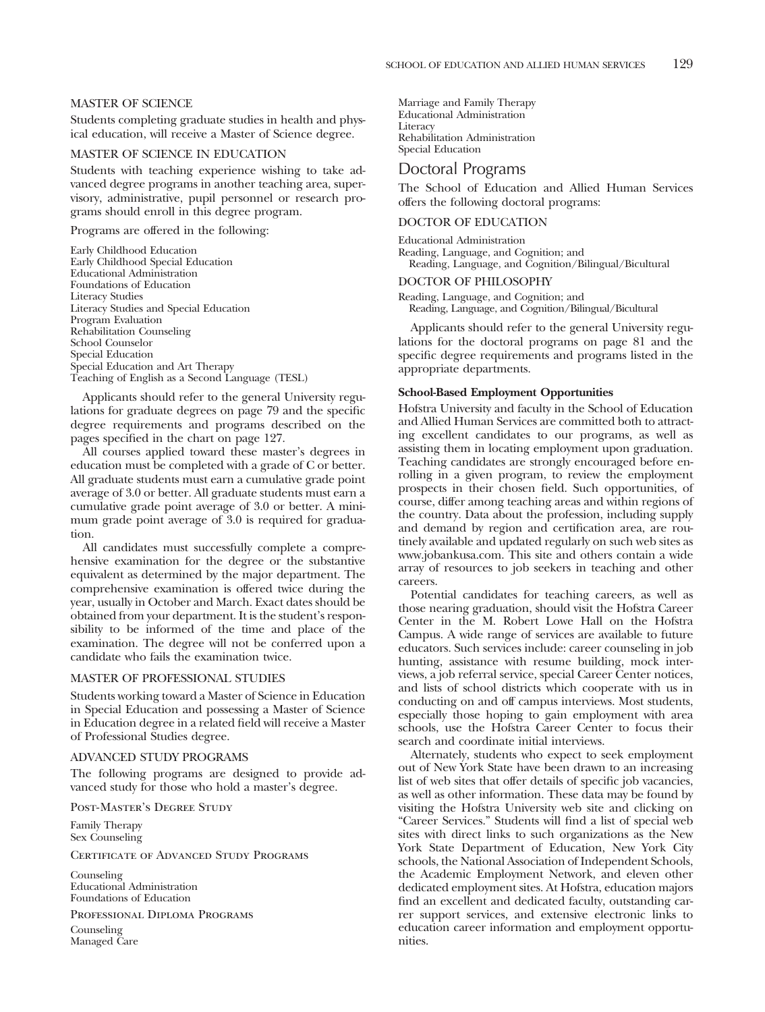### MASTER OF SCIENCE

Students completing graduate studies in health and physical education, will receive a Master of Science degree.

### MASTER OF SCIENCE IN EDUCATION

Students with teaching experience wishing to take advanced degree programs in another teaching area, supervisory, administrative, pupil personnel or research programs should enroll in this degree program.

Programs are offered in the following:

Early Childhood Education Early Childhood Special Education Educational Administration Foundations of Education Literacy Studies Literacy Studies and Special Education Program Evaluation Rehabilitation Counseling School Counselor Special Education Special Education and Art Therapy Teaching of English as a Second Language (TESL)

Applicants should refer to the general University regulations for graduate degrees on page 79 and the specific degree requirements and programs described on the pages specified in the chart on page 127.

All courses applied toward these master's degrees in education must be completed with a grade of C or better. All graduate students must earn a cumulative grade point average of 3.0 or better. All graduate students must earn a cumulative grade point average of 3.0 or better. A minimum grade point average of 3.0 is required for graduation.

All candidates must successfully complete a comprehensive examination for the degree or the substantive equivalent as determined by the major department. The comprehensive examination is offered twice during the year, usually in October and March. Exact dates should be obtained from your department. It is the student's responsibility to be informed of the time and place of the examination. The degree will not be conferred upon a candidate who fails the examination twice.

### MASTER OF PROFESSIONAL STUDIES

Students working toward a Master of Science in Education in Special Education and possessing a Master of Science in Education degree in a related field will receive a Master of Professional Studies degree.

#### ADVANCED STUDY PROGRAMS

The following programs are designed to provide advanced study for those who hold a master's degree.

Post-Master's Degree Study

Family Therapy Sex Counseling

Certificate of Advanced Study Programs

Counseling Educational Administration Foundations of Education

Professional Diploma Programs

Counseling Managed Care Marriage and Family Therapy Educational Administration **Literacy** Rehabilitation Administration Special Education

### Doctoral Programs

The School of Education and Allied Human Services offers the following doctoral programs:

#### DOCTOR OF EDUCATION

Educational Administration Reading, Language, and Cognition; and Reading, Language, and Cognition/Bilingual/Bicultural

#### DOCTOR OF PHILOSOPHY

Reading, Language, and Cognition; and Reading, Language, and Cognition/Bilingual/Bicultural

Applicants should refer to the general University regulations for the doctoral programs on page 81 and the specific degree requirements and programs listed in the appropriate departments.

#### **School-Based Employment Opportunities**

Hofstra University and faculty in the School of Education and Allied Human Services are committed both to attracting excellent candidates to our programs, as well as assisting them in locating employment upon graduation. Teaching candidates are strongly encouraged before enrolling in a given program, to review the employment prospects in their chosen field. Such opportunities, of course, differ among teaching areas and within regions of the country. Data about the profession, including supply and demand by region and certification area, are routinely available and updated regularly on such web sites as www.jobankusa.com. This site and others contain a wide array of resources to job seekers in teaching and other careers.

Potential candidates for teaching careers, as well as those nearing graduation, should visit the Hofstra Career Center in the M. Robert Lowe Hall on the Hofstra Campus. A wide range of services are available to future educators. Such services include: career counseling in job hunting, assistance with resume building, mock interviews, a job referral service, special Career Center notices, and lists of school districts which cooperate with us in conducting on and off campus interviews. Most students, especially those hoping to gain employment with area schools, use the Hofstra Career Center to focus their search and coordinate initial interviews.

Alternately, students who expect to seek employment out of New York State have been drawn to an increasing list of web sites that offer details of specific job vacancies, as well as other information. These data may be found by visiting the Hofstra University web site and clicking on "Career Services." Students will find a list of special web sites with direct links to such organizations as the New York State Department of Education, New York City schools, the National Association of Independent Schools, the Academic Employment Network, and eleven other dedicated employment sites. At Hofstra, education majors find an excellent and dedicated faculty, outstanding carrer support services, and extensive electronic links to education career information and employment opportunities.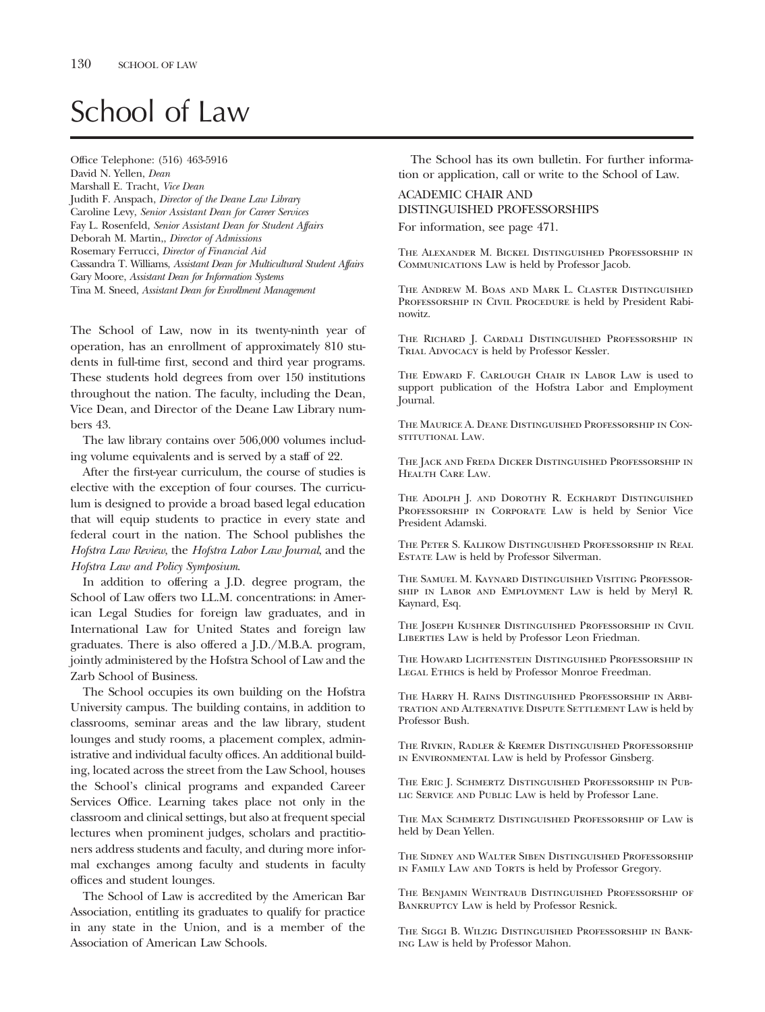# School of Law

Office Telephone: (516) 463-5916 David N. Yellen, *Dean* Marshall E. Tracht, *Vice Dean* Judith F. Anspach, *Director of the Deane Law Library* Caroline Levy, *Senior Assistant Dean for Career Services* Fay L. Rosenfeld, *Senior Assistant Dean for Student Affairs* Deborah M. Martin,, *Director of Admissions* Rosemary Ferrucci, *Director of Financial Aid* Cassandra T. Williams, *Assistant Dean for Multicultural Student Affairs* Gary Moore, *Assistant Dean for Information Systems* Tina M. Sneed, *Assistant Dean for Enrollment Management*

The School of Law, now in its twenty-ninth year of operation, has an enrollment of approximately 810 students in full-time first, second and third year programs. These students hold degrees from over 150 institutions throughout the nation. The faculty, including the Dean, Vice Dean, and Director of the Deane Law Library numbers 43.

The law library contains over 506,000 volumes including volume equivalents and is served by a staff of 22.

After the first-year curriculum, the course of studies is elective with the exception of four courses. The curriculum is designed to provide a broad based legal education that will equip students to practice in every state and federal court in the nation. The School publishes the *Hofstra Law Review*, the *Hofstra Labor Law Journal*, and the *Hofstra Law and Policy Symposium*.

In addition to offering a J.D. degree program, the School of Law offers two LL.M. concentrations: in American Legal Studies for foreign law graduates, and in International Law for United States and foreign law graduates. There is also offered a J.D./M.B.A. program, jointly administered by the Hofstra School of Law and the Zarb School of Business.

The School occupies its own building on the Hofstra University campus. The building contains, in addition to classrooms, seminar areas and the law library, student lounges and study rooms, a placement complex, administrative and individual faculty offices. An additional building, located across the street from the Law School, houses the School's clinical programs and expanded Career Services Office. Learning takes place not only in the classroom and clinical settings, but also at frequent special lectures when prominent judges, scholars and practitioners address students and faculty, and during more informal exchanges among faculty and students in faculty offices and student lounges.

The School of Law is accredited by the American Bar Association, entitling its graduates to qualify for practice in any state in the Union, and is a member of the Association of American Law Schools.

The School has its own bulletin. For further information or application, call or write to the School of Law.

### ACADEMIC CHAIR AND DISTINGUISHED PROFESSORSHIPS For information, see page 471.

The Alexander M. Bickel Distinguished Professorship in Communications Law is held by Professor Jacob.

The Andrew M. Boas and Mark L. Claster Distinguished PROFESSORSHIP IN CIVIL PROCEDURE is held by President Rabinowitz.

The Richard J. Cardali Distinguished Professorship in Trial Advocacy is held by Professor Kessler.

The Edward F. Carlough Chair in Labor Law is used to support publication of the Hofstra Labor and Employment Journal.

The Maurice A. Deane Distinguished Professorship in Constitutional Law.

The Jack and Freda Dicker Distinguished Professorship in Health Care Law.

The Adolph J. and Dorothy R. Eckhardt Distinguished PROFESSORSHIP IN CORPORATE LAW is held by Senior Vice President Adamski.

The Peter S. Kalikow Distinguished Professorship in Real Estate Law is held by Professor Silverman.

The Samuel M. Kaynard Distinguished Visiting Professorship in Labor and Employment Law is held by Meryl R. Kaynard, Esq.

The Joseph Kushner Distinguished Professorship in Civil LIBERTIES LAW is held by Professor Leon Friedman.

The Howard Lichtenstein Distinguished Professorship in LEGAL ETHICS is held by Professor Monroe Freedman.

The Harry H. Rains Distinguished Professorship in Arbitration and Alternative Dispute Settlement Law is held by Professor Bush.

The Rivkin, Radler & Kremer Distinguished Professorship in Environmental Law is held by Professor Ginsberg.

The Eric J. Schmertz Distinguished Professorship in Pub-LIC SERVICE AND PUBLIC LAW is held by Professor Lane.

The Max Schmertz Distinguished Professorship of Law is held by Dean Yellen.

The Sidney and Walter Siben Distinguished Professorship IN FAMILY LAW AND TORTS is held by Professor Gregory.

The Benjamin Weintraub Distinguished Professorship of BANKRUPTCY LAW is held by Professor Resnick.

The Siggi B. Wilzig Distinguished Professorship in Banking Law is held by Professor Mahon.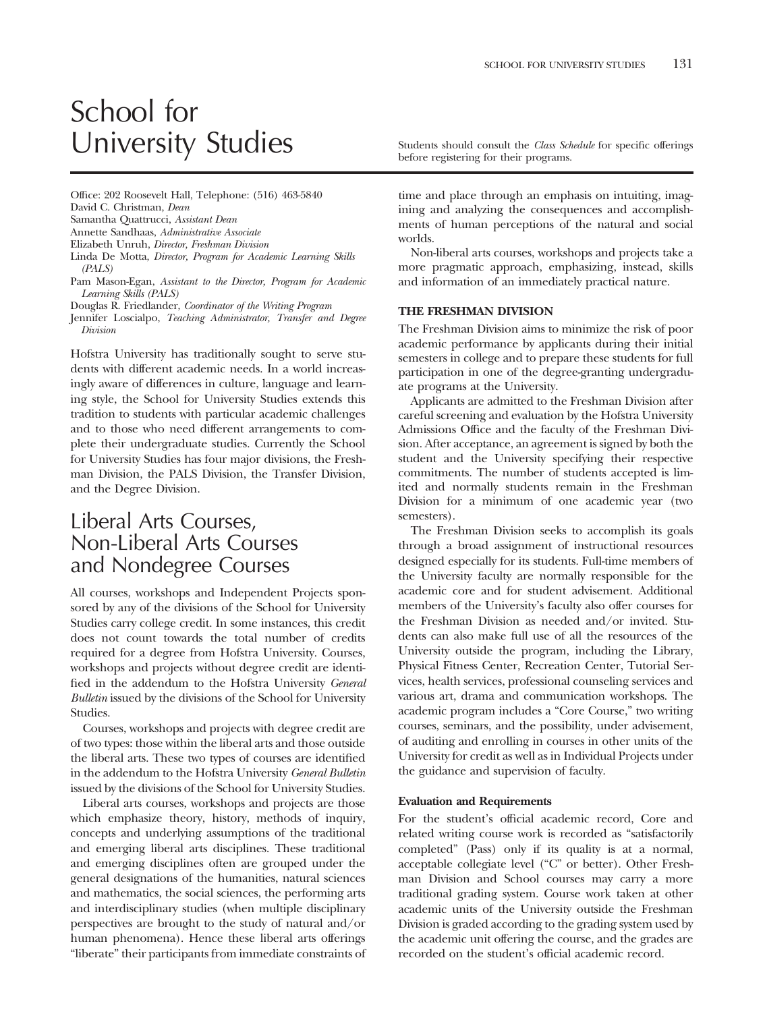# School for University Studies Studies Students should consult the *Class Schedule* for specific offerings

Office: 202 Roosevelt Hall, Telephone: (516) 463-5840 David C. Christman, *Dean*

Samantha Quattrucci, *Assistant Dean*

Annette Sandhaas, *Administrative Associate*

Elizabeth Unruh, *Director, Freshman Division*

Linda De Motta, *Director, Program for Academic Learning Skills (PALS)*

Pam Mason-Egan, *Assistant to the Director, Program for Academic Learning Skills (PALS)*

Douglas R. Friedlander, *Coordinator of the Writing Program*

Jennifer Loscialpo, *Teaching Administrator, Transfer and Degree Division*

Hofstra University has traditionally sought to serve students with different academic needs. In a world increasingly aware of differences in culture, language and learning style, the School for University Studies extends this tradition to students with particular academic challenges and to those who need different arrangements to complete their undergraduate studies. Currently the School for University Studies has four major divisions, the Freshman Division, the PALS Division, the Transfer Division, and the Degree Division.

### Liberal Arts Courses, Non-Liberal Arts Courses and Nondegree Courses

All courses, workshops and Independent Projects sponsored by any of the divisions of the School for University Studies carry college credit. In some instances, this credit does not count towards the total number of credits required for a degree from Hofstra University. Courses, workshops and projects without degree credit are identified in the addendum to the Hofstra University *General Bulletin* issued by the divisions of the School for University Studies.

Courses, workshops and projects with degree credit are of two types: those within the liberal arts and those outside the liberal arts. These two types of courses are identified in the addendum to the Hofstra University *General Bulletin* issued by the divisions of the School for University Studies.

Liberal arts courses, workshops and projects are those which emphasize theory, history, methods of inquiry, concepts and underlying assumptions of the traditional and emerging liberal arts disciplines. These traditional and emerging disciplines often are grouped under the general designations of the humanities, natural sciences and mathematics, the social sciences, the performing arts and interdisciplinary studies (when multiple disciplinary perspectives are brought to the study of natural and/or human phenomena). Hence these liberal arts offerings "liberate" their participants from immediate constraints of

before registering for their programs.

time and place through an emphasis on intuiting, imagining and analyzing the consequences and accomplishments of human perceptions of the natural and social worlds.

Non-liberal arts courses, workshops and projects take a more pragmatic approach, emphasizing, instead, skills and information of an immediately practical nature.

### **THE FRESHMAN DIVISION**

The Freshman Division aims to minimize the risk of poor academic performance by applicants during their initial semesters in college and to prepare these students for full participation in one of the degree-granting undergraduate programs at the University.

Applicants are admitted to the Freshman Division after careful screening and evaluation by the Hofstra University Admissions Office and the faculty of the Freshman Division. After acceptance, an agreement is signed by both the student and the University specifying their respective commitments. The number of students accepted is limited and normally students remain in the Freshman Division for a minimum of one academic year (two semesters).

The Freshman Division seeks to accomplish its goals through a broad assignment of instructional resources designed especially for its students. Full-time members of the University faculty are normally responsible for the academic core and for student advisement. Additional members of the University's faculty also offer courses for the Freshman Division as needed and/or invited. Students can also make full use of all the resources of the University outside the program, including the Library, Physical Fitness Center, Recreation Center, Tutorial Services, health services, professional counseling services and various art, drama and communication workshops. The academic program includes a "Core Course," two writing courses, seminars, and the possibility, under advisement, of auditing and enrolling in courses in other units of the University for credit as well as in Individual Projects under the guidance and supervision of faculty.

### **Evaluation and Requirements**

For the student's official academic record, Core and related writing course work is recorded as "satisfactorily completed" (Pass) only if its quality is at a normal, acceptable collegiate level ("C" or better). Other Freshman Division and School courses may carry a more traditional grading system. Course work taken at other academic units of the University outside the Freshman Division is graded according to the grading system used by the academic unit offering the course, and the grades are recorded on the student's official academic record.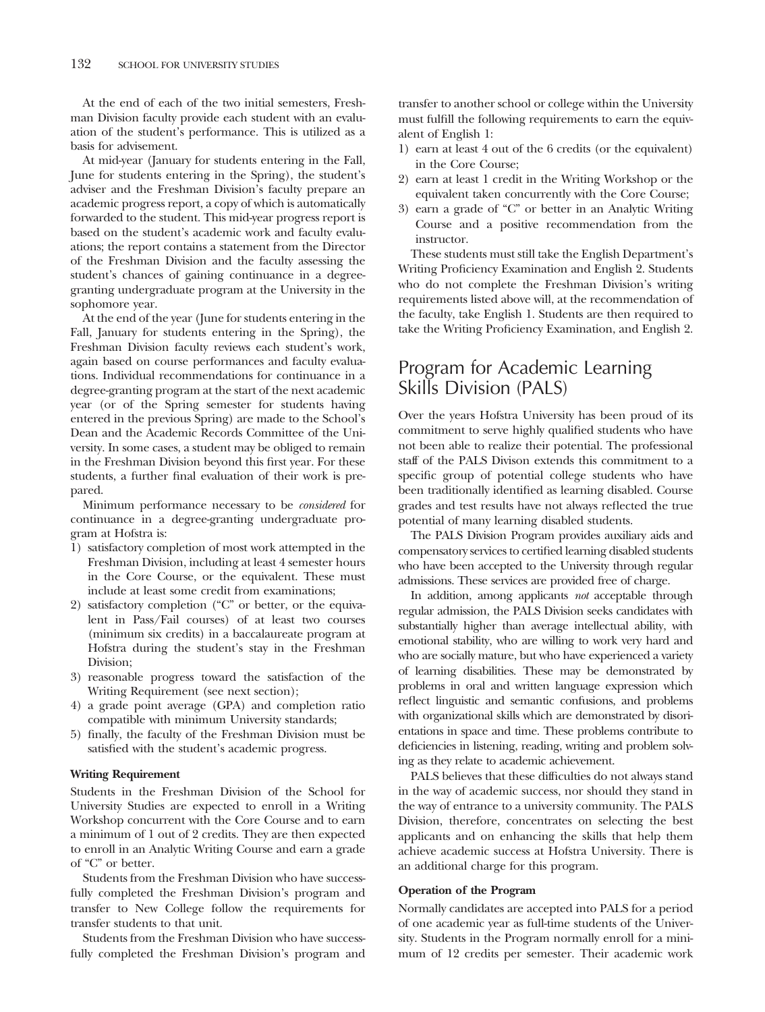At the end of each of the two initial semesters, Freshman Division faculty provide each student with an evaluation of the student's performance. This is utilized as a basis for advisement.

At mid-year (January for students entering in the Fall, June for students entering in the Spring), the student's adviser and the Freshman Division's faculty prepare an academic progress report, a copy of which is automatically forwarded to the student. This mid-year progress report is based on the student's academic work and faculty evaluations; the report contains a statement from the Director of the Freshman Division and the faculty assessing the student's chances of gaining continuance in a degreegranting undergraduate program at the University in the sophomore year.

At the end of the year (June for students entering in the Fall, January for students entering in the Spring), the Freshman Division faculty reviews each student's work, again based on course performances and faculty evaluations. Individual recommendations for continuance in a degree-granting program at the start of the next academic year (or of the Spring semester for students having entered in the previous Spring) are made to the School's Dean and the Academic Records Committee of the University. In some cases, a student may be obliged to remain in the Freshman Division beyond this first year. For these students, a further final evaluation of their work is prepared.

Minimum performance necessary to be *considered* for continuance in a degree-granting undergraduate program at Hofstra is:

- 1) satisfactory completion of most work attempted in the Freshman Division, including at least 4 semester hours in the Core Course, or the equivalent. These must include at least some credit from examinations;
- 2) satisfactory completion ("C" or better, or the equivalent in Pass/Fail courses) of at least two courses (minimum six credits) in a baccalaureate program at Hofstra during the student's stay in the Freshman Division;
- 3) reasonable progress toward the satisfaction of the Writing Requirement (see next section);
- 4) a grade point average (GPA) and completion ratio compatible with minimum University standards;
- 5) finally, the faculty of the Freshman Division must be satisfied with the student's academic progress.

### **Writing Requirement**

Students in the Freshman Division of the School for University Studies are expected to enroll in a Writing Workshop concurrent with the Core Course and to earn a minimum of 1 out of 2 credits. They are then expected to enroll in an Analytic Writing Course and earn a grade of "C" or better.

Students from the Freshman Division who have successfully completed the Freshman Division's program and transfer to New College follow the requirements for transfer students to that unit.

Students from the Freshman Division who have successfully completed the Freshman Division's program and transfer to another school or college within the University must fulfill the following requirements to earn the equivalent of English 1:

- 1) earn at least 4 out of the 6 credits (or the equivalent) in the Core Course;
- 2) earn at least 1 credit in the Writing Workshop or the equivalent taken concurrently with the Core Course;
- 3) earn a grade of "C" or better in an Analytic Writing Course and a positive recommendation from the instructor.

These students must still take the English Department's Writing Proficiency Examination and English 2. Students who do not complete the Freshman Division's writing requirements listed above will, at the recommendation of the faculty, take English 1. Students are then required to take the Writing Proficiency Examination, and English 2.

### Program for Academic Learning Skills Division (PALS)

Over the years Hofstra University has been proud of its commitment to serve highly qualified students who have not been able to realize their potential. The professional staff of the PALS Divison extends this commitment to a specific group of potential college students who have been traditionally identified as learning disabled. Course grades and test results have not always reflected the true potential of many learning disabled students.

The PALS Division Program provides auxiliary aids and compensatory services to certified learning disabled students who have been accepted to the University through regular admissions. These services are provided free of charge.

In addition, among applicants *not* acceptable through regular admission, the PALS Division seeks candidates with substantially higher than average intellectual ability, with emotional stability, who are willing to work very hard and who are socially mature, but who have experienced a variety of learning disabilities. These may be demonstrated by problems in oral and written language expression which reflect linguistic and semantic confusions, and problems with organizational skills which are demonstrated by disorientations in space and time. These problems contribute to deficiencies in listening, reading, writing and problem solving as they relate to academic achievement.

PALS believes that these difficulties do not always stand in the way of academic success, nor should they stand in the way of entrance to a university community. The PALS Division, therefore, concentrates on selecting the best applicants and on enhancing the skills that help them achieve academic success at Hofstra University. There is an additional charge for this program.

### **Operation of the Program**

Normally candidates are accepted into PALS for a period of one academic year as full-time students of the University. Students in the Program normally enroll for a minimum of 12 credits per semester. Their academic work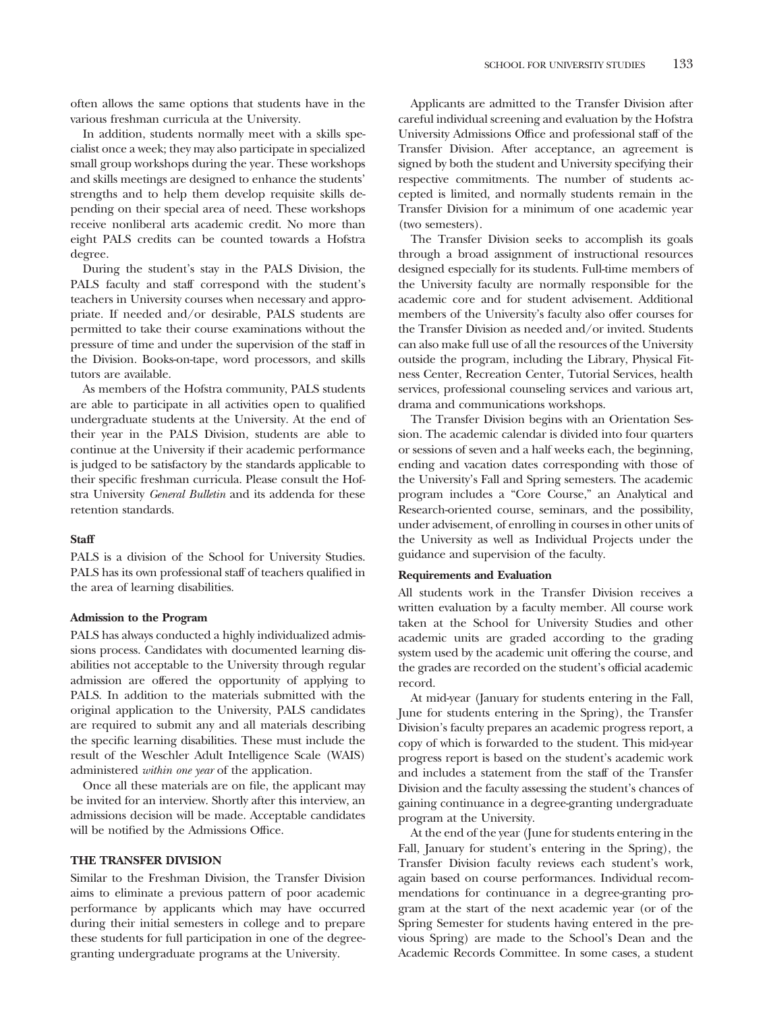often allows the same options that students have in the various freshman curricula at the University.

In addition, students normally meet with a skills specialist once a week; they may also participate in specialized small group workshops during the year. These workshops and skills meetings are designed to enhance the students' strengths and to help them develop requisite skills depending on their special area of need. These workshops receive nonliberal arts academic credit. No more than eight PALS credits can be counted towards a Hofstra degree.

During the student's stay in the PALS Division, the PALS faculty and staff correspond with the student's teachers in University courses when necessary and appropriate. If needed and/or desirable, PALS students are permitted to take their course examinations without the pressure of time and under the supervision of the staff in the Division. Books-on-tape, word processors, and skills tutors are available.

As members of the Hofstra community, PALS students are able to participate in all activities open to qualified undergraduate students at the University. At the end of their year in the PALS Division, students are able to continue at the University if their academic performance is judged to be satisfactory by the standards applicable to their specific freshman curricula. Please consult the Hofstra University *General Bulletin* and its addenda for these retention standards.

### **Staff**

PALS is a division of the School for University Studies. PALS has its own professional staff of teachers qualified in the area of learning disabilities.

### **Admission to the Program**

PALS has always conducted a highly individualized admissions process. Candidates with documented learning disabilities not acceptable to the University through regular admission are offered the opportunity of applying to PALS. In addition to the materials submitted with the original application to the University, PALS candidates are required to submit any and all materials describing the specific learning disabilities. These must include the result of the Weschler Adult Intelligence Scale (WAIS) administered *within one year* of the application.

Once all these materials are on file, the applicant may be invited for an interview. Shortly after this interview, an admissions decision will be made. Acceptable candidates will be notified by the Admissions Office.

### **THE TRANSFER DIVISION**

Similar to the Freshman Division, the Transfer Division aims to eliminate a previous pattern of poor academic performance by applicants which may have occurred during their initial semesters in college and to prepare these students for full participation in one of the degreegranting undergraduate programs at the University.

Applicants are admitted to the Transfer Division after careful individual screening and evaluation by the Hofstra University Admissions Office and professional staff of the Transfer Division. After acceptance, an agreement is signed by both the student and University specifying their respective commitments. The number of students accepted is limited, and normally students remain in the Transfer Division for a minimum of one academic year (two semesters).

The Transfer Division seeks to accomplish its goals through a broad assignment of instructional resources designed especially for its students. Full-time members of the University faculty are normally responsible for the academic core and for student advisement. Additional members of the University's faculty also offer courses for the Transfer Division as needed and/or invited. Students can also make full use of all the resources of the University outside the program, including the Library, Physical Fitness Center, Recreation Center, Tutorial Services, health services, professional counseling services and various art, drama and communications workshops.

The Transfer Division begins with an Orientation Session. The academic calendar is divided into four quarters or sessions of seven and a half weeks each, the beginning, ending and vacation dates corresponding with those of the University's Fall and Spring semesters. The academic program includes a "Core Course," an Analytical and Research-oriented course, seminars, and the possibility, under advisement, of enrolling in courses in other units of the University as well as Individual Projects under the guidance and supervision of the faculty.

### **Requirements and Evaluation**

All students work in the Transfer Division receives a written evaluation by a faculty member. All course work taken at the School for University Studies and other academic units are graded according to the grading system used by the academic unit offering the course, and the grades are recorded on the student's official academic record.

At mid-year (January for students entering in the Fall, June for students entering in the Spring), the Transfer Division's faculty prepares an academic progress report, a copy of which is forwarded to the student. This mid-year progress report is based on the student's academic work and includes a statement from the staff of the Transfer Division and the faculty assessing the student's chances of gaining continuance in a degree-granting undergraduate program at the University.

At the end of the year (June for students entering in the Fall, January for student's entering in the Spring), the Transfer Division faculty reviews each student's work, again based on course performances. Individual recommendations for continuance in a degree-granting program at the start of the next academic year (or of the Spring Semester for students having entered in the previous Spring) are made to the School's Dean and the Academic Records Committee. In some cases, a student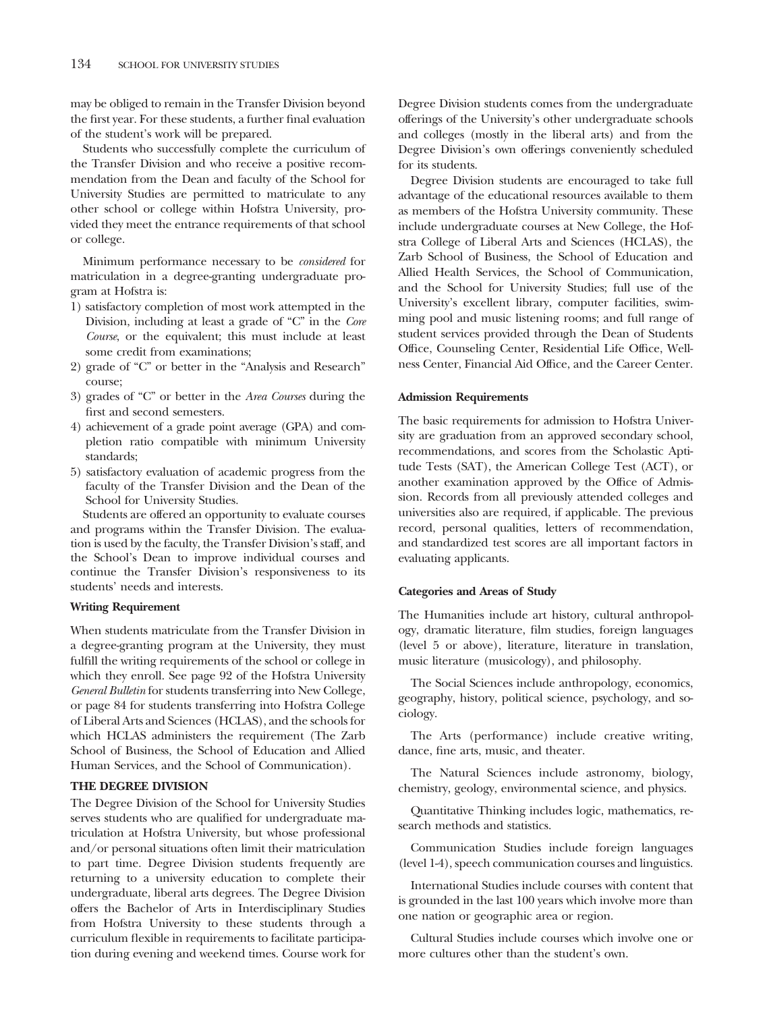may be obliged to remain in the Transfer Division beyond the first year. For these students, a further final evaluation of the student's work will be prepared.

Students who successfully complete the curriculum of the Transfer Division and who receive a positive recommendation from the Dean and faculty of the School for University Studies are permitted to matriculate to any other school or college within Hofstra University, provided they meet the entrance requirements of that school or college.

Minimum performance necessary to be *considered* for matriculation in a degree-granting undergraduate program at Hofstra is:

- 1) satisfactory completion of most work attempted in the Division, including at least a grade of "C" in the *Core Course*, or the equivalent; this must include at least some credit from examinations;
- 2) grade of "C" or better in the "Analysis and Research" course;
- 3) grades of "C" or better in the *Area Courses* during the first and second semesters.
- 4) achievement of a grade point average (GPA) and completion ratio compatible with minimum University standards;
- 5) satisfactory evaluation of academic progress from the faculty of the Transfer Division and the Dean of the School for University Studies.

Students are offered an opportunity to evaluate courses and programs within the Transfer Division. The evaluation is used by the faculty, the Transfer Division's staff, and the School's Dean to improve individual courses and continue the Transfer Division's responsiveness to its students' needs and interests.

### **Writing Requirement**

When students matriculate from the Transfer Division in a degree-granting program at the University, they must fulfill the writing requirements of the school or college in which they enroll. See page 92 of the Hofstra University *General Bulletin* for students transferring into New College, or page 84 for students transferring into Hofstra College of Liberal Arts and Sciences (HCLAS), and the schools for which HCLAS administers the requirement (The Zarb School of Business, the School of Education and Allied Human Services, and the School of Communication).

### **THE DEGREE DIVISION**

The Degree Division of the School for University Studies serves students who are qualified for undergraduate matriculation at Hofstra University, but whose professional and/or personal situations often limit their matriculation to part time. Degree Division students frequently are returning to a university education to complete their undergraduate, liberal arts degrees. The Degree Division offers the Bachelor of Arts in Interdisciplinary Studies from Hofstra University to these students through a curriculum flexible in requirements to facilitate participation during evening and weekend times. Course work for

Degree Division students comes from the undergraduate offerings of the University's other undergraduate schools and colleges (mostly in the liberal arts) and from the Degree Division's own offerings conveniently scheduled for its students.

Degree Division students are encouraged to take full advantage of the educational resources available to them as members of the Hofstra University community. These include undergraduate courses at New College, the Hofstra College of Liberal Arts and Sciences (HCLAS), the Zarb School of Business, the School of Education and Allied Health Services, the School of Communication, and the School for University Studies; full use of the University's excellent library, computer facilities, swimming pool and music listening rooms; and full range of student services provided through the Dean of Students Office, Counseling Center, Residential Life Office, Wellness Center, Financial Aid Office, and the Career Center.

### **Admission Requirements**

The basic requirements for admission to Hofstra University are graduation from an approved secondary school, recommendations, and scores from the Scholastic Aptitude Tests (SAT), the American College Test (ACT), or another examination approved by the Office of Admission. Records from all previously attended colleges and universities also are required, if applicable. The previous record, personal qualities, letters of recommendation, and standardized test scores are all important factors in evaluating applicants.

### **Categories and Areas of Study**

The Humanities include art history, cultural anthropology, dramatic literature, film studies, foreign languages (level 5 or above), literature, literature in translation, music literature (musicology), and philosophy.

The Social Sciences include anthropology, economics, geography, history, political science, psychology, and sociology.

The Arts (performance) include creative writing, dance, fine arts, music, and theater.

The Natural Sciences include astronomy, biology, chemistry, geology, environmental science, and physics.

Quantitative Thinking includes logic, mathematics, research methods and statistics.

Communication Studies include foreign languages (level 1-4), speech communication courses and linguistics.

International Studies include courses with content that is grounded in the last 100 years which involve more than one nation or geographic area or region.

Cultural Studies include courses which involve one or more cultures other than the student's own.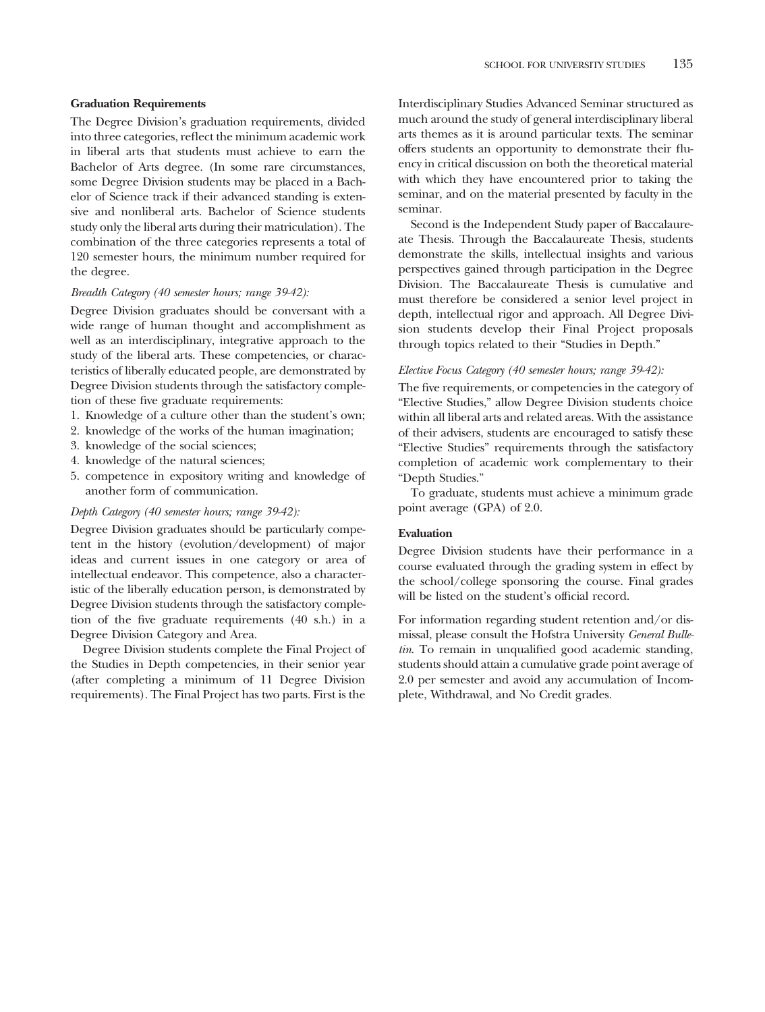### **Graduation Requirements**

The Degree Division's graduation requirements, divided into three categories, reflect the minimum academic work in liberal arts that students must achieve to earn the Bachelor of Arts degree. (In some rare circumstances, some Degree Division students may be placed in a Bachelor of Science track if their advanced standing is extensive and nonliberal arts. Bachelor of Science students study only the liberal arts during their matriculation). The combination of the three categories represents a total of 120 semester hours, the minimum number required for the degree.

### *Breadth Category (40 semester hours; range 39-42):*

Degree Division graduates should be conversant with a wide range of human thought and accomplishment as well as an interdisciplinary, integrative approach to the study of the liberal arts. These competencies, or characteristics of liberally educated people, are demonstrated by Degree Division students through the satisfactory completion of these five graduate requirements:

- 1. Knowledge of a culture other than the student's own;
- 2. knowledge of the works of the human imagination;
- 3. knowledge of the social sciences;
- 4. knowledge of the natural sciences;
- 5. competence in expository writing and knowledge of another form of communication.

### *Depth Category (40 semester hours; range 39-42):*

Degree Division graduates should be particularly competent in the history (evolution/development) of major ideas and current issues in one category or area of intellectual endeavor. This competence, also a characteristic of the liberally education person, is demonstrated by Degree Division students through the satisfactory completion of the five graduate requirements (40 s.h.) in a Degree Division Category and Area.

Degree Division students complete the Final Project of the Studies in Depth competencies, in their senior year (after completing a minimum of 11 Degree Division requirements). The Final Project has two parts. First is the

Interdisciplinary Studies Advanced Seminar structured as much around the study of general interdisciplinary liberal arts themes as it is around particular texts. The seminar offers students an opportunity to demonstrate their fluency in critical discussion on both the theoretical material with which they have encountered prior to taking the seminar, and on the material presented by faculty in the seminar.

Second is the Independent Study paper of Baccalaureate Thesis. Through the Baccalaureate Thesis, students demonstrate the skills, intellectual insights and various perspectives gained through participation in the Degree Division. The Baccalaureate Thesis is cumulative and must therefore be considered a senior level project in depth, intellectual rigor and approach. All Degree Division students develop their Final Project proposals through topics related to their "Studies in Depth."

### *Elective Focus Category (40 semester hours; range 39-42):*

The five requirements, or competencies in the category of "Elective Studies," allow Degree Division students choice within all liberal arts and related areas. With the assistance of their advisers, students are encouraged to satisfy these "Elective Studies" requirements through the satisfactory completion of academic work complementary to their "Depth Studies."

To graduate, students must achieve a minimum grade point average (GPA) of 2.0.

### **Evaluation**

Degree Division students have their performance in a course evaluated through the grading system in effect by the school/college sponsoring the course. Final grades will be listed on the student's official record.

For information regarding student retention and/or dismissal, please consult the Hofstra University *General Bulletin*. To remain in unqualified good academic standing, students should attain a cumulative grade point average of 2.0 per semester and avoid any accumulation of Incomplete, Withdrawal, and No Credit grades.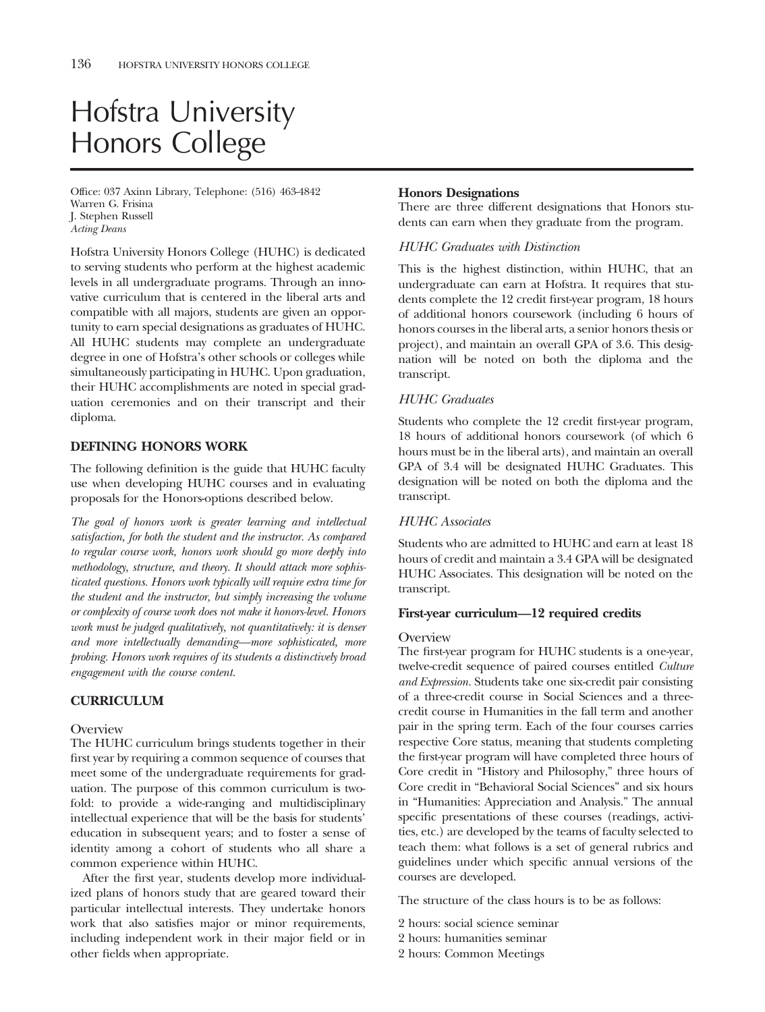# Hofstra University Honors College

Office: 037 Axinn Library, Telephone: (516) 463-4842 Warren G. Frisina J. Stephen Russell *Acting Deans*

Hofstra University Honors College (HUHC) is dedicated to serving students who perform at the highest academic levels in all undergraduate programs. Through an innovative curriculum that is centered in the liberal arts and compatible with all majors, students are given an opportunity to earn special designations as graduates of HUHC. All HUHC students may complete an undergraduate degree in one of Hofstra's other schools or colleges while simultaneously participating in HUHC. Upon graduation, their HUHC accomplishments are noted in special graduation ceremonies and on their transcript and their diploma.

### **DEFINING HONORS WORK**

The following definition is the guide that HUHC faculty use when developing HUHC courses and in evaluating proposals for the Honors-options described below.

*The goal of honors work is greater learning and intellectual satisfaction, for both the student and the instructor. As compared to regular course work, honors work should go more deeply into methodology, structure, and theory. It should attack more sophisticated questions. Honors work typically will require extra time for the student and the instructor, but simply increasing the volume or complexity of course work does not make it honors-level. Honors work must be judged qualitatively, not quantitatively: it is denser and more intellectually demanding—more sophisticated, more probing. Honors work requires of its students a distinctively broad engagement with the course content.*

### **CURRICULUM**

### **Overview**

The HUHC curriculum brings students together in their first year by requiring a common sequence of courses that meet some of the undergraduate requirements for graduation. The purpose of this common curriculum is twofold: to provide a wide-ranging and multidisciplinary intellectual experience that will be the basis for students' education in subsequent years; and to foster a sense of identity among a cohort of students who all share a common experience within HUHC.

After the first year, students develop more individualized plans of honors study that are geared toward their particular intellectual interests. They undertake honors work that also satisfies major or minor requirements, including independent work in their major field or in other fields when appropriate.

### **Honors Designations**

There are three different designations that Honors students can earn when they graduate from the program.

### *HUHC Graduates with Distinction*

This is the highest distinction, within HUHC, that an undergraduate can earn at Hofstra. It requires that students complete the 12 credit first-year program, 18 hours of additional honors coursework (including 6 hours of honors courses in the liberal arts, a senior honors thesis or project), and maintain an overall GPA of 3.6. This designation will be noted on both the diploma and the transcript.

### *HUHC Graduates*

Students who complete the 12 credit first-year program, 18 hours of additional honors coursework (of which 6 hours must be in the liberal arts), and maintain an overall GPA of 3.4 will be designated HUHC Graduates. This designation will be noted on both the diploma and the transcript.

### *HUHC Associates*

Students who are admitted to HUHC and earn at least 18 hours of credit and maintain a 3.4 GPA will be designated HUHC Associates. This designation will be noted on the transcript.

### **First-year curriculum—12 required credits**

### **Overview**

The first-year program for HUHC students is a one-year, twelve-credit sequence of paired courses entitled *Culture and Expression.* Students take one six-credit pair consisting of a three-credit course in Social Sciences and a threecredit course in Humanities in the fall term and another pair in the spring term. Each of the four courses carries respective Core status, meaning that students completing the first-year program will have completed three hours of Core credit in "History and Philosophy," three hours of Core credit in "Behavioral Social Sciences" and six hours in "Humanities: Appreciation and Analysis." The annual specific presentations of these courses (readings, activities, etc.) are developed by the teams of faculty selected to teach them: what follows is a set of general rubrics and guidelines under which specific annual versions of the courses are developed.

The structure of the class hours is to be as follows:

- 2 hours: social science seminar
- 2 hours: humanities seminar
- 2 hours: Common Meetings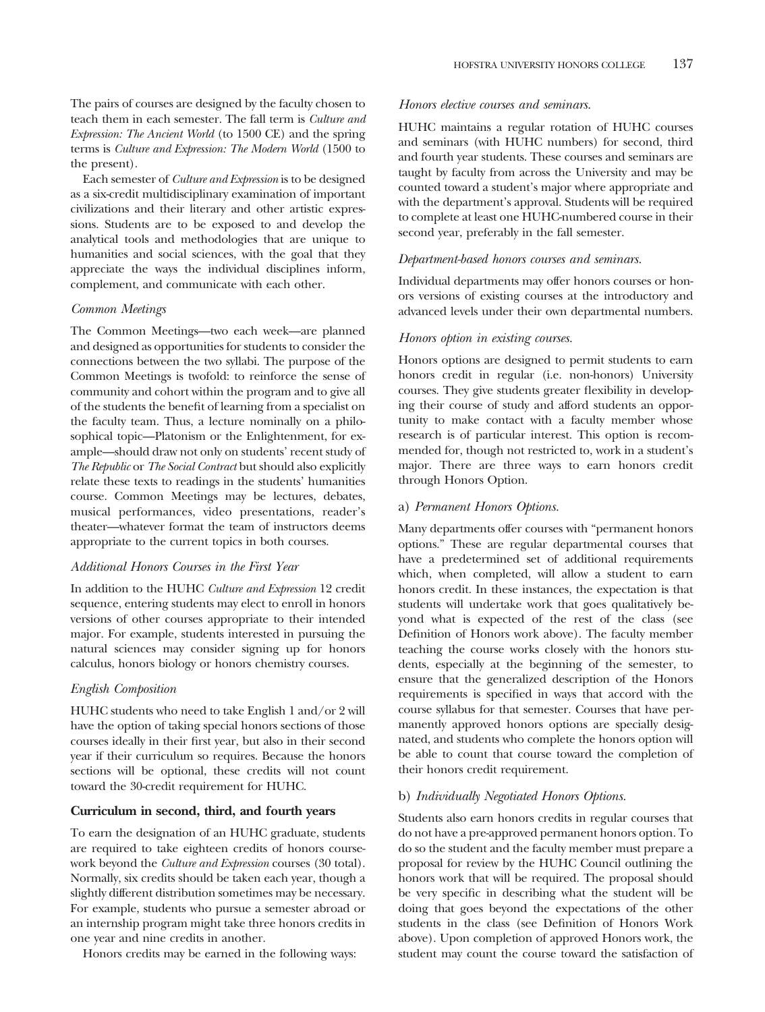The pairs of courses are designed by the faculty chosen to teach them in each semester. The fall term is *Culture and Expression: The Ancient World* (to 1500 CE) and the spring terms is *Culture and Expression: The Modern World* (1500 to the present).

Each semester of *Culture and Expression* is to be designed as a six-credit multidisciplinary examination of important civilizations and their literary and other artistic expressions. Students are to be exposed to and develop the analytical tools and methodologies that are unique to humanities and social sciences, with the goal that they appreciate the ways the individual disciplines inform, complement, and communicate with each other.

### *Common Meetings*

The Common Meetings—two each week—are planned and designed as opportunities for students to consider the connections between the two syllabi. The purpose of the Common Meetings is twofold: to reinforce the sense of community and cohort within the program and to give all of the students the benefit of learning from a specialist on the faculty team. Thus, a lecture nominally on a philosophical topic—Platonism or the Enlightenment, for example—should draw not only on students' recent study of *The Republic* or *The Social Contract* but should also explicitly relate these texts to readings in the students' humanities course. Common Meetings may be lectures, debates, musical performances, video presentations, reader's theater—whatever format the team of instructors deems appropriate to the current topics in both courses.

### *Additional Honors Courses in the First Year*

In addition to the HUHC *Culture and Expression* 12 credit sequence, entering students may elect to enroll in honors versions of other courses appropriate to their intended major. For example, students interested in pursuing the natural sciences may consider signing up for honors calculus, honors biology or honors chemistry courses.

### *English Composition*

HUHC students who need to take English 1 and/or 2 will have the option of taking special honors sections of those courses ideally in their first year, but also in their second year if their curriculum so requires. Because the honors sections will be optional, these credits will not count toward the 30-credit requirement for HUHC.

### **Curriculum in second, third, and fourth years**

To earn the designation of an HUHC graduate, students are required to take eighteen credits of honors coursework beyond the *Culture and Expression* courses (30 total). Normally, six credits should be taken each year, though a slightly different distribution sometimes may be necessary. For example, students who pursue a semester abroad or an internship program might take three honors credits in one year and nine credits in another.

Honors credits may be earned in the following ways:

### *Honors elective courses and seminars.*

HUHC maintains a regular rotation of HUHC courses and seminars (with HUHC numbers) for second, third and fourth year students. These courses and seminars are taught by faculty from across the University and may be counted toward a student's major where appropriate and with the department's approval. Students will be required to complete at least one HUHC-numbered course in their second year, preferably in the fall semester.

### *Department-based honors courses and seminars.*

Individual departments may offer honors courses or honors versions of existing courses at the introductory and advanced levels under their own departmental numbers.

### *Honors option in existing courses.*

Honors options are designed to permit students to earn honors credit in regular (i.e. non-honors) University courses. They give students greater flexibility in developing their course of study and afford students an opportunity to make contact with a faculty member whose research is of particular interest. This option is recommended for, though not restricted to, work in a student's major. There are three ways to earn honors credit through Honors Option.

### a) *Permanent Honors Options.*

Many departments offer courses with "permanent honors options." These are regular departmental courses that have a predetermined set of additional requirements which, when completed, will allow a student to earn honors credit. In these instances, the expectation is that students will undertake work that goes qualitatively beyond what is expected of the rest of the class (see Definition of Honors work above). The faculty member teaching the course works closely with the honors students, especially at the beginning of the semester, to ensure that the generalized description of the Honors requirements is specified in ways that accord with the course syllabus for that semester. Courses that have permanently approved honors options are specially designated, and students who complete the honors option will be able to count that course toward the completion of their honors credit requirement.

### b) *Individually Negotiated Honors Options.*

Students also earn honors credits in regular courses that do not have a pre-approved permanent honors option. To do so the student and the faculty member must prepare a proposal for review by the HUHC Council outlining the honors work that will be required. The proposal should be very specific in describing what the student will be doing that goes beyond the expectations of the other students in the class (see Definition of Honors Work above). Upon completion of approved Honors work, the student may count the course toward the satisfaction of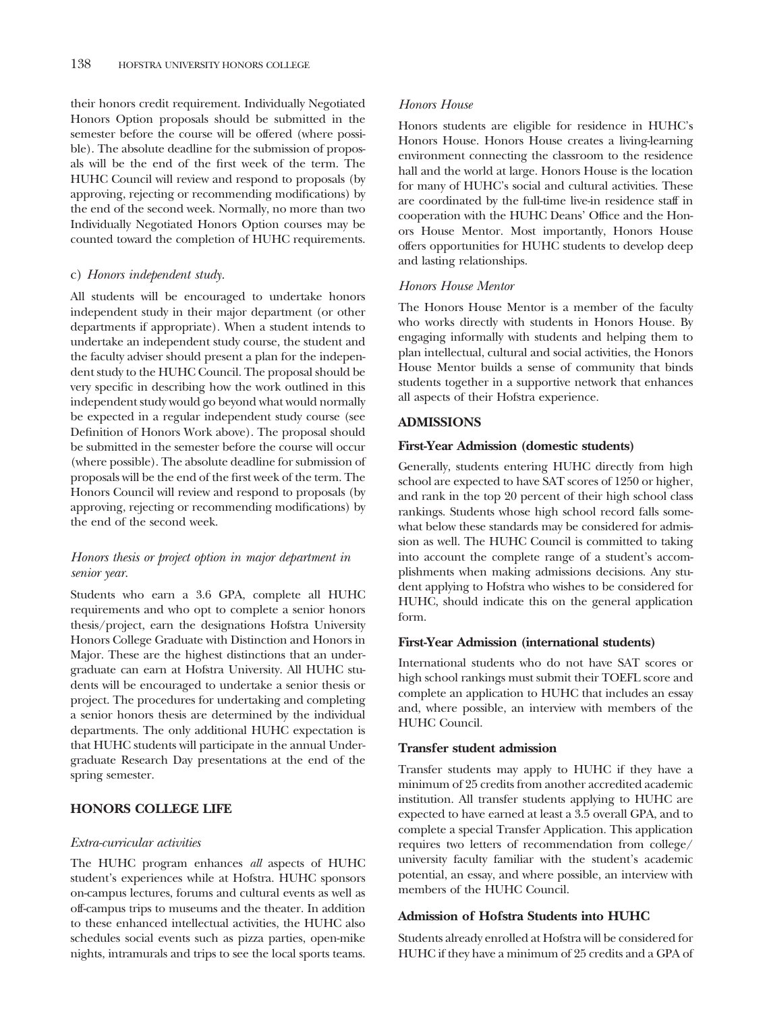their honors credit requirement. Individually Negotiated Honors Option proposals should be submitted in the semester before the course will be offered (where possible). The absolute deadline for the submission of proposals will be the end of the first week of the term. The HUHC Council will review and respond to proposals (by approving, rejecting or recommending modifications) by the end of the second week. Normally, no more than two Individually Negotiated Honors Option courses may be counted toward the completion of HUHC requirements.

### c) *Honors independent study.*

All students will be encouraged to undertake honors independent study in their major department (or other departments if appropriate). When a student intends to undertake an independent study course, the student and the faculty adviser should present a plan for the independent study to the HUHC Council. The proposal should be very specific in describing how the work outlined in this independent study would go beyond what would normally be expected in a regular independent study course (see Definition of Honors Work above). The proposal should be submitted in the semester before the course will occur (where possible). The absolute deadline for submission of proposals will be the end of the first week of the term. The Honors Council will review and respond to proposals (by approving, rejecting or recommending modifications) by the end of the second week.

### *Honors thesis or project option in major department in senior year.*

Students who earn a 3.6 GPA, complete all HUHC requirements and who opt to complete a senior honors thesis/project, earn the designations Hofstra University Honors College Graduate with Distinction and Honors in Major. These are the highest distinctions that an undergraduate can earn at Hofstra University. All HUHC students will be encouraged to undertake a senior thesis or project. The procedures for undertaking and completing a senior honors thesis are determined by the individual departments. The only additional HUHC expectation is that HUHC students will participate in the annual Undergraduate Research Day presentations at the end of the spring semester.

### **HONORS COLLEGE LIFE**

### *Extra-curricular activities*

The HUHC program enhances *all* aspects of HUHC student's experiences while at Hofstra. HUHC sponsors on-campus lectures, forums and cultural events as well as off-campus trips to museums and the theater. In addition to these enhanced intellectual activities, the HUHC also schedules social events such as pizza parties, open-mike nights, intramurals and trips to see the local sports teams.

### *Honors House*

Honors students are eligible for residence in HUHC's Honors House. Honors House creates a living-learning environment connecting the classroom to the residence hall and the world at large. Honors House is the location for many of HUHC's social and cultural activities. These are coordinated by the full-time live-in residence staff in cooperation with the HUHC Deans' Office and the Honors House Mentor. Most importantly, Honors House offers opportunities for HUHC students to develop deep and lasting relationships.

### *Honors House Mentor*

The Honors House Mentor is a member of the faculty who works directly with students in Honors House. By engaging informally with students and helping them to plan intellectual, cultural and social activities, the Honors House Mentor builds a sense of community that binds students together in a supportive network that enhances all aspects of their Hofstra experience.

### **ADMISSIONS**

### **First-Year Admission (domestic students)**

Generally, students entering HUHC directly from high school are expected to have SAT scores of 1250 or higher, and rank in the top 20 percent of their high school class rankings. Students whose high school record falls somewhat below these standards may be considered for admission as well. The HUHC Council is committed to taking into account the complete range of a student's accomplishments when making admissions decisions. Any student applying to Hofstra who wishes to be considered for HUHC, should indicate this on the general application form.

### **First-Year Admission (international students)**

International students who do not have SAT scores or high school rankings must submit their TOEFL score and complete an application to HUHC that includes an essay and, where possible, an interview with members of the HUHC Council.

### **Transfer student admission**

Transfer students may apply to HUHC if they have a minimum of 25 credits from another accredited academic institution. All transfer students applying to HUHC are expected to have earned at least a 3.5 overall GPA, and to complete a special Transfer Application. This application requires two letters of recommendation from college/ university faculty familiar with the student's academic potential, an essay, and where possible, an interview with members of the HUHC Council.

### **Admission of Hofstra Students into HUHC**

Students already enrolled at Hofstra will be considered for HUHC if they have a minimum of 25 credits and a GPA of